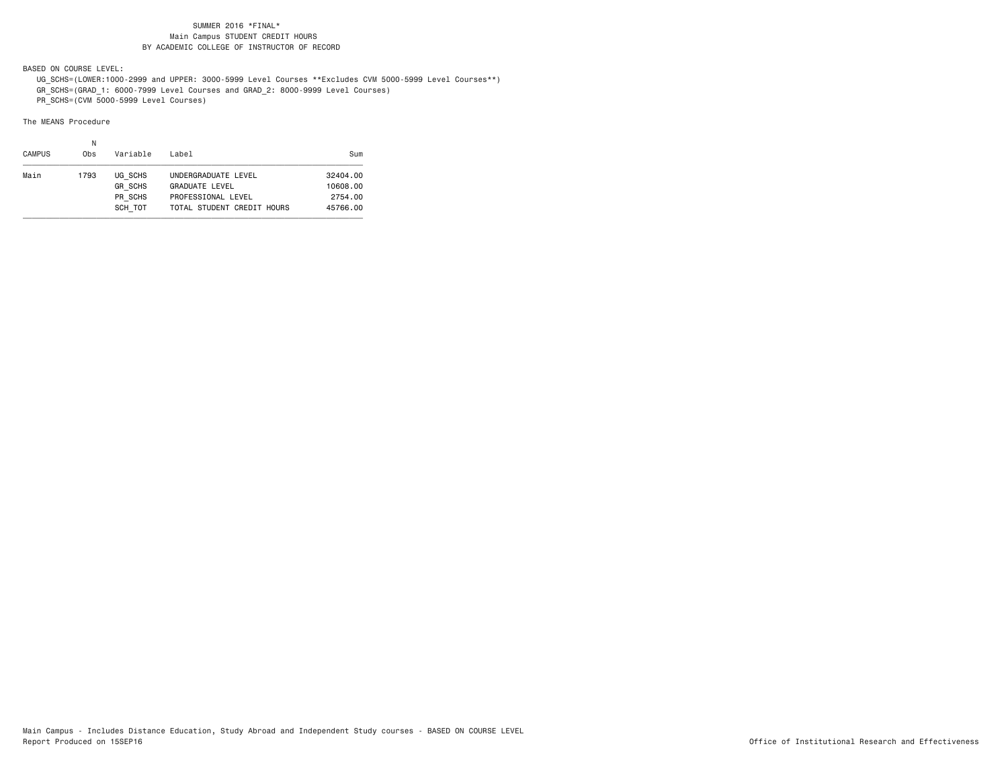BASED ON COURSE LEVEL:

UG\_SCHS=(LOWER:1000-2999 and UPPER: 3000-5999 Level Courses \*\*Excludes CVM 5000-5999 Level Courses\*\*)

GR\_SCHS=(GRAD\_1: 6000-7999 Level Courses and GRAD\_2: 8000-9999 Level Courses)

PR\_SCHS=(CVM 5000-5999 Level Courses)

| <b>CAMPUS</b> | Ν<br>0bs | Variable                                        | Label                                                                                            | Sum                                         |
|---------------|----------|-------------------------------------------------|--------------------------------------------------------------------------------------------------|---------------------------------------------|
| Main          | 1793     | UG SCHS<br><b>GR SCHS</b><br>PR SCHS<br>SCH TOT | UNDERGRADUATE LEVEL<br><b>GRADUATE LEVEL</b><br>PROFESSIONAL LEVEL<br>TOTAL STUDENT CREDIT HOURS | 32404.00<br>10608.00<br>2754.00<br>45766.00 |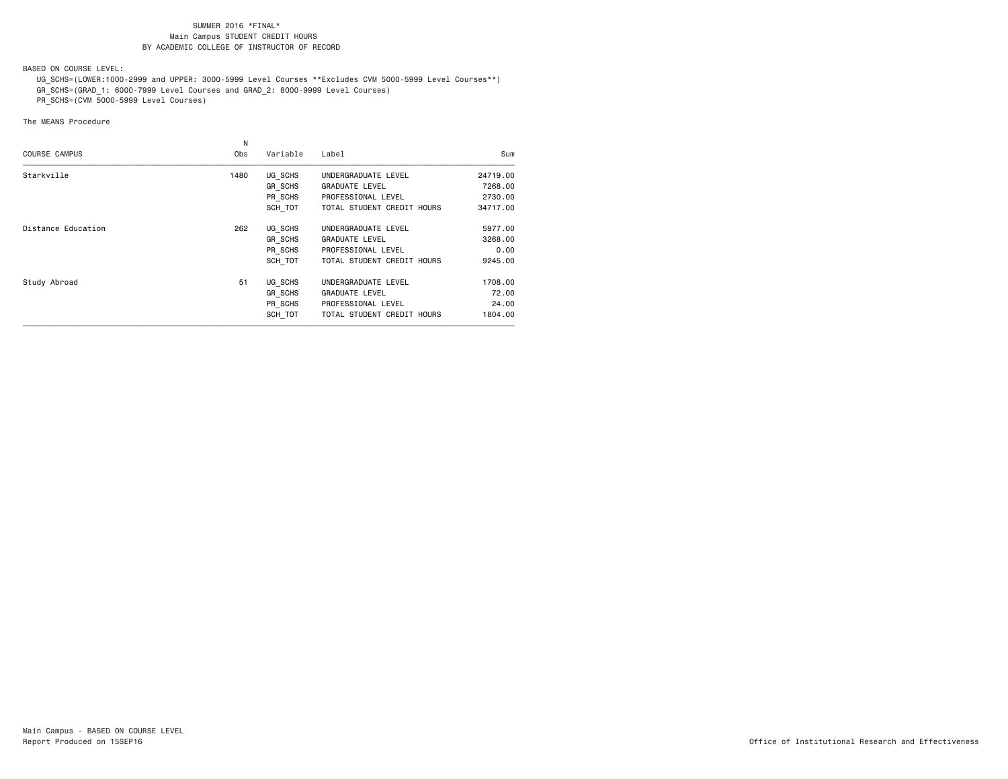BASED ON COURSE LEVEL:

 UG\_SCHS=(LOWER:1000-2999 and UPPER: 3000-5999 Level Courses \*\*Excludes CVM 5000-5999 Level Courses\*\*) GR\_SCHS=(GRAD\_1: 6000-7999 Level Courses and GRAD\_2: 8000-9999 Level Courses)

PR\_SCHS=(CVM 5000-5999 Level Courses)

|                      | N    |          |                            |          |
|----------------------|------|----------|----------------------------|----------|
| <b>COURSE CAMPUS</b> | 0bs  | Variable | Label                      | Sum      |
| Starkville           | 1480 | UG SCHS  | UNDERGRADUATE LEVEL        | 24719.00 |
|                      |      | GR SCHS  | <b>GRADUATE LEVEL</b>      | 7268,00  |
|                      |      | PR SCHS  | PROFESSIONAL LEVEL         | 2730.00  |
|                      |      | SCH TOT  | TOTAL STUDENT CREDIT HOURS | 34717.00 |
| Distance Education   | 262  | UG SCHS  | UNDERGRADUATE LEVEL        | 5977.00  |
|                      |      | GR SCHS  | <b>GRADUATE LEVEL</b>      | 3268,00  |
|                      |      | PR SCHS  | PROFESSIONAL LEVEL         | 0.00     |
|                      |      | SCH TOT  | TOTAL STUDENT CREDIT HOURS | 9245.00  |
| Study Abroad         | 51   | UG SCHS  | UNDERGRADUATE LEVEL        | 1708.00  |
|                      |      | GR SCHS  | <b>GRADUATE LEVEL</b>      | 72.00    |
|                      |      | PR SCHS  | PROFESSIONAL LEVEL         | 24,00    |
|                      |      | SCH TOT  | TOTAL STUDENT CREDIT HOURS | 1804.00  |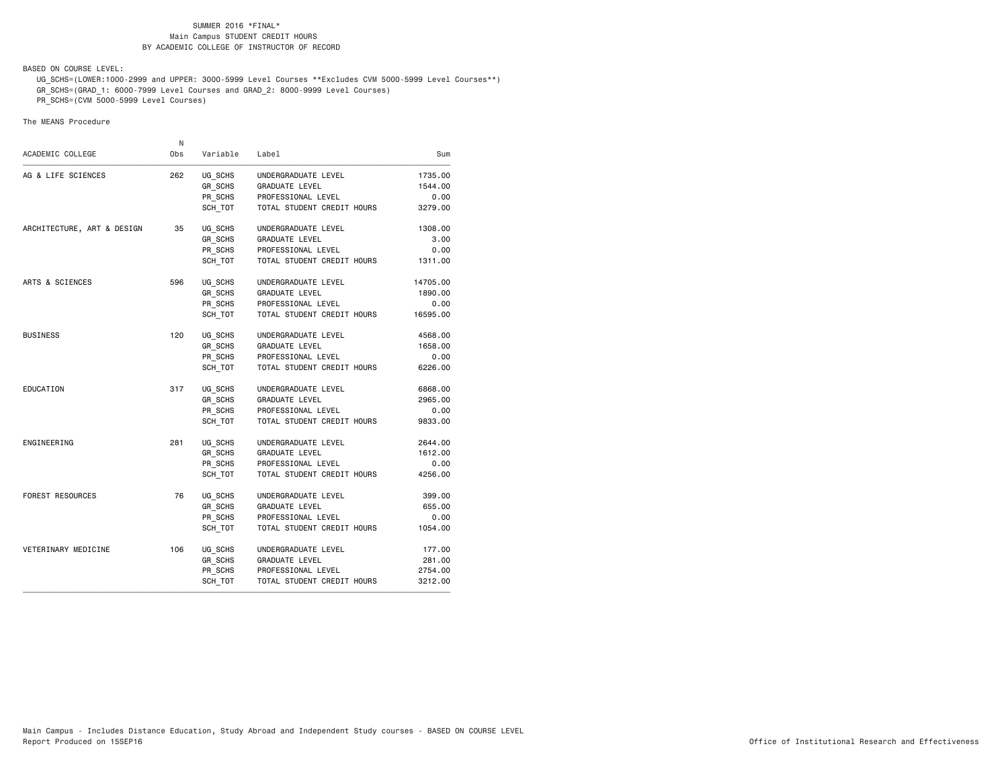BASED ON COURSE LEVEL:

 UG\_SCHS=(LOWER:1000-2999 and UPPER: 3000-5999 Level Courses \*\*Excludes CVM 5000-5999 Level Courses\*\*) GR\_SCHS=(GRAD\_1: 6000-7999 Level Courses and GRAD\_2: 8000-9999 Level Courses)

PR\_SCHS=(CVM 5000-5999 Level Courses)

| Sum<br>1735.00<br>1544.00<br>0.00<br>3279.00<br>1308,00<br>3.00<br>0.00<br>1311.00<br>14705.00<br>1890.00<br>0.00<br>16595.00<br>4568.00<br>1658.00<br>0.00<br>6226.00<br>6868.00<br>2965.00<br>0.00 | Label                      | Variable | 0bs | ACADEMIC COLLEGE           |
|------------------------------------------------------------------------------------------------------------------------------------------------------------------------------------------------------|----------------------------|----------|-----|----------------------------|
|                                                                                                                                                                                                      |                            |          |     |                            |
|                                                                                                                                                                                                      | UNDERGRADUATE LEVEL        | UG_SCHS  | 262 | AG & LIFE SCIENCES         |
|                                                                                                                                                                                                      | <b>GRADUATE LEVEL</b>      | GR SCHS  |     |                            |
|                                                                                                                                                                                                      | PROFESSIONAL LEVEL         | PR SCHS  |     |                            |
|                                                                                                                                                                                                      | TOTAL STUDENT CREDIT HOURS | SCH TOT  |     |                            |
|                                                                                                                                                                                                      | UNDERGRADUATE LEVEL        | UG SCHS  | 35  | ARCHITECTURE, ART & DESIGN |
|                                                                                                                                                                                                      | <b>GRADUATE LEVEL</b>      | GR SCHS  |     |                            |
|                                                                                                                                                                                                      | PROFESSIONAL LEVEL         | PR SCHS  |     |                            |
|                                                                                                                                                                                                      | TOTAL STUDENT CREDIT HOURS | SCH TOT  |     |                            |
|                                                                                                                                                                                                      | UNDERGRADUATE LEVEL        | UG SCHS  | 596 | ARTS & SCIENCES            |
|                                                                                                                                                                                                      | <b>GRADUATE LEVEL</b>      | GR SCHS  |     |                            |
|                                                                                                                                                                                                      | PROFESSIONAL LEVEL         | PR SCHS  |     |                            |
|                                                                                                                                                                                                      | TOTAL STUDENT CREDIT HOURS | SCH TOT  |     |                            |
|                                                                                                                                                                                                      | UNDERGRADUATE LEVEL        | UG SCHS  | 120 | <b>BUSINESS</b>            |
|                                                                                                                                                                                                      | <b>GRADUATE LEVEL</b>      | GR SCHS  |     |                            |
|                                                                                                                                                                                                      | PROFESSIONAL LEVEL         | PR SCHS  |     |                            |
|                                                                                                                                                                                                      | TOTAL STUDENT CREDIT HOURS | SCH TOT  |     |                            |
|                                                                                                                                                                                                      | UNDERGRADUATE LEVEL        | UG SCHS  | 317 | EDUCATION                  |
|                                                                                                                                                                                                      | <b>GRADUATE LEVEL</b>      | GR SCHS  |     |                            |
|                                                                                                                                                                                                      | PROFESSIONAL LEVEL         | PR SCHS  |     |                            |
| 9833.00                                                                                                                                                                                              | TOTAL STUDENT CREDIT HOURS | SCH TOT  |     |                            |
| 2644.00                                                                                                                                                                                              | UNDERGRADUATE LEVEL        | UG SCHS  | 281 | ENGINEERING                |
| 1612.00                                                                                                                                                                                              | <b>GRADUATE LEVEL</b>      | GR SCHS  |     |                            |
| 0.00                                                                                                                                                                                                 | PROFESSIONAL LEVEL         | PR SCHS  |     |                            |
| 4256.00                                                                                                                                                                                              | TOTAL STUDENT CREDIT HOURS | SCH TOT  |     |                            |
| 399.00                                                                                                                                                                                               | UNDERGRADUATE LEVEL        | UG SCHS  | 76  | <b>FOREST RESOURCES</b>    |
| 655.00                                                                                                                                                                                               | <b>GRADUATE LEVEL</b>      | GR SCHS  |     |                            |
| 0.00                                                                                                                                                                                                 | PROFESSIONAL LEVEL         | PR SCHS  |     |                            |
| 1054.00                                                                                                                                                                                              | TOTAL STUDENT CREDIT HOURS | SCH TOT  |     |                            |
| 177.00                                                                                                                                                                                               | UNDERGRADUATE LEVEL        | UG SCHS  | 106 | VETERINARY MEDICINE        |
| 281.00                                                                                                                                                                                               | GRADUATE LEVEL             | GR SCHS  |     |                            |
| 2754.00                                                                                                                                                                                              | PROFESSIONAL LEVEL         | PR SCHS  |     |                            |
| 3212.00                                                                                                                                                                                              | TOTAL STUDENT CREDIT HOURS | SCH TOT  |     |                            |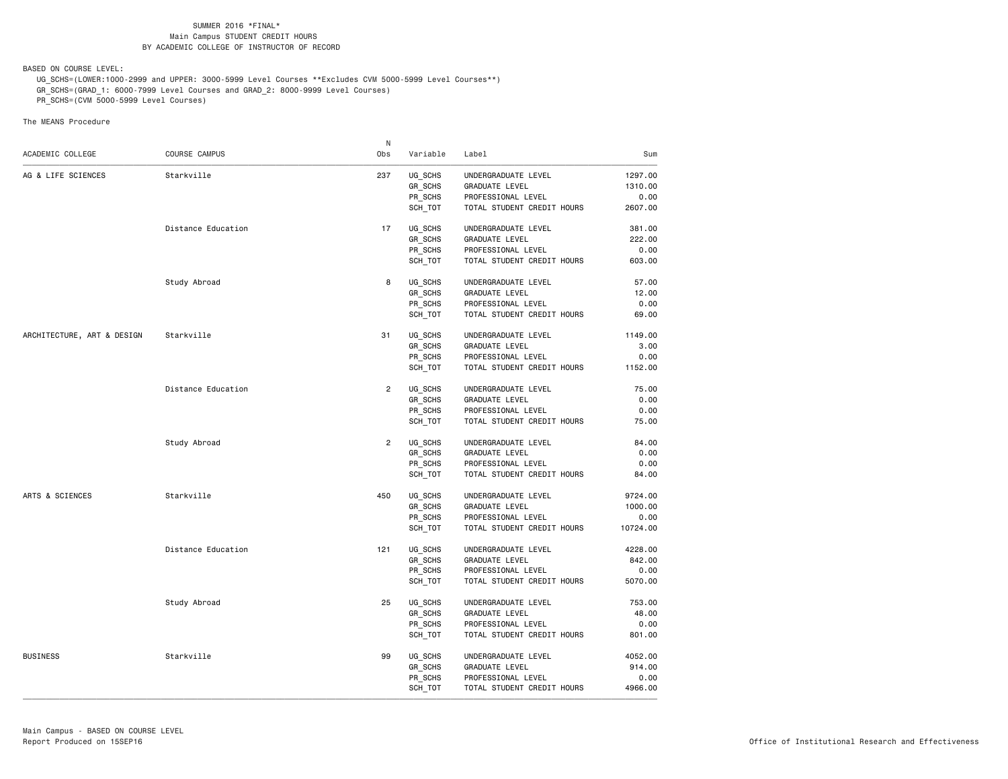BASED ON COURSE LEVEL:

UG\_SCHS=(LOWER:1000-2999 and UPPER: 3000-5999 Level Courses \*\*Excludes CVM 5000-5999 Level Courses\*\*)

GR\_SCHS=(GRAD\_1: 6000-7999 Level Courses and GRAD\_2: 8000-9999 Level Courses)

PR\_SCHS=(CVM 5000-5999 Level Courses)

|                            |                    | N              |                |                            |          |
|----------------------------|--------------------|----------------|----------------|----------------------------|----------|
| ACADEMIC COLLEGE           | COURSE CAMPUS      | Obs            | Variable       | Label                      | Sum      |
| AG & LIFE SCIENCES         | Starkville         | 237            | UG_SCHS        | UNDERGRADUATE LEVEL        | 1297.00  |
|                            |                    |                | GR_SCHS        | <b>GRADUATE LEVEL</b>      | 1310.00  |
|                            |                    |                | PR SCHS        | PROFESSIONAL LEVEL         | 0.00     |
|                            |                    |                | SCH_TOT        | TOTAL STUDENT CREDIT HOURS | 2607.00  |
|                            | Distance Education | 17             | UG SCHS        | UNDERGRADUATE LEVEL        | 381.00   |
|                            |                    |                | GR SCHS        | <b>GRADUATE LEVEL</b>      | 222.00   |
|                            |                    |                | PR_SCHS        | PROFESSIONAL LEVEL         | 0.00     |
|                            |                    |                | SCH_TOT        | TOTAL STUDENT CREDIT HOURS | 603.00   |
|                            | Study Abroad       | 8              | UG SCHS        | UNDERGRADUATE LEVEL        | 57.00    |
|                            |                    |                | GR_SCHS        | <b>GRADUATE LEVEL</b>      | 12.00    |
|                            |                    |                | PR_SCHS        | PROFESSIONAL LEVEL         | 0.00     |
|                            |                    |                | SCH_TOT        | TOTAL STUDENT CREDIT HOURS | 69.00    |
| ARCHITECTURE, ART & DESIGN | Starkville         | 31             | UG_SCHS        | UNDERGRADUATE LEVEL        | 1149.00  |
|                            |                    |                | <b>GR SCHS</b> | <b>GRADUATE LEVEL</b>      | 3.00     |
|                            |                    |                | PR SCHS        | PROFESSIONAL LEVEL         | 0.00     |
|                            |                    |                | SCH_TOT        | TOTAL STUDENT CREDIT HOURS | 1152.00  |
|                            | Distance Education | $\overline{2}$ | UG_SCHS        | UNDERGRADUATE LEVEL        | 75.00    |
|                            |                    |                | GR SCHS        | <b>GRADUATE LEVEL</b>      | 0.00     |
|                            |                    |                | PR_SCHS        | PROFESSIONAL LEVEL         | 0.00     |
|                            |                    |                | SCH_TOT        | TOTAL STUDENT CREDIT HOURS | 75.00    |
|                            | Study Abroad       | $\overline{2}$ | UG SCHS        | UNDERGRADUATE LEVEL        | 84.00    |
|                            |                    |                | GR_SCHS        | <b>GRADUATE LEVEL</b>      | 0.00     |
|                            |                    |                | PR_SCHS        | PROFESSIONAL LEVEL         | 0.00     |
|                            |                    |                | SCH TOT        | TOTAL STUDENT CREDIT HOURS | 84.00    |
| ARTS & SCIENCES            | Starkville         | 450            | UG SCHS        | UNDERGRADUATE LEVEL        | 9724.00  |
|                            |                    |                | <b>GR SCHS</b> | GRADUATE LEVEL             | 1000.00  |
|                            |                    |                | PR_SCHS        | PROFESSIONAL LEVEL         | 0.00     |
|                            |                    |                | SCH_TOT        | TOTAL STUDENT CREDIT HOURS | 10724.00 |
|                            | Distance Education | 121            | UG SCHS        | UNDERGRADUATE LEVEL        | 4228.00  |
|                            |                    |                | <b>GR SCHS</b> | <b>GRADUATE LEVEL</b>      | 842.00   |
|                            |                    |                | PR_SCHS        | PROFESSIONAL LEVEL         | 0.00     |
|                            |                    |                | SCH_TOT        | TOTAL STUDENT CREDIT HOURS | 5070.00  |
|                            | Study Abroad       | 25             | UG_SCHS        | UNDERGRADUATE LEVEL        | 753.00   |
|                            |                    |                | GR_SCHS        | <b>GRADUATE LEVEL</b>      | 48.00    |
|                            |                    |                | PR SCHS        | PROFESSIONAL LEVEL         | 0.00     |
|                            |                    |                | SCH TOT        | TOTAL STUDENT CREDIT HOURS | 801.00   |
| <b>BUSINESS</b>            | Starkville         | 99             | UG_SCHS        | UNDERGRADUATE LEVEL        | 4052.00  |
|                            |                    |                | GR_SCHS        | <b>GRADUATE LEVEL</b>      | 914.00   |
|                            |                    |                | PR_SCHS        | PROFESSIONAL LEVEL         | 0.00     |
|                            |                    |                | SCH TOT        | TOTAL STUDENT CREDIT HOURS | 4966.00  |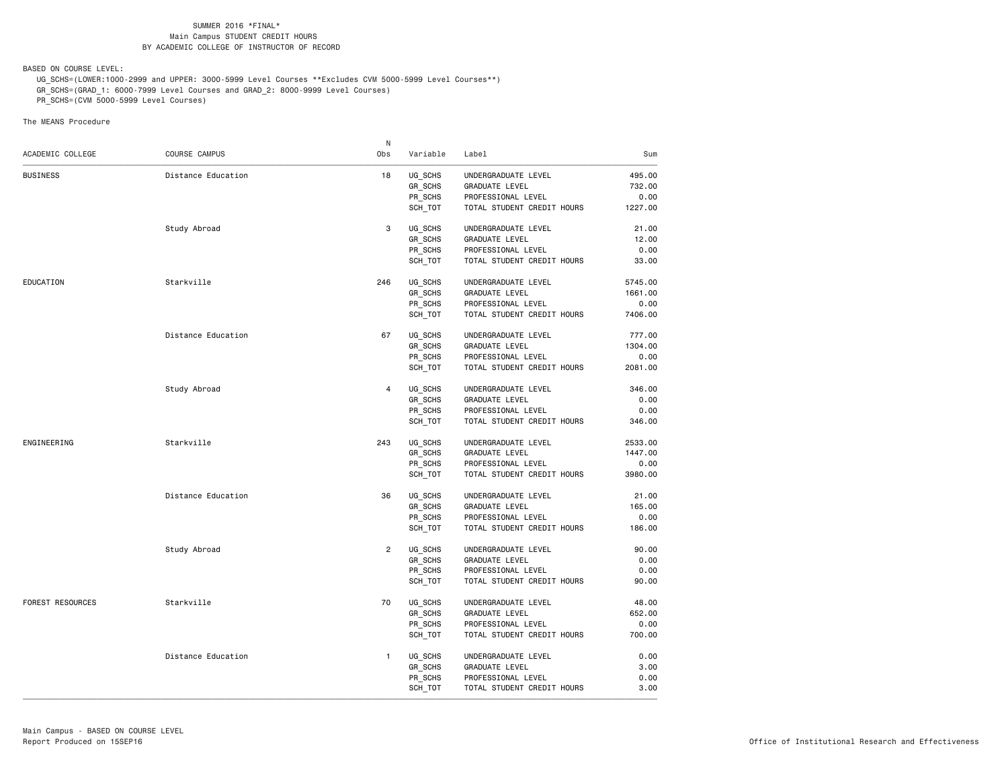BASED ON COURSE LEVEL:

UG\_SCHS=(LOWER:1000-2999 and UPPER: 3000-5999 Level Courses \*\*Excludes CVM 5000-5999 Level Courses\*\*)

GR\_SCHS=(GRAD\_1: 6000-7999 Level Courses and GRAD\_2: 8000-9999 Level Courses)

PR\_SCHS=(CVM 5000-5999 Level Courses)

|                         |                    | N              |          |                            |         |
|-------------------------|--------------------|----------------|----------|----------------------------|---------|
| ACADEMIC COLLEGE        | COURSE CAMPUS      | Obs            | Variable | Label                      | Sum     |
| <b>BUSINESS</b>         | Distance Education | 18             | UG_SCHS  | UNDERGRADUATE LEVEL        | 495.00  |
|                         |                    |                | GR_SCHS  | <b>GRADUATE LEVEL</b>      | 732.00  |
|                         |                    |                | PR SCHS  | PROFESSIONAL LEVEL         | 0.00    |
|                         |                    |                | SCH TOT  | TOTAL STUDENT CREDIT HOURS | 1227.00 |
|                         | Study Abroad       | 3              | UG SCHS  | UNDERGRADUATE LEVEL        | 21.00   |
|                         |                    |                | GR_SCHS  | <b>GRADUATE LEVEL</b>      | 12.00   |
|                         |                    |                | PR_SCHS  | PROFESSIONAL LEVEL         | 0.00    |
|                         |                    |                | SCH TOT  | TOTAL STUDENT CREDIT HOURS | 33.00   |
| EDUCATION               | Starkville         | 246            | UG_SCHS  | UNDERGRADUATE LEVEL        | 5745.00 |
|                         |                    |                | GR_SCHS  | <b>GRADUATE LEVEL</b>      | 1661.00 |
|                         |                    |                | PR SCHS  | PROFESSIONAL LEVEL         | 0.00    |
|                         |                    |                | SCH_TOT  | TOTAL STUDENT CREDIT HOURS | 7406.00 |
|                         | Distance Education | 67             | UG SCHS  | UNDERGRADUATE LEVEL        | 777.00  |
|                         |                    |                | GR SCHS  | <b>GRADUATE LEVEL</b>      | 1304.00 |
|                         |                    |                | PR_SCHS  | PROFESSIONAL LEVEL         | 0.00    |
|                         |                    |                | SCH_TOT  | TOTAL STUDENT CREDIT HOURS | 2081.00 |
|                         | Study Abroad       | $\overline{4}$ | UG_SCHS  | UNDERGRADUATE LEVEL        | 346.00  |
|                         |                    |                | GR SCHS  | <b>GRADUATE LEVEL</b>      | 0.00    |
|                         |                    |                | PR_SCHS  | PROFESSIONAL LEVEL         | 0.00    |
|                         |                    |                | SCH TOT  | TOTAL STUDENT CREDIT HOURS | 346.00  |
| ENGINEERING             | Starkville         | 243            | UG_SCHS  | UNDERGRADUATE LEVEL        | 2533.00 |
|                         |                    |                | GR SCHS  | <b>GRADUATE LEVEL</b>      | 1447.00 |
|                         |                    |                | PR_SCHS  | PROFESSIONAL LEVEL         | 0.00    |
|                         |                    |                | SCH_TOT  | TOTAL STUDENT CREDIT HOURS | 3980.00 |
|                         | Distance Education | 36             | UG_SCHS  | UNDERGRADUATE LEVEL        | 21.00   |
|                         |                    |                | GR_SCHS  | <b>GRADUATE LEVEL</b>      | 165.00  |
|                         |                    |                | PR_SCHS  | PROFESSIONAL LEVEL         | 0.00    |
|                         |                    |                | SCH_TOT  | TOTAL STUDENT CREDIT HOURS | 186.00  |
|                         | Study Abroad       | $\overline{2}$ | UG SCHS  | UNDERGRADUATE LEVEL        | 90.00   |
|                         |                    |                | GR SCHS  | <b>GRADUATE LEVEL</b>      | 0.00    |
|                         |                    |                | PR_SCHS  | PROFESSIONAL LEVEL         | 0.00    |
|                         |                    |                | SCH_TOT  | TOTAL STUDENT CREDIT HOURS | 90.00   |
| <b>FOREST RESOURCES</b> | Starkville         | 70             | UG SCHS  | UNDERGRADUATE LEVEL        | 48.00   |
|                         |                    |                | GR_SCHS  | GRADUATE LEVEL             | 652.00  |
|                         |                    |                | PR_SCHS  | PROFESSIONAL LEVEL         | 0.00    |
|                         |                    |                | SCH TOT  | TOTAL STUDENT CREDIT HOURS | 700.00  |
|                         | Distance Education | 1              | UG_SCHS  | UNDERGRADUATE LEVEL        | 0.00    |
|                         |                    |                | GR_SCHS  | <b>GRADUATE LEVEL</b>      | 3.00    |
|                         |                    |                | PR SCHS  | PROFESSIONAL LEVEL         | 0.00    |
|                         |                    |                | SCH TOT  | TOTAL STUDENT CREDIT HOURS | 3.00    |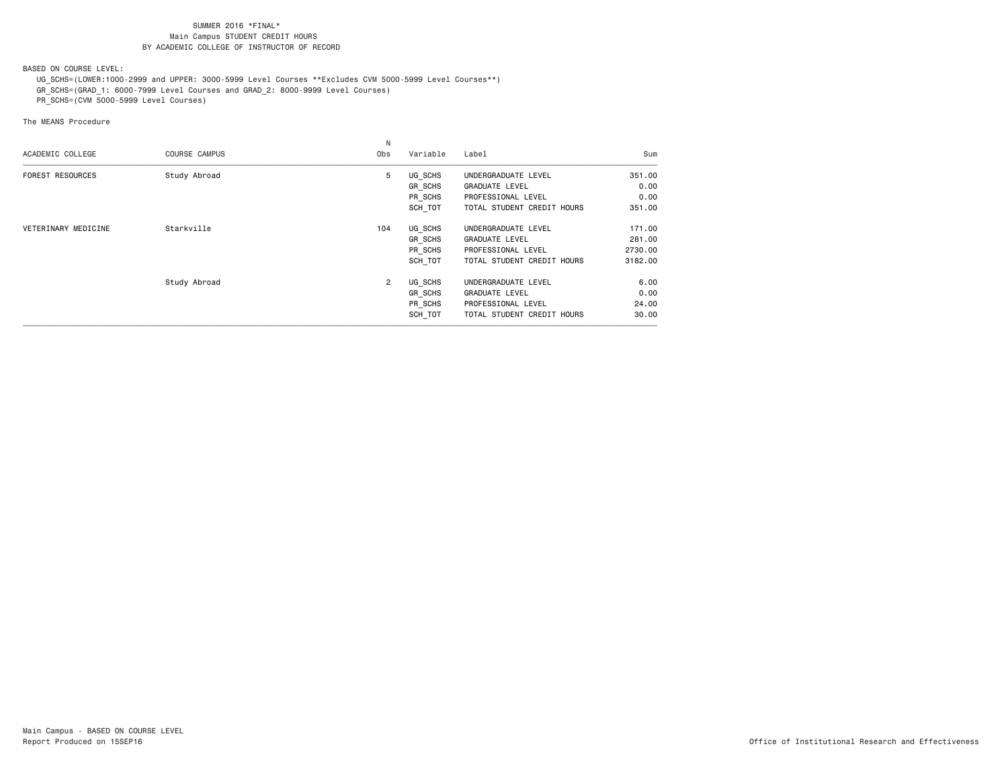BASED ON COURSE LEVEL:

UG\_SCHS=(LOWER:1000-2999 and UPPER: 3000-5999 Level Courses \*\*Excludes CVM 5000-5999 Level Courses\*\*)

GR\_SCHS=(GRAD\_1: 6000-7999 Level Courses and GRAD\_2: 8000-9999 Level Courses)

PR\_SCHS=(CVM 5000-5999 Level Courses)

| ACADEMIC COLLEGE        | <b>COURSE CAMPUS</b> | Obs | Variable | Label                      | Sum     |
|-------------------------|----------------------|-----|----------|----------------------------|---------|
| <b>FOREST RESOURCES</b> | Study Abroad         | 5   | UG SCHS  | UNDERGRADUATE LEVEL        | 351.00  |
|                         |                      |     | GR_SCHS  | <b>GRADUATE LEVEL</b>      | 0.00    |
|                         |                      |     | PR SCHS  | PROFESSIONAL LEVEL         | 0.00    |
|                         |                      |     | SCH TOT  | TOTAL STUDENT CREDIT HOURS | 351.00  |
| VETERINARY MEDICINE     | Starkville           | 104 | UG_SCHS  | UNDERGRADUATE LEVEL        | 171.00  |
|                         |                      |     | GR SCHS  | <b>GRADUATE LEVEL</b>      | 281.00  |
|                         |                      |     | PR SCHS  | PROFESSIONAL LEVEL         | 2730.00 |
|                         |                      |     | SCH TOT  | TOTAL STUDENT CREDIT HOURS | 3182.00 |
|                         | Study Abroad         | 2   | UG_SCHS  | UNDERGRADUATE LEVEL        | 6.00    |
|                         |                      |     | GR_SCHS  | <b>GRADUATE LEVEL</b>      | 0.00    |
|                         |                      |     | PR SCHS  | PROFESSIONAL LEVEL         | 24.00   |
|                         |                      |     | SCH TOT  | TOTAL STUDENT CREDIT HOURS | 30.00   |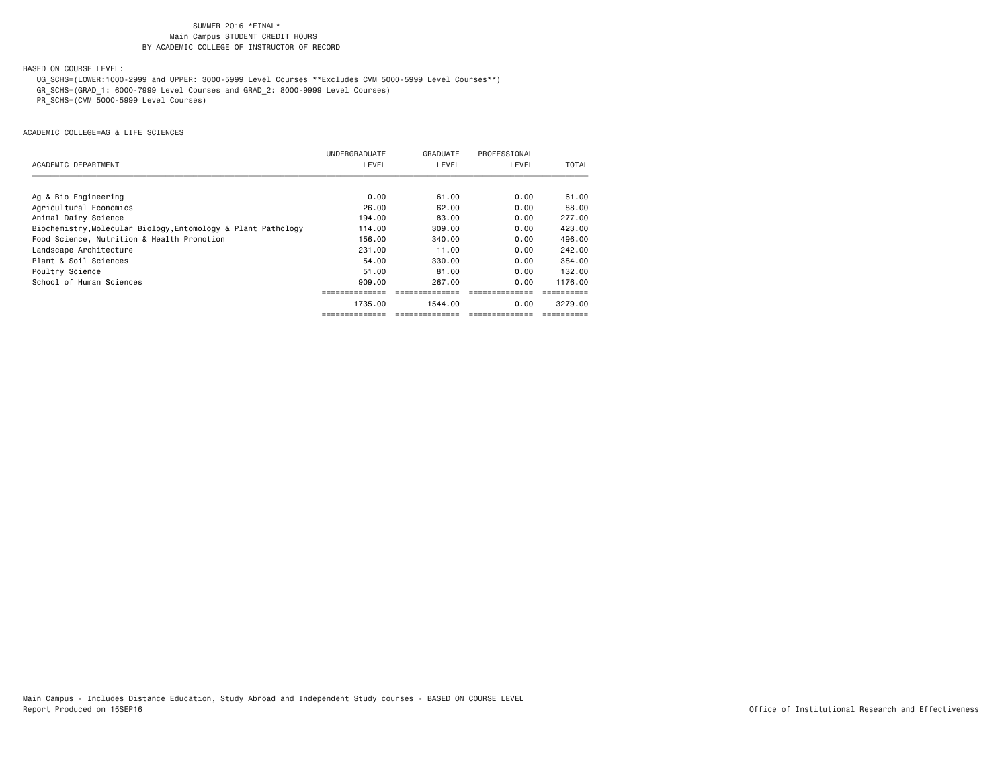BASED ON COURSE LEVEL:

UG\_SCHS=(LOWER:1000-2999 and UPPER: 3000-5999 Level Courses \*\*Excludes CVM 5000-5999 Level Courses\*\*)

GR\_SCHS=(GRAD\_1: 6000-7999 Level Courses and GRAD\_2: 8000-9999 Level Courses)

PR\_SCHS=(CVM 5000-5999 Level Courses)

|                                                               | <b>UNDERGRADUATE</b> | GRADUATE | PROFESSIONAL |         |
|---------------------------------------------------------------|----------------------|----------|--------------|---------|
| ACADEMIC DEPARTMENT                                           | LEVEL                | LEVEL    | LEVEL        | TOTAL   |
|                                                               |                      |          |              |         |
| Ag & Bio Engineering                                          | 0.00                 | 61.00    | 0.00         | 61.00   |
| Agricultural Economics                                        | 26.00                | 62.00    | 0.00         | 88.00   |
| Animal Dairy Science                                          | 194.00               | 83.00    | 0.00         | 277,00  |
| Biochemistry, Molecular Biology, Entomology & Plant Pathology | 114.00               | 309,00   | 0.00         | 423,00  |
| Food Science, Nutrition & Health Promotion                    | 156.00               | 340,00   | 0.00         | 496.00  |
| Landscape Architecture                                        | 231,00               | 11.00    | 0.00         | 242,00  |
| Plant & Soil Sciences                                         | 54.00                | 330.00   | 0.00         | 384,00  |
| Poultry Science                                               | 51.00                | 81.00    | 0.00         | 132.00  |
| School of Human Sciences                                      | 909.00               | 267.00   | 0.00         | 1176.00 |
|                                                               |                      |          |              |         |
|                                                               | 1735.00              | 1544.00  | 0.00         | 3279.00 |
|                                                               |                      |          |              |         |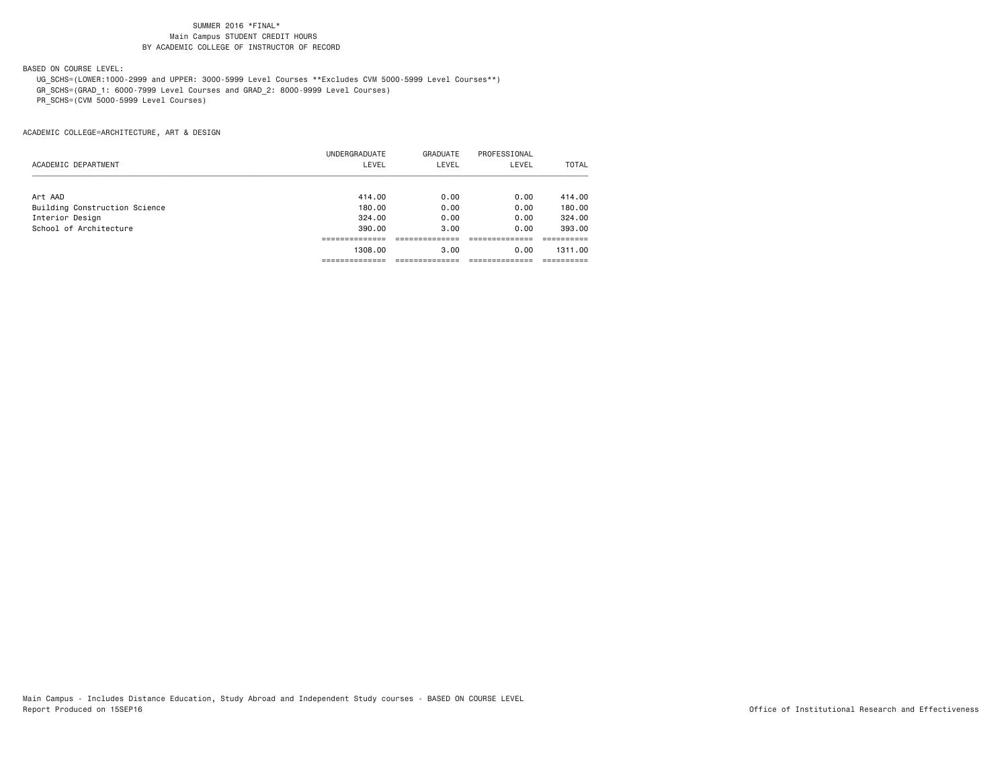# BASED ON COURSE LEVEL:

UG\_SCHS=(LOWER:1000-2999 and UPPER: 3000-5999 Level Courses \*\*Excludes CVM 5000-5999 Level Courses\*\*)

GR\_SCHS=(GRAD\_1: 6000-7999 Level Courses and GRAD\_2: 8000-9999 Level Courses)

PR\_SCHS=(CVM 5000-5999 Level Courses)

|                               | UNDERGRADUATE | GRADUATE | PROFESSIONAL |         |
|-------------------------------|---------------|----------|--------------|---------|
| ACADEMIC DEPARTMENT           | LEVEL         | LEVEL    | LEVEL        | TOTAL   |
| Art AAD                       | 414.00        | 0.00     | 0.00         | 414.00  |
| Building Construction Science | 180.00        | 0.00     | 0.00         | 180.00  |
| Interior Design               | 324,00        | 0.00     | 0.00         | 324,00  |
| School of Architecture        | 390,00        | 3.00     | 0.00         | 393,00  |
|                               |               |          |              |         |
|                               | 1308,00       | 3.00     | 0.00         | 1311.00 |
|                               |               |          |              |         |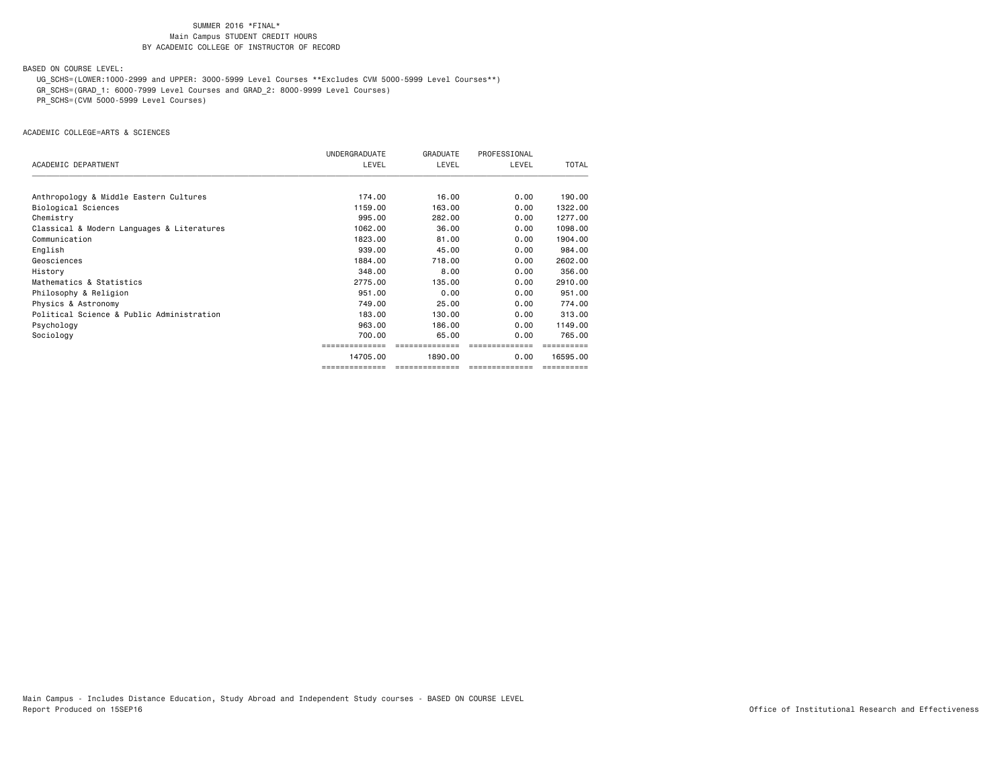BASED ON COURSE LEVEL:

UG\_SCHS=(LOWER:1000-2999 and UPPER: 3000-5999 Level Courses \*\*Excludes CVM 5000-5999 Level Courses\*\*)

GR\_SCHS=(GRAD\_1: 6000-7999 Level Courses and GRAD\_2: 8000-9999 Level Courses)

PR\_SCHS=(CVM 5000-5999 Level Courses)

ACADEMIC COLLEGE=ARTS & SCIENCES

|                                            | UNDERGRADUATE  | <b>GRADUATE</b> | PROFESSIONAL   |          |
|--------------------------------------------|----------------|-----------------|----------------|----------|
| ACADEMIC DEPARTMENT                        | LEVEL          | LEVEL           | LEVEL          | TOTAL    |
| Anthropology & Middle Eastern Cultures     | 174.00         | 16.00           | 0.00           | 190.00   |
| Biological Sciences                        | 1159.00        | 163,00          | 0.00           | 1322.00  |
| Chemistry                                  | 995,00         | 282.00          | 0.00           | 1277.00  |
| Classical & Modern Languages & Literatures | 1062.00        | 36.00           | 0.00           | 1098.00  |
| Communication                              | 1823.00        | 81.00           | 0.00           | 1904.00  |
| English                                    | 939,00         | 45.00           | 0.00           | 984.00   |
| Geosciences                                | 1884.00        | 718,00          | 0.00           | 2602.00  |
| History                                    | 348,00         | 8.00            | 0.00           | 356.00   |
| Mathematics & Statistics                   | 2775.00        | 135.00          | 0.00           | 2910.00  |
| Philosophy & Religion                      | 951,00         | 0.00            | 0.00           | 951,00   |
| Physics & Astronomy                        | 749.00         | 25,00           | 0.00           | 774.00   |
| Political Science & Public Administration  | 183,00         | 130.00          | 0.00           | 313,00   |
| Psychology                                 | 963,00         | 186.00          | 0.00           | 1149.00  |
| Sociology                                  | 700.00         | 65.00           | 0.00           | 765.00   |
|                                            |                |                 |                |          |
|                                            | 14705.00       | 1890.00         | 0.00           | 16595.00 |
|                                            | ============== | ==============  | ============== |          |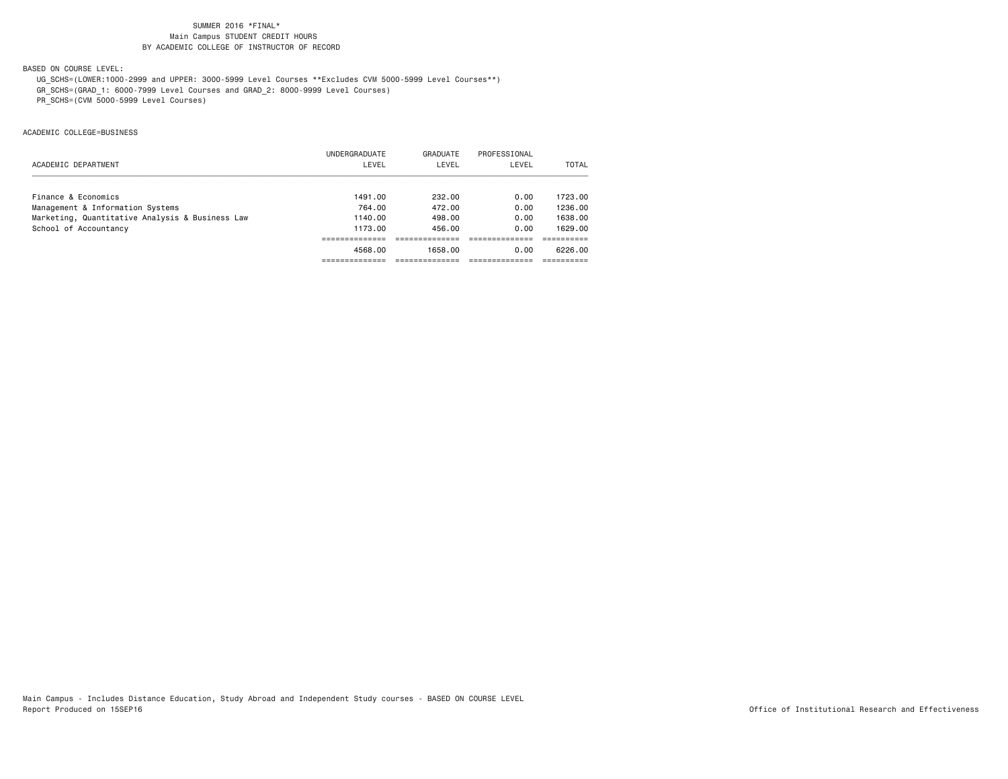# BASED ON COURSE LEVEL:

UG\_SCHS=(LOWER:1000-2999 and UPPER: 3000-5999 Level Courses \*\*Excludes CVM 5000-5999 Level Courses\*\*)

GR\_SCHS=(GRAD\_1: 6000-7999 Level Courses and GRAD\_2: 8000-9999 Level Courses)

PR\_SCHS=(CVM 5000-5999 Level Courses)

ACADEMIC COLLEGE=BUSINESS

|                                                 | UNDERGRADUATE | GRADUATE | PROFESSIONAL |         |
|-------------------------------------------------|---------------|----------|--------------|---------|
| ACADEMIC DEPARTMENT                             | LEVEL         | LEVEL    | LEVEL        | TOTAL   |
| Finance & Economics                             | 1491.00       | 232.00   | 0.00         | 1723.00 |
| Management & Information Systems                | 764.00        | 472.00   | 0.00         | 1236.00 |
| Marketing, Quantitative Analysis & Business Law | 1140.00       | 498,00   | 0.00         | 1638,00 |
| School of Accountancy                           | 1173.00       | 456.00   | 0.00         | 1629.00 |
|                                                 |               |          |              |         |
|                                                 | 4568.00       | 1658.00  | 0.00         | 6226.00 |
|                                                 |               |          |              |         |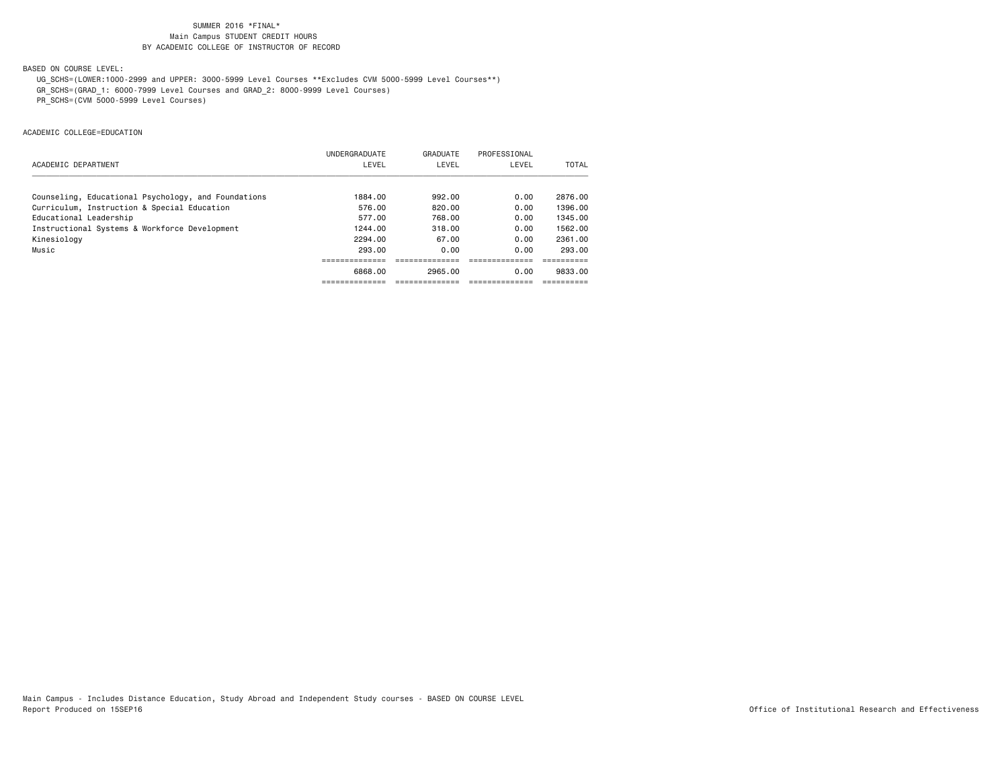# BASED ON COURSE LEVEL:

UG\_SCHS=(LOWER:1000-2999 and UPPER: 3000-5999 Level Courses \*\*Excludes CVM 5000-5999 Level Courses\*\*)

GR\_SCHS=(GRAD\_1: 6000-7999 Level Courses and GRAD\_2: 8000-9999 Level Courses)

PR\_SCHS=(CVM 5000-5999 Level Courses)

ACADEMIC COLLEGE=EDUCATION

|                                                     | UNDERGRADUATE | GRADUATE | PROFESSIONAL |         |
|-----------------------------------------------------|---------------|----------|--------------|---------|
| ACADEMIC DEPARTMENT                                 | LEVEL         | LEVEL    | LEVEL        | TOTAL   |
| Counseling, Educational Psychology, and Foundations | 1884.00       | 992.00   | 0.00         | 2876.00 |
| Curriculum, Instruction & Special Education         | 576.00        | 820.00   | 0.00         | 1396.00 |
| Educational Leadership                              | 577.00        | 768.00   | 0.00         | 1345.00 |
| Instructional Systems & Workforce Development       | 1244.00       | 318.00   | 0.00         | 1562.00 |
| Kinesiology                                         | 2294.00       | 67.00    | 0.00         | 2361.00 |
| Music                                               | 293.00        | 0.00     | 0.00         | 293.00  |
|                                                     |               |          |              |         |
|                                                     | 6868.00       | 2965.00  | 0.00         | 9833.00 |
|                                                     |               |          |              |         |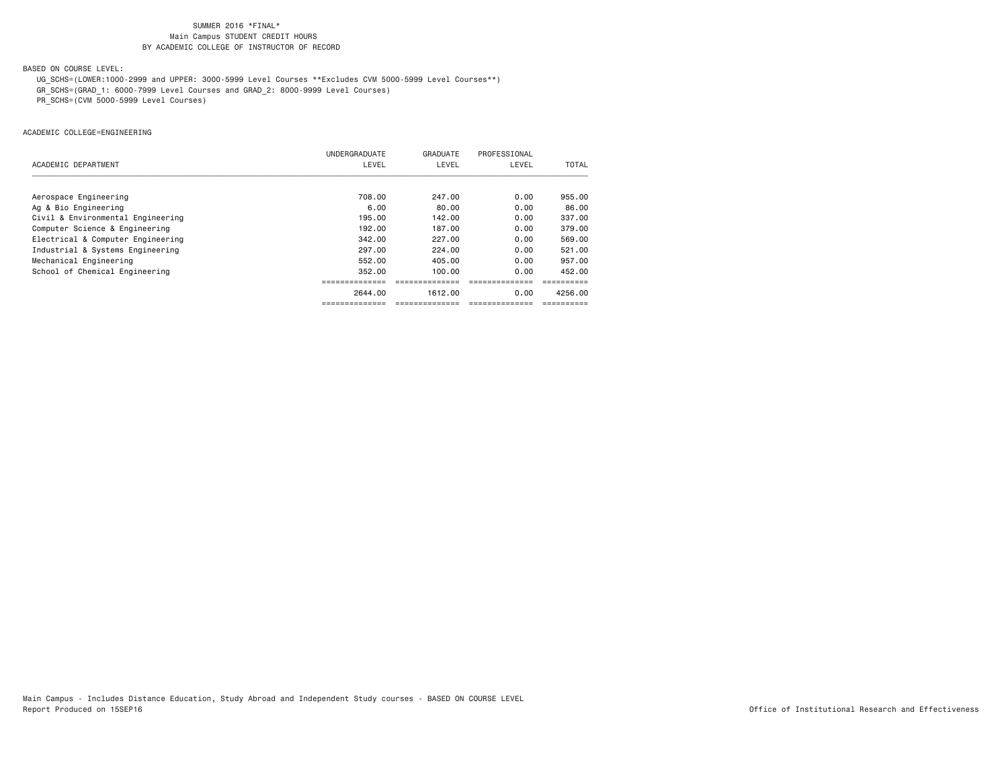# BASED ON COURSE LEVEL:

UG\_SCHS=(LOWER:1000-2999 and UPPER: 3000-5999 Level Courses \*\*Excludes CVM 5000-5999 Level Courses\*\*)

GR\_SCHS=(GRAD\_1: 6000-7999 Level Courses and GRAD\_2: 8000-9999 Level Courses)

PR\_SCHS=(CVM 5000-5999 Level Courses)

ACADEMIC COLLEGE=ENGINEERING

|                                   | UNDERGRADUATE | GRADUATE | PROFESSIONAL |         |
|-----------------------------------|---------------|----------|--------------|---------|
| ACADEMIC DEPARTMENT               | LEVEL         | LEVEL    | LEVEL        | TOTAL   |
|                                   |               |          |              |         |
| Aerospace Engineering             | 708.00        | 247.00   | 0.00         | 955,00  |
| Ag & Bio Engineering              | 6.00          | 80.00    | 0.00         | 86.00   |
| Civil & Environmental Engineering | 195.00        | 142.00   | 0.00         | 337,00  |
| Computer Science & Engineering    | 192.00        | 187.00   | 0.00         | 379.00  |
| Electrical & Computer Engineering | 342,00        | 227.00   | 0.00         | 569,00  |
| Industrial & Systems Engineering  | 297,00        | 224,00   | 0.00         | 521.00  |
| Mechanical Engineering            | 552.00        | 405.00   | 0.00         | 957.00  |
| School of Chemical Engineering    | 352.00        | 100.00   | 0.00         | 452.00  |
|                                   |               |          |              |         |
|                                   | 2644.00       | 1612.00  | 0.00         | 4256.00 |
|                                   |               |          |              |         |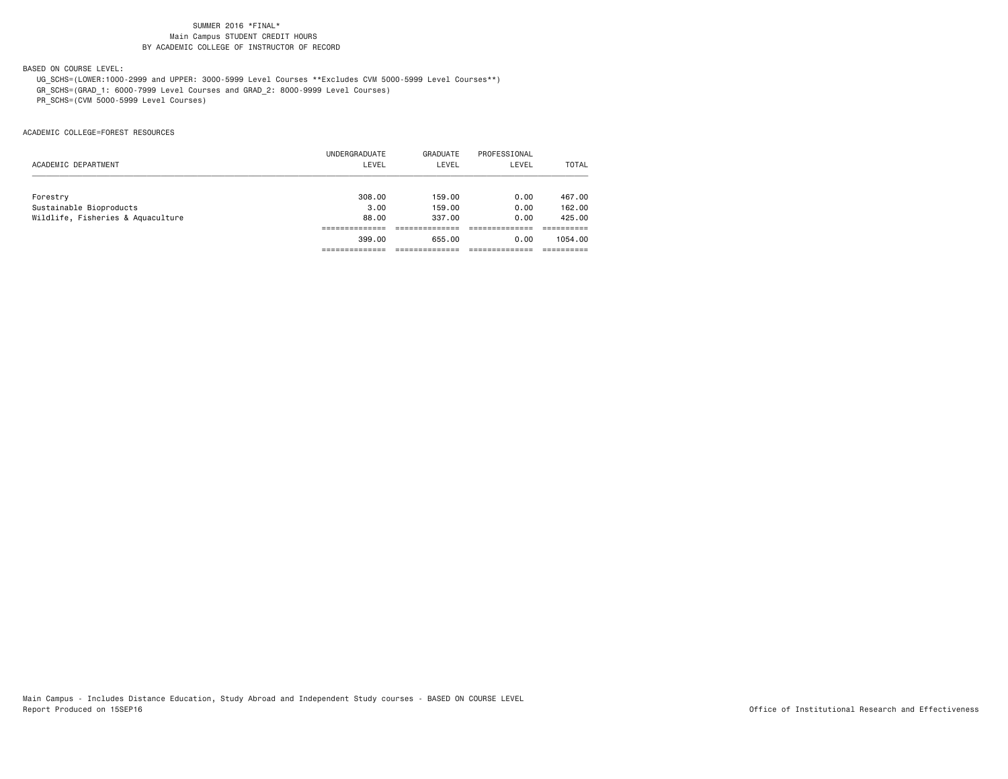# BASED ON COURSE LEVEL:

UG\_SCHS=(LOWER:1000-2999 and UPPER: 3000-5999 Level Courses \*\*Excludes CVM 5000-5999 Level Courses\*\*)

GR\_SCHS=(GRAD\_1: 6000-7999 Level Courses and GRAD\_2: 8000-9999 Level Courses)

PR\_SCHS=(CVM 5000-5999 Level Courses)

ACADEMIC COLLEGE=FOREST RESOURCES

|                                   | UNDERGRADUATE | GRADUATE | PROFESSIONAL |              |
|-----------------------------------|---------------|----------|--------------|--------------|
| ACADEMIC DEPARTMENT               | LEVEL         | LEVEL    | LEVEL        | <b>TOTAL</b> |
| Forestry                          | 308,00        | 159.00   | 0.00         | 467.00       |
| Sustainable Bioproducts           | 3.00          | 159.00   | 0.00         | 162,00       |
| Wildlife, Fisheries & Aquaculture | 88.00         | 337.00   | 0.00         | 425,00       |
|                                   |               |          |              |              |
|                                   | 399,00        | 655.00   | 0.00         | 1054.00      |
|                                   |               |          |              |              |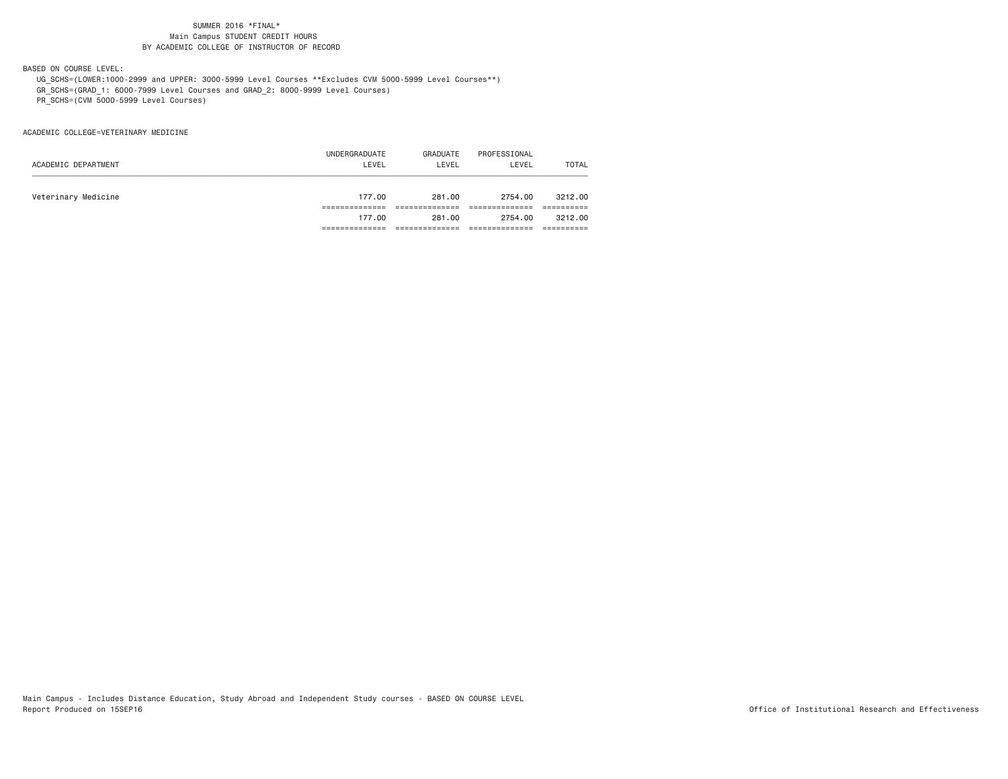BASED ON COURSE LEVEL:

UG\_SCHS=(LOWER:1000-2999 and UPPER: 3000-5999 Level Courses \*\*Excludes CVM 5000-5999 Level Courses\*\*)

GR\_SCHS=(GRAD\_1: 6000-7999 Level Courses and GRAD\_2: 8000-9999 Level Courses)

PR\_SCHS=(CVM 5000-5999 Level Courses)

ACADEMIC COLLEGE=VETERINARY MEDICINE

|                     | UNDERGRADUATE | GRADUATE | PROFESSIONAL |         |
|---------------------|---------------|----------|--------------|---------|
| ACADEMIC DEPARTMENT | LEVEL         | LEVEL    | LEVEL        | TOTAL   |
|                     |               |          |              |         |
| Veterinary Medicine | 177.00        | 281.00   | 2754.00      | 3212.00 |
|                     |               |          |              |         |
|                     | 177.00        | 281.00   | 2754.00      | 3212.00 |
|                     |               |          |              |         |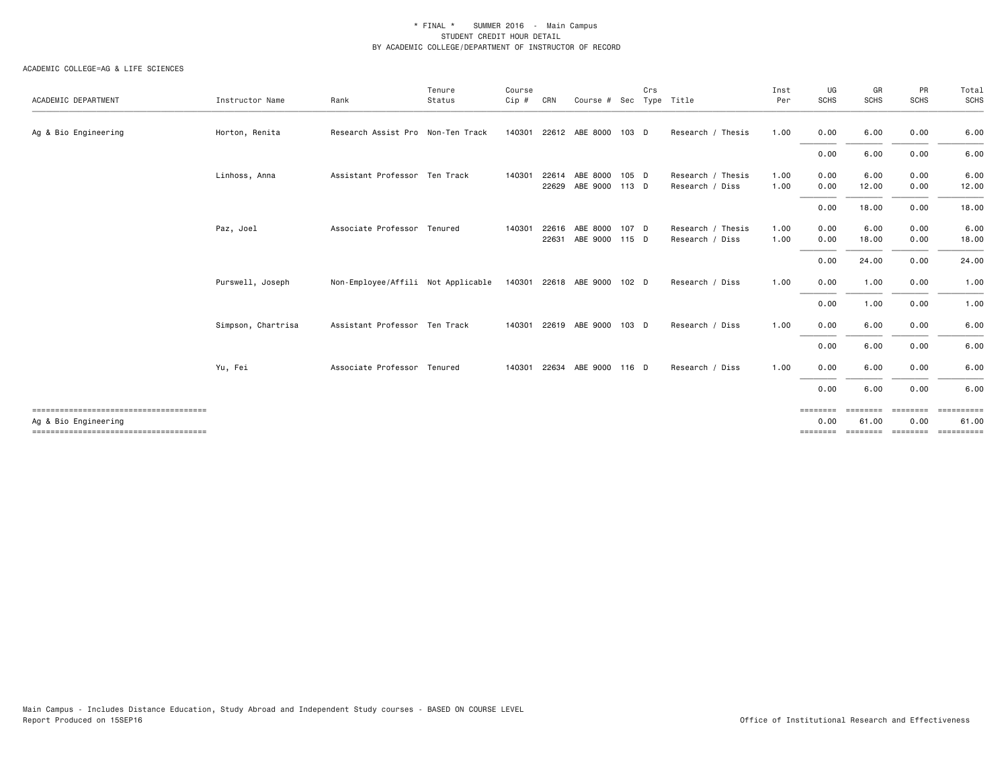| Instructor Name    | Rank | Tenure<br>Status | Course<br>Cip #                                                                                                                                                                                         | CRN   |                |                                   | Crs                                                                          |                                                                                                   | Inst<br>Per             | UG<br><b>SCHS</b>            | GR<br><b>SCHS</b>             | PR<br>SCHS                   | Total<br>SCHS       |
|--------------------|------|------------------|---------------------------------------------------------------------------------------------------------------------------------------------------------------------------------------------------------|-------|----------------|-----------------------------------|------------------------------------------------------------------------------|---------------------------------------------------------------------------------------------------|-------------------------|------------------------------|-------------------------------|------------------------------|---------------------|
| Horton, Renita     |      |                  |                                                                                                                                                                                                         |       |                |                                   |                                                                              | Research / Thesis                                                                                 | 1.00                    | 0.00                         | 6.00                          | 0.00                         | 6.00                |
|                    |      |                  |                                                                                                                                                                                                         |       |                |                                   |                                                                              |                                                                                                   |                         | 0.00                         | 6.00                          | 0.00                         | 6.00                |
| Linhoss, Anna      |      |                  | 140301                                                                                                                                                                                                  | 22629 |                |                                   |                                                                              | Research / Thesis<br>Research / Diss                                                              | 1.00<br>1.00            | 0.00<br>0.00                 | 6.00<br>12.00                 | 0.00<br>0.00                 | 6.00<br>12.00       |
|                    |      |                  |                                                                                                                                                                                                         |       |                |                                   |                                                                              |                                                                                                   |                         | 0.00                         | 18.00                         | 0.00                         | 18.00               |
| Paz, Joel          |      |                  | 140301                                                                                                                                                                                                  | 22631 |                |                                   |                                                                              | Research / Thesis<br>Research / Diss                                                              | 1.00<br>1.00            | 0.00<br>0.00                 | 6.00<br>18.00                 | 0.00<br>0.00                 | 6.00<br>18.00       |
|                    |      |                  |                                                                                                                                                                                                         |       |                |                                   |                                                                              |                                                                                                   |                         | 0.00                         | 24.00                         | 0.00                         | 24.00               |
| Purswell, Joseph   |      |                  |                                                                                                                                                                                                         |       |                |                                   |                                                                              | Research / Diss                                                                                   | 1.00                    | 0.00                         | 1.00                          | 0.00                         | 1.00                |
|                    |      |                  |                                                                                                                                                                                                         |       |                |                                   |                                                                              |                                                                                                   |                         | 0.00                         | 1.00                          | 0.00                         | 1.00                |
| Simpson, Chartrisa |      |                  |                                                                                                                                                                                                         |       |                |                                   |                                                                              | Research / Diss                                                                                   | 1.00                    | 0.00                         | 6.00                          | 0.00                         | 6.00                |
|                    |      |                  |                                                                                                                                                                                                         |       |                |                                   |                                                                              |                                                                                                   |                         | 0.00                         | 6.00                          | 0.00                         | 6.00                |
| Yu, Fei            |      |                  | 140301                                                                                                                                                                                                  |       |                |                                   |                                                                              | Research / Diss                                                                                   | 1.00                    | 0.00                         | 6.00                          | 0.00                         | 6.00                |
|                    |      |                  |                                                                                                                                                                                                         |       |                |                                   |                                                                              |                                                                                                   |                         | 0.00                         | 6.00                          | 0.00                         | 6.00                |
|                    |      |                  |                                                                                                                                                                                                         |       |                |                                   |                                                                              |                                                                                                   |                         | ========<br>0.00<br>======== | ========<br>61.00<br>======== | ========<br>0.00<br>======== | ==========<br>61.00 |
|                    |      |                  | Research Assist Pro Non-Ten Track<br>Assistant Professor Ten Track<br>Associate Professor Tenured<br>Non-Employee/Affili Not Applicable<br>Assistant Professor Ten Track<br>Associate Professor Tenured |       | 22616<br>22634 | 140301 22612 ABE 8000<br>ABE 8000 | 22614 ABE 8000<br>140301 22618 ABE 9000<br>140301 22619 ABE 9000<br>ABE 9000 | 103 D<br>105 D<br>ABE 9000 113 D<br>107 D<br>ABE 9000 115 D<br>102 <sub>D</sub><br>103 D<br>116 D | Course # Sec Type Title |                              |                               |                              |                     |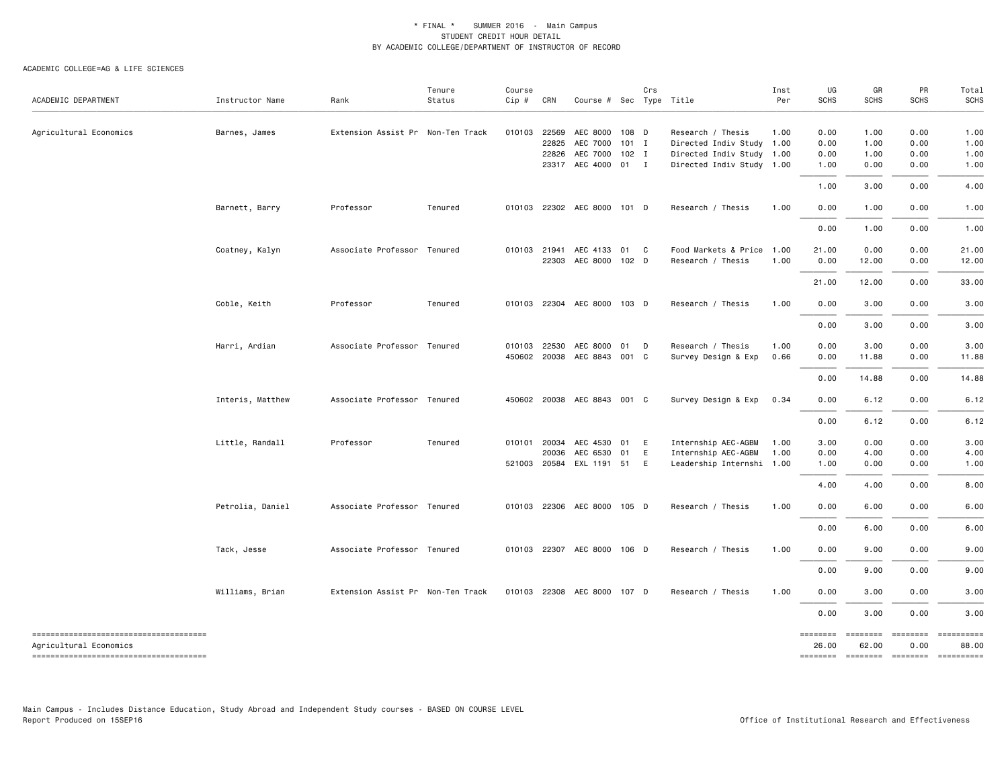#### ACADEMIC COLLEGE=AG & LIFE SCIENCES

| ACADEMIC DEPARTMENT                    | Instructor Name  | Rank                              | Tenure<br>Status | Course<br>Cip # | CRN   | Course # Sec Type Title     |       | Crs |                           | Inst<br>Per | UG<br><b>SCHS</b> | GR<br><b>SCHS</b> | PR<br><b>SCHS</b>                   | Total<br><b>SCHS</b> |
|----------------------------------------|------------------|-----------------------------------|------------------|-----------------|-------|-----------------------------|-------|-----|---------------------------|-------------|-------------------|-------------------|-------------------------------------|----------------------|
|                                        |                  |                                   |                  |                 |       |                             |       |     |                           |             |                   |                   |                                     |                      |
| Agricultural Economics                 | Barnes, James    | Extension Assist Pr Non-Ten Track |                  | 010103          | 22569 | AEC 8000                    | 108 D |     | Research / Thesis         | 1.00        | 0.00              | 1.00              | 0.00                                | 1.00                 |
|                                        |                  |                                   |                  |                 | 22825 | AEC 7000                    | 101 I |     | Directed Indiv Study 1.00 |             | 0.00              | 1.00              | 0.00                                | 1.00                 |
|                                        |                  |                                   |                  |                 | 22826 | AEC 7000                    | 102 I |     | Directed Indiv Study 1.00 |             | 0.00              | 1.00              | 0.00                                | 1.00                 |
|                                        |                  |                                   |                  |                 |       | 23317 AEC 4000 01 I         |       |     | Directed Indiv Study 1.00 |             | 1.00              | 0.00              | 0.00                                | 1.00                 |
|                                        |                  |                                   |                  |                 |       |                             |       |     |                           |             | 1.00              | 3.00              | 0.00                                | 4.00                 |
|                                        | Barnett, Barry   | Professor                         | Tenured          |                 |       | 010103 22302 AEC 8000 101 D |       |     | Research / Thesis         | 1.00        | 0.00              | 1.00              | 0.00                                | 1.00                 |
|                                        |                  |                                   |                  |                 |       |                             |       |     |                           |             | 0.00              | 1.00              | 0.00                                | 1.00                 |
|                                        | Coatney, Kalyn   | Associate Professor Tenured       |                  |                 |       | 010103 21941 AEC 4133 01 C  |       |     | Food Markets & Price 1.00 |             | 21.00             | 0.00              | 0.00                                | 21.00                |
|                                        |                  |                                   |                  |                 | 22303 | AEC 8000 102 D              |       |     | Research / Thesis         | 1.00        | 0.00              | 12.00             | 0.00                                | 12.00                |
|                                        |                  |                                   |                  |                 |       |                             |       |     |                           |             | 21.00             | 12.00             | 0.00                                | 33.00                |
|                                        | Coble, Keith     | Professor                         | Tenured          | 010103          |       | 22304 AEC 8000 103 D        |       |     | Research / Thesis         | 1.00        | 0.00              | 3.00              | 0.00                                | 3.00                 |
|                                        |                  |                                   |                  |                 |       |                             |       |     |                           |             | 0.00              | 3.00              | 0.00                                | 3.00                 |
|                                        | Harri, Ardian    | Associate Professor Tenured       |                  | 010103          | 22530 | AEC 8000                    | 01    | D   | Research / Thesis         | 1.00        | 0.00              | 3.00              | 0.00                                | 3.00                 |
|                                        |                  |                                   |                  | 450602          |       | 20038 AEC 8843 001 C        |       |     | Survey Design & Exp       | 0.66        | 0.00              | 11.88             | 0.00                                | 11.88                |
|                                        |                  |                                   |                  |                 |       |                             |       |     |                           |             |                   |                   |                                     |                      |
|                                        |                  |                                   |                  |                 |       |                             |       |     |                           |             | 0.00              | 14.88             | 0.00                                | 14.88                |
|                                        | Interis, Matthew | Associate Professor Tenured       |                  | 450602          |       | 20038 AEC 8843 001 C        |       |     | Survey Design & Exp       | 0.34        | 0.00              | 6.12              | 0.00                                | 6.12                 |
|                                        |                  |                                   |                  |                 |       |                             |       |     |                           |             | 0.00              | 6.12              | 0.00                                | 6.12                 |
|                                        | Little, Randall  | Professor                         | Tenured          | 010101          | 20034 | AEC 4530 01 E               |       |     | Internship AEC-AGBM       | 1.00        | 3.00              | 0.00              | 0.00                                | 3.00                 |
|                                        |                  |                                   |                  |                 | 20036 | AEC 6530                    | 01    | E   | Internship AEC-AGBM       | 1.00        | 0.00              | 4.00              | 0.00                                | 4.00                 |
|                                        |                  |                                   |                  |                 |       | 521003 20584 EXL 1191 51    |       | - E | Leadership Internshi 1.00 |             | 1.00              | 0.00              | 0.00                                | 1.00                 |
|                                        |                  |                                   |                  |                 |       |                             |       |     |                           |             | 4.00              | 4.00              | 0.00                                | 8.00                 |
|                                        | Petrolia, Daniel | Associate Professor Tenured       |                  | 010103          |       | 22306 AEC 8000 105 D        |       |     | Research / Thesis         | 1.00        | 0.00              | 6.00              | 0.00                                | 6.00                 |
|                                        |                  |                                   |                  |                 |       |                             |       |     |                           |             | 0.00              | 6.00              | 0.00                                | 6.00                 |
|                                        | Tack, Jesse      | Associate Professor Tenured       |                  | 010103          |       | 22307 AEC 8000 106 D        |       |     | Research / Thesis         | 1.00        | 0.00              | 9.00              | 0.00                                | 9.00                 |
|                                        |                  |                                   |                  |                 |       |                             |       |     |                           |             | 0.00              | 9.00              | 0.00                                | 9.00                 |
|                                        | Williams, Brian  | Extension Assist Pr Non-Ten Track |                  |                 |       | 010103 22308 AEC 8000 107 D |       |     | Research / Thesis         | 1.00        | 0.00              | 3.00              | 0.00                                | 3.00                 |
|                                        |                  |                                   |                  |                 |       |                             |       |     |                           |             | 0.00              | 3.00              | 0.00                                | 3.00                 |
|                                        |                  |                                   |                  |                 |       |                             |       |     |                           |             |                   | ======== ======== | ========                            | ==========           |
| Agricultural Economics                 |                  |                                   |                  |                 |       |                             |       |     |                           |             | 26.00             | 62.00             | 0.00                                | 88.00                |
| -------------------------------------- |                  |                                   |                  |                 |       |                             |       |     |                           |             |                   |                   | -------- ------- -------- --------- |                      |

Main Campus - Includes Distance Education, Study Abroad and Independent Study courses - BASED ON COURSE LEVEL

Office of Institutional Research and Effectiveness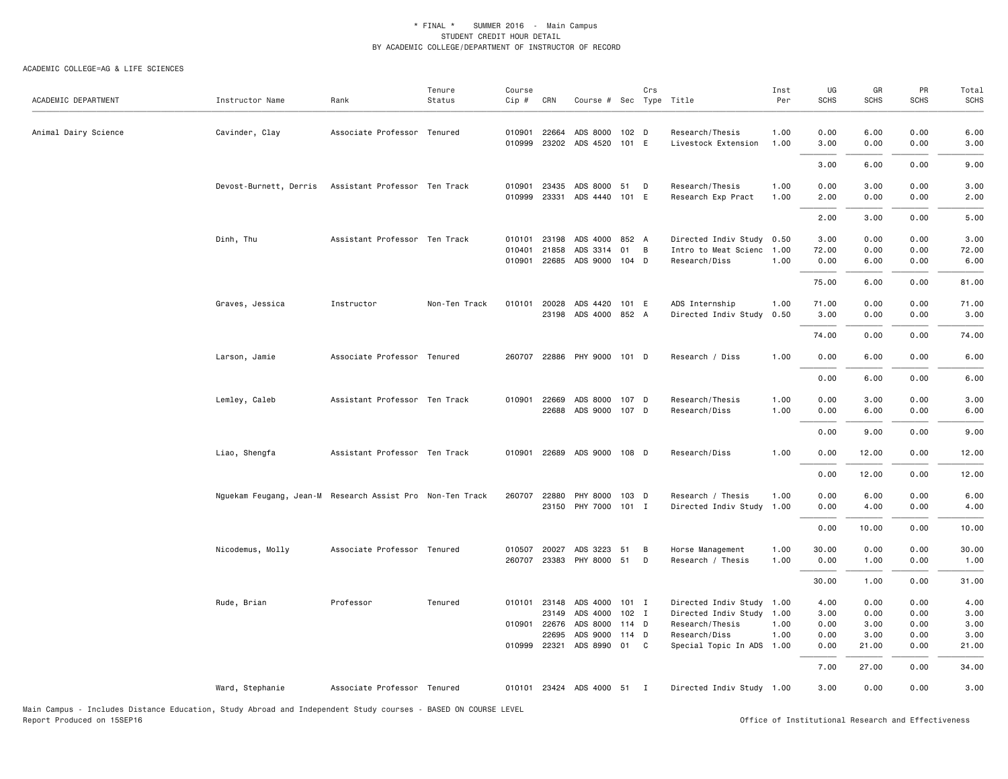| ACADEMIC DEPARTMENT  | Instructor Name                                           | Rank                          | Tenure<br>Status | Course<br>Cip #            | CRN                                       | Course # Sec Type Title                                                 |                | Crs    |                                                                                                                    | Inst<br>Per          | UG<br><b>SCHS</b>                    | GR<br><b>SCHS</b>                     | PR<br><b>SCHS</b>                    | Total<br><b>SCHS</b>                  |
|----------------------|-----------------------------------------------------------|-------------------------------|------------------|----------------------------|-------------------------------------------|-------------------------------------------------------------------------|----------------|--------|--------------------------------------------------------------------------------------------------------------------|----------------------|--------------------------------------|---------------------------------------|--------------------------------------|---------------------------------------|
| Animal Dairy Science | Cavinder, Clay                                            | Associate Professor Tenured   |                  | 010901<br>010999           | 22664                                     | ADS 8000 102 D<br>23202 ADS 4520 101 E                                  |                |        | Research/Thesis<br>Livestock Extension                                                                             | 1.00<br>1.00         | 0.00<br>3.00                         | 6.00<br>0.00                          | 0.00<br>0.00                         | 6.00<br>3.00                          |
|                      |                                                           |                               |                  |                            |                                           |                                                                         |                |        |                                                                                                                    |                      | 3.00                                 | 6.00                                  | 0.00                                 | 9.00                                  |
|                      | Devost-Burnett, Derris                                    | Assistant Professor Ten Track |                  | 010901<br>010999           | 23435<br>23331                            | ADS 8000 51<br>ADS 4440 101 E                                           |                | D      | Research/Thesis<br>Research Exp Pract                                                                              | 1.00<br>1.00         | 0.00<br>2.00                         | 3.00<br>0.00                          | 0.00<br>0.00                         | 3.00<br>2.00                          |
|                      |                                                           |                               |                  |                            |                                           |                                                                         |                |        |                                                                                                                    |                      | 2.00                                 | 3.00                                  | 0.00                                 | 5.00                                  |
|                      | Dinh, Thu                                                 | Assistant Professor Ten Track |                  | 010101<br>010401<br>010901 | 23198<br>21858                            | ADS 4000 852 A<br>ADS 3314<br>22685 ADS 9000 104 D                      | 01             | B      | Directed Indiv Study 0.50<br>Intro to Meat Scienc<br>Research/Diss                                                 | 1.00<br>1.00         | 3.00<br>72.00<br>0.00                | 0.00<br>0.00<br>6.00                  | 0.00<br>0.00<br>0.00                 | 3.00<br>72.00<br>6.00                 |
|                      |                                                           |                               |                  |                            |                                           |                                                                         |                |        |                                                                                                                    |                      | 75.00                                | 6.00                                  | 0.00                                 | 81.00                                 |
|                      | Graves, Jessica                                           | Instructor                    | Non-Ten Track    | 010101                     | 20028                                     | ADS 4420 101 E<br>23198 ADS 4000 852 A                                  |                |        | ADS Internship<br>Directed Indiv Study                                                                             | 1.00<br>0.50         | 71.00<br>3.00                        | 0.00<br>0.00                          | 0.00<br>0.00                         | 71.00<br>3.00                         |
|                      |                                                           |                               |                  |                            |                                           |                                                                         |                |        |                                                                                                                    |                      | 74.00                                | 0.00                                  | 0.00                                 | 74.00                                 |
|                      | Larson, Jamie                                             | Associate Professor Tenured   |                  | 260707                     |                                           | 22886 PHY 9000 101 D                                                    |                |        | Research / Diss                                                                                                    | 1.00                 | 0.00                                 | 6.00                                  | 0.00                                 | 6.00                                  |
|                      |                                                           |                               |                  |                            |                                           |                                                                         |                |        |                                                                                                                    |                      | 0.00                                 | 6.00                                  | 0.00                                 | 6.00                                  |
|                      | Lemley, Caleb                                             | Assistant Professor Ten Track |                  | 010901                     | 22669                                     | ADS 8000 107 D<br>22688 ADS 9000 107 D                                  |                |        | Research/Thesis<br>Research/Diss                                                                                   | 1.00<br>1.00         | 0.00<br>0.00                         | 3.00<br>6.00                          | 0.00<br>0.00                         | 3.00<br>6.00                          |
|                      |                                                           |                               |                  |                            |                                           |                                                                         |                |        |                                                                                                                    |                      | 0.00                                 | 9.00                                  | 0.00                                 | 9.00                                  |
|                      | Liao, Shengfa                                             | Assistant Professor Ten Track |                  | 010901                     |                                           | 22689 ADS 9000 108 D                                                    |                |        | Research/Diss                                                                                                      | 1.00                 | 0.00                                 | 12.00                                 | 0.00                                 | 12.00                                 |
|                      |                                                           |                               |                  |                            |                                           |                                                                         |                |        |                                                                                                                    |                      | 0.00                                 | 12.00                                 | 0.00                                 | 12.00                                 |
|                      | Nguekam Feugang, Jean-M Research Assist Pro Non-Ten Track |                               |                  | 260707                     | 22880                                     | PHY 8000<br>23150 PHY 7000 101 I                                        | 103 D          |        | Research / Thesis<br>Directed Indiv Study 1.00                                                                     | 1.00                 | 0.00<br>0.00                         | 6.00<br>4.00                          | 0.00<br>0.00                         | 6.00<br>4.00                          |
|                      |                                                           |                               |                  |                            |                                           |                                                                         |                |        |                                                                                                                    |                      | 0.00                                 | 10.00                                 | 0.00                                 | 10.00                                 |
|                      | Nicodemus, Molly                                          | Associate Professor Tenured   |                  | 010507<br>260707           | 20027                                     | ADS 3223<br>23383 PHY 8000 51                                           | 51             | В<br>D | Horse Management<br>Research / Thesis                                                                              | 1.00<br>1.00         | 30.00<br>0.00                        | 0.00<br>1.00                          | 0.00<br>0.00                         | 30.00<br>1.00                         |
|                      |                                                           |                               |                  |                            |                                           |                                                                         |                |        |                                                                                                                    |                      | 30.00                                | 1.00                                  | 0.00                                 | 31.00                                 |
|                      | Rude, Brian                                               | Professor                     | Tenured          | 010101<br>010901<br>010999 | 23148<br>23149<br>22676<br>22695<br>22321 | ADS 4000 101 I<br>ADS 4000<br>ADS 8000<br>ADS 9000 114 D<br>ADS 8990 01 | 102 I<br>114 D | C      | Directed Indiv Study 1.00<br>Directed Indiv Study 1.00<br>Research/Thesis<br>Research/Diss<br>Special Topic In ADS | 1.00<br>1.00<br>1.00 | 4.00<br>3.00<br>0.00<br>0.00<br>0.00 | 0.00<br>0.00<br>3.00<br>3.00<br>21.00 | 0.00<br>0.00<br>0.00<br>0.00<br>0.00 | 4.00<br>3.00<br>3.00<br>3.00<br>21.00 |
|                      |                                                           |                               |                  |                            |                                           |                                                                         |                |        |                                                                                                                    |                      | 7.00                                 | 27.00                                 | 0.00                                 | 34.00                                 |
|                      | Ward, Stephanie                                           | Associate Professor Tenured   |                  |                            |                                           | 010101 23424 ADS 4000 51 I                                              |                |        | Directed Indiv Study 1.00                                                                                          |                      | 3.00                                 | 0.00                                  | 0.00                                 | 3.00                                  |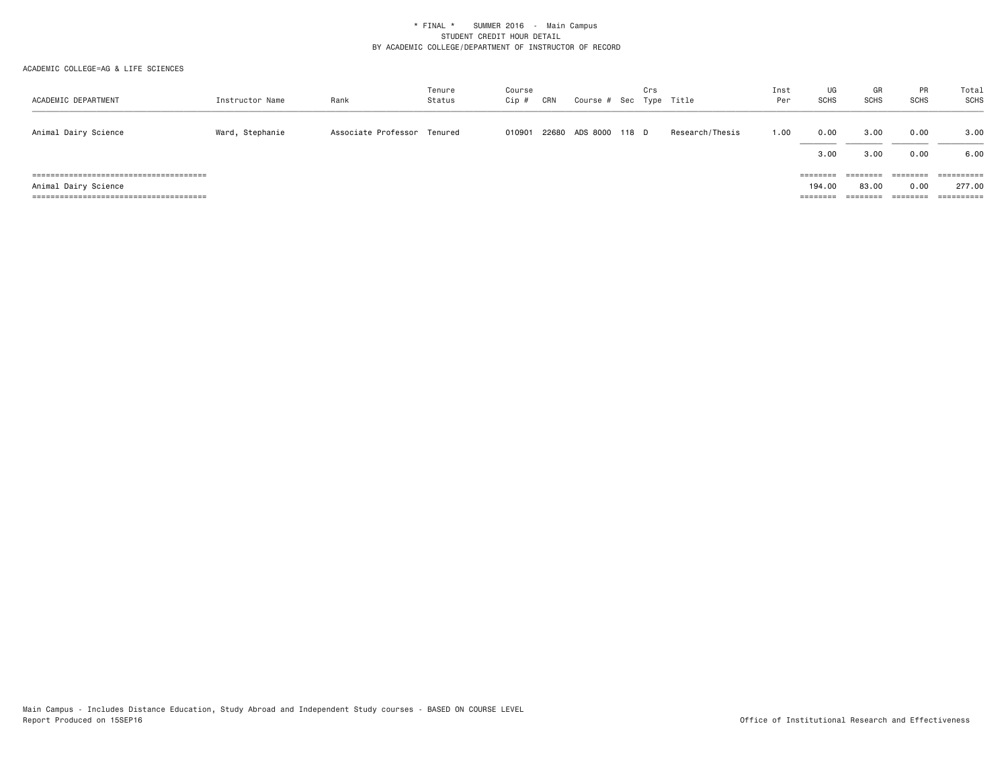| ACADEMIC DEPARTMENT  | Instructor Name | Rank                        | Tenure<br>Status | Course<br>$Cip$ # | CRN | Course # Sec Type Title | Crs |                 | Inst<br>Per | UG<br><b>SCHS</b> | GR<br><b>SCHS</b> | <b>PR</b><br><b>SCHS</b> | Total<br>SCHS |
|----------------------|-----------------|-----------------------------|------------------|-------------------|-----|-------------------------|-----|-----------------|-------------|-------------------|-------------------|--------------------------|---------------|
|                      |                 |                             |                  |                   |     |                         |     |                 |             |                   |                   |                          |               |
| Animal Dairy Science | Ward, Stephanie | Associate Professor Tenured |                  | 010901            |     | 22680 ADS 8000 118 D    |     | Research/Thesis | 1.00        | 0.00              | 3,00              | 0.00                     | 3.00          |
|                      |                 |                             |                  |                   |     |                         |     |                 |             | 3.00              | 3.00              | 0.00                     | 6.00          |
|                      |                 |                             |                  |                   |     |                         |     |                 |             | $=$ = = = = = = = | ========          | ========                 | ==========    |
| Animal Dairy Science |                 |                             |                  |                   |     |                         |     |                 |             | 194.00            | 83,00             | 0.00                     | 277.00        |
|                      |                 |                             |                  |                   |     |                         |     |                 |             | $=$ = = = = = = = | ========          | ========                 | ==========    |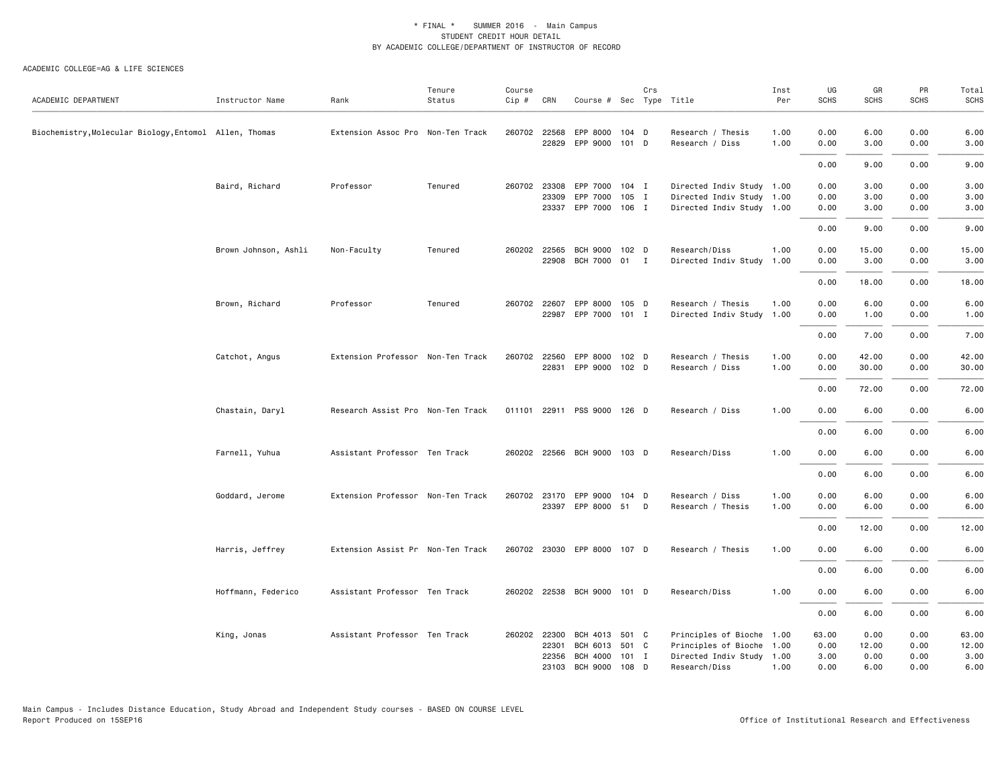| ACADEMIC DEPARTMENT                                  | Instructor Name      | Rank                              | Tenure<br>Status | Course<br>Cip # | CRN                                     | Course # Sec Type Title                      |                                  | Crs |                                                                                                      | Inst<br>Per  | UG<br><b>SCHS</b>             | GR<br><b>SCHS</b>             | PR<br>SCHS                   | Total<br><b>SCHS</b>           |
|------------------------------------------------------|----------------------|-----------------------------------|------------------|-----------------|-----------------------------------------|----------------------------------------------|----------------------------------|-----|------------------------------------------------------------------------------------------------------|--------------|-------------------------------|-------------------------------|------------------------------|--------------------------------|
| Biochemistry,Molecular Biology,Entomol Allen, Thomas |                      | Extension Assoc Pro Non-Ten Track |                  |                 | 260702 22568<br>22829                   | EPP 8000<br>EPP 9000                         | 104 D<br>101 D                   |     | Research / Thesis<br>Research / Diss                                                                 | 1.00<br>1.00 | 0.00<br>0.00                  | 6.00<br>3.00                  | 0.00<br>0.00                 | 6.00<br>3.00                   |
|                                                      |                      |                                   |                  |                 |                                         |                                              |                                  |     |                                                                                                      |              | 0.00                          | 9.00                          | 0.00                         | 9.00                           |
|                                                      | Baird, Richard       | Professor                         | Tenured          |                 | 260702 23308<br>23309<br>23337          | EPP 7000<br>EPP 7000<br>EPP 7000 106 I       | $104$ I<br>105 I                 |     | Directed Indiv Study 1.00<br>Directed Indiv Study 1.00<br>Directed Indiv Study 1.00                  |              | 0.00<br>0.00<br>0.00          | 3.00<br>3.00<br>3.00          | 0.00<br>0.00<br>0.00         | 3.00<br>3.00<br>3.00           |
|                                                      |                      |                                   |                  |                 |                                         |                                              |                                  |     |                                                                                                      |              | 0.00                          | 9.00                          | 0.00                         | 9.00                           |
|                                                      | Brown Johnson, Ashli | Non-Faculty                       | Tenured          |                 | 260202 22565<br>22908                   | BCH 9000 102 D<br>BCH 7000                   | $01$ I                           |     | Research/Diss<br>Directed Indiv Study 1.00                                                           | 1.00         | 0.00<br>0.00                  | 15.00<br>3.00                 | 0.00<br>0.00                 | 15.00<br>3.00                  |
|                                                      |                      |                                   |                  |                 |                                         |                                              |                                  |     |                                                                                                      |              | 0.00                          | 18.00                         | 0.00                         | 18.00                          |
|                                                      | Brown, Richard       | Professor                         | Tenured          |                 | 260702 22607<br>22987                   | EPP 8000 105 D<br>EPP 7000 101 I             |                                  |     | Research / Thesis<br>Directed Indiv Study 1.00                                                       | 1.00         | 0.00<br>0.00                  | 6.00<br>1.00                  | 0.00<br>0.00                 | 6.00<br>1.00                   |
|                                                      |                      |                                   |                  |                 |                                         |                                              |                                  |     |                                                                                                      |              | 0.00                          | 7.00                          | 0.00                         | 7.00                           |
|                                                      | Catchot, Angus       | Extension Professor Non-Ten Track |                  | 260702          | 22560<br>22831                          | EPP 8000 102 D<br>EPP 9000 102 D             |                                  |     | Research / Thesis<br>Research / Diss                                                                 | 1.00<br>1.00 | 0.00<br>0.00                  | 42.00<br>30.00                | 0.00<br>0.00                 | 42.00<br>30.00                 |
|                                                      |                      |                                   |                  |                 |                                         |                                              |                                  |     |                                                                                                      |              | 0.00                          | 72.00                         | 0.00                         | 72.00                          |
|                                                      | Chastain, Daryl      | Research Assist Pro Non-Ten Track |                  |                 |                                         | 011101 22911 PSS 9000 126 D                  |                                  |     | Research / Diss                                                                                      | 1.00         | 0.00                          | 6.00                          | 0.00                         | 6.00                           |
|                                                      |                      |                                   |                  |                 |                                         |                                              |                                  |     |                                                                                                      |              | 0.00                          | 6.00                          | 0.00                         | 6.00                           |
|                                                      | Farnell, Yuhua       | Assistant Professor Ten Track     |                  |                 |                                         | 260202 22566 BCH 9000 103 D                  |                                  |     | Research/Diss                                                                                        | 1.00         | 0.00                          | 6.00                          | 0.00                         | 6.00                           |
|                                                      |                      |                                   |                  |                 |                                         |                                              |                                  |     |                                                                                                      |              | 0.00                          | 6.00                          | 0.00                         | 6.00                           |
|                                                      | Goddard, Jerome      | Extension Professor Non-Ten Track |                  |                 | 260702 23170<br>23397                   | EPP 9000<br>EPP 8000                         | 104 D<br>51                      | D   | Research / Diss<br>Research / Thesis                                                                 | 1.00<br>1.00 | 0.00<br>0.00                  | 6.00<br>6.00                  | 0.00<br>0.00                 | 6.00<br>6.00                   |
|                                                      |                      |                                   |                  |                 |                                         |                                              |                                  |     |                                                                                                      |              | 0.00                          | 12.00                         | 0.00                         | 12.00                          |
|                                                      | Harris, Jeffrey      | Extension Assist Pr Non-Ten Track |                  |                 |                                         | 260702 23030 EPP 8000 107 D                  |                                  |     | Research / Thesis                                                                                    | 1.00         | 0.00                          | 6.00                          | 0.00                         | 6.00                           |
|                                                      |                      |                                   |                  |                 |                                         |                                              |                                  |     |                                                                                                      |              | 0.00                          | 6.00                          | 0.00                         | 6.00                           |
|                                                      | Hoffmann, Federico   | Assistant Professor Ten Track     |                  |                 |                                         | 260202 22538 BCH 9000 101 D                  |                                  |     | Research/Diss                                                                                        | 1.00         | 0.00                          | 6.00                          | 0.00                         | 6.00                           |
|                                                      |                      |                                   |                  |                 |                                         |                                              |                                  |     |                                                                                                      |              | 0.00                          | 6.00                          | 0.00                         | 6.00                           |
|                                                      | King, Jonas          | Assistant Professor Ten Track     |                  |                 | 260202 22300<br>22301<br>22356<br>23103 | BCH 4013<br>BCH 6013<br>BCH 4000<br>BCH 9000 | 501 C<br>501 C<br>101 I<br>108 D |     | Principles of Bioche 1.00<br>Principles of Bioche 1.00<br>Directed Indiv Study 1.00<br>Research/Diss | 1.00         | 63.00<br>0.00<br>3.00<br>0.00 | 0.00<br>12.00<br>0.00<br>6.00 | 0.00<br>0.00<br>0.00<br>0.00 | 63.00<br>12.00<br>3.00<br>6.00 |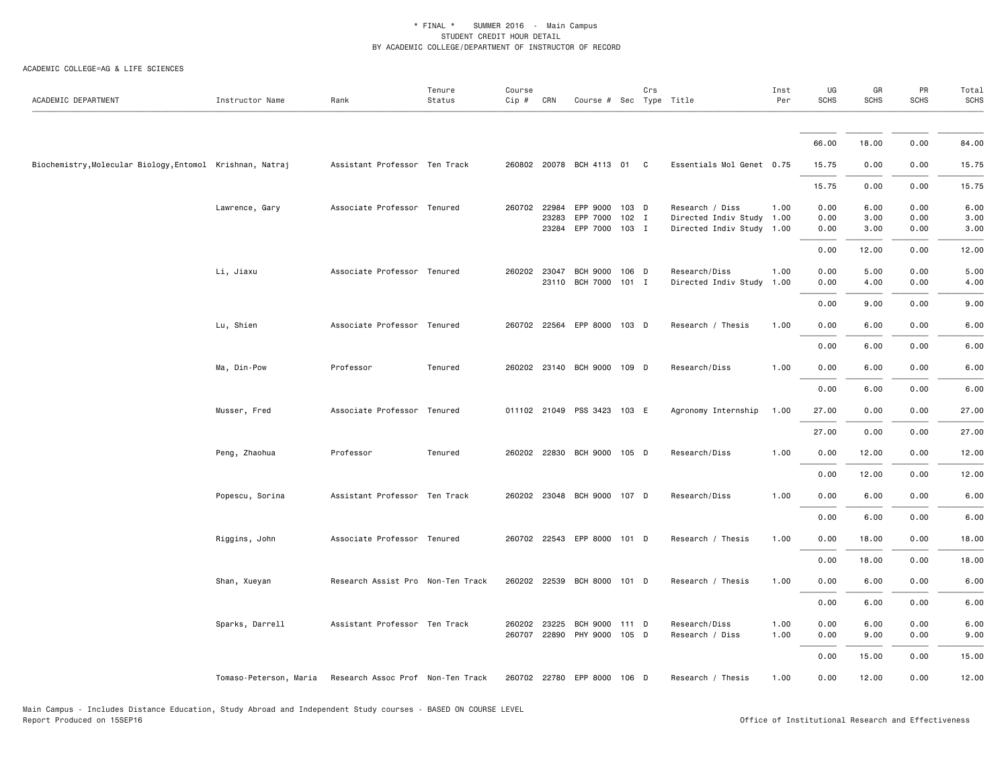#### ACADEMIC COLLEGE=AG & LIFE SCIENCES

| ACADEMIC DEPARTMENT                                       | Instructor Name        | Rank                              | Tenure<br>Status | Course<br>Cip # | CRN   | Course # Sec Type Title          |         | Crs |                                                        | Inst<br>Per | UG<br>SCHS   | GR<br><b>SCHS</b> | PR<br><b>SCHS</b> | Total<br><b>SCHS</b> |
|-----------------------------------------------------------|------------------------|-----------------------------------|------------------|-----------------|-------|----------------------------------|---------|-----|--------------------------------------------------------|-------------|--------------|-------------------|-------------------|----------------------|
|                                                           |                        |                                   |                  |                 |       |                                  |         |     |                                                        |             |              |                   |                   |                      |
|                                                           |                        |                                   |                  |                 |       |                                  |         |     |                                                        |             | 66.00        | 18.00             | 0.00              | 84.00                |
| Biochemistry, Molecular Biology, Entomol Krishnan, Natraj |                        | Assistant Professor Ten Track     |                  |                 |       | 260802 20078 BCH 4113 01 C       |         |     | Essentials Mol Genet 0.75                              |             | 15.75        | 0.00              | 0.00              | 15.75                |
|                                                           |                        |                                   |                  |                 |       |                                  |         |     |                                                        |             | 15.75        | 0.00              | 0.00              | 15.75                |
|                                                           | Lawrence, Gary         | Associate Professor Tenured       |                  | 260702 22984    |       | EPP 9000 103 D                   |         |     | Research / Diss                                        | 1.00        | 0.00         | 6.00              | 0.00              | 6.00                 |
|                                                           |                        |                                   |                  |                 | 23283 | EPP 7000<br>23284 EPP 7000 103 I | $102$ I |     | Directed Indiv Study 1.00<br>Directed Indiv Study 1.00 |             | 0.00<br>0.00 | 3.00<br>3.00      | 0.00<br>0.00      | 3.00<br>3.00         |
|                                                           |                        |                                   |                  |                 |       |                                  |         |     |                                                        |             | 0.00         | 12.00             | 0.00              | 12.00                |
|                                                           | Li, Jiaxu              | Associate Professor Tenured       |                  | 260202 23047    |       | <b>BCH 9000</b>                  | 106 D   |     | Research/Diss                                          | 1.00        | 0.00         | 5.00              | 0.00              | 5.00                 |
|                                                           |                        |                                   |                  |                 |       | 23110 BCH 7000                   | $101$ I |     | Directed Indiv Study 1.00                              |             | 0.00         | 4.00              | 0.00              | 4.00                 |
|                                                           |                        |                                   |                  |                 |       |                                  |         |     |                                                        |             | 0.00         | 9.00              | 0.00              | 9.00                 |
|                                                           | Lu, Shien              | Associate Professor Tenured       |                  |                 |       | 260702 22564 EPP 8000 103 D      |         |     | Research / Thesis                                      | 1.00        | 0.00         | 6.00              | 0.00              | 6.00                 |
|                                                           |                        |                                   |                  |                 |       |                                  |         |     |                                                        |             | 0.00         | 6.00              | 0.00              | 6.00                 |
|                                                           | Ma, Din-Pow            | Professor                         | Tenured          |                 |       | 260202 23140 BCH 9000 109 D      |         |     | Research/Diss                                          | 1.00        | 0.00         | 6.00              | 0.00              | 6.00                 |
|                                                           |                        |                                   |                  |                 |       |                                  |         |     |                                                        |             | 0.00         | 6.00              | 0.00              | 6.00                 |
|                                                           | Musser, Fred           | Associate Professor Tenured       |                  |                 |       | 011102 21049 PSS 3423 103 E      |         |     | Agronomy Internship                                    | 1.00        | 27.00        | 0.00              | 0.00              | 27.00                |
|                                                           |                        |                                   |                  |                 |       |                                  |         |     |                                                        |             | 27.00        | 0.00              | 0.00              | 27.00                |
|                                                           | Peng, Zhaohua          | Professor                         | Tenured          |                 |       | 260202 22830 BCH 9000 105 D      |         |     | Research/Diss                                          | 1.00        | 0.00         | 12.00             | 0.00              | 12.00                |
|                                                           |                        |                                   |                  |                 |       |                                  |         |     |                                                        |             | 0.00         | 12.00             | 0.00              | 12.00                |
|                                                           | Popescu, Sorina        | Assistant Professor Ten Track     |                  |                 |       | 260202 23048 BCH 9000 107 D      |         |     | Research/Diss                                          | 1.00        | 0.00         | 6.00              | 0.00              | 6.00                 |
|                                                           |                        |                                   |                  |                 |       |                                  |         |     |                                                        |             | 0.00         | 6.00              | 0.00              | 6.00                 |
|                                                           | Riggins, John          | Associate Professor Tenured       |                  |                 |       | 260702 22543 EPP 8000 101 D      |         |     | Research / Thesis                                      | 1.00        | 0.00         | 18.00             | 0.00              | 18.00                |
|                                                           |                        |                                   |                  |                 |       |                                  |         |     |                                                        |             | 0.00         | 18.00             | 0.00              | 18.00                |
|                                                           | Shan, Xueyan           | Research Assist Pro Non-Ten Track |                  |                 |       | 260202 22539 BCH 8000 101 D      |         |     | Research / Thesis                                      | 1.00        | 0.00         | 6.00              | 0.00              | 6.00                 |
|                                                           |                        |                                   |                  |                 |       |                                  |         |     |                                                        |             | 0.00         | 6.00              | 0.00              | 6.00                 |
|                                                           | Sparks, Darrell        | Assistant Professor Ten Track     |                  | 260202 23225    |       | BCH 9000 111 D                   |         |     | Research/Diss                                          | 1.00        | 0.00         | 6.00              | 0.00              | 6.00                 |
|                                                           |                        |                                   |                  |                 |       | 260707 22890 PHY 9000 105 D      |         |     | Research / Diss                                        | 1.00        | 0.00         | 9.00              | 0.00              | 9.00                 |
|                                                           |                        |                                   |                  |                 |       |                                  |         |     |                                                        |             | 0.00         | 15.00             | 0.00              | 15.00                |
|                                                           | Tomaso-Peterson, Maria | Research Assoc Prof Non-Ten Track |                  |                 |       | 260702 22780 EPP 8000 106 D      |         |     | Research / Thesis                                      | 1.00        | 0.00         | 12.00             | 0.00              | 12.00                |

Main Campus - Includes Distance Education, Study Abroad and Independent Study courses - BASED ON COURSE LEVEL

Office of Institutional Research and Effectiveness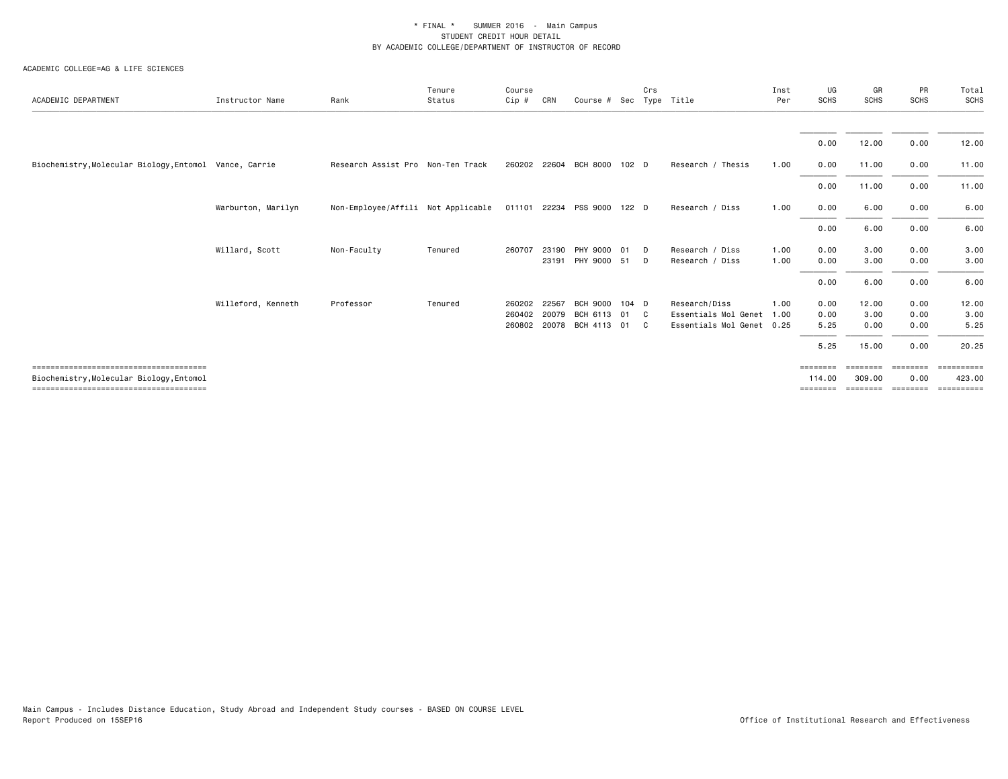| ACADEMIC DEPARTMENT                                    | Instructor Name    | Rank                               | Tenure<br>Status | Course<br>$Cip$ # | CRN   | Course # Sec                |       | Crs            | Type Title                | Inst<br>Per | UG<br><b>SCHS</b> | GR<br><b>SCHS</b> | PR<br><b>SCHS</b> | Total<br>SCHS |
|--------------------------------------------------------|--------------------|------------------------------------|------------------|-------------------|-------|-----------------------------|-------|----------------|---------------------------|-------------|-------------------|-------------------|-------------------|---------------|
|                                                        |                    |                                    |                  |                   |       |                             |       |                |                           |             |                   |                   |                   |               |
|                                                        |                    |                                    |                  |                   |       |                             |       |                |                           |             | 0.00              | 12.00             | 0.00              | 12.00         |
| Biochemistry, Molecular Biology, Entomol Vance, Carrie |                    | Research Assist Pro Non-Ten Track  |                  |                   |       | 260202 22604 BCH 8000       | 102 D |                | Research / Thesis         | 1.00        | 0.00              | 11.00             | 0.00              | 11.00         |
|                                                        |                    |                                    |                  |                   |       |                             |       |                |                           |             | 0.00              | 11.00             | 0.00              | 11.00         |
|                                                        | Warburton, Marilyn | Non-Employee/Affili Not Applicable |                  |                   |       | 011101 22234 PSS 9000 122 D |       |                | Research / Diss           | 1.00        | 0.00              | 6.00              | 0.00              | 6.00          |
|                                                        |                    |                                    |                  |                   |       |                             |       |                |                           |             | 0.00              | 6.00              | 0.00              | 6.00          |
|                                                        | Willard, Scott     | Non-Faculty                        | Tenured          | 260707            | 23190 | PHY 9000                    | 01    | $\Box$         | Research / Diss           | 1.00        | 0.00              | 3.00              | 0.00              | 3.00          |
|                                                        |                    |                                    |                  |                   | 23191 | PHY 9000 51                 |       | D              | Research / Diss           | 1.00        | 0.00              | 3.00              | 0.00              | 3.00          |
|                                                        |                    |                                    |                  |                   |       |                             |       |                |                           |             | 0.00              | 6.00              | 0.00              | 6.00          |
|                                                        | Willeford, Kenneth | Professor                          | Tenured          | 260202            | 22567 | <b>BCH 9000</b>             | 104 D |                | Research/Diss             | 1.00        | 0.00              | 12.00             | 0.00              | 12.00         |
|                                                        |                    |                                    |                  | 260402            | 20079 | BCH 6113                    | 01 C  |                | Essentials Mol Genet      | 1.00        | 0.00              | 3.00              | 0.00              | 3.00          |
|                                                        |                    |                                    |                  | 260802            | 20078 | BCH 4113                    | 01    | $\overline{c}$ | Essentials Mol Genet 0.25 |             | 5.25              | 0.00              | 0.00              | 5.25          |
|                                                        |                    |                                    |                  |                   |       |                             |       |                |                           |             | 5.25              | 15.00             | 0.00              | 20.25         |
|                                                        |                    |                                    |                  |                   |       |                             |       |                |                           |             | $=$ = = = = = = = | ========          | ========          | EEEEEEEE      |
| Biochemistry, Molecular Biology, Entomol               |                    |                                    |                  |                   |       |                             |       |                |                           |             | 114.00            | 309,00            | 0.00              | 423,00        |
|                                                        |                    |                                    |                  |                   |       |                             |       |                |                           |             | $=$ = = = = = = = | ========          | ---------         | ==========    |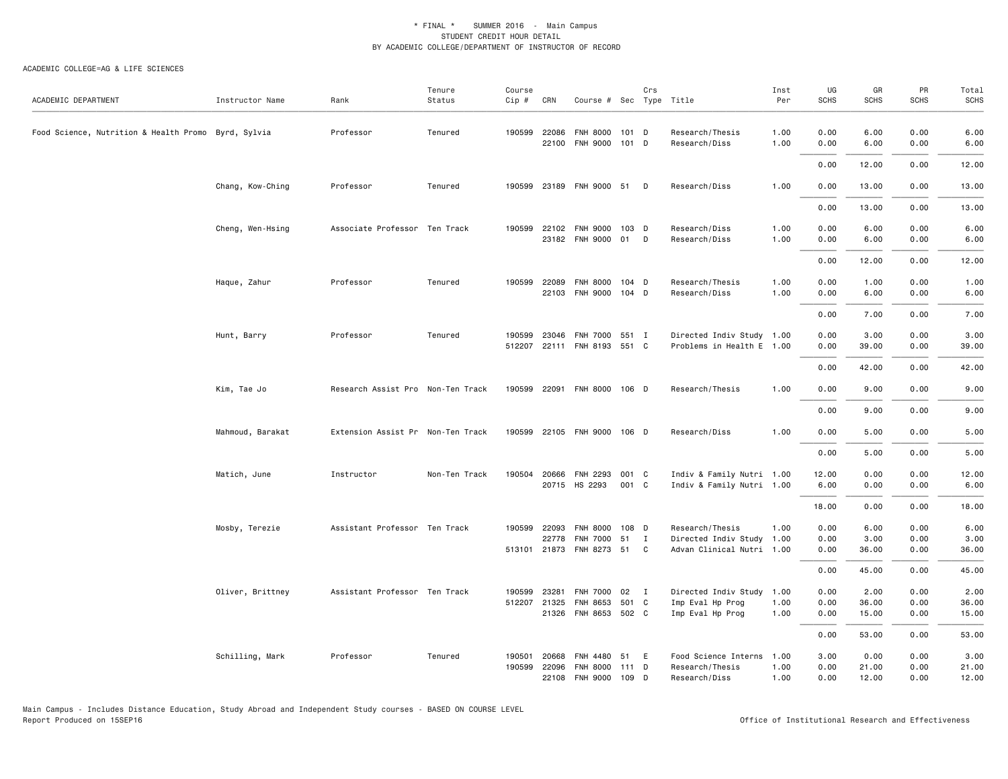| ACADEMIC DEPARTMENT                                 | Instructor Name  | Rank                              | Tenure<br>Status | Course<br>Cip #  | CRN                                   | Course # Sec Type Title                             |                | Crs               |                                                                           | Inst<br>Per  | UG<br>SCHS           | GR<br><b>SCHS</b>      | PR<br><b>SCHS</b>    | Total<br>SCHS          |
|-----------------------------------------------------|------------------|-----------------------------------|------------------|------------------|---------------------------------------|-----------------------------------------------------|----------------|-------------------|---------------------------------------------------------------------------|--------------|----------------------|------------------------|----------------------|------------------------|
| Food Science, Nutrition & Health Promo Byrd, Sylvia |                  | Professor                         | Tenured          |                  | 190599 22086<br>22100                 | <b>FNH 8000</b><br>FNH 9000 101 D                   | 101 D          |                   | Research/Thesis<br>Research/Diss                                          | 1.00<br>1.00 | 0.00<br>0.00         | 6.00<br>6.00           | 0.00<br>0.00         | 6.00<br>6.00           |
|                                                     |                  |                                   |                  |                  |                                       |                                                     |                |                   |                                                                           |              | 0.00                 | 12.00                  | 0.00                 | 12.00                  |
|                                                     | Chang, Kow-Ching | Professor                         | Tenured          | 190599           |                                       | 23189 FNH 9000 51 D                                 |                |                   | Research/Diss                                                             | 1.00         | 0.00                 | 13.00                  | 0.00                 | 13.00                  |
|                                                     |                  |                                   |                  |                  |                                       |                                                     |                |                   |                                                                           |              | 0.00                 | 13.00                  | 0.00                 | 13.00                  |
|                                                     | Cheng, Wen-Hsing | Associate Professor Ten Track     |                  |                  | 190599 22102                          | <b>FNH 9000</b><br>23182 FNH 9000 01                | 103 D          | $\mathsf{D}$      | Research/Diss<br>Research/Diss                                            | 1.00<br>1.00 | 0.00<br>0.00         | 6.00<br>6.00           | 0.00<br>0.00         | 6.00<br>6.00           |
|                                                     |                  |                                   |                  |                  |                                       |                                                     |                |                   |                                                                           |              | 0.00                 | 12.00                  | 0.00                 | 12.00                  |
|                                                     | Haque, Zahur     | Professor                         | Tenured          | 190599           | 22089<br>22103                        | <b>FNH 8000</b><br>FNH 9000 104 D                   | 104 D          |                   | Research/Thesis<br>Research/Diss                                          | 1.00<br>1.00 | 0.00<br>0.00         | 1.00<br>6.00           | 0.00<br>0.00         | 1.00<br>6.00           |
|                                                     |                  |                                   |                  |                  |                                       |                                                     |                |                   |                                                                           |              | 0.00                 | 7.00                   | 0.00                 | 7.00                   |
|                                                     | Hunt, Barry      | Professor                         | Tenured          | 190599           | 23046                                 | FNH 7000 551 I<br>512207 22111 FNH 8193 551 C       |                |                   | Directed Indiv Study 1.00<br>Problems in Health E 1.00                    |              | 0.00<br>0.00         | 3.00<br>39.00          | 0.00<br>0.00         | 3.00<br>39.00          |
|                                                     |                  |                                   |                  |                  |                                       |                                                     |                |                   |                                                                           |              | 0.00                 | 42.00                  | 0.00                 | 42.00                  |
|                                                     | Kim, Tae Jo      | Research Assist Pro Non-Ten Track |                  |                  |                                       | 190599 22091 FNH 8000 106 D                         |                |                   | Research/Thesis                                                           | 1.00         | 0.00                 | 9.00                   | 0.00                 | 9.00                   |
|                                                     |                  |                                   |                  |                  |                                       |                                                     |                |                   |                                                                           |              | 0.00                 | 9.00                   | 0.00                 | 9.00                   |
|                                                     | Mahmoud, Barakat | Extension Assist Pr Non-Ten Track |                  |                  |                                       | 190599 22105 FNH 9000 106 D                         |                |                   | Research/Diss                                                             | 1.00         | 0.00                 | 5.00                   | 0.00                 | 5.00                   |
|                                                     |                  |                                   |                  |                  |                                       |                                                     |                |                   |                                                                           |              | 0.00                 | 5.00                   | 0.00                 | 5.00                   |
|                                                     | Matich, June     | Instructor                        | Non-Ten Track    | 190504           | 20666                                 | <b>FNH 2293</b><br>20715 HS 2293                    | 001 C<br>001 C |                   | Indiv & Family Nutri 1.00<br>Indiv & Family Nutri 1.00                    |              | 12.00<br>6.00        | 0.00<br>0.00           | 0.00<br>0.00         | 12.00<br>6.00          |
|                                                     |                  |                                   |                  |                  |                                       |                                                     |                |                   |                                                                           |              | 18.00                | 0.00                   | 0.00                 | 18.00                  |
|                                                     | Mosby, Terezie   | Assistant Professor Ten Track     |                  |                  | 190599 22093<br>22778<br>513101 21873 | <b>FNH 8000</b><br><b>FNH 7000</b><br>FNH 8273 51   | 108 D<br>51    | $\mathbf{I}$<br>C | Research/Thesis<br>Directed Indiv Study 1.00<br>Advan Clinical Nutri 1.00 | 1.00         | 0.00<br>0.00<br>0.00 | 6.00<br>3.00<br>36.00  | 0.00<br>0.00<br>0.00 | 6.00<br>3.00<br>36.00  |
|                                                     |                  |                                   |                  |                  |                                       |                                                     |                |                   |                                                                           |              | 0.00                 | 45.00                  | 0.00                 | 45.00                  |
|                                                     | Oliver, Brittney | Assistant Professor Ten Track     |                  | 190599           | 23281<br>512207 21325                 | <b>FNH 7000</b><br>FNH 8653<br>21326 FNH 8653 502 C | 02 I<br>501 C  |                   | Directed Indiv Study 1.00<br>Imp Eval Hp Prog<br>Imp Eval Hp Prog         | 1.00<br>1.00 | 0.00<br>0.00<br>0.00 | 2.00<br>36.00<br>15.00 | 0.00<br>0.00<br>0.00 | 2.00<br>36.00<br>15.00 |
|                                                     |                  |                                   |                  |                  |                                       |                                                     |                |                   |                                                                           |              | 0.00                 | 53.00                  | 0.00                 | 53.00                  |
|                                                     | Schilling, Mark  | Professor                         | Tenured          | 190501<br>190599 | 20668<br>22096<br>22108               | FNH 4480<br><b>FNH 8000</b><br>FNH 9000 109 D       | 51<br>111 D    | E                 | Food Science Interns 1.00<br>Research/Thesis<br>Research/Diss             | 1.00<br>1.00 | 3.00<br>0.00<br>0.00 | 0.00<br>21.00<br>12.00 | 0.00<br>0.00<br>0.00 | 3.00<br>21.00<br>12.00 |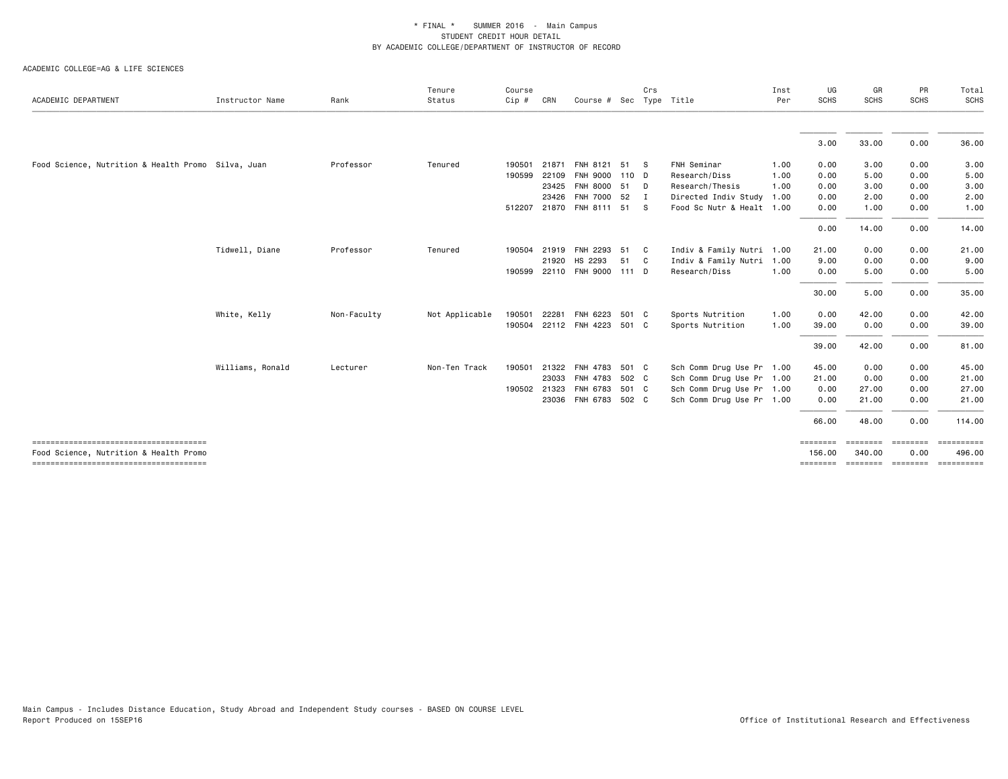| ACADEMIC DEPARTMENT                                | Instructor Name  | Rank        | Tenure<br>Status | Course<br>$Cip$ # | CRN   | Course # Sec Type Title     |       | Crs          |                           | Inst<br>Per | UG<br><b>SCHS</b>  | GR<br><b>SCHS</b>  | PR<br><b>SCHS</b> | Total<br><b>SCHS</b> |
|----------------------------------------------------|------------------|-------------|------------------|-------------------|-------|-----------------------------|-------|--------------|---------------------------|-------------|--------------------|--------------------|-------------------|----------------------|
|                                                    |                  |             |                  |                   |       |                             |       |              |                           |             |                    |                    |                   |                      |
|                                                    |                  |             |                  |                   |       |                             |       |              |                           |             | 3.00               | 33.00              | 0.00              | 36.00                |
| Food Science, Nutrition & Health Promo Silva, Juan |                  | Professor   | Tenured          | 190501            |       | 21871 FNH 8121 51 S         |       |              | FNH Seminar               | 1.00        | 0.00               | 3.00               | 0.00              | 3.00                 |
|                                                    |                  |             |                  | 190599            | 22109 | FNH 9000 110 D              |       |              | Research/Diss             | 1.00        | 0.00               | 5.00               | 0.00              | 5.00                 |
|                                                    |                  |             |                  |                   | 23425 | FNH 8000 51 D               |       |              | Research/Thesis           | 1.00        | 0.00               | 3.00               | 0.00              | 3.00                 |
|                                                    |                  |             |                  |                   | 23426 | FNH 7000 52                 |       | $\mathbf{I}$ | Directed Indiv Study 1.00 |             | 0.00               | 2.00               | 0.00              | 2.00                 |
|                                                    |                  |             |                  |                   |       | 512207 21870 FNH 8111 51 S  |       |              | Food Sc Nutr & Healt 1.00 |             | 0.00               | 1.00               | 0.00              | 1.00                 |
|                                                    |                  |             |                  |                   |       |                             |       |              |                           |             | 0.00               | 14.00              | 0.00              | 14.00                |
|                                                    | Tidwell, Diane   | Professor   | Tenured          | 190504            | 21919 | FNH 2293 51                 |       | C .          | Indiv & Family Nutri 1.00 |             | 21.00              | 0.00               | 0.00              | 21.00                |
|                                                    |                  |             |                  |                   | 21920 | HS 2293                     | 51    | $\mathbf{C}$ | Indiv & Family Nutri 1.00 |             | 9.00               | 0.00               | 0.00              | 9.00                 |
|                                                    |                  |             |                  |                   |       | 190599 22110 FNH 9000 111 D |       |              | Research/Diss             | 1.00        | 0.00               | 5.00               | 0.00              | 5.00                 |
|                                                    |                  |             |                  |                   |       |                             |       |              |                           |             | 30.00              | 5.00               | 0.00              | 35.00                |
|                                                    | White, Kelly     | Non-Faculty | Not Applicable   | 190501            | 22281 | FNH 6223                    | 501 C |              | Sports Nutrition          | 1.00        | 0.00               | 42.00              | 0.00              | 42.00                |
|                                                    |                  |             |                  | 190504            |       | 22112 FNH 4223 501 C        |       |              | Sports Nutrition          | 1.00        | 39.00              | 0.00               | 0.00              | 39.00                |
|                                                    |                  |             |                  |                   |       |                             |       |              |                           |             | 39.00              | 42.00              | 0.00              | 81.00                |
|                                                    | Williams, Ronald | Lecturer    | Non-Ten Track    | 190501            | 21322 | FNH 4783                    | 501 C |              | Sch Comm Drug Use Pr 1.00 |             | 45.00              | 0.00               | 0.00              | 45.00                |
|                                                    |                  |             |                  |                   | 23033 | FNH 4783 502 C              |       |              | Sch Comm Drug Use Pr 1.00 |             | 21.00              | 0.00               | 0.00              | 21.00                |
|                                                    |                  |             |                  | 190502 21323      |       | FNH 6783                    | 501 C |              | Sch Comm Drug Use Pr 1.00 |             | 0.00               | 27.00              | 0.00              | 27.00                |
|                                                    |                  |             |                  |                   |       | 23036 FNH 6783 502 C        |       |              | Sch Comm Drug Use Pr 1.00 |             | 0.00               | 21.00              | 0.00              | 21.00                |
|                                                    |                  |             |                  |                   |       |                             |       |              |                           |             | 66.00              | 48.00              | 0.00              | 114.00               |
| Food Science, Nutrition & Health Promo             |                  |             |                  |                   |       |                             |       |              |                           |             | ========<br>156.00 | ========<br>340.00 | ========<br>0.00  | ==========<br>496.00 |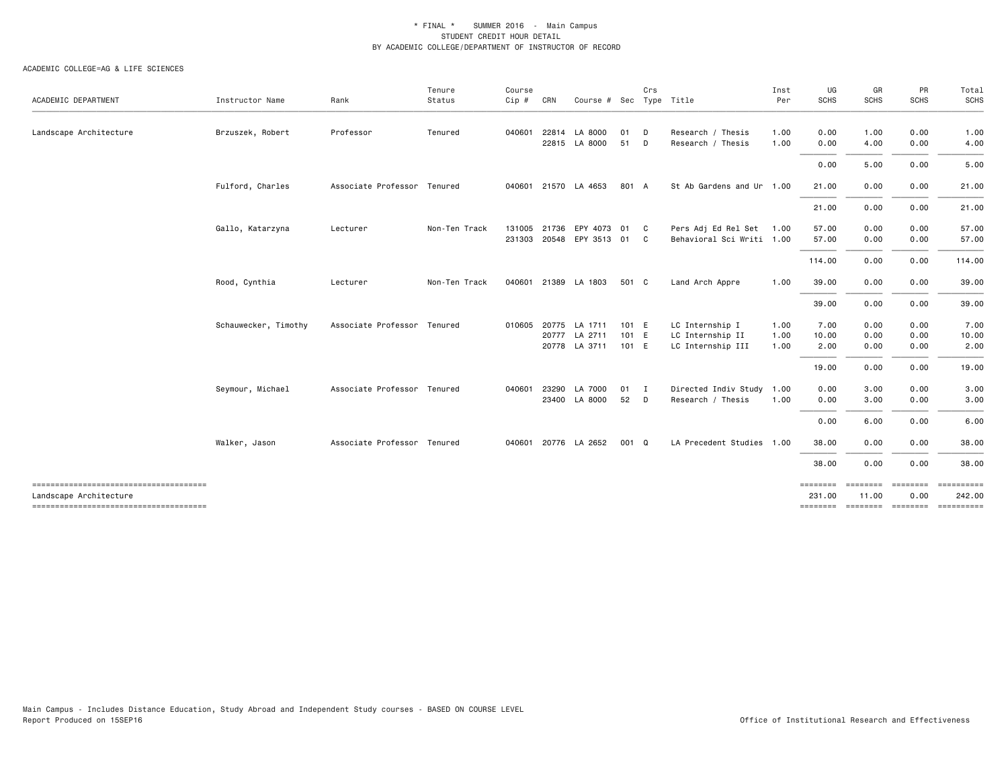| ACADEMIC DEPARTMENT    | Instructor Name      | Rank                        | Tenure<br>Status | Course<br>Cip # | CRN   | Course # Sec Type Title |       | Crs          |                           | Inst<br>Per | UG<br><b>SCHS</b>            | GR<br><b>SCHS</b> | PR<br><b>SCHS</b> | Total<br>SCHS                |
|------------------------|----------------------|-----------------------------|------------------|-----------------|-------|-------------------------|-------|--------------|---------------------------|-------------|------------------------------|-------------------|-------------------|------------------------------|
|                        |                      |                             |                  |                 |       |                         |       |              |                           |             |                              |                   |                   |                              |
| Landscape Architecture | Brzuszek, Robert     | Professor                   | Tenured          | 040601          |       | 22814 LA 8000           | 01    | D            | Research / Thesis         | 1.00        | 0.00                         | 1.00              | 0.00              | 1.00                         |
|                        |                      |                             |                  |                 |       | 22815 LA 8000           | 51    | D            | Research / Thesis         | 1.00        | 0.00                         | 4.00              | 0.00              | 4.00                         |
|                        |                      |                             |                  |                 |       |                         |       |              |                           |             | 0.00                         | 5.00              | 0.00              | 5.00                         |
|                        | Fulford, Charles     | Associate Professor Tenured |                  |                 |       | 040601 21570 LA 4653    | 801 A |              | St Ab Gardens and Ur 1.00 |             | 21.00                        | 0.00              | 0.00              | 21.00                        |
|                        |                      |                             |                  |                 |       |                         |       |              |                           |             | 21.00                        | 0.00              | 0.00              | 21.00                        |
|                        | Gallo, Katarzyna     | Lecturer                    | Non-Ten Track    | 131005          |       | 21736 EPY 4073          | 01    | - C          | Pers Adj Ed Rel Set       | 1.00        | 57.00                        | 0.00              | 0.00              | 57.00                        |
|                        |                      |                             |                  | 231303          |       | 20548 EPY 3513 01       |       | C.           | Behavioral Sci Writi 1.00 |             | 57.00                        | 0.00              | 0.00              | 57.00                        |
|                        |                      |                             |                  |                 |       |                         |       |              |                           |             | 114.00                       | 0.00              | 0.00              | 114.00                       |
|                        | Rood, Cynthia        | Lecturer                    | Non-Ten Track    | 040601          |       | 21389 LA 1803           | 501 C |              | Land Arch Appre           | 1.00        | 39.00                        | 0.00              | 0.00              | 39.00                        |
|                        |                      |                             |                  |                 |       |                         |       |              |                           |             | 39.00                        | 0.00              | 0.00              | 39.00                        |
|                        | Schauwecker, Timothy | Associate Professor Tenured |                  | 010605          |       | 20775 LA 1711           | 101 E |              | LC Internship I           | 1.00        | 7.00                         | 0.00              | 0.00              | 7.00                         |
|                        |                      |                             |                  |                 | 20777 | LA 2711                 | 101 E |              | LC Internship II          | 1.00        | 10.00                        | 0.00              | 0.00              | 10.00                        |
|                        |                      |                             |                  |                 |       | 20778 LA 3711           | 101 E |              | LC Internship III         | 1.00        | 2.00                         | 0.00              | 0.00              | 2.00                         |
|                        |                      |                             |                  |                 |       |                         |       |              |                           |             | 19.00                        | 0.00              | 0.00              | 19.00                        |
|                        | Seymour, Michael     | Associate Professor Tenured |                  | 040601          | 23290 | LA 7000                 | 01    | $\mathbf{I}$ | Directed Indiv Study      | 1.00        | 0.00                         | 3.00              | 0.00              | 3.00                         |
|                        |                      |                             |                  |                 |       | 23400 LA 8000           | 52    | D            | Research / Thesis         | 1.00        | 0.00                         | 3.00              | 0.00              | 3.00                         |
|                        |                      |                             |                  |                 |       |                         |       |              |                           |             | 0.00                         | 6.00              | 0.00              | 6.00                         |
|                        | Walker, Jason        | Associate Professor Tenured |                  | 040601          |       | 20776 LA 2652           | 001 Q |              | LA Precedent Studies 1.00 |             | 38.00                        | 0.00              | 0.00              | 38.00                        |
|                        |                      |                             |                  |                 |       |                         |       |              |                           |             | 38.00                        | 0.00              | 0.00              | 38.00                        |
| Landscape Architecture |                      |                             |                  |                 |       |                         |       |              |                           |             | ==================<br>231.00 | 11.00             | 0.00              | ======== =========<br>242.00 |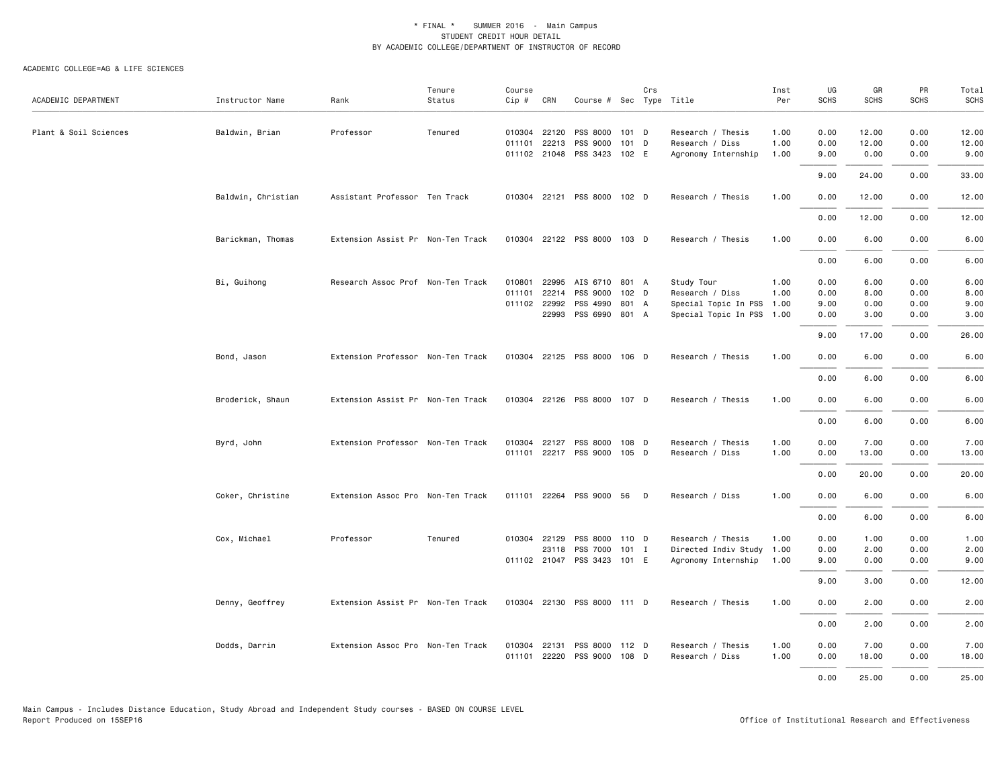| ACADEMIC DEPARTMENT   | Instructor Name    | Rank                              | Tenure<br>Status | Course<br>$Cip \#$ | CRN          | Course # Sec Type Title     |         | Crs |                           | Inst<br>Per | UG<br><b>SCHS</b> | GR<br>SCHS | PR<br><b>SCHS</b> | Total<br><b>SCHS</b> |
|-----------------------|--------------------|-----------------------------------|------------------|--------------------|--------------|-----------------------------|---------|-----|---------------------------|-------------|-------------------|------------|-------------------|----------------------|
| Plant & Soil Sciences | Baldwin, Brian     | Professor                         | Tenured          |                    | 010304 22120 | PSS 8000                    | $101$ D |     | Research / Thesis         | 1.00        | 0.00              | 12.00      | 0.00              | 12.00                |
|                       |                    |                                   |                  | 011101             | 22213        | PSS 9000                    | 101 D   |     | Research / Diss           | 1.00        | 0.00              | 12.00      | 0.00              | 12.00                |
|                       |                    |                                   |                  |                    |              | 011102 21048 PSS 3423 102 E |         |     | Agronomy Internship       | 1.00        | 9.00              | 0.00       | 0.00              | 9.00                 |
|                       |                    |                                   |                  |                    |              |                             |         |     |                           |             | 9.00              | 24.00      | 0.00              | 33.00                |
|                       | Baldwin, Christian | Assistant Professor Ten Track     |                  |                    |              | 010304 22121 PSS 8000 102 D |         |     | Research / Thesis         | 1.00        | 0.00              | 12.00      | 0.00              | 12.00                |
|                       |                    |                                   |                  |                    |              |                             |         |     |                           |             | 0.00              | 12.00      | 0.00              | 12.00                |
|                       | Barickman, Thomas  | Extension Assist Pr Non-Ten Track |                  |                    |              | 010304 22122 PSS 8000 103 D |         |     | Research / Thesis         | 1.00        | 0.00              | 6.00       | 0.00              | 6.00                 |
|                       |                    |                                   |                  |                    |              |                             |         |     |                           |             | 0.00              | 6.00       | 0.00              | 6.00                 |
|                       | Bi, Guihong        | Research Assoc Prof Non-Ten Track |                  | 010801             | 22995        | AIS 6710                    | 801 A   |     | Study Tour                | 1.00        | 0.00              | 6.00       | 0.00              | 6.00                 |
|                       |                    |                                   |                  | 011101             | 22214        | PSS 9000                    | 102 D   |     | Research / Diss           | 1.00        | 0.00              | 8.00       | 0.00              | 8.00                 |
|                       |                    |                                   |                  |                    | 011102 22992 | PSS 4990                    | 801 A   |     | Special Topic In PSS 1.00 |             | 9.00              | 0.00       | 0.00              | 9.00                 |
|                       |                    |                                   |                  |                    | 22993        | PSS 6990 801 A              |         |     | Special Topic In PSS 1.00 |             | 0.00              | 3.00       | 0.00              | 3.00                 |
|                       |                    |                                   |                  |                    |              |                             |         |     |                           |             | 9.00              | 17.00      | 0.00              | 26.00                |
|                       | Bond, Jason        | Extension Professor Non-Ten Track |                  |                    |              | 010304 22125 PSS 8000 106 D |         |     | Research / Thesis         | 1.00        | 0.00              | 6.00       | 0.00              | 6.00                 |
|                       |                    |                                   |                  |                    |              |                             |         |     |                           |             | 0.00              | 6.00       | 0.00              | 6.00                 |
|                       | Broderick, Shaun   | Extension Assist Pr Non-Ten Track |                  |                    |              | 010304 22126 PSS 8000 107 D |         |     | Research / Thesis         | 1.00        | 0.00              | 6.00       | 0.00              | 6.00                 |
|                       |                    |                                   |                  |                    |              |                             |         |     |                           |             | 0.00              | 6.00       | 0.00              | 6.00                 |
|                       | Byrd, John         | Extension Professor Non-Ten Track |                  |                    | 010304 22127 | PSS 8000                    | 108 D   |     | Research / Thesis         | 1.00        | 0.00              | 7.00       | 0.00              | 7.00                 |
|                       |                    |                                   |                  |                    |              | 011101 22217 PSS 9000 105 D |         |     | Research / Diss           | 1.00        | 0.00              | 13.00      | 0.00              | 13.00                |
|                       |                    |                                   |                  |                    |              |                             |         |     |                           |             |                   |            |                   |                      |
|                       |                    |                                   |                  |                    |              |                             |         |     |                           |             | 0.00              | 20.00      | 0.00              | 20.00                |
|                       | Coker, Christine   | Extension Assoc Pro Non-Ten Track |                  |                    |              | 011101 22264 PSS 9000 56 D  |         |     | Research / Diss           | 1.00        | 0.00              | 6.00       | 0.00              | 6.00                 |
|                       |                    |                                   |                  |                    |              |                             |         |     |                           |             | 0.00              | 6.00       | 0.00              | 6.00                 |
|                       | Cox, Michael       | Professor                         | Tenured          | 010304 22129       |              | PSS 8000                    | 110 D   |     | Research / Thesis         | 1.00        | 0.00              | 1.00       | 0.00              | 1.00                 |
|                       |                    |                                   |                  |                    | 23118        | PSS 7000                    | 101 I   |     | Directed Indiv Study 1.00 |             | 0.00              | 2.00       | 0.00              | 2.00                 |
|                       |                    |                                   |                  |                    |              | 011102 21047 PSS 3423 101 E |         |     | Agronomy Internship       | 1.00        | 9.00              | 0.00       | 0.00              | 9.00                 |
|                       |                    |                                   |                  |                    |              |                             |         |     |                           |             | 9.00              | 3.00       | 0.00              | 12.00                |
|                       | Denny, Geoffrey    | Extension Assist Pr Non-Ten Track |                  |                    |              | 010304 22130 PSS 8000 111 D |         |     | Research / Thesis         | 1.00        | 0.00              | 2.00       | 0.00              | 2.00                 |
|                       |                    |                                   |                  |                    |              |                             |         |     |                           |             | 0.00              | 2.00       | 0.00              | 2.00                 |
|                       | Dodds, Darrin      | Extension Assoc Pro Non-Ten Track |                  | 010304 22131       |              | PSS 8000                    | $112$ D |     | Research / Thesis         | 1.00        | 0.00              | 7.00       | 0.00              | 7.00                 |
|                       |                    |                                   |                  |                    |              | 011101 22220 PSS 9000 108 D |         |     | Research / Diss           | 1.00        | 0.00              | 18.00      | 0.00              | 18.00                |
|                       |                    |                                   |                  |                    |              |                             |         |     |                           |             | 0.00              | 25.00      | 0.00              | 25.00                |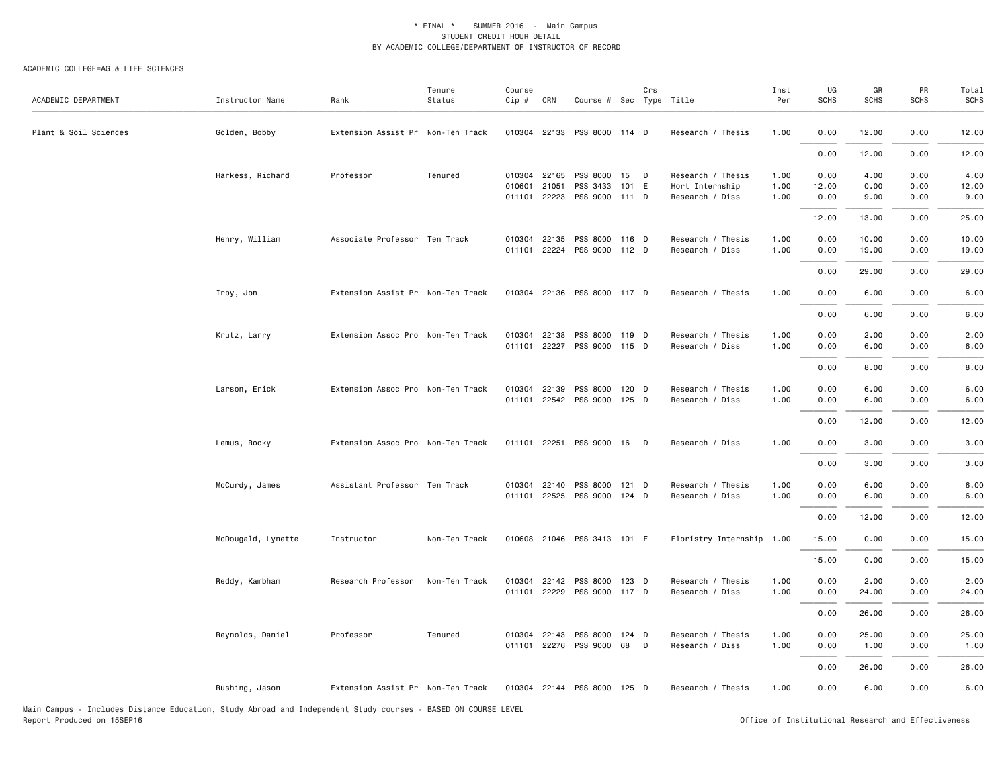| ACADEMIC DEPARTMENT                                                                                    | Instructor Name    | Rank                              | Tenure<br>Status      | Course<br>Cip # | CRN   | Course # Sec Type Title                                   | Crs |                                      | Inst<br>Per  | UG<br><b>SCHS</b> | GR<br><b>SCHS</b> | PR<br><b>SCHS</b> | Total<br>SCHS  |
|--------------------------------------------------------------------------------------------------------|--------------------|-----------------------------------|-----------------------|-----------------|-------|-----------------------------------------------------------|-----|--------------------------------------|--------------|-------------------|-------------------|-------------------|----------------|
| Plant & Soil Sciences                                                                                  | Golden, Bobby      | Extension Assist Pr Non-Ten Track |                       |                 |       | 010304 22133 PSS 8000 114 D                               |     | Research / Thesis                    | 1.00         | 0.00              | 12.00             | 0.00              | 12.00          |
|                                                                                                        |                    |                                   |                       |                 |       |                                                           |     |                                      |              | 0.00              | 12.00             | 0.00              | 12.00          |
|                                                                                                        | Harkess, Richard   | Professor                         | Tenured               | 010601          |       | 010304 22165 PSS 8000 15 D<br>PSS 3433 101 E              |     | Research / Thesis                    | 1.00         | 0.00              | 4.00<br>0.00      | 0.00<br>0.00      | 4.00<br>12.00  |
|                                                                                                        |                    |                                   |                       |                 | 21051 | 011101 22223 PSS 9000 111 D                               |     | Hort Internship<br>Research / Diss   | 1.00<br>1.00 | 12.00<br>0.00     | 9.00              | 0.00              | 9.00           |
|                                                                                                        |                    |                                   |                       |                 |       |                                                           |     |                                      |              | 12.00             | 13.00             | 0.00              | 25.00          |
|                                                                                                        | Henry, William     | Associate Professor Ten Track     |                       | 010304          | 22135 | PSS 8000 116 D<br>011101 22224 PSS 9000 112 D             |     | Research / Thesis<br>Research / Diss | 1.00<br>1.00 | 0.00<br>0.00      | 10.00<br>19.00    | 0.00<br>0.00      | 10.00<br>19.00 |
|                                                                                                        |                    |                                   |                       |                 |       |                                                           |     |                                      |              | 0.00              | 29.00             | 0.00              | 29.00          |
|                                                                                                        | Irby, Jon          | Extension Assist Pr Non-Ten Track |                       |                 |       | 010304 22136 PSS 8000 117 D                               |     | Research / Thesis                    | 1.00         | 0.00              | 6.00              | 0.00              | 6.00           |
|                                                                                                        |                    |                                   |                       |                 |       |                                                           |     |                                      |              | 0.00              | 6.00              | 0.00              | 6.00           |
|                                                                                                        | Krutz, Larry       | Extension Assoc Pro Non-Ten Track |                       | 010304          | 22138 | PSS 8000 119 D<br>011101 22227 PSS 9000 115 D             |     | Research / Thesis<br>Research / Diss | 1.00<br>1.00 | 0.00<br>0.00      | 2.00<br>6.00      | 0.00<br>0.00      | 2.00<br>6.00   |
|                                                                                                        |                    |                                   |                       |                 |       |                                                           |     |                                      |              | 0.00              | 8.00              | 0.00              | 8.00           |
|                                                                                                        | Larson, Erick      | Extension Assoc Pro Non-Ten Track |                       | 010304          |       | 22139 PSS 8000 120 D<br>011101 22542 PSS 9000 125 D       |     | Research / Thesis<br>Research / Diss | 1.00<br>1.00 | 0.00<br>0.00      | 6.00<br>6.00      | 0.00<br>0.00      | 6.00<br>6.00   |
|                                                                                                        |                    |                                   |                       |                 |       |                                                           |     |                                      |              | 0.00              | 12.00             | 0.00              | 12.00          |
|                                                                                                        | Lemus, Rocky       | Extension Assoc Pro Non-Ten Track |                       |                 |       | 011101 22251 PSS 9000 16 D                                |     | Research / Diss                      | 1.00         | 0.00              | 3.00              | 0.00              | 3.00           |
|                                                                                                        |                    |                                   |                       |                 |       |                                                           |     |                                      |              | 0.00              | 3.00              | 0.00              | 3.00           |
|                                                                                                        | McCurdy, James     | Assistant Professor Ten Track     |                       |                 |       | 010304 22140 PSS 8000 121 D                               |     | Research / Thesis                    | 1.00         | 0.00              | 6.00              | 0.00              | 6.00           |
|                                                                                                        |                    |                                   |                       |                 |       | 011101 22525 PSS 9000 124 D                               |     | Research / Diss                      | 1.00         | 0.00              | 6.00              | 0.00              | 6.00           |
|                                                                                                        |                    |                                   |                       |                 |       |                                                           |     |                                      |              | 0.00              | 12.00             | 0.00              | 12.00          |
|                                                                                                        | McDougald, Lynette | Instructor                        | Non-Ten Track         |                 |       | 010608 21046 PSS 3413 101 E                               |     | Floristry Internship 1.00            |              | 15.00             | 0.00              | 0.00              | 15.00          |
|                                                                                                        |                    |                                   |                       |                 |       |                                                           |     |                                      |              | 15.00             | 0.00              | 0.00              | 15.00          |
|                                                                                                        | Reddy, Kambham     | Research Professor                | Non-Ten Track         | 010304          |       | 22142 PSS 8000 123 D<br>011101 22229 PSS 9000 117 D       |     | Research / Thesis<br>Research / Diss | 1.00<br>1.00 | 0.00<br>0.00      | 2.00<br>24.00     | 0.00<br>0.00      | 2.00<br>24.00  |
|                                                                                                        |                    |                                   |                       |                 |       |                                                           |     |                                      |              | 0.00              | 26.00             | 0.00              | 26.00          |
|                                                                                                        | Reynolds, Daniel   | Professor                         | Tenured               |                 |       | 010304 22143 PSS 8000 124 D<br>011101 22276 PSS 9000 68 D |     | Research / Thesis<br>Research / Diss | 1.00<br>1.00 | 0.00<br>0.00      | 25.00<br>1.00     | 0.00<br>0.00      | 25.00<br>1.00  |
|                                                                                                        |                    |                                   |                       |                 |       |                                                           |     |                                      |              | 0.00              | 26.00             | 0.00              | 26.00          |
|                                                                                                        | Rushing, Jason     | Extension Assist Pr Non-Ten Track |                       |                 |       | 010304 22144 PSS 8000 125 D                               |     | Research / Thesis                    | 1.00         | 0.00              | 6.00              | 0.00              | 6.00           |
| Nota Academic - Tacterdor Bickoroso Publication - Abidemic Abaccal cad Tacherosdore - Abidemic consoci |                    |                                   | BASED ON COURSE LEVEL |                 |       |                                                           |     |                                      |              |                   |                   |                   |                |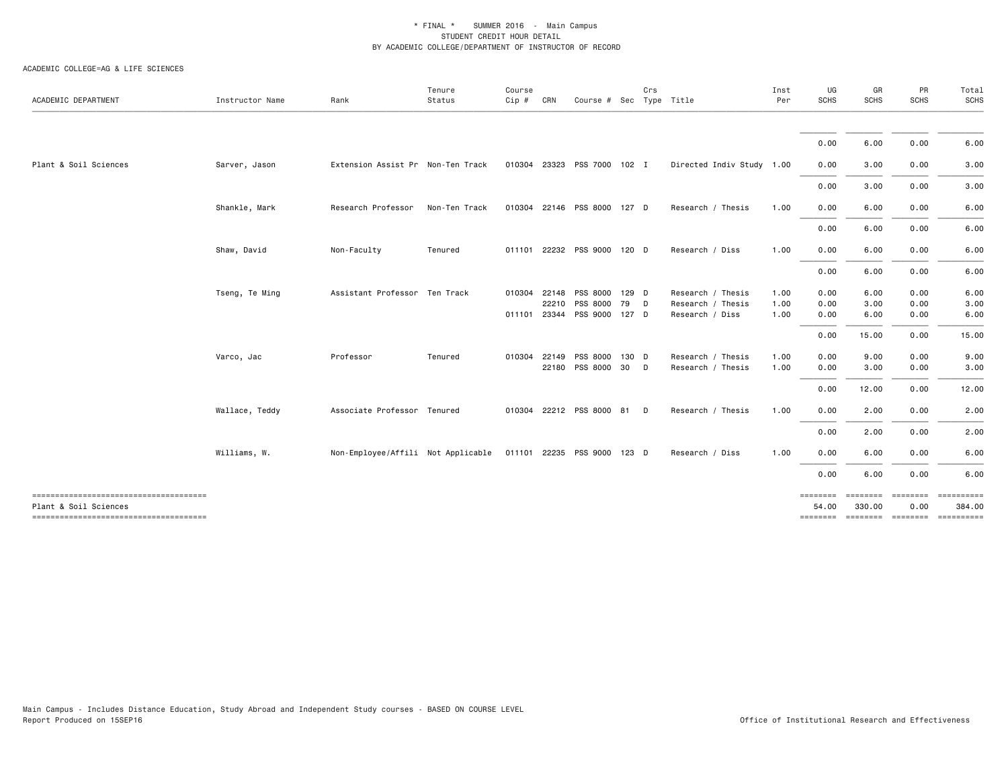| ACADEMIC DEPARTMENT                                             | Instructor Name | Rank                               | Tenure<br>Status | Course<br>Cip # | CRN   | Course # Sec Type Title     |       | Crs |                           | Inst<br>Per | UG<br><b>SCHS</b> | GR<br><b>SCHS</b>  | PR<br><b>SCHS</b> | Total<br>SCHS |
|-----------------------------------------------------------------|-----------------|------------------------------------|------------------|-----------------|-------|-----------------------------|-------|-----|---------------------------|-------------|-------------------|--------------------|-------------------|---------------|
|                                                                 |                 |                                    |                  |                 |       |                             |       |     |                           |             |                   |                    |                   |               |
|                                                                 |                 |                                    |                  |                 |       |                             |       |     |                           |             | 0.00              | 6.00               | 0.00              | 6.00          |
| Plant & Soil Sciences                                           | Sarver, Jason   | Extension Assist Pr Non-Ten Track  |                  |                 |       | 010304 23323 PSS 7000 102 I |       |     | Directed Indiv Study 1.00 |             | 0.00              | 3.00               | 0.00              | 3.00          |
|                                                                 |                 |                                    |                  |                 |       |                             |       |     |                           |             | 0.00              | 3.00               | 0.00              | 3.00          |
|                                                                 | Shankle, Mark   | Research Professor                 | Non-Ten Track    | 010304          |       | 22146 PSS 8000 127 D        |       |     | Research / Thesis         | 1.00        | 0.00              | 6.00               | 0.00              | 6.00          |
|                                                                 |                 |                                    |                  |                 |       |                             |       |     |                           |             | 0.00              | 6.00               | 0.00              | 6.00          |
|                                                                 | Shaw, David     | Non-Faculty                        | Tenured          | 011101          |       | 22232 PSS 9000 120 D        |       |     | Research / Diss           | 1.00        | 0.00              | 6.00               | 0.00              | 6.00          |
|                                                                 |                 |                                    |                  |                 |       |                             |       |     |                           |             | 0.00              | 6.00               | 0.00              | 6.00          |
|                                                                 | Tseng, Te Ming  | Assistant Professor Ten Track      |                  | 010304          | 22148 | PSS 8000 129 D              |       |     | Research / Thesis         | 1.00        | 0.00              | 6.00               | 0.00              | 6.00          |
|                                                                 |                 |                                    |                  |                 | 22210 | PSS 8000                    | 79    | D   | Research / Thesis         | 1.00        | 0.00              | 3.00               | 0.00              | 3.00          |
|                                                                 |                 |                                    |                  | 011101          |       | 23344 PSS 9000 127 D        |       |     | Research / Diss           | 1.00        | 0.00              | 6.00               | 0.00              | 6.00          |
|                                                                 |                 |                                    |                  |                 |       |                             |       |     |                           |             | 0.00              | 15.00              | 0.00              | 15.00         |
|                                                                 | Varco, Jac      | Professor                          | Tenured          | 010304          | 22149 | PSS 8000                    | 130 D |     | Research / Thesis         | 1.00        | 0.00              | 9.00               | 0.00              | 9.00          |
|                                                                 |                 |                                    |                  |                 |       | 22180 PSS 8000 30           |       | D   | Research / Thesis         | 1.00        | 0.00              | 3.00               | 0.00              | 3.00          |
|                                                                 |                 |                                    |                  |                 |       |                             |       |     |                           |             | 0.00              | 12.00              | 0.00              | 12.00         |
|                                                                 | Wallace, Teddy  | Associate Professor Tenured        |                  | 010304          |       | 22212 PSS 8000 81           |       | D   | Research / Thesis         | 1.00        | 0.00              | 2.00               | 0.00              | 2.00          |
|                                                                 |                 |                                    |                  |                 |       |                             |       |     |                           |             | 0.00              | 2.00               | 0.00              | 2.00          |
|                                                                 | Williams, W.    | Non-Employee/Affili Not Applicable |                  |                 |       | 011101 22235 PSS 9000 123 D |       |     | Research / Diss           | 1.00        | 0.00              | 6.00               | 0.00              | 6.00          |
|                                                                 |                 |                                    |                  |                 |       |                             |       |     |                           |             | 0.00              | 6.00               | 0.00              | 6.00          |
| --------------------------------------<br>Plant & Soil Sciences |                 |                                    |                  |                 |       |                             |       |     |                           |             | ========<br>54.00 | ========<br>330.00 | ========<br>0.00  | 384.00        |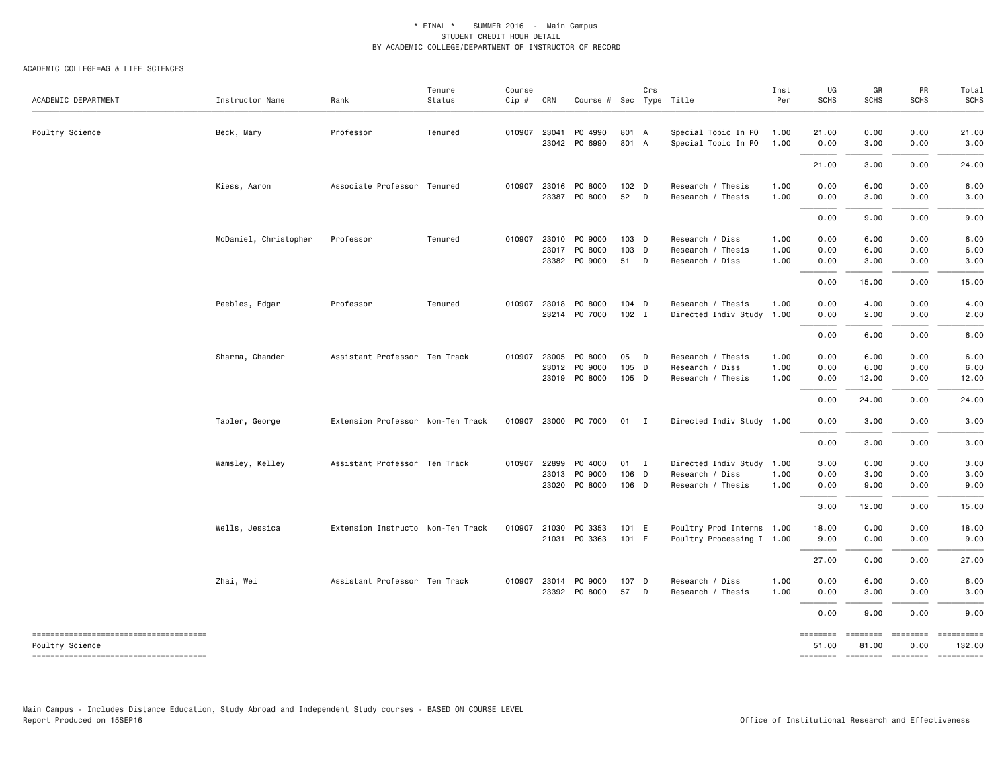#### ACADEMIC COLLEGE=AG & LIFE SCIENCES

| ACADEMIC DEPARTMENT                                       | Instructor Name       | Rank                              | Tenure<br>Status | Course<br>$Cip \#$ | CRN          | Course # Sec Type Title               |                  | Crs |                                                | Inst<br>Per  | UG<br><b>SCHS</b> | GR<br><b>SCHS</b> | PR<br><b>SCHS</b> | Total<br><b>SCHS</b> |
|-----------------------------------------------------------|-----------------------|-----------------------------------|------------------|--------------------|--------------|---------------------------------------|------------------|-----|------------------------------------------------|--------------|-------------------|-------------------|-------------------|----------------------|
| Poultry Science                                           | Beck, Mary            | Professor                         | Tenured          | 010907 23041       |              | P0 4990<br>23042 PO 6990              | 801 A<br>801 A   |     | Special Topic In PO<br>Special Topic In PO     | 1.00<br>1.00 | 21.00<br>0.00     | 0.00<br>3.00      | 0.00<br>0.00      | 21.00<br>3.00        |
|                                                           |                       |                                   |                  |                    |              |                                       |                  |     |                                                |              | 21.00             | 3.00              | 0.00              | 24.00                |
|                                                           | Kiess, Aaron          | Associate Professor Tenured       |                  |                    | 23387        | 010907 23016 P0 8000<br>PO 8000       | $102$ D<br>52    | D   | Research / Thesis<br>Research / Thesis         | 1.00<br>1.00 | 0.00<br>0.00      | 6.00<br>3.00      | 0.00<br>0.00      | 6.00<br>3.00         |
|                                                           |                       |                                   |                  |                    |              |                                       |                  |     |                                                |              | 0.00              | 9.00              | 0.00              | 9.00                 |
|                                                           | McDaniel, Christopher | Professor                         | Tenured          | 010907             | 23010        | PO 9000<br>23017 PO 8000              | 103 D<br>103 D   |     | Research / Diss<br>Research / Thesis           | 1.00<br>1.00 | 0.00<br>0.00      | 6.00<br>6.00      | 0.00<br>0.00      | 6.00<br>6.00         |
|                                                           |                       |                                   |                  |                    |              | 23382 PO 9000                         | 51               | D   | Research / Diss                                | 1.00         | 0.00              | 3.00              | 0.00              | 3.00                 |
|                                                           |                       |                                   |                  |                    |              |                                       |                  |     |                                                |              | 0.00              | 15.00             | 0.00              | 15.00                |
|                                                           | Peebles, Edgar        | Professor                         | Tenured          | 010907             | 23018        | PO 8000<br>23214 PO 7000              | 104 D<br>$102$ I |     | Research / Thesis<br>Directed Indiv Study 1.00 | 1.00         | 0.00<br>0.00      | 4.00<br>2.00      | 0.00<br>0.00      | 4.00<br>2.00         |
|                                                           |                       |                                   |                  |                    |              |                                       |                  |     |                                                |              | 0.00              | 6.00              | 0.00              | 6.00                 |
|                                                           | Sharma, Chander       | Assistant Professor Ten Track     |                  |                    |              | 010907 23005 PO 8000                  | 05 D             |     | Research / Thesis                              | 1.00         | 0.00              | 6.00              | 0.00              | 6.00                 |
|                                                           |                       |                                   |                  |                    | 23012        | PO 9000                               | 105 D            |     | Research / Diss                                | 1.00         | 0.00              | 6.00              | 0.00              | 6.00                 |
|                                                           |                       |                                   |                  |                    |              | 23019 PO 8000                         | 105 D            |     | Research / Thesis                              | 1.00         | 0.00              | 12.00             | 0.00              | 12.00                |
|                                                           |                       |                                   |                  |                    |              |                                       |                  |     |                                                |              | 0.00              | 24.00             | 0.00              | 24.00                |
|                                                           | Tabler, George        | Extension Professor Non-Ten Track |                  | 010907             |              | 23000 P0 7000                         | 01 I             |     | Directed Indiv Study 1.00                      |              | 0.00              | 3.00              | 0.00              | 3.00                 |
|                                                           |                       |                                   |                  |                    |              |                                       |                  |     |                                                |              | 0.00              | 3.00              | 0.00              | 3.00                 |
|                                                           | Wamsley, Kelley       | Assistant Professor Ten Track     |                  |                    | 010907 22899 | P0 4000                               | 01 I             |     | Directed Indiv Study 1.00                      |              | 3.00              | 0.00              | 0.00              | 3.00                 |
|                                                           |                       |                                   |                  |                    | 23013        | PO 9000<br>23020 PO 8000              | 106 D<br>106 D   |     | Research / Diss<br>Research / Thesis           | 1.00<br>1.00 | 0.00<br>0.00      | 3.00<br>9.00      | 0.00<br>0.00      | 3.00<br>9.00         |
|                                                           |                       |                                   |                  |                    |              |                                       |                  |     |                                                |              | 3.00              | 12.00             | 0.00              | 15.00                |
|                                                           | Wells, Jessica        | Extension Instructo Non-Ten Track |                  | 010907             | 21030        | PO 3353                               | 101 E            |     | Poultry Prod Interns 1.00                      |              | 18.00             | 0.00              | 0.00              | 18.00                |
|                                                           |                       |                                   |                  |                    |              | 21031 PO 3363                         | 101 E            |     | Poultry Processing I 1.00                      |              | 9.00              | 0.00              | 0.00              | 9.00                 |
|                                                           |                       |                                   |                  |                    |              |                                       |                  |     |                                                |              | 27.00             | 0.00              | 0.00              | 27.00                |
|                                                           | Zhai, Wei             | Assistant Professor Ten Track     |                  |                    |              | 010907 23014 PO 9000<br>23392 PO 8000 | 107 D<br>57      | D   | Research / Diss<br>Research / Thesis           | 1.00<br>1.00 | 0.00<br>0.00      | 6.00<br>3.00      | 0.00<br>0.00      | 6.00<br>3.00         |
|                                                           |                       |                                   |                  |                    |              |                                       |                  |     |                                                |              | 0.00              | 9.00              | 0.00              | 9.00                 |
| --------------------------------------<br>Poultry Science |                       |                                   |                  |                    |              |                                       |                  |     |                                                |              | ========<br>51.00 | ========<br>81.00 | ========<br>0.00  | ==========<br>132.00 |
| --------------------------------------                    |                       |                                   |                  |                    |              |                                       |                  |     |                                                |              | ========          | $= 1.1222222222$  |                   | ==========           |

Main Campus - Includes Distance Education, Study Abroad and Independent Study courses - BASED ON COURSE LEVEL

Office of Institutional Research and Effectiveness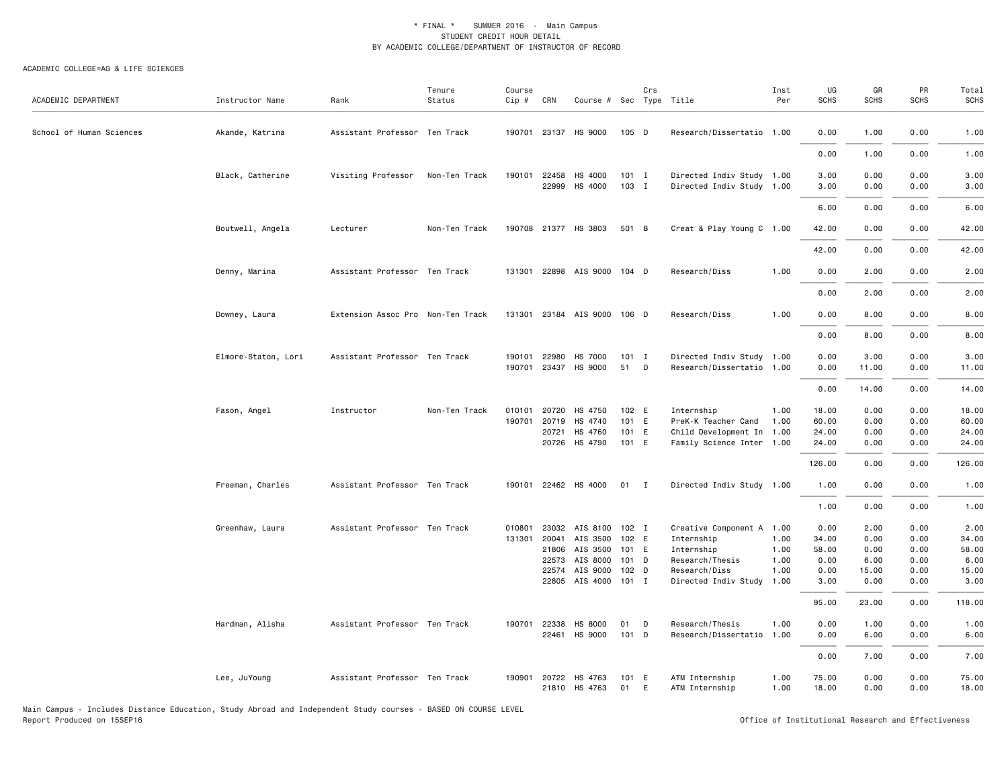| ACADEMIC DEPARTMENT      | Instructor Name     | Rank                              | Tenure<br>Status | Course<br>Cip #  | CRN                                              | Course # Sec Type Title                                                          |                                           | Crs |                                                                                                                        | Inst<br>Per                  | UG<br><b>SCHS</b>                                       | GR<br><b>SCHS</b>                                      | PR<br><b>SCHS</b>                                    | Total<br><b>SCHS</b>                                      |
|--------------------------|---------------------|-----------------------------------|------------------|------------------|--------------------------------------------------|----------------------------------------------------------------------------------|-------------------------------------------|-----|------------------------------------------------------------------------------------------------------------------------|------------------------------|---------------------------------------------------------|--------------------------------------------------------|------------------------------------------------------|-----------------------------------------------------------|
| School of Human Sciences | Akande, Katrina     | Assistant Professor Ten Track     |                  |                  |                                                  | 190701 23137 HS 9000                                                             | 105 D                                     |     | Research/Dissertatio 1.00                                                                                              |                              | 0.00                                                    | 1.00                                                   | 0.00                                                 | 1.00                                                      |
|                          |                     |                                   |                  |                  |                                                  |                                                                                  |                                           |     |                                                                                                                        |                              | 0.00                                                    | 1.00                                                   | 0.00                                                 | 1.00                                                      |
|                          | Black, Catherine    | Visiting Professor                | Non-Ten Track    |                  | 190101 22458<br>22999                            | HS 4000<br>HS 4000                                                               | $101$ I<br>103 I                          |     | Directed Indiv Study 1.00<br>Directed Indiv Study 1.00                                                                 |                              | 3.00<br>3.00                                            | 0.00<br>0.00                                           | 0.00<br>0.00                                         | 3.00<br>3.00                                              |
|                          |                     |                                   |                  |                  |                                                  |                                                                                  |                                           |     |                                                                                                                        |                              | 6.00                                                    | 0.00                                                   | 0.00                                                 | 6.00                                                      |
|                          | Boutwell, Angela    | Lecturer                          | Non-Ten Track    | 190708           |                                                  | 21377 HS 3803                                                                    | 501 B                                     |     | Creat & Play Young C 1.00                                                                                              |                              | 42.00                                                   | 0.00                                                   | 0.00                                                 | 42.00                                                     |
|                          |                     |                                   |                  |                  |                                                  |                                                                                  |                                           |     |                                                                                                                        |                              | 42.00                                                   | 0.00                                                   | 0.00                                                 | 42.00                                                     |
|                          | Denny, Marina       | Assistant Professor Ten Track     |                  |                  |                                                  | 131301 22898 AIS 9000 104 D                                                      |                                           |     | Research/Diss                                                                                                          | 1.00                         | 0.00                                                    | 2.00                                                   | 0.00                                                 | 2.00                                                      |
|                          |                     |                                   |                  |                  |                                                  |                                                                                  |                                           |     |                                                                                                                        |                              | 0.00                                                    | 2.00                                                   | 0.00                                                 | 2.00                                                      |
|                          | Downey, Laura       | Extension Assoc Pro Non-Ten Track |                  |                  |                                                  | 131301 23184 AIS 9000 106 D                                                      |                                           |     | Research/Diss                                                                                                          | 1.00                         | 0.00                                                    | 8.00                                                   | 0.00                                                 | 8.00                                                      |
|                          |                     |                                   |                  |                  |                                                  |                                                                                  |                                           |     |                                                                                                                        |                              | 0.00                                                    | 8.00                                                   | 0.00                                                 | 8.00                                                      |
|                          | Elmore-Staton, Lori | Assistant Professor Ten Track     |                  | 190701           | 190101 22980<br>23437                            | HS 7000<br>HS 9000                                                               | $101$ I<br>51                             | D   | Directed Indiv Study 1.00<br>Research/Dissertatio 1.00                                                                 |                              | 0.00<br>0.00                                            | 3.00<br>11.00                                          | 0.00<br>0.00                                         | 3.00<br>11.00                                             |
|                          |                     |                                   |                  |                  |                                                  |                                                                                  |                                           |     |                                                                                                                        |                              | 0.00                                                    | 14.00                                                  | 0.00                                                 | 14.00                                                     |
|                          | Fason, Angel        | Instructor                        | Non-Ten Track    | 010101<br>190701 | 20720<br>20719<br>20721<br>20726                 | HS 4750<br>HS 4740<br>HS 4760<br>HS 4790                                         | 102 E<br>101 E<br>101 E<br>101 E          |     | Internship<br>PreK-K Teacher Cand 1.00<br>Child Development In 1.00<br>Family Science Inter 1.00                       | 1.00                         | 18.00<br>60.00<br>24.00<br>24.00<br>126.00              | 0.00<br>0.00<br>0.00<br>0.00<br>0.00                   | 0.00<br>0.00<br>0.00<br>0.00<br>0.00                 | 18.00<br>60.00<br>24.00<br>24.00<br>126.00                |
|                          | Freeman, Charles    | Assistant Professor Ten Track     |                  |                  |                                                  | 190101 22462 HS 4000                                                             | $01$ I                                    |     | Directed Indiv Study 1.00                                                                                              |                              | 1.00                                                    | 0.00                                                   | 0.00                                                 | 1.00                                                      |
|                          |                     |                                   |                  |                  |                                                  |                                                                                  |                                           |     |                                                                                                                        |                              | 1.00                                                    | 0.00                                                   | 0.00                                                 | 1.00                                                      |
|                          | Greenhaw, Laura     | Assistant Professor Ten Track     |                  | 010801           | 23032<br>131301 20041<br>21806<br>22573<br>22574 | AIS 8100<br>AIS 3500<br>AIS 3500<br>AIS 8000<br>AIS 9000<br>22805 AIS 4000 101 I | 102 I<br>102 E<br>101 E<br>101 D<br>102 D |     | Creative Component A 1.00<br>Internship<br>Internship<br>Research/Thesis<br>Research/Diss<br>Directed Indiv Study 1.00 | 1.00<br>1.00<br>1.00<br>1.00 | 0.00<br>34.00<br>58.00<br>0.00<br>0.00<br>3.00<br>95.00 | 2.00<br>0.00<br>0.00<br>6.00<br>15.00<br>0.00<br>23.00 | 0.00<br>0.00<br>0.00<br>0.00<br>0.00<br>0.00<br>0.00 | 2.00<br>34.00<br>58.00<br>6.00<br>15.00<br>3.00<br>118.00 |
|                          | Hardman, Alisha     | Assistant Professor Ten Track     |                  |                  | 190701 22338<br>22461                            | HS 8000<br>HS 9000                                                               | 01<br>101 D                               | D   | Research/Thesis<br>Research/Dissertatio 1.00                                                                           | 1.00                         | 0.00<br>0.00                                            | 1.00<br>6.00                                           | 0.00<br>0.00                                         | 1.00<br>6.00                                              |
|                          |                     |                                   |                  |                  |                                                  |                                                                                  |                                           |     |                                                                                                                        |                              | 0.00                                                    | 7.00                                                   | 0.00                                                 | 7.00                                                      |
|                          | Lee, JuYoung        | Assistant Professor Ten Track     |                  |                  | 190901 20722                                     | HS 4763<br>21810 HS 4763                                                         | 101 E<br>01                               | E   | ATM Internship<br>ATM Internship                                                                                       | 1.00<br>1.00                 | 75.00<br>18.00                                          | 0.00<br>0.00                                           | 0.00<br>0.00                                         | 75.00<br>18.00                                            |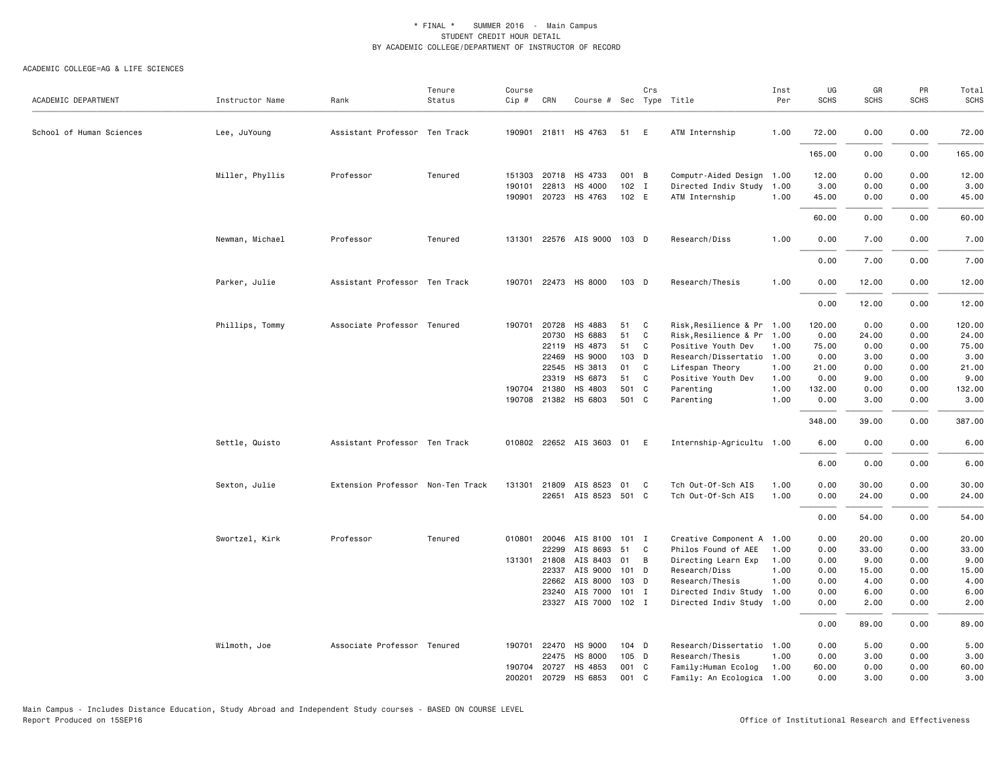| ACADEMIC DEPARTMENT      | Instructor Name | Rank                              | Tenure<br>Status | Course<br>Cip # | CRN          | Course # Sec Type Title     |         | Crs          |                            | Inst<br>Per | UG<br><b>SCHS</b> | GR<br><b>SCHS</b> | PR<br><b>SCHS</b> | Total<br><b>SCHS</b> |
|--------------------------|-----------------|-----------------------------------|------------------|-----------------|--------------|-----------------------------|---------|--------------|----------------------------|-------------|-------------------|-------------------|-------------------|----------------------|
|                          |                 |                                   |                  |                 |              |                             |         |              |                            |             |                   |                   |                   |                      |
| School of Human Sciences | Lee, JuYoung    | Assistant Professor Ten Track     |                  |                 |              | 190901 21811 HS 4763        | 51 E    |              | ATM Internship             | 1.00        | 72.00             | 0.00              | 0.00              | 72.00                |
|                          |                 |                                   |                  |                 |              |                             |         |              |                            |             | 165.00            | 0.00              | 0.00              | 165.00               |
|                          | Miller, Phyllis | Professor                         | Tenured          |                 | 151303 20718 | HS 4733                     | 001 B   |              | Computr-Aided Design 1.00  |             | 12.00             | 0.00              | 0.00              | 12.00                |
|                          |                 |                                   |                  | 190101          | 22813        | HS 4000                     | 102     | $\mathbf{I}$ | Directed Indiv Study       | 1.00        | 3.00              | 0.00              | 0.00              | 3.00                 |
|                          |                 |                                   |                  |                 | 190901 20723 | HS 4763                     | 102 E   |              | ATM Internship             | 1.00        | 45.00             | 0.00              | 0.00              | 45.00                |
|                          |                 |                                   |                  |                 |              |                             |         |              |                            |             | 60.00             | 0.00              | 0.00              | 60.00                |
|                          | Newman, Michael | Professor                         | Tenured          |                 |              | 131301 22576 AIS 9000 103 D |         |              | Research/Diss              | 1.00        | 0.00              | 7.00              | 0.00              | 7.00                 |
|                          |                 |                                   |                  |                 |              |                             |         |              |                            |             | 0.00              | 7.00              | 0.00              | 7.00                 |
|                          | Parker, Julie   | Assistant Professor Ten Track     |                  | 190701          |              | 22473 HS 8000               | 103 D   |              | Research/Thesis            | 1.00        | 0.00              | 12.00             | 0.00              | 12.00                |
|                          |                 |                                   |                  |                 |              |                             |         |              |                            |             | 0.00              | 12.00             | 0.00              | 12.00                |
|                          | Phillips, Tommy | Associate Professor Tenured       |                  |                 | 190701 20728 | HS 4883                     | 51      | C            | Risk, Resilience & Pr 1.00 |             | 120.00            | 0.00              | 0.00              | 120.00               |
|                          |                 |                                   |                  |                 | 20730        | HS 6883                     | 51      | C            | Risk, Resilience & Pr 1.00 |             | 0.00              | 24.00             | 0.00              | 24.00                |
|                          |                 |                                   |                  |                 | 22119        | HS 4873                     | 51      | C            | Positive Youth Dev         | 1.00        | 75.00             | 0.00              | 0.00              | 75.00                |
|                          |                 |                                   |                  |                 | 22469        | HS 9000                     | 103 D   |              | Research/Dissertatio 1.00  |             | 0.00              | 3.00              | 0.00              | 3.00                 |
|                          |                 |                                   |                  |                 | 22545        | HS 3813                     | 01      | C            | Lifespan Theory            | 1.00        | 21.00             | 0.00              | 0.00              | 21.00                |
|                          |                 |                                   |                  |                 | 23319        | HS 6873                     | 51      | C            | Positive Youth Dev         | 1.00        | 0.00              | 9.00              | 0.00              | 9.00                 |
|                          |                 |                                   |                  |                 | 190704 21380 | HS 4803                     | 501     | C            | Parenting                  | 1.00        | 132.00            | 0.00              | 0.00              | 132.00               |
|                          |                 |                                   |                  |                 | 190708 21382 | HS 6803                     | 501 C   |              | Parenting                  | 1.00        | 0.00              | 3.00              | 0.00              | 3.00                 |
|                          |                 |                                   |                  |                 |              |                             |         |              |                            |             | 348.00            | 39.00             | 0.00              | 387.00               |
|                          | Settle, Quisto  | Assistant Professor Ten Track     |                  |                 |              | 010802 22652 AIS 3603 01 E  |         |              | Internship-Agricultu 1.00  |             | 6.00              | 0.00              | 0.00              | 6.00                 |
|                          |                 |                                   |                  |                 |              |                             |         |              |                            |             | 6.00              | 0.00              | 0.00              | 6.00                 |
|                          | Sexton, Julie   | Extension Professor Non-Ten Track |                  | 131301          | 21809        | AIS 8523                    | 01      | C            | Tch Out-Of-Sch AIS         | 1.00        | 0.00              | 30.00             | 0.00              | 30.00                |
|                          |                 |                                   |                  |                 | 22651        | AIS 8523 501 C              |         |              | Tch Out-Of-Sch AIS         | 1.00        | 0.00              | 24.00             | 0.00              | 24.00                |
|                          |                 |                                   |                  |                 |              |                             |         |              |                            |             | 0.00              | 54.00             | 0.00              | 54.00                |
|                          | Swortzel, Kirk  | Professor                         | Tenured          | 010801          | 20046        | AIS 8100                    | $101$ I |              | Creative Component A 1.00  |             | 0.00              | 20.00             | 0.00              | 20.00                |
|                          |                 |                                   |                  |                 | 22299        | AIS 8693                    | 51      | C            | Philos Found of AEE        | 1.00        | 0.00              | 33.00             | 0.00              | 33.00                |
|                          |                 |                                   |                  |                 | 131301 21808 | AIS 8403                    | 01      | B            | Directing Learn Exp        | 1.00        | 0.00              | 9.00              | 0.00              | 9.00                 |
|                          |                 |                                   |                  |                 | 22337        | AIS 9000                    | $101$ D |              | Research/Diss              | 1.00        | 0.00              | 15.00             | 0.00              | 15.00                |
|                          |                 |                                   |                  |                 | 22662        | AIS 8000                    | $103$ D |              | Research/Thesis            | 1.00        | 0.00              | 4.00              | 0.00              | 4.00                 |
|                          |                 |                                   |                  |                 | 23240        | AIS 7000                    | $101$ I |              | Directed Indiv Study 1.00  |             | 0.00              | 6.00              | 0.00              | 6.00                 |
|                          |                 |                                   |                  |                 |              | 23327 AIS 7000 102 I        |         |              | Directed Indiv Study 1.00  |             | 0.00              | 2.00              | 0.00              | 2.00                 |
|                          |                 |                                   |                  |                 |              |                             |         |              |                            |             | 0.00              | 89.00             | 0.00              | 89.00                |
|                          | Wilmoth, Joe    | Associate Professor Tenured       |                  |                 | 190701 22470 | HS 9000                     | 104 D   |              | Research/Dissertatio 1.00  |             | 0.00              | 5.00              | 0.00              | 5.00                 |
|                          |                 |                                   |                  |                 | 22475        | HS 8000                     | 105 D   |              | Research/Thesis            | 1.00        | 0.00              | 3.00              | 0.00              | 3.00                 |
|                          |                 |                                   |                  | 190704          | 20727        | HS 4853                     | 001 C   |              | Family: Human Ecolog       | 1.00        | 60.00             | 0.00              | 0.00              | 60.00                |
|                          |                 |                                   |                  | 200201          | 20729        | HS 6853                     | 001     | C            | Family: An Ecologica 1.00  |             | 0.00              | 3.00              | 0.00              | 3.00                 |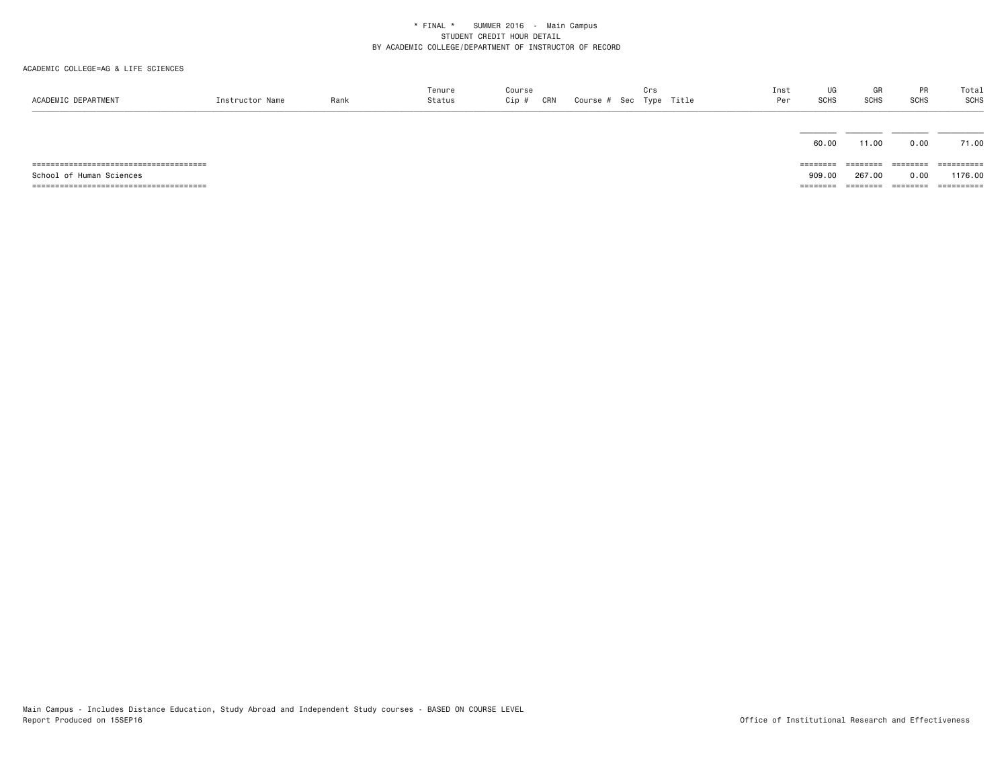| ACADEMIC DEPARTMENT      | Instructor Name | Rank | Tenure<br>Status | Course<br>Cip #<br>CRN | Crs | Course # Sec Type Title | Inst<br>Per | UG<br>SCHS | GR<br><b>SCHS</b> | PR<br><b>SCHS</b> | Total<br>SCHS |
|--------------------------|-----------------|------|------------------|------------------------|-----|-------------------------|-------------|------------|-------------------|-------------------|---------------|
|                          |                 |      |                  |                        |     |                         |             | 60.00      | 11.00             | 0.00              | 71.00         |
|                          |                 |      |                  |                        |     |                         |             | ========   | ---------         | --------          | ==========    |
| School of Human Sciences |                 |      |                  |                        |     |                         |             | 909.00     | 267.00            | 0.00              | 1176.00       |
|                          |                 |      |                  |                        |     |                         |             | ========   | ========          | ========          | ==========    |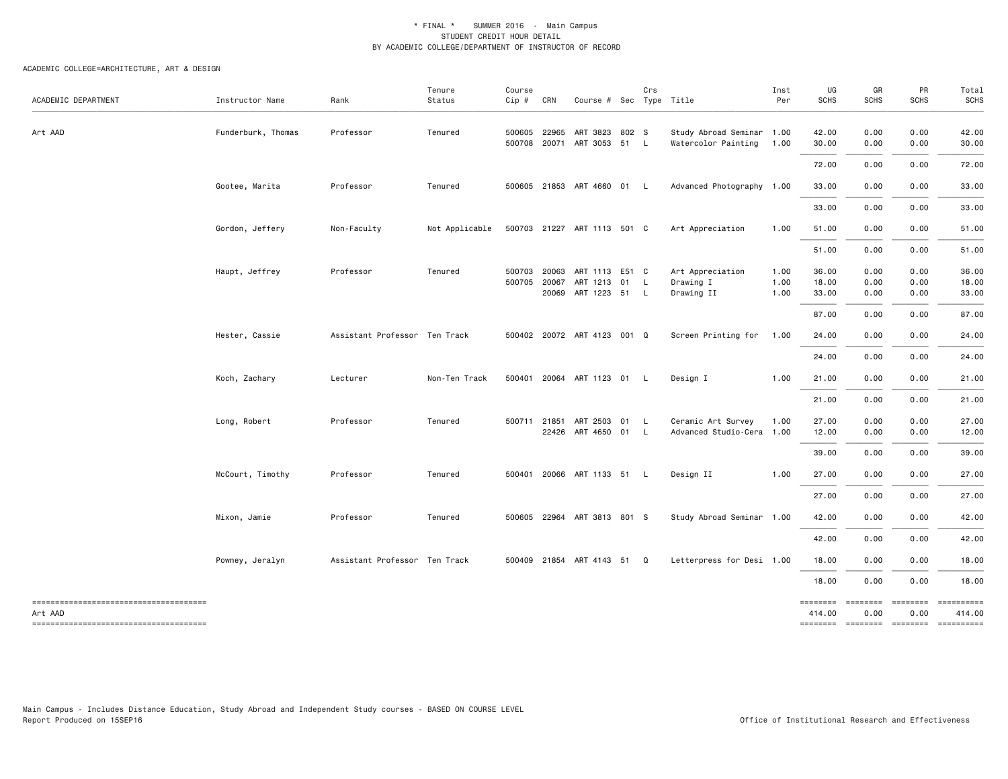| ACADEMIC DEPARTMENT                                                                        | Instructor Name    | Rank                          | Tenure<br>Status | Course<br>Cip #  | CRN            | Course # Sec Type Title                                | Crs |                                                  | Inst<br>Per          | UG<br><b>SCHS</b>                | GR<br><b>SCHS</b>                                    | PR<br><b>SCHS</b>            | Total<br><b>SCHS</b>             |
|--------------------------------------------------------------------------------------------|--------------------|-------------------------------|------------------|------------------|----------------|--------------------------------------------------------|-----|--------------------------------------------------|----------------------|----------------------------------|------------------------------------------------------|------------------------------|----------------------------------|
| Art AAD                                                                                    | Funderburk, Thomas | Professor                     | Tenured          | 500605           | 22965          | ART 3823 802 S<br>500708 20071 ART 3053 51 L           |     | Study Abroad Seminar 1.00<br>Watercolor Painting | 1.00                 | 42.00<br>30.00                   | 0.00<br>0.00                                         | 0.00<br>0.00                 | 42.00<br>30.00                   |
|                                                                                            |                    |                               |                  |                  |                |                                                        |     |                                                  |                      | 72.00                            | 0.00                                                 | 0.00                         | 72.00                            |
|                                                                                            | Gootee, Marita     | Professor                     | Tenured          |                  |                | 500605 21853 ART 4660 01 L                             |     | Advanced Photography 1.00                        |                      | 33.00                            | 0.00                                                 | 0.00                         | 33.00                            |
|                                                                                            |                    |                               |                  |                  |                |                                                        |     |                                                  |                      | 33.00                            | 0.00                                                 | 0.00                         | 33.00                            |
|                                                                                            | Gordon, Jeffery    | Non-Faculty                   | Not Applicable   |                  |                | 500703 21227 ART 1113 501 C                            |     | Art Appreciation                                 | 1.00                 | 51.00                            | 0.00                                                 | 0.00                         | 51.00                            |
|                                                                                            |                    |                               |                  |                  |                |                                                        |     |                                                  |                      | 51.00                            | 0.00                                                 | 0.00                         | 51.00                            |
|                                                                                            | Haupt, Jeffrey     | Professor                     | Tenured          | 500703<br>500705 | 20063<br>20067 | ART 1113 E51 C<br>ART 1213 01 L<br>20069 ART 1223 51 L |     | Art Appreciation<br>Drawing I<br>Drawing II      | 1.00<br>1.00<br>1.00 | 36.00<br>18.00<br>33.00<br>87.00 | 0.00<br>0.00<br>0.00<br>0.00                         | 0.00<br>0.00<br>0.00<br>0.00 | 36.00<br>18.00<br>33.00<br>87.00 |
|                                                                                            | Hester, Cassie     | Assistant Professor Ten Track |                  |                  |                | 500402 20072 ART 4123 001 Q                            |     | Screen Printing for                              | 1.00                 | 24.00                            | 0.00                                                 | 0.00                         | 24.00                            |
|                                                                                            |                    |                               |                  |                  |                |                                                        |     |                                                  |                      | 24.00                            | 0.00                                                 | 0.00                         | 24.00                            |
|                                                                                            | Koch, Zachary      | Lecturer                      | Non-Ten Track    |                  |                | 500401 20064 ART 1123 01 L                             |     | Design I                                         | 1.00                 | 21.00                            | 0.00                                                 | 0.00                         | 21.00                            |
|                                                                                            |                    |                               |                  |                  |                |                                                        |     |                                                  |                      | 21.00                            | 0.00                                                 | 0.00                         | 21.00                            |
|                                                                                            | Long, Robert       | Professor                     | Tenured          | 500711           | 21851          | ART 2503 01 L<br>22426 ART 4650 01 L                   |     | Ceramic Art Survey<br>Advanced Studio-Cera 1.00  | 1.00                 | 27.00<br>12.00                   | 0.00<br>0.00                                         | 0.00<br>0.00                 | 27.00<br>12.00                   |
|                                                                                            |                    |                               |                  |                  |                |                                                        |     |                                                  |                      | 39.00                            | 0.00                                                 | 0.00                         | 39.00                            |
|                                                                                            | McCourt, Timothy   | Professor                     | Tenured          | 500401           |                | 20066 ART 1133 51 L                                    |     | Design II                                        | 1.00                 | 27.00                            | 0.00                                                 | 0.00                         | 27.00                            |
|                                                                                            |                    |                               |                  |                  |                |                                                        |     |                                                  |                      | 27.00                            | 0.00                                                 | 0.00                         | 27.00                            |
|                                                                                            | Mixon, Jamie       | Professor                     | Tenured          |                  |                | 500605 22964 ART 3813 801 S                            |     | Study Abroad Seminar 1.00                        |                      | 42.00                            | 0.00                                                 | 0.00                         | 42.00                            |
|                                                                                            |                    |                               |                  |                  |                |                                                        |     |                                                  |                      | 42.00                            | 0.00                                                 | 0.00                         | 42.00                            |
|                                                                                            | Powney, Jeralyn    | Assistant Professor Ten Track |                  |                  |                | 500409 21854 ART 4143 51                               | Q   | Letterpress for Desi 1.00                        |                      | 18.00                            | 0.00                                                 | 0.00                         | 18.00                            |
|                                                                                            |                    |                               |                  |                  |                |                                                        |     |                                                  |                      | 18.00                            | 0.00                                                 | 0.00                         | 18.00                            |
| -------------------------------------<br>Art AAD<br>-------------------------------------- |                    |                               |                  |                  |                |                                                        |     |                                                  |                      | 414.00                           | ======== =======<br>0.00<br>-------- ------- ------- | ========<br>0.00             | ==========<br>414.00             |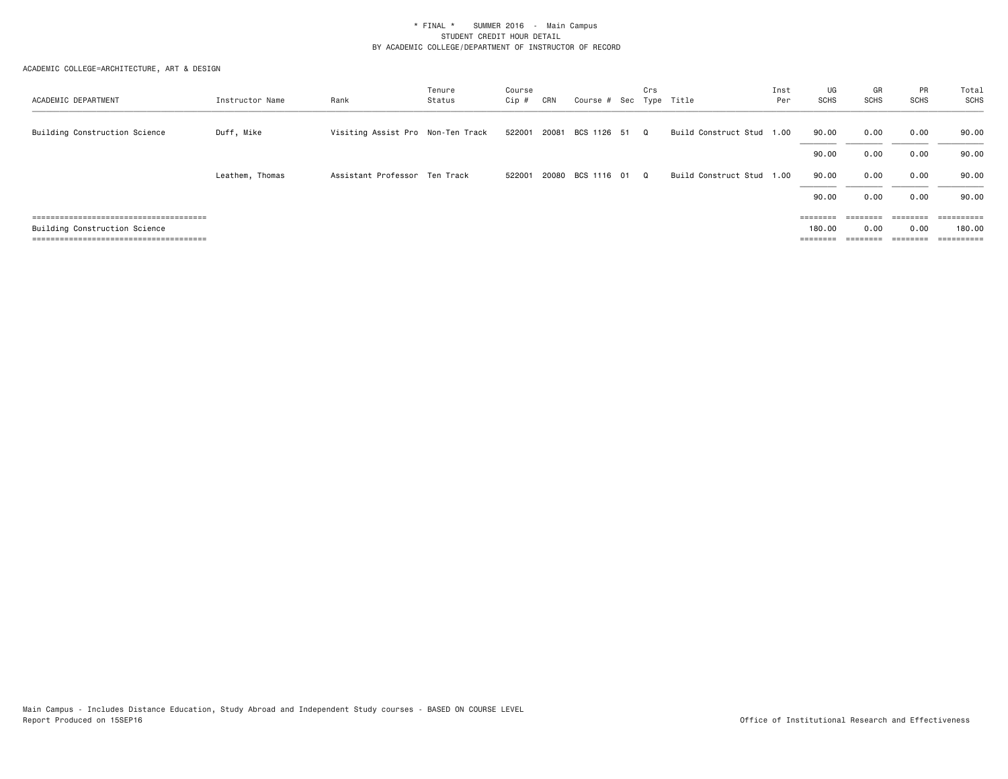| ACADEMIC DEPARTMENT           | Instructor Name | Rank                              | Tenure<br>Status | Course<br>Cip # | CRN   | Course # Sec Type Title    | Crs      |                           | Inst<br>Per | UG<br>SCHS        | GR<br><b>SCHS</b>                                                       | PR<br>SCHS | Total<br><b>SCHS</b>    |
|-------------------------------|-----------------|-----------------------------------|------------------|-----------------|-------|----------------------------|----------|---------------------------|-------------|-------------------|-------------------------------------------------------------------------|------------|-------------------------|
| Building Construction Science | Duff, Mike      | Visiting Assist Pro Non-Ten Track |                  |                 |       | 522001 20081 BCS 1126 51 Q |          | Build Construct Stud      | 1.00        | 90.00             | 0.00                                                                    | 0.00       | 90.00                   |
|                               |                 |                                   |                  |                 |       |                            |          |                           |             | 90.00             | 0.00                                                                    | 0.00       | 90.00                   |
|                               | Leathem, Thomas | Assistant Professor Ten Track     |                  | 522001          | 20080 | BCS 1116 01                | $\Omega$ | Build Construct Stud 1.00 |             | 90.00             | 0.00                                                                    | 0.00       | 90.00                   |
|                               |                 |                                   |                  |                 |       |                            |          |                           |             | 90.00             | 0.00                                                                    | 0.00       | 90.00                   |
|                               |                 |                                   |                  |                 |       |                            |          |                           |             | $=$ = = = = = = = | $\qquad \qquad \equiv \equiv \equiv \equiv \equiv \equiv \equiv \equiv$ | ========   | $=$ = = = = = = = = $=$ |
| Building Construction Science |                 |                                   |                  |                 |       |                            |          |                           |             | 180.00            | 0.00                                                                    | 0.00       | 180.00                  |
|                               |                 |                                   |                  |                 |       |                            |          |                           |             | $=$ = = = = = = = | ========                                                                | ========   | ==========              |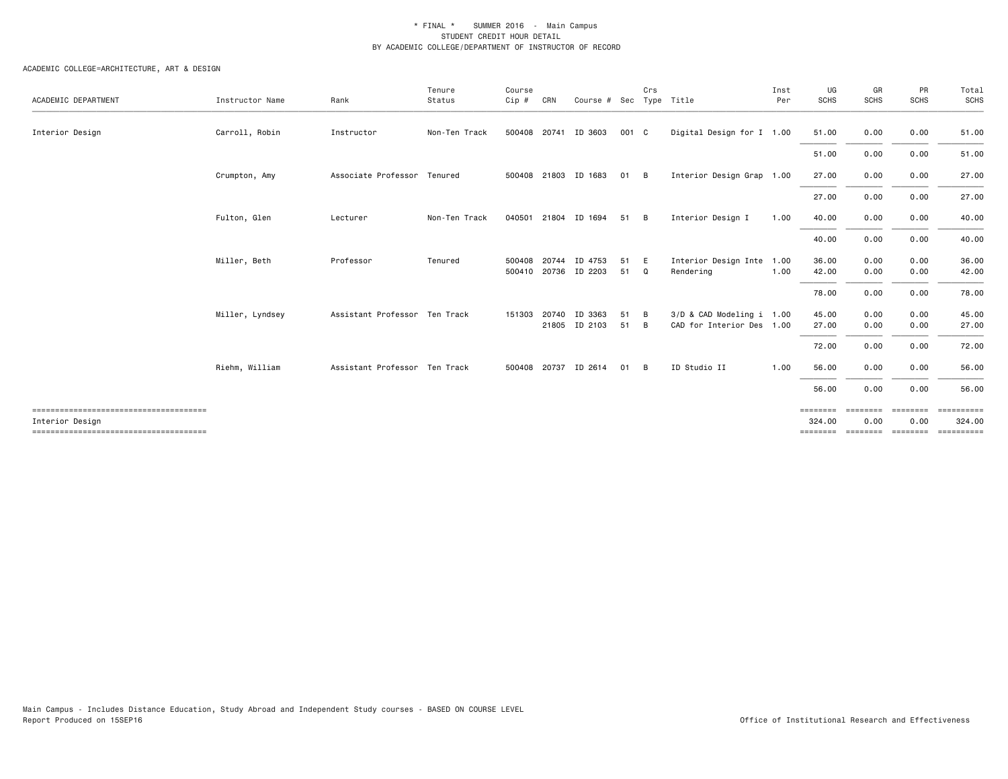| ACADEMIC DEPARTMENT | Instructor Name | Rank                          | Tenure<br>Status | Course<br>Cip #  | CRN   | Course #                 | Sec      | Crs    | Type Title                                             | Inst<br>Per | UG<br><b>SCHS</b>              | GR<br><b>SCHS</b>            | PR<br><b>SCHS</b>                  | Total<br>SCHS                    |
|---------------------|-----------------|-------------------------------|------------------|------------------|-------|--------------------------|----------|--------|--------------------------------------------------------|-------------|--------------------------------|------------------------------|------------------------------------|----------------------------------|
| Interior Design     | Carroll, Robin  | Instructor                    | Non-Ten Track    |                  |       | 500408 20741 ID 3603     | 001 C    |        | Digital Design for I 1.00                              |             | 51.00                          | 0.00                         | 0.00                               | 51.00                            |
|                     |                 |                               |                  |                  |       |                          |          |        |                                                        |             | 51.00                          | 0.00                         | 0.00                               | 51.00                            |
|                     | Crumpton, Amy   | Associate Professor Tenured   |                  |                  |       | 500408 21803 ID 1683     | 01       | B      | Interior Design Grap 1.00                              |             | 27.00                          | 0.00                         | 0.00                               | 27.00                            |
|                     |                 |                               |                  |                  |       |                          |          |        |                                                        |             | 27.00                          | 0.00                         | 0.00                               | 27.00                            |
|                     | Fulton, Glen    | Lecturer                      | Non-Ten Track    |                  |       | 040501 21804 ID 1694     | 51       | B      | Interior Design I                                      | 1.00        | 40.00                          | 0.00                         | 0.00                               | 40.00                            |
|                     |                 |                               |                  |                  |       |                          |          |        |                                                        |             | 40.00                          | 0.00                         | 0.00                               | 40.00                            |
|                     | Miller, Beth    | Professor                     | Tenured          | 500408<br>500410 | 20744 | ID 4753<br>20736 ID 2203 | 51<br>51 | E<br>Q | Interior Design Inte 1.00<br>Rendering                 | 1.00        | 36.00<br>42.00                 | 0.00<br>0.00                 | 0.00<br>0.00                       | 36.00<br>42.00                   |
|                     |                 |                               |                  |                  |       |                          |          |        |                                                        |             | 78.00                          | 0.00                         | 0.00                               | 78.00                            |
|                     | Miller, Lyndsey | Assistant Professor Ten Track |                  | 151303           | 20740 | ID 3363<br>21805 ID 2103 | 51<br>51 | B<br>B | 3/D & CAD Modeling i 1.00<br>CAD for Interior Des 1.00 |             | 45.00<br>27.00                 | 0.00<br>0.00                 | 0.00<br>0.00                       | 45.00<br>27.00                   |
|                     |                 |                               |                  |                  |       |                          |          |        |                                                        |             | 72.00                          | 0.00                         | 0.00                               | 72.00                            |
|                     | Riehm, William  | Assistant Professor Ten Track |                  | 500408           | 20737 | ID 2614                  | 01       | B      | ID Studio II                                           | 1.00        | 56.00                          | 0.00                         | 0.00                               | 56.00                            |
|                     |                 |                               |                  |                  |       |                          |          |        |                                                        |             | 56.00                          | 0.00                         | 0.00                               | 56.00                            |
| Interior Design     |                 |                               |                  |                  |       |                          |          |        |                                                        |             | ========<br>324.00<br>======== | ========<br>0.00<br>======== | ========<br>0.00<br><b>EEEEEEE</b> | ==========<br>324.00<br>EEEEEEEE |
|                     |                 |                               |                  |                  |       |                          |          |        |                                                        |             |                                |                              |                                    |                                  |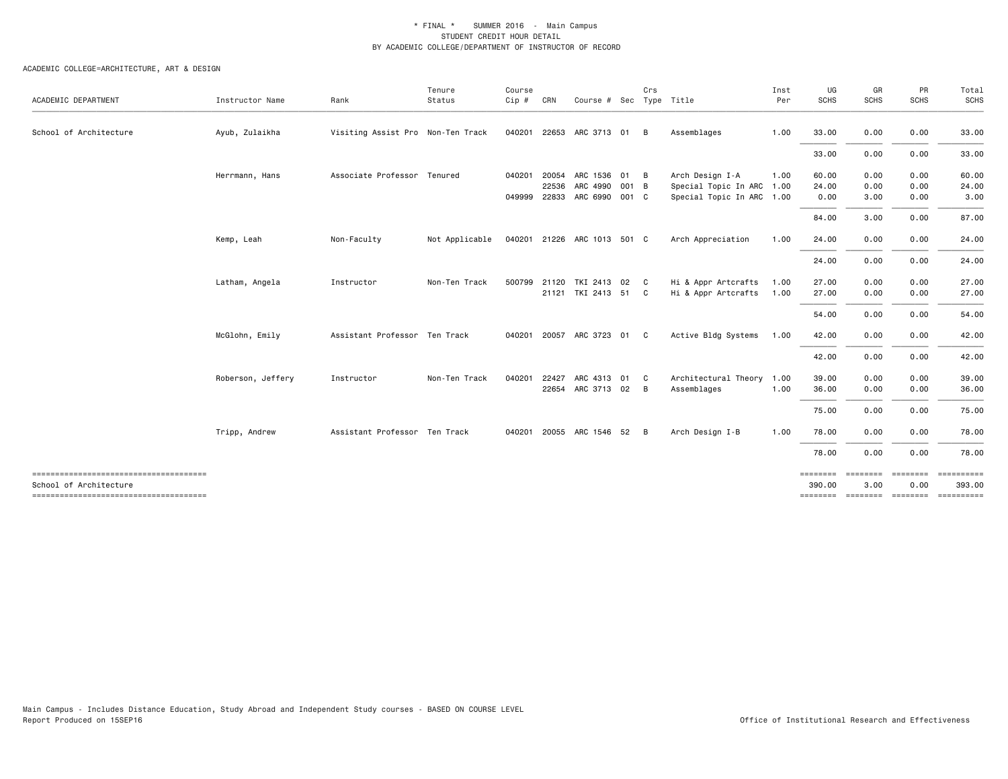|                        |                   |                                   | Tenure         | Course       |       |                             |    | Crs |                           | Inst | UG                 | GR               | PR               | Total<br>SCHS        |
|------------------------|-------------------|-----------------------------------|----------------|--------------|-------|-----------------------------|----|-----|---------------------------|------|--------------------|------------------|------------------|----------------------|
| ACADEMIC DEPARTMENT    | Instructor Name   | Rank                              | Status         | $Cip$ #      | CRN   | Course # Sec Type Title     |    |     |                           | Per  | <b>SCHS</b>        | <b>SCHS</b>      | SCHS             |                      |
| School of Architecture | Ayub, Zulaikha    | Visiting Assist Pro Non-Ten Track |                | 040201       | 22653 | ARC 3713                    | 01 | B   | Assemblages               | 1.00 | 33.00              | 0.00             | 0.00             | 33.00                |
|                        |                   |                                   |                |              |       |                             |    |     |                           |      | 33.00              | 0.00             | 0.00             | 33.00                |
|                        | Herrmann, Hans    | Associate Professor Tenured       |                | 040201       | 20054 | ARC 1536 01 B               |    |     | Arch Design I-A           | 1.00 | 60.00              | 0.00             | 0.00             | 60.00                |
|                        |                   |                                   |                |              | 22536 | ARC 4990 001 B              |    |     | Special Topic In ARC 1.00 |      | 24.00              | 0.00             | 0.00             | 24.00                |
|                        |                   |                                   |                | 049999 22833 |       | ARC 6990 001 C              |    |     | Special Topic In ARC 1.00 |      | 0.00               | 3.00             | 0.00             | 3.00                 |
|                        |                   |                                   |                |              |       |                             |    |     |                           |      | 84.00              | 3.00             | 0.00             | 87.00                |
|                        | Kemp, Leah        | Non-Faculty                       | Not Applicable |              |       | 040201 21226 ARC 1013 501 C |    |     | Arch Appreciation         | 1.00 | 24.00              | 0.00             | 0.00             | 24.00                |
|                        |                   |                                   |                |              |       |                             |    |     |                           |      | 24.00              | 0.00             | 0.00             | 24.00                |
|                        | Latham, Angela    | Instructor                        | Non-Ten Track  |              |       | 500799 21120 TKI 2413 02 C  |    |     | Hi & Appr Artcrafts       | 1.00 | 27.00              | 0.00             | 0.00             | 27.00                |
|                        |                   |                                   |                |              |       | 21121 TKI 2413 51 C         |    |     | Hi & Appr Artcrafts       | 1.00 | 27.00              | 0.00             | 0.00             | 27.00                |
|                        |                   |                                   |                |              |       |                             |    |     |                           |      | 54.00              | 0.00             | 0.00             | 54.00                |
|                        | McGlohn, Emily    | Assistant Professor Ten Track     |                |              |       | 040201 20057 ARC 3723 01 C  |    |     | Active Bldg Systems       | 1.00 | 42.00              | 0.00             | 0.00             | 42.00                |
|                        |                   |                                   |                |              |       |                             |    |     |                           |      | 42.00              | 0.00             | 0.00             | 42.00                |
|                        | Roberson, Jeffery | Instructor                        | Non-Ten Track  | 040201       | 22427 | ARC 4313 01 C               |    |     | Architectural Theory 1.00 |      | 39.00              | 0.00             | 0.00             | 39.00                |
|                        |                   |                                   |                |              | 22654 | ARC 3713 02 B               |    |     | Assemblages               | 1.00 | 36.00              | 0.00             | 0.00             | 36.00                |
|                        |                   |                                   |                |              |       |                             |    |     |                           |      | 75.00              | 0.00             | 0.00             | 75.00                |
|                        | Tripp, Andrew     | Assistant Professor Ten Track     |                |              |       | 040201 20055 ARC 1546 52 B  |    |     | Arch Design I-B           | 1.00 | 78.00              | 0.00             | 0.00             | 78.00                |
|                        |                   |                                   |                |              |       |                             |    |     |                           |      | 78.00              | 0.00             | 0.00             | 78.00                |
| School of Architecture |                   |                                   |                |              |       |                             |    |     |                           |      | ========<br>390.00 | ========<br>3.00 | ========<br>0.00 | ==========<br>393.00 |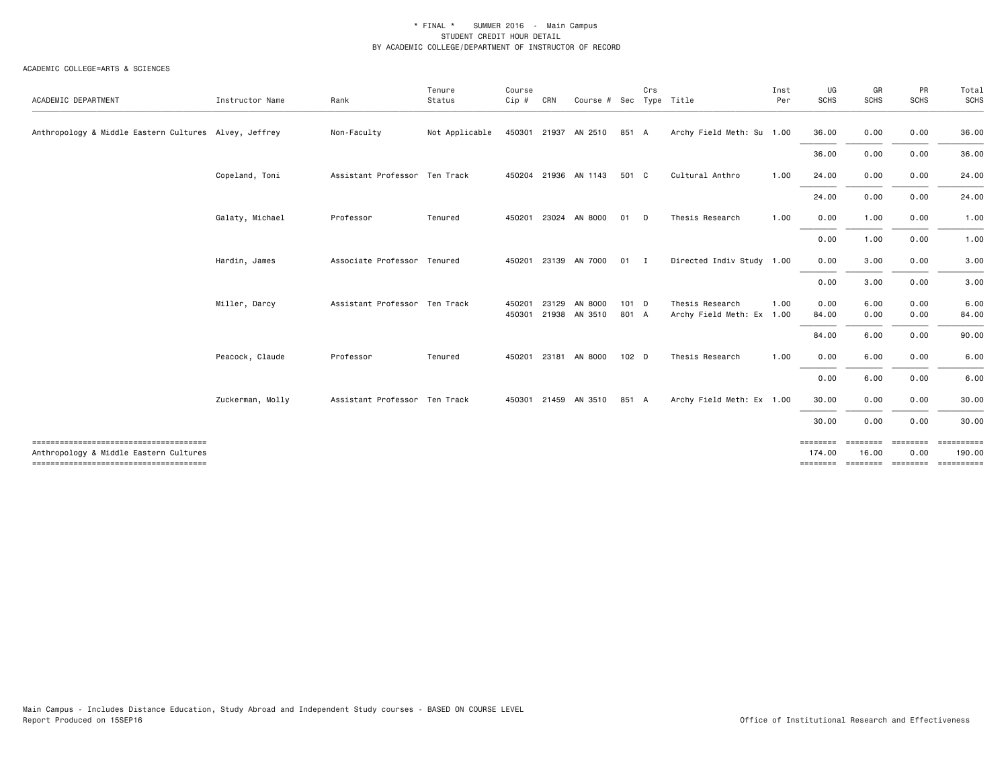#### ACADEMIC COLLEGE=ARTS & SCIENCES

| ACADEMIC DEPARTMENT                                   | Instructor Name  | Rank                          | Tenure<br>Status | Course<br>$Cip$ # | CRN   | Course # Sec Type Title         |                  | Crs |                                              | Inst<br>Per | UG<br><b>SCHS</b>              | GR<br><b>SCHS</b>             | PR<br><b>SCHS</b>            | Total<br><b>SCHS</b>                |
|-------------------------------------------------------|------------------|-------------------------------|------------------|-------------------|-------|---------------------------------|------------------|-----|----------------------------------------------|-------------|--------------------------------|-------------------------------|------------------------------|-------------------------------------|
| Anthropology & Middle Eastern Cultures Alvey, Jeffrey |                  | Non-Faculty                   | Not Applicable   |                   |       | 450301 21937 AN 2510            | 851 A            |     | Archy Field Meth: Su 1.00                    |             | 36.00                          | 0.00                          | 0.00                         | 36.00                               |
|                                                       |                  |                               |                  |                   |       |                                 |                  |     |                                              |             | 36.00                          | 0.00                          | 0.00                         | 36.00                               |
|                                                       | Copeland, Toni   | Assistant Professor Ten Track |                  |                   |       | 450204 21936 AN 1143            | 501 C            |     | Cultural Anthro                              | 1.00        | 24.00                          | 0.00                          | 0.00                         | 24.00                               |
|                                                       |                  |                               |                  |                   |       |                                 |                  |     |                                              |             | 24.00                          | 0.00                          | 0.00                         | 24.00                               |
|                                                       | Galaty, Michael  | Professor                     | Tenured          |                   |       | 450201 23024 AN 8000            | 01 D             |     | Thesis Research                              | 1.00        | 0.00                           | 1.00                          | 0.00                         | 1.00                                |
|                                                       |                  |                               |                  |                   |       |                                 |                  |     |                                              |             | 0.00                           | 1.00                          | 0.00                         | 1.00                                |
|                                                       | Hardin, James    | Associate Professor Tenured   |                  |                   |       | 450201 23139 AN 7000            | $01$ I           |     | Directed Indiv Study 1.00                    |             | 0.00                           | 3.00                          | 0.00                         | 3.00                                |
|                                                       |                  |                               |                  |                   |       |                                 |                  |     |                                              |             | 0.00                           | 3.00                          | 0.00                         | 3.00                                |
|                                                       | Miller, Darcy    | Assistant Professor Ten Track |                  | 450201            | 23129 | AN 8000<br>450301 21938 AN 3510 | $101$ D<br>801 A |     | Thesis Research<br>Archy Field Meth: Ex 1.00 | 1.00        | 0.00<br>84.00                  | 6.00<br>0.00                  | 0.00<br>0.00                 | 6.00<br>84.00                       |
|                                                       |                  |                               |                  |                   |       |                                 |                  |     |                                              |             | 84.00                          | 6.00                          | 0.00                         | 90.00                               |
|                                                       | Peacock, Claude  | Professor                     | Tenured          |                   |       | 450201 23181 AN 8000            | 102 D            |     | Thesis Research                              | 1.00        | 0.00                           | 6.00                          | 0.00                         | 6.00                                |
|                                                       |                  |                               |                  |                   |       |                                 |                  |     |                                              |             | 0.00                           | 6.00                          | 0.00                         | 6.00                                |
|                                                       | Zuckerman, Molly | Assistant Professor Ten Track |                  |                   |       | 450301 21459 AN 3510            | 851 A            |     | Archy Field Meth: Ex 1.00                    |             | 30.00                          | 0.00                          | 0.00                         | 30.00                               |
|                                                       |                  |                               |                  |                   |       |                                 |                  |     |                                              |             | 30.00                          | 0.00                          | 0.00                         | 30.00                               |
| Anthropology & Middle Eastern Cultures                |                  |                               |                  |                   |       |                                 |                  |     |                                              |             | ========<br>174.00<br>======== | ========<br>16.00<br>======== | ========<br>0.00<br>======== | ==========<br>190,00<br>----------- |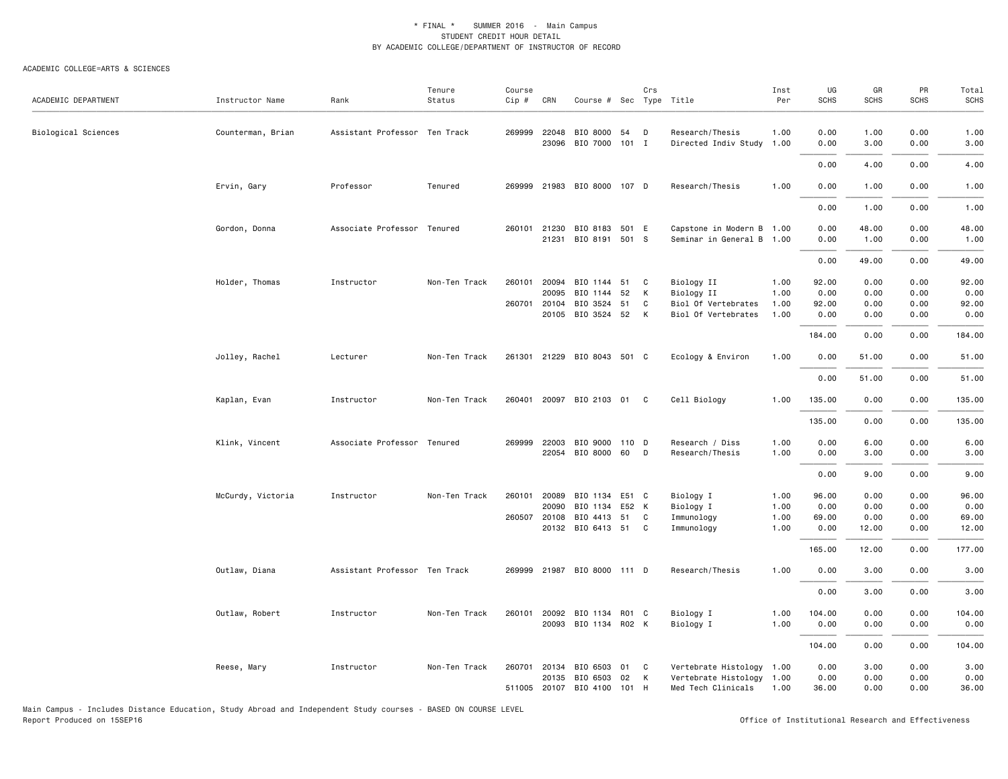#### ACADEMIC COLLEGE=ARTS & SCIENCES

| ACADEMIC DEPARTMENT | Instructor Name   | Rank                          | Tenure<br>Status | Course<br>Cip # | CRN          | Course # Sec Type Title     |     | Crs |                           | Inst<br>Per | UG<br><b>SCHS</b> | GR<br><b>SCHS</b> | PR<br><b>SCHS</b> | Total<br><b>SCHS</b> |
|---------------------|-------------------|-------------------------------|------------------|-----------------|--------------|-----------------------------|-----|-----|---------------------------|-------------|-------------------|-------------------|-------------------|----------------------|
| Biological Sciences | Counterman, Brian | Assistant Professor Ten Track |                  | 269999 22048    |              | BIO 8000 54                 |     | D   | Research/Thesis           | 1.00        | 0.00              | 1.00              | 0.00              | 1.00                 |
|                     |                   |                               |                  |                 | 23096        | BIO 7000 101 I              |     |     | Directed Indiv Study 1.00 |             | 0.00              | 3.00              | 0.00              | 3.00                 |
|                     |                   |                               |                  |                 |              |                             |     |     |                           |             | 0.00              | 4.00              | 0.00              | 4.00                 |
|                     | Ervin, Gary       | Professor                     | Tenured          | 269999          |              | 21983 BIO 8000 107 D        |     |     | Research/Thesis           | 1.00        | 0.00              | 1.00              | 0.00              | 1.00                 |
|                     |                   |                               |                  |                 |              |                             |     |     |                           |             | 0.00              | 1.00              | 0.00              | 1.00                 |
|                     | Gordon, Donna     | Associate Professor Tenured   |                  | 260101          | 21230        | BIO 8183 501 E              |     |     | Capstone in Modern B 1.00 |             | 0.00              | 48.00             | 0.00              | 48.00                |
|                     |                   |                               |                  |                 |              | 21231 BIO 8191 501 S        |     |     | Seminar in General B 1.00 |             | 0.00              | 1.00              | 0.00              | 1.00                 |
|                     |                   |                               |                  |                 |              |                             |     |     |                           |             | 0.00              | 49.00             | 0.00              | 49.00                |
|                     | Holder, Thomas    | Instructor                    | Non-Ten Track    | 260101          | 20094        | BIO 1144                    | 51  | C   | Biology II                | 1.00        | 92.00             | 0.00              | 0.00              | 92.00                |
|                     |                   |                               |                  |                 | 20095        | BIO 1144 52                 |     | К   | Biology II                | 1.00        | 0.00              | 0.00              | 0.00              | 0.00                 |
|                     |                   |                               |                  | 260701          | 20104        | BIO 3524 51                 |     | C   | Biol Of Vertebrates       | 1.00        | 92.00             | 0.00              | 0.00              | 92.00                |
|                     |                   |                               |                  |                 |              | 20105 BIO 3524 52           |     | K   | Biol Of Vertebrates       | 1.00        | 0.00              | 0.00              | 0.00              | 0.00                 |
|                     |                   |                               |                  |                 |              |                             |     |     |                           |             | 184.00            | 0.00              | 0.00              | 184.00               |
|                     | Jolley, Rachel    | Lecturer                      | Non-Ten Track    |                 |              | 261301 21229 BIO 8043 501 C |     |     | Ecology & Environ         | 1.00        | 0.00              | 51.00             | 0.00              | 51.00                |
|                     |                   |                               |                  |                 |              |                             |     |     |                           |             | 0.00              | 51.00             | 0.00              | 51.00                |
|                     | Kaplan, Evan      | Instructor                    | Non-Ten Track    | 260401          |              | 20097 BIO 2103 01           |     | C   | Cell Biology              | 1.00        | 135.00            | 0.00              | 0.00              | 135.00               |
|                     |                   |                               |                  |                 |              |                             |     |     |                           |             | 135.00            | 0.00              | 0.00              | 135.00               |
|                     | Klink, Vincent    | Associate Professor Tenured   |                  | 269999          | 22003        | BIO 9000 110 D              |     |     | Research / Diss           | 1.00        | 0.00              | 6.00              | 0.00              | 6.00                 |
|                     |                   |                               |                  |                 |              | 22054 BIO 8000 60           |     | D   | Research/Thesis           | 1.00        | 0.00              | 3.00              | 0.00              | 3.00                 |
|                     |                   |                               |                  |                 |              |                             |     |     |                           |             |                   |                   |                   |                      |
|                     |                   |                               |                  |                 |              |                             |     |     |                           |             | 0.00              | 9.00              | 0.00              | 9.00                 |
|                     | McCurdy, Victoria | Instructor                    | Non-Ten Track    | 260101          | 20089        | BIO 1134 E51 C              |     |     | Biology I                 | 1.00        | 96.00             | 0.00              | 0.00              | 96.00                |
|                     |                   |                               |                  |                 | 20090        | BIO 1134 E52 K              |     |     | Biology I                 | 1.00        | 0.00              | 0.00              | 0.00              | 0.00                 |
|                     |                   |                               |                  |                 | 260507 20108 | BIO 4413 51                 |     | C   | Immunology                | 1.00        | 69.00             | 0.00              | 0.00              | 69.00                |
|                     |                   |                               |                  |                 |              | 20132 BIO 6413 51           |     | C   | Immunology                | 1.00        | 0.00              | 12.00             | 0.00              | 12.00                |
|                     |                   |                               |                  |                 |              |                             |     |     |                           |             | 165.00            | 12.00             | 0.00              | 177.00               |
|                     | Outlaw, Diana     | Assistant Professor Ten Track |                  |                 |              | 269999 21987 BIO 8000 111 D |     |     | Research/Thesis           | 1.00        | 0.00              | 3.00              | 0.00              | 3.00                 |
|                     |                   |                               |                  |                 |              |                             |     |     |                           |             | 0.00              | 3.00              | 0.00              | 3.00                 |
|                     | Outlaw, Robert    | Instructor                    | Non-Ten Track    | 260101          |              | 20092 BIO 1134 R01 C        |     |     | Biology I                 | 1.00        | 104.00            | 0.00              | 0.00              | 104.00               |
|                     |                   |                               |                  |                 |              | 20093 BIO 1134 R02 K        |     |     | Biology I                 | 1.00        | 0.00              | 0.00              | 0.00              | 0.00                 |
|                     |                   |                               |                  |                 |              |                             |     |     |                           |             | 104.00            | 0.00              | 0.00              | 104.00               |
|                     | Reese, Mary       | Instructor                    | Non-Ten Track    | 260701          |              | 20134 BIO 6503              | 01  | C   | Vertebrate Histology 1.00 |             | 0.00              | 3.00              | 0.00              | 3.00                 |
|                     |                   |                               |                  |                 | 20135        | BIO 6503 02                 |     | K   | Vertebrate Histology      | 1.00        | 0.00              | 0.00              | 0.00              | 0.00                 |
|                     |                   |                               |                  |                 |              | 511005 20107 BIO 4100       | 101 | H   | Med Tech Clinicals        | 1.00        | 36.00             | 0.00              | 0.00              | 36.00                |

Main Campus - Includes Distance Education, Study Abroad and Independent Study courses - BASED ON COURSE LEVEL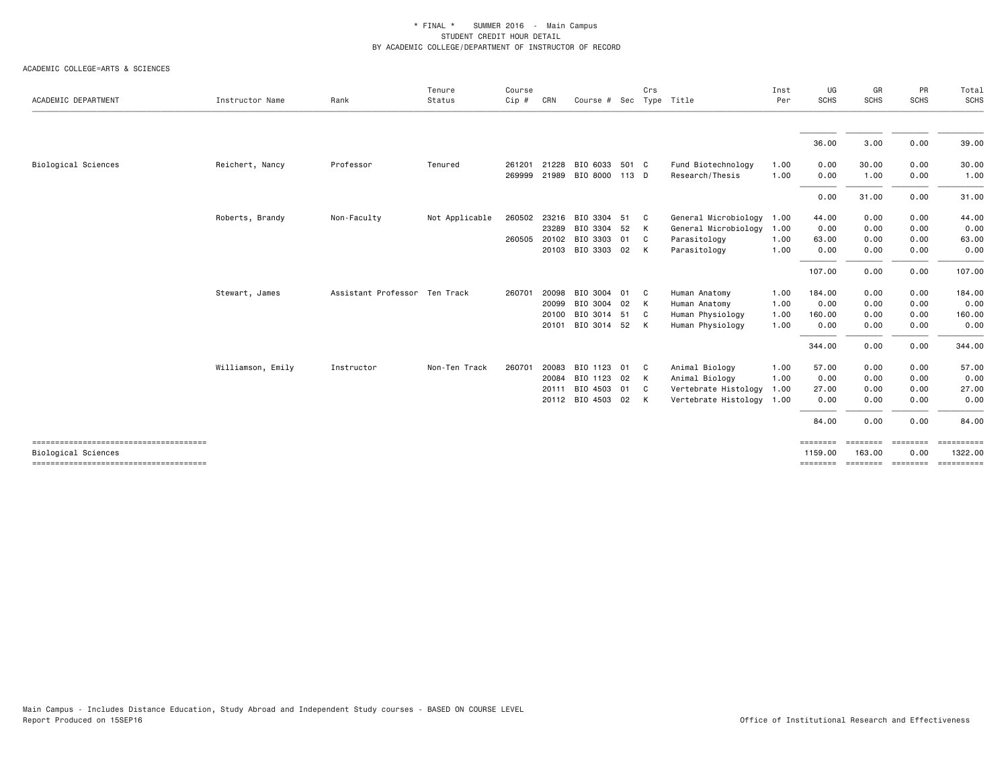| ACADEMIC DEPARTMENT | Instructor Name   | Rank                          | Tenure<br>Status | Course<br>Cip #  | CRN                              | Course # Sec Type Title                                            | Crs               |                                                                                  | Inst<br>Per                  | UG<br><b>SCHS</b>                       | GR<br><b>SCHS</b>                    | PR<br><b>SCHS</b>                    | Total<br>SCHS                           |
|---------------------|-------------------|-------------------------------|------------------|------------------|----------------------------------|--------------------------------------------------------------------|-------------------|----------------------------------------------------------------------------------|------------------------------|-----------------------------------------|--------------------------------------|--------------------------------------|-----------------------------------------|
|                     |                   |                               |                  |                  |                                  |                                                                    |                   |                                                                                  |                              | 36.00                                   | 3.00                                 | 0.00                                 | 39.00                                   |
| Biological Sciences | Reichert, Nancy   | Professor                     | Tenured          | 261201<br>269999 | 21228<br>21989                   | BIO 6033 501 C<br>BIO 8000 113 D                                   |                   | Fund Biotechnology<br>Research/Thesis                                            | 1.00<br>1.00                 | 0.00<br>0.00                            | 30.00<br>1.00                        | 0.00<br>0.00                         | 30.00<br>1.00                           |
|                     |                   |                               |                  |                  |                                  |                                                                    |                   |                                                                                  |                              | 0.00                                    | 31.00                                | 0.00                                 | 31.00                                   |
|                     | Roberts, Brandy   | Non-Faculty                   | Not Applicable   | 260502<br>260505 | 23216<br>23289<br>20102<br>20103 | BIO 3304 51 C<br>BIO 3304 52<br>BIO 3303 01<br>BIO 3303 02         | K<br>C C<br>K     | General Microbiology<br>General Microbiology<br>Parasitology<br>Parasitology     | 1.00<br>1.00<br>1.00<br>1.00 | 44.00<br>0.00<br>63.00<br>0.00          | 0.00<br>0.00<br>0.00<br>0.00         | 0.00<br>0.00<br>0.00<br>0.00         | 44.00<br>0.00<br>63.00<br>0.00          |
|                     | Stewart, James    | Assistant Professor Ten Track |                  | 260701           | 20098                            | BIO 3004 01 C                                                      |                   | Human Anatomy                                                                    | 1.00                         | 107.00<br>184.00                        | 0.00<br>0.00                         | 0.00<br>0.00                         | 107.00<br>184.00                        |
|                     |                   |                               |                  |                  | 20099<br>20100<br>20101          | BIO 3004 02<br>BIO 3014 51 C<br>BIO 3014 52 K                      | K                 | Human Anatomy<br>Human Physiology<br>Human Physiology                            | 1.00<br>1.00<br>1.00         | 0.00<br>160.00<br>0.00                  | 0.00<br>0.00<br>0.00                 | 0.00<br>0.00<br>0.00                 | 0.00<br>160.00<br>0.00                  |
|                     |                   |                               |                  |                  |                                  |                                                                    |                   |                                                                                  |                              | 344.00                                  | 0.00                                 | 0.00                                 | 344.00                                  |
|                     | Williamson, Emily | Instructor                    | Non-Ten Track    | 260701           | 20083<br>20084<br>20111          | BIO 1123 01 C<br>BIO 1123 02<br>BIO 4503 01 C<br>20112 BIO 4503 02 | K<br>$\mathsf{K}$ | Animal Biology<br>Animal Biology<br>Vertebrate Histology<br>Vertebrate Histology | 1.00<br>1.00<br>1.00<br>1.00 | 57.00<br>0.00<br>27.00<br>0.00<br>84.00 | 0.00<br>0.00<br>0.00<br>0.00<br>0.00 | 0.00<br>0.00<br>0.00<br>0.00<br>0.00 | 57.00<br>0.00<br>27.00<br>0.00<br>84.00 |
|                     |                   |                               |                  |                  |                                  |                                                                    |                   |                                                                                  |                              | ========                                | ========                             | ========                             | ==========                              |
| Biological Sciences |                   |                               |                  |                  |                                  |                                                                    |                   |                                                                                  |                              | 1159.00<br>========                     | 163,00<br>========                   | 0.00<br>========                     | 1322.00<br>==========                   |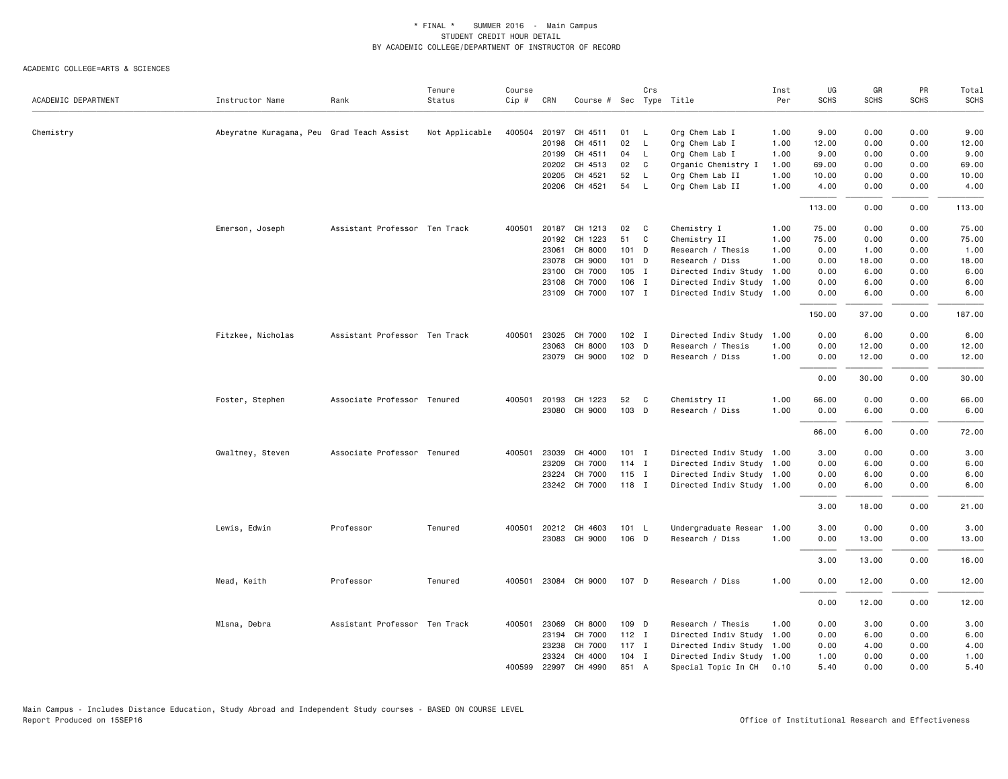|                     |                                           |                               | Tenure         | Course |              |                         |                  | Crs          |                                  | Inst | UG          | GR          | PR          | Total       |
|---------------------|-------------------------------------------|-------------------------------|----------------|--------|--------------|-------------------------|------------------|--------------|----------------------------------|------|-------------|-------------|-------------|-------------|
| ACADEMIC DEPARTMENT | Instructor Name                           | Rank                          | Status         | Cip #  | CRN          | Course # Sec Type Title |                  |              |                                  | Per  | <b>SCHS</b> | <b>SCHS</b> | <b>SCHS</b> | <b>SCHS</b> |
|                     |                                           |                               |                |        | 20197        | CH 4511                 | 01               | <b>L</b>     |                                  | 1.00 | 9.00        | 0.00        | 0.00        | 9.00        |
| Chemistry           | Abeyratne Kuragama, Peu Grad Teach Assist |                               | Not Applicable | 400504 | 20198        | CH 4511                 | 02               | $\mathsf{L}$ | Org Chem Lab I<br>Org Chem Lab I | 1.00 | 12.00       | 0.00        | 0.00        | 12.00       |
|                     |                                           |                               |                |        | 20199        | CH 4511                 | 04               | L.           | Org Chem Lab I                   | 1.00 | 9.00        | 0.00        | 0.00        | 9.00        |
|                     |                                           |                               |                |        | 20202        | CH 4513                 | 02               | C            | Organic Chemistry I              | 1.00 | 69.00       | 0.00        | 0.00        | 69.00       |
|                     |                                           |                               |                |        | 20205        | CH 4521                 | 52               | $\mathsf{L}$ | Org Chem Lab II                  | 1.00 | 10.00       | 0.00        | 0.00        | 10.00       |
|                     |                                           |                               |                |        | 20206        | CH 4521                 | 54               | $\mathsf{L}$ | Org Chem Lab II                  | 1.00 | 4.00        | 0.00        | 0.00        | 4.00        |
|                     |                                           |                               |                |        |              |                         |                  |              |                                  |      | 113.00      | 0.00        | 0.00        | 113.00      |
|                     | Emerson, Joseph                           | Assistant Professor Ten Track |                | 400501 | 20187        | CH 1213                 | 02               | C            | Chemistry I                      | 1.00 | 75.00       | 0.00        | 0.00        | 75.00       |
|                     |                                           |                               |                |        | 20192        | CH 1223                 | 51               | C            | Chemistry II                     | 1.00 | 75.00       | 0.00        | 0.00        | 75.00       |
|                     |                                           |                               |                |        | 23061        | CH 8000                 | 101 D            |              | Research / Thesis                | 1.00 | 0.00        | 1.00        | 0.00        | 1.00        |
|                     |                                           |                               |                |        | 23078        | CH 9000                 | 101 D            |              | Research / Diss                  | 1.00 | 0.00        | 18.00       | 0.00        | 18.00       |
|                     |                                           |                               |                |        | 23100        | CH 7000                 | $105$ I          |              | Directed Indiv Study 1.00        |      | 0.00        | 6.00        | 0.00        | 6.00        |
|                     |                                           |                               |                |        | 23108        | CH 7000                 | 106 I            |              | Directed Indiv Study 1.00        |      | 0.00        | 6.00        | 0.00        | 6.00        |
|                     |                                           |                               |                |        |              | 23109 CH 7000           | 107 I            |              | Directed Indiv Study 1.00        |      | 0.00        | 6.00        | 0.00        | 6.00        |
|                     |                                           |                               |                |        |              |                         |                  |              |                                  |      | 150.00      | 37.00       | 0.00        | 187.00      |
|                     | Fitzkee, Nicholas                         | Assistant Professor Ten Track |                | 400501 | 23025        | CH 7000                 | $102$ I          |              | Directed Indiv Study 1.00        |      | 0.00        | 6.00        | 0.00        | 6.00        |
|                     |                                           |                               |                |        | 23063        | CH 8000                 | 103 D            |              | Research / Thesis                | 1.00 | 0.00        | 12.00       | 0.00        | 12.00       |
|                     |                                           |                               |                |        | 23079        | CH 9000                 | 102 <sub>D</sub> |              | Research / Diss                  | 1.00 | 0.00        | 12.00       | 0.00        | 12.00       |
|                     |                                           |                               |                |        |              |                         |                  |              |                                  |      | 0.00        | 30.00       | 0.00        | 30.00       |
|                     | Foster, Stephen                           | Associate Professor Tenured   |                |        | 400501 20193 | CH 1223                 | 52               | C            | Chemistry II                     | 1.00 | 66.00       | 0.00        | 0.00        | 66.00       |
|                     |                                           |                               |                |        | 23080        | CH 9000                 | 103 D            |              | Research / Diss                  | 1.00 | 0.00        | 6.00        | 0.00        | 6.00        |
|                     |                                           |                               |                |        |              |                         |                  |              |                                  |      | 66.00       | 6.00        | 0.00        | 72.00       |
|                     | Gwaltney, Steven                          | Associate Professor Tenured   |                | 400501 | 23039        | CH 4000                 | $101$ I          |              | Directed Indiv Study 1.00        |      | 3.00        | 0.00        | 0.00        | 3.00        |
|                     |                                           |                               |                |        | 23209        | CH 7000                 | $114$ I          |              | Directed Indiv Study 1.00        |      | 0.00        | 6.00        | 0.00        | 6.00        |
|                     |                                           |                               |                |        | 23224        | CH 7000                 | $115$ I          |              | Directed Indiv Study 1.00        |      | 0.00        | 6.00        | 0.00        | 6.00        |
|                     |                                           |                               |                |        |              | 23242 CH 7000           | 118 I            |              | Directed Indiv Study 1.00        |      | 0.00        | 6.00        | 0.00        | 6.00        |
|                     |                                           |                               |                |        |              |                         |                  |              |                                  |      | 3.00        | 18.00       | 0.00        | 21.00       |
|                     | Lewis, Edwin                              | Professor                     | Tenured        | 400501 | 20212        | CH 4603                 | 101 L            |              | Undergraduate Resear 1.00        |      | 3.00        | 0.00        | 0.00        | 3.00        |
|                     |                                           |                               |                |        | 23083        | CH 9000                 | 106 D            |              | Research / Diss                  | 1.00 | 0.00        | 13.00       | 0.00        | 13.00       |
|                     |                                           |                               |                |        |              |                         |                  |              |                                  |      | 3.00        | 13.00       | 0.00        | 16.00       |
|                     | Mead, Keith                               | Professor                     | Tenured        | 400501 |              | 23084 CH 9000           | 107 D            |              | Research / Diss                  | 1.00 | 0.00        | 12.00       | 0.00        | 12.00       |
|                     |                                           |                               |                |        |              |                         |                  |              |                                  |      | 0.00        | 12.00       | 0.00        | 12.00       |
|                     | Mlsna, Debra                              | Assistant Professor Ten Track |                |        | 400501 23069 | CH 8000                 | 109 D            |              | Research / Thesis                | 1.00 | 0.00        | 3.00        | 0.00        | 3.00        |
|                     |                                           |                               |                |        | 23194        | CH 7000                 | $112$ I          |              | Directed Indiv Study 1.00        |      | 0.00        | 6.00        | 0.00        | 6.00        |
|                     |                                           |                               |                |        | 23238        | CH 7000                 | $117$ I          |              | Directed Indiv Study 1.00        |      | 0.00        | 4.00        | 0.00        | 4.00        |
|                     |                                           |                               |                |        | 23324        | CH 4000                 | $104$ I          |              | Directed Indiv Study 1.00        |      | 1.00        | 0.00        | 0.00        | 1.00        |
|                     |                                           |                               |                | 400599 | 22997        | CH 4990                 | 851 A            |              | Special Topic In CH              | 0.10 | 5.40        | 0.00        | 0.00        | 5.40        |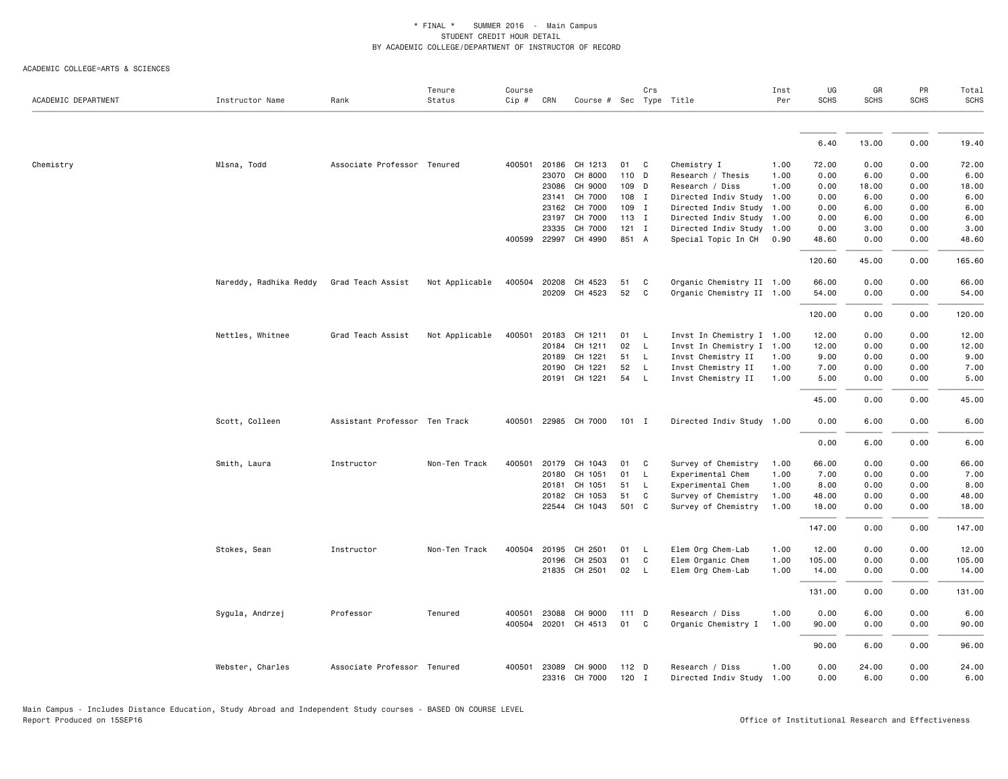| ACADEMIC DEPARTMENT | Instructor Name        | Rank                          | Tenure<br>Status | Course<br>Cip # | CRN          | Course # Sec Type Title  |                | Crs          |                                              | Inst<br>Per | UG<br><b>SCHS</b> | GR<br><b>SCHS</b> | PR<br><b>SCHS</b> | Total<br><b>SCHS</b> |
|---------------------|------------------------|-------------------------------|------------------|-----------------|--------------|--------------------------|----------------|--------------|----------------------------------------------|-------------|-------------------|-------------------|-------------------|----------------------|
|                     |                        |                               |                  |                 |              |                          |                |              |                                              |             |                   |                   |                   |                      |
|                     |                        |                               |                  |                 |              |                          |                |              |                                              |             | 6.40              | 13.00             | 0.00              | 19.40                |
| Chemistry           | Mlsna, Todd            | Associate Professor Tenured   |                  | 400501          | 20186        | CH 1213                  | 01             | C            | Chemistry I                                  | 1.00        | 72.00             | 0.00              | 0.00              | 72.00                |
|                     |                        |                               |                  |                 | 23070        | CH 8000                  | 110 D          |              | Research / Thesis                            | 1.00        | 0.00              | 6.00              | 0.00              | 6.00                 |
|                     |                        |                               |                  |                 | 23086        | CH 9000                  | 109 D          |              | Research / Diss                              | 1.00        | 0.00              | 18.00             | 0.00              | 18.00                |
|                     |                        |                               |                  |                 | 23141        | CH 7000                  | 108 I          |              | Directed Indiv Study 1.00                    |             | 0.00              | 6.00              | 0.00              | 6.00                 |
|                     |                        |                               |                  |                 | 23162        | CH 7000                  | 109 I          |              | Directed Indiv Study 1.00                    |             | 0.00              | 6.00              | 0.00              | 6.00                 |
|                     |                        |                               |                  |                 | 23197        | CH 7000                  | $113$ I        |              | Directed Indiv Study 1.00                    |             | 0.00              | 6.00              | 0.00              | 6.00                 |
|                     |                        |                               |                  |                 | 23335        | CH 7000                  | $121$ I        |              | Directed Indiv Study 1.00                    |             | 0.00              | 3.00              | 0.00              | 3.00                 |
|                     |                        |                               |                  |                 | 400599 22997 | CH 4990                  | 851 A          |              | Special Topic In CH                          | 0.90        | 48.60             | 0.00              | 0.00              | 48.60                |
|                     |                        |                               |                  |                 |              |                          |                |              |                                              |             | 120.60            | 45.00             | 0.00              | 165.60               |
|                     | Nareddy, Radhika Reddy | Grad Teach Assist             | Not Applicable   | 400504          | 20208        | CH 4523                  | 51             | C            | Organic Chemistry II 1.00                    |             | 66.00             | 0.00              | 0.00              | 66.00                |
|                     |                        |                               |                  |                 |              | 20209 CH 4523            | 52             | C            | Organic Chemistry II 1.00                    |             | 54.00             | 0.00              | 0.00              | 54.00                |
|                     |                        |                               |                  |                 |              |                          |                |              |                                              |             | 120.00            | 0.00              | 0.00              | 120.00               |
|                     | Nettles, Whitnee       | Grad Teach Assist             | Not Applicable   | 400501          | 20183        | CH 1211                  | 01             | $\mathsf{L}$ | Invst In Chemistry I 1.00                    |             | 12.00             | 0.00              | 0.00              | 12.00                |
|                     |                        |                               |                  |                 | 20184        | CH 1211                  | 02             | L            | Invst In Chemistry I 1.00                    |             | 12.00             | 0.00              | 0.00              | 12.00                |
|                     |                        |                               |                  |                 | 20189        | CH 1221                  | 51             | $\mathsf{L}$ | Invst Chemistry II                           | 1.00        | 9.00              | 0.00              | 0.00              | 9.00                 |
|                     |                        |                               |                  |                 | 20190        | CH 1221                  | 52             | $\mathsf{L}$ | Invst Chemistry II                           | 1.00        | 7.00              | 0.00              | 0.00              | 7.00                 |
|                     |                        |                               |                  |                 |              | 20191 CH 1221            | 54             | $\mathsf{L}$ | Invst Chemistry II                           | 1.00        | 5.00              | 0.00              | 0.00              | 5.00                 |
|                     |                        |                               |                  |                 |              |                          |                |              |                                              |             | 45.00             | 0.00              | 0.00              | 45.00                |
|                     | Scott, Colleen         | Assistant Professor Ten Track |                  |                 |              | 400501 22985 CH 7000     | $101$ I        |              | Directed Indiv Study 1.00                    |             | 0.00              | 6.00              | 0.00              | 6.00                 |
|                     |                        |                               |                  |                 |              |                          |                |              |                                              |             | 0.00              | 6.00              | 0.00              | 6.00                 |
|                     | Smith, Laura           | Instructor                    | Non-Ten Track    | 400501          | 20179        | CH 1043                  | 01             | C            | Survey of Chemistry                          | 1.00        | 66.00             | 0.00              | 0.00              | 66.00                |
|                     |                        |                               |                  |                 | 20180        | CH 1051                  | 01             | $\mathsf{L}$ | Experimental Chem                            | 1.00        | 7.00              | 0.00              | 0.00              | 7.00                 |
|                     |                        |                               |                  |                 | 20181        | CH 1051                  | 51             | L.           | Experimental Chem                            | 1.00        | 8.00              | 0.00              | 0.00              | 8.00                 |
|                     |                        |                               |                  |                 | 20182        | CH 1053                  | 51             | C            | Survey of Chemistry                          | 1.00        | 48.00             | 0.00              | 0.00              | 48.00                |
|                     |                        |                               |                  |                 |              | 22544 CH 1043            | 501 C          |              | Survey of Chemistry                          | 1.00        | 18.00             | 0.00              | 0.00              | 18.00                |
|                     |                        |                               |                  |                 |              |                          |                |              |                                              |             | 147.00            | 0.00              | 0.00              | 147.00               |
|                     | Stokes, Sean           | Instructor                    | Non-Ten Track    | 400504          | 20195        | CH 2501                  | 01             | <b>L</b>     | Elem Org Chem-Lab                            | 1.00        | 12.00             | 0.00              | 0.00              | 12.00                |
|                     |                        |                               |                  |                 | 20196        | CH 2503                  | 01             | C            | Elem Organic Chem                            | 1.00        | 105.00            | 0.00              | 0.00              | 105.00               |
|                     |                        |                               |                  |                 |              | 21835 CH 2501            | 02 L           |              | Elem Org Chem-Lab                            | 1.00        | 14.00             | 0.00              | 0.00              | 14.00                |
|                     |                        |                               |                  |                 |              |                          |                |              |                                              |             | 131.00            | 0.00              | 0.00              | 131.00               |
|                     | Sygula, Andrzej        | Professor                     | Tenured          | 400501          | 23088        | CH 9000                  | 111 D          |              | Research / Diss                              | 1.00        | 0.00              | 6.00              | 0.00              | 6.00                 |
|                     |                        |                               |                  |                 |              | 400504 20201 CH 4513     | 01             | C            | Organic Chemistry I                          | 1.00        | 90.00             | 0.00              | 0.00              | 90.00                |
|                     |                        |                               |                  |                 |              |                          |                |              |                                              |             | 90.00             | 6.00              | 0.00              | 96.00                |
|                     | Webster, Charles       | Associate Professor Tenured   |                  | 400501          | 23089        | CH 9000<br>23316 CH 7000 | 112 D<br>120 I |              | Research / Diss<br>Directed Indiv Study 1.00 | 1.00        | 0.00<br>0.00      | 24.00<br>6.00     | 0.00<br>0.00      | 24.00<br>6.00        |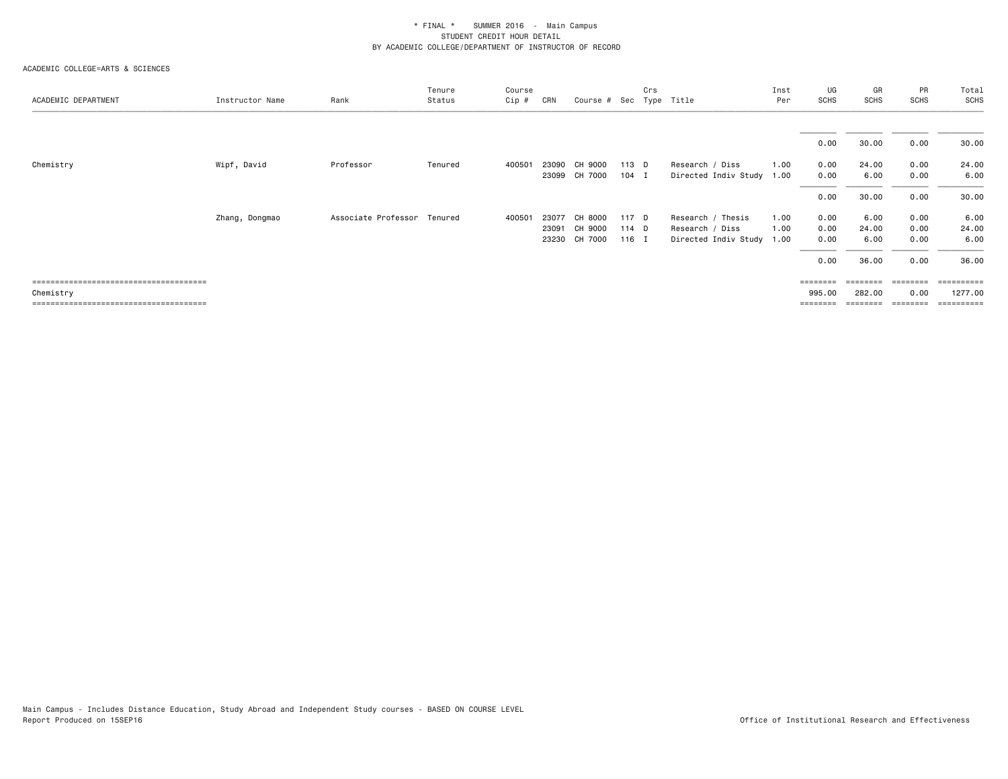| ACADEMIC DEPARTMENT | Instructor Name | Rank                        | Tenure<br>Status | Course<br>Cip # | CRN   | Course # Sec Type Title |       | Crs |                           | Inst<br>Per | UG<br>SCHS | GR<br>SCHS | PR<br><b>SCHS</b> | Total<br><b>SCHS</b> |
|---------------------|-----------------|-----------------------------|------------------|-----------------|-------|-------------------------|-------|-----|---------------------------|-------------|------------|------------|-------------------|----------------------|
|                     |                 |                             |                  |                 |       |                         |       |     |                           |             |            |            |                   |                      |
|                     |                 |                             |                  |                 |       |                         |       |     |                           |             | 0.00       | 30.00      | 0.00              | 30.00                |
| Chemistry           | Wipf, David     | Professor                   | Tenured          | 400501          | 23090 | CH 9000                 | 113 D |     | Research / Diss           | 1.00        | 0.00       | 24.00      | 0.00              | 24.00                |
|                     |                 |                             |                  |                 | 23099 | CH 7000                 | 104 I |     | Directed Indiv Study 1.00 |             | 0.00       | 6.00       | 0.00              | 6.00                 |
|                     |                 |                             |                  |                 |       |                         |       |     |                           |             | 0.00       | 30.00      | 0.00              | 30.00                |
|                     | Zhang, Dongmao  | Associate Professor Tenured |                  | 400501          | 23077 | CH 8000                 | 117 D |     | Research / Thesis         | 1.00        | 0.00       | 6.00       | 0.00              | 6.00                 |
|                     |                 |                             |                  |                 | 23091 | CH 9000                 | 114 D |     | Research / Diss           | 1.00        | 0.00       | 24.00      | 0.00              | 24.00                |
|                     |                 |                             |                  |                 | 23230 | CH 7000                 | 116 I |     | Directed Indiv Study 1.00 |             | 0.00       | 6.00       | 0.00              | 6.00                 |
|                     |                 |                             |                  |                 |       |                         |       |     |                           |             | 0.00       | 36.00      | 0.00              | 36.00                |
|                     |                 |                             |                  |                 |       |                         |       |     |                           |             | ========   |            |                   | ------               |
| Chemistry           |                 |                             |                  |                 |       |                         |       |     |                           |             | 995.00     | 282.00     | 0.00              | 1277.00              |
|                     |                 |                             |                  |                 |       |                         |       |     |                           |             | ========   |            | ========          | ==========           |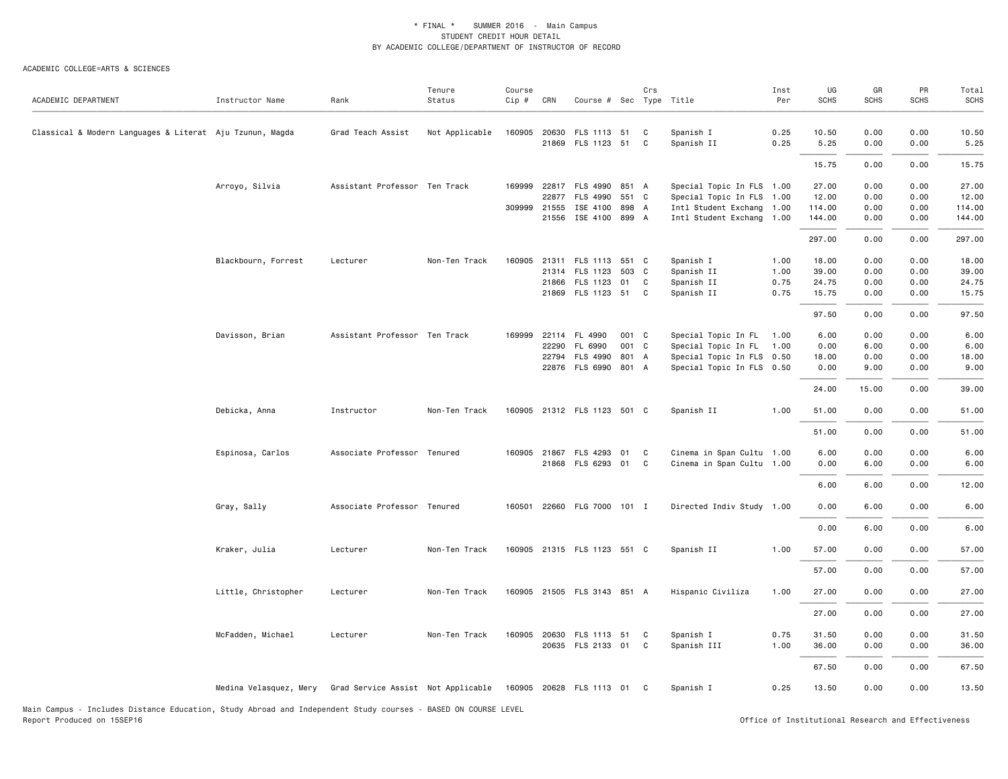#### ACADEMIC COLLEGE=ARTS & SCIENCES

| ACADEMIC DEPARTMENT                                      | Instructor Name        | Rank                               | Tenure<br>Status | Course<br>Cip # | CRN   | Course # Sec Type Title                       |       | Crs    |                           | Inst<br>Per  | UG<br><b>SCHS</b> | GR<br><b>SCHS</b> | PR<br><b>SCHS</b> | Total<br><b>SCHS</b> |
|----------------------------------------------------------|------------------------|------------------------------------|------------------|-----------------|-------|-----------------------------------------------|-------|--------|---------------------------|--------------|-------------------|-------------------|-------------------|----------------------|
| Classical & Modern Languages & Literat Aju Tzunun, Magda |                        | Grad Teach Assist                  | Not Applicable   |                 |       | 160905 20630 FLS 1113 51<br>21869 FLS 1123 51 |       | C<br>C | Spanish I<br>Spanish II   | 0.25<br>0.25 | 10.50<br>5.25     | 0.00<br>0.00      | 0.00<br>0.00      | 10.50<br>5.25        |
|                                                          |                        |                                    |                  |                 |       |                                               |       |        |                           |              | 15.75             | 0.00              | 0.00              | 15.75                |
|                                                          |                        |                                    |                  |                 |       |                                               |       |        |                           |              |                   |                   |                   |                      |
|                                                          | Arroyo, Silvia         | Assistant Professor Ten Track      |                  | 169999          |       | 22817 FLS 4990 851 A                          |       |        | Special Topic In FLS 1.00 |              | 27.00             | 0.00              | 0.00              | 27.00                |
|                                                          |                        |                                    |                  |                 |       | 22877 FLS 4990 551 C                          |       |        | Special Topic In FLS 1.00 |              | 12.00             | 0.00              | 0.00              | 12.00                |
|                                                          |                        |                                    |                  |                 |       | 309999 21555 ISE 4100 898 A                   |       |        | Intl Student Exchang 1.00 |              | 114.00            | 0.00              | 0.00              | 114.00               |
|                                                          |                        |                                    |                  |                 |       | 21556 ISE 4100 899 A                          |       |        | Intl Student Exchang 1.00 |              | 144.00            | 0.00              | 0.00              | 144.00               |
|                                                          |                        |                                    |                  |                 |       |                                               |       |        |                           |              | 297.00            | 0.00              | 0.00              | 297.00               |
|                                                          | Blackbourn, Forrest    | Lecturer                           | Non-Ten Track    |                 |       | 160905 21311 FLS 1113 551 C                   |       |        | Spanish I                 | 1.00         | 18.00             | 0.00              | 0.00              | 18.00                |
|                                                          |                        |                                    |                  |                 |       | 21314 FLS 1123                                | 503 C |        | Spanish II                | 1.00         | 39.00             | 0.00              | 0.00              | 39.00                |
|                                                          |                        |                                    |                  |                 |       | 21866 FLS 1123 01 C                           |       |        | Spanish II                | 0.75         | 24.75             | 0.00              | 0.00              | 24.75                |
|                                                          |                        |                                    |                  |                 |       | 21869 FLS 1123 51 C                           |       |        | Spanish II                | 0.75         | 15.75             | 0.00              | 0.00              | 15.75                |
|                                                          |                        |                                    |                  |                 |       |                                               |       |        |                           |              | 97.50             | 0.00              | 0.00              | 97.50                |
|                                                          | Davisson, Brian        | Assistant Professor Ten Track      |                  |                 |       | 169999 22114 FL 4990                          | 001 C |        | Special Topic In FL 1.00  |              | 6.00              | 0.00              | 0.00              | 6.00                 |
|                                                          |                        |                                    |                  |                 | 22290 | FL 6990                                       | 001 C |        | Special Topic In FL       | 1.00         | 0.00              | 6.00              | 0.00              | 6.00                 |
|                                                          |                        |                                    |                  |                 |       | 22794 FLS 4990 801 A                          |       |        | Special Topic In FLS 0.50 |              | 18.00             | 0.00              | 0.00              | 18.00                |
|                                                          |                        |                                    |                  |                 |       | 22876 FLS 6990 801 A                          |       |        | Special Topic In FLS 0.50 |              | 0.00              | 9.00              | 0.00              | 9.00                 |
|                                                          |                        |                                    |                  |                 |       |                                               |       |        |                           |              | 24.00             | 15.00             | 0.00              | 39.00                |
|                                                          | Debicka, Anna          | Instructor                         | Non-Ten Track    |                 |       | 160905 21312 FLS 1123 501 C                   |       |        | Spanish II                | 1.00         | 51.00             | 0.00              | 0.00              | 51.00                |
|                                                          |                        |                                    |                  |                 |       |                                               |       |        |                           |              | 51.00             | 0.00              | 0.00              | 51.00                |
|                                                          | Espinosa, Carlos       | Associate Professor Tenured        |                  |                 |       | 160905 21867 FLS 4293 01                      |       | C      | Cinema in Span Cultu 1.00 |              | 6.00              | 0.00              | 0.00              | 6.00                 |
|                                                          |                        |                                    |                  |                 |       | 21868 FLS 6293 01 C                           |       |        | Cinema in Span Cultu 1.00 |              | 0.00              | 6.00              | 0.00              | 6.00                 |
|                                                          |                        |                                    |                  |                 |       |                                               |       |        |                           |              | 6.00              | 6.00              | 0.00              | 12.00                |
|                                                          |                        |                                    |                  |                 |       |                                               |       |        |                           |              |                   |                   |                   |                      |
|                                                          | Gray, Sally            | Associate Professor Tenured        |                  |                 |       | 160501 22660 FLG 7000 101 I                   |       |        | Directed Indiv Study 1.00 |              | 0.00              | 6.00              | 0.00              | 6.00                 |
|                                                          |                        |                                    |                  |                 |       |                                               |       |        |                           |              | 0.00              | 6.00              | 0.00              | 6.00                 |
|                                                          | Kraker, Julia          | Lecturer                           | Non-Ten Track    |                 |       | 160905 21315 FLS 1123 551 C                   |       |        | Spanish II                | 1.00         | 57.00             | 0.00              | 0.00              | 57.00                |
|                                                          |                        |                                    |                  |                 |       |                                               |       |        |                           |              | 57.00             | 0.00              | 0.00              | 57.00                |
|                                                          | Little, Christopher    | Lecturer                           | Non-Ten Track    |                 |       | 160905 21505 FLS 3143 851 A                   |       |        | Hispanic Civiliza         | 1.00         | 27.00             | 0.00              | 0.00              | 27.00                |
|                                                          |                        |                                    |                  |                 |       |                                               |       |        |                           |              | 27.00             | 0.00              | 0.00              | 27.00                |
|                                                          | McFadden, Michael      | Lecturer                           | Non-Ten Track    |                 |       | 160905 20630 FLS 1113 51                      |       | C      | Spanish I                 | 0.75         | 31.50             | 0.00              | 0.00              | 31.50                |
|                                                          |                        |                                    |                  |                 |       | 20635 FLS 2133 01                             |       | C      | Spanish III               | 1.00         | 36.00             | 0.00              | 0.00              | 36.00                |
|                                                          |                        |                                    |                  |                 |       |                                               |       |        |                           |              |                   |                   |                   |                      |
|                                                          |                        |                                    |                  |                 |       |                                               |       |        |                           |              | 67.50             | 0.00              | 0.00              | 67.50                |
|                                                          | Medina Velasquez, Mery | Grad Service Assist Not Applicable |                  |                 |       | 160905 20628 FLS 1113 01 C                    |       |        | Spanish I                 | 0.25         | 13.50             | 0.00              | 0.00              | 13.50                |

Main Campus - Includes Distance Education, Study Abroad and Independent Study courses - BASED ON COURSE LEVEL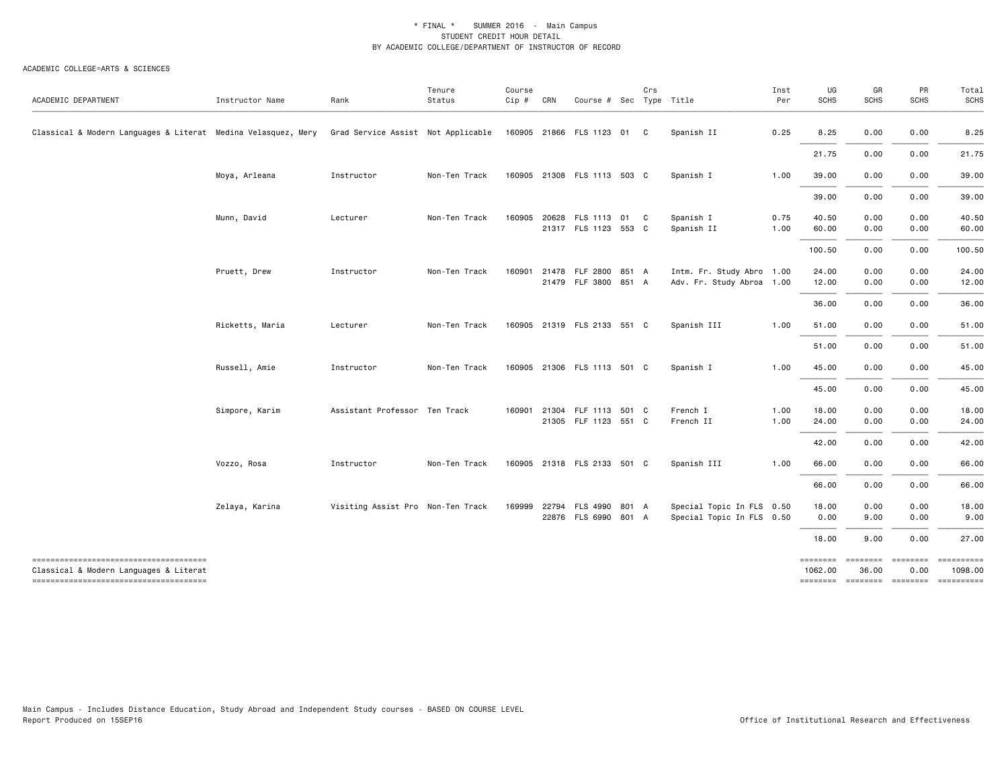| ACADEMIC DEPARTMENT                                                             | Instructor Name | Rank                               | Tenure<br>Status | Course<br>$Cip \#$ | CRN   | Course # Sec Type Title     |       | Crs |                           | Inst<br>Per | UG<br><b>SCHS</b> | GR<br>SCHS       | PR<br><b>SCHS</b> | Total<br><b>SCHS</b>                           |
|---------------------------------------------------------------------------------|-----------------|------------------------------------|------------------|--------------------|-------|-----------------------------|-------|-----|---------------------------|-------------|-------------------|------------------|-------------------|------------------------------------------------|
| Classical & Modern Languages & Literat Medina Velasquez, Mery                   |                 | Grad Service Assist Not Applicable |                  |                    |       | 160905 21866 FLS 1123 01 C  |       |     | Spanish II                | 0.25        | 8.25              | 0.00             | 0.00              | 8.25                                           |
|                                                                                 |                 |                                    |                  |                    |       |                             |       |     |                           |             | 21.75             | 0.00             | 0.00              | 21.75                                          |
|                                                                                 | Moya, Arleana   | Instructor                         | Non-Ten Track    |                    |       | 160905 21308 FLS 1113 503 C |       |     | Spanish I                 | 1.00        | 39.00             | 0.00             | 0.00              | 39.00                                          |
|                                                                                 |                 |                                    |                  |                    |       |                             |       |     |                           |             | 39.00             | 0.00             | 0.00              | 39.00                                          |
|                                                                                 | Munn, David     | Lecturer                           | Non-Ten Track    | 160905             | 20628 | FLS 1113 01 C               |       |     | Spanish I                 | 0.75        | 40.50             | 0.00             | 0.00              | 40.50                                          |
|                                                                                 |                 |                                    |                  |                    |       | 21317 FLS 1123 553 C        |       |     | Spanish II                | 1.00        | 60.00             | 0.00             | 0.00              | 60.00                                          |
|                                                                                 |                 |                                    |                  |                    |       |                             |       |     |                           |             | 100.50            | 0.00             | 0.00              | 100.50                                         |
|                                                                                 | Pruett, Drew    | Instructor                         | Non-Ten Track    | 160901             |       | 21478 FLF 2800 851 A        |       |     | Intm. Fr. Study Abro 1.00 |             | 24.00             | 0.00             | 0.00              | 24.00                                          |
|                                                                                 |                 |                                    |                  |                    |       | 21479 FLF 3800 851 A        |       |     | Adv. Fr. Study Abroa 1.00 |             | 12.00             | 0.00             | 0.00              | 12.00                                          |
|                                                                                 |                 |                                    |                  |                    |       |                             |       |     |                           |             | 36.00             | 0.00             | 0.00              | 36.00                                          |
|                                                                                 | Ricketts, Maria | Lecturer                           | Non-Ten Track    |                    |       | 160905 21319 FLS 2133 551 C |       |     | Spanish III               | 1.00        | 51.00             | 0.00             | 0.00              | 51.00                                          |
|                                                                                 |                 |                                    |                  |                    |       |                             |       |     |                           |             | 51.00             | 0.00             | 0.00              | 51.00                                          |
|                                                                                 | Russell, Amie   | Instructor                         | Non-Ten Track    |                    |       | 160905 21306 FLS 1113 501 C |       |     | Spanish I                 | 1.00        | 45.00             | 0.00             | 0.00              | 45.00                                          |
|                                                                                 |                 |                                    |                  |                    |       |                             |       |     |                           |             | 45.00             | 0.00             | 0.00              | 45.00                                          |
|                                                                                 | Simpore, Karim  | Assistant Professor Ten Track      |                  | 160901             | 21304 | FLF 1113 501 C              |       |     | French I                  | 1.00        | 18.00             | 0.00             | 0.00              | 18.00                                          |
|                                                                                 |                 |                                    |                  |                    |       | 21305 FLF 1123 551 C        |       |     | French II                 | 1.00        | 24.00             | 0.00             | 0.00              | 24.00                                          |
|                                                                                 |                 |                                    |                  |                    |       |                             |       |     |                           |             | 42.00             | 0.00             | 0.00              | 42.00                                          |
|                                                                                 |                 |                                    |                  |                    |       |                             |       |     |                           |             |                   |                  |                   |                                                |
|                                                                                 | Vozzo, Rosa     | Instructor                         | Non-Ten Track    |                    |       | 160905 21318 FLS 2133 501 C |       |     | Spanish III               | 1.00        | 66.00             | 0.00             | 0.00              | 66.00                                          |
|                                                                                 |                 |                                    |                  |                    |       |                             |       |     |                           |             | 66.00             | 0.00             | 0.00              | 66.00                                          |
|                                                                                 | Zelaya, Karina  | Visiting Assist Pro Non-Ten Track  |                  | 169999             | 22794 | FLS 4990                    | 801 A |     | Special Topic In FLS 0.50 |             | 18.00             | 0.00             | 0.00              | 18.00                                          |
|                                                                                 |                 |                                    |                  |                    |       | 22876 FLS 6990 801 A        |       |     | Special Topic In FLS 0.50 |             | 0.00              | 9.00             | 0.00              | 9.00                                           |
|                                                                                 |                 |                                    |                  |                    |       |                             |       |     |                           |             | 18.00             | 9.00             | 0.00              | 27.00                                          |
| --------------------------------------                                          |                 |                                    |                  |                    |       |                             |       |     |                           |             |                   | -------- ------- | <b>EEEEEEEE</b>   | $=$ =========                                  |
| Classical & Modern Languages & Literat<br>------------------------------------- |                 |                                    |                  |                    |       |                             |       |     |                           |             | 1062.00           | 36.00            | 0.00              | 1098.00<br>-------- ------- -------- --------- |
|                                                                                 |                 |                                    |                  |                    |       |                             |       |     |                           |             |                   |                  |                   |                                                |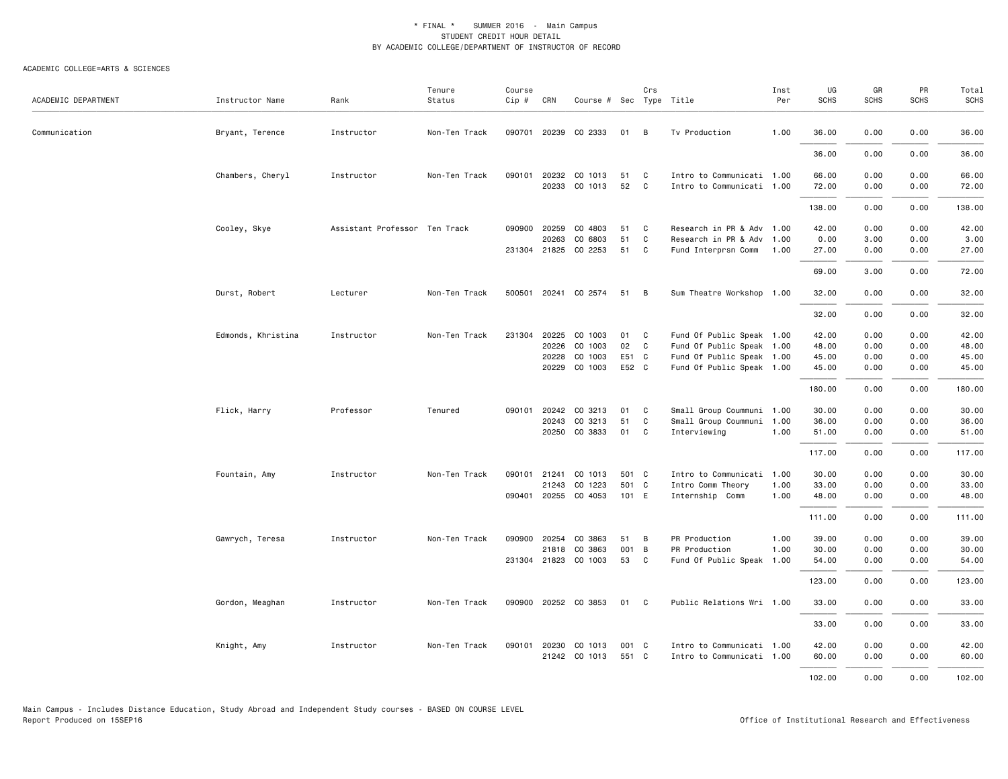| ACADEMIC DEPARTMENT | Instructor Name    | Rank                          | Tenure<br>Status | Course<br>$Cip \#$ | CRN                   | Course # Sec Type Title         |          | Crs            |                                                        | Inst<br>Per | UG<br>SCHS     | GR<br><b>SCHS</b> | PR<br><b>SCHS</b> | Total<br><b>SCHS</b> |
|---------------------|--------------------|-------------------------------|------------------|--------------------|-----------------------|---------------------------------|----------|----------------|--------------------------------------------------------|-------------|----------------|-------------------|-------------------|----------------------|
| Communication       | Bryant, Terence    | Instructor                    | Non-Ten Track    |                    |                       | 090701 20239 CO 2333            | 01       | B              | Tv Production                                          | 1.00        | 36.00          | 0.00              | 0.00              | 36.00                |
|                     |                    |                               |                  |                    |                       |                                 |          |                |                                                        |             | 36.00          | 0.00              | 0.00              | 36.00                |
|                     | Chambers, Cheryl   | Instructor                    | Non-Ten Track    |                    | 20233                 | 090101 20232 CO 1013<br>CO 1013 | 51<br>52 | C<br>C         | Intro to Communicati 1.00<br>Intro to Communicati 1.00 |             | 66.00<br>72.00 | 0.00<br>0.00      | 0.00<br>0.00      | 66.00<br>72.00       |
|                     |                    |                               |                  |                    |                       |                                 |          |                |                                                        |             | 138.00         | 0.00              | 0.00              | 138.00               |
|                     | Cooley, Skye       | Assistant Professor Ten Track |                  | 090900             | 20259                 | CO 4803                         | 51       | C              | Research in PR & Adv 1.00                              |             | 42.00          | 0.00              | 0.00              | 42.00                |
|                     |                    |                               |                  |                    | 20263                 | CO 6803                         | 51       | C              | Research in PR & Adv 1.00                              |             | 0.00           | 3.00              | 0.00              | 3.00                 |
|                     |                    |                               |                  |                    | 231304 21825          | CO 2253                         | 51       | C              | Fund Interprsn Comm                                    | 1.00        | 27.00          | 0.00              | 0.00              | 27.00                |
|                     |                    |                               |                  |                    |                       |                                 |          |                |                                                        |             | 69.00          | 3.00              | 0.00              | 72.00                |
|                     | Durst, Robert      | Lecturer                      | Non-Ten Track    |                    |                       | 500501 20241 CO 2574            | 51       | B              | Sum Theatre Workshop 1.00                              |             | 32.00          | 0.00              | 0.00              | 32.00                |
|                     |                    |                               |                  |                    |                       |                                 |          |                |                                                        |             | 32.00          | 0.00              | 0.00              | 32.00                |
|                     |                    |                               |                  |                    |                       |                                 |          |                |                                                        |             |                |                   |                   |                      |
|                     | Edmonds, Khristina | Instructor                    | Non-Ten Track    |                    | 231304 20225<br>20226 | CO 1003<br>CO 1003              | 01<br>02 | C<br>C         | Fund Of Public Speak 1.00<br>Fund Of Public Speak 1.00 |             | 42.00<br>48.00 | 0.00<br>0.00      | 0.00<br>0.00      | 42.00<br>48.00       |
|                     |                    |                               |                  |                    | 20228                 | CO 1003                         | E51 C    |                | Fund Of Public Speak 1.00                              |             | 45.00          | 0.00              | 0.00              | 45.00                |
|                     |                    |                               |                  |                    |                       | 20229 CO 1003                   | E52 C    |                | Fund Of Public Speak 1.00                              |             | 45.00          | 0.00              | 0.00              | 45.00                |
|                     |                    |                               |                  |                    |                       |                                 |          |                |                                                        |             | 180.00         | 0.00              | 0.00              | 180.00               |
|                     | Flick, Harry       | Professor                     | Tenured          | 090101             | 20242                 | CO 3213                         | 01       | C              | Small Group Coummuni 1.00                              |             | 30.00          | 0.00              | 0.00              | 30.00                |
|                     |                    |                               |                  |                    | 20243                 | CO 3213                         | 51       | C              | Small Group Coummuni 1.00                              |             | 36.00          | 0.00              | 0.00              | 36.00                |
|                     |                    |                               |                  |                    |                       | 20250 CO 3833                   | 01       | C              | Interviewing                                           | 1.00        | 51.00          | 0.00              | 0.00              | 51.00                |
|                     |                    |                               |                  |                    |                       |                                 |          |                |                                                        |             | 117.00         | 0.00              | 0.00              | 117.00               |
|                     | Fountain, Amy      | Instructor                    | Non-Ten Track    | 090101             | 21241                 | CO 1013                         | 501 C    |                | Intro to Communicati 1.00                              |             | 30.00          | 0.00              | 0.00              | 30.00                |
|                     |                    |                               |                  |                    | 21243                 | CO 1223                         | 501 C    |                | Intro Comm Theory                                      | 1.00        | 33.00          | 0.00              | 0.00              | 33.00                |
|                     |                    |                               |                  |                    |                       | 090401 20255 CO 4053            | 101 E    |                | Internship Comm                                        | 1.00        | 48.00          | 0.00              | 0.00              | 48.00                |
|                     |                    |                               |                  |                    |                       |                                 |          |                |                                                        |             | 111.00         | 0.00              | 0.00              | 111.00               |
|                     | Gawrych, Teresa    | Instructor                    | Non-Ten Track    | 090900             | 20254                 | CO 3863                         | 51       | B              | PR Production                                          | 1.00        | 39.00          | 0.00              | 0.00              | 39.00                |
|                     |                    |                               |                  |                    | 21818                 | CO 3863                         | 001      | $\overline{B}$ | PR Production                                          | 1.00        | 30.00          | 0.00              | 0.00              | 30.00                |
|                     |                    |                               |                  |                    |                       | 231304 21823 CO 1003            | 53       | C              | Fund Of Public Speak 1.00                              |             | 54.00          | 0.00              | 0.00              | 54.00                |
|                     |                    |                               |                  |                    |                       |                                 |          |                |                                                        |             | 123.00         | 0.00              | 0.00              | 123.00               |
|                     | Gordon, Meaghan    | Instructor                    | Non-Ten Track    |                    |                       | 090900 20252 CO 3853            | 01 C     |                | Public Relations Wri 1.00                              |             | 33.00          | 0.00              | 0.00              | 33.00                |
|                     |                    |                               |                  |                    |                       |                                 |          |                |                                                        |             | 33.00          | 0.00              | 0.00              | 33.00                |
|                     | Knight, Amy        | Instructor                    | Non-Ten Track    | 090101             | 20230                 | CO 1013                         | 001 C    |                | Intro to Communicati 1.00                              |             | 42.00          | 0.00              | 0.00              | 42.00                |
|                     |                    |                               |                  |                    |                       | 21242 CO 1013                   | 551 C    |                | Intro to Communicati 1.00                              |             | 60.00          | 0.00              | 0.00              | 60.00                |
|                     |                    |                               |                  |                    |                       |                                 |          |                |                                                        |             | 102.00         | 0.00              | 0.00              | 102.00               |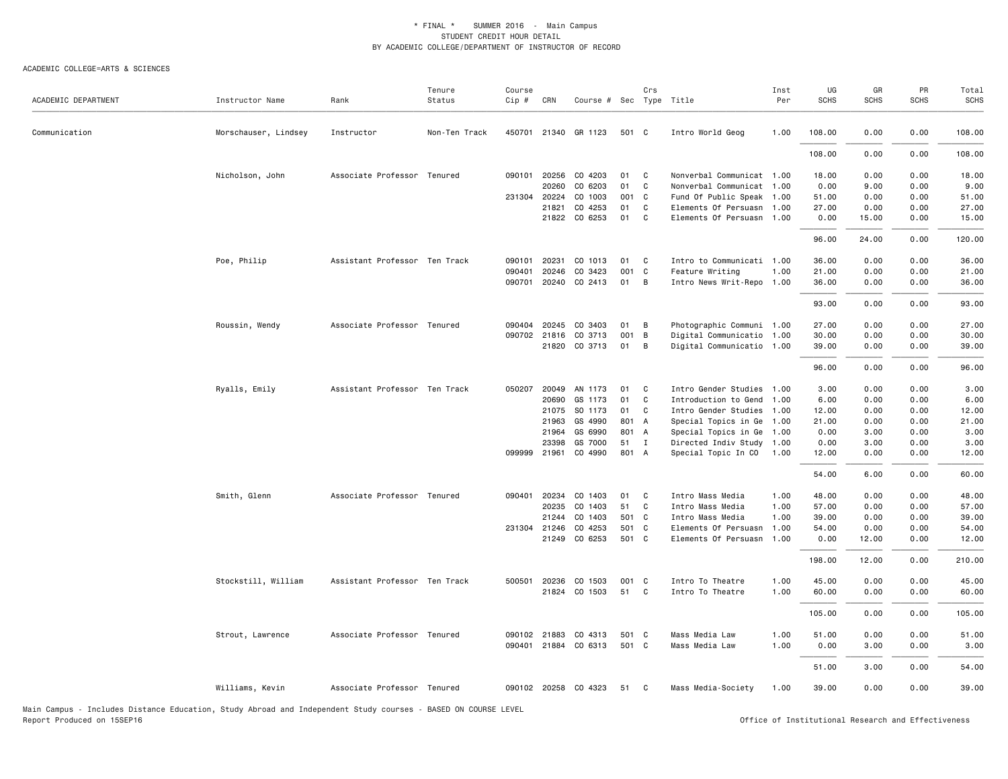#### ACADEMIC COLLEGE=ARTS & SCIENCES

| ACADEMIC DEPARTMENT | Instructor Name      | Rank                          | Tenure<br>Status | Course<br>Cip # | CRN          | Course # Sec Type Title |       | Crs            |                           | Inst<br>Per | UG<br><b>SCHS</b> | GR<br><b>SCHS</b> | PR<br><b>SCHS</b> | Total<br><b>SCHS</b> |
|---------------------|----------------------|-------------------------------|------------------|-----------------|--------------|-------------------------|-------|----------------|---------------------------|-------------|-------------------|-------------------|-------------------|----------------------|
| Communication       | Morschauser, Lindsey | Instructor                    | Non-Ten Track    |                 |              | 450701 21340 GR 1123    | 501 C |                | Intro World Geog          | 1.00        | 108.00            | 0.00              | 0.00              | 108.00               |
|                     |                      |                               |                  |                 |              |                         |       |                |                           |             | 108.00            | 0.00              | 0.00              | 108.00               |
|                     | Nicholson, John      | Associate Professor Tenured   |                  | 090101          | 20256        | CO 4203                 | 01    | C.             | Nonverbal Communicat 1.00 |             | 18.00             | 0.00              | 0.00              | 18.00                |
|                     |                      |                               |                  |                 | 20260        | CO 6203                 | 01    | C              | Nonverbal Communicat 1.00 |             | 0.00              | 9.00              | 0.00              | 9.00                 |
|                     |                      |                               |                  |                 | 231304 20224 | CO 1003                 | 001 C |                | Fund Of Public Speak 1.00 |             | 51.00             | 0.00              | 0.00              | 51.00                |
|                     |                      |                               |                  |                 | 21821        | CO 4253                 | 01    | C              | Elements Of Persuasn 1.00 |             | 27.00             | 0.00              | 0.00              | 27.00                |
|                     |                      |                               |                  |                 |              | 21822 CO 6253           | 01    | C              | Elements Of Persuasn 1.00 |             | 0.00              | 15.00             | 0.00              | 15.00                |
|                     |                      |                               |                  |                 |              |                         |       |                |                           |             | 96.00             | 24.00             | 0.00              | 120.00               |
|                     | Poe, Philip          | Assistant Professor Ten Track |                  | 090101          | 20231        | CO 1013                 | 01    | C <sub>c</sub> | Intro to Communicati 1.00 |             | 36.00             | 0.00              | 0.00              | 36.00                |
|                     |                      |                               |                  | 090401          | 20246        | CO 3423                 | 001   | $\mathbf{C}$   | Feature Writing           | 1.00        | 21.00             | 0.00              | 0.00              | 21.00                |
|                     |                      |                               |                  |                 |              | 090701 20240 CO 2413    | 01 B  |                | Intro News Writ-Repo 1.00 |             | 36.00             | 0.00              | 0.00              | 36.00                |
|                     |                      |                               |                  |                 |              |                         |       |                |                           |             | 93.00             | 0.00              | 0.00              | 93.00                |
|                     | Roussin, Wendy       | Associate Professor Tenured   |                  |                 |              | 090404 20245 CO 3403    | 01    | B              | Photographic Communi 1.00 |             | 27.00             | 0.00              | 0.00              | 27.00                |
|                     |                      |                               |                  |                 |              | 090702 21816 CO 3713    | 001   | $\overline{B}$ | Digital Communicatio 1.00 |             | 30.00             | 0.00              | 0.00              | 30.00                |
|                     |                      |                               |                  |                 |              | 21820 CO 3713           | 01    | B              | Digital Communicatio 1.00 |             | 39.00             | 0.00              | 0.00              | 39.00                |
|                     |                      |                               |                  |                 |              |                         |       |                |                           |             | 96.00             | 0.00              | 0.00              | 96.00                |
|                     | Ryalls, Emily        | Assistant Professor Ten Track |                  | 050207          | 20049        | AN 1173                 | 01    | C              | Intro Gender Studies 1.00 |             | 3.00              | 0.00              | 0.00              | 3.00                 |
|                     |                      |                               |                  |                 | 20690        | GS 1173                 | 01    | C              | Introduction to Gend 1.00 |             | 6.00              | 0.00              | 0.00              | 6.00                 |
|                     |                      |                               |                  |                 |              | 21075 SO 1173           | 01    | C              | Intro Gender Studies 1.00 |             | 12.00             | 0.00              | 0.00              | 12.00                |
|                     |                      |                               |                  |                 | 21963        | GS 4990                 | 801 A |                | Special Topics in Ge 1.00 |             | 21.00             | 0.00              | 0.00              | 21.00                |
|                     |                      |                               |                  |                 | 21964        | GS 6990                 | 801 A |                | Special Topics in Ge 1.00 |             | 0.00              | 3.00              | 0.00              | 3.00                 |
|                     |                      |                               |                  |                 | 23398        | GS 7000                 | 51 I  |                | Directed Indiv Study 1.00 |             | 0.00              | 3.00              | 0.00              | 3.00                 |
|                     |                      |                               |                  |                 |              | 099999 21961 CO 4990    | 801 A |                | Special Topic In CO 1.00  |             | 12.00             | 0.00              | 0.00              | 12.00                |
|                     |                      |                               |                  |                 |              |                         |       |                |                           |             | 54.00             | 6.00              | 0.00              | 60.00                |
|                     | Smith, Glenn         | Associate Professor Tenured   |                  |                 | 090401 20234 | CO 1403                 | 01    | C <sub>c</sub> | Intro Mass Media          | 1.00        | 48.00             | 0.00              | 0.00              | 48.00                |
|                     |                      |                               |                  |                 | 20235        | CO 1403                 | 51    | C.             | Intro Mass Media          | 1.00        | 57.00             | 0.00              | 0.00              | 57.00                |
|                     |                      |                               |                  |                 | 21244        | CO 1403                 | 501 C |                | Intro Mass Media          | 1.00        | 39.00             | 0.00              | 0.00              | 39.00                |
|                     |                      |                               |                  |                 | 231304 21246 | CO 4253                 | 501 C |                | Elements Of Persuasn 1.00 |             | 54.00             | 0.00              | 0.00              | 54.00                |
|                     |                      |                               |                  |                 |              | 21249 CO 6253           | 501 C |                | Elements Of Persuasn 1.00 |             | 0.00              | 12.00             | 0.00              | 12.00                |
|                     |                      |                               |                  |                 |              |                         |       |                |                           |             | 198.00            | 12.00             | 0.00              | 210.00               |
|                     | Stockstill, William  | Assistant Professor Ten Track |                  | 500501          | 20236        | CO 1503                 | 001 C |                | Intro To Theatre          | 1.00        | 45.00             | 0.00              | 0.00              | 45.00                |
|                     |                      |                               |                  |                 |              | 21824 CO 1503           | 51    | $\mathbf{C}$   | Intro To Theatre          | 1.00        | 60.00             | 0.00              | 0.00              | 60.00                |
|                     |                      |                               |                  |                 |              |                         |       |                |                           |             | 105.00            | 0.00              | 0.00              | 105.00               |
|                     | Strout, Lawrence     | Associate Professor Tenured   |                  |                 |              | 090102 21883 CO 4313    | 501 C |                | Mass Media Law            | 1.00        | 51.00             | 0.00              | 0.00              | 51.00                |
|                     |                      |                               |                  |                 |              | 090401 21884 CO 6313    | 501 C |                | Mass Media Law            | 1.00        | 0.00              | 3.00              | 0.00              | 3.00                 |
|                     |                      |                               |                  |                 |              |                         |       |                |                           |             | 51.00             | 3.00              | 0.00              | 54.00                |
|                     | Williams, Kevin      | Associate Professor Tenured   |                  |                 |              | 090102 20258 CO 4323    | 51 C  |                | Mass Media-Society        | 1.00        | 39.00             | 0.00              | 0.00              | 39.00                |
|                     |                      |                               |                  |                 |              |                         |       |                |                           |             |                   |                   |                   |                      |

Main Campus - Includes Distance Education, Study Abroad and Independent Study courses - BASED ON COURSE LEVEL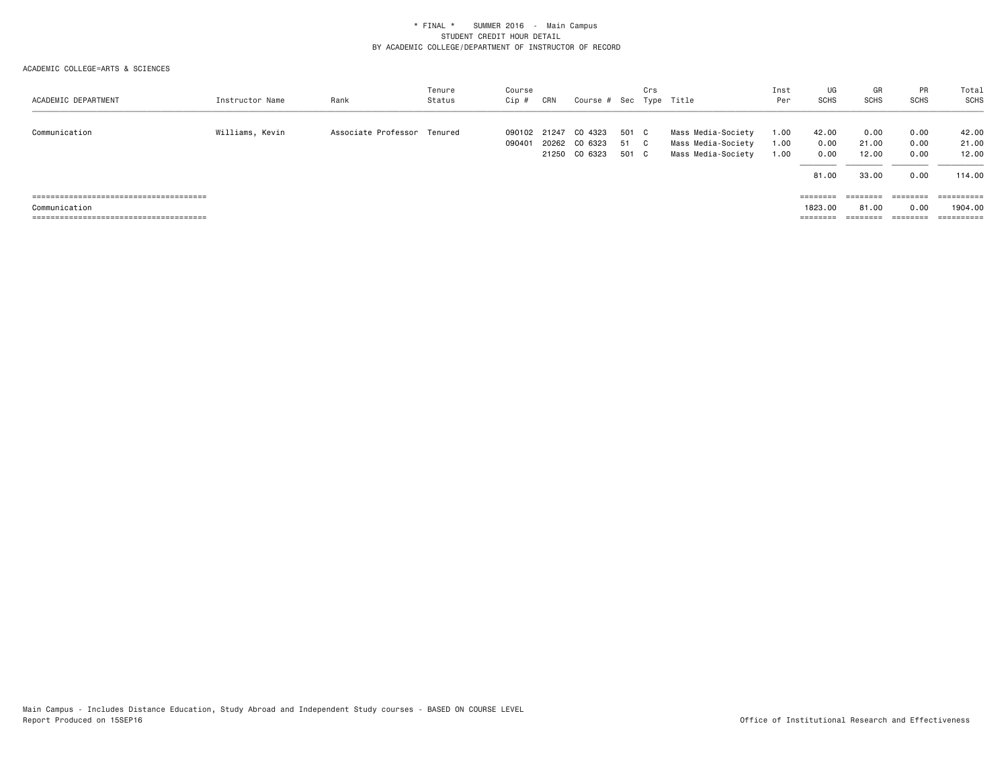| ACADEMIC DEPARTMENT | Instructor Name | Rank                        | Tenure<br>Status | Course<br>Cip #  | CRN | Course # Sec Type Title        |              | Crs |                                          | Inst<br>Per  | UG<br>SCHS        | GR<br><b>SCHS</b> | <b>PR</b><br><b>SCHS</b> | Total<br><b>SCHS</b> |
|---------------------|-----------------|-----------------------------|------------------|------------------|-----|--------------------------------|--------------|-----|------------------------------------------|--------------|-------------------|-------------------|--------------------------|----------------------|
| Communication       | Williams, Kevin | Associate Professor Tenured |                  | 090102<br>090401 |     | 21247 CO 4323<br>20262 CO 6323 | 501 C<br>-51 | C.  | Mass Media-Society<br>Mass Media-Society | 1.00<br>1.00 | 42.00<br>0.00     | 0.00<br>21.00     | 0.00<br>0.00             | 42.00<br>21.00       |
|                     |                 |                             |                  |                  |     | 21250 CO 6323                  | 501 C        |     | Mass Media-Society                       | 1.00         | 0.00              | 12.00             | 0.00                     | 12.00                |
|                     |                 |                             |                  |                  |     |                                |              |     |                                          |              | 81.00             | 33.00             | 0.00                     | 114.00               |
|                     |                 |                             |                  |                  |     |                                |              |     |                                          |              | $=$ = = = = = = = | ========          | ========                 |                      |
| Communication       |                 |                             |                  |                  |     |                                |              |     |                                          |              | 1823,00           | 81.00             | 0.00                     | 1904.00              |
|                     |                 |                             |                  |                  |     |                                |              |     |                                          |              | $=$ = = = = = = = | ========          | ========                 | ==========           |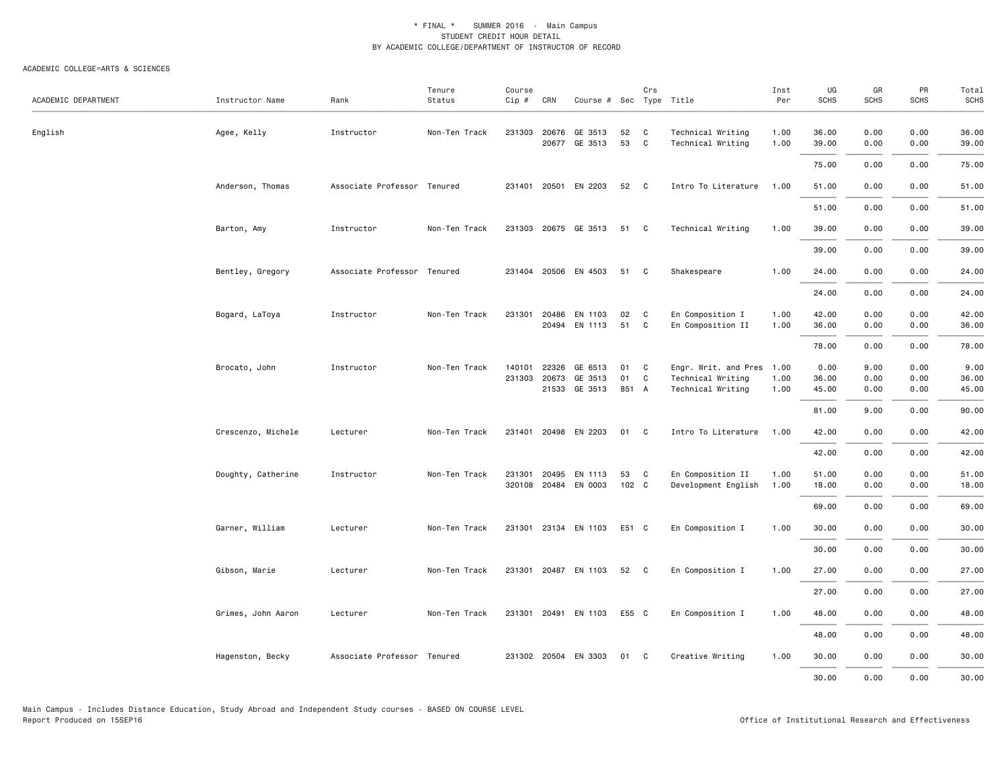| ACADEMIC DEPARTMENT | Instructor Name    | Rank                        | Tenure<br>Status | Course<br>Cip # | CRN          | Course # Sec Type Title |       | Crs          |                           | Inst<br>Per | UG<br><b>SCHS</b> | GR<br><b>SCHS</b> | PR<br><b>SCHS</b> | Total<br><b>SCHS</b> |
|---------------------|--------------------|-----------------------------|------------------|-----------------|--------------|-------------------------|-------|--------------|---------------------------|-------------|-------------------|-------------------|-------------------|----------------------|
|                     |                    |                             |                  |                 |              |                         |       |              |                           |             |                   |                   |                   |                      |
| English             | Agee, Kelly        | Instructor                  | Non-Ten Track    |                 | 231303 20676 | GE 3513                 | 52    | C            | Technical Writing         | 1.00        | 36.00             | 0.00              | 0.00              | 36.00                |
|                     |                    |                             |                  |                 | 20677        | GE 3513                 | 53    | $\mathbf{C}$ | Technical Writing         | 1.00        | 39.00             | 0.00              | 0.00              | 39.00                |
|                     |                    |                             |                  |                 |              |                         |       |              |                           |             | 75.00             | 0.00              | 0.00              | 75.00                |
|                     | Anderson, Thomas   | Associate Professor Tenured |                  | 231401          |              | 20501 EN 2203           | 52    | $\mathbf{C}$ | Intro To Literature       | 1.00        | 51.00             | 0.00              | 0.00              | 51.00                |
|                     |                    |                             |                  |                 |              |                         |       |              |                           |             | 51.00             | 0.00              | 0.00              | 51.00                |
|                     | Barton, Amy        | Instructor                  | Non-Ten Track    |                 |              | 231303 20675 GE 3513    | 51 C  |              | Technical Writing         | 1.00        | 39.00             | 0.00              | 0.00              | 39.00                |
|                     |                    |                             |                  |                 |              |                         |       |              |                           |             | 39.00             | 0.00              | 0.00              | 39.00                |
|                     | Bentley, Gregory   | Associate Professor Tenured |                  |                 |              | 231404 20506 EN 4503    | 51 C  |              | Shakespeare               | 1.00        | 24.00             | 0.00              | 0.00              | 24.00                |
|                     |                    |                             |                  |                 |              |                         |       |              |                           |             | 24.00             | 0.00              | 0.00              | 24.00                |
|                     | Bogard, LaToya     | Instructor                  | Non-Ten Track    | 231301          | 20486        | EN 1103                 | 02    | C            | En Composition I          | 1.00        | 42.00             | 0.00              | 0.00              | 42.00                |
|                     |                    |                             |                  |                 |              | 20494 EN 1113           | 51    | C            | En Composition II         | 1.00        | 36.00             | 0.00              | 0.00              | 36.00                |
|                     |                    |                             |                  |                 |              |                         |       |              |                           |             | 78.00             | 0.00              | 0.00              | 78.00                |
|                     | Brocato, John      | Instructor                  | Non-Ten Track    | 140101          | 22326        | GE 6513                 | 01    | C            | Engr. Writ. and Pres 1.00 |             | 0.00              | 9.00              | 0.00              | 9.00                 |
|                     |                    |                             |                  | 231303          | 20673        | GE 3513                 | 01    | C            | Technical Writing         | 1.00        | 36.00             | 0.00              | 0.00              | 36.00                |
|                     |                    |                             |                  |                 |              | 21533 GE 3513           | 851 A |              | Technical Writing         | 1.00        | 45.00             | 0.00              | 0.00              | 45.00                |
|                     |                    |                             |                  |                 |              |                         |       |              |                           |             | 81.00             | 9.00              | 0.00              | 90.00                |
|                     | Crescenzo, Michele | Lecturer                    | Non-Ten Track    |                 |              | 231401 20498 EN 2203    | 01 C  |              | Intro To Literature 1.00  |             | 42.00             | 0.00              | 0.00              | 42.00                |
|                     |                    |                             |                  |                 |              |                         |       |              |                           |             | 42.00             | 0.00              | 0.00              | 42.00                |
|                     | Doughty, Catherine | Instructor                  | Non-Ten Track    | 231301          | 20495        | EN 1113                 | 53    | $\mathbf{C}$ | En Composition II         | 1.00        | 51.00             | 0.00              | 0.00              | 51.00                |
|                     |                    |                             |                  |                 |              | 320108 20484 EN 0003    | 102 C |              | Development English       | 1.00        | 18.00             | 0.00              | 0.00              | 18.00                |
|                     |                    |                             |                  |                 |              |                         |       |              |                           |             | 69.00             | 0.00              | 0.00              | 69.00                |
|                     | Garner, William    | Lecturer                    | Non-Ten Track    |                 |              | 231301 23134 EN 1103    | E51 C |              | En Composition I          | 1.00        | 30.00             | 0.00              | 0.00              | 30.00                |
|                     |                    |                             |                  |                 |              |                         |       |              |                           |             | 30.00             | 0.00              | 0.00              | 30.00                |
|                     | Gibson, Marie      | Lecturer                    | Non-Ten Track    |                 |              | 231301 20487 EN 1103    | 52 C  |              | En Composition I          | 1.00        | 27.00             | 0.00              | 0.00              | 27.00                |
|                     |                    |                             |                  |                 |              |                         |       |              |                           |             | 27.00             | 0.00              | 0.00              | 27.00                |
|                     | Grimes, John Aaron | Lecturer                    | Non-Ten Track    | 231301          |              | 20491 EN 1103           | E55 C |              | En Composition I          | 1.00        | 48.00             | 0.00              | 0.00              | 48.00                |
|                     |                    |                             |                  |                 |              |                         |       |              |                           |             |                   |                   |                   |                      |
|                     |                    |                             |                  |                 |              |                         |       |              |                           |             | 48.00             | 0.00              | 0.00              | 48.00                |
|                     | Hagenston, Becky   | Associate Professor Tenured |                  |                 |              | 231302 20504 EN 3303    | 01 C  |              | Creative Writing          | 1.00        | 30.00             | 0.00              | 0.00              | 30.00                |
|                     |                    |                             |                  |                 |              |                         |       |              |                           |             | 30.00             | 0.00              | 0.00              | 30.00                |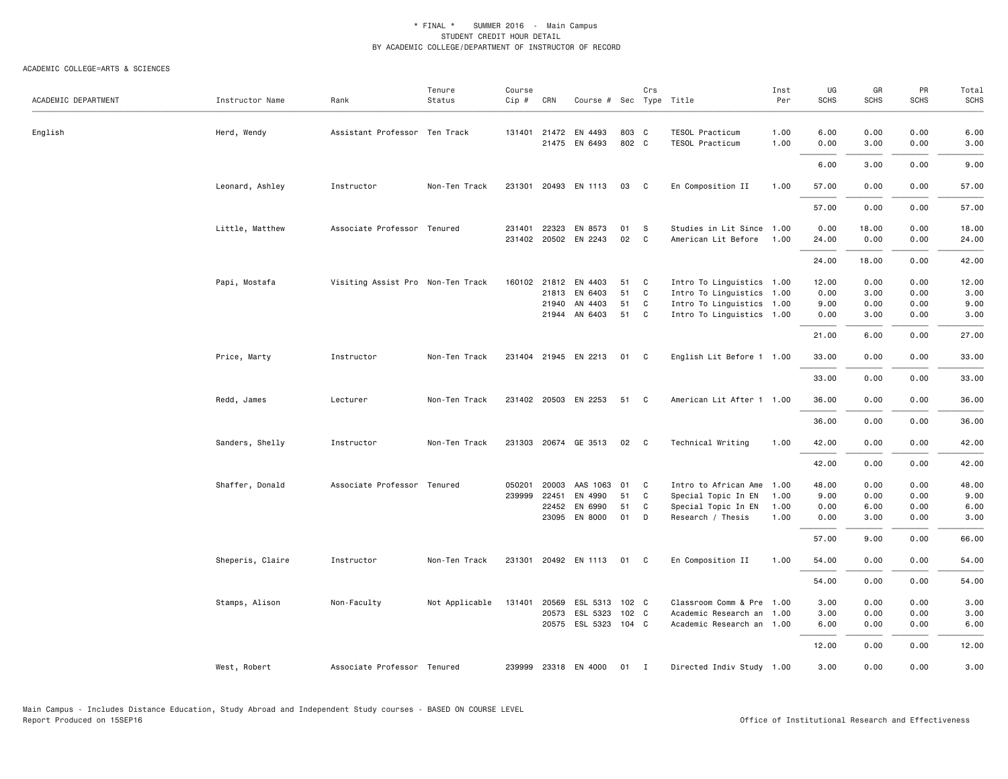| ACADEMIC DEPARTMENT | Instructor Name  | Rank                              | Tenure<br>Status | Course<br>Cip #  | CRN                            | Course # Sec Type Title                            |                      | Crs              |                                                                                                                  | Inst<br>Per                  | UG<br><b>SCHS</b>                      | GR<br><b>SCHS</b>                    | PR<br><b>SCHS</b>                    | Total<br><b>SCHS</b>                   |
|---------------------|------------------|-----------------------------------|------------------|------------------|--------------------------------|----------------------------------------------------|----------------------|------------------|------------------------------------------------------------------------------------------------------------------|------------------------------|----------------------------------------|--------------------------------------|--------------------------------------|----------------------------------------|
| English             | Herd, Wendy      | Assistant Professor Ten Track     |                  | 131401           | 21472                          | EN 4493<br>21475 EN 6493                           | 803 C<br>802 C       |                  | TESOL Practicum<br>TESOL Practicum                                                                               | 1.00<br>1.00                 | 6.00<br>0.00                           | 0.00<br>3.00                         | 0.00<br>0.00                         | 6.00<br>3.00                           |
|                     |                  |                                   |                  |                  |                                |                                                    |                      |                  |                                                                                                                  |                              | 6.00                                   | 3.00                                 | 0.00                                 | 9.00                                   |
|                     | Leonard, Ashley  | Instructor                        | Non-Ten Track    | 231301           |                                | 20493 EN 1113                                      | 03                   | $\mathbf{C}$     | En Composition II                                                                                                | 1.00                         | 57.00                                  | 0.00                                 | 0.00                                 | 57.00                                  |
|                     |                  |                                   |                  |                  |                                |                                                    |                      |                  |                                                                                                                  |                              | 57.00                                  | 0.00                                 | 0.00                                 | 57.00                                  |
|                     | Little, Matthew  | Associate Professor Tenured       |                  | 231401           | 22323                          | EN 8573<br>231402 20502 EN 2243                    | 01<br>02             | S<br>C           | Studies in Lit Since 1.00<br>American Lit Before                                                                 | 1.00                         | 0.00<br>24.00                          | 18.00<br>0.00                        | 0.00<br>0.00                         | 18.00<br>24.00                         |
|                     |                  |                                   |                  |                  |                                |                                                    |                      |                  |                                                                                                                  |                              | 24.00                                  | 18.00                                | 0.00                                 | 42.00                                  |
|                     | Papi, Mostafa    | Visiting Assist Pro Non-Ten Track |                  |                  | 160102 21812<br>21813<br>21940 | EN 4403<br>EN 6403<br>AN 4403<br>21944 AN 6403     | 51<br>51<br>51<br>51 | C<br>C<br>C<br>C | Intro To Linguistics 1.00<br>Intro To Linguistics 1.00<br>Intro To Linguistics 1.00<br>Intro To Linguistics 1.00 |                              | 12.00<br>0.00<br>9.00<br>0.00          | 0.00<br>3.00<br>0.00<br>3.00         | 0.00<br>0.00<br>0.00<br>0.00         | 12.00<br>3.00<br>9.00<br>3.00          |
|                     |                  |                                   |                  |                  |                                |                                                    |                      |                  |                                                                                                                  |                              | 21.00                                  | 6.00                                 | 0.00                                 | 27.00                                  |
|                     | Price, Marty     | Instructor                        | Non-Ten Track    |                  |                                | 231404 21945 EN 2213                               | 01 C                 |                  | English Lit Before 1 1.00                                                                                        |                              | 33.00                                  | 0.00                                 | 0.00                                 | 33.00                                  |
|                     |                  |                                   |                  |                  |                                |                                                    |                      |                  |                                                                                                                  |                              | 33.00                                  | 0.00                                 | 0.00                                 | 33.00                                  |
|                     | Redd, James      | Lecturer                          | Non-Ten Track    |                  |                                | 231402 20503 EN 2253                               | 51                   | C                | American Lit After 1 1.00                                                                                        |                              | 36.00                                  | 0.00                                 | 0.00                                 | 36.00                                  |
|                     |                  |                                   |                  |                  |                                |                                                    |                      |                  |                                                                                                                  |                              | 36.00                                  | 0.00                                 | 0.00                                 | 36.00                                  |
|                     | Sanders, Shelly  | Instructor                        | Non-Ten Track    |                  |                                | 231303 20674 GE 3513                               | 02                   | C                | Technical Writing                                                                                                | 1.00                         | 42.00                                  | 0.00                                 | 0.00                                 | 42.00                                  |
|                     |                  |                                   |                  |                  |                                |                                                    |                      |                  |                                                                                                                  |                              | 42.00                                  | 0.00                                 | 0.00                                 | 42.00                                  |
|                     | Shaffer, Donald  | Associate Professor Tenured       |                  | 050201<br>239999 | 20003<br>22451<br>22452        | AAS 1063 01<br>EN 4990<br>EN 6990<br>23095 EN 8000 | 51<br>51<br>01       | C<br>C<br>C<br>D | Intro to African Ame<br>Special Topic In EN<br>Special Topic In EN<br>Research / Thesis                          | 1.00<br>1.00<br>1.00<br>1.00 | 48.00<br>9.00<br>0.00<br>0.00<br>57.00 | 0.00<br>0.00<br>6.00<br>3.00<br>9.00 | 0.00<br>0.00<br>0.00<br>0.00<br>0.00 | 48.00<br>9.00<br>6.00<br>3.00<br>66.00 |
|                     | Sheperis, Claire | Instructor                        | Non-Ten Track    | 231301           |                                | 20492 EN 1113                                      | 01                   | C.               | En Composition II                                                                                                | 1.00                         | 54.00                                  | 0.00                                 | 0.00                                 | 54.00                                  |
|                     |                  |                                   |                  |                  |                                |                                                    |                      |                  |                                                                                                                  |                              | 54.00                                  | 0.00                                 | 0.00                                 | 54.00                                  |
|                     | Stamps, Alison   | Non-Faculty                       | Not Applicable   | 131401           | 20569<br>20573                 | ESL 5313 102 C<br>ESL 5323<br>20575 ESL 5323 104 C | 102 C                |                  | Classroom Comm & Pre 1.00<br>Academic Research an<br>Academic Research an 1.00                                   | 1.00                         | 3.00<br>3.00<br>6.00<br>12.00          | 0.00<br>0.00<br>0.00<br>0.00         | 0.00<br>0.00<br>0.00<br>0.00         | 3.00<br>3.00<br>6.00<br>12.00          |
|                     | West, Robert     | Associate Professor Tenured       |                  | 239999           |                                | 23318 EN 4000                                      | 01 I                 |                  | Directed Indiv Study 1.00                                                                                        |                              | 3.00                                   | 0.00                                 | 0.00                                 | 3.00                                   |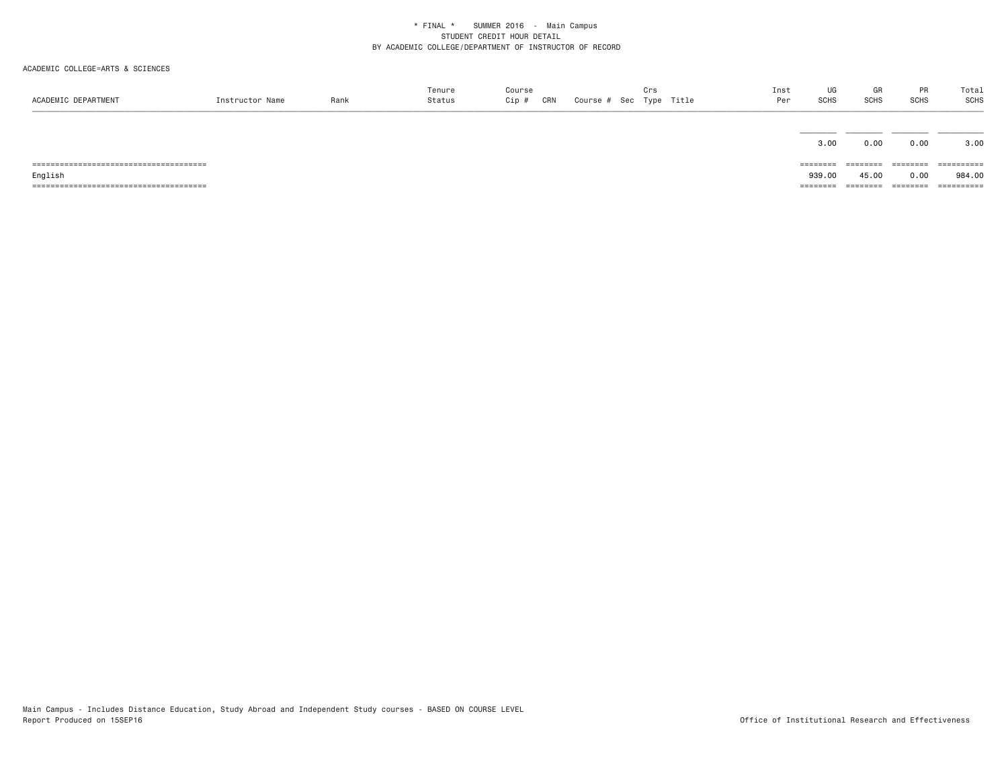| ACADEMIC DEPARTMENT | Instructor Name | Rank | Tenure<br>Status | Course<br>Cip #<br>CRN | Course # Sec Type Title | Crs | Inst<br>Per | UG<br>SCHS | GR<br>SCHS | <b>PR</b><br><b>SCHS</b> | Total<br>SCHS |
|---------------------|-----------------|------|------------------|------------------------|-------------------------|-----|-------------|------------|------------|--------------------------|---------------|
|                     |                 |      |                  |                        |                         |     |             |            |            |                          |               |
|                     |                 |      |                  |                        |                         |     |             | 3.00       | 0.00       | 0.00                     | 3.00          |
|                     |                 |      |                  |                        |                         |     |             |            | ========   | ========                 | ==========    |
| English             |                 |      |                  |                        |                         |     |             | 939.00     | 45.00      | 0.00                     | 984.00        |
|                     |                 |      |                  |                        |                         |     |             | ========   | ========   | ========                 | ==========    |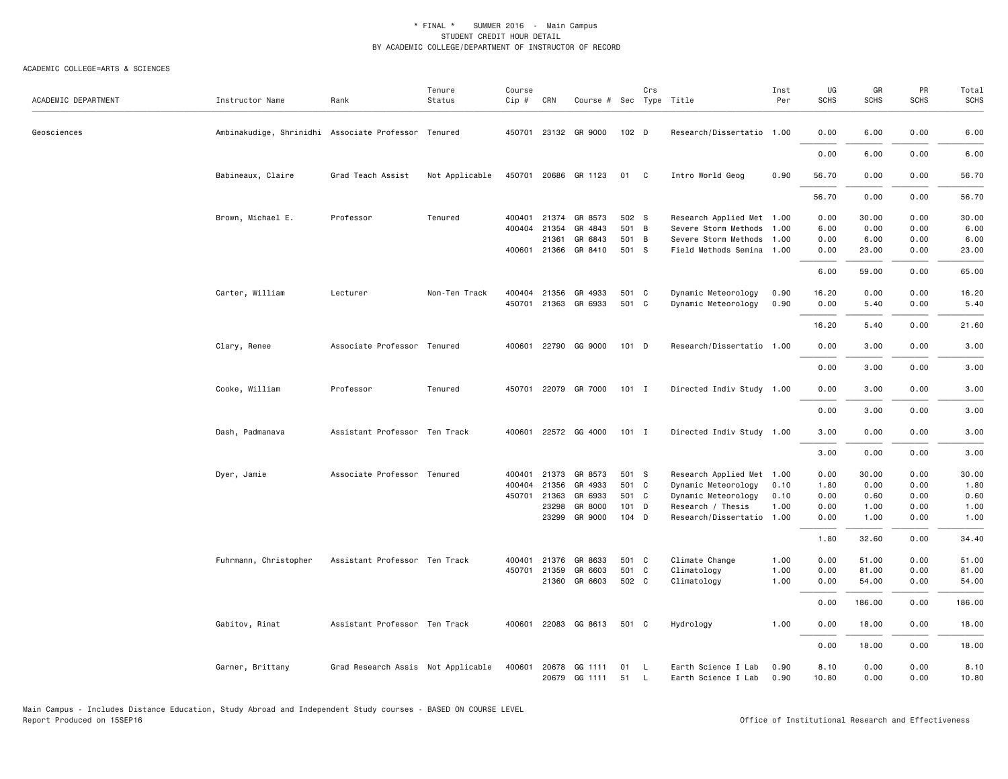| ACADEMIC DEPARTMENT | Instructor Name                                     | Rank                               | Tenure<br>Status | Course<br>Cip # | CRN   | Course # Sec Type Title           |         | Crs                |                                            | Inst<br>Per  | UG<br><b>SCHS</b> | GR<br><b>SCHS</b> | PR<br><b>SCHS</b> | Total<br><b>SCHS</b> |
|---------------------|-----------------------------------------------------|------------------------------------|------------------|-----------------|-------|-----------------------------------|---------|--------------------|--------------------------------------------|--------------|-------------------|-------------------|-------------------|----------------------|
|                     |                                                     |                                    |                  |                 |       |                                   |         |                    |                                            |              |                   |                   |                   |                      |
| Geosciences         | Ambinakudige, Shrinidhi Associate Professor Tenured |                                    |                  | 450701          |       | 23132 GR 9000                     | 102 D   |                    | Research/Dissertatio 1.00                  |              | 0.00              | 6.00              | 0.00              | 6.00                 |
|                     |                                                     |                                    |                  |                 |       |                                   |         |                    |                                            |              | 0.00              | 6.00              | 0.00              | 6.00                 |
|                     | Babineaux, Claire                                   | Grad Teach Assist                  | Not Applicable   | 450701          |       | 20686 GR 1123                     | 01 C    |                    | Intro World Geog                           | 0.90         | 56.70             | 0.00              | 0.00              | 56.70                |
|                     |                                                     |                                    |                  |                 |       |                                   |         |                    |                                            |              | 56.70             | 0.00              | 0.00              | 56.70                |
|                     | Brown, Michael E.                                   | Professor                          | Tenured          | 400401          | 21374 | GR 8573                           | 502 S   |                    | Research Applied Met 1.00                  |              | 0.00              | 30.00             | 0.00              | 30.00                |
|                     |                                                     |                                    |                  | 400404          | 21354 | GR 4843                           | 501 B   |                    | Severe Storm Methods                       | 1.00         | 6.00              | 0.00              | 0.00              | 6.00                 |
|                     |                                                     |                                    |                  |                 | 21361 | GR 6843                           | 501 B   |                    | Severe Storm Methods                       | 1.00         | 0.00              | 6.00              | 0.00              | 6.00                 |
|                     |                                                     |                                    |                  | 400601          | 21366 | GR 8410                           | 501 S   |                    | Field Methods Semina                       | 1.00         | 0.00              | 23.00             | 0.00              | 23.00                |
|                     |                                                     |                                    |                  |                 |       |                                   |         |                    |                                            |              | 6.00              | 59.00             | 0.00              | 65.00                |
|                     | Carter, William                                     | Lecturer                           | Non-Ten Track    | 400404          | 21356 | GR 4933                           | 501     | $\mathbf{C}$       | Dynamic Meteorology                        | 0.90         | 16.20             | 0.00              | 0.00              | 16.20                |
|                     |                                                     |                                    |                  | 450701          |       | 21363 GR 6933                     | 501 C   |                    | Dynamic Meteorology                        | 0.90         | 0.00              | 5.40              | 0.00              | 5.40                 |
|                     |                                                     |                                    |                  |                 |       |                                   |         |                    |                                            |              | 16.20             | 5.40              | 0.00              | 21.60                |
|                     | Clary, Renee                                        | Associate Professor Tenured        |                  | 400601          |       | 22790 GG 9000                     | $101$ D |                    | Research/Dissertatio 1.00                  |              | 0.00              | 3.00              | 0.00              | 3.00                 |
|                     |                                                     |                                    |                  |                 |       |                                   |         |                    |                                            |              |                   |                   |                   |                      |
|                     |                                                     |                                    |                  |                 |       |                                   |         |                    |                                            |              | 0.00              | 3.00              | 0.00              | 3.00                 |
|                     | Cooke, William                                      | Professor                          | Tenured          | 450701          |       | 22079 GR 7000                     | $101$ I |                    | Directed Indiv Study 1.00                  |              | 0.00              | 3.00              | 0.00              | 3.00                 |
|                     |                                                     |                                    |                  |                 |       |                                   |         |                    |                                            |              | 0.00              | 3.00              | 0.00              | 3.00                 |
|                     | Dash, Padmanava                                     | Assistant Professor Ten Track      |                  | 400601          |       | 22572 GG 4000                     | $101$ I |                    | Directed Indiv Study 1.00                  |              | 3.00              | 0.00              | 0.00              | 3.00                 |
|                     |                                                     |                                    |                  |                 |       |                                   |         |                    |                                            |              | 3.00              | 0.00              | 0.00              | 3.00                 |
|                     | Dyer, Jamie                                         | Associate Professor Tenured        |                  | 400401          | 21373 | GR 8573                           | 501 S   |                    | Research Applied Met 1.00                  |              | 0.00              | 30.00             | 0.00              | 30.00                |
|                     |                                                     |                                    |                  | 400404          | 21356 | GR 4933                           | 501 C   |                    | Dynamic Meteorology                        | 0.10         | 1.80              | 0.00              | 0.00              | 1.80                 |
|                     |                                                     |                                    |                  | 450701          | 21363 | GR 6933                           | 501 C   |                    | Dynamic Meteorology                        | 0.10         | 0.00              | 0.60              | 0.00              | 0.60                 |
|                     |                                                     |                                    |                  |                 | 23298 | GR 8000                           | 101 D   |                    | Research / Thesis                          | 1.00         | 0.00              | 1.00              | 0.00              | 1.00                 |
|                     |                                                     |                                    |                  |                 | 23299 | GR 9000                           | 104 D   |                    | Research/Dissertatio 1.00                  |              | 0.00              | 1.00              | 0.00              | 1.00                 |
|                     |                                                     |                                    |                  |                 |       |                                   |         |                    |                                            |              | 1.80              | 32.60             | 0.00              | 34.40                |
|                     | Fuhrmann, Christopher                               | Assistant Professor Ten Track      |                  | 400401          | 21376 | GR 8633                           | 501 C   |                    | Climate Change                             | 1.00         | 0.00              | 51.00             | 0.00              | 51.00                |
|                     |                                                     |                                    |                  | 450701          | 21359 | GR 6603                           | 501 C   |                    | Climatology                                | 1.00         | 0.00              | 81.00             | 0.00              | 81.00                |
|                     |                                                     |                                    |                  |                 |       | 21360 GR 6603                     | 502 C   |                    | Climatology                                | 1.00         | 0.00              | 54.00             | 0.00              | 54.00                |
|                     |                                                     |                                    |                  |                 |       |                                   |         |                    |                                            |              | 0.00              | 186.00            | 0.00              | 186.00               |
|                     | Gabitov, Rinat                                      | Assistant Professor Ten Track      |                  | 400601          |       | 22083 GG 8613                     | 501 C   |                    | Hydrology                                  | 1.00         | 0.00              | 18.00             | 0.00              | 18.00                |
|                     |                                                     |                                    |                  |                 |       |                                   |         |                    |                                            |              | 0.00              | 18.00             | 0.00              | 18.00                |
|                     | Garner, Brittany                                    | Grad Research Assis Not Applicable |                  | 400601          |       | 20678 GG 1111<br>20679 GG 1111 51 | 01      | $\mathsf{L}$<br>L. | Earth Science I Lab<br>Earth Science I Lab | 0.90<br>0.90 | 8.10<br>10.80     | 0.00<br>0.00      | 0.00<br>0.00      | 8.10<br>10.80        |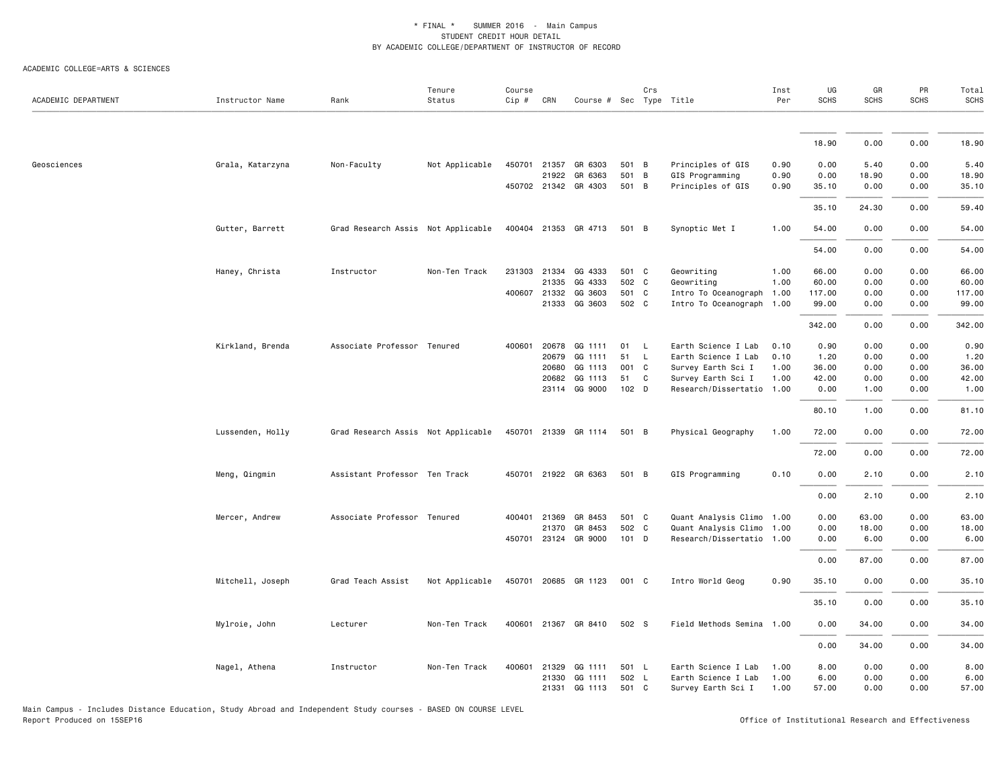ACADEMIC COLLEGE=ARTS & SCIENCES

| ACADEMIC DEPARTMENT | Instructor Name  | Rank                               | Tenure<br>Status | Course<br>Cip # | CRN                   | Course # Sec Type Title |                | Crs      |                                            | Inst<br>Per  | UG<br><b>SCHS</b> | GR<br><b>SCHS</b> | PR<br><b>SCHS</b> | Total<br>SCHS |
|---------------------|------------------|------------------------------------|------------------|-----------------|-----------------------|-------------------------|----------------|----------|--------------------------------------------|--------------|-------------------|-------------------|-------------------|---------------|
|                     |                  |                                    |                  |                 |                       |                         |                |          |                                            |              |                   |                   |                   |               |
|                     |                  |                                    |                  |                 |                       |                         |                |          |                                            |              | 18.90             | 0.00              | 0.00              | 18.90         |
| Geosciences         | Grala, Katarzyna | Non-Faculty                        | Not Applicable   |                 | 450701 21357          | GR 6303                 | 501 B          |          | Principles of GIS                          | 0.90         | 0.00              | 5.40              | 0.00              | 5.40          |
|                     |                  |                                    |                  |                 | 21922                 | GR 6363                 | 501 B          |          | GIS Programming                            | 0.90         | 0.00              | 18.90             | 0.00              | 18.90         |
|                     |                  |                                    |                  |                 |                       | 450702 21342 GR 4303    | 501 B          |          | Principles of GIS                          | 0.90         | 35.10             | 0.00              | 0.00              | 35.10         |
|                     |                  |                                    |                  |                 |                       |                         |                |          |                                            |              | 35.10             | 24.30             | 0.00              | 59.40         |
|                     | Gutter, Barrett  | Grad Research Assis Not Applicable |                  |                 | 400404 21353          | GR 4713                 | 501 B          |          | Synoptic Met I                             | 1.00         | 54.00             | 0.00              | 0.00              | 54.00         |
|                     |                  |                                    |                  |                 |                       |                         |                |          |                                            |              | 54.00             | 0.00              | 0.00              | 54.00         |
|                     | Haney, Christa   | Instructor                         | Non-Ten Track    |                 | 231303 21334          | GG 4333                 | 501 C          |          | Geowriting                                 | 1.00         | 66.00             | 0.00              | 0.00              | 66.00         |
|                     |                  |                                    |                  |                 | 21335                 | GG 4333                 | 502 C          |          | Geowriting                                 | 1.00         | 60.00             | 0.00              | 0.00              | 60.00         |
|                     |                  |                                    |                  |                 | 400607 21332          | GG 3603                 | 501 C          |          | Intro To Oceanograph                       | 1.00         | 117.00            | 0.00              | 0.00              | 117.00        |
|                     |                  |                                    |                  |                 | 21333                 | GG 3603                 | 502 C          |          | Intro To Oceanograph 1.00                  |              | 99.00             | 0.00              | 0.00              | 99.00         |
|                     |                  |                                    |                  |                 |                       |                         |                |          |                                            |              | 342.00            | 0.00              | 0.00              | 342.00        |
|                     | Kirkland, Brenda | Associate Professor Tenured        |                  | 400601          | 20678                 | GG 1111                 | 01             | <b>L</b> | Earth Science I Lab                        | 0.10         | 0.90              | 0.00              | 0.00              | 0.90          |
|                     |                  |                                    |                  |                 | 20679                 | GG 1111                 | 51 L           |          | Earth Science I Lab                        | 0.10         | 1.20              | 0.00              | 0.00              | 1.20          |
|                     |                  |                                    |                  |                 | 20680                 | GG 1113                 | 001 C          |          | Survey Earth Sci I                         | 1.00         | 36.00             | 0.00              | 0.00              | 36.00         |
|                     |                  |                                    |                  |                 | 20682                 | GG 1113                 | 51             | C        | Survey Earth Sci I                         | 1.00         | 42.00             | 0.00              | 0.00              | 42.00         |
|                     |                  |                                    |                  |                 |                       | 23114 GG 9000           | 102 D          |          | Research/Dissertatio 1.00                  |              | 0.00              | 1.00              | 0.00              | 1.00          |
|                     |                  |                                    |                  |                 |                       |                         |                |          |                                            |              | 80.10             | 1.00              | 0.00              | 81.10         |
|                     | Lussenden, Holly | Grad Research Assis Not Applicable |                  |                 |                       | 450701 21339 GR 1114    | 501 B          |          | Physical Geography                         | 1.00         | 72.00             | 0.00              | 0.00              | 72.00         |
|                     |                  |                                    |                  |                 |                       |                         |                |          |                                            |              | 72.00             | 0.00              | 0.00              | 72.00         |
|                     | Meng, Qingmin    | Assistant Professor Ten Track      |                  |                 |                       | 450701 21922 GR 6363    | 501 B          |          | GIS Programming                            | 0.10         | 0.00              | 2.10              | 0.00              | 2.10          |
|                     |                  |                                    |                  |                 |                       |                         |                |          |                                            |              | 0.00              | 2.10              | 0.00              | 2.10          |
|                     | Mercer, Andrew   | Associate Professor Tenured        |                  | 400401          | 21369                 | GR 8453                 | 501 C          |          | Quant Analysis Climo 1.00                  |              | 0.00              | 63.00             | 0.00              | 63.00         |
|                     |                  |                                    |                  |                 | 21370                 | GR 8453                 | 502 C          |          | Quant Analysis Climo 1.00                  |              | 0.00              | 18.00             | 0.00              | 18.00         |
|                     |                  |                                    |                  |                 |                       | 450701 23124 GR 9000    | $101$ D        |          | Research/Dissertatio 1.00                  |              | 0.00              | 6.00              | 0.00              | 6.00          |
|                     |                  |                                    |                  |                 |                       |                         |                |          |                                            |              | 0.00              | 87.00             | 0.00              | 87.00         |
|                     | Mitchell, Joseph | Grad Teach Assist                  | Not Applicable   |                 |                       | 450701 20685 GR 1123    | 001 C          |          | Intro World Geog                           | 0.90         | 35.10             | 0.00              | 0.00              | 35.10         |
|                     |                  |                                    |                  |                 |                       |                         |                |          |                                            |              | 35.10             | 0.00              | 0.00              | 35.10         |
|                     | Mylroie, John    | Lecturer                           | Non-Ten Track    | 400601          | 21367                 | GR 8410                 | 502 S          |          | Field Methods Semina 1.00                  |              | 0.00              | 34.00             | 0.00              | 34.00         |
|                     |                  |                                    |                  |                 |                       |                         |                |          |                                            |              | 0.00              | 34.00             | 0.00              | 34.00         |
|                     |                  |                                    |                  |                 |                       |                         |                |          |                                            |              | 8.00              | 0.00              |                   |               |
|                     | Nagel, Athena    | Instructor                         | Non-Ten Track    |                 | 400601 21329<br>21330 | GG 1111<br>GG 1111      | 501 L<br>502 L |          | Earth Science I Lab<br>Earth Science I Lab | 1.00<br>1.00 | 6.00              | 0.00              | 0.00<br>0.00      | 8.00<br>6.00  |
|                     |                  |                                    |                  |                 | 21331                 | GG 1113                 | 501 C          |          | Survey Earth Sci I                         | 1.00         | 57.00             | 0.00              | 0.00              | 57.00         |

Main Campus - Includes Distance Education, Study Abroad and Independent Study courses - BASED ON COURSE LEVEL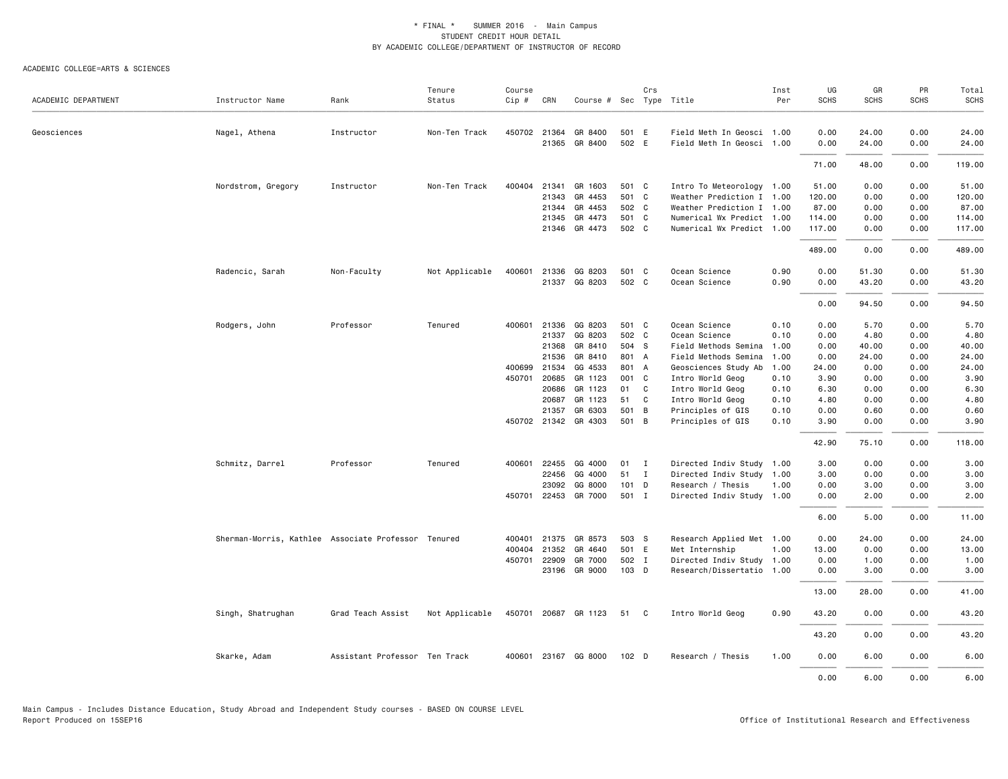|                     |                                                     |                               | Tenure         | Course   |              |                         |                  | Crs          |                           | Inst | UG          | GR    | PR          | Total       |
|---------------------|-----------------------------------------------------|-------------------------------|----------------|----------|--------------|-------------------------|------------------|--------------|---------------------------|------|-------------|-------|-------------|-------------|
| ACADEMIC DEPARTMENT | Instructor Name                                     | Rank                          | Status         | $Cip \#$ | CRN          | Course # Sec Type Title |                  |              |                           | Per  | <b>SCHS</b> | SCHS  | <b>SCHS</b> | <b>SCHS</b> |
| Geosciences         | Nagel, Athena                                       | Instructor                    | Non-Ten Track  |          | 450702 21364 | GR 8400                 | 501 E            |              | Field Meth In Geosci 1.00 |      | 0.00        | 24.00 | 0.00        | 24.00       |
|                     |                                                     |                               |                |          |              | 21365 GR 8400           | 502 E            |              | Field Meth In Geosci 1.00 |      | 0.00        | 24.00 | 0.00        | 24.00       |
|                     |                                                     |                               |                |          |              |                         |                  |              |                           |      | 71.00       | 48.00 | 0.00        | 119.00      |
|                     | Nordstrom, Gregory                                  | Instructor                    | Non-Ten Track  | 400404   | 21341        | GR 1603                 | 501 C            |              | Intro To Meteorology 1.00 |      | 51.00       | 0.00  | 0.00        | 51.00       |
|                     |                                                     |                               |                |          | 21343        | GR 4453                 | 501 C            |              | Weather Prediction I 1.00 |      | 120.00      | 0.00  | 0.00        | 120.00      |
|                     |                                                     |                               |                |          |              | 21344 GR 4453           | 502 C            |              | Weather Prediction I 1.00 |      | 87.00       | 0.00  | 0.00        | 87.00       |
|                     |                                                     |                               |                |          |              | 21345 GR 4473           | 501 C            |              | Numerical Wx Predict 1.00 |      | 114.00      | 0.00  | 0.00        | 114.00      |
|                     |                                                     |                               |                |          |              | 21346 GR 4473           | 502 C            |              | Numerical Wx Predict 1.00 |      | 117.00      | 0.00  | 0.00        | 117.00      |
|                     |                                                     |                               |                |          |              |                         |                  |              |                           |      | 489.00      | 0.00  | 0.00        | 489.00      |
|                     | Radencic, Sarah                                     | Non-Faculty                   | Not Applicable | 400601   |              | 21336 GG 8203           | 501 C            |              | Ocean Science             | 0.90 | 0.00        | 51.30 | 0.00        | 51.30       |
|                     |                                                     |                               |                |          |              | 21337 GG 8203           | 502 C            |              | Ocean Science             | 0.90 | 0.00        | 43.20 | 0.00        | 43.20       |
|                     |                                                     |                               |                |          |              |                         |                  |              |                           |      | 0.00        | 94.50 | 0.00        | 94.50       |
|                     |                                                     |                               |                |          |              |                         |                  |              |                           |      |             |       |             |             |
|                     | Rodgers, John                                       | Professor                     | Tenured        | 400601   | 21336        | GG 8203                 | 501 C            |              | Ocean Science             | 0.10 | 0.00        | 5.70  | 0.00        | 5.70        |
|                     |                                                     |                               |                |          | 21337        | GG 8203                 | 502 C            |              | Ocean Science             | 0.10 | 0.00        | 4.80  | 0.00        | 4.80        |
|                     |                                                     |                               |                |          | 21368        | GR 8410                 | 504 S            |              | Field Methods Semina      | 1.00 | 0.00        | 40.00 | 0.00        | 40.00       |
|                     |                                                     |                               |                |          | 21536        | GR 8410                 | 801 A            |              | Field Methods Semina      | 1.00 | 0.00        | 24.00 | 0.00        | 24.00       |
|                     |                                                     |                               |                |          | 400699 21534 | GG 4533                 | 801 A            |              | Geosciences Study Ab      | 1.00 | 24.00       | 0.00  | 0.00        | 24.00       |
|                     |                                                     |                               |                |          | 450701 20685 | GR 1123                 | 001 C            |              | Intro World Geog          | 0.10 | 3.90        | 0.00  | 0.00        | 3.90        |
|                     |                                                     |                               |                |          | 20686        | GR 1123                 | 01               | $\mathbf{C}$ | Intro World Geog          | 0.10 | 6.30        | 0.00  | 0.00        | 6.30        |
|                     |                                                     |                               |                |          | 20687        | GR 1123                 | 51               | C            | Intro World Geog          | 0.10 | 4.80        | 0.00  | 0.00        | 4.80        |
|                     |                                                     |                               |                |          | 21357        | GR 6303                 | 501 B            |              | Principles of GIS         | 0.10 | 0.00        | 0.60  | 0.00        | 0.60        |
|                     |                                                     |                               |                |          |              | 450702 21342 GR 4303    | 501 B            |              | Principles of GIS         | 0.10 | 3.90        | 0.00  | 0.00        | 3.90        |
|                     |                                                     |                               |                |          |              |                         |                  |              |                           |      | 42.90       | 75.10 | 0.00        | 118.00      |
|                     | Schmitz, Darrel                                     | Professor                     | Tenured        | 400601   |              | 22455 GG 4000           | 01 I             |              | Directed Indiv Study 1.00 |      | 3.00        | 0.00  | 0.00        | 3.00        |
|                     |                                                     |                               |                |          | 22456        | GG 4000                 | 51               | $\mathbf{I}$ | Directed Indiv Study 1.00 |      | 3.00        | 0.00  | 0.00        | 3.00        |
|                     |                                                     |                               |                |          | 23092        | GG 8000                 | $101$ D          |              | Research / Thesis         | 1.00 | 0.00        | 3.00  | 0.00        | 3.00        |
|                     |                                                     |                               |                | 450701   |              | 22453 GR 7000           | 501 I            |              | Directed Indiv Study 1.00 |      | 0.00        | 2.00  | 0.00        | 2.00        |
|                     |                                                     |                               |                |          |              |                         |                  |              |                           |      | 6.00        | 5.00  | 0.00        | 11.00       |
|                     | Sherman-Morris, Kathlee Associate Professor Tenured |                               |                |          |              | 400401 21375 GR 8573    | 503 S            |              | Research Applied Met 1.00 |      | 0.00        | 24.00 | 0.00        | 24.00       |
|                     |                                                     |                               |                | 400404   | 21352        | GR 4640                 | 501 E            |              | Met Internship            | 1.00 | 13.00       | 0.00  | 0.00        | 13.00       |
|                     |                                                     |                               |                |          | 450701 22909 | GR 7000                 | 502 I            |              | Directed Indiv Study 1.00 |      | 0.00        | 1.00  | 0.00        | 1.00        |
|                     |                                                     |                               |                |          |              | 23196 GR 9000           | $103$ D          |              | Research/Dissertatio 1.00 |      | 0.00        | 3.00  | 0.00        | 3.00        |
|                     |                                                     |                               |                |          |              |                         |                  |              |                           |      | 13.00       | 28.00 | 0.00        | 41.00       |
|                     | Singh, Shatrughan                                   | Grad Teach Assist             | Not Applicable | 450701   |              | 20687 GR 1123           | 51               | C            | Intro World Geog          | 0.90 | 43.20       | 0.00  | 0.00        | 43.20       |
|                     |                                                     |                               |                |          |              |                         |                  |              |                           |      | 43.20       | 0.00  | 0.00        | 43.20       |
|                     | Skarke, Adam                                        | Assistant Professor Ten Track |                |          |              | 400601 23167 GG 8000    | 102 <sub>D</sub> |              | Research / Thesis         | 1.00 | 0.00        | 6.00  | 0.00        | 6.00        |
|                     |                                                     |                               |                |          |              |                         |                  |              |                           |      | 0.00        | 6.00  | 0.00        | 6.00        |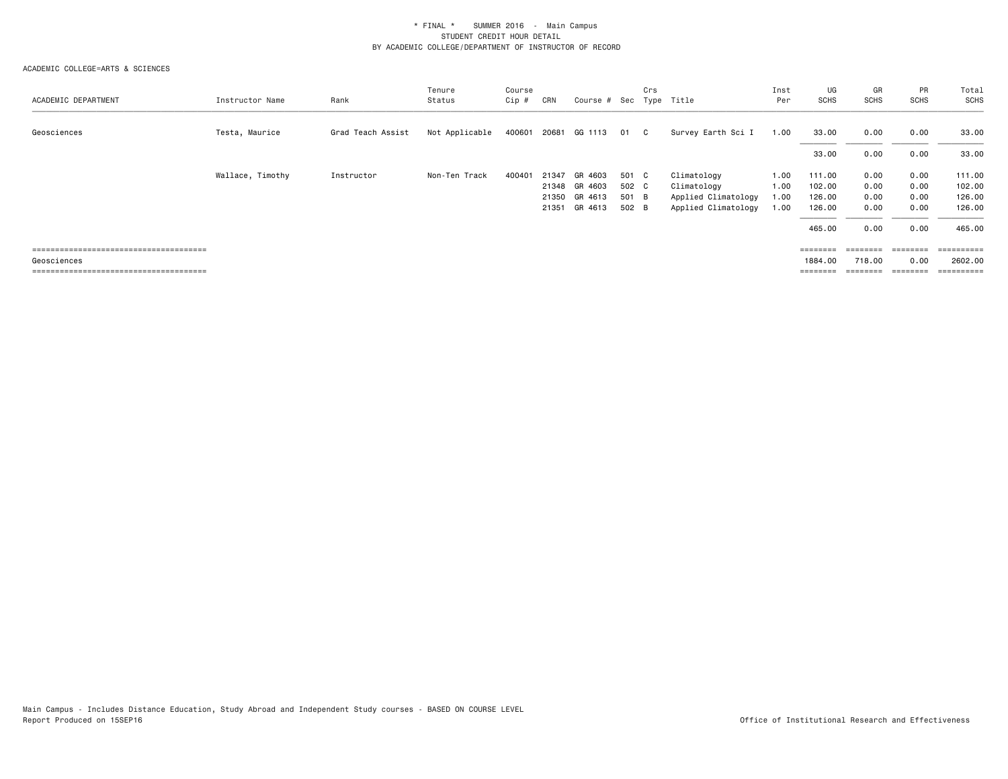| ACADEMIC DEPARTMENT | Instructor Name  | Rank              | Tenure<br>Status | Course<br>Cip # | CRN   | Course # Sec Type Title |       | Crs |                     | Inst<br>Per | UG<br>SCHS | GR<br><b>SCHS</b> | PR<br><b>SCHS</b> | Total<br>SCHS |
|---------------------|------------------|-------------------|------------------|-----------------|-------|-------------------------|-------|-----|---------------------|-------------|------------|-------------------|-------------------|---------------|
| Geosciences         | Testa, Maurice   | Grad Teach Assist | Not Applicable   | 400601          | 20681 | GG 1113                 | 01    | C.  | Survey Earth Sci I  | 1.00        | 33.00      | 0.00              | 0.00              | 33.00         |
|                     |                  |                   |                  |                 |       |                         |       |     |                     |             | 33.00      | 0.00              | 0.00              | 33.00         |
|                     | Wallace, Timothy | Instructor        | Non-Ten Track    | 400401          | 21347 | GR 4603                 | 501 C |     | Climatology         | 1.00        | 111.00     | 0.00              | 0.00              | 111.00        |
|                     |                  |                   |                  |                 |       | 21348 GR 4603           | 502 C |     | Climatology         | 1.00        | 102.00     | 0.00              | 0.00              | 102.00        |
|                     |                  |                   |                  |                 | 21350 | GR 4613                 | 501 B |     | Applied Climatology | 1.00        | 126.00     | 0.00              | 0.00              | 126.00        |
|                     |                  |                   |                  |                 | 21351 | GR 4613                 | 502 B |     | Applied Climatology | 1.00        | 126.00     | 0.00              | 0.00              | 126.00        |
|                     |                  |                   |                  |                 |       |                         |       |     |                     |             | 465.00     | 0.00              | 0.00              | 465.00        |
|                     |                  |                   |                  |                 |       |                         |       |     |                     |             |            | ========          | ========          | ;========     |
| Geosciences         |                  |                   |                  |                 |       |                         |       |     |                     |             | 1884.00    | 718,00            | 0.00              | 2602.00       |
|                     |                  |                   |                  |                 |       |                         |       |     |                     |             | ========   | ========          | ========          | ==========    |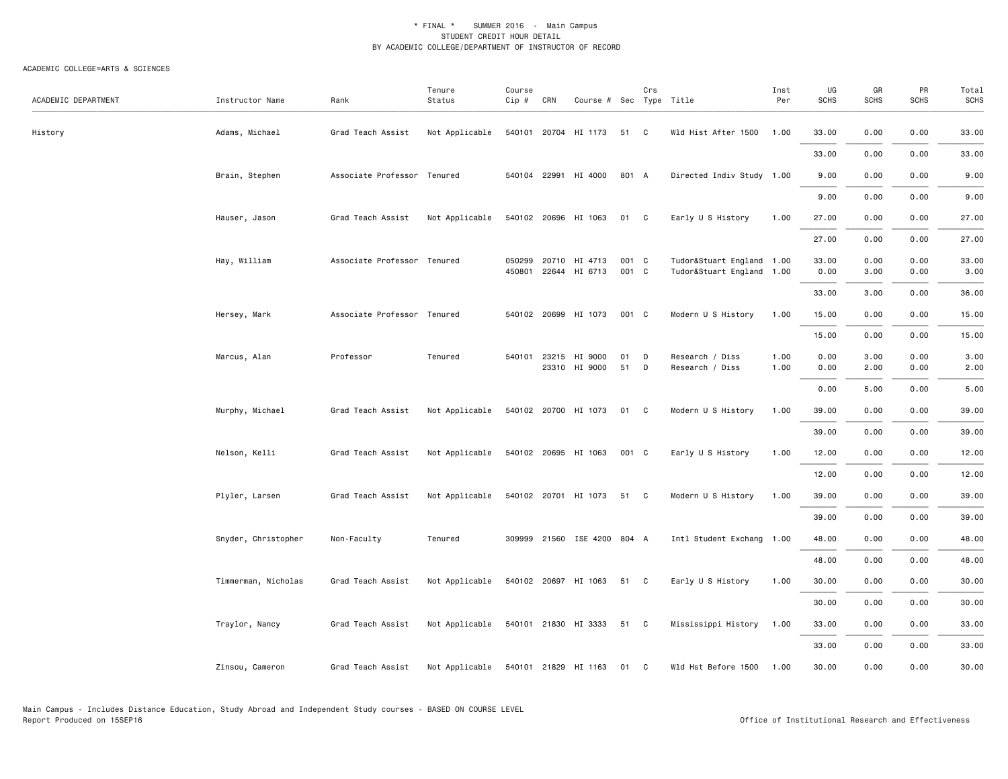| ACADEMIC DEPARTMENT | Instructor Name     | Rank                        | Tenure<br>Status | Course<br>$Cip \#$ | CRN | Course # Sec Type Title               |                | Crs    |                                                        | Inst<br>Per  | UG<br><b>SCHS</b> | GR<br><b>SCHS</b> | PR<br><b>SCHS</b> | Total<br><b>SCHS</b> |
|---------------------|---------------------|-----------------------------|------------------|--------------------|-----|---------------------------------------|----------------|--------|--------------------------------------------------------|--------------|-------------------|-------------------|-------------------|----------------------|
| History             | Adams, Michael      | Grad Teach Assist           | Not Applicable   |                    |     | 540101 20704 HI 1173                  | 51             | C      | Wld Hist After 1500                                    | 1.00         | 33.00             | 0.00              | 0.00              | 33.00                |
|                     |                     |                             |                  |                    |     |                                       |                |        |                                                        |              | 33.00             | 0.00              | 0.00              | 33.00                |
|                     | Brain, Stephen      | Associate Professor Tenured |                  |                    |     | 540104 22991 HI 4000                  | 801 A          |        | Directed Indiv Study 1.00                              |              | 9.00              | 0.00              | 0.00              | 9.00                 |
|                     |                     |                             |                  |                    |     |                                       |                |        |                                                        |              | 9.00              | 0.00              | 0.00              | 9.00                 |
|                     | Hauser, Jason       | Grad Teach Assist           | Not Applicable   |                    |     | 540102 20696 HI 1063                  | 01             | C      | Early U S History                                      | 1.00         | 27.00             | 0.00              | 0.00              | 27.00                |
|                     |                     |                             |                  |                    |     |                                       |                |        |                                                        |              | 27.00             | 0.00              | 0.00              | 27.00                |
|                     | Hay, William        | Associate Professor Tenured |                  | 050299<br>450801   |     | 20710 HI 4713<br>22644 HI 6713        | 001 C<br>001 C |        | Tudor&Stuart England 1.00<br>Tudor&Stuart England 1.00 |              | 33.00<br>0.00     | 0.00<br>3.00      | 0.00<br>0.00      | 33.00<br>3.00        |
|                     |                     |                             |                  |                    |     |                                       |                |        |                                                        |              | 33.00             | 3.00              | 0.00              | 36.00                |
|                     | Hersey, Mark        | Associate Professor Tenured |                  |                    |     | 540102 20699 HI 1073                  | 001 C          |        | Modern U S History                                     | 1.00         | 15.00             | 0.00              | 0.00              | 15.00                |
|                     |                     |                             |                  |                    |     |                                       |                |        |                                                        |              | 15.00             | 0.00              | 0.00              | 15.00                |
|                     | Marcus, Alan        | Professor                   | Tenured          |                    |     | 540101 23215 HI 9000<br>23310 HI 9000 | 01<br>51       | D<br>D | Research / Diss<br>Research / Diss                     | 1.00<br>1.00 | 0.00<br>0.00      | 3.00<br>2.00      | 0.00<br>0.00      | 3.00<br>2.00         |
|                     |                     |                             |                  |                    |     |                                       |                |        |                                                        |              | 0.00              | 5.00              | 0.00              | 5.00                 |
|                     | Murphy, Michael     | Grad Teach Assist           | Not Applicable   |                    |     | 540102 20700 HI 1073                  | 01 C           |        | Modern U S History                                     | 1.00         | 39.00             | 0.00              | 0.00              | 39.00                |
|                     |                     |                             |                  |                    |     |                                       |                |        |                                                        |              | 39.00             | 0.00              | 0.00              | 39.00                |
|                     | Nelson, Kelli       | Grad Teach Assist           | Not Applicable   |                    |     | 540102 20695 HI 1063                  | 001 C          |        | Early U S History                                      | 1.00         | 12.00             | 0.00              | 0.00              | 12.00                |
|                     |                     |                             |                  |                    |     |                                       |                |        |                                                        |              | 12.00             | 0.00              | 0.00              | 12.00                |
|                     | Plyler, Larsen      | Grad Teach Assist           | Not Applicable   |                    |     | 540102 20701 HI 1073                  | 51 C           |        | Modern U S History                                     | 1.00         | 39.00             | 0.00              | 0.00              | 39.00                |
|                     |                     |                             |                  |                    |     |                                       |                |        |                                                        |              | 39.00             | 0.00              | 0.00              | 39.00                |
|                     | Snyder, Christopher | Non-Faculty                 | Tenured          |                    |     | 309999 21560 ISE 4200 804 A           |                |        | Intl Student Exchang 1.00                              |              | 48.00             | 0.00              | 0.00              | 48.00                |
|                     |                     |                             |                  |                    |     |                                       |                |        |                                                        |              | 48.00             | 0.00              | 0.00              | 48.00                |
|                     | Timmerman, Nicholas | Grad Teach Assist           | Not Applicable   |                    |     | 540102 20697 HI 1063                  | 51 C           |        | Early U S History                                      | 1.00         | 30.00             | 0.00              | 0.00              | 30.00                |
|                     |                     |                             |                  |                    |     |                                       |                |        |                                                        |              | 30.00             | 0.00              | 0.00              | 30.00                |
|                     | Traylor, Nancy      | Grad Teach Assist           | Not Applicable   |                    |     | 540101 21830 HI 3333                  | 51 C           |        | Mississippi History                                    | 1.00         | 33.00             | 0.00              | 0.00              | 33.00                |
|                     |                     |                             |                  |                    |     |                                       |                |        |                                                        |              | 33.00             | 0.00              | 0.00              | 33.00                |
|                     | Zinsou, Cameron     | Grad Teach Assist           | Not Applicable   |                    |     | 540101 21829 HI 1163                  | 01             | C      | Wld Hst Before 1500                                    | 1.00         | 30.00             | 0.00              | 0.00              | 30.00                |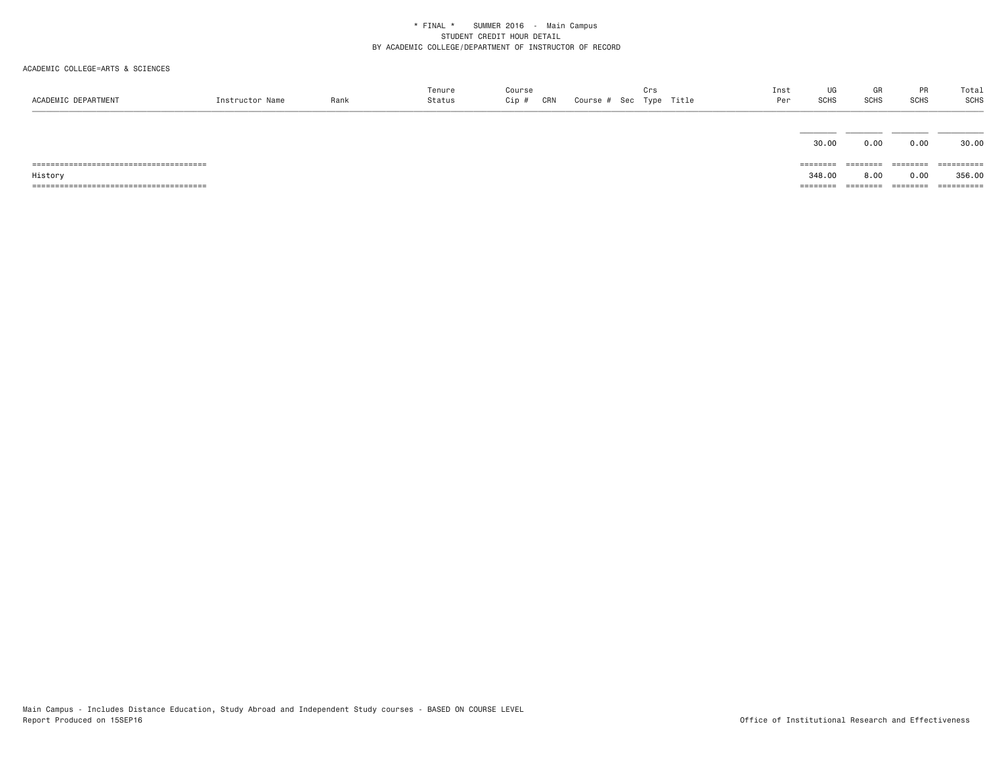| ACADEMIC DEPARTMENT | Instructor Name | Rank | Tenure<br>Status | Course<br>CRN<br>Cip # | Crs<br>Course # Sec Type Title | Inst<br>Per | UG<br>SCHS | GR<br>SCHS | PR<br><b>SCHS</b> | Total<br>SCHS |
|---------------------|-----------------|------|------------------|------------------------|--------------------------------|-------------|------------|------------|-------------------|---------------|
|                     |                 |      |                  |                        |                                |             |            |            |                   |               |
|                     |                 |      |                  |                        |                                |             | 30.00      | 0.00       | 0.00              | 30.00         |
|                     |                 |      |                  |                        |                                |             | ========   | ========   | ========          | ==========    |
| History             |                 |      |                  |                        |                                |             | 348.00     | 8.00       | 0.00              | 356.00        |
|                     |                 |      |                  |                        |                                |             | ---------  | ---------  | ========          | ==========    |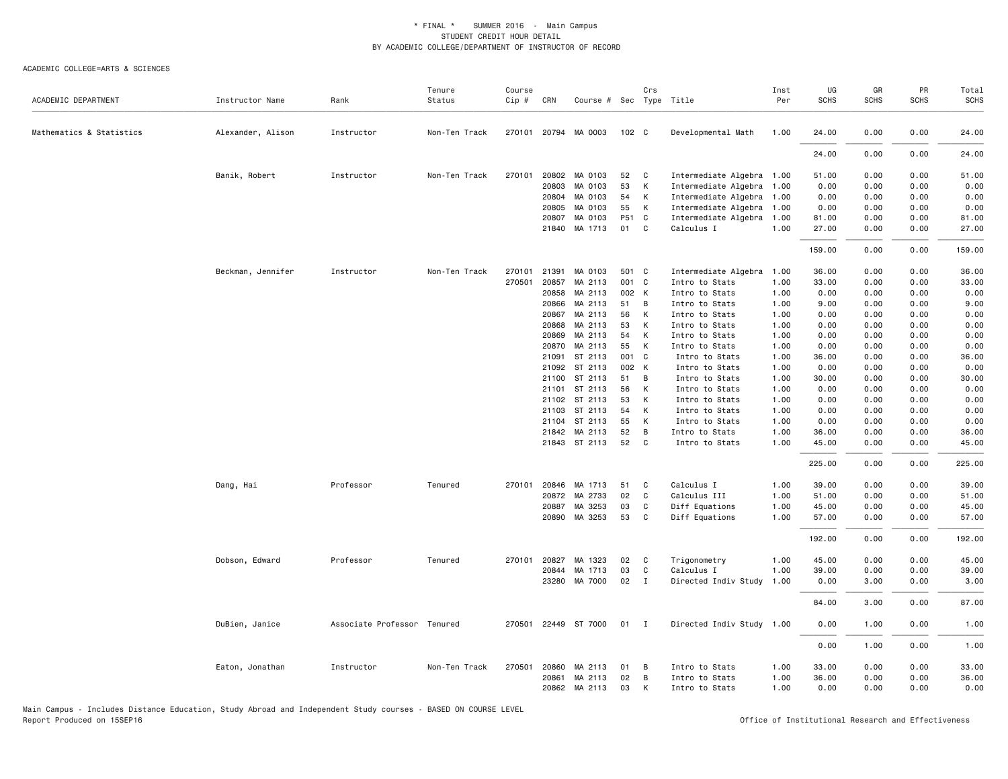#### ACADEMIC COLLEGE=ARTS & SCIENCES

| ACADEMIC DEPARTMENT      | Instructor Name   | Rank                        | Tenure<br>Status | Course<br>Cip # | CRN   | Course # Sec Type Title |                  | Crs          |                           | Inst<br>Per | UG<br><b>SCHS</b> | GR<br><b>SCHS</b> | PR<br><b>SCHS</b> | Total<br><b>SCHS</b> |
|--------------------------|-------------------|-----------------------------|------------------|-----------------|-------|-------------------------|------------------|--------------|---------------------------|-------------|-------------------|-------------------|-------------------|----------------------|
|                          |                   |                             |                  |                 |       |                         |                  |              |                           |             |                   |                   |                   |                      |
| Mathematics & Statistics | Alexander, Alison | Instructor                  | Non-Ten Track    |                 |       | 270101 20794 MA 0003    | 102 <sub>c</sub> |              | Developmental Math        | 1.00        | 24.00             | 0.00              | 0.00              | 24.00                |
|                          |                   |                             |                  |                 |       |                         |                  |              |                           |             | 24.00             | 0.00              | 0.00              | 24.00                |
|                          | Banik, Robert     | Instructor                  | Non-Ten Track    | 270101          | 20802 | MA 0103                 | 52               | C            | Intermediate Algebra 1.00 |             | 51.00             | 0.00              | 0.00              | 51.00                |
|                          |                   |                             |                  |                 | 20803 | MA 0103                 | 53               | K            | Intermediate Algebra      | 1.00        | 0.00              | 0.00              | 0.00              | 0.00                 |
|                          |                   |                             |                  |                 | 20804 | MA 0103                 | 54               | K            | Intermediate Algebra      | 1.00        | 0.00              | 0.00              | 0.00              | 0.00                 |
|                          |                   |                             |                  |                 | 20805 | MA 0103                 | 55               | K            | Intermediate Algebra 1.00 |             | 0.00              | 0.00              | 0.00              | 0.00                 |
|                          |                   |                             |                  |                 | 20807 | MA 0103                 | P51 C            |              | Intermediate Algebra 1.00 |             | 81.00             | 0.00              | 0.00              | 81.00                |
|                          |                   |                             |                  |                 | 21840 | MA 1713                 | 01               | C            | Calculus I                | 1.00        | 27.00             | 0.00              | 0.00              | 27.00                |
|                          |                   |                             |                  |                 |       |                         |                  |              |                           |             | 159.00            | 0.00              | 0.00              | 159.00               |
|                          | Beckman, Jennifer | Instructor                  | Non-Ten Track    | 270101          | 21391 | MA 0103                 | 501 C            |              | Intermediate Algebra 1.00 |             | 36.00             | 0.00              | 0.00              | 36.00                |
|                          |                   |                             |                  | 270501          | 20857 | MA 2113                 | 001 C            |              | Intro to Stats            | 1.00        | 33.00             | 0.00              | 0.00              | 33.00                |
|                          |                   |                             |                  |                 | 20858 | MA 2113                 | 002 K            |              | Intro to Stats            | 1.00        | 0.00              | 0.00              | 0.00              | 0.00                 |
|                          |                   |                             |                  |                 | 20866 | MA 2113                 | 51               | B            | Intro to Stats            | 1.00        | 9.00              | 0.00              | 0.00              | 9.00                 |
|                          |                   |                             |                  |                 | 20867 | MA 2113                 | 56               | K            | Intro to Stats            | 1.00        | 0.00              | 0.00              | 0.00              | 0.00                 |
|                          |                   |                             |                  |                 | 20868 | MA 2113                 | 53               | K            | Intro to Stats            | 1.00        | 0.00              | 0.00              | 0.00              | 0.00                 |
|                          |                   |                             |                  |                 | 20869 | MA 2113                 | 54               | K            | Intro to Stats            | 1.00        | 0.00              | 0.00              | 0.00              | 0.00                 |
|                          |                   |                             |                  |                 | 20870 | MA 2113                 | 55               | K            | Intro to Stats            | 1.00        | 0.00              | 0.00              | 0.00              | 0.00                 |
|                          |                   |                             |                  |                 |       | 21091 ST 2113           | 001 C            |              | Intro to Stats            | 1.00        | 36.00             | 0.00              | 0.00              | 36.00                |
|                          |                   |                             |                  |                 |       | 21092 ST 2113           | 002 K            |              | Intro to Stats            | 1.00        | 0.00              | 0.00              | 0.00              | 0.00                 |
|                          |                   |                             |                  |                 |       | 21100 ST 2113           | 51               | B            | Intro to Stats            | 1.00        | 30.00             | 0.00              | 0.00              | 30.00                |
|                          |                   |                             |                  |                 |       | 21101 ST 2113           | 56               | K            | Intro to Stats            | 1.00        | 0.00              | 0.00              | 0.00              | 0.00                 |
|                          |                   |                             |                  |                 |       | 21102 ST 2113           | 53               | K            | Intro to Stats            | 1.00        | 0.00              | 0.00              | 0.00              | 0.00                 |
|                          |                   |                             |                  |                 |       | 21103 ST 2113           | 54               | K            | Intro to Stats            | 1.00        | 0.00              | 0.00              | 0.00              | 0.00                 |
|                          |                   |                             |                  |                 |       | 21104 ST 2113           | 55               | K            | Intro to Stats            | 1.00        | 0.00              | 0.00              | 0.00              | 0.00                 |
|                          |                   |                             |                  |                 |       | 21842 MA 2113           | 52               | B            | Intro to Stats            | 1.00        | 36.00             | 0.00              | 0.00              | 36.00                |
|                          |                   |                             |                  |                 |       | 21843 ST 2113           | 52               | C            | Intro to Stats            | 1.00        | 45.00             | 0.00              | 0.00              | 45.00                |
|                          |                   |                             |                  |                 |       |                         |                  |              |                           |             | 225.00            | 0.00              | 0.00              | 225.00               |
|                          | Dang, Hai         | Professor                   | Tenured          | 270101          |       | 20846 MA 1713           | 51               | C            | Calculus I                | 1.00        | 39.00             | 0.00              | 0.00              | 39.00                |
|                          |                   |                             |                  |                 | 20872 | MA 2733                 | 02               | C            | Calculus III              | 1.00        | 51.00             | 0.00              | 0.00              | 51.00                |
|                          |                   |                             |                  |                 | 20887 | MA 3253                 | 03               | C            | Diff Equations            | 1.00        | 45.00             | 0.00              | 0.00              | 45.00                |
|                          |                   |                             |                  |                 |       | 20890 MA 3253           | 53               | C            | Diff Equations            | 1.00        | 57.00             | 0.00              | 0.00              | 57.00                |
|                          |                   |                             |                  |                 |       |                         |                  |              |                           |             | 192.00            | 0.00              | 0.00              | 192.00               |
|                          | Dobson, Edward    | Professor                   | Tenured          | 270101          | 20827 | MA 1323                 | 02               | C            | Trigonometry              | 1.00        | 45.00             | 0.00              | 0.00              | 45.00                |
|                          |                   |                             |                  |                 |       | 20844 MA 1713           | 03               | C            | Calculus I                | 1.00        | 39.00             | 0.00              | 0.00              | 39.00                |
|                          |                   |                             |                  |                 |       | 23280 MA 7000           | 02               | $\mathbf{I}$ | Directed Indiv Study      | 1.00        | 0.00              | 3.00              | 0.00              | 3.00                 |
|                          |                   |                             |                  |                 |       |                         |                  |              |                           |             | 84.00             | 3.00              | 0.00              | 87.00                |
|                          | DuBien, Janice    | Associate Professor Tenured |                  | 270501          |       | 22449 ST 7000           | 01               | $\mathbf{I}$ | Directed Indiv Study 1.00 |             | 0.00              | 1.00              | 0.00              | 1.00                 |
|                          |                   |                             |                  |                 |       |                         |                  |              |                           |             | 0.00              | 1.00              | 0.00              | 1.00                 |
|                          | Eaton, Jonathan   | Instructor                  | Non-Ten Track    | 270501          | 20860 | MA 2113                 | 01               | В            | Intro to Stats            | 1.00        | 33.00             | 0.00              | 0.00              | 33.00                |
|                          |                   |                             |                  |                 | 20861 | MA 2113                 | 02               | B            | Intro to Stats            | 1.00        | 36.00             | 0.00              | 0.00              | 36.00                |
|                          |                   |                             |                  |                 |       | 20862 MA 2113           | 03               | K            | Intro to Stats            | 1.00        | 0.00              | 0.00              | 0.00              | 0.00                 |

Main Campus - Includes Distance Education, Study Abroad and Independent Study courses - BASED ON COURSE LEVEL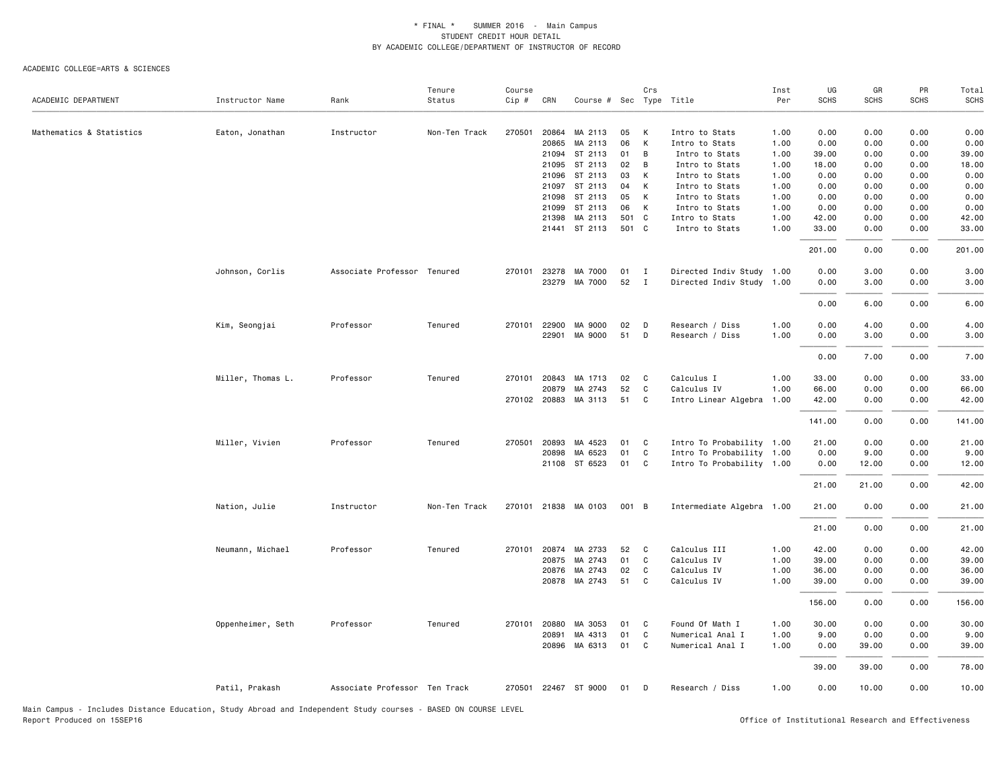| ACADEMIC DEPARTMENT      | Instructor Name   | Rank                          | Tenure<br>Status | Course<br>Cip # | CRN   | Course # Sec Type Title |       | Crs          |                           | Inst<br>Per | UG<br><b>SCHS</b> | GR<br><b>SCHS</b> | PR<br><b>SCHS</b> | Total<br><b>SCHS</b> |
|--------------------------|-------------------|-------------------------------|------------------|-----------------|-------|-------------------------|-------|--------------|---------------------------|-------------|-------------------|-------------------|-------------------|----------------------|
| Mathematics & Statistics | Eaton, Jonathan   | Instructor                    | Non-Ten Track    | 270501          | 20864 | MA 2113                 | 05    | K            | Intro to Stats            | 1.00        | 0.00              | 0.00              | 0.00              | 0.00                 |
|                          |                   |                               |                  |                 | 20865 | MA 2113                 | 06    | К            | Intro to Stats            | 1.00        | 0.00              | 0.00              | 0.00              | 0.00                 |
|                          |                   |                               |                  |                 |       | 21094 ST 2113           | 01    | B            | Intro to Stats            | 1.00        | 39.00             | 0.00              | 0.00              | 39.00                |
|                          |                   |                               |                  |                 |       | 21095 ST 2113           | 02    | B            | Intro to Stats            | 1.00        | 18.00             | 0.00              | 0.00              | 18.00                |
|                          |                   |                               |                  |                 |       | 21096 ST 2113           | 03    | K            | Intro to Stats            | 1.00        | 0.00              | 0.00              | 0.00              | 0.00                 |
|                          |                   |                               |                  |                 |       | 21097 ST 2113           | 04    | K            | Intro to Stats            | 1.00        | 0.00              | 0.00              | 0.00              | 0.00                 |
|                          |                   |                               |                  |                 |       | 21098 ST 2113           | 05    | K            | Intro to Stats            | 1.00        | 0.00              | 0.00              | 0.00              | 0.00                 |
|                          |                   |                               |                  |                 |       | 21099 ST 2113           | 06    | K            | Intro to Stats            | 1.00        | 0.00              | 0.00              | 0.00              | 0.00                 |
|                          |                   |                               |                  |                 | 21398 | MA 2113                 | 501 C |              | Intro to Stats            | 1.00        | 42.00             | 0.00              | 0.00              | 42.00                |
|                          |                   |                               |                  |                 |       | 21441 ST 2113           | 501 C |              | Intro to Stats            | 1.00        | 33.00             | 0.00              | 0.00              | 33.00                |
|                          |                   |                               |                  |                 |       |                         |       |              |                           |             | 201.00            | 0.00              | 0.00              | 201.00               |
|                          | Johnson, Corlis   | Associate Professor Tenured   |                  | 270101          | 23278 | MA 7000                 | 01    | $\mathbf{I}$ | Directed Indiv Study 1.00 |             | 0.00              | 3.00              | 0.00              | 3.00                 |
|                          |                   |                               |                  |                 |       | 23279 MA 7000           | 52    | $\mathbf{I}$ | Directed Indiv Study 1.00 |             | 0.00              | 3.00              | 0.00              | 3.00                 |
|                          |                   |                               |                  |                 |       |                         |       |              |                           |             | 0.00              | 6.00              | 0.00              | 6.00                 |
|                          | Kim, Seongjai     | Professor                     | Tenured          | 270101 22900    |       | MA 9000                 | 02    | D            | Research / Diss           | 1.00        | 0.00              | 4.00              | 0.00              | 4.00                 |
|                          |                   |                               |                  |                 |       | 22901 MA 9000           | 51    | D            | Research / Diss           | 1.00        | 0.00              | 3.00              | 0.00              | 3.00                 |
|                          |                   |                               |                  |                 |       |                         |       |              |                           |             | 0.00              | 7.00              | 0.00              | 7.00                 |
|                          | Miller, Thomas L. | Professor                     | Tenured          |                 |       | 270101 20843 MA 1713    | 02    | $\mathbf{C}$ | Calculus I                | 1.00        | 33.00             | 0.00              | 0.00              | 33.00                |
|                          |                   |                               |                  |                 | 20879 | MA 2743                 | 52    | C            | Calculus IV               | 1.00        | 66.00             | 0.00              | 0.00              | 66.00                |
|                          |                   |                               |                  |                 |       | 270102 20883 MA 3113    | 51    | C            | Intro Linear Algebra 1.00 |             | 42.00             | 0.00              | 0.00              | 42.00                |
|                          |                   |                               |                  |                 |       |                         |       |              |                           |             | 141.00            | 0.00              | 0.00              | 141.00               |
|                          | Miller, Vivien    | Professor                     | Tenured          | 270501 20893    |       | MA 4523                 | 01    | C            | Intro To Probability 1.00 |             | 21.00             | 0.00              | 0.00              | 21.00                |
|                          |                   |                               |                  |                 | 20898 | MA 6523                 | 01    | C            | Intro To Probability 1.00 |             | 0.00              | 9.00              | 0.00              | 9.00                 |
|                          |                   |                               |                  |                 |       | 21108 ST 6523           | 01    | C            | Intro To Probability 1.00 |             | 0.00              | 12.00             | 0.00              | 12.00                |
|                          |                   |                               |                  |                 |       |                         |       |              |                           |             | 21.00             | 21.00             | 0.00              | 42.00                |
|                          | Nation, Julie     | Instructor                    | Non-Ten Track    |                 |       | 270101 21838 MA 0103    | 001 B |              | Intermediate Algebra 1.00 |             | 21.00             | 0.00              | 0.00              | 21.00                |
|                          |                   |                               |                  |                 |       |                         |       |              |                           |             | 21.00             | 0.00              | 0.00              | 21.00                |
|                          | Neumann, Michael  | Professor                     | Tenured          | 270101          | 20874 | MA 2733                 | 52    | C.           | Calculus III              | 1.00        | 42.00             | 0.00              | 0.00              | 42.00                |
|                          |                   |                               |                  |                 |       | 20875 MA 2743           | 01    | C            | Calculus IV               | 1.00        | 39.00             | 0.00              | 0.00              | 39.00                |
|                          |                   |                               |                  |                 |       | 20876 MA 2743           | 02    | C            | Calculus IV               | 1.00        | 36.00             | 0.00              | 0.00              | 36.00                |
|                          |                   |                               |                  |                 |       | 20878 MA 2743           | 51    | C            | Calculus IV               | 1.00        | 39.00             | 0.00              | 0.00              | 39.00                |
|                          |                   |                               |                  |                 |       |                         |       |              |                           |             | 156.00            | 0.00              | 0.00              | 156.00               |
|                          | Oppenheimer, Seth | Professor                     | Tenured          | 270101 20880    |       | MA 3053                 | 01    | C            | Found Of Math I           | 1.00        | 30.00             | 0.00              | 0.00              | 30.00                |
|                          |                   |                               |                  |                 | 20891 | MA 4313                 | 01    | C            | Numerical Anal I          | 1.00        | 9.00              | 0.00              | 0.00              | 9.00                 |
|                          |                   |                               |                  |                 |       | 20896 MA 6313           | 01    | C            | Numerical Anal I          | 1.00        | 0.00              | 39.00             | 0.00              | 39.00                |
|                          |                   |                               |                  |                 |       |                         |       |              |                           |             | 39.00             | 39.00             | 0.00              | 78.00                |
|                          | Patil, Prakash    | Associate Professor Ten Track |                  |                 |       | 270501 22467 ST 9000    | 01    | D            | Research / Diss           | 1.00        | 0.00              | 10.00             | 0.00              | 10.00                |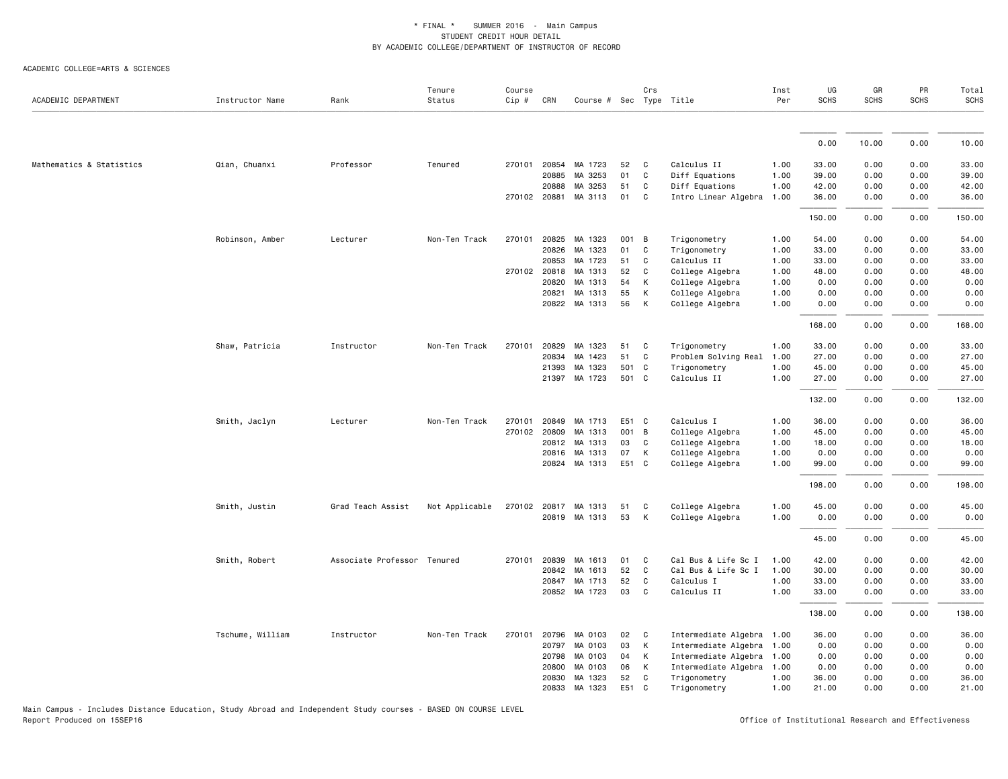ACADEMIC COLLEGE=ARTS & SCIENCES

| ACADEMIC DEPARTMENT      | Instructor Name  | Rank                        | Tenure<br>Status | Course<br>Cip # | CRN          | Course # Sec Type Title |       | Crs          |                           | Inst<br>Per | UG<br><b>SCHS</b> | GR<br><b>SCHS</b> | PR<br><b>SCHS</b> | Total<br><b>SCHS</b> |
|--------------------------|------------------|-----------------------------|------------------|-----------------|--------------|-------------------------|-------|--------------|---------------------------|-------------|-------------------|-------------------|-------------------|----------------------|
|                          |                  |                             |                  |                 |              |                         |       |              |                           |             |                   |                   |                   |                      |
|                          |                  |                             |                  |                 |              |                         |       |              |                           |             | 0.00              | 10.00             | 0.00              | 10.00                |
| Mathematics & Statistics | Qian, Chuanxi    | Professor                   | Tenured          | 270101          | 20854        | MA 1723                 | 52    | C            | Calculus II               | 1.00        | 33.00             | 0.00              | 0.00              | 33.00                |
|                          |                  |                             |                  |                 | 20885        | MA 3253                 | 01    | C            | Diff Equations            | 1.00        | 39.00             | 0.00              | 0.00              | 39.00                |
|                          |                  |                             |                  |                 | 20888        | MA 3253                 | 51    | C            | Diff Equations            | 1.00        | 42.00             | 0.00              | 0.00              | 42.00                |
|                          |                  |                             |                  |                 | 270102 20881 | MA 3113                 | 01    | C            | Intro Linear Algebra      | 1.00        | 36.00             | 0.00              | 0.00              | 36.00                |
|                          |                  |                             |                  |                 |              |                         |       |              |                           |             | 150.00            | 0.00              | 0.00              | 150.00               |
|                          | Robinson, Amber  | Lecturer                    | Non-Ten Track    | 270101          | 20825        | MA 1323                 | 001   | В            | Trigonometry              | 1.00        | 54.00             | 0.00              | 0.00              | 54.00                |
|                          |                  |                             |                  |                 | 20826        | MA 1323                 | 01    | C            | Trigonometry              | 1.00        | 33.00             | 0.00              | 0.00              | 33.00                |
|                          |                  |                             |                  |                 | 20853        | MA 1723                 | 51    | C            | Calculus II               | 1.00        | 33.00             | 0.00              | 0.00              | 33.00                |
|                          |                  |                             |                  |                 | 270102 20818 | MA 1313                 | 52    | C            | College Algebra           | 1.00        | 48.00             | 0.00              | 0.00              | 48.00                |
|                          |                  |                             |                  |                 | 20820        | MA 1313                 | 54    | К            | College Algebra           | 1.00        | 0.00              | 0.00              | 0.00              | 0.00                 |
|                          |                  |                             |                  |                 | 20821        | MA 1313                 | 55    | К            | College Algebra           | 1.00        | 0.00              | 0.00              | 0.00              | 0.00                 |
|                          |                  |                             |                  |                 |              | 20822 MA 1313           | 56    | К            | College Algebra           | 1.00        | 0.00              | 0.00              | 0.00              | 0.00                 |
|                          |                  |                             |                  |                 |              |                         |       |              |                           |             | 168.00            | 0.00              | 0.00              | 168.00               |
|                          | Shaw, Patricia   | Instructor                  | Non-Ten Track    | 270101          | 20829        | MA 1323                 | 51    | C            | Trigonometry              | 1.00        | 33.00             | 0.00              | 0.00              | 33.00                |
|                          |                  |                             |                  |                 | 20834        | MA 1423                 | 51    | C            | Problem Solving Real 1.00 |             | 27.00             | 0.00              | 0.00              | 27.00                |
|                          |                  |                             |                  |                 | 21393        | MA 1323                 | 501   | C            | Trigonometry              | 1.00        | 45.00             | 0.00              | 0.00              | 45.00                |
|                          |                  |                             |                  |                 |              | 21397 MA 1723           | 501   | <b>C</b>     | Calculus II               | 1.00        | 27.00             | 0.00              | 0.00              | 27.00                |
|                          |                  |                             |                  |                 |              |                         |       |              |                           |             | 132.00            | 0.00              | 0.00              | 132.00               |
|                          | Smith, Jaclyn    | Lecturer                    | Non-Ten Track    | 270101          | 20849        | MA 1713                 | E51   | $\mathbf{C}$ | Calculus I                | 1.00        | 36.00             | 0.00              | 0.00              | 36.00                |
|                          |                  |                             |                  |                 | 270102 20809 | MA 1313                 | 001   | B            | College Algebra           | 1.00        | 45.00             | 0.00              | 0.00              | 45.00                |
|                          |                  |                             |                  |                 | 20812        | MA 1313                 | 03    | C            | College Algebra           | 1.00        | 18.00             | 0.00              | 0.00              | 18.00                |
|                          |                  |                             |                  |                 |              | 20816 MA 1313           | 07    | К            | College Algebra           | 1.00        | 0.00              | 0.00              | 0.00              | 0.00                 |
|                          |                  |                             |                  |                 |              | 20824 MA 1313           | E51 C |              | College Algebra           | 1.00        | 99.00             | 0.00              | 0.00              | 99.00                |
|                          |                  |                             |                  |                 |              |                         |       |              |                           |             | 198.00            | 0.00              | 0.00              | 198.00               |
|                          | Smith, Justin    | Grad Teach Assist           | Not Applicable   |                 |              | 270102 20817 MA 1313    | 51    | C            | College Algebra           | 1.00        | 45.00             | 0.00              | 0.00              | 45.00                |
|                          |                  |                             |                  |                 |              | 20819 MA 1313           | 53    | К            | College Algebra           | 1.00        | 0.00              | 0.00              | 0.00              | 0.00                 |
|                          |                  |                             |                  |                 |              |                         |       |              |                           |             |                   |                   |                   |                      |
|                          |                  |                             |                  |                 |              |                         |       |              |                           |             | 45.00             | 0.00              | 0.00              | 45.00                |
|                          | Smith, Robert    | Associate Professor Tenured |                  | 270101          | 20839        | MA 1613                 | 01    | C            | Cal Bus & Life Sc I       | 1.00        | 42.00             | 0.00              | 0.00              | 42.00                |
|                          |                  |                             |                  |                 |              | 20842 MA 1613           | 52    | C            | Cal Bus & Life Sc I       | 1.00        | 30.00             | 0.00              | 0.00              | 30.00                |
|                          |                  |                             |                  |                 | 20847        | MA 1713                 | 52    | C            | Calculus I                | 1.00        | 33.00             | 0.00              | 0.00              | 33.00                |
|                          |                  |                             |                  |                 |              | 20852 MA 1723           | 03    | C            | Calculus II               | 1.00        | 33.00             | 0.00              | 0.00              | 33.00                |
|                          |                  |                             |                  |                 |              |                         |       |              |                           |             | 138.00            | 0.00              | 0.00              | 138.00               |
|                          | Tschume, William | Instructor                  | Non-Ten Track    | 270101          | 20796        | MA 0103                 | 02    | C            | Intermediate Algebra 1.00 |             | 36.00             | 0.00              | 0.00              | 36.00                |
|                          |                  |                             |                  |                 | 20797        | MA 0103                 | 03    | К            | Intermediate Algebra      | 1.00        | 0.00              | 0.00              | 0.00              | 0.00                 |
|                          |                  |                             |                  |                 | 20798        | MA 0103                 | 04    | К            | Intermediate Algebra      | 1.00        | 0.00              | 0.00              | 0.00              | 0.00                 |
|                          |                  |                             |                  |                 | 20800        | MA 0103                 | 06    | К            | Intermediate Algebra 1.00 |             | 0.00              | 0.00              | 0.00              | 0.00                 |
|                          |                  |                             |                  |                 | 20830        | MA 1323                 | 52    | C            | Trigonometry              | 1.00        | 36.00             | 0.00              | 0.00              | 36.00                |
|                          |                  |                             |                  |                 |              | 20833 MA 1323           | E51   | C            | Trigonometry              | 1.00        | 21.00             | 0.00              | 0.00              | 21.00                |

Main Campus - Includes Distance Education, Study Abroad and Independent Study courses - BASED ON COURSE LEVEL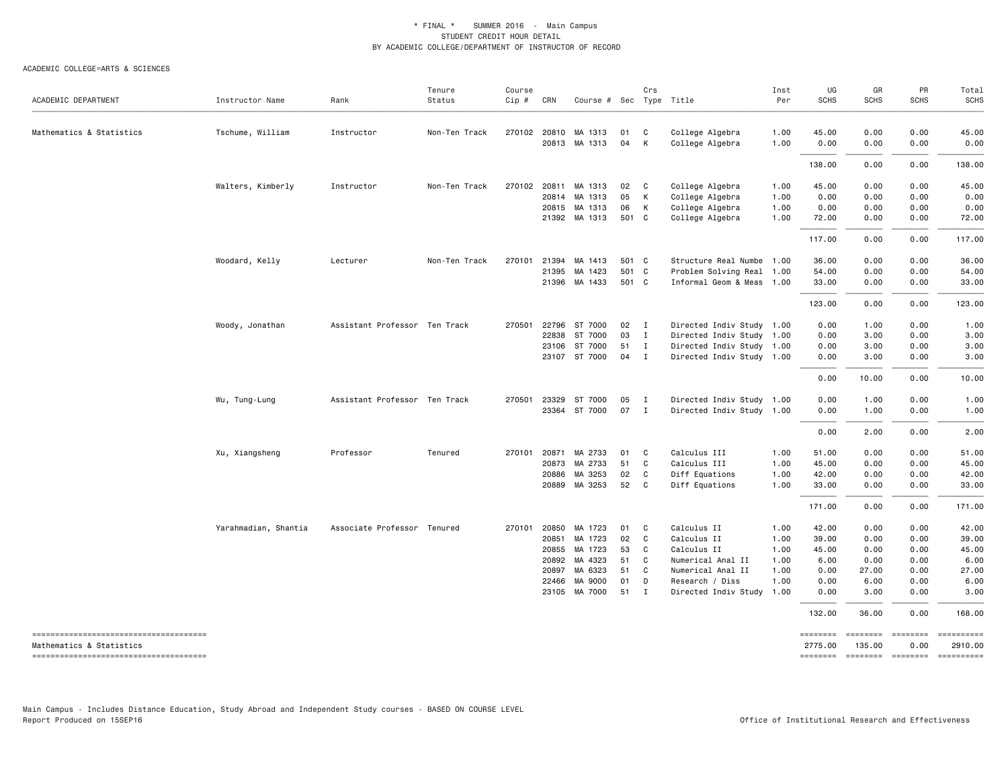#### ACADEMIC COLLEGE=ARTS & SCIENCES

| ACADEMIC DEPARTMENT                    | Instructor Name      | Rank                          | Tenure<br>Status | Course<br>$Cip$ # | CRN          | Course # Sec Type Title |       | Crs          |                           | Inst<br>Per | UG<br><b>SCHS</b> | GR<br><b>SCHS</b> | PR<br><b>SCHS</b>                                                                                                                                                                                                                                                                                                                                                                                                                                                                                                   | Total<br><b>SCHS</b>                                                                                                                                                                                                                                                                                                                                                                                                             |
|----------------------------------------|----------------------|-------------------------------|------------------|-------------------|--------------|-------------------------|-------|--------------|---------------------------|-------------|-------------------|-------------------|---------------------------------------------------------------------------------------------------------------------------------------------------------------------------------------------------------------------------------------------------------------------------------------------------------------------------------------------------------------------------------------------------------------------------------------------------------------------------------------------------------------------|----------------------------------------------------------------------------------------------------------------------------------------------------------------------------------------------------------------------------------------------------------------------------------------------------------------------------------------------------------------------------------------------------------------------------------|
| Mathematics & Statistics               | Tschume, William     | Instructor                    | Non-Ten Track    | 270102            |              | 20810 MA 1313           | 01    | C            | College Algebra           | 1.00        | 45.00             | 0.00              | 0.00                                                                                                                                                                                                                                                                                                                                                                                                                                                                                                                | 45.00                                                                                                                                                                                                                                                                                                                                                                                                                            |
|                                        |                      |                               |                  |                   |              | 20813 MA 1313           | 04    | K            | College Algebra           | 1.00        | 0.00              | 0.00              | 0.00                                                                                                                                                                                                                                                                                                                                                                                                                                                                                                                | 0.00                                                                                                                                                                                                                                                                                                                                                                                                                             |
|                                        |                      |                               |                  |                   |              |                         |       |              |                           |             | 138.00            | 0.00              | 0.00                                                                                                                                                                                                                                                                                                                                                                                                                                                                                                                | 138.00                                                                                                                                                                                                                                                                                                                                                                                                                           |
|                                        | Walters, Kimberly    | Instructor                    | Non-Ten Track    |                   |              | 270102 20811 MA 1313    | 02    | C            | College Algebra           | 1.00        | 45.00             | 0.00              | 0.00                                                                                                                                                                                                                                                                                                                                                                                                                                                                                                                | 45.00                                                                                                                                                                                                                                                                                                                                                                                                                            |
|                                        |                      |                               |                  |                   | 20814        | MA 1313                 | 05    | K            | College Algebra           | 1.00        | 0.00              | 0.00              | 0.00                                                                                                                                                                                                                                                                                                                                                                                                                                                                                                                | 0.00                                                                                                                                                                                                                                                                                                                                                                                                                             |
|                                        |                      |                               |                  |                   |              | 20815 MA 1313           | 06    | K            | College Algebra           | 1.00        | 0.00              | 0.00              | 0.00                                                                                                                                                                                                                                                                                                                                                                                                                                                                                                                | 0.00                                                                                                                                                                                                                                                                                                                                                                                                                             |
|                                        |                      |                               |                  |                   |              | 21392 MA 1313           | 501 C |              | College Algebra           | 1.00        | 72.00             | 0.00              | 0.00                                                                                                                                                                                                                                                                                                                                                                                                                                                                                                                | 72.00                                                                                                                                                                                                                                                                                                                                                                                                                            |
|                                        |                      |                               |                  |                   |              |                         |       |              |                           |             | 117.00            | 0.00              | 0.00                                                                                                                                                                                                                                                                                                                                                                                                                                                                                                                | 117.00                                                                                                                                                                                                                                                                                                                                                                                                                           |
|                                        | Woodard, Kelly       | Lecturer                      | Non-Ten Track    | 270101            | 21394        | MA 1413                 | 501 C |              | Structure Real Numbe 1.00 |             | 36.00             | 0.00              | 0.00                                                                                                                                                                                                                                                                                                                                                                                                                                                                                                                | 36.00                                                                                                                                                                                                                                                                                                                                                                                                                            |
|                                        |                      |                               |                  |                   | 21395        | MA 1423                 | 501 C |              | Problem Solving Real 1.00 |             | 54.00             | 0.00              | 0.00                                                                                                                                                                                                                                                                                                                                                                                                                                                                                                                | 54.00                                                                                                                                                                                                                                                                                                                                                                                                                            |
|                                        |                      |                               |                  |                   |              | 21396 MA 1433           | 501 C |              | Informal Geom & Meas 1.00 |             | 33.00             | 0.00              | 0.00                                                                                                                                                                                                                                                                                                                                                                                                                                                                                                                | 33.00                                                                                                                                                                                                                                                                                                                                                                                                                            |
|                                        |                      |                               |                  |                   |              |                         |       |              |                           |             | 123.00            | 0.00              | 0.00                                                                                                                                                                                                                                                                                                                                                                                                                                                                                                                | 123.00                                                                                                                                                                                                                                                                                                                                                                                                                           |
|                                        |                      |                               |                  |                   |              |                         |       |              |                           |             |                   |                   |                                                                                                                                                                                                                                                                                                                                                                                                                                                                                                                     |                                                                                                                                                                                                                                                                                                                                                                                                                                  |
|                                        | Woody, Jonathan      | Assistant Professor Ten Track |                  | 270501            |              | 22796 ST 7000           | 02    | $\mathbf{I}$ | Directed Indiv Study 1.00 |             | 0.00              | 1.00              | 0.00                                                                                                                                                                                                                                                                                                                                                                                                                                                                                                                | 1.00                                                                                                                                                                                                                                                                                                                                                                                                                             |
|                                        |                      |                               |                  |                   |              | 22838 ST 7000           | 03    | $\mathbf{I}$ | Directed Indiv Study 1.00 |             | 0.00              | 3.00              | 0.00                                                                                                                                                                                                                                                                                                                                                                                                                                                                                                                | 3.00                                                                                                                                                                                                                                                                                                                                                                                                                             |
|                                        |                      |                               |                  |                   |              | 23106 ST 7000           | 51    | $\mathbf{I}$ | Directed Indiv Study 1.00 |             | 0.00              | 3.00              | 0.00                                                                                                                                                                                                                                                                                                                                                                                                                                                                                                                | 3.00                                                                                                                                                                                                                                                                                                                                                                                                                             |
|                                        |                      |                               |                  |                   |              | 23107 ST 7000           | 04 I  |              | Directed Indiv Study 1.00 |             | 0.00              | 3.00              | 0.00                                                                                                                                                                                                                                                                                                                                                                                                                                                                                                                | 3.00                                                                                                                                                                                                                                                                                                                                                                                                                             |
|                                        |                      |                               |                  |                   |              |                         |       |              |                           |             | 0.00              | 10.00             | 0.00                                                                                                                                                                                                                                                                                                                                                                                                                                                                                                                | 10.00                                                                                                                                                                                                                                                                                                                                                                                                                            |
|                                        | Wu, Tung-Lung        | Assistant Professor Ten Track |                  | 270501            |              | 23329 ST 7000           | 05    | $\mathbf{I}$ | Directed Indiv Study 1.00 |             | 0.00              | 1.00              | 0.00                                                                                                                                                                                                                                                                                                                                                                                                                                                                                                                | 1.00                                                                                                                                                                                                                                                                                                                                                                                                                             |
|                                        |                      |                               |                  |                   |              | 23364 ST 7000           | 07    | $\mathbf{I}$ | Directed Indiv Study 1.00 |             | 0.00              | 1.00              | 0.00                                                                                                                                                                                                                                                                                                                                                                                                                                                                                                                | 1.00                                                                                                                                                                                                                                                                                                                                                                                                                             |
|                                        |                      |                               |                  |                   |              |                         |       |              |                           |             | 0.00              | 2.00              | 0.00                                                                                                                                                                                                                                                                                                                                                                                                                                                                                                                | 2.00                                                                                                                                                                                                                                                                                                                                                                                                                             |
|                                        | Xu, Xiangsheng       | Professor                     | Tenured          | 270101            | 20871        | MA 2733                 | 01    | C            | Calculus III              | 1.00        | 51.00             | 0.00              | 0.00                                                                                                                                                                                                                                                                                                                                                                                                                                                                                                                | 51.00                                                                                                                                                                                                                                                                                                                                                                                                                            |
|                                        |                      |                               |                  |                   | 20873        | MA 2733                 | 51    | C            | Calculus III              | 1.00        | 45.00             | 0.00              | 0.00                                                                                                                                                                                                                                                                                                                                                                                                                                                                                                                | 45.00                                                                                                                                                                                                                                                                                                                                                                                                                            |
|                                        |                      |                               |                  |                   |              | 20886 MA 3253           | 02    | C            | Diff Equations            | 1.00        | 42.00             | 0.00              | 0.00                                                                                                                                                                                                                                                                                                                                                                                                                                                                                                                | 42.00                                                                                                                                                                                                                                                                                                                                                                                                                            |
|                                        |                      |                               |                  |                   |              | 20889 MA 3253           | 52    | C            | Diff Equations            | 1.00        | 33.00             | 0.00              | 0.00                                                                                                                                                                                                                                                                                                                                                                                                                                                                                                                | 33.00                                                                                                                                                                                                                                                                                                                                                                                                                            |
|                                        |                      |                               |                  |                   |              |                         |       |              |                           |             | 171.00            | 0.00              | 0.00                                                                                                                                                                                                                                                                                                                                                                                                                                                                                                                | 171.00                                                                                                                                                                                                                                                                                                                                                                                                                           |
|                                        | Yarahmadian, Shantia | Associate Professor Tenured   |                  |                   | 270101 20850 | MA 1723                 | 01    | C            | Calculus II               | 1.00        | 42.00             | 0.00              | 0.00                                                                                                                                                                                                                                                                                                                                                                                                                                                                                                                | 42.00                                                                                                                                                                                                                                                                                                                                                                                                                            |
|                                        |                      |                               |                  |                   | 20851        | MA 1723                 | 02    | C            | Calculus II               | 1.00        | 39.00             | 0.00              | 0.00                                                                                                                                                                                                                                                                                                                                                                                                                                                                                                                | 39.00                                                                                                                                                                                                                                                                                                                                                                                                                            |
|                                        |                      |                               |                  |                   | 20855        | MA 1723                 | 53    | C            | Calculus II               | 1.00        | 45.00             | 0.00              | 0.00                                                                                                                                                                                                                                                                                                                                                                                                                                                                                                                | 45.00                                                                                                                                                                                                                                                                                                                                                                                                                            |
|                                        |                      |                               |                  |                   | 20892        | MA 4323                 | 51    | C            | Numerical Anal II         | 1.00        | 6.00              | 0.00              | 0.00                                                                                                                                                                                                                                                                                                                                                                                                                                                                                                                | 6.00                                                                                                                                                                                                                                                                                                                                                                                                                             |
|                                        |                      |                               |                  |                   | 20897        | MA 6323                 | 51    | C            | Numerical Anal II         | 1.00        | 0.00              | 27.00             | 0.00                                                                                                                                                                                                                                                                                                                                                                                                                                                                                                                | 27.00                                                                                                                                                                                                                                                                                                                                                                                                                            |
|                                        |                      |                               |                  |                   | 22466        | MA 9000                 | 01    | D            | Research / Diss           | 1.00        | 0.00              | 6.00              | 0.00                                                                                                                                                                                                                                                                                                                                                                                                                                                                                                                | 6.00                                                                                                                                                                                                                                                                                                                                                                                                                             |
|                                        |                      |                               |                  |                   |              | 23105 MA 7000           | 51    | $\mathbf{I}$ | Directed Indiv Study      | 1.00        | 0.00              | 3.00              | 0.00                                                                                                                                                                                                                                                                                                                                                                                                                                                                                                                | 3.00                                                                                                                                                                                                                                                                                                                                                                                                                             |
|                                        |                      |                               |                  |                   |              |                         |       |              |                           |             | 132.00            | 36.00             | 0.00                                                                                                                                                                                                                                                                                                                                                                                                                                                                                                                | 168.00                                                                                                                                                                                                                                                                                                                                                                                                                           |
| -------------------------------------  |                      |                               |                  |                   |              |                         |       |              |                           |             | ========          | ========          | ========                                                                                                                                                                                                                                                                                                                                                                                                                                                                                                            | $\begin{minipage}{0.9\linewidth} \hspace*{-0.2cm} \textbf{m} = \textbf{m} = \textbf{m} = \textbf{m} = \textbf{m} = \textbf{m} = \textbf{m} = \textbf{m} = \textbf{m} = \textbf{m} = \textbf{m} = \textbf{m} = \textbf{m} = \textbf{m} = \textbf{m} = \textbf{m} = \textbf{m} = \textbf{m} = \textbf{m} = \textbf{m} = \textbf{m} = \textbf{m} = \textbf{m} = \textbf{m} = \textbf{m} = \textbf{m} = \textbf{m} = \textbf{m} = \$ |
| Mathematics & Statistics               |                      |                               |                  |                   |              |                         |       |              |                           |             | 2775.00           | 135.00            | 0.00                                                                                                                                                                                                                                                                                                                                                                                                                                                                                                                | 2910.00                                                                                                                                                                                                                                                                                                                                                                                                                          |
| -------------------------------------- |                      |                               |                  |                   |              |                         |       |              |                           |             | <b>EDEDEDER</b>   | ========          | $\begin{array}{c} \multicolumn{3}{c} {\color{blue} \textbf{2}} & \multicolumn{3}{c} {\color{blue} \textbf{3}} \\ \multicolumn{3}{c} {\color{blue} \textbf{4}} & \multicolumn{3}{c} {\color{blue} \textbf{5}} & \multicolumn{3}{c} {\color{blue} \textbf{6}} \\ \multicolumn{3}{c} {\color{blue} \textbf{5}} & \multicolumn{3}{c} {\color{blue} \textbf{6}} & \multicolumn{3}{c} {\color{blue} \textbf{6}} \\ \multicolumn{3}{c} {\color{blue} \textbf{6}} & \multicolumn{3}{c} {\color{blue} \textbf{6}} & \multic$ | $=$ =========                                                                                                                                                                                                                                                                                                                                                                                                                    |

Main Campus - Includes Distance Education, Study Abroad and Independent Study courses - BASED ON COURSE LEVEL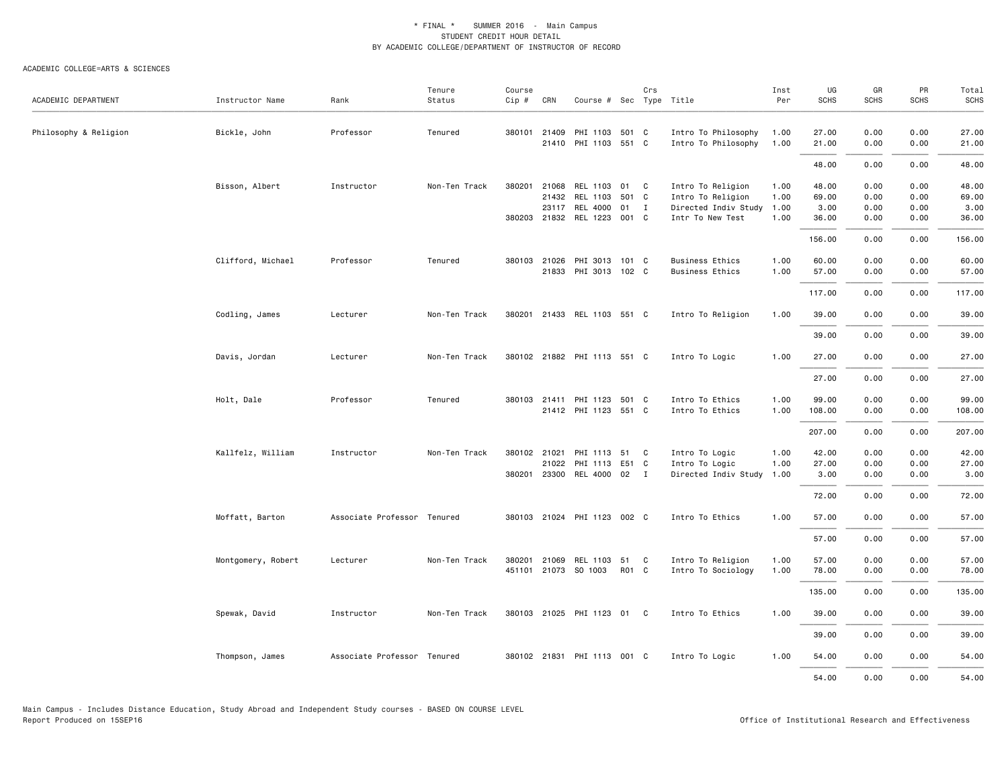|                       |                    |                             | Tenure        | Course       |              |                             |       | Crs |                           | Inst | UG          | GR          | PR          | Total<br>SCHS |
|-----------------------|--------------------|-----------------------------|---------------|--------------|--------------|-----------------------------|-------|-----|---------------------------|------|-------------|-------------|-------------|---------------|
| ACADEMIC DEPARTMENT   | Instructor Name    | Rank                        | Status        | Cip #        | CRN          | Course # Sec Type Title     |       |     |                           | Per  | <b>SCHS</b> | <b>SCHS</b> | <b>SCHS</b> |               |
| Philosophy & Religion | Bickle, John       | Professor                   | Tenured       |              | 380101 21409 | PHI 1103 501 C              |       |     | Intro To Philosophy       | 1.00 | 27.00       | 0.00        | 0.00        | 27.00         |
|                       |                    |                             |               |              | 21410        | PHI 1103 551 C              |       |     | Intro To Philosophy       | 1.00 | 21.00       | 0.00        | 0.00        | 21.00         |
|                       |                    |                             |               |              |              |                             |       |     |                           |      | 48.00       | 0.00        | 0.00        | 48.00         |
|                       | Bisson, Albert     | Instructor                  | Non-Ten Track | 380201       | 21068        | REL 1103                    | 01 C  |     | Intro To Religion         | 1.00 | 48.00       | 0.00        | 0.00        | 48.00         |
|                       |                    |                             |               |              | 21432        | REL 1103                    | 501 C |     | Intro To Religion         | 1.00 | 69.00       | 0.00        | 0.00        | 69.00         |
|                       |                    |                             |               |              | 23117        | REL 4000                    | 01 I  |     | Directed Indiv Study 1.00 |      | 3.00        | 0.00        | 0.00        | 3.00          |
|                       |                    |                             |               |              | 380203 21832 | REL 1223                    | 001 C |     | Intr To New Test          | 1.00 | 36.00       | 0.00        | 0.00        | 36.00         |
|                       |                    |                             |               |              |              |                             |       |     |                           |      | 156.00      | 0.00        | 0.00        | 156.00        |
|                       | Clifford, Michael  | Professor                   | Tenured       |              | 380103 21026 | PHI 3013 101 C              |       |     | <b>Business Ethics</b>    | 1.00 | 60.00       | 0.00        | 0.00        | 60.00         |
|                       |                    |                             |               |              | 21833        | PHI 3013 102 C              |       |     | <b>Business Ethics</b>    | 1.00 | 57.00       | 0.00        | 0.00        | 57.00         |
|                       |                    |                             |               |              |              |                             |       |     |                           |      | 117.00      | 0.00        | 0.00        | 117.00        |
|                       | Codling, James     | Lecturer                    | Non-Ten Track | 380201       |              | 21433 REL 1103 551 C        |       |     | Intro To Religion         | 1.00 | 39.00       | 0.00        | 0.00        | 39.00         |
|                       |                    |                             |               |              |              |                             |       |     |                           |      | 39.00       | 0.00        | 0.00        | 39.00         |
|                       | Davis, Jordan      | Lecturer                    | Non-Ten Track |              |              | 380102 21882 PHI 1113 551 C |       |     | Intro To Logic            | 1.00 | 27.00       | 0.00        | 0.00        | 27.00         |
|                       |                    |                             |               |              |              |                             |       |     |                           |      | 27.00       | 0.00        | 0.00        | 27.00         |
|                       | Holt, Dale         | Professor                   | Tenured       |              |              | 380103 21411 PHI 1123 501 C |       |     | Intro To Ethics           | 1.00 | 99.00       | 0.00        | 0.00        | 99.00         |
|                       |                    |                             |               |              |              | 21412 PHI 1123 551 C        |       |     | Intro To Ethics           | 1.00 | 108.00      | 0.00        | 0.00        | 108.00        |
|                       |                    |                             |               |              |              |                             |       |     |                           |      | 207.00      | 0.00        | 0.00        | 207.00        |
|                       | Kallfelz, William  | Instructor                  | Non-Ten Track | 380102 21021 |              | PHI 1113 51 C               |       |     | Intro To Logic            | 1.00 | 42.00       | 0.00        | 0.00        | 42.00         |
|                       |                    |                             |               |              | 21022        | PHI 1113                    | E51 C |     | Intro To Logic            | 1.00 | 27.00       | 0.00        | 0.00        | 27.00         |
|                       |                    |                             |               |              |              | 380201 23300 REL 4000 02 I  |       |     | Directed Indiv Study 1.00 |      | 3.00        | 0.00        | 0.00        | 3.00          |
|                       |                    |                             |               |              |              |                             |       |     |                           |      | 72.00       | 0.00        | 0.00        | 72.00         |
|                       | Moffatt, Barton    | Associate Professor Tenured |               |              |              | 380103 21024 PHI 1123 002 C |       |     | Intro To Ethics           | 1.00 | 57.00       | 0.00        | 0.00        | 57.00         |
|                       |                    |                             |               |              |              |                             |       |     |                           |      | 57.00       | 0.00        | 0.00        | 57.00         |
|                       | Montgomery, Robert | Lecturer                    | Non-Ten Track | 380201       | 21069        | REL 1103                    | 51 C  |     | Intro To Religion         | 1.00 | 57.00       | 0.00        | 0.00        | 57.00         |
|                       |                    |                             |               |              |              | 451101 21073 SO 1003        | R01 C |     | Intro To Sociology        | 1.00 | 78.00       | 0.00        | 0.00        | 78.00         |
|                       |                    |                             |               |              |              |                             |       |     |                           |      | 135.00      | 0.00        | 0.00        | 135.00        |
|                       | Spewak, David      | Instructor                  | Non-Ten Track |              |              | 380103 21025 PHI 1123 01    |       | C.  | Intro To Ethics           | 1.00 | 39.00       | 0.00        | 0.00        | 39.00         |
|                       |                    |                             |               |              |              |                             |       |     |                           |      | 39.00       | 0.00        | 0.00        | 39.00         |
|                       | Thompson, James    | Associate Professor Tenured |               |              |              | 380102 21831 PHI 1113 001 C |       |     | Intro To Logic            | 1.00 | 54.00       | 0.00        | 0.00        | 54.00         |
|                       |                    |                             |               |              |              |                             |       |     |                           |      | 54.00       | 0.00        | 0.00        | 54.00         |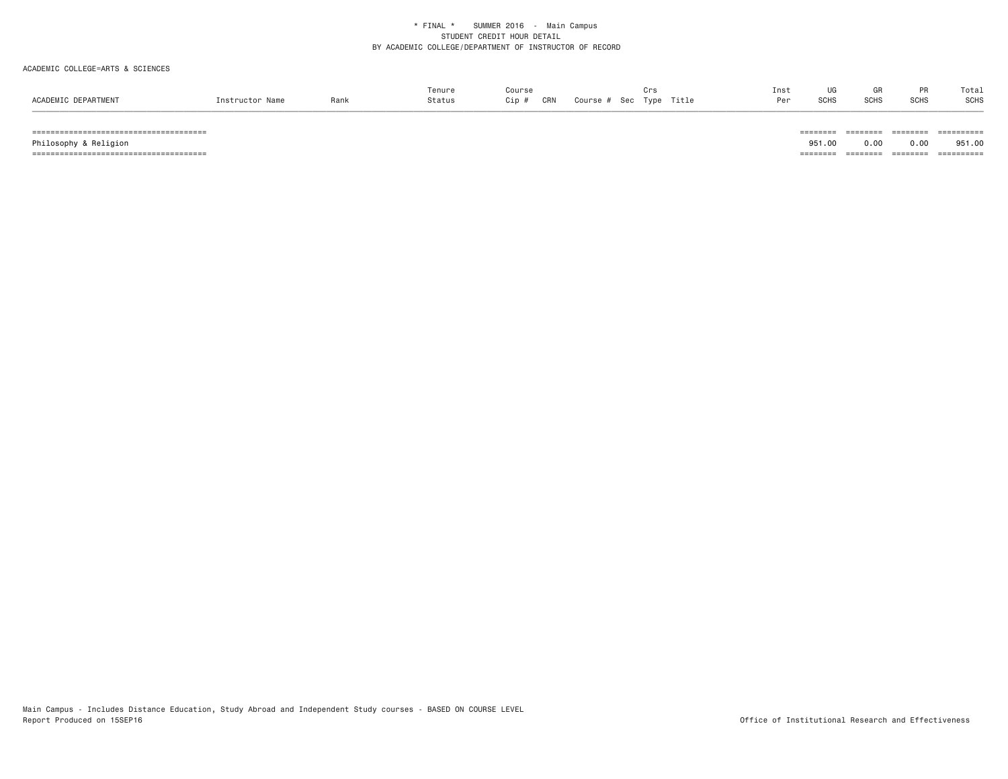# ACADEMIC COLLEGE=ARTS & SCIENCES

|                     |                 |      | Tenure | Course                               | ⊍⊺ຈ                            | Ins <sup>:</sup> | $\overline{110}$ | GR          | <b>DD</b>   | Total       |
|---------------------|-----------------|------|--------|--------------------------------------|--------------------------------|------------------|------------------|-------------|-------------|-------------|
| ACADEMIC DEPARTMENT | Instructor Name | Rank | Status | CRN<br>C <sub>in</sub><br><b>VID</b> | Title<br>Course<br>Type<br>Sec | $0 \circ r$      | <b>SCHS</b>      | <b>SCHS</b> | <b>SCHS</b> | <b>SCHS</b> |
|                     |                 |      |        |                                      |                                |                  |                  |             |             |             |

====================================== ======== ======== ======== ==========

====================================== ======== ======== ======== ==========

951,00 Philosophy & Religion 951.00 0.00 0.00 951.00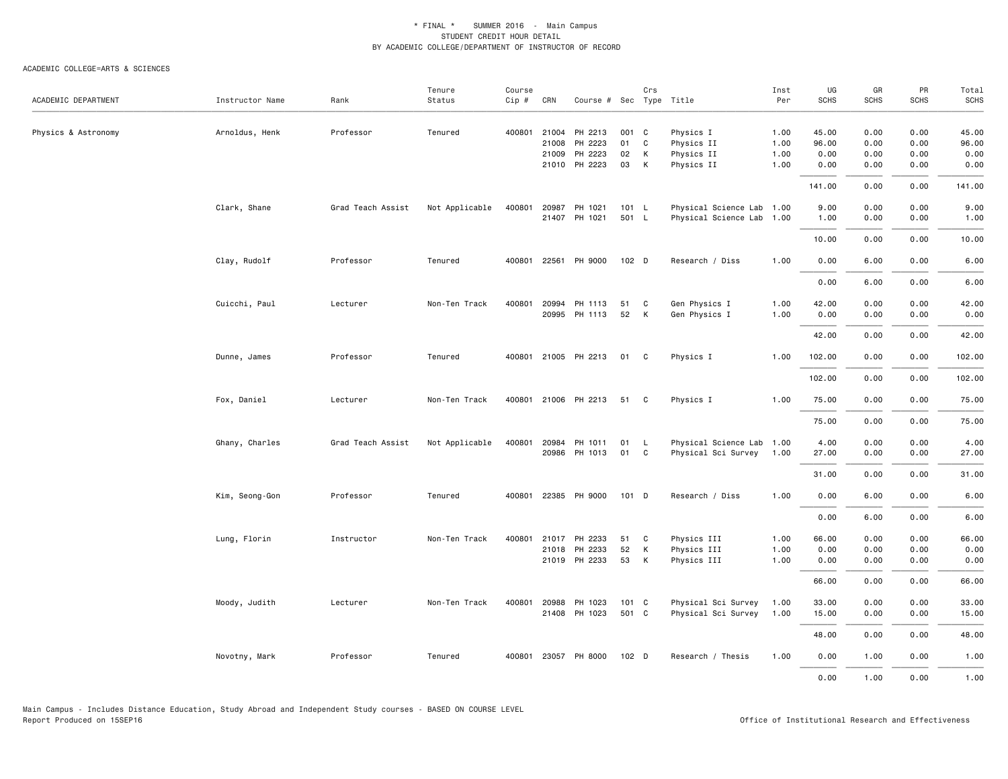| ACADEMIC DEPARTMENT | Instructor Name | Rank              | Tenure<br>Status | Course<br>$Cip \#$ | CRN          | Course # Sec Type Title |                  | Crs |                           | Inst<br>Per | UG<br><b>SCHS</b> | GR<br><b>SCHS</b> | PR<br><b>SCHS</b> | Total<br>SCHS |
|---------------------|-----------------|-------------------|------------------|--------------------|--------------|-------------------------|------------------|-----|---------------------------|-------------|-------------------|-------------------|-------------------|---------------|
|                     |                 |                   |                  |                    |              |                         |                  |     |                           |             |                   |                   |                   |               |
| Physics & Astronomy | Arnoldus, Henk  | Professor         | Tenured          |                    | 400801 21004 | PH 2213                 | 001 C            |     | Physics I                 | 1.00        | 45.00             | 0.00              | 0.00              | 45.00         |
|                     |                 |                   |                  |                    | 21008        | PH 2223                 | 01               | C   | Physics II                | 1.00        | 96.00             | 0.00              | 0.00              | 96.00         |
|                     |                 |                   |                  |                    | 21009        | PH 2223                 | 02               | K   | Physics II                | 1.00        | 0.00              | 0.00              | 0.00              | 0.00          |
|                     |                 |                   |                  |                    |              | 21010 PH 2223           | 03               | K   | Physics II                | 1.00        | 0.00              | 0.00              | 0.00              | 0.00          |
|                     |                 |                   |                  |                    |              |                         |                  |     |                           |             | 141.00            | 0.00              | 0.00              | 141.00        |
|                     | Clark, Shane    | Grad Teach Assist | Not Applicable   | 400801             |              | 20987 PH 1021           | 101 L            |     | Physical Science Lab 1.00 |             | 9.00              | 0.00              | 0.00              | 9.00          |
|                     |                 |                   |                  |                    |              | 21407 PH 1021           | 501 L            |     | Physical Science Lab 1.00 |             | 1.00              | 0.00              | 0.00              | 1.00          |
|                     |                 |                   |                  |                    |              |                         |                  |     |                           |             | 10.00             | 0.00              | 0.00              | 10.00         |
|                     | Clay, Rudolf    | Professor         | Tenured          |                    |              | 400801 22561 PH 9000    | 102 <sub>D</sub> |     | Research / Diss           | 1.00        | 0.00              | 6.00              | 0.00              | 6.00          |
|                     |                 |                   |                  |                    |              |                         |                  |     |                           |             | 0.00              | 6.00              | 0.00              | 6.00          |
|                     | Cuicchi, Paul   | Lecturer          | Non-Ten Track    |                    | 400801 20994 | PH 1113                 | 51               | C   | Gen Physics I             | 1.00        | 42.00             | 0.00              | 0.00              | 42.00         |
|                     |                 |                   |                  |                    | 20995        | PH 1113                 | 52               | K   | Gen Physics I             | 1.00        | 0.00              | 0.00              | 0.00              | 0.00          |
|                     |                 |                   |                  |                    |              |                         |                  |     |                           |             |                   |                   |                   |               |
|                     |                 |                   |                  |                    |              |                         |                  |     |                           |             | 42.00             | 0.00              | 0.00              | 42.00         |
|                     | Dunne, James    | Professor         | Tenured          |                    |              | 400801 21005 PH 2213    | 01 C             |     | Physics I                 | 1.00        | 102.00            | 0.00              | 0.00              | 102.00        |
|                     |                 |                   |                  |                    |              |                         |                  |     |                           |             | 102.00            | 0.00              | 0.00              | 102.00        |
|                     | Fox, Daniel     | Lecturer          | Non-Ten Track    |                    |              | 400801 21006 PH 2213    | 51 C             |     | Physics I                 | 1.00        | 75.00             | 0.00              | 0.00              | 75.00         |
|                     |                 |                   |                  |                    |              |                         |                  |     |                           |             | 75.00             | 0.00              | 0.00              | 75.00         |
|                     | Ghany, Charles  | Grad Teach Assist | Not Applicable   | 400801             | 20984        | PH 1011                 | 01 L             |     | Physical Science Lab 1.00 |             | 4.00              | 0.00              | 0.00              | 4.00          |
|                     |                 |                   |                  |                    |              | 20986 PH 1013           | 01 C             |     | Physical Sci Survey 1.00  |             | 27.00             | 0.00              | 0.00              | 27.00         |
|                     |                 |                   |                  |                    |              |                         |                  |     |                           |             | 31.00             | 0.00              | 0.00              | 31.00         |
|                     | Kim, Seong-Gon  | Professor         | Tenured          |                    |              | 400801 22385 PH 9000    | 101 D            |     | Research / Diss           | 1.00        | 0.00              | 6.00              | 0.00              | 6.00          |
|                     |                 |                   |                  |                    |              |                         |                  |     |                           |             |                   |                   |                   |               |
|                     |                 |                   |                  |                    |              |                         |                  |     |                           |             | 0.00              | 6.00              | 0.00              | 6.00          |
|                     | Lung, Florin    | Instructor        | Non-Ten Track    |                    | 400801 21017 | PH 2233                 | 51               | C   | Physics III               | 1.00        | 66.00             | 0.00              | 0.00              | 66.00         |
|                     |                 |                   |                  |                    | 21018        | PH 2233                 | 52               | K   | Physics III               | 1.00        | 0.00              | 0.00              | 0.00              | 0.00          |
|                     |                 |                   |                  |                    |              | 21019 PH 2233           | 53               | K   | Physics III               | 1.00        | 0.00              | 0.00              | 0.00              | 0.00          |
|                     |                 |                   |                  |                    |              |                         |                  |     |                           |             | 66.00             | 0.00              | 0.00              | 66.00         |
|                     | Moody, Judith   | Lecturer          | Non-Ten Track    |                    | 400801 20988 | PH 1023                 | 101 C            |     | Physical Sci Survey       | 1.00        | 33.00             | 0.00              | 0.00              | 33.00         |
|                     |                 |                   |                  |                    |              | 21408 PH 1023           | 501 C            |     | Physical Sci Survey       | 1.00        | 15.00             | 0.00              | 0.00              | 15.00         |
|                     |                 |                   |                  |                    |              |                         |                  |     |                           |             | 48.00             | 0.00              | 0.00              | 48.00         |
|                     | Novotny, Mark   | Professor         | Tenured          |                    |              | 400801 23057 PH 8000    | 102 D            |     | Research / Thesis         | 1.00        | 0.00              | 1.00              | 0.00              | 1.00          |
|                     |                 |                   |                  |                    |              |                         |                  |     |                           |             | 0.00              | 1.00              | 0.00              | 1.00          |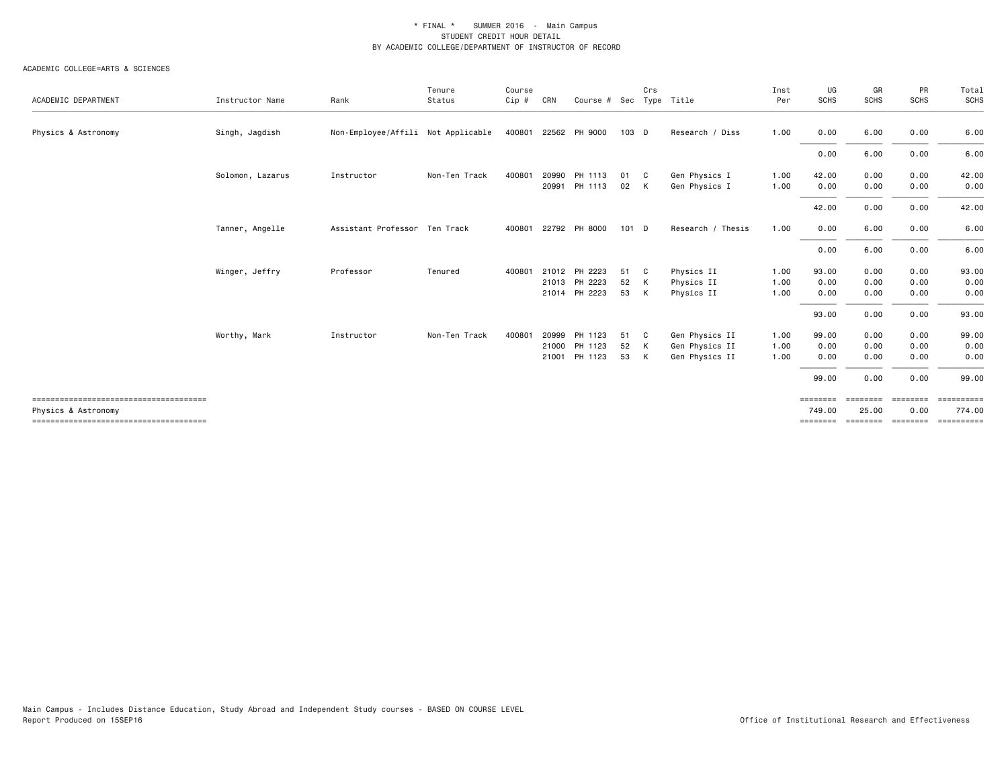| ACADEMIC DEPARTMENT | Instructor Name  | Rank                               | Tenure<br>Status | Course<br>Cip # | CRN   | Course # Sec  |         | Crs | Type Title        | Inst<br>Per | UG<br><b>SCHS</b>  | GR<br><b>SCHS</b> | PR<br><b>SCHS</b> | Total<br>SCHS |
|---------------------|------------------|------------------------------------|------------------|-----------------|-------|---------------|---------|-----|-------------------|-------------|--------------------|-------------------|-------------------|---------------|
|                     |                  |                                    |                  |                 |       |               |         |     |                   |             |                    |                   |                   |               |
| Physics & Astronomy | Singh, Jagdish   | Non-Employee/Affili Not Applicable |                  | 400801          |       | 22562 PH 9000 | 103 D   |     | Research / Diss   | 1.00        | 0.00               | 6.00              | 0.00              | 6.00          |
|                     |                  |                                    |                  |                 |       |               |         |     |                   |             | 0.00               | 6.00              | 0.00              | 6.00          |
|                     | Solomon, Lazarus | Instructor                         | Non-Ten Track    | 400801          | 20990 | PH 1113       | 01      | C   | Gen Physics I     | 1.00        | 42.00              | 0.00              | 0.00              | 42.00         |
|                     |                  |                                    |                  |                 | 20991 | PH 1113       | 02      | K   | Gen Physics I     | 1.00        | 0.00               | 0.00              | 0.00              | 0.00          |
|                     |                  |                                    |                  |                 |       |               |         |     |                   |             | 42.00              | 0.00              | 0.00              | 42.00         |
|                     | Tanner, Angelle  | Assistant Professor Ten Track      |                  | 400801          |       | 22792 PH 8000 | $101$ D |     | Research / Thesis | 1.00        | 0.00               | 6.00              | 0.00              | 6.00          |
|                     |                  |                                    |                  |                 |       |               |         |     |                   |             | 0.00               | 6.00              | 0.00              | 6.00          |
|                     | Winger, Jeffry   | Professor                          | Tenured          | 400801          |       | 21012 PH 2223 | 51      | C   | Physics II        | 1.00        | 93.00              | 0.00              | 0.00              | 93.00         |
|                     |                  |                                    |                  |                 |       | 21013 PH 2223 | 52      | K   | Physics II        | 1.00        | 0.00               | 0.00              | 0.00              | 0.00          |
|                     |                  |                                    |                  |                 | 21014 | PH 2223       | 53      | K   | Physics II        | 1.00        | 0.00               | 0.00              | 0.00              | 0.00          |
|                     |                  |                                    |                  |                 |       |               |         |     |                   |             | 93.00              | 0.00              | 0.00              | 93.00         |
|                     | Worthy, Mark     | Instructor                         | Non-Ten Track    | 400801          | 20999 | PH 1123       | 51      | C   | Gen Physics II    | 1.00        | 99.00              | 0.00              | 0.00              | 99.00         |
|                     |                  |                                    |                  |                 | 21000 | PH 1123       | 52      | K   | Gen Physics II    | 1.00        | 0.00               | 0.00              | 0.00              | 0.00          |
|                     |                  |                                    |                  |                 | 21001 | PH 1123       | 53      | K   | Gen Physics II    | 1.00        | 0.00               | 0.00              | 0.00              | 0.00          |
|                     |                  |                                    |                  |                 |       |               |         |     |                   |             | 99.00              | 0.00              | 0.00              | 99.00         |
| Physics & Astronomy |                  |                                    |                  |                 |       |               |         |     |                   |             | ========<br>749.00 | ========<br>25.00 | ========<br>0.00  | 774.00        |
|                     |                  |                                    |                  |                 |       |               |         |     |                   |             | ========           | <b>ESSESSEE</b>   | ========          | ==========    |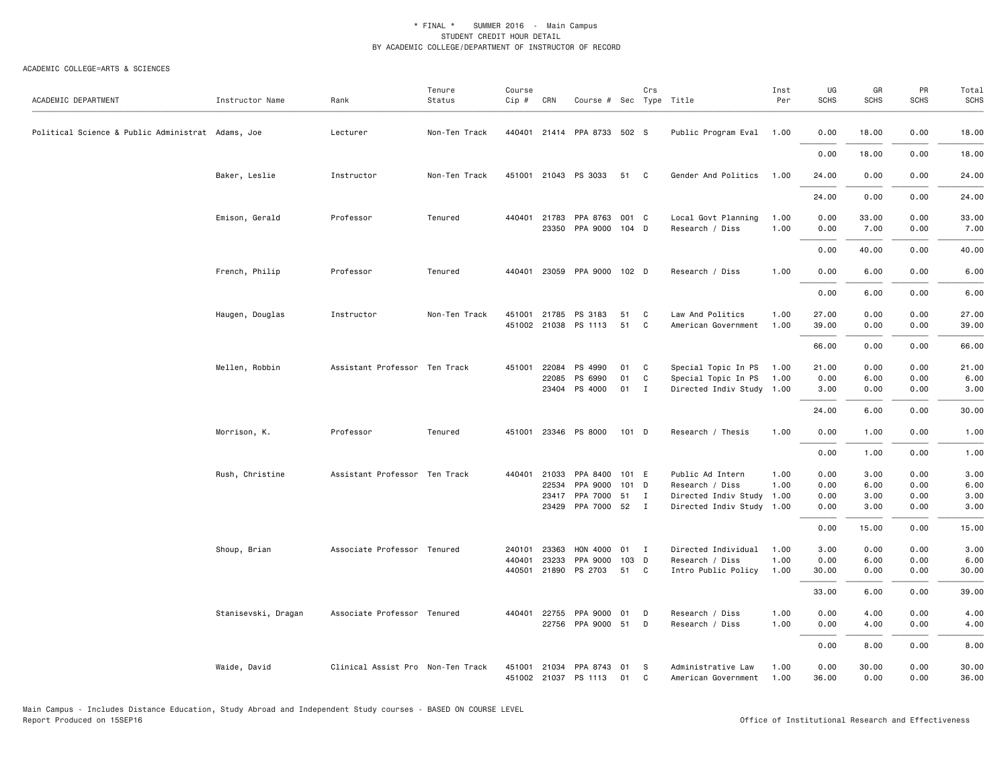| ACADEMIC DEPARTMENT                               | Instructor Name     | Rank                              | Tenure<br>Status | Course<br>$Cip \#$ | CRN            | Course # Sec Type Title          |          | Crs          |                                                  | Inst<br>Per  | UG<br><b>SCHS</b> | GR<br><b>SCHS</b> | PR<br><b>SCHS</b> | Total<br>SCHS |
|---------------------------------------------------|---------------------|-----------------------------------|------------------|--------------------|----------------|----------------------------------|----------|--------------|--------------------------------------------------|--------------|-------------------|-------------------|-------------------|---------------|
| Political Science & Public Administrat Adams, Joe |                     | Lecturer                          | Non-Ten Track    |                    |                | 440401 21414 PPA 8733 502 S      |          |              | Public Program Eval 1.00                         |              | 0.00              | 18.00             | 0.00              | 18.00         |
|                                                   |                     |                                   |                  |                    |                |                                  |          |              |                                                  |              | 0.00              | 18.00             | 0.00              | 18.00         |
|                                                   | Baker, Leslie       | Instructor                        | Non-Ten Track    |                    |                | 451001 21043 PS 3033             | 51 C     |              | Gender And Politics 1.00                         |              | 24.00             | 0.00              | 0.00              | 24.00         |
|                                                   |                     |                                   |                  |                    |                |                                  |          |              |                                                  |              | 24.00             | 0.00              | 0.00              | 24.00         |
|                                                   | Emison, Gerald      | Professor                         | Tenured          | 440401             | 21783          | PPA 8763<br>23350 PPA 9000 104 D | 001 C    |              | Local Govt Planning<br>Research / Diss           | 1.00<br>1.00 | 0.00<br>0.00      | 33.00<br>7.00     | 0.00<br>0.00      | 33.00<br>7.00 |
|                                                   |                     |                                   |                  |                    |                |                                  |          |              |                                                  |              | 0.00              | 40.00             | 0.00              | 40.00         |
|                                                   | French, Philip      | Professor                         | Tenured          |                    |                | 440401 23059 PPA 9000 102 D      |          |              | Research / Diss                                  | 1.00         | 0.00              | 6.00              | 0.00              | 6.00          |
|                                                   |                     |                                   |                  |                    |                |                                  |          |              |                                                  |              | 0.00              | 6.00              | 0.00              | 6.00          |
|                                                   | Haugen, Douglas     | Instructor                        | Non-Ten Track    | 451001             | 21785          | PS 3183                          | 51       | C            | Law And Politics                                 | 1.00         | 27.00             | 0.00              | 0.00              | 27.00         |
|                                                   |                     |                                   |                  |                    |                | 451002 21038 PS 1113             | 51       | C            | American Government                              | 1.00         | 39.00             | 0.00              | 0.00              | 39.00         |
|                                                   |                     |                                   |                  |                    |                |                                  |          |              |                                                  |              | 66.00             | 0.00              | 0.00              | 66.00         |
|                                                   | Mellen, Robbin      | Assistant Professor Ten Track     |                  |                    | 451001 22084   | PS 4990                          | 01 C     |              | Special Topic In PS 1.00                         |              | 21.00             | 0.00              | 0.00              | 21.00         |
|                                                   |                     |                                   |                  |                    | 22085          | PS 6990<br>23404 PS 4000         | 01<br>01 | C<br>I       | Special Topic In PS<br>Directed Indiv Study 1.00 | 1.00         | 0.00<br>3.00      | 6.00<br>0.00      | 0.00<br>0.00      | 6.00<br>3.00  |
|                                                   |                     |                                   |                  |                    |                |                                  |          |              |                                                  |              | 24.00             | 6.00              | 0.00              | 30.00         |
|                                                   |                     |                                   |                  |                    |                |                                  |          |              |                                                  |              |                   |                   |                   |               |
|                                                   | Morrison, K.        | Professor                         | Tenured          |                    |                | 451001 23346 PS 8000             | 101 D    |              | Research / Thesis                                | 1.00         | 0.00              | 1.00              | 0.00              | 1.00          |
|                                                   |                     |                                   |                  |                    |                |                                  |          |              |                                                  |              | 0.00              | 1.00              | 0.00              | 1.00          |
|                                                   | Rush, Christine     | Assistant Professor Ten Track     |                  | 440401             | 21033<br>22534 | PPA 8400 101 E<br>PPA 9000       | 101 D    |              | Public Ad Intern<br>Research / Diss              | 1.00<br>1.00 | 0.00<br>0.00      | 3.00<br>6.00      | 0.00<br>0.00      | 3.00<br>6.00  |
|                                                   |                     |                                   |                  |                    | 23417          | PPA 7000 51                      |          | $\mathbf{I}$ | Directed Indiv Study 1.00                        |              | 0.00              | 3.00              | 0.00              | 3.00          |
|                                                   |                     |                                   |                  |                    |                | 23429 PPA 7000 52                |          | $\mathbf{I}$ | Directed Indiv Study 1.00                        |              | 0.00              | 3.00              | 0.00              | 3.00          |
|                                                   |                     |                                   |                  |                    |                |                                  |          |              |                                                  |              | 0.00              | 15.00             | 0.00              | 15.00         |
|                                                   | Shoup, Brian        | Associate Professor Tenured       |                  | 240101             | 23363          | HON 4000                         | 01       | $\mathbf{I}$ | Directed Individual                              | 1.00         | 3.00              | 0.00              | 0.00              | 3.00          |
|                                                   |                     |                                   |                  | 440401             | 23233          | PPA 9000                         | 103 D    |              | Research / Diss                                  | 1.00         | 0.00              | 6.00              | 0.00              | 6.00          |
|                                                   |                     |                                   |                  |                    |                | 440501 21890 PS 2703             | 51       | C            | Intro Public Policy                              | 1.00         | 30.00             | 0.00              | 0.00              | 30.00         |
|                                                   |                     |                                   |                  |                    |                |                                  |          |              |                                                  |              | 33.00             | 6.00              | 0.00              | 39.00         |
|                                                   | Stanisevski, Dragan | Associate Professor Tenured       |                  | 440401             | 22755          | PPA 9000<br>22756 PPA 9000 51    | 01       | D<br>D       | Research / Diss<br>Research / Diss               | 1.00<br>1.00 | 0.00<br>0.00      | 4.00<br>4.00      | 0.00<br>0.00      | 4.00<br>4.00  |
|                                                   |                     |                                   |                  |                    |                |                                  |          |              |                                                  |              | 0.00              | 8.00              | 0.00              | 8.00          |
|                                                   | Waide, David        | Clinical Assist Pro Non-Ten Track |                  |                    |                | 451001 21034 PPA 8743 01         |          | <b>S</b>     | Administrative Law                               | 1.00         | 0.00              | 30.00             | 0.00              | 30.00         |
|                                                   |                     |                                   |                  |                    |                | 451002 21037 PS 1113             | 01       | C            | American Government                              | 1.00         | 36.00             | 0.00              | 0.00              | 36.00         |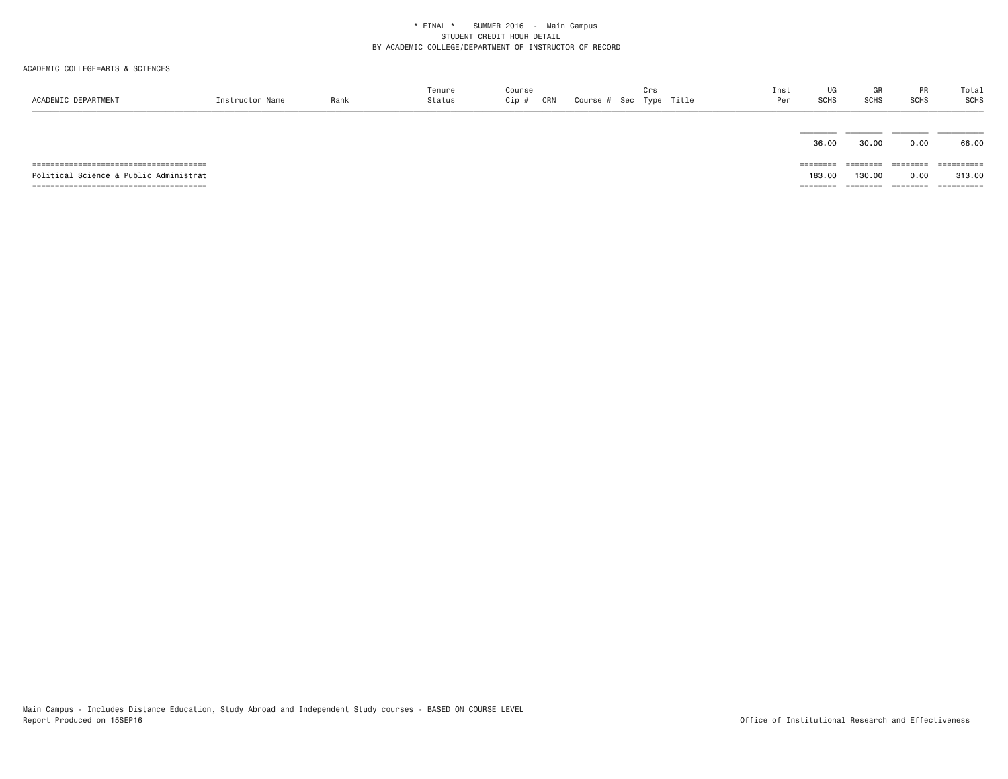| ACADEMIC DEPARTMENT                    | Instructor Name | Rank | Tenure<br>Status | Course<br>CRN<br>Cip # | Course # Sec Type Title | Crs | Inst<br>Per | UG<br>SCHS                  | GR<br><b>SCHS</b>  | PR<br><b>SCHS</b>         | Total<br>SCHS        |
|----------------------------------------|-----------------|------|------------------|------------------------|-------------------------|-----|-------------|-----------------------------|--------------------|---------------------------|----------------------|
|                                        |                 |      |                  |                        |                         |     |             | 36.00                       | 30.00              | 0.00                      | 66.00                |
| Political Science & Public Administrat |                 |      |                  |                        |                         |     |             | $=$ = = = = = = =<br>183.00 | ========<br>130.00 | $=$ = = = = = = =<br>0.00 | ==========<br>313,00 |
|                                        |                 |      |                  |                        |                         |     |             | --------                    | --------           | ========                  | -----------          |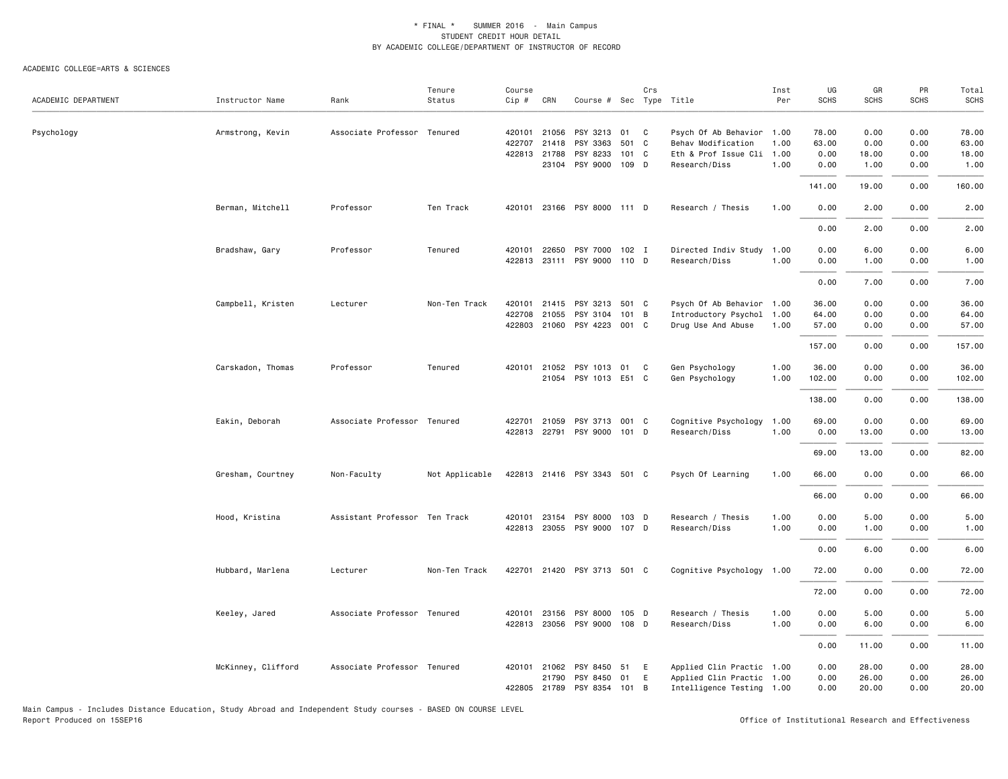ACADEMIC COLLEGE=ARTS & SCIENCES

| ACADEMIC DEPARTMENT | Instructor Name    | Rank                          | Tenure<br>Status | Course<br>Cip #        | CRN          | Course # Sec Type Title                       |             | Crs |                                                        | Inst<br>Per  | UG<br><b>SCHS</b> | GR<br><b>SCHS</b> | PR<br>SCHS   | Total<br><b>SCHS</b> |
|---------------------|--------------------|-------------------------------|------------------|------------------------|--------------|-----------------------------------------------|-------------|-----|--------------------------------------------------------|--------------|-------------------|-------------------|--------------|----------------------|
| Psychology          | Armstrong, Kevin   | Associate Professor Tenured   |                  | 420101 21056<br>422707 | 21418        | PSY 3213<br>PSY 3363                          | 01<br>501 C | C   | Psych Of Ab Behavior 1.00<br>Behav Modification        | 1.00         | 78.00<br>63.00    | 0.00<br>0.00      | 0.00<br>0.00 | 78.00<br>63.00       |
|                     |                    |                               |                  | 422813 21788           |              | PSY 8233<br>23104 PSY 9000 109 D              | 101 C       |     | Eth & Prof Issue Cli 1.00<br>Research/Diss             | 1.00         | 0.00<br>0.00      | 18.00<br>1.00     | 0.00<br>0.00 | 18.00<br>1.00        |
|                     |                    |                               |                  |                        |              |                                               |             |     |                                                        |              | 141.00            | 19.00             | 0.00         | 160.00               |
|                     | Berman, Mitchell   | Professor                     | Ten Track        |                        |              | 420101 23166 PSY 8000 111 D                   |             |     | Research / Thesis                                      | 1.00         | 0.00              | 2.00              | 0.00         | 2.00                 |
|                     |                    |                               |                  |                        |              |                                               |             |     |                                                        |              | 0.00              | 2.00              | 0.00         | 2.00                 |
|                     | Bradshaw, Gary     | Professor                     | Tenured          | 420101                 | 22650        | PSY 7000 102 I                                |             |     | Directed Indiv Study                                   | 1.00         | 0.00              | 6.00              | 0.00         | 6.00                 |
|                     |                    |                               |                  | 422813                 |              | 23111 PSY 9000                                | 110 D       |     | Research/Diss                                          | 1.00         | 0.00              | 1.00              | 0.00         | 1.00                 |
|                     |                    | Lecturer                      | Non-Ten Track    | 420101                 | 21415        |                                               | 501 C       |     | Psych Of Ab Behavior 1.00                              |              | 0.00<br>36.00     | 7.00              | 0.00<br>0.00 | 7.00<br>36.00        |
|                     | Campbell, Kristen  |                               |                  | 422708                 | 21055        | PSY 3213                                      | 101 B       |     | Introductory Psychol 1.00                              |              | 64.00             | 0.00<br>0.00      |              |                      |
|                     |                    |                               |                  |                        |              | PSY 3104<br>422803 21060 PSY 4223 001 C       |             |     | Drug Use And Abuse                                     | 1.00         | 57.00             | 0.00              | 0.00<br>0.00 | 64.00<br>57.00       |
|                     |                    |                               |                  |                        |              |                                               |             |     |                                                        |              | 157.00            | 0.00              | 0.00         | 157.00               |
|                     | Carskadon, Thomas  | Professor                     | Tenured          | 420101                 |              | 21052 PSY 1013 01 C                           |             |     | Gen Psychology                                         | 1.00         | 36.00             | 0.00              | 0.00         | 36.00                |
|                     |                    |                               |                  |                        |              | 21054 PSY 1013 E51 C                          |             |     | Gen Psychology                                         | 1.00         | 102.00            | 0.00              | 0.00         | 102.00               |
|                     |                    |                               |                  |                        |              |                                               |             |     |                                                        |              | 138.00            | 0.00              | 0.00         | 138.00               |
|                     | Eakin, Deborah     | Associate Professor Tenured   |                  |                        | 422701 21059 | PSY 3713 001 C<br>422813 22791 PSY 9000 101 D |             |     | Cognitive Psychology 1.00<br>Research/Diss             | 1.00         | 69.00<br>0.00     | 0.00<br>13.00     | 0.00<br>0.00 | 69.00<br>13.00       |
|                     |                    |                               |                  |                        |              |                                               |             |     |                                                        |              | 69.00             | 13.00             | 0.00         | 82.00                |
|                     | Gresham, Courtney  | Non-Faculty                   | Not Applicable   |                        |              | 422813 21416 PSY 3343 501 C                   |             |     | Psych Of Learning                                      | 1.00         | 66.00             | 0.00              | 0.00         | 66.00                |
|                     |                    |                               |                  |                        |              |                                               |             |     |                                                        |              | 66.00             | 0.00              | 0.00         | 66.00                |
|                     | Hood, Kristina     | Assistant Professor Ten Track |                  | 420101                 | 23154        | PSY 8000                                      | 103 D       |     | Research / Thesis                                      | 1.00         | 0.00              | 5.00              | 0.00         | 5.00                 |
|                     |                    |                               |                  |                        |              | 422813 23055 PSY 9000 107 D                   |             |     | Research/Diss                                          | 1.00         | 0.00              | 1.00              | 0.00         | 1.00                 |
|                     |                    |                               |                  |                        |              |                                               |             |     |                                                        |              | 0.00              | 6.00              | 0.00         | 6.00                 |
|                     | Hubbard, Marlena   | Lecturer                      | Non-Ten Track    |                        |              | 422701 21420 PSY 3713 501 C                   |             |     | Cognitive Psychology 1.00                              |              | 72.00             | 0.00              | 0.00         | 72.00                |
|                     |                    |                               |                  |                        |              |                                               |             |     |                                                        |              | 72.00             | 0.00              | 0.00         | 72.00                |
|                     | Keeley, Jared      | Associate Professor Tenured   |                  | 420101<br>422813       | 23156        | PSY 8000 105 D<br>23056 PSY 9000 108 D        |             |     | Research / Thesis<br>Research/Diss                     | 1.00<br>1.00 | 0.00<br>0.00      | 5.00<br>6.00      | 0.00<br>0.00 | 5.00<br>6.00         |
|                     |                    |                               |                  |                        |              |                                               |             |     |                                                        |              | 0.00              | 11.00             | 0.00         | 11.00                |
|                     | McKinney, Clifford | Associate Professor Tenured   |                  |                        | 420101 21062 | PSY 8450                                      | 51          | E   | Applied Clin Practic 1.00                              |              | 0.00              | 28.00             | 0.00         | 28.00                |
|                     |                    |                               |                  |                        | 21790        | PSY 8450<br>422805 21789 PSY 8354 101 B       | 01          | E   | Applied Clin Practic 1.00<br>Intelligence Testing 1.00 |              | 0.00<br>0.00      | 26.00<br>20.00    | 0.00<br>0.00 | 26.00<br>20.00       |

Main Campus - Includes Distance Education, Study Abroad and Independent Study courses - BASED ON COURSE LEVEL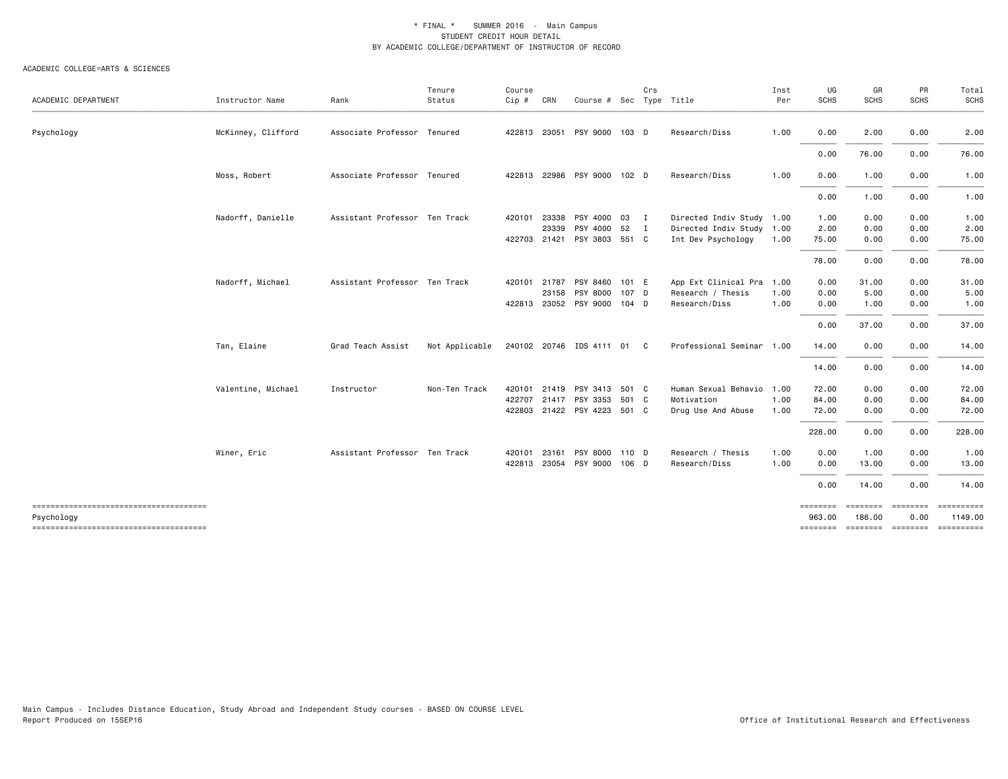| ACADEMIC DEPARTMENT                                 | Instructor Name    | Rank                          | Tenure<br>Status | Course<br>Cip # | CRN          | Course # Sec Type Title     |       | Crs            |                           | Inst<br>Per | UG<br><b>SCHS</b>  | GR<br><b>SCHS</b>  | PR<br><b>SCHS</b>          | Total<br><b>SCHS</b> |
|-----------------------------------------------------|--------------------|-------------------------------|------------------|-----------------|--------------|-----------------------------|-------|----------------|---------------------------|-------------|--------------------|--------------------|----------------------------|----------------------|
|                                                     |                    |                               |                  |                 |              |                             |       |                |                           |             |                    |                    |                            |                      |
| Psychology                                          | McKinney, Clifford | Associate Professor Tenured   |                  |                 |              | 422813 23051 PSY 9000 103 D |       |                | Research/Diss             | 1.00        | 0.00               | 2.00               | 0.00                       | 2.00                 |
|                                                     |                    |                               |                  |                 |              |                             |       |                |                           |             | 0.00               | 76.00              | 0.00                       | 76.00                |
|                                                     | Moss, Robert       | Associate Professor Tenured   |                  |                 |              | 422813 22986 PSY 9000 102 D |       |                | Research/Diss             | 1.00        | 0.00               | 1.00               | 0.00                       | 1.00                 |
|                                                     |                    |                               |                  |                 |              |                             |       |                |                           |             | 0.00               | 1.00               | 0.00                       | 1.00                 |
|                                                     | Nadorff, Danielle  | Assistant Professor Ten Track |                  | 420101          | 23338        | PSY 4000 03                 |       | $\mathbf{I}$   | Directed Indiv Study 1.00 |             | 1.00               | 0.00               | 0.00                       | 1.00                 |
|                                                     |                    |                               |                  |                 | 23339        | PSY 4000 52                 |       | $\blacksquare$ | Directed Indiv Study 1.00 |             | 2.00               | 0.00               | 0.00                       | 2.00                 |
|                                                     |                    |                               |                  |                 | 422703 21421 | PSY 3803 551 C              |       |                | Int Dev Psychology        | 1.00        | 75.00              | 0.00               | 0.00                       | 75.00                |
|                                                     |                    |                               |                  |                 |              |                             |       |                |                           |             | 78.00              | 0.00               | 0.00                       | 78.00                |
|                                                     | Nadorff, Michael   | Assistant Professor Ten Track |                  | 420101          | 21787        | PSY 8460                    | 101 E |                | App Ext Clinical Pra      | 1.00        | 0.00               | 31.00              | 0.00                       | 31.00                |
|                                                     |                    |                               |                  |                 | 23158        | PSY 8000                    | 107 D |                | Research / Thesis         | 1.00        | 0.00               | 5.00               | 0.00                       | 5.00                 |
|                                                     |                    |                               |                  |                 |              | 422813 23052 PSY 9000 104 D |       |                | Research/Diss             | 1.00        | 0.00               | 1.00               | 0.00                       | 1.00                 |
|                                                     |                    |                               |                  |                 |              |                             |       |                |                           |             | 0.00               | 37.00              | 0.00                       | 37.00                |
|                                                     | Tan, Elaine        | Grad Teach Assist             | Not Applicable   |                 |              | 240102 20746 IDS 4111 01 C  |       |                | Professional Seminar 1.00 |             | 14.00              | 0.00               | 0.00                       | 14.00                |
|                                                     |                    |                               |                  |                 |              |                             |       |                |                           |             | 14.00              | 0.00               | 0.00                       | 14.00                |
|                                                     | Valentine, Michael | Instructor                    | Non-Ten Track    | 420101          | 21419        | PSY 3413 501 C              |       |                | Human Sexual Behavio      | 1.00        | 72.00              | 0.00               | 0.00                       | 72.00                |
|                                                     |                    |                               |                  |                 |              | 422707 21417 PSY 3353 501 C |       |                | Motivation                | 1.00        | 84.00              | 0.00               | 0.00                       | 84.00                |
|                                                     |                    |                               |                  |                 |              | 422803 21422 PSY 4223 501 C |       |                | Drug Use And Abuse        | 1.00        | 72.00              | 0.00               | 0.00                       | 72.00                |
|                                                     |                    |                               |                  |                 |              |                             |       |                |                           |             | 228.00             | 0.00               | 0.00                       | 228.00               |
|                                                     | Winer, Eric        | Assistant Professor Ten Track |                  | 420101          | 23161        | PSY 8000 110 D              |       |                | Research / Thesis         | 1.00        | 0.00               | 1.00               | 0.00                       | 1.00                 |
|                                                     |                    |                               |                  |                 |              | 422813 23054 PSY 9000 106 D |       |                | Research/Diss             | 1.00        | 0.00               | 13.00              | 0.00                       | 13.00                |
|                                                     |                    |                               |                  |                 |              |                             |       |                |                           |             | 0.00               | 14.00              | 0.00                       | 14.00                |
| -------------------------------------<br>Psychology |                    |                               |                  |                 |              |                             |       |                |                           |             | ========<br>963.00 | ========<br>186.00 | ========<br>0.00           | 1149.00              |
|                                                     |                    |                               |                  |                 |              |                             |       |                |                           |             |                    |                    | ======== ======== ======== | ==========           |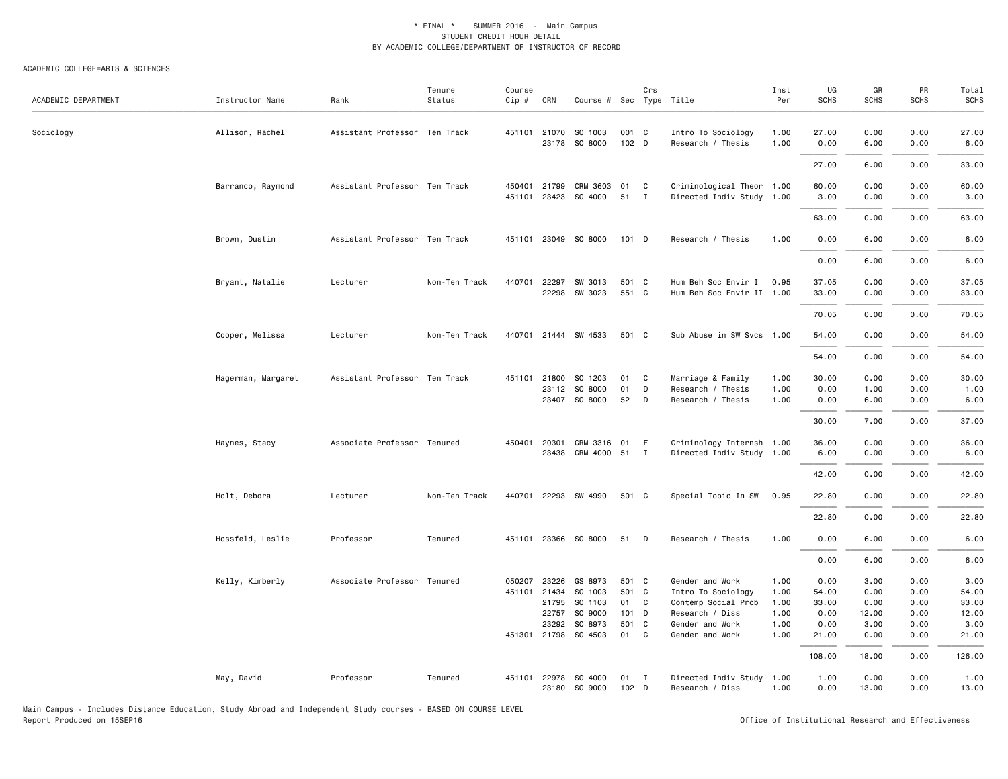#### ACADEMIC COLLEGE=ARTS & SCIENCES

| ACADEMIC DEPARTMENT | Instructor Name    | Rank                          | Tenure<br>Status | Course<br>Cip # | CRN   | Course # Sec Type Title               |                            | Crs          |                                              | Inst<br>Per  | UG<br><b>SCHS</b> | GR<br><b>SCHS</b> | PR<br><b>SCHS</b> | Total<br><b>SCHS</b> |
|---------------------|--------------------|-------------------------------|------------------|-----------------|-------|---------------------------------------|----------------------------|--------------|----------------------------------------------|--------------|-------------------|-------------------|-------------------|----------------------|
| Sociology           | Allison, Rachel    | Assistant Professor Ten Track |                  | 451101          | 21070 | SO 1003<br>23178 SO 8000              | 001 C<br>102 D             |              | Intro To Sociology<br>Research / Thesis      | 1.00<br>1.00 | 27.00<br>0.00     | 0.00<br>6.00      | 0.00<br>0.00      | 27,00<br>6.00        |
|                     |                    |                               |                  |                 |       |                                       |                            |              |                                              |              | 27.00             | 6.00              | 0.00              | 33.00                |
|                     | Barranco, Raymond  | Assistant Professor Ten Track |                  | 450401          | 21799 | CRM 3603                              | 01                         | C            | Criminological Theor 1.00                    |              | 60.00             | 0.00              | 0.00              | 60.00                |
|                     |                    |                               |                  | 451101          |       | 23423 SO 4000                         | 51                         | $\mathbf{I}$ | Directed Indiv Study 1.00                    |              | 3.00              | 0.00              | 0.00              | 3.00                 |
|                     |                    |                               |                  |                 |       |                                       |                            |              |                                              |              | 63.00             | 0.00              | 0.00              | 63.00                |
|                     | Brown, Dustin      | Assistant Professor Ten Track |                  | 451101          |       | 23049 SO 8000                         | $101$ D                    |              | Research / Thesis                            | 1.00         | 0.00              | 6.00              | 0.00              | 6.00                 |
|                     |                    |                               |                  |                 |       |                                       |                            |              |                                              |              | 0.00              | 6.00              | 0.00              | 6.00                 |
|                     | Bryant, Natalie    | Lecturer                      | Non-Ten Track    | 440701          | 22297 | SW 3013                               | 501 C                      |              | Hum Beh Soc Envir I                          | 0.95         | 37.05             | 0.00              | 0.00              | 37.05                |
|                     |                    |                               |                  |                 | 22298 | SW 3023                               | 551 C                      |              | Hum Beh Soc Envir II 1.00                    |              | 33.00             | 0.00              | 0.00              | 33.00                |
|                     |                    |                               |                  |                 |       |                                       |                            |              |                                              |              | 70.05             | 0.00              | 0.00              | 70.05                |
|                     | Cooper, Melissa    | Lecturer                      | Non-Ten Track    | 440701          |       | 21444 SW 4533                         | 501 C                      |              | Sub Abuse in SW Svcs 1.00                    |              | 54.00             | 0.00              | 0.00              | 54.00                |
|                     |                    |                               |                  |                 |       |                                       |                            |              |                                              |              | 54.00             | 0.00              | 0.00              | 54.00                |
|                     | Hagerman, Margaret | Assistant Professor Ten Track |                  | 451101          | 21800 | SO 1203                               | 01                         | C            | Marriage & Family                            | 1.00         | 30.00             | 0.00              | 0.00              | 30.00                |
|                     |                    |                               |                  |                 |       | 23112 SO 8000                         | 01                         | D            | Research / Thesis                            | 1.00         | 0.00              | 1.00              | 0.00              | 1.00                 |
|                     |                    |                               |                  |                 |       | 23407 SO 8000                         | 52                         | D            | Research / Thesis                            | 1.00         | 0.00              | 6.00              | 0.00              | 6.00                 |
|                     |                    |                               |                  |                 |       |                                       |                            |              |                                              |              | 30.00             | 7.00              | 0.00              | 37.00                |
|                     | Haynes, Stacy      | Associate Professor Tenured   |                  | 450401          | 20301 | CRM 3316 01<br>23438 CRM 4000 51 I    |                            | - F          | Criminology Internsh 1.00                    |              | 36.00             | 0.00<br>0.00      | 0.00              | 36.00                |
|                     |                    |                               |                  |                 |       |                                       |                            |              | Directed Indiv Study 1.00                    |              | 6.00              |                   | 0.00              | 6.00                 |
|                     |                    |                               |                  |                 |       |                                       |                            |              |                                              |              | 42.00             | 0.00              | 0.00              | 42.00                |
|                     | Holt, Debora       | Lecturer                      | Non-Ten Track    |                 |       | 440701 22293 SW 4990                  | 501 C                      |              | Special Topic In SW                          | 0.95         | 22.80             | 0.00              | 0.00              | 22.80                |
|                     |                    |                               |                  |                 |       |                                       |                            |              |                                              |              | 22.80             | 0.00              | 0.00              | 22.80                |
|                     | Hossfeld, Leslie   | Professor                     | Tenured          | 451101          |       | 23366 SO 8000                         | 51                         | D            | Research / Thesis                            | 1.00         | 0.00              | 6.00              | 0.00              | 6.00                 |
|                     |                    |                               |                  |                 |       |                                       |                            |              |                                              |              | 0.00              | 6.00              | 0.00              | 6.00                 |
|                     | Kelly, Kimberly    | Associate Professor Tenured   |                  | 050207          | 23226 | GS 8973                               | 501 C                      |              | Gender and Work                              | 1.00         | 0.00              | 3.00              | 0.00              | 3.00                 |
|                     |                    |                               |                  | 451101          | 21434 | SO 1003                               | 501 C                      |              | Intro To Sociology                           | 1.00         | 54.00             | 0.00              | 0.00              | 54.00                |
|                     |                    |                               |                  |                 |       | 21795 SO 1103                         | 01 C                       |              | Contemp Social Prob                          | 1.00         | 33.00             | 0.00              | 0.00              | 33.00                |
|                     |                    |                               |                  |                 | 22757 | SO 9000                               | 101 D                      |              | Research / Diss                              | 1.00         | 0.00              | 12.00             | 0.00              | 12.00                |
|                     |                    |                               |                  |                 | 23292 | SO 8973                               | 501 C                      |              | Gender and Work                              | 1.00         | 0.00              | 3.00              | 0.00              | 3.00                 |
|                     |                    |                               |                  |                 |       | 451301 21798 SO 4503                  | 01                         | C            | Gender and Work                              | 1.00         | 21.00             | 0.00              | 0.00              | 21.00                |
|                     |                    |                               |                  |                 |       |                                       |                            |              |                                              |              | 108.00            | 18.00             | 0.00              | 126.00               |
|                     | May, David         | Professor                     | Tenured          |                 |       | 451101 22978 SO 4000<br>23180 SO 9000 | $01$ I<br>102 <sub>D</sub> |              | Directed Indiv Study 1.00<br>Research / Diss | 1.00         | 1.00<br>0.00      | 0.00<br>13.00     | 0.00<br>0.00      | 1.00<br>13.00        |

Main Campus - Includes Distance Education, Study Abroad and Independent Study courses - BASED ON COURSE LEVEL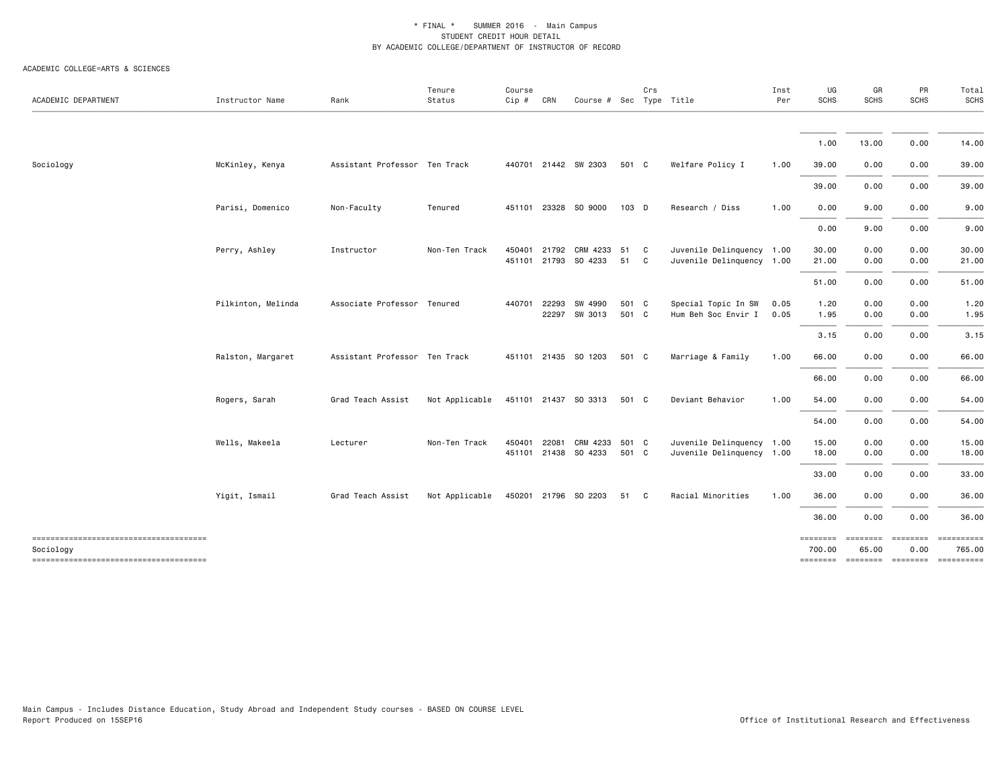| ACADEMIC DEPARTMENT                                                                         | Instructor Name    | Rank                          | Tenure<br>Status | Course<br>Cip # | CRN   | Course # Sec Type Title                            |                | Crs          |                                                        | Inst<br>Per  | UG<br><b>SCHS</b>                              | GR<br><b>SCHS</b>        | PR<br>SCHS            | Total<br>SCHS                          |
|---------------------------------------------------------------------------------------------|--------------------|-------------------------------|------------------|-----------------|-------|----------------------------------------------------|----------------|--------------|--------------------------------------------------------|--------------|------------------------------------------------|--------------------------|-----------------------|----------------------------------------|
|                                                                                             |                    |                               |                  |                 |       |                                                    |                |              |                                                        |              | 1.00                                           | 13.00                    | 0.00                  | 14.00                                  |
| Sociology                                                                                   | McKinley, Kenya    | Assistant Professor Ten Track |                  |                 |       | 440701 21442 SW 2303                               | 501 C          |              | Welfare Policy I                                       | 1.00         | 39.00                                          | 0.00                     | 0.00                  | 39.00                                  |
|                                                                                             |                    |                               |                  |                 |       |                                                    |                |              |                                                        |              | 39.00                                          | 0.00                     | 0.00                  | 39.00                                  |
|                                                                                             | Parisi, Domenico   | Non-Faculty                   | Tenured          |                 |       | 451101 23328 SO 9000                               | 103 D          |              | Research / Diss                                        | 1.00         | 0.00                                           | 9.00                     | 0.00                  | 9.00                                   |
|                                                                                             |                    |                               |                  |                 |       |                                                    |                |              |                                                        |              | 0.00                                           | 9.00                     | 0.00                  | 9.00                                   |
|                                                                                             | Perry, Ashley      | Instructor                    | Non-Ten Track    |                 |       | 450401 21792 CRM 4233 51 C<br>451101 21793 SO 4233 | 51             | $\mathbf{C}$ | Juvenile Delinquency 1.00<br>Juvenile Delinquency 1.00 |              | 30.00<br>21.00                                 | 0.00<br>0.00             | 0.00<br>0.00          | 30.00<br>21.00                         |
|                                                                                             |                    |                               |                  |                 |       |                                                    |                |              |                                                        |              | 51.00                                          | 0.00                     | 0.00                  | 51.00                                  |
|                                                                                             | Pilkinton, Melinda | Associate Professor Tenured   |                  | 440701          | 22293 | SW 4990<br>22297 SW 3013                           | 501 C<br>501 C |              | Special Topic In SW<br>Hum Beh Soc Envir I             | 0.05<br>0.05 | 1.20<br>1.95                                   | 0.00<br>0.00             | 0.00<br>0.00          | 1.20<br>1.95                           |
|                                                                                             |                    |                               |                  |                 |       |                                                    |                |              |                                                        |              | 3.15                                           | 0.00                     | 0.00                  | 3.15                                   |
|                                                                                             | Ralston, Margaret  | Assistant Professor Ten Track |                  |                 |       | 451101 21435 SO 1203                               | 501 C          |              | Marriage & Family                                      | 1.00         | 66.00                                          | 0.00                     | 0.00                  | 66.00                                  |
|                                                                                             |                    |                               |                  |                 |       |                                                    |                |              |                                                        |              | 66.00                                          | 0.00                     | 0.00                  | 66.00                                  |
|                                                                                             | Rogers, Sarah      | Grad Teach Assist             | Not Applicable   |                 |       | 451101 21437 SO 3313                               | 501 C          |              | Deviant Behavior                                       | 1.00         | 54.00                                          | 0.00                     | 0.00                  | 54.00                                  |
|                                                                                             |                    |                               |                  |                 |       |                                                    |                |              |                                                        |              | 54.00                                          | 0.00                     | 0.00                  | 54.00                                  |
|                                                                                             | Wells, Makeela     | Lecturer                      | Non-Ten Track    | 450401          |       | 22081 CRM 4233<br>451101 21438 SO 4233             | 501 C<br>501 C |              | Juvenile Delinquency 1.00<br>Juvenile Delinquency 1.00 |              | 15.00<br>18.00                                 | 0.00<br>0.00             | 0.00<br>0.00          | 15.00<br>18.00                         |
|                                                                                             |                    |                               |                  |                 |       |                                                    |                |              |                                                        |              | 33.00                                          | 0.00                     | 0.00                  | 33.00                                  |
|                                                                                             | Yigit, Ismail      | Grad Teach Assist             | Not Applicable   |                 |       | 450201 21796 SO 2203                               | 51 C           |              | Racial Minorities                                      | 1.00         | 36.00                                          | 0.00                     | 0.00                  | 36.00                                  |
|                                                                                             |                    |                               |                  |                 |       |                                                    |                |              |                                                        |              | 36.00                                          | 0.00                     | 0.00                  | 36.00                                  |
| -------------------------------------<br>Sociology<br>------------------------------------- |                    |                               |                  |                 |       |                                                    |                |              |                                                        |              | ========<br>700.00<br>-------- ------- ------- | <b>ESSESSES</b><br>65.00 | $= 222222222$<br>0.00 | ==========<br>765.00<br>$-$ ========== |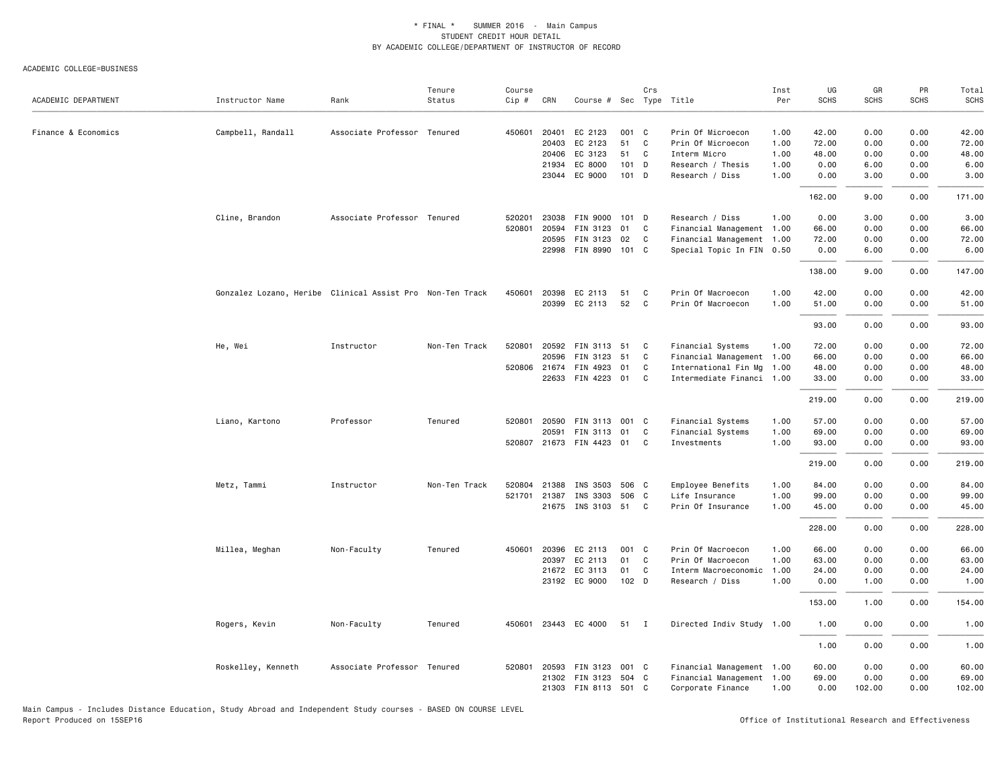#### ACADEMIC COLLEGE=BUSINESS

| ACADEMIC DEPARTMENT | Instructor Name                                           | Rank                        | Tenure<br>Status | Course<br>Cip # | CRN   | Course # Sec Type Title  |         | Crs          |                           | Inst<br>Per | UG<br><b>SCHS</b> | GR<br><b>SCHS</b> | PR<br><b>SCHS</b> | Total<br><b>SCHS</b> |
|---------------------|-----------------------------------------------------------|-----------------------------|------------------|-----------------|-------|--------------------------|---------|--------------|---------------------------|-------------|-------------------|-------------------|-------------------|----------------------|
| Finance & Economics | Campbell, Randall                                         | Associate Professor Tenured |                  | 450601          | 20401 | EC 2123                  | 001 C   |              | Prin Of Microecon         | 1.00        | 42.00             | 0.00              | 0.00              | 42.00                |
|                     |                                                           |                             |                  |                 | 20403 | EC 2123                  | 51      | C            | Prin Of Microecon         | 1.00        | 72.00             | 0.00              | 0.00              | 72.00                |
|                     |                                                           |                             |                  |                 | 20406 | EC 3123                  | 51      | C            | Interm Micro              | 1.00        | 48.00             | 0.00              | 0.00              | 48.00                |
|                     |                                                           |                             |                  |                 |       | 21934 EC 8000            | $101$ D |              | Research / Thesis         | 1.00        | 0.00              | 6.00              | 0.00              | 6.00                 |
|                     |                                                           |                             |                  |                 |       | 23044 EC 9000            | 101 D   |              | Research / Diss           | 1.00        | 0.00              | 3.00              | 0.00              | 3.00                 |
|                     |                                                           |                             |                  |                 |       |                          |         |              |                           |             | 162.00            | 9.00              | 0.00              | 171.00               |
|                     | Cline, Brandon                                            | Associate Professor Tenured |                  | 520201          |       | 23038 FIN 9000 101 D     |         |              | Research / Diss           | 1.00        | 0.00              | 3.00              | 0.00              | 3.00                 |
|                     |                                                           |                             |                  | 520801          | 20594 | FIN 3123                 | 01      | C            | Financial Management 1.00 |             | 66.00             | 0.00              | 0.00              | 66.00                |
|                     |                                                           |                             |                  |                 | 20595 | FIN 3123 02              |         | C            | Financial Management 1.00 |             | 72.00             | 0.00              | 0.00              | 72.00                |
|                     |                                                           |                             |                  |                 |       | 22998 FIN 8990 101 C     |         |              | Special Topic In FIN 0.50 |             | 0.00              | 6.00              | 0.00              | 6.00                 |
|                     |                                                           |                             |                  |                 |       |                          |         |              |                           |             | 138.00            | 9.00              | 0.00              | 147.00               |
|                     | Gonzalez Lozano, Heribe Clinical Assist Pro Non-Ten Track |                             |                  | 450601          |       | 20398 EC 2113            | 51      | C            | Prin Of Macroecon         | 1.00        | 42.00             | 0.00              | 0.00              | 42.00                |
|                     |                                                           |                             |                  |                 |       | 20399 EC 2113            | 52      | C            | Prin Of Macroecon         | 1.00        | 51.00             | 0.00              | 0.00              | 51.00                |
|                     |                                                           |                             |                  |                 |       |                          |         |              |                           |             | 93.00             | 0.00              | 0.00              | 93.00                |
|                     | He, Wei                                                   | Instructor                  | Non-Ten Track    | 520801          |       | 20592 FIN 3113 51        |         | C            | Financial Systems         | 1.00        | 72.00             | 0.00              | 0.00              | 72.00                |
|                     |                                                           |                             |                  |                 | 20596 | FIN 3123 51              |         | C            | Financial Management 1.00 |             | 66.00             | 0.00              | 0.00              | 66.00                |
|                     |                                                           |                             |                  |                 |       | 520806 21674 FIN 4923 01 |         | C            | International Fin Mg 1.00 |             | 48.00             | 0.00              | 0.00              | 48.00                |
|                     |                                                           |                             |                  |                 |       | 22633 FIN 4223 01        |         | C            | Intermediate Financi 1.00 |             | 33.00             | 0.00              | 0.00              | 33.00                |
|                     |                                                           |                             |                  |                 |       |                          |         |              |                           |             | 219.00            | 0.00              | 0.00              | 219.00               |
|                     | Liano, Kartono                                            | Professor                   | Tenured          | 520801          |       | 20590 FIN 3113 001 C     |         |              | Financial Systems         | 1.00        | 57.00             | 0.00              | 0.00              | 57.00                |
|                     |                                                           |                             |                  |                 | 20591 | FIN 3113 01              |         | C            | Financial Systems         | 1.00        | 69.00             | 0.00              | 0.00              | 69.00                |
|                     |                                                           |                             |                  | 520807          |       | 21673 FIN 4423 01        |         | C            | Investments               | 1.00        | 93.00             | 0.00              | 0.00              | 93.00                |
|                     |                                                           |                             |                  |                 |       |                          |         |              |                           |             | 219.00            | 0.00              | 0.00              | 219.00               |
|                     | Metz, Tammi                                               | Instructor                  | Non-Ten Track    | 520804          |       | 21388 INS 3503 506 C     |         |              | Employee Benefits         | 1.00        | 84.00             | 0.00              | 0.00              | 84.00                |
|                     |                                                           |                             |                  | 521701          | 21387 | INS 3303                 | 506 C   |              | Life Insurance            | 1.00        | 99.00             | 0.00              | 0.00              | 99.00                |
|                     |                                                           |                             |                  |                 |       | 21675 INS 3103 51 C      |         |              | Prin Of Insurance         | 1.00        | 45.00             | 0.00              | 0.00              | 45.00                |
|                     |                                                           |                             |                  |                 |       |                          |         |              |                           |             | 228.00            | 0.00              | 0.00              | 228.00               |
|                     | Millea, Meghan                                            | Non-Faculty                 | Tenured          | 450601          | 20396 | EC 2113                  | 001 C   |              | Prin Of Macroecon         | 1.00        | 66.00             | 0.00              | 0.00              | 66.00                |
|                     |                                                           |                             |                  |                 | 20397 | EC 2113                  | 01      | C            | Prin Of Macroecon         | 1.00        | 63.00             | 0.00              | 0.00              | 63.00                |
|                     |                                                           |                             |                  |                 |       | 21672 EC 3113            | 01      | C            | Interm Macroeconomic 1.00 |             | 24.00             | 0.00              | 0.00              | 24.00                |
|                     |                                                           |                             |                  |                 |       | 23192 EC 9000            | 102 D   |              | Research / Diss           | 1.00        | 0.00              | 1.00              | 0.00              | 1.00                 |
|                     |                                                           |                             |                  |                 |       |                          |         |              |                           |             | 153.00            | 1.00              | 0.00              | 154.00               |
|                     | Rogers, Kevin                                             | Non-Faculty                 | Tenured          | 450601          |       | 23443 EC 4000            | 51      | $\mathbf{I}$ | Directed Indiv Study      | 1.00        | 1.00              | 0.00              | 0.00              | 1.00                 |
|                     |                                                           |                             |                  |                 |       |                          |         |              |                           |             | 1.00              | 0.00              | 0.00              | 1.00                 |
|                     | Roskelley, Kenneth                                        | Associate Professor Tenured |                  | 520801          |       | 20593 FIN 3123           | 001 C   |              | Financial Management 1.00 |             | 60.00             | 0.00              | 0.00              | 60.00                |
|                     |                                                           |                             |                  |                 |       | 21302 FIN 3123 504 C     |         |              | Financial Management 1.00 |             | 69.00             | 0.00              | 0.00              | 69.00                |
|                     |                                                           |                             |                  |                 |       | 21303 FIN 8113 501 C     |         |              | Corporate Finance         | 1.00        | 0.00              | 102.00            | 0.00              | 102.00               |

Main Campus - Includes Distance Education, Study Abroad and Independent Study courses - BASED ON COURSE LEVEL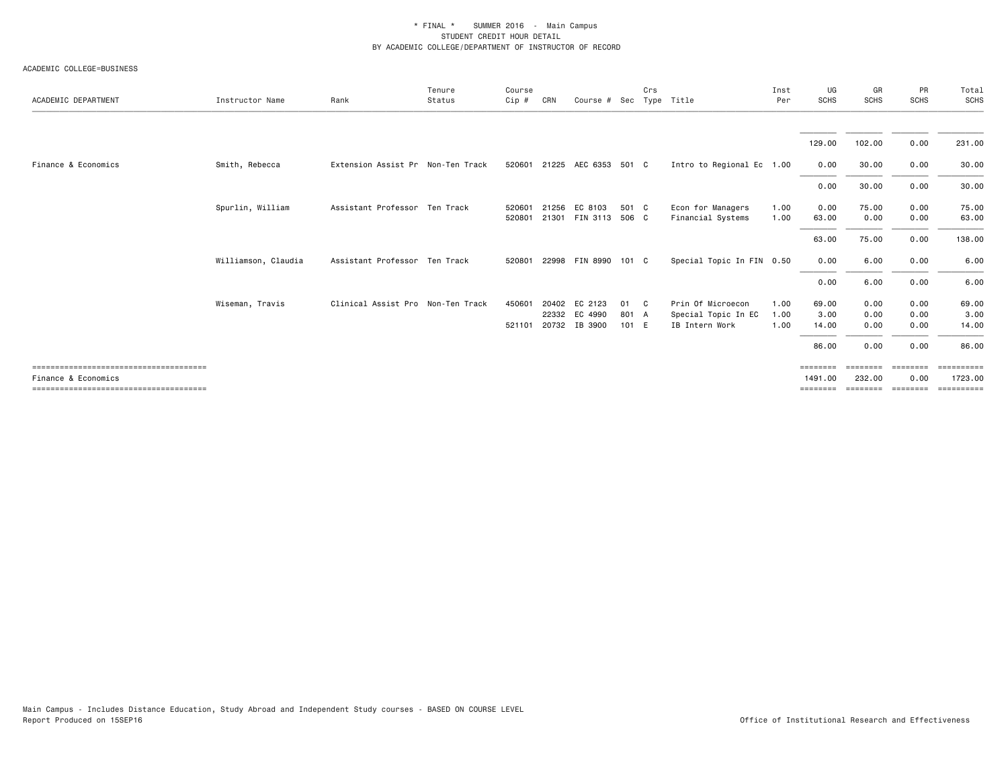#### ACADEMIC COLLEGE=BUSINESS

| ACADEMIC DEPARTMENT | Instructor Name     | Rank                              | Tenure<br>Status | Course<br>Cip #  | CRN            | Course # Sec Type Title                   |                      | Crs          |                                                            | Inst<br>Per          | UG<br>SCHS                      | GR<br><b>SCHS</b>            | PR<br><b>SCHS</b>                     | Total<br>SCHS                       |
|---------------------|---------------------|-----------------------------------|------------------|------------------|----------------|-------------------------------------------|----------------------|--------------|------------------------------------------------------------|----------------------|---------------------------------|------------------------------|---------------------------------------|-------------------------------------|
|                     |                     |                                   |                  |                  |                |                                           |                      |              |                                                            |                      |                                 |                              |                                       |                                     |
|                     |                     |                                   |                  |                  |                |                                           |                      |              |                                                            |                      | 129.00                          | 102.00                       | 0.00                                  | 231.00                              |
| Finance & Economics | Smith, Rebecca      | Extension Assist Pr Non-Ten Track |                  |                  |                | 520601 21225 AEC 6353 501 C               |                      |              | Intro to Regional Ec 1.00                                  |                      | 0.00                            | 30.00                        | 0.00                                  | 30.00                               |
|                     |                     |                                   |                  |                  |                |                                           |                      |              |                                                            |                      | 0.00                            | 30.00                        | 0.00                                  | 30.00                               |
|                     | Spurlin, William    | Assistant Professor Ten Track     |                  | 520601<br>520801 | 21256<br>21301 | EC 8103<br>FIN 3113                       | 501 C<br>506 C       |              | Econ for Managers<br>Financial Systems                     | 1.00<br>1.00         | 0.00<br>63.00                   | 75.00<br>0.00                | 0.00<br>0.00                          | 75.00<br>63.00                      |
|                     |                     |                                   |                  |                  |                |                                           |                      |              |                                                            |                      | 63.00                           | 75.00                        | 0.00                                  | 138.00                              |
|                     | Williamson, Claudia | Assistant Professor Ten Track     |                  | 520801           | 22998          | FIN 8990                                  | 101 C                |              | Special Topic In FIN 0.50                                  |                      | 0.00                            | 6.00                         | 0.00                                  | 6.00                                |
|                     |                     |                                   |                  |                  |                |                                           |                      |              |                                                            |                      | 0.00                            | 6.00                         | 0.00                                  | 6.00                                |
|                     | Wiseman, Travis     | Clinical Assist Pro Non-Ten Track |                  | 450601<br>521101 | 22332          | 20402 EC 2123<br>EC 4990<br>20732 IB 3900 | 01<br>801 A<br>101 E | $\mathbf{C}$ | Prin Of Microecon<br>Special Topic In EC<br>IB Intern Work | 1.00<br>1.00<br>1.00 | 69.00<br>3.00<br>14.00<br>86.00 | 0.00<br>0.00<br>0.00<br>0.00 | 0.00<br>0.00<br>0.00<br>0.00          | 69.00<br>3.00<br>14.00<br>86.00     |
| Finance & Economics |                     |                                   |                  |                  |                |                                           |                      |              |                                                            |                      | ========<br>1491.00<br>======== | $=$ = = = = = = =<br>232.00  | ========<br>0.00<br>================= | ==========<br>1723.00<br>========== |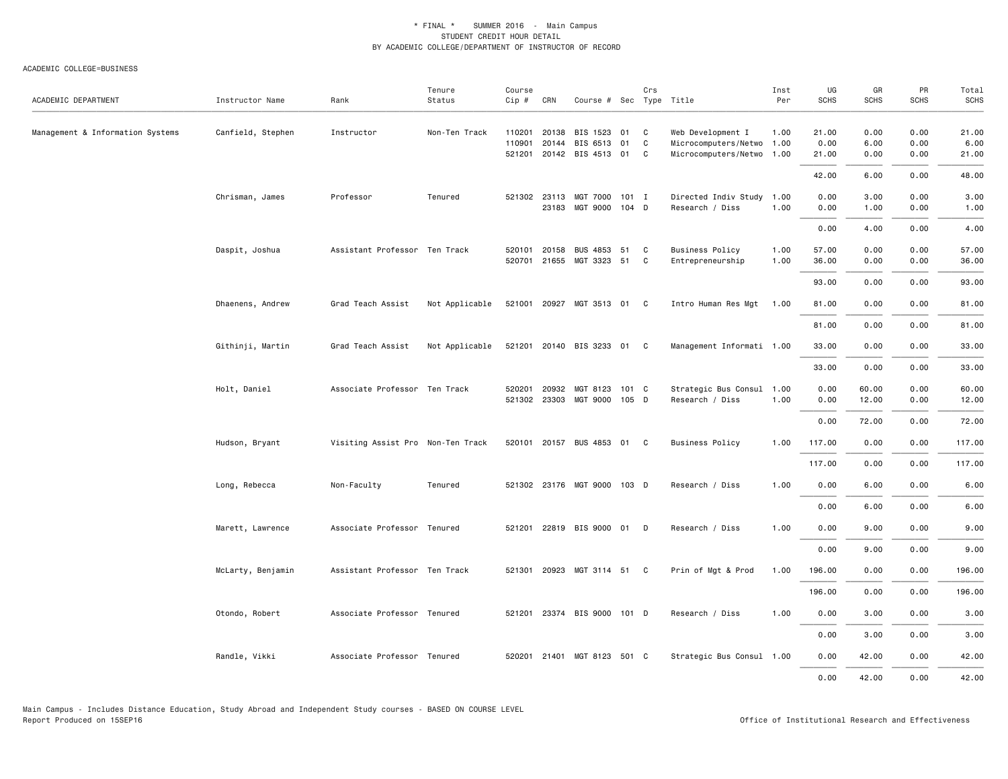#### ACADEMIC COLLEGE=BUSINESS

| ACADEMIC DEPARTMENT              | Instructor Name   | Rank                              | Tenure<br>Status | Course<br>Cip #  | CRN                   | Course # Sec Type Title                          |          | Crs          |                                                                             | Inst<br>Per  | UG<br><b>SCHS</b>      | GR<br><b>SCHS</b>    | PR<br><b>SCHS</b>    | Total<br><b>SCHS</b>   |
|----------------------------------|-------------------|-----------------------------------|------------------|------------------|-----------------------|--------------------------------------------------|----------|--------------|-----------------------------------------------------------------------------|--------------|------------------------|----------------------|----------------------|------------------------|
| Management & Information Systems | Canfield, Stephen | Instructor                        | Non-Ten Track    | 110201<br>110901 | 20138<br>20144        | BIS 1523<br>BIS 6513<br>521201 20142 BIS 4513 01 | 01<br>01 | C<br>C<br>C. | Web Development I<br>Microcomputers/Netwo 1.00<br>Microcomputers/Netwo 1.00 | 1.00         | 21.00<br>0.00<br>21.00 | 0.00<br>6.00<br>0.00 | 0.00<br>0.00<br>0.00 | 21.00<br>6.00<br>21.00 |
|                                  |                   |                                   |                  |                  |                       |                                                  |          |              |                                                                             |              | 42.00                  | 6.00                 | 0.00                 | 48.00                  |
|                                  | Chrisman, James   | Professor                         | Tenured          |                  | 521302 23113<br>23183 | MGT 7000<br>MGT 9000 104 D                       | $101$ I  |              | Directed Indiv Study 1.00<br>Research / Diss                                | 1.00         | 0.00<br>0.00           | 3.00<br>1.00         | 0.00<br>0.00         | 3.00<br>1.00           |
|                                  |                   |                                   |                  |                  |                       |                                                  |          |              |                                                                             |              | 0.00                   | 4.00                 | 0.00                 | 4.00                   |
|                                  | Daspit, Joshua    | Assistant Professor Ten Track     |                  | 520101           | 20158<br>520701 21655 | <b>BUS 4853</b><br>MGT 3323 51                   | 51       | C<br>C       | <b>Business Policy</b><br>Entrepreneurship                                  | 1.00<br>1.00 | 57.00<br>36.00         | 0.00<br>0.00         | 0.00<br>0.00         | 57.00<br>36.00         |
|                                  |                   |                                   |                  |                  |                       |                                                  |          |              |                                                                             |              | 93.00                  | 0.00                 | 0.00                 | 93.00                  |
|                                  | Dhaenens, Andrew  | Grad Teach Assist                 | Not Applicable   |                  |                       | 521001 20927 MGT 3513 01 C                       |          |              | Intro Human Res Mgt 1.00                                                    |              | 81.00                  | 0.00                 | 0.00                 | 81.00                  |
|                                  |                   |                                   |                  |                  |                       |                                                  |          |              |                                                                             |              | 81.00                  | 0.00                 | 0.00                 | 81.00                  |
|                                  | Githinji, Martin  | Grad Teach Assist                 | Not Applicable   | 521201           |                       | 20140 BIS 3233 01 C                              |          |              | Management Informati 1.00                                                   |              | 33.00                  | 0.00                 | 0.00                 | 33.00                  |
|                                  |                   |                                   |                  |                  |                       |                                                  |          |              |                                                                             |              | 33.00                  | 0.00                 | 0.00                 | 33.00                  |
|                                  | Holt, Daniel      | Associate Professor Ten Track     |                  | 520201           | 20932<br>521302 23303 | MGT 8123<br>MGT 9000 105 D                       | 101 C    |              | Strategic Bus Consul 1.00<br>Research / Diss                                | 1.00         | 0.00<br>0.00           | 60.00<br>12.00       | 0.00<br>0.00         | 60.00<br>12.00         |
|                                  |                   |                                   |                  |                  |                       |                                                  |          |              |                                                                             |              | 0.00                   | 72.00                | 0.00                 | 72.00                  |
|                                  | Hudson, Bryant    | Visiting Assist Pro Non-Ten Track |                  | 520101           |                       | 20157 BUS 4853 01 C                              |          |              | <b>Business Policy</b>                                                      | 1.00         | 117.00                 | 0.00                 | 0.00                 | 117.00                 |
|                                  |                   |                                   |                  |                  |                       |                                                  |          |              |                                                                             |              | 117.00                 | 0.00                 | 0.00                 | 117.00                 |
|                                  | Long, Rebecca     | Non-Faculty                       | Tenured          |                  |                       | 521302 23176 MGT 9000                            | 103 D    |              | Research / Diss                                                             | 1.00         | 0.00                   | 6.00                 | 0.00                 | 6.00                   |
|                                  |                   |                                   |                  |                  |                       |                                                  |          |              |                                                                             |              | 0.00                   | 6.00                 | 0.00                 | 6.00                   |
|                                  | Marett, Lawrence  | Associate Professor Tenured       |                  |                  |                       | 521201 22819 BIS 9000 01 D                       |          |              | Research / Diss                                                             | 1.00         | 0.00                   | 9.00                 | 0.00                 | 9.00                   |
|                                  |                   |                                   |                  |                  |                       |                                                  |          |              |                                                                             |              | 0.00                   | 9.00                 | 0.00                 | 9.00                   |
|                                  | McLarty, Benjamin | Assistant Professor Ten Track     |                  | 521301           |                       | 20923 MGT 3114 51 C                              |          |              | Prin of Mgt & Prod                                                          | 1.00         | 196.00                 | 0.00                 | 0.00                 | 196.00                 |
|                                  |                   |                                   |                  |                  |                       |                                                  |          |              |                                                                             |              | 196.00                 | 0.00                 | 0.00                 | 196.00                 |
|                                  | Otondo, Robert    | Associate Professor Tenured       |                  |                  |                       | 521201 23374 BIS 9000 101 D                      |          |              | Research / Diss                                                             | 1.00         | 0.00                   | 3.00                 | 0.00                 | 3.00                   |
|                                  |                   |                                   |                  |                  |                       |                                                  |          |              |                                                                             |              | 0.00                   | 3.00                 | 0.00                 | 3.00                   |
|                                  | Randle, Vikki     | Associate Professor Tenured       |                  |                  |                       | 520201 21401 MGT 8123 501 C                      |          |              | Strategic Bus Consul 1.00                                                   |              | 0.00                   | 42.00                | 0.00                 | 42.00                  |
|                                  |                   |                                   |                  |                  |                       |                                                  |          |              |                                                                             |              | 0.00                   | 42.00                | 0.00                 | 42.00                  |

Main Campus - Includes Distance Education, Study Abroad and Independent Study courses - BASED ON COURSE LEVEL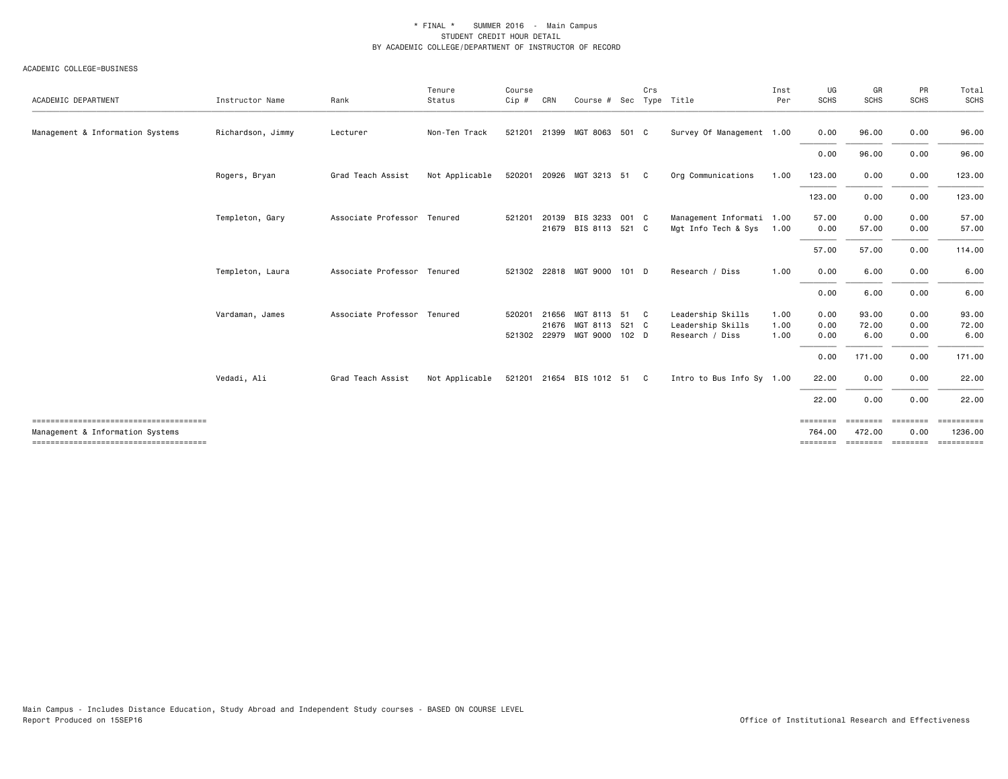#### ACADEMIC COLLEGE=BUSINESS

| ACADEMIC DEPARTMENT              | Instructor Name   | Rank                        | Tenure<br>Status | Course<br>Cip # | CRN   | Course # Sec Type Title                             | Crs |                                      | Inst<br>Per  | UG<br><b>SCHS</b>  | GR<br><b>SCHS</b>  | PR<br><b>SCHS</b> | Total<br><b>SCHS</b>  |
|----------------------------------|-------------------|-----------------------------|------------------|-----------------|-------|-----------------------------------------------------|-----|--------------------------------------|--------------|--------------------|--------------------|-------------------|-----------------------|
| Management & Information Systems | Richardson, Jimmy | Lecturer                    | Non-Ten Track    |                 |       | 521201 21399 MGT 8063 501 C                         |     | Survey Of Management 1.00            |              | 0.00               | 96.00              | 0.00              | 96.00                 |
|                                  |                   |                             |                  |                 |       |                                                     |     |                                      |              | 0.00               | 96.00              | 0.00              | 96.00                 |
|                                  | Rogers, Bryan     | Grad Teach Assist           | Not Applicable   | 520201          |       | 20926 MGT 3213 51                                   | C   | Org Communications                   | 1.00         | 123.00             | 0.00               | 0.00              | 123.00                |
|                                  |                   |                             |                  |                 |       |                                                     |     |                                      |              | 123.00             | 0.00               | 0.00              | 123.00                |
|                                  | Templeton, Gary   | Associate Professor Tenured |                  | 521201          | 20139 | BIS 3233 001 C                                      |     | Management Informati 1.00            |              | 57.00              | 0.00               | 0.00              | 57.00                 |
|                                  |                   |                             |                  |                 |       | 21679 BIS 8113 521 C                                |     | Mgt Info Tech & Sys                  | 1.00         | 0.00<br>57.00      | 57.00              | 0.00<br>0.00      | 57.00<br>114.00       |
|                                  |                   |                             |                  |                 |       |                                                     |     |                                      |              |                    | 57.00              |                   |                       |
|                                  | Templeton, Laura  | Associate Professor Tenured |                  |                 |       | 521302 22818 MGT 9000 101 D                         |     | Research / Diss                      | 1.00         | 0.00               | 6.00               | 0.00              | 6.00                  |
|                                  |                   |                             |                  |                 |       |                                                     |     |                                      |              | 0.00               | 6.00               | 0.00              | 6.00                  |
|                                  | Vardaman, James   | Associate Professor Tenured |                  | 520201          | 21656 | MGT 8113 51 C                                       |     | Leadership Skills                    | 1.00         | 0.00               | 93.00              | 0.00              | 93.00                 |
|                                  |                   |                             |                  |                 |       | 21676 MGT 8113 521 C<br>521302 22979 MGT 9000 102 D |     | Leadership Skills<br>Research / Diss | 1.00<br>1.00 | 0.00<br>0.00       | 72.00<br>6.00      | 0.00<br>0.00      | 72.00<br>6.00         |
|                                  |                   |                             |                  |                 |       |                                                     |     |                                      |              | 0.00               | 171.00             | 0.00              | 171.00                |
|                                  | Vedadi, Ali       | Grad Teach Assist           | Not Applicable   |                 |       | 521201 21654 BIS 1012 51 C                          |     | Intro to Bus Info Sy 1.00            |              | 22.00              | 0.00               | 0.00              | 22.00                 |
|                                  |                   |                             |                  |                 |       |                                                     |     |                                      |              | 22.00              | 0.00               | 0.00              | 22.00                 |
| Management & Information Systems |                   |                             |                  |                 |       |                                                     |     |                                      |              | ========<br>764.00 | ========<br>472.00 | ========<br>0.00  | ==========<br>1236.00 |
|                                  |                   |                             |                  |                 |       |                                                     |     |                                      |              | ========           | ========           | <b>EEEEEEE</b>    | EEEEEEEE              |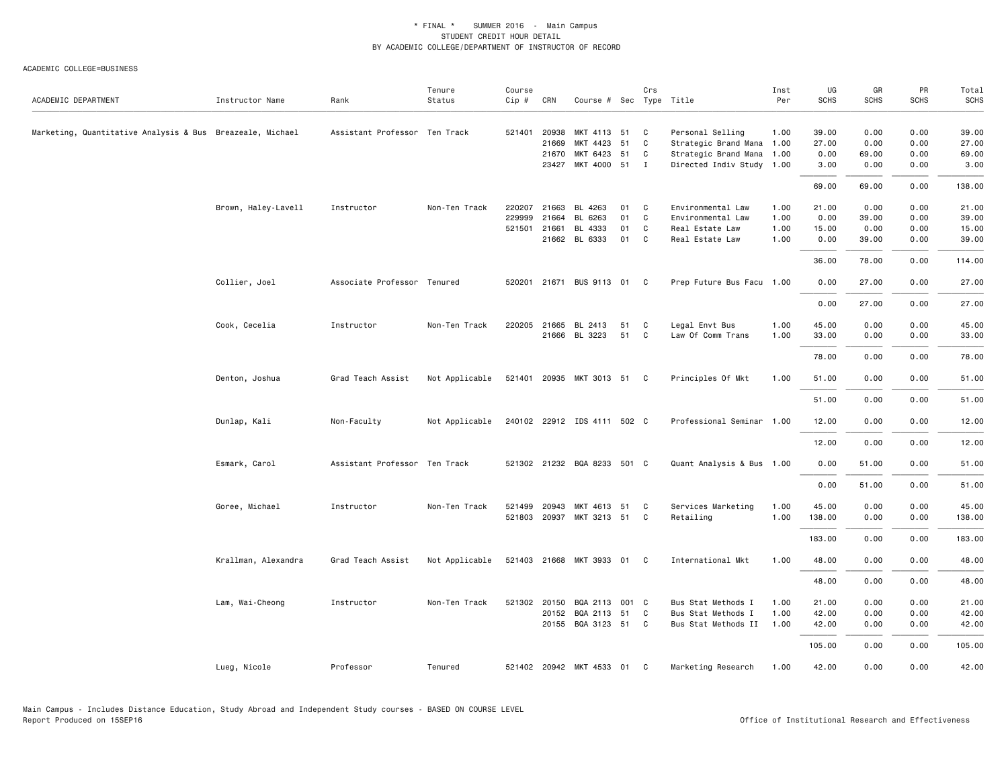ACADEMIC COLLEGE=BUSINESS

| ACADEMIC DEPARTMENT                                       | Instructor Name     | Rank                          | Tenure<br>Status | Course<br>Cip # | CRN   | Course # Sec Type Title     |    | Crs          |                           | Inst<br>Per | UG<br><b>SCHS</b> | GR<br><b>SCHS</b> | PR<br><b>SCHS</b> | Total<br>SCHS |
|-----------------------------------------------------------|---------------------|-------------------------------|------------------|-----------------|-------|-----------------------------|----|--------------|---------------------------|-------------|-------------------|-------------------|-------------------|---------------|
| Marketing, Quantitative Analysis & Bus Breazeale, Michael |                     | Assistant Professor Ten Track |                  | 521401          | 20938 | MKT 4113 51                 |    | C            | Personal Selling          | 1.00        | 39.00             | 0.00              | 0.00              | 39.00         |
|                                                           |                     |                               |                  |                 | 21669 | MKT 4423                    | 51 | C            | Strategic Brand Mana 1.00 |             | 27.00             | 0.00              | 0.00              | 27.00         |
|                                                           |                     |                               |                  |                 | 21670 | MKT 6423 51                 |    | C            | Strategic Brand Mana 1.00 |             | 0.00              | 69.00             | 0.00              | 69.00         |
|                                                           |                     |                               |                  |                 |       | 23427 MKT 4000 51 I         |    |              | Directed Indiv Study 1.00 |             | 3.00              | 0.00              | 0.00              | 3.00          |
|                                                           |                     |                               |                  |                 |       |                             |    |              |                           |             | 69.00             | 69.00             | 0.00              | 138.00        |
|                                                           | Brown, Haley-Lavell | Instructor                    | Non-Ten Track    | 220207          | 21663 | BL 4263                     | 01 | C            | Environmental Law         | 1.00        | 21.00             | 0.00              | 0.00              | 21.00         |
|                                                           |                     |                               |                  | 229999          | 21664 | BL 6263                     | 01 | C            | Environmental Law         | 1.00        | 0.00              | 39.00             | 0.00              | 39.00         |
|                                                           |                     |                               |                  | 521501          | 21661 | BL 4333                     | 01 | C            | Real Estate Law           | 1.00        | 15.00             | 0.00              | 0.00              | 15.00         |
|                                                           |                     |                               |                  |                 |       | 21662 BL 6333               | 01 | C            | Real Estate Law           | 1.00        | 0.00              | 39.00             | 0.00              | 39.00         |
|                                                           |                     |                               |                  |                 |       |                             |    |              |                           |             | 36.00             | 78.00             | 0.00              | 114.00        |
|                                                           | Collier, Joel       | Associate Professor Tenured   |                  | 520201          |       | 21671 BUS 9113 01           |    | C            | Prep Future Bus Facu 1.00 |             | 0.00              | 27.00             | 0.00              | 27.00         |
|                                                           |                     |                               |                  |                 |       |                             |    |              |                           |             | 0.00              | 27.00             | 0.00              | 27.00         |
|                                                           | Cook, Cecelia       | Instructor                    | Non-Ten Track    | 220205          | 21665 | BL 2413                     | 51 | C            | Legal Envt Bus            | 1.00        | 45.00             | 0.00              | 0.00              | 45.00         |
|                                                           |                     |                               |                  |                 |       | 21666 BL 3223               | 51 | C            | Law Of Comm Trans         | 1.00        | 33.00             | 0.00              | 0.00              | 33.00         |
|                                                           |                     |                               |                  |                 |       |                             |    |              |                           |             | 78.00             | 0.00              | 0.00              | 78.00         |
|                                                           | Denton, Joshua      | Grad Teach Assist             | Not Applicable   | 521401          |       | 20935 MKT 3013 51           |    | $\mathbf{C}$ | Principles Of Mkt         | 1.00        | 51.00             | 0.00              | 0.00              | 51.00         |
|                                                           |                     |                               |                  |                 |       |                             |    |              |                           |             | 51.00             | 0.00              | 0.00              | 51.00         |
|                                                           | Dunlap, Kali        | Non-Faculty                   | Not Applicable   |                 |       | 240102 22912 IDS 4111 502 C |    |              | Professional Seminar 1.00 |             | 12.00             | 0.00              | 0.00              | 12.00         |
|                                                           |                     |                               |                  |                 |       |                             |    |              |                           |             | 12.00             | 0.00              | 0.00              | 12.00         |
|                                                           | Esmark, Carol       | Assistant Professor Ten Track |                  |                 |       | 521302 21232 BQA 8233 501 C |    |              | Quant Analysis & Bus 1.00 |             | 0.00              | 51.00             | 0.00              | 51.00         |
|                                                           |                     |                               |                  |                 |       |                             |    |              |                           |             | 0.00              | 51.00             | 0.00              | 51.00         |
|                                                           | Goree, Michael      | Instructor                    | Non-Ten Track    | 521499          |       | 20943 MKT 4613 51           |    | C            | Services Marketing        | 1.00        | 45.00             | 0.00              | 0.00              | 45.00         |
|                                                           |                     |                               |                  |                 |       | 521803 20937 MKT 3213 51    |    | C            | Retailing                 | 1.00        | 138.00            | 0.00              | 0.00              | 138.00        |
|                                                           |                     |                               |                  |                 |       |                             |    |              |                           |             | 183.00            | 0.00              | 0.00              | 183.00        |
|                                                           | Krallman, Alexandra | Grad Teach Assist             | Not Applicable   |                 |       | 521403 21668 MKT 3933 01    |    | C            | International Mkt         | 1.00        | 48.00             | 0.00              | 0.00              | 48.00         |
|                                                           |                     |                               |                  |                 |       |                             |    |              |                           |             | 48.00             | 0.00              | 0.00              | 48.00         |
|                                                           | Lam, Wai-Cheong     | Instructor                    | Non-Ten Track    | 521302 20150    |       | BQA 2113 001 C              |    |              | Bus Stat Methods I        | 1.00        | 21.00             | 0.00              | 0.00              | 21.00         |
|                                                           |                     |                               |                  |                 |       | 20152 BQA 2113 51           |    | C            | Bus Stat Methods I        | 1.00        | 42.00             | 0.00              | 0.00              | 42.00         |
|                                                           |                     |                               |                  |                 |       | 20155 BQA 3123 51           |    | C            | Bus Stat Methods II       | 1.00        | 42.00             | 0.00              | 0.00              | 42.00         |
|                                                           |                     |                               |                  |                 |       |                             |    |              |                           |             | 105.00            | 0.00              | 0.00              | 105.00        |
|                                                           | Lueg, Nicole        | Professor                     | Tenured          |                 |       | 521402 20942 MKT 4533 01 C  |    |              | Marketing Research        | 1.00        | 42.00             | 0.00              | 0.00              | 42.00         |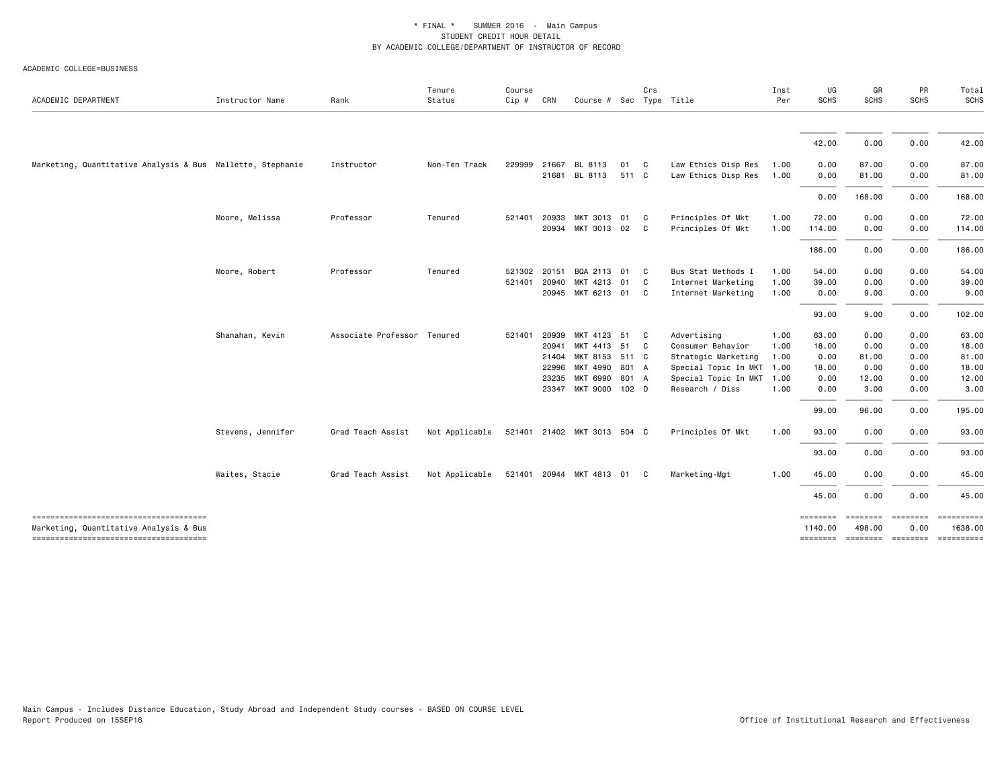#### ACADEMIC COLLEGE=BUSINESS

| ACADEMIC DEPARTMENT                                                             | Instructor Name   | Rank                        | Tenure<br>Status | Course<br>Cip #  | CRN                                       | Course # Sec Type Title                                                                         |             | Crs                        |                                                                                                                            | Inst<br>Per                                  | UG<br><b>SCHS</b>                               | GR<br><b>SCHS</b>                              | PR<br><b>SCHS</b>                            | Total<br><b>SCHS</b>                              |
|---------------------------------------------------------------------------------|-------------------|-----------------------------|------------------|------------------|-------------------------------------------|-------------------------------------------------------------------------------------------------|-------------|----------------------------|----------------------------------------------------------------------------------------------------------------------------|----------------------------------------------|-------------------------------------------------|------------------------------------------------|----------------------------------------------|---------------------------------------------------|
|                                                                                 |                   |                             |                  |                  |                                           |                                                                                                 |             |                            |                                                                                                                            |                                              | 42.00                                           | 0.00                                           | 0.00                                         | 42.00                                             |
| Marketing, Quantitative Analysis & Bus Mallette, Stephanie                      |                   | Instructor                  | Non-Ten Track    | 229999           | 21667                                     | BL 8113<br>21681 BL 8113                                                                        | 01<br>511 C | C                          | Law Ethics Disp Res<br>Law Ethics Disp Res                                                                                 | 1.00<br>1.00                                 | 0.00<br>0.00                                    | 87.00<br>81.00                                 | 0.00<br>0.00                                 | 87.00<br>81.00                                    |
|                                                                                 |                   |                             |                  |                  |                                           |                                                                                                 |             |                            |                                                                                                                            |                                              | 0.00                                            | 168.00                                         | 0.00                                         | 168.00                                            |
|                                                                                 | Moore, Melissa    | Professor                   | Tenured          | 521401           | 20933                                     | MKT 3013 01 C<br>20934 MKT 3013 02                                                              |             | $\overline{\phantom{a}}$ C | Principles Of Mkt<br>Principles Of Mkt                                                                                     | 1.00<br>1.00                                 | 72.00<br>114.00                                 | 0.00<br>0.00                                   | 0.00<br>0.00                                 | 72.00<br>114.00                                   |
|                                                                                 |                   |                             |                  |                  |                                           |                                                                                                 |             |                            |                                                                                                                            |                                              | 186.00                                          | 0.00                                           | 0.00                                         | 186.00                                            |
|                                                                                 | Moore, Robert     | Professor                   | Tenured          | 521302<br>521401 | 20151<br>20940                            | BQA 2113 01<br>MKT 4213 01<br>20945 MKT 6213 01 C                                               |             | C<br>C                     | Bus Stat Methods I<br>Internet Marketing<br>Internet Marketing                                                             | 1.00<br>1.00<br>1.00                         | 54.00<br>39.00<br>0.00                          | 0.00<br>0.00<br>9.00                           | 0.00<br>0.00<br>0.00                         | 54.00<br>39.00<br>9.00                            |
|                                                                                 |                   |                             |                  |                  |                                           |                                                                                                 |             |                            |                                                                                                                            |                                              | 93.00                                           | 9.00                                           | 0.00                                         | 102.00                                            |
|                                                                                 | Shanahan, Kevin   | Associate Professor Tenured |                  | 521401           | 20939<br>20941<br>21404<br>22996<br>23235 | MKT 4123<br>MKT 4413 51<br>MKT 8153 511 C<br>MKT 4990 801 A<br>MKT 6990<br>23347 MKT 9000 102 D | 51<br>801 A | C<br>C                     | Advertising<br>Consumer Behavior<br>Strategic Marketing<br>Special Topic In MKT<br>Special Topic In MKT<br>Research / Diss | 1.00<br>1.00<br>1.00<br>1.00<br>1.00<br>1.00 | 63.00<br>18.00<br>0.00<br>18.00<br>0.00<br>0.00 | 0.00<br>0.00<br>81.00<br>0.00<br>12.00<br>3.00 | 0.00<br>0.00<br>0.00<br>0.00<br>0.00<br>0.00 | 63.00<br>18.00<br>81.00<br>18.00<br>12.00<br>3.00 |
|                                                                                 |                   |                             |                  |                  |                                           |                                                                                                 |             |                            |                                                                                                                            |                                              | 99.00                                           | 96.00                                          | 0.00                                         | 195.00                                            |
|                                                                                 | Stevens, Jennifer | Grad Teach Assist           | Not Applicable   |                  |                                           | 521401 21402 MKT 3013 504 C                                                                     |             |                            | Principles Of Mkt                                                                                                          | 1.00                                         | 93.00<br>93.00                                  | 0.00<br>0.00                                   | 0.00<br>0.00                                 | 93.00<br>93.00                                    |
|                                                                                 | Waites, Stacie    | Grad Teach Assist           | Not Applicable   |                  |                                           | 521401 20944 MKT 4813 01 C                                                                      |             |                            | Marketing-Mgt                                                                                                              | 1.00                                         | 45.00                                           | 0.00                                           | 0.00                                         | 45.00                                             |
|                                                                                 |                   |                             |                  |                  |                                           |                                                                                                 |             |                            |                                                                                                                            |                                              | 45.00                                           | 0.00                                           | 0.00                                         | 45.00                                             |
| -------------------------------------<br>Marketing, Quantitative Analysis & Bus |                   |                             |                  |                  |                                           |                                                                                                 |             |                            |                                                                                                                            |                                              | ========<br>1140.00                             | <b>EDEDEDED</b><br>498,00                      | <b>EEEEEEEE</b><br>0.00                      | ==========<br>1638.00                             |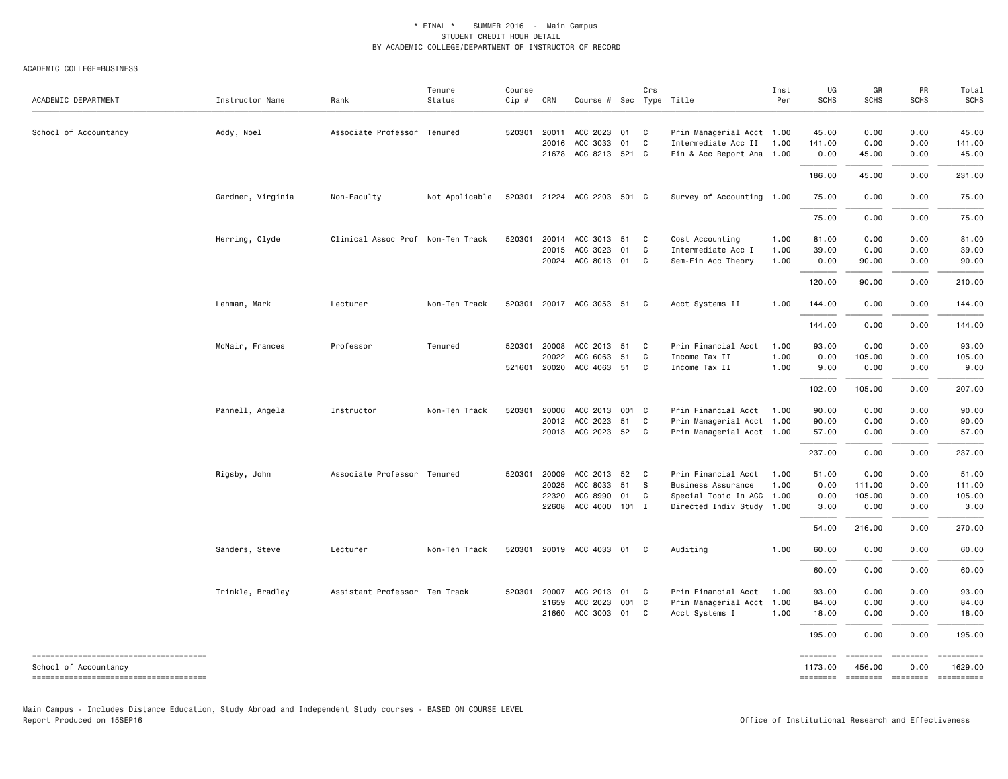#### ACADEMIC COLLEGE=BUSINESS

| ACADEMIC DEPARTMENT   | Instructor Name   | Rank                              | Tenure<br>Status | Course<br>Cip # | CRN            | Course # Sec Type Title     |          | Crs          |                                                  | Inst<br>Per | UG<br><b>SCHS</b>   | GR<br><b>SCHS</b> | PR<br><b>SCHS</b>        | Total<br>SCHS         |
|-----------------------|-------------------|-----------------------------------|------------------|-----------------|----------------|-----------------------------|----------|--------------|--------------------------------------------------|-------------|---------------------|-------------------|--------------------------|-----------------------|
| School of Accountancy | Addy, Noel        | Associate Professor Tenured       |                  | 520301          | 20011<br>20016 | ACC 2023<br>ACC 3033        | 01<br>01 | C<br>C       | Prin Managerial Acct 1.00<br>Intermediate Acc II | 1.00        | 45.00<br>141.00     | 0.00<br>0.00      | 0.00<br>0.00             | 45.00<br>141.00       |
|                       |                   |                                   |                  |                 | 21678          | ACC 8213 521 C              |          |              | Fin & Acc Report Ana 1.00                        |             | 0.00                | 45.00             | 0.00                     | 45.00                 |
|                       |                   |                                   | Not Applicable   |                 |                | 520301 21224 ACC 2203 501 C |          |              | Survey of Accounting 1.00                        |             | 186.00<br>75.00     | 45.00<br>0.00     | 0.00<br>0.00             | 231.00<br>75.00       |
|                       | Gardner, Virginia | Non-Faculty                       |                  |                 |                |                             |          |              |                                                  |             | 75.00               | 0.00              | 0.00                     |                       |
|                       |                   |                                   |                  |                 |                |                             |          |              |                                                  |             |                     |                   |                          | 75.00                 |
|                       | Herring, Clyde    | Clinical Assoc Prof Non-Ten Track |                  | 520301          |                | 20014 ACC 3013 51           |          | C            | Cost Accounting                                  | 1.00        | 81.00               | 0.00              | 0.00                     | 81.00                 |
|                       |                   |                                   |                  |                 | 20015          | ACC 3023                    | 01       | C            | Intermediate Acc I                               | 1.00        | 39.00               | 0.00              | 0.00                     | 39.00                 |
|                       |                   |                                   |                  |                 |                | 20024 ACC 8013 01           |          | $\mathbf{C}$ | Sem-Fin Acc Theory                               | 1.00        | 0.00                | 90.00             | 0.00                     | 90.00                 |
|                       |                   |                                   |                  |                 |                |                             |          |              |                                                  |             | 120.00              | 90.00             | 0.00                     | 210.00                |
|                       | Lehman, Mark      | Lecturer                          | Non-Ten Track    |                 |                | 520301 20017 ACC 3053 51 C  |          |              | Acct Systems II                                  | 1.00        | 144.00              | 0.00              | 0.00                     | 144.00                |
|                       |                   |                                   |                  |                 |                |                             |          |              |                                                  |             | 144.00              | 0.00              | 0.00                     | 144.00                |
|                       | McNair, Frances   | Professor                         | Tenured          | 520301          | 20008          | ACC 2013                    | 51       | C            | Prin Financial Acct                              | 1.00        | 93.00               | 0.00              | 0.00                     | 93.00                 |
|                       |                   |                                   |                  |                 | 20022          |                             | 51       | C            |                                                  | 1.00        |                     |                   |                          |                       |
|                       |                   |                                   |                  |                 |                | ACC 6063                    |          |              | Income Tax II                                    |             | 0.00                | 105.00            | 0.00                     | 105.00                |
|                       |                   |                                   |                  | 521601          |                | 20020 ACC 4063 51 C         |          |              | Income Tax II                                    | 1.00        | 9.00                | 0.00              | 0.00                     | 9.00                  |
|                       |                   |                                   |                  |                 |                |                             |          |              |                                                  |             | 102.00              | 105.00            | 0.00                     | 207.00                |
|                       | Pannell, Angela   | Instructor                        | Non-Ten Track    | 520301          | 20006          | ACC 2013 001 C              |          |              | Prin Financial Acct                              | 1.00        | 90.00               | 0.00              | 0.00                     | 90.00                 |
|                       |                   |                                   |                  |                 | 20012          | ACC 2023                    | 51       | $\mathbf{C}$ | Prin Managerial Acct 1.00                        |             | 90.00               | 0.00              | 0.00                     | 90.00                 |
|                       |                   |                                   |                  |                 |                | 20013 ACC 2023 52 C         |          |              | Prin Managerial Acct 1.00                        |             | 57.00               | 0.00              | 0.00                     | 57.00                 |
|                       |                   |                                   |                  |                 |                |                             |          |              |                                                  |             | 237.00              | 0.00              | 0.00                     | 237.00                |
|                       | Rigsby, John      | Associate Professor Tenured       |                  | 520301          | 20009          | ACC 2013                    | 52       | C            | Prin Financial Acct                              | 1.00        | 51.00               | 0.00              | 0.00                     | 51.00                 |
|                       |                   |                                   |                  |                 | 20025          | ACC 8033                    | 51       | - S          | Business Assurance                               | 1.00        | 0.00                | 111.00            | 0.00                     | 111.00                |
|                       |                   |                                   |                  |                 | 22320          | ACC 8990                    | 01       | C            | Special Topic In ACC 1.00                        |             | 0.00                | 105.00            | 0.00                     | 105.00                |
|                       |                   |                                   |                  |                 |                | 22608 ACC 4000 101 I        |          |              | Directed Indiv Study 1.00                        |             | 3.00                | 0.00              | 0.00                     | 3.00                  |
|                       |                   |                                   |                  |                 |                |                             |          |              |                                                  |             | 54.00               | 216.00            | 0.00                     | 270.00                |
|                       | Sanders, Steve    | Lecturer                          | Non-Ten Track    | 520301          |                | 20019 ACC 4033 01           |          | C            | Auditing                                         | 1.00        | 60.00               | 0.00              | 0.00                     | 60.00                 |
|                       |                   |                                   |                  |                 |                |                             |          |              |                                                  |             | 60.00               | 0.00              | 0.00                     | 60.00                 |
|                       | Trinkle, Bradley  | Assistant Professor Ten Track     |                  | 520301          | 20007          | ACC 2013                    | 01       | $\mathbf{C}$ | Prin Financial Acct                              | 1.00        | 93.00               | 0.00              | 0.00                     | 93.00                 |
|                       |                   |                                   |                  |                 | 21659          | ACC 2023                    | 001 C    |              | Prin Managerial Acct 1.00                        |             | 84.00               | 0.00              | 0.00                     | 84.00                 |
|                       |                   |                                   |                  |                 | 21660          | ACC 3003 01                 |          | C            | Acct Systems I                                   | 1.00        | 18.00               | 0.00              | 0.00                     | 18.00                 |
|                       |                   |                                   |                  |                 |                |                             |          |              |                                                  |             | 195.00              | 0.00              | 0.00                     | 195.00                |
|                       |                   |                                   |                  |                 |                |                             |          |              |                                                  |             | ========            |                   | ========                 | ==========            |
| School of Accountancy |                   |                                   |                  |                 |                |                             |          |              |                                                  |             | 1173.00<br>======== | 456.00            | 0.00<br>-------- ------- | 1629.00<br>========== |

Main Campus - Includes Distance Education, Study Abroad and Independent Study courses - BASED ON COURSE LEVEL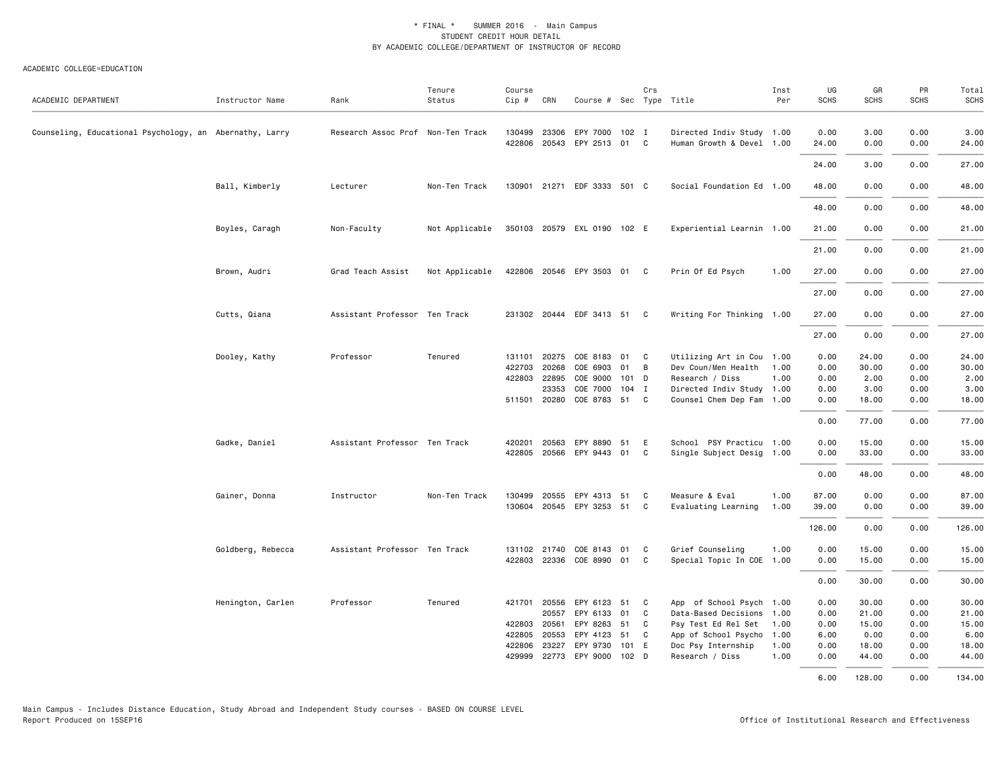| ACADEMIC DEPARTMENT                                     | Instructor Name   | Rank                              | Tenure<br>Status | Course<br>Cip # | CRN          | Course # Sec Type Title     |                  | Crs |                           | Inst<br>Per | UG<br><b>SCHS</b> | GR<br><b>SCHS</b> | PR<br><b>SCHS</b> | Total<br><b>SCHS</b> |
|---------------------------------------------------------|-------------------|-----------------------------------|------------------|-----------------|--------------|-----------------------------|------------------|-----|---------------------------|-------------|-------------------|-------------------|-------------------|----------------------|
| Counseling, Educational Psychology, an Abernathy, Larry |                   | Research Assoc Prof Non-Ten Track |                  | 130499          | 23306        | EPY 7000                    | 102 I            |     | Directed Indiv Study 1.00 |             | 0.00              | 3.00              | 0.00              | 3.00                 |
|                                                         |                   |                                   |                  | 422806          | 20543        | EPY 2513 01 C               |                  |     | Human Growth & Devel 1.00 |             | 24.00             | 0.00              | 0.00              | 24.00                |
|                                                         |                   |                                   |                  |                 |              |                             |                  |     |                           |             | 24.00             | 3.00              | 0.00              | 27.00                |
|                                                         | Ball, Kimberly    | Lecturer                          | Non-Ten Track    |                 |              | 130901 21271 EDF 3333 501 C |                  |     | Social Foundation Ed 1.00 |             | 48.00             | 0.00              | 0.00              | 48.00                |
|                                                         |                   |                                   |                  |                 |              |                             |                  |     |                           |             | 48.00             | 0.00              | 0.00              | 48.00                |
|                                                         | Boyles, Caragh    | Non-Faculty                       | Not Applicable   |                 |              | 350103 20579 EXL 0190 102 E |                  |     | Experiential Learnin 1.00 |             | 21.00             | 0.00              | 0.00              | 21.00                |
|                                                         |                   |                                   |                  |                 |              |                             |                  |     |                           |             | 21.00             | 0.00              | 0.00              | 21.00                |
|                                                         | Brown, Audri      | Grad Teach Assist                 | Not Applicable   |                 |              | 422806 20546 EPY 3503 01 C  |                  |     | Prin Of Ed Psych          | 1.00        | 27.00             | 0.00              | 0.00              | 27.00                |
|                                                         |                   |                                   |                  |                 |              |                             |                  |     |                           |             | 27.00             | 0.00              | 0.00              | 27.00                |
|                                                         | Cutts, Qiana      | Assistant Professor Ten Track     |                  |                 |              | 231302 20444 EDF 3413 51 C  |                  |     | Writing For Thinking 1.00 |             | 27.00             | 0.00              | 0.00              | 27.00                |
|                                                         |                   |                                   |                  |                 |              |                             |                  |     |                           |             | 27.00             | 0.00              | 0.00              | 27.00                |
|                                                         | Dooley, Kathy     | Professor                         | Tenured          | 131101          | 20275        | COE 8183                    | 01               | C   | Utilizing Art in Cou 1.00 |             | 0.00              | 24.00             | 0.00              | 24.00                |
|                                                         |                   |                                   |                  | 422703          | 20268        | COE 6903                    | 01               | B   | Dev Coun/Men Health       | 1.00        | 0.00              | 30.00             | 0.00              | 30.00                |
|                                                         |                   |                                   |                  |                 | 422803 22895 | COE 9000                    | 101 D            |     | Research / Diss           | 1.00        | 0.00              | 2.00              | 0.00              | 2.00                 |
|                                                         |                   |                                   |                  |                 | 23353        | COE 7000                    | 104 I            |     | Directed Indiv Study 1.00 |             | 0.00              | 3.00              | 0.00              | 3.00                 |
|                                                         |                   |                                   |                  |                 | 511501 20280 | COE 8783                    | 51               | C   | Counsel Chem Dep Fam 1.00 |             | 0.00              | 18.00             | 0.00              | 18.00                |
|                                                         |                   |                                   |                  |                 |              |                             |                  |     |                           |             | 0.00              | 77.00             | 0.00              | 77.00                |
|                                                         |                   |                                   |                  |                 |              |                             |                  | E   |                           |             |                   |                   |                   |                      |
|                                                         | Gadke, Daniel     | Assistant Professor Ten Track     |                  | 420201          | 20563        | EPY 8890                    | 51               |     | School PSY Practicu 1.00  |             | 0.00              | 15.00             | 0.00              | 15.00                |
|                                                         |                   |                                   |                  |                 |              | 422805 20566 EPY 9443       | 01               | C   | Single Subject Desig 1.00 |             | 0.00              | 33.00             | 0.00              | 33.00                |
|                                                         |                   |                                   |                  |                 |              |                             |                  |     |                           |             | 0.00              | 48.00             | 0.00              | 48.00                |
|                                                         | Gainer, Donna     | Instructor                        | Non-Ten Track    | 130499          | 20555        | EPY 4313                    | 51               | C   | Measure & Eval            | 1.00        | 87.00             | 0.00              | 0.00              | 87.00                |
|                                                         |                   |                                   |                  | 130604          |              | 20545 EPY 3253 51           |                  | C.  | Evaluating Learning       | 1.00        | 39.00             | 0.00              | 0.00              | 39.00                |
|                                                         |                   |                                   |                  |                 |              |                             |                  |     |                           |             | 126.00            | 0.00              | 0.00              | 126.00               |
|                                                         | Goldberg, Rebecca | Assistant Professor Ten Track     |                  |                 |              | 131102 21740 COE 8143       | 01               | C   | Grief Counseling          | 1.00        | 0.00              | 15.00             | 0.00              | 15.00                |
|                                                         |                   |                                   |                  |                 |              | 422803 22336 COE 8990       | 01               | C   | Special Topic In COE 1.00 |             | 0.00              | 15.00             | 0.00              | 15.00                |
|                                                         |                   |                                   |                  |                 |              |                             |                  |     |                           |             | 0.00              | 30.00             | 0.00              | 30.00                |
|                                                         |                   |                                   |                  |                 |              |                             |                  |     |                           |             |                   |                   |                   |                      |
|                                                         | Henington, Carlen | Professor                         | Tenured          |                 | 421701 20556 | EPY 6123                    | 51               | C   | App of School Psych 1.00  |             | 0.00              | 30.00             | 0.00              | 30.00                |
|                                                         |                   |                                   |                  |                 | 20557        | EPY 6133                    | 01               | C   | Data-Based Decisions 1.00 |             | 0.00              | 21.00             | 0.00              | 21.00                |
|                                                         |                   |                                   |                  | 422803 20561    |              | EPY 8263                    | 51               | C   | Psy Test Ed Rel Set       | 1.00        | 0.00              | 15.00             | 0.00              | 15.00                |
|                                                         |                   |                                   |                  | 422805          | 20553        | EPY 4123                    | 51               | C   | App of School Psycho 1.00 |             | 6.00              | 0.00              | 0.00              | 6.00                 |
|                                                         |                   |                                   |                  |                 | 422806 23227 | EPY 9730                    | 101 E            |     | Doc Psy Internship        | 1.00        | 0.00              | 18.00             | 0.00              | 18.00                |
|                                                         |                   |                                   |                  | 429999          |              | 22773 EPY 9000              | 102 <sub>D</sub> |     | Research / Diss           | 1.00        | 0.00              | 44.00             | 0.00              | 44.00                |
|                                                         |                   |                                   |                  |                 |              |                             |                  |     |                           |             | 6.00              | 128,00            | 0.00              | 134.00               |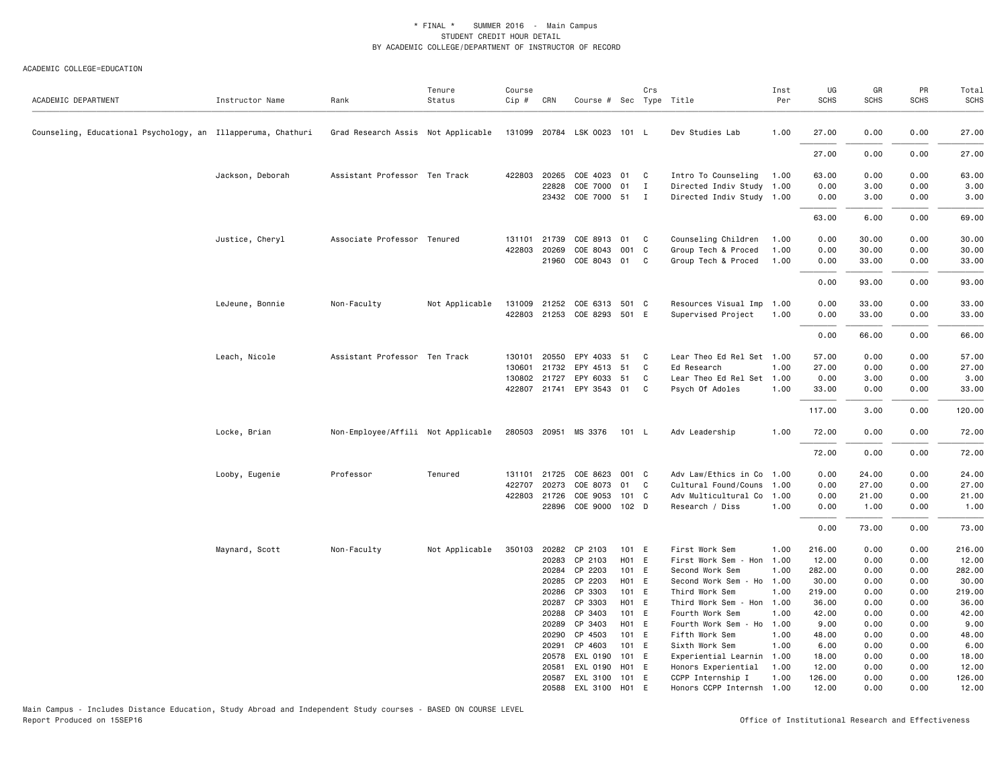#### ACADEMIC COLLEGE=EDUCATION

| ACADEMIC DEPARTMENT                                          | Instructor Name  | Rank                               | Tenure<br>Status | Course<br>Cip # | CRN          | Course # Sec Type Title     |       | Crs          |                           | Inst<br>Per | UG<br><b>SCHS</b> | GR<br>SCHS | PR<br><b>SCHS</b> | Total<br><b>SCHS</b> |
|--------------------------------------------------------------|------------------|------------------------------------|------------------|-----------------|--------------|-----------------------------|-------|--------------|---------------------------|-------------|-------------------|------------|-------------------|----------------------|
| Counseling, Educational Psychology, an Illapperuma, Chathuri |                  | Grad Research Assis Not Applicable |                  |                 |              | 131099 20784 LSK 0023 101 L |       |              | Dev Studies Lab           | 1.00        | 27.00             | 0.00       | 0.00              | 27.00                |
|                                                              |                  |                                    |                  |                 |              |                             |       |              |                           |             | 27.00             | 0.00       | 0.00              | 27.00                |
|                                                              | Jackson, Deborah | Assistant Professor Ten Track      |                  | 422803          | 20265        | COE 4023 01 C               |       |              | Intro To Counseling       | 1.00        | 63.00             | 0.00       | 0.00              | 63.00                |
|                                                              |                  |                                    |                  |                 | 22828        | COE 7000                    | 01    | $\mathbf{I}$ | Directed Indiv Study 1.00 |             | 0.00              | 3.00       | 0.00              | 3.00                 |
|                                                              |                  |                                    |                  |                 |              | 23432 COE 7000 51           |       | I            | Directed Indiv Study 1.00 |             | 0.00              | 3.00       | 0.00              | 3.00                 |
|                                                              |                  |                                    |                  |                 |              |                             |       |              |                           |             | 63.00             | 6.00       | 0.00              | 69.00                |
|                                                              | Justice, Cheryl  | Associate Professor Tenured        |                  |                 | 131101 21739 | COE 8913                    | 01 C  |              | Counseling Children       | 1.00        | 0.00              | 30.00      | 0.00              | 30.00                |
|                                                              |                  |                                    |                  | 422803          | 20269        | COE 8043                    | 001 C |              | Group Tech & Proced       | 1.00        | 0.00              | 30.00      | 0.00              | 30.00                |
|                                                              |                  |                                    |                  |                 | 21960        | COE 8043 01                 |       | C            | Group Tech & Proced       | 1.00        | 0.00              | 33.00      | 0.00              | 33.00                |
|                                                              |                  |                                    |                  |                 |              |                             |       |              |                           |             | 0.00              | 93.00      | 0.00              | 93.00                |
|                                                              | LeJeune, Bonnie  | Non-Faculty                        | Not Applicable   |                 | 131009 21252 | COE 6313 501 C              |       |              | Resources Visual Imp 1.00 |             | 0.00              | 33.00      | 0.00              | 33.00                |
|                                                              |                  |                                    |                  |                 |              | 422803 21253 COE 8293 501 E |       |              | Supervised Project        | 1.00        | 0.00              | 33.00      | 0.00              | 33.00                |
|                                                              |                  |                                    |                  |                 |              |                             |       |              |                           |             | 0.00              | 66.00      | 0.00              | 66.00                |
|                                                              | Leach, Nicole    | Assistant Professor Ten Track      |                  | 130101          | 20550        | EPY 4033 51                 |       | C            | Lear Theo Ed Rel Set 1.00 |             | 57.00             | 0.00       | 0.00              | 57.00                |
|                                                              |                  |                                    |                  | 130601          | 21732        | EPY 4513                    | 51    | C            | Ed Research               | 1.00        | 27.00             | 0.00       | 0.00              | 27.00                |
|                                                              |                  |                                    |                  |                 | 130802 21727 | EPY 6033 51                 |       | C.           | Lear Theo Ed Rel Set 1.00 |             | 0.00              | 3.00       | 0.00              | 3.00                 |
|                                                              |                  |                                    |                  |                 | 422807 21741 | EPY 3543 01                 |       | C            | Psych Of Adoles           | 1.00        | 33.00             | 0.00       | 0.00              | 33.00                |
|                                                              |                  |                                    |                  |                 |              |                             |       |              |                           |             | 117.00            | 3.00       | 0.00              | 120.00               |
|                                                              | Locke, Brian     | Non-Employee/Affili Not Applicable |                  |                 |              | 280503 20951 MS 3376        | 101 L |              | Adv Leadership            | 1.00        | 72.00             | 0.00       | 0.00              | 72.00                |
|                                                              |                  |                                    |                  |                 |              |                             |       |              |                           |             | 72.00             | 0.00       | 0.00              | 72.00                |
|                                                              | Looby, Eugenie   | Professor                          | Tenured          | 131101          | 21725        | COE 8623 001 C              |       |              | Adv Law/Ethics in Co      | 1.00        | 0.00              | 24.00      | 0.00              | 24.00                |
|                                                              |                  |                                    |                  | 422707          | 20273        | COE 8073 01                 |       | C            | Cultural Found/Couns 1.00 |             | 0.00              | 27.00      | 0.00              | 27.00                |
|                                                              |                  |                                    |                  | 422803          | 21726        | COE 9053                    | 101 C |              | Adv Multicultural Co      | 1.00        | 0.00              | 21.00      | 0.00              | 21.00                |
|                                                              |                  |                                    |                  |                 | 22896        | COE 9000 102 D              |       |              | Research / Diss           | 1.00        | 0.00              | 1.00       | 0.00              | 1.00                 |
|                                                              |                  |                                    |                  |                 |              |                             |       |              |                           |             | 0.00              | 73.00      | 0.00              | 73.00                |
|                                                              | Maynard, Scott   | Non-Faculty                        | Not Applicable   | 350103          |              | 20282 CP 2103               | 101 E |              | First Work Sem            | 1.00        | 216.00            | 0.00       | 0.00              | 216.00               |
|                                                              |                  |                                    |                  |                 | 20283        | CP 2103                     | H01 E |              | First Work Sem - Hon 1.00 |             | 12.00             | 0.00       | 0.00              | 12.00                |
|                                                              |                  |                                    |                  |                 | 20284        | CP 2203                     | 101 E |              | Second Work Sem           | 1.00        | 282.00            | 0.00       | 0.00              | 282.00               |
|                                                              |                  |                                    |                  |                 | 20285        | CP 2203                     | H01 E |              | Second Work Sem - Ho 1.00 |             | 30.00             | 0.00       | 0.00              | 30.00                |
|                                                              |                  |                                    |                  |                 | 20286        | CP 3303                     | 101 E |              | Third Work Sem            | 1.00        | 219.00            | 0.00       | 0.00              | 219.00               |
|                                                              |                  |                                    |                  |                 | 20287        | CP 3303                     | H01 E |              | Third Work Sem - Hon 1.00 |             | 36.00             | 0.00       | 0.00              | 36.00                |
|                                                              |                  |                                    |                  |                 | 20288        | CP 3403                     | 101 E |              | Fourth Work Sem           | 1.00        | 42.00             | 0.00       | 0.00              | 42.00                |
|                                                              |                  |                                    |                  |                 | 20289        | CP 3403                     | H01 E |              | Fourth Work Sem - Ho 1.00 |             | 9.00              | 0.00       | 0.00              | 9.00                 |
|                                                              |                  |                                    |                  |                 | 20290        | CP 4503                     | 101 E |              | Fifth Work Sem            | 1.00        | 48.00             | 0.00       | 0.00              | 48.00                |
|                                                              |                  |                                    |                  |                 | 20291        | CP 4603                     | 101 E |              | Sixth Work Sem            | 1.00        | 6.00              | 0.00       | 0.00              | 6.00                 |
|                                                              |                  |                                    |                  |                 | 20578        | EXL 0190                    | 101 E |              | Experiential Learnin 1.00 |             | 18.00             | 0.00       | 0.00              | 18.00                |
|                                                              |                  |                                    |                  |                 | 20581        | EXL 0190                    | H01 E |              | Honors Experiential       | 1.00        | 12.00             | 0.00       | 0.00              | 12.00                |
|                                                              |                  |                                    |                  |                 |              | 20587 EXL 3100 101 E        |       |              | CCPP Internship I         | 1.00        | 126.00            | 0.00       | 0.00              | 126.00               |
|                                                              |                  |                                    |                  |                 |              | 20588 EXL 3100 H01 E        |       |              | Honors CCPP Internsh 1.00 |             | 12.00             | 0.00       | 0.00              | 12.00                |

Main Campus - Includes Distance Education, Study Abroad and Independent Study courses - BASED ON COURSE LEVEL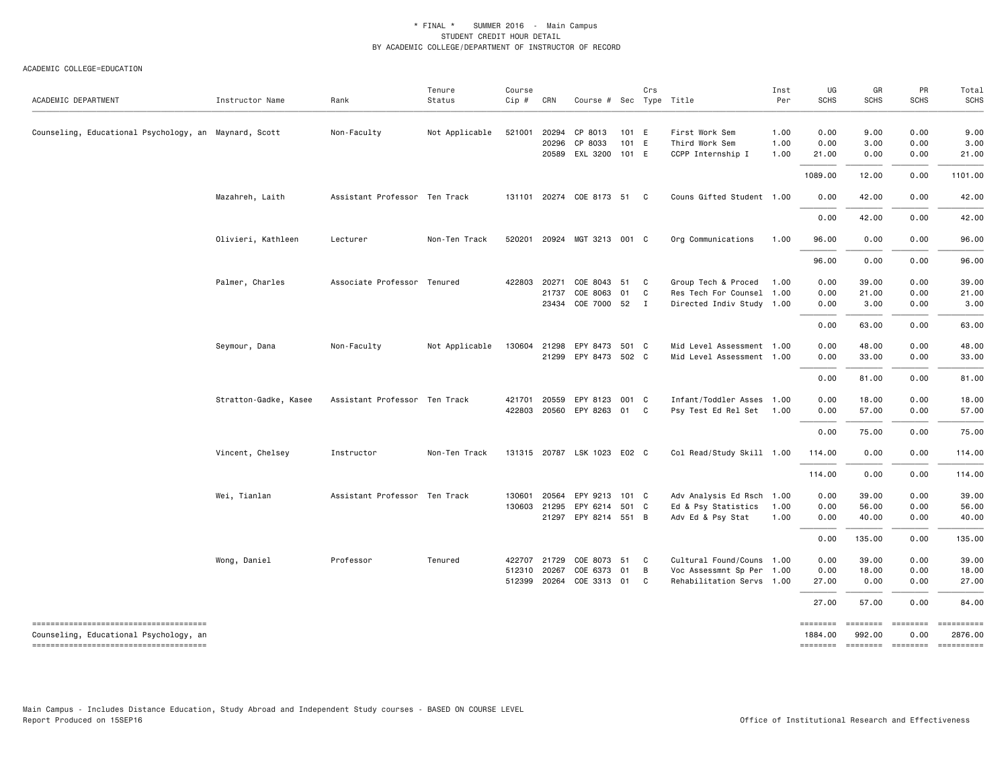| ACADEMIC DEPARTMENT                                                             | Instructor Name       | Rank                          | Tenure<br>Status | Course<br>$Cip$ #          | CRN            | Course # Sec Type Title                                  |                | Crs                     |                                                                                | Inst<br>Per          | UG<br><b>SCHS</b>              | GR<br><b>SCHS</b>               | PR<br><b>SCHS</b>            | Total<br><b>SCHS</b>             |
|---------------------------------------------------------------------------------|-----------------------|-------------------------------|------------------|----------------------------|----------------|----------------------------------------------------------|----------------|-------------------------|--------------------------------------------------------------------------------|----------------------|--------------------------------|---------------------------------|------------------------------|----------------------------------|
| Counseling, Educational Psychology, an Maynard, Scott                           |                       | Non-Faculty                   | Not Applicable   | 521001                     | 20294<br>20296 | CP 8013<br>CP 8033<br>20589 EXL 3200 101 E               | 101 E<br>101 E |                         | First Work Sem<br>Third Work Sem<br>CCPP Internship I                          | 1.00<br>1.00<br>1.00 | 0.00<br>0.00<br>21.00          | 9.00<br>3.00<br>0.00            | 0.00<br>0.00<br>0.00         | 9.00<br>3.00<br>21.00            |
|                                                                                 |                       |                               |                  |                            |                |                                                          |                |                         |                                                                                |                      | 1089.00                        | 12.00                           | 0.00                         | 1101.00                          |
|                                                                                 | Mazahreh, Laith       | Assistant Professor Ten Track |                  |                            |                | 131101 20274 COE 8173 51                                 |                | $\mathbf{C}$            | Couns Gifted Student 1.00                                                      |                      | 0.00                           | 42.00                           | 0.00                         | 42.00                            |
|                                                                                 |                       |                               |                  |                            |                |                                                          |                |                         |                                                                                |                      | 0.00                           | 42.00                           | 0.00                         | 42.00                            |
|                                                                                 | Olivieri, Kathleen    | Lecturer                      | Non-Ten Track    | 520201                     |                | 20924 MGT 3213 001 C                                     |                |                         | Org Communications                                                             | 1.00                 | 96.00                          | 0.00                            | 0.00                         | 96.00                            |
|                                                                                 |                       |                               |                  |                            |                |                                                          |                |                         |                                                                                |                      | 96.00                          | 0.00                            | 0.00                         | 96.00                            |
|                                                                                 | Palmer, Charles       | Associate Professor Tenured   |                  | 422803                     | 20271<br>21737 | COE 8043 51<br>COE 8063 01<br>23434 COE 7000 52          |                | C.<br>C<br>$\mathbf{I}$ | Group Tech & Proced<br>Res Tech For Counsel 1.00<br>Directed Indiv Study 1.00  | 1.00                 | 0.00<br>0.00<br>0.00           | 39.00<br>21.00<br>3.00          | 0.00<br>0.00<br>0.00         | 39.00<br>21.00<br>3.00           |
|                                                                                 |                       |                               |                  |                            |                |                                                          |                |                         |                                                                                |                      | 0.00                           | 63.00                           | 0.00                         | 63.00                            |
|                                                                                 | Seymour, Dana         | Non-Faculty                   | Not Applicable   | 130604                     | 21298          | EPY 8473 501 C<br>21299 EPY 8473 502 C                   |                |                         | Mid Level Assessment 1.00<br>Mid Level Assessment 1.00                         |                      | 0.00<br>0.00                   | 48.00<br>33.00                  | 0.00<br>0.00                 | 48.00<br>33.00                   |
|                                                                                 |                       |                               |                  |                            |                |                                                          |                |                         |                                                                                |                      | 0.00                           | 81.00                           | 0.00                         | 81.00                            |
|                                                                                 | Stratton-Gadke, Kasee | Assistant Professor Ten Track |                  | 421701<br>422803           |                | 20559 EPY 8123 001 C<br>20560 EPY 8263 01                |                | C                       | Infant/Toddler Asses 1.00<br>Psy Test Ed Rel Set 1.00                          |                      | 0.00<br>0.00                   | 18.00<br>57.00                  | 0.00<br>0.00                 | 18.00<br>57.00                   |
|                                                                                 |                       |                               |                  |                            |                |                                                          |                |                         |                                                                                |                      | 0.00                           | 75.00                           | 0.00                         | 75.00                            |
|                                                                                 | Vincent, Chelsey      | Instructor                    | Non-Ten Track    |                            |                | 131315 20787 LSK 1023 E02 C                              |                |                         | Col Read/Study Skill 1.00                                                      |                      | 114.00                         | 0.00                            | 0.00                         | 114.00                           |
|                                                                                 |                       |                               |                  |                            |                |                                                          |                |                         |                                                                                |                      | 114.00                         | 0.00                            | 0.00                         | 114.00                           |
|                                                                                 | Wei, Tianlan          | Assistant Professor Ten Track |                  | 130601<br>130603           | 20564          | EPY 9213<br>21295 EPY 6214 501 C<br>21297 EPY 8214 551 B | 101 C          |                         | Adv Analysis Ed Rsch 1.00<br>Ed & Psy Statistics<br>Adv Ed & Psy Stat          | 1.00<br>1.00         | 0.00<br>0.00<br>0.00           | 39.00<br>56.00<br>40.00         | 0.00<br>0.00<br>0.00         | 39.00<br>56.00<br>40.00          |
|                                                                                 |                       |                               |                  |                            |                |                                                          |                |                         |                                                                                |                      | 0.00                           | 135.00                          | 0.00                         | 135.00                           |
|                                                                                 | Wong, Daniel          | Professor                     | Tenured          | 422707<br>512310<br>512399 | 21729<br>20267 | COE 8073 51<br>COE 6373 01<br>20264 COE 3313 01          |                | C<br>B<br>C             | Cultural Found/Couns 1.00<br>Voc Assessmnt Sp Per<br>Rehabilitation Servs 1.00 | 1.00                 | 0.00<br>0.00<br>27.00<br>27.00 | 39.00<br>18.00<br>0.00<br>57.00 | 0.00<br>0.00<br>0.00<br>0.00 | 39.00<br>18.00<br>27.00<br>84.00 |
| --------------------------------------                                          |                       |                               |                  |                            |                |                                                          |                |                         |                                                                                |                      | ========                       | ========                        | ========                     | ==========                       |
| Counseling, Educational Psychology, an<br>------------------------------------- |                       |                               |                  |                            |                |                                                          |                |                         |                                                                                |                      | 1884.00<br>========            | 992.00<br>--------- -------     | 0.00                         | 2876.00<br>==========            |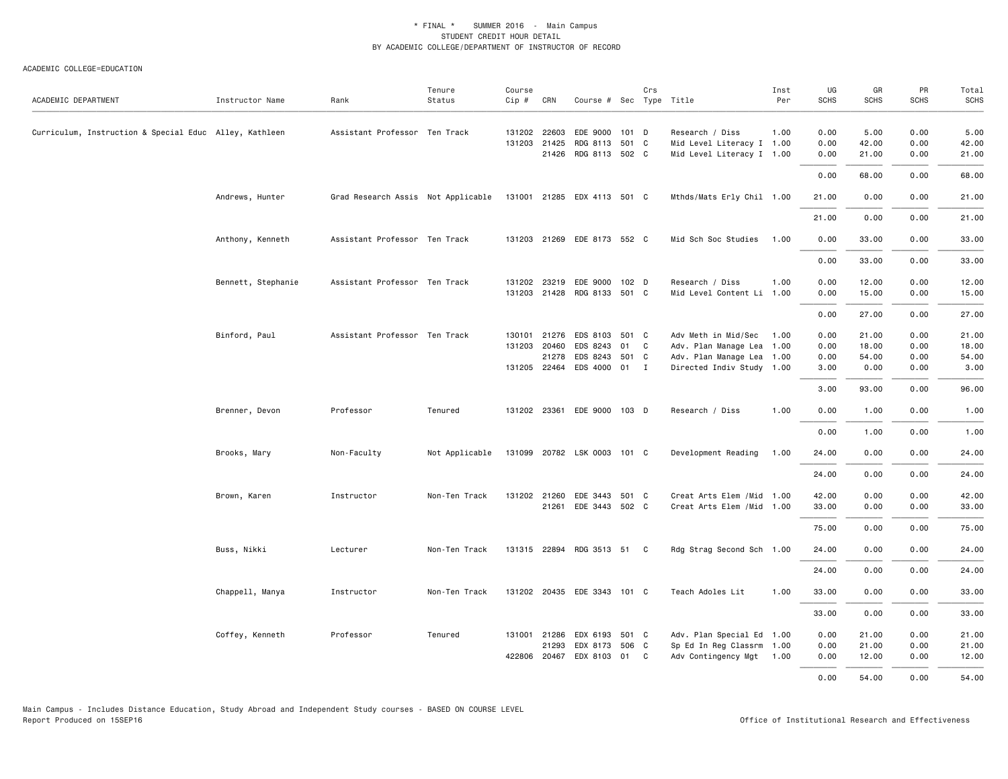| ACADEMIC DEPARTMENT                                    | Instructor Name    | Rank                                                           | Tenure<br>Status | Course<br>$Cip \#$ | CRN                   | Course # Sec Type Title          |       | Crs |                                                          | Inst<br>Per | UG<br><b>SCHS</b> | GR<br>SCHS   | PR<br>SCHS | Total<br><b>SCHS</b> |
|--------------------------------------------------------|--------------------|----------------------------------------------------------------|------------------|--------------------|-----------------------|----------------------------------|-------|-----|----------------------------------------------------------|-------------|-------------------|--------------|------------|----------------------|
|                                                        |                    |                                                                |                  |                    |                       |                                  |       |     |                                                          |             |                   |              |            |                      |
| Curriculum, Instruction & Special Educ Alley, Kathleen |                    | Assistant Professor Ten Track                                  |                  |                    | 131202 22603          | EDE 9000 101 D                   |       |     | Research / Diss                                          | 1.00        | 0.00              | 5.00         | 0.00       | 5.00                 |
|                                                        |                    |                                                                |                  |                    | 131203 21425          | RDG 8113                         | 501 C |     | Mid Level Literacy I 1.00                                |             | 0.00              | 42.00        | 0.00       | 42.00                |
|                                                        |                    |                                                                |                  |                    | 21426                 | RDG 8113 502 C                   |       |     | Mid Level Literacy I 1.00                                |             | 0.00              | 21.00        | 0.00       | 21.00                |
|                                                        |                    |                                                                |                  |                    |                       |                                  |       |     |                                                          |             | 0.00              | 68.00        | 0.00       | 68.00                |
|                                                        | Andrews, Hunter    | Grad Research Assis Not Applicable 131001 21285 EDX 4113 501 C |                  |                    |                       |                                  |       |     | Mthds/Mats Erly Chil 1.00                                |             | 21.00             | 0.00         | 0.00       | 21.00                |
|                                                        |                    |                                                                |                  |                    |                       |                                  |       |     |                                                          |             | 21.00             | 0.00         | 0.00       | 21.00                |
|                                                        | Anthony, Kenneth   | Assistant Professor Ten Track                                  |                  |                    |                       | 131203 21269 EDE 8173 552 C      |       |     | Mid Sch Soc Studies                                      | 1.00        | 0.00              | 33.00        | 0.00       | 33.00                |
|                                                        |                    |                                                                |                  |                    |                       |                                  |       |     |                                                          |             | 0.00              | 33.00        | 0.00       | 33.00                |
|                                                        | Bennett, Stephanie | Assistant Professor Ten Track                                  |                  |                    | 131202 23219          | EDE 9000 102 D                   |       |     | Research / Diss                                          | 1.00        | 0.00              | 12.00        | 0.00       | 12.00                |
|                                                        |                    |                                                                |                  |                    |                       | 131203 21428 RDG 8133 501 C      |       |     | Mid Level Content Li 1.00                                |             | 0.00              | 15.00        | 0.00       | 15.00                |
|                                                        |                    |                                                                |                  |                    |                       |                                  |       |     |                                                          |             | 0.00              | 27.00        | 0.00       | 27.00                |
|                                                        | Binford, Paul      | Assistant Professor Ten Track                                  |                  | 130101             | 21276                 | EDS 8103 501 C                   |       |     | Adv Meth in Mid/Sec                                      | 1.00        | 0.00              | 21.00        | 0.00       | 21.00                |
|                                                        |                    |                                                                |                  | 131203             | 20460                 | EDS 8243                         | 01 C  |     | Adv. Plan Manage Lea 1.00                                |             | 0.00              | 18.00        | 0.00       | 18.00                |
|                                                        |                    |                                                                |                  |                    | 21278                 | EDS 8243                         | 501 C |     | Adv. Plan Manage Lea 1.00                                |             | 0.00              | 54.00        | 0.00       | 54.00                |
|                                                        |                    |                                                                |                  |                    | 131205 22464          | EDS 4000 01 I                    |       |     | Directed Indiv Study 1.00                                |             | 3.00              | 0.00         | 0.00       | 3.00                 |
|                                                        |                    |                                                                |                  |                    |                       |                                  |       |     |                                                          |             | 3.00              | 93.00        | 0.00       | 96.00                |
|                                                        | Brenner, Devon     | Professor                                                      | Tenured          |                    |                       | 131202 23361 EDE 9000 103 D      |       |     | Research / Diss                                          | 1.00        | 0.00              | 1.00         | 0.00       | 1.00                 |
|                                                        |                    |                                                                |                  |                    |                       |                                  |       |     |                                                          |             | 0.00              | 1.00         | 0.00       | 1.00                 |
|                                                        | Brooks, Mary       | Non-Faculty                                                    | Not Applicable   |                    |                       | 131099 20782 LSK 0003 101 C      |       |     | Development Reading                                      | 1.00        | 24.00             | 0.00         | 0.00       | 24.00                |
|                                                        |                    |                                                                |                  |                    |                       |                                  |       |     |                                                          |             | 24.00             | 0.00         | 0.00       | 24.00                |
|                                                        |                    |                                                                |                  |                    |                       |                                  |       |     |                                                          |             |                   |              | 0.00       | 42.00                |
|                                                        | Brown, Karen       | Instructor                                                     | Non-Ten Track    |                    | 131202 21260<br>21261 | EDE 3443 501 C<br>EDE 3443 502 C |       |     | Creat Arts Elem / Mid 1.00<br>Creat Arts Elem / Mid 1.00 |             | 42.00<br>33.00    | 0.00<br>0.00 | 0.00       | 33.00                |
|                                                        |                    |                                                                |                  |                    |                       |                                  |       |     |                                                          |             |                   |              |            |                      |
|                                                        |                    |                                                                |                  |                    |                       |                                  |       |     |                                                          |             | 75.00             | 0.00         | 0.00       | 75.00                |
|                                                        | Buss, Nikki        | Lecturer                                                       | Non-Ten Track    |                    |                       | 131315 22894 RDG 3513 51 C       |       |     | Rdg Strag Second Sch 1.00                                |             | 24.00             | 0.00         | 0.00       | 24.00                |
|                                                        |                    |                                                                |                  |                    |                       |                                  |       |     |                                                          |             | 24.00             | 0.00         | 0.00       | 24.00                |
|                                                        | Chappell, Manya    | Instructor                                                     | Non-Ten Track    |                    |                       | 131202 20435 EDE 3343 101 C      |       |     | Teach Adoles Lit                                         | 1.00        | 33.00             | 0.00         | 0.00       | 33.00                |
|                                                        |                    |                                                                |                  |                    |                       |                                  |       |     |                                                          |             | 33.00             | 0.00         | 0.00       | 33.00                |
|                                                        | Coffey, Kenneth    | Professor                                                      | Tenured          |                    | 131001 21286          | EDX 6193 501 C                   |       |     | Adv. Plan Special Ed 1.00                                |             | 0.00              | 21.00        | 0.00       | 21.00                |
|                                                        |                    |                                                                |                  |                    | 21293                 | EDX 8173                         | 506 C |     | Sp Ed In Reg Classrm 1.00                                |             | 0.00              | 21.00        | 0.00       | 21.00                |
|                                                        |                    |                                                                |                  | 422806             | 20467                 | EDX 8103                         | 01    | C   | Adv Contingency Mgt 1.00                                 |             | 0.00              | 12.00        | 0.00       | 12.00                |
|                                                        |                    |                                                                |                  |                    |                       |                                  |       |     |                                                          |             | 0.00              | 54.00        | 0.00       | 54.00                |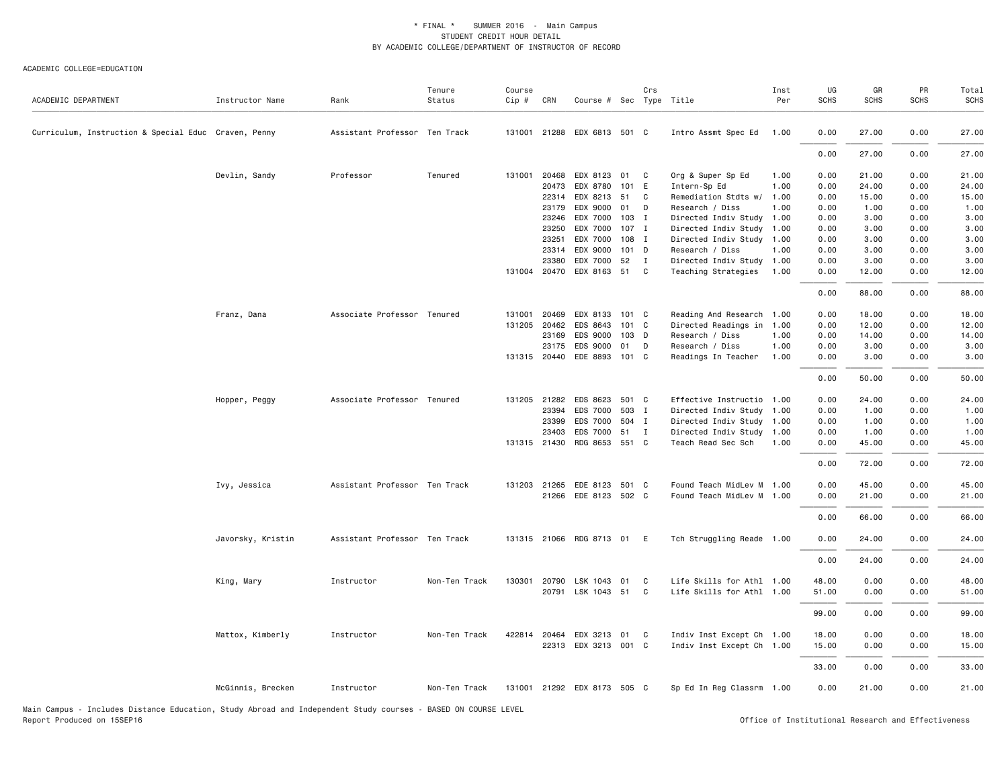#### ACADEMIC COLLEGE=EDUCATION

| ACADEMIC DEPARTMENT                                                                                                                         | Instructor Name   | Rank                          | Tenure<br>Status | Course<br>Cip # | CRN          | Course # Sec Type Title     |       | Crs          |                           | Inst<br>Per | UG<br><b>SCHS</b> | GR<br><b>SCHS</b>                                  | PR<br><b>SCHS</b> | Total<br>SCHS |
|---------------------------------------------------------------------------------------------------------------------------------------------|-------------------|-------------------------------|------------------|-----------------|--------------|-----------------------------|-------|--------------|---------------------------|-------------|-------------------|----------------------------------------------------|-------------------|---------------|
| Curriculum, Instruction & Special Educ Craven, Penny                                                                                        |                   | Assistant Professor Ten Track |                  |                 |              | 131001 21288 EDX 6813 501 C |       |              | Intro Assmt Spec Ed       | 1.00        | 0.00              | 27.00                                              | 0.00              | 27.00         |
|                                                                                                                                             |                   |                               |                  |                 |              |                             |       |              |                           |             | 0.00              | 27.00                                              | 0.00              | 27.00         |
|                                                                                                                                             | Devlin, Sandy     | Professor                     | Tenured          | 131001          | 20468        | EDX 8123                    | 01    | C            | Org & Super Sp Ed         | 1.00        | 0.00              | 21.00                                              | 0.00              | 21.00         |
|                                                                                                                                             |                   |                               |                  |                 | 20473        | EDX 8780                    | 101 E |              | Intern-Sp Ed              | 1.00        | 0.00              | 24.00                                              | 0.00              | 24.00         |
|                                                                                                                                             |                   |                               |                  |                 | 22314        | EDX 8213 51 C               |       |              | Remediation Stdts w/      | 1.00        | 0.00              | 15.00                                              | 0.00              | 15.00         |
|                                                                                                                                             |                   |                               |                  |                 | 23179        | EDX 9000                    | 01 D  |              | Research / Diss           | 1.00        | 0.00              | 1.00                                               | 0.00              | 1.00          |
|                                                                                                                                             |                   |                               |                  |                 | 23246        | EDX 7000                    | 103   | $\mathbf{I}$ | Directed Indiv Study      | 1.00        | 0.00              | 3.00                                               | 0.00              | 3.00          |
|                                                                                                                                             |                   |                               |                  |                 | 23250        | EDX 7000                    | 107 I |              | Directed Indiv Study 1.00 |             | 0.00              | 3.00                                               | 0.00              | 3.00          |
|                                                                                                                                             |                   |                               |                  |                 | 23251        | EDX 7000                    | 108 I |              | Directed Indiv Study 1.00 |             | 0.00              | 3.00                                               | 0.00              | 3.00          |
|                                                                                                                                             |                   |                               |                  |                 | 23314        | EDX 9000                    | 101 D |              | Research / Diss           | 1.00        | 0.00              | 3.00                                               | 0.00              | 3.00          |
|                                                                                                                                             |                   |                               |                  |                 | 23380        | EDX 7000                    | 52    | $\mathbf{I}$ | Directed Indiv Study 1.00 |             | 0.00              | 3.00                                               | 0.00              | 3.00          |
|                                                                                                                                             |                   |                               |                  |                 | 131004 20470 | EDX 8163 51                 |       | $\mathbf{C}$ | Teaching Strategies       | 1.00        | 0.00              | 12.00                                              | 0.00              | 12.00         |
|                                                                                                                                             |                   |                               |                  |                 |              |                             |       |              |                           |             | 0.00              | 88.00                                              | 0.00              | 88.00         |
|                                                                                                                                             | Franz, Dana       | Associate Professor Tenured   |                  |                 | 131001 20469 | EDX 8133 101 C              |       |              | Reading And Research 1.00 |             | 0.00              | 18.00                                              | 0.00              | 18.00         |
|                                                                                                                                             |                   |                               |                  |                 | 131205 20462 | EDS 8643                    | 101 C |              | Directed Readings in 1.00 |             | 0.00              | 12.00                                              | 0.00              | 12.00         |
|                                                                                                                                             |                   |                               |                  |                 | 23169        | EDS 9000                    | 103 D |              | Research / Diss           | 1.00        | 0.00              | 14.00                                              | 0.00              | 14.00         |
|                                                                                                                                             |                   |                               |                  |                 | 23175        | EDS 9000                    | 01    | D            | Research / Diss           | 1.00        | 0.00              | 3.00                                               | 0.00              | 3.00          |
|                                                                                                                                             |                   |                               |                  |                 | 131315 20440 | EDE 8893 101 C              |       |              | Readings In Teacher       | 1.00        | 0.00              | 3.00                                               | 0.00              | 3.00          |
|                                                                                                                                             |                   |                               |                  |                 |              |                             |       |              |                           |             | 0.00              | 50.00                                              | 0.00              | 50.00         |
|                                                                                                                                             | Hopper, Peggy     | Associate Professor Tenured   |                  |                 | 131205 21282 | EDS 8623 501 C              |       |              | Effective Instructio 1.00 |             | 0.00              | 24.00                                              | 0.00              | 24.00         |
|                                                                                                                                             |                   |                               |                  |                 | 23394        | EDS 7000                    | 503 I |              | Directed Indiv Study 1.00 |             | 0.00              | 1.00                                               | 0.00              | 1.00          |
|                                                                                                                                             |                   |                               |                  |                 | 23399        | EDS 7000 504 I              |       |              | Directed Indiv Study 1.00 |             | 0.00              | 1.00                                               | 0.00              | 1.00          |
|                                                                                                                                             |                   |                               |                  |                 | 23403        | EDS 7000                    | 51 I  |              | Directed Indiv Study 1.00 |             | 0.00              | 1.00                                               | 0.00              | 1.00          |
|                                                                                                                                             |                   |                               |                  |                 | 131315 21430 | RDG 8653 551 C              |       |              | Teach Read Sec Sch        | 1.00        | 0.00              | 45.00                                              | 0.00              | 45.00         |
|                                                                                                                                             |                   |                               |                  |                 |              |                             |       |              |                           |             | 0.00              | 72.00                                              | 0.00              | 72.00         |
|                                                                                                                                             |                   |                               |                  |                 |              |                             |       |              |                           |             |                   |                                                    |                   |               |
|                                                                                                                                             | Ivy, Jessica      | Assistant Professor Ten Track |                  |                 | 131203 21265 | EDE 8123 501 C              |       |              | Found Teach MidLev M 1.00 |             | 0.00              | 45.00                                              | 0.00              | 45.00         |
|                                                                                                                                             |                   |                               |                  |                 |              | 21266 EDE 8123 502 C        |       |              | Found Teach MidLev M 1.00 |             | 0.00              | 21.00                                              | 0.00              | 21.00         |
|                                                                                                                                             |                   |                               |                  |                 |              |                             |       |              |                           |             | 0.00              | 66.00                                              | 0.00              | 66.00         |
|                                                                                                                                             | Javorsky, Kristin | Assistant Professor Ten Track |                  |                 |              | 131315 21066 RDG 8713 01 E  |       |              | Tch Struggling Reade 1.00 |             | 0.00              | 24.00                                              | 0.00              | 24.00         |
|                                                                                                                                             |                   |                               |                  |                 |              |                             |       |              |                           |             | 0.00              | 24.00                                              | 0.00              | 24.00         |
|                                                                                                                                             | King, Mary        | Instructor                    | Non-Ten Track    |                 | 130301 20790 | LSK 1043                    | 01    | C            | Life Skills for Athl 1.00 |             | 48.00             | 0.00                                               | 0.00              | 48.00         |
|                                                                                                                                             |                   |                               |                  |                 |              | 20791 LSK 1043 51 C         |       |              | Life Skills for Athl 1.00 |             | 51.00             | 0.00                                               | 0.00              | 51.00         |
|                                                                                                                                             |                   |                               |                  |                 |              |                             |       |              |                           |             |                   |                                                    |                   |               |
|                                                                                                                                             |                   |                               |                  |                 |              |                             |       |              |                           |             | 99.00             | 0.00                                               | 0.00              | 99.00         |
|                                                                                                                                             | Mattox, Kimberly  | Instructor                    | Non-Ten Track    |                 | 422814 20464 | EDX 3213 01 C               |       |              | Indiv Inst Except Ch 1.00 |             | 18.00             | 0.00                                               | 0.00              | 18.00         |
|                                                                                                                                             |                   |                               |                  |                 |              | 22313 EDX 3213 001 C        |       |              | Indiv Inst Except Ch 1.00 |             | 15.00             | 0.00                                               | 0.00              | 15.00         |
|                                                                                                                                             |                   |                               |                  |                 |              |                             |       |              |                           |             | 33.00             | 0.00                                               | 0.00              | 33.00         |
|                                                                                                                                             | McGinnis, Brecken | Instructor                    | Non-Ten Track    |                 |              | 131001 21292 EDX 8173 505 C |       |              | Sp Ed In Reg Classrm 1.00 |             | 0.00              | 21.00                                              | 0.00              | 21.00         |
| Main Campus - Includes Distance Education, Study Abroad and Independent Study courses - BASED ON COURSE LEVEL<br>Report Produced on 15SEP16 |                   |                               |                  |                 |              |                             |       |              |                           |             |                   | Office of Institutional Research and Effectiveness |                   |               |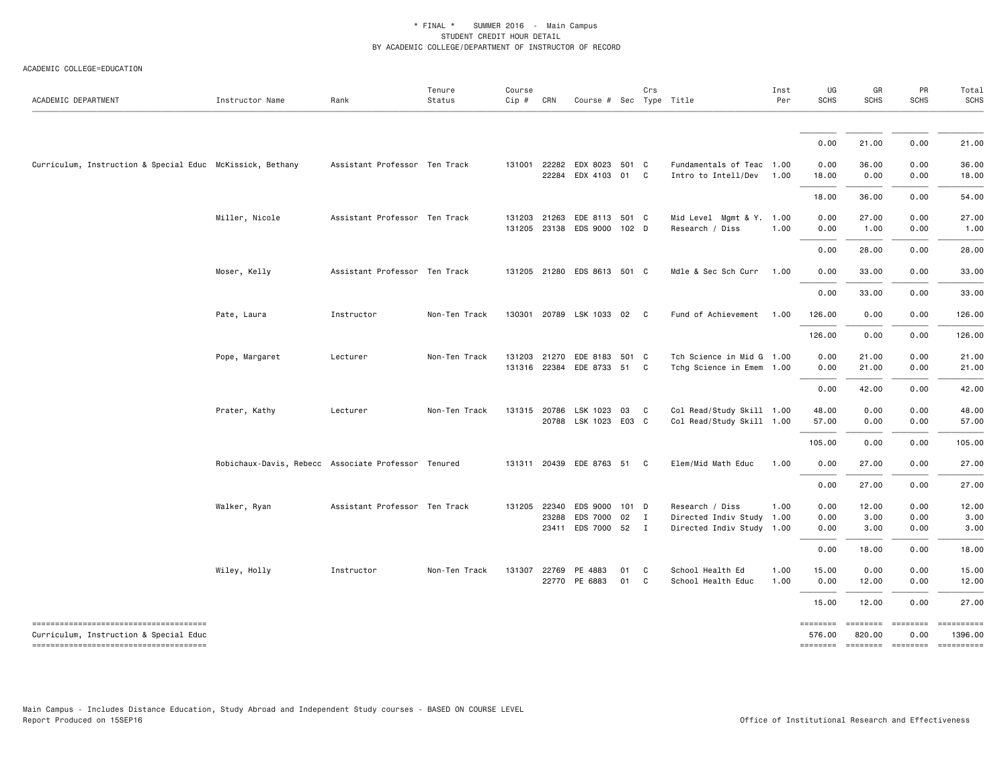| ACADEMIC DEPARTMENT                                                             | Instructor Name                                     | Rank                          | Tenure<br>Status | Course<br>$Cip \#$ | CRN   | Course # Sec Type Title     |      | Crs          |                           | Inst<br>Per | UG<br><b>SCHS</b>  | GR<br><b>SCHS</b>            | PR<br><b>SCHS</b> | Total<br><b>SCHS</b>  |
|---------------------------------------------------------------------------------|-----------------------------------------------------|-------------------------------|------------------|--------------------|-------|-----------------------------|------|--------------|---------------------------|-------------|--------------------|------------------------------|-------------------|-----------------------|
|                                                                                 |                                                     |                               |                  |                    |       |                             |      |              |                           |             |                    |                              |                   |                       |
|                                                                                 |                                                     |                               |                  |                    |       |                             |      |              |                           |             | 0.00               | 21.00                        | 0.00              | 21.00                 |
| Curriculum, Instruction & Special Educ McKissick, Bethany                       |                                                     | Assistant Professor Ten Track |                  | 131001             | 22282 | EDX 8023 501 C              |      |              | Fundamentals of Teac 1.00 |             | 0.00               | 36.00                        | 0.00              | 36.00                 |
|                                                                                 |                                                     |                               |                  |                    |       | 22284 EDX 4103 01 C         |      |              | Intro to Intell/Dev       | 1.00        | 18.00              | 0.00                         | 0.00              | 18.00                 |
|                                                                                 |                                                     |                               |                  |                    |       |                             |      |              |                           |             | 18.00              | 36.00                        | 0.00              | 54.00                 |
|                                                                                 | Miller, Nicole                                      | Assistant Professor Ten Track |                  | 131203             |       | 21263 EDE 8113 501 C        |      |              | Mid Level Mgmt & Y. 1.00  |             | 0.00               | 27.00                        | 0.00              | 27.00                 |
|                                                                                 |                                                     |                               |                  |                    |       | 131205 23138 EDS 9000 102 D |      |              | Research / Diss           | 1.00        | 0.00               | 1.00                         | 0.00              | 1.00                  |
|                                                                                 |                                                     |                               |                  |                    |       |                             |      |              |                           |             | 0.00               | 28.00                        | 0.00              | 28.00                 |
|                                                                                 | Moser, Kelly                                        | Assistant Professor Ten Track |                  |                    |       | 131205 21280 EDS 8613 501 C |      |              | Mdle & Sec Sch Curr       | 1.00        | 0.00               | 33.00                        | 0.00              | 33.00                 |
|                                                                                 |                                                     |                               |                  |                    |       |                             |      |              |                           |             | 0.00               | 33.00                        | 0.00              | 33.00                 |
|                                                                                 | Pate, Laura                                         | Instructor                    | Non-Ten Track    |                    |       | 130301 20789 LSK 1033 02 C  |      |              | Fund of Achievement       | 1.00        | 126.00             | 0.00                         | 0.00              | 126.00                |
|                                                                                 |                                                     |                               |                  |                    |       |                             |      |              |                           |             | 126.00             | 0.00                         | 0.00              | 126.00                |
|                                                                                 | Pope, Margaret                                      | Lecturer                      | Non-Ten Track    |                    |       | 131203 21270 EDE 8183 501 C |      |              | Tch Science in Mid G 1.00 |             | 0.00               | 21.00                        | 0.00              | 21.00                 |
|                                                                                 |                                                     |                               |                  |                    |       | 131316 22384 EDE 8733 51 C  |      |              | Tchg Science in Emem 1.00 |             | 0.00               | 21.00                        | 0.00              | 21.00                 |
|                                                                                 |                                                     |                               |                  |                    |       |                             |      |              |                           |             | 0.00               | 42.00                        | 0.00              | 42.00                 |
|                                                                                 | Prater, Kathy                                       | Lecturer                      | Non-Ten Track    |                    |       | 131315 20786 LSK 1023 03 C  |      |              | Col Read/Study Skill 1.00 |             | 48.00              | 0.00                         | 0.00              | 48.00                 |
|                                                                                 |                                                     |                               |                  |                    |       | 20788 LSK 1023 E03 C        |      |              | Col Read/Study Skill 1.00 |             | 57.00              | 0.00                         | 0.00              | 57.00                 |
|                                                                                 |                                                     |                               |                  |                    |       |                             |      |              |                           |             | 105.00             | 0.00                         | 0.00              | 105.00                |
|                                                                                 | Robichaux-Davis, Rebecc Associate Professor Tenured |                               |                  |                    |       | 131311 20439 EDE 8763 51 C  |      |              | Elem/Mid Math Educ        | 1.00        | 0.00               | 27.00                        | 0.00              | 27.00                 |
|                                                                                 |                                                     |                               |                  |                    |       |                             |      |              |                           |             | 0.00               | 27.00                        | 0.00              | 27.00                 |
|                                                                                 | Walker, Ryan                                        | Assistant Professor Ten Track |                  | 131205             | 22340 | EDS 9000 101 D              |      |              | Research / Diss           | 1.00        | 0.00               | 12.00                        | 0.00              | 12.00                 |
|                                                                                 |                                                     |                               |                  |                    |       | 23288 EDS 7000 02           |      | $\mathbf{I}$ | Directed Indiv Study 1.00 |             | 0.00               | 3.00                         | 0.00              | 3.00                  |
|                                                                                 |                                                     |                               |                  |                    |       | 23411 EDS 7000 52 I         |      |              | Directed Indiv Study 1.00 |             | 0.00               | 3.00                         | 0.00              | 3.00                  |
|                                                                                 |                                                     |                               |                  |                    |       |                             |      |              |                           |             | 0.00               | 18.00                        | 0.00              | 18.00                 |
|                                                                                 | Wiley, Holly                                        | Instructor                    | Non-Ten Track    |                    |       | 131307 22769 PE 4883        | 01   | C            | School Health Ed          | 1.00        | 15.00              | 0.00                         | 0.00              | 15.00                 |
|                                                                                 |                                                     |                               |                  |                    |       | 22770 PE 6883               | 01 C |              | School Health Educ        | 1.00        | 0.00               | 12.00                        | 0.00              | 12.00                 |
|                                                                                 |                                                     |                               |                  |                    |       |                             |      |              |                           |             | 15.00              | 12.00                        | 0.00              | 27.00                 |
| -------------------------------------                                           |                                                     |                               |                  |                    |       |                             |      |              |                           |             | ========<br>576.00 | ========<br>820.00           | ========<br>0.00  | ==========<br>1396.00 |
| Curriculum, Instruction & Special Educ<br>------------------------------------- |                                                     |                               |                  |                    |       |                             |      |              |                           |             |                    | ============================ |                   | $-$ ==========        |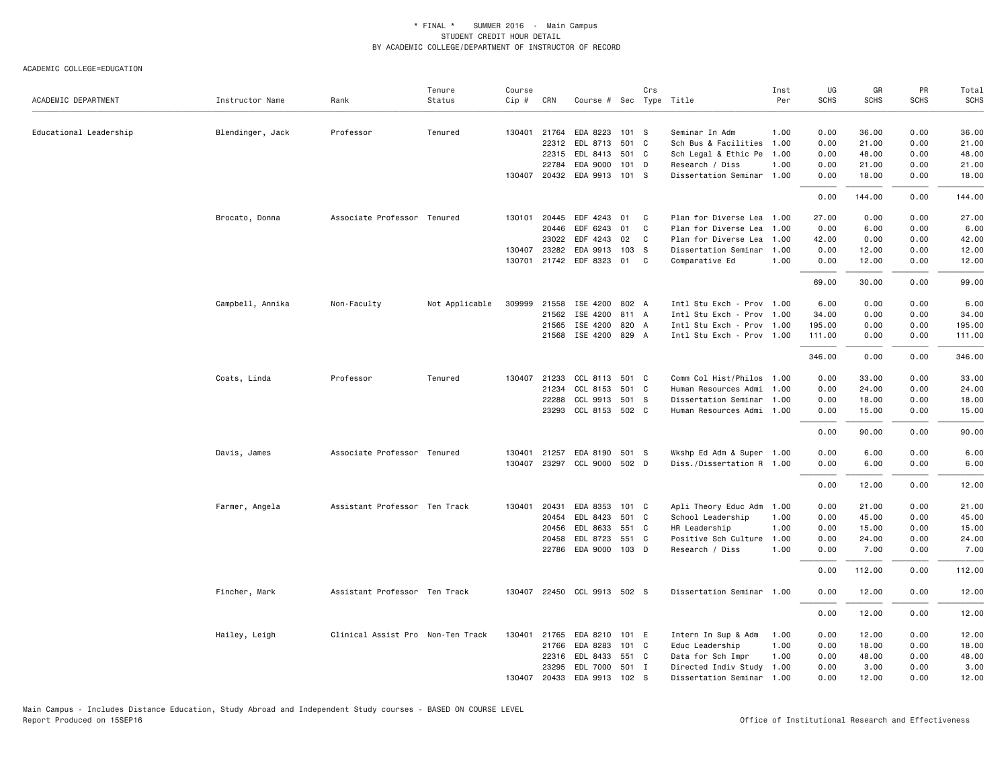| ACADEMIC DEPARTMENT    | Instructor Name  | Rank                              | Tenure<br>Status | Course<br>Cip # | CRN          | Course # Sec Type Title     |                  | Crs |                           | Inst<br>Per | UG<br>SCHS | GR<br><b>SCHS</b> | PR<br><b>SCHS</b> | Total<br><b>SCHS</b> |
|------------------------|------------------|-----------------------------------|------------------|-----------------|--------------|-----------------------------|------------------|-----|---------------------------|-------------|------------|-------------------|-------------------|----------------------|
| Educational Leadership | Blendinger, Jack | Professor                         | Tenured          |                 | 130401 21764 | EDA 8223                    | 101 S            |     | Seminar In Adm            | 1.00        | 0.00       | 36.00             | 0.00              | 36.00                |
|                        |                  |                                   |                  |                 | 22312        | EDL 8713                    | 501 C            |     | Sch Bus & Facilities 1.00 |             | 0.00       | 21.00             | 0.00              | 21.00                |
|                        |                  |                                   |                  |                 | 22315        | EDL 8413                    | 501 C            |     | Sch Legal & Ethic Pe 1.00 |             | 0.00       | 48.00             | 0.00              | 48.00                |
|                        |                  |                                   |                  |                 | 22784        | EDA 9000                    | $101$ D          |     | Research / Diss           | 1.00        | 0.00       | 21.00             | 0.00              | 21.00                |
|                        |                  |                                   |                  |                 | 130407 20432 | EDA 9913                    | 101 S            |     | Dissertation Seminar 1.00 |             | 0.00       | 18.00             | 0.00              | 18.00                |
|                        |                  |                                   |                  |                 |              |                             |                  |     |                           |             | 0.00       | 144.00            | 0.00              | 144.00               |
|                        | Brocato, Donna   | Associate Professor Tenured       |                  | 130101          | 20445        | EDF 4243                    | 01               | C   | Plan for Diverse Lea 1.00 |             | 27.00      | 0.00              | 0.00              | 27.00                |
|                        |                  |                                   |                  |                 | 20446        | EDF 6243                    | 01               | C   | Plan for Diverse Lea 1.00 |             | 0.00       | 6.00              | 0.00              | 6.00                 |
|                        |                  |                                   |                  |                 | 23022        | EDF 4243                    | 02               | C   | Plan for Diverse Lea 1.00 |             | 42.00      | 0.00              | 0.00              | 42.00                |
|                        |                  |                                   |                  | 130407          | 23282        | EDA 9913                    | 103 <sub>S</sub> |     | Dissertation Seminar      | 1.00        | 0.00       | 12.00             | 0.00              | 12.00                |
|                        |                  |                                   |                  |                 |              | 130701 21742 EDF 8323 01    |                  | C.  | Comparative Ed            | 1.00        | 0.00       | 12.00             | 0.00              | 12.00                |
|                        |                  |                                   |                  |                 |              |                             |                  |     |                           |             | 69.00      | 30.00             | 0.00              | 99.00                |
|                        | Campbell, Annika | Non-Faculty                       | Not Applicable   |                 | 309999 21558 | ISE 4200                    | 802 A            |     | Intl Stu Exch - Prov 1.00 |             | 6.00       | 0.00              | 0.00              | 6.00                 |
|                        |                  |                                   |                  |                 | 21562        | ISE 4200                    | 811 A            |     | Intl Stu Exch - Prov 1.00 |             | 34.00      | 0.00              | 0.00              | 34.00                |
|                        |                  |                                   |                  |                 | 21565        | ISE 4200                    | 820 A            |     | Intl Stu Exch - Prov 1.00 |             | 195.00     | 0.00              | 0.00              | 195.00               |
|                        |                  |                                   |                  |                 | 21568        | ISE 4200 829 A              |                  |     | Intl Stu Exch - Prov 1.00 |             | 111.00     | 0.00              | 0.00              | 111.00               |
|                        |                  |                                   |                  |                 |              |                             |                  |     |                           |             | 346.00     | 0.00              | 0.00              | 346.00               |
|                        | Coats, Linda     | Professor                         | Tenured          | 130407          | 21233        | CCL 8113                    | 501 C            |     | Comm Col Hist/Philos 1.00 |             | 0.00       | 33.00             | 0.00              | 33.00                |
|                        |                  |                                   |                  |                 | 21234        | CCL 8153                    | 501 C            |     | Human Resources Admi 1.00 |             | 0.00       | 24.00             | 0.00              | 24.00                |
|                        |                  |                                   |                  |                 | 22288        | CCL 9913                    | 501 S            |     | Dissertation Seminar 1.00 |             | 0.00       | 18.00             | 0.00              | 18.00                |
|                        |                  |                                   |                  |                 | 23293        | CCL 8153 502 C              |                  |     | Human Resources Admi 1.00 |             | 0.00       | 15.00             | 0.00              | 15.00                |
|                        |                  |                                   |                  |                 |              |                             |                  |     |                           |             | 0.00       | 90.00             | 0.00              | 90.00                |
|                        | Davis, James     | Associate Professor Tenured       |                  | 130401          | 21257        | EDA 8190                    | 501 S            |     | Wkshp Ed Adm & Super 1.00 |             | 0.00       | 6.00              | 0.00              | 6.00                 |
|                        |                  |                                   |                  | 130407          |              | 23297 CCL 9000 502 D        |                  |     | Diss./Dissertation R 1.00 |             | 0.00       | 6.00              | 0.00              | 6.00                 |
|                        |                  |                                   |                  |                 |              |                             |                  |     |                           |             | 0.00       | 12.00             | 0.00              | 12.00                |
|                        | Farmer, Angela   | Assistant Professor Ten Track     |                  | 130401          | 20431        | EDA 8353                    | 101 C            |     | Apli Theory Educ Adm 1.00 |             | 0.00       | 21.00             | 0.00              | 21.00                |
|                        |                  |                                   |                  |                 | 20454        | EDL 8423                    | 501 C            |     | School Leadership         | 1.00        | 0.00       | 45.00             | 0.00              | 45.00                |
|                        |                  |                                   |                  |                 | 20456        | EDL 8633                    | 551 C            |     | HR Leadership             | 1.00        | 0.00       | 15.00             | 0.00              | 15.00                |
|                        |                  |                                   |                  |                 | 20458        | EDL 8723                    | 551 C            |     | Positive Sch Culture 1.00 |             | 0.00       | 24.00             | 0.00              | 24.00                |
|                        |                  |                                   |                  |                 |              | 22786 EDA 9000              | 103 D            |     | Research / Diss           | 1.00        | 0.00       | 7.00              | 0.00              | 7.00                 |
|                        |                  |                                   |                  |                 |              |                             |                  |     |                           |             | 0.00       | 112.00            | 0.00              | 112.00               |
|                        | Fincher, Mark    | Assistant Professor Ten Track     |                  |                 |              | 130407 22450 CCL 9913 502 S |                  |     | Dissertation Seminar 1.00 |             | 0.00       | 12.00             | 0.00              | 12.00                |
|                        |                  |                                   |                  |                 |              |                             |                  |     |                           |             | 0.00       | 12.00             | 0.00              | 12.00                |
|                        | Hailey, Leigh    | Clinical Assist Pro Non-Ten Track |                  | 130401          | 21765        | EDA 8210 101 E              |                  |     | Intern In Sup & Adm       | 1.00        | 0.00       | 12.00             | 0.00              | 12.00                |
|                        |                  |                                   |                  |                 | 21766        | EDA 8283                    | 101 C            |     | Educ Leadership           | 1.00        | 0.00       | 18.00             | 0.00              | 18.00                |
|                        |                  |                                   |                  |                 | 22316        | EDL 8433                    | 551 C            |     | Data for Sch Impr         | 1.00        | 0.00       | 48.00             | 0.00              | 48.00                |
|                        |                  |                                   |                  |                 | 23295        | EDL 7000                    | 501 I            |     | Directed Indiv Study 1.00 |             | 0.00       | 3.00              | 0.00              | 3.00                 |
|                        |                  |                                   |                  |                 | 130407 20433 | EDA 9913                    | 102 <sub>5</sub> |     | Dissertation Seminar 1.00 |             | 0.00       | 12.00             | 0.00              | 12.00                |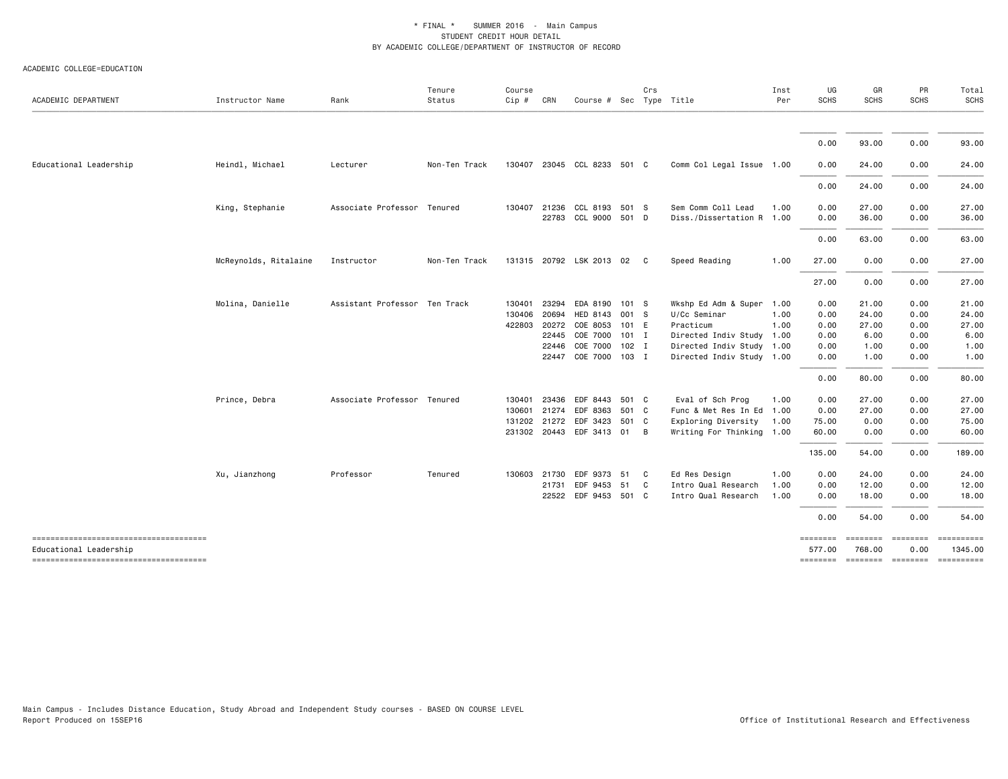| ACADEMIC DEPARTMENT                                              | Instructor Name       | Rank                          | Tenure<br>Status | Course<br>Cip # | CRN   | Course # Sec Type Title     |         | Crs |                           | Inst<br>Per | UG<br><b>SCHS</b>  | GR<br><b>SCHS</b>                   | PR<br><b>SCHS</b> | Total<br><b>SCHS</b>  |
|------------------------------------------------------------------|-----------------------|-------------------------------|------------------|-----------------|-------|-----------------------------|---------|-----|---------------------------|-------------|--------------------|-------------------------------------|-------------------|-----------------------|
|                                                                  |                       |                               |                  |                 |       |                             |         |     |                           |             |                    |                                     |                   |                       |
|                                                                  |                       |                               |                  |                 |       |                             |         |     |                           |             | 0.00               | 93.00                               | 0.00              | 93.00                 |
| Educational Leadership                                           | Heindl, Michael       | Lecturer                      | Non-Ten Track    |                 |       | 130407 23045 CCL 8233 501 C |         |     | Comm Col Legal Issue 1.00 |             | 0.00               | 24.00                               | 0.00              | 24.00                 |
|                                                                  |                       |                               |                  |                 |       |                             |         |     |                           |             | 0.00               | 24.00                               | 0.00              | 24.00                 |
|                                                                  | King, Stephanie       | Associate Professor           | Tenured          | 130407          | 21236 | CCL 8193                    | 501 S   |     | Sem Comm Coll Lead        | 1.00        | 0.00               | 27.00                               | 0.00              | 27.00                 |
|                                                                  |                       |                               |                  |                 |       | 22783 CCL 9000 501 D        |         |     | Diss./Dissertation R 1.00 |             | 0.00               | 36.00                               | 0.00              | 36.00                 |
|                                                                  |                       |                               |                  |                 |       |                             |         |     |                           |             | 0.00               | 63.00                               | 0.00              | 63.00                 |
|                                                                  | McReynolds, Ritalaine | Instructor                    | Non-Ten Track    |                 |       | 131315 20792 LSK 2013 02 C  |         |     | Speed Reading             | 1.00        | 27.00              | 0.00                                | 0.00              | 27.00                 |
|                                                                  |                       |                               |                  |                 |       |                             |         |     |                           |             | 27.00              | 0.00                                | 0.00              | 27,00                 |
|                                                                  | Molina, Danielle      | Assistant Professor Ten Track |                  | 130401          |       | 23294 EDA 8190 101 S        |         |     | Wkshp Ed Adm & Super      | 1.00        | 0.00               | 21.00                               | 0.00              | 21.00                 |
|                                                                  |                       |                               |                  | 130406          | 20694 | HED 8143                    | 001 S   |     | U/Cc Seminar              | 1.00        | 0.00               | 24.00                               | 0.00              | 24.00                 |
|                                                                  |                       |                               |                  | 422803          | 20272 | COE 8053                    | 101 E   |     | Practicum                 | 1.00        | 0.00               | 27.00                               | 0.00              | 27.00                 |
|                                                                  |                       |                               |                  |                 | 22445 | COE 7000                    | $101$ I |     | Directed Indiv Study 1.00 |             | 0.00               | 6.00                                | 0.00              | 6.00                  |
|                                                                  |                       |                               |                  |                 | 22446 | COE 7000 102 I              |         |     | Directed Indiv Study 1.00 |             | 0.00               | 1.00                                | 0.00              | 1.00                  |
|                                                                  |                       |                               |                  |                 | 22447 | COE 7000 103 I              |         |     | Directed Indiv Study 1.00 |             | 0.00               | 1.00                                | 0.00              | 1.00                  |
|                                                                  |                       |                               |                  |                 |       |                             |         |     |                           |             | 0.00               | 80.00                               | 0.00              | 80.00                 |
|                                                                  | Prince, Debra         | Associate Professor Tenured   |                  | 130401          | 23436 | EDF 8443                    | 501 C   |     | Eval of Sch Prog          | 1.00        | 0.00               | 27.00                               | 0.00              | 27.00                 |
|                                                                  |                       |                               |                  | 130601          |       | 21274 EDF 8363              | 501 C   |     | Func & Met Res In Ed 1.00 |             | 0.00               | 27.00                               | 0.00              | 27.00                 |
|                                                                  |                       |                               |                  | 131202          | 21272 | EDF 3423                    | 501 C   |     | Exploring Diversity       | 1.00        | 75.00              | 0.00                                | 0.00              | 75.00                 |
|                                                                  |                       |                               |                  |                 |       | 231302 20443 EDF 3413 01 B  |         |     | Writing For Thinking 1.00 |             | 60.00              | 0.00                                | 0.00              | 60.00                 |
|                                                                  |                       |                               |                  |                 |       |                             |         |     |                           |             | 135.00             | 54.00                               | 0.00              | 189.00                |
|                                                                  | Xu, Jianzhong         | Professor                     | Tenured          | 130603          | 21730 | EDF 9373                    | 51      | C   | Ed Res Design             | 1.00        | 0.00               | 24.00                               | 0.00              | 24.00                 |
|                                                                  |                       |                               |                  |                 | 21731 | EDF 9453                    | 51      | C   | Intro Qual Research       | 1.00        | 0.00               | 12.00                               | 0.00              | 12.00                 |
|                                                                  |                       |                               |                  |                 |       | 22522 EDF 9453 501 C        |         |     | Intro Qual Research       | 1.00        | 0.00               | 18.00                               | 0.00              | 18.00                 |
|                                                                  |                       |                               |                  |                 |       |                             |         |     |                           |             | 0.00               | 54.00                               | 0.00              | 54.00                 |
| --------------------------------------<br>Educational Leadership |                       |                               |                  |                 |       |                             |         |     |                           |             | ========<br>577.00 | -------- -------<br>768.00          | 0.00              | ==========<br>1345.00 |
| -------------------------------------                            |                       |                               |                  |                 |       |                             |         |     |                           |             |                    | -------- ------- -------- --------- |                   |                       |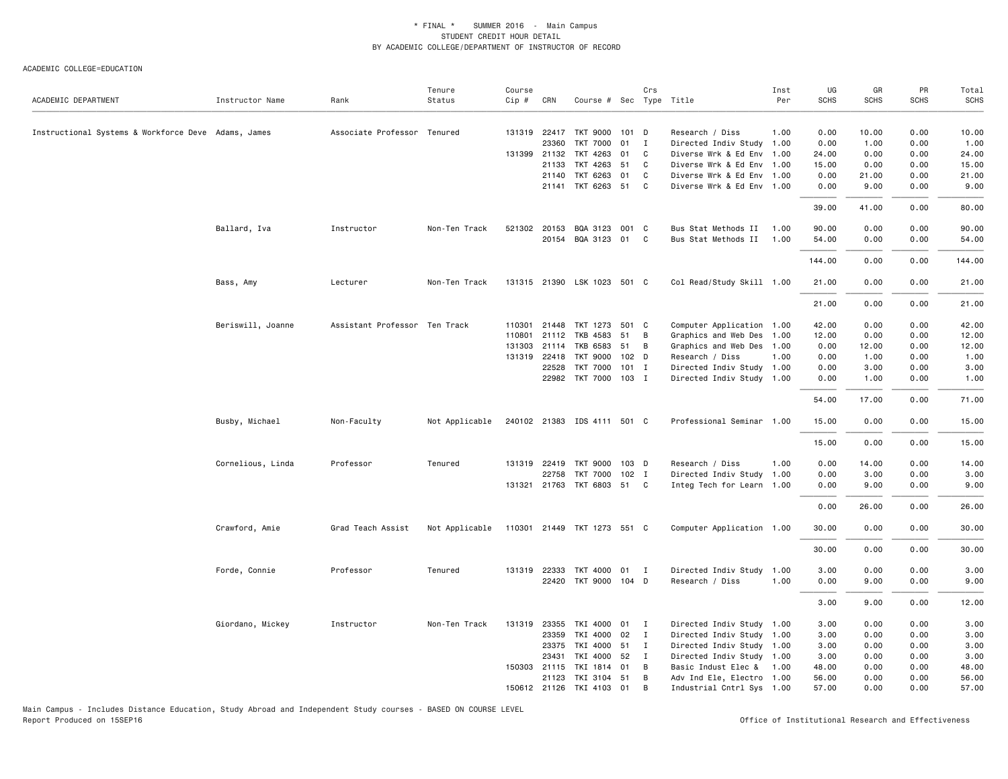#### ACADEMIC COLLEGE=EDUCATION

|                                                     |                   |                               | Tenure         | Course   |              |                             |       | Crs            |                           | Inst | UG          | GR          | PR          | Total       |
|-----------------------------------------------------|-------------------|-------------------------------|----------------|----------|--------------|-----------------------------|-------|----------------|---------------------------|------|-------------|-------------|-------------|-------------|
| ACADEMIC DEPARTMENT                                 | Instructor Name   | Rank                          | Status         | $Cip \#$ | CRN          | Course # Sec Type Title     |       |                |                           | Per  | <b>SCHS</b> | <b>SCHS</b> | <b>SCHS</b> | <b>SCHS</b> |
|                                                     |                   |                               |                |          |              |                             |       |                |                           |      |             |             |             |             |
| Instructional Systems & Workforce Deve Adams, James |                   | Associate Professor Tenured   |                |          | 131319 22417 | TKT 9000 101 D              |       |                | Research / Diss           | 1.00 | 0.00        | 10.00       | 0.00        | 10.00       |
|                                                     |                   |                               |                |          | 23360        | <b>TKT 7000</b>             | 01 I  |                | Directed Indiv Study 1.00 |      | 0.00        | 1.00        | 0.00        | 1.00        |
|                                                     |                   |                               |                |          | 131399 21132 | TKT 4263                    | 01    | C              | Diverse Wrk & Ed Env 1.00 |      | 24.00       | 0.00        | 0.00        | 24.00       |
|                                                     |                   |                               |                |          | 21133        | TKT 4263                    | 51    | C              | Diverse Wrk & Ed Env 1.00 |      | 15.00       | 0.00        | 0.00        | 15.00       |
|                                                     |                   |                               |                |          | 21140        | TKT 6263                    | 01    | C              | Diverse Wrk & Ed Env 1.00 |      | 0.00        | 21.00       | 0.00        | 21.00       |
|                                                     |                   |                               |                |          |              | 21141 TKT 6263 51           |       | C              | Diverse Wrk & Ed Env 1.00 |      | 0.00        | 9.00        | 0.00        | 9.00        |
|                                                     |                   |                               |                |          |              |                             |       |                |                           |      | 39.00       | 41.00       | 0.00        | 80.00       |
|                                                     | Ballard, Iva      | Instructor                    | Non-Ten Track  | 521302   | 20153        | BQA 3123                    | 001 C |                | Bus Stat Methods II 1.00  |      | 90.00       | 0.00        | 0.00        | 90.00       |
|                                                     |                   |                               |                |          |              | 20154 BQA 3123 01 C         |       |                | Bus Stat Methods II       | 1.00 | 54.00       | 0.00        | 0.00        | 54.00       |
|                                                     |                   |                               |                |          |              |                             |       |                |                           |      | 144.00      | 0.00        | 0.00        | 144.00      |
|                                                     | Bass, Amy         | Lecturer                      | Non-Ten Track  |          |              | 131315 21390 LSK 1023 501 C |       |                | Col Read/Study Skill 1.00 |      | 21.00       | 0.00        | 0.00        | 21.00       |
|                                                     |                   |                               |                |          |              |                             |       |                |                           |      | 21.00       | 0.00        | 0.00        | 21.00       |
|                                                     | Beriswill, Joanne | Assistant Professor Ten Track |                |          | 110301 21448 | TKT 1273 501 C              |       |                | Computer Application 1.00 |      | 42.00       | 0.00        | 0.00        | 42.00       |
|                                                     |                   |                               |                | 110801   | 21112        | TKB 4583                    | 51    | $\overline{B}$ | Graphics and Web Des 1.00 |      | 12.00       | 0.00        | 0.00        | 12.00       |
|                                                     |                   |                               |                | 131303   | 21114        | TKB 6583                    | 51    | B              | Graphics and Web Des 1.00 |      | 0.00        | 12.00       | 0.00        | 12.00       |
|                                                     |                   |                               |                |          | 131319 22418 | TKT 9000 102 D              |       |                | Research / Diss           | 1.00 | 0.00        | 1.00        | 0.00        | 1.00        |
|                                                     |                   |                               |                |          | 22528        | TKT 7000 101 I              |       |                | Directed Indiv Study 1.00 |      | 0.00        | 3.00        | 0.00        | 3.00        |
|                                                     |                   |                               |                |          |              | 22982 TKT 7000 103 I        |       |                | Directed Indiv Study 1.00 |      | 0.00        | 1.00        | 0.00        | 1.00        |
|                                                     |                   |                               |                |          |              |                             |       |                |                           |      | 54.00       | 17.00       | 0.00        | 71.00       |
|                                                     | Busby, Michael    | Non-Faculty                   | Not Applicable |          |              | 240102 21383 IDS 4111 501 C |       |                | Professional Seminar 1.00 |      | 15.00       | 0.00        | 0.00        | 15.00       |
|                                                     |                   |                               |                |          |              |                             |       |                |                           |      | 15.00       | 0.00        | 0.00        | 15.00       |
|                                                     | Cornelious, Linda | Professor                     | Tenured        | 131319   | 22419        | TKT 9000                    | 103 D |                | Research / Diss           | 1.00 | 0.00        | 14.00       | 0.00        | 14.00       |
|                                                     |                   |                               |                |          | 22758        | TKT 7000 102 I              |       |                | Directed Indiv Study 1.00 |      | 0.00        | 3.00        | 0.00        | 3.00        |
|                                                     |                   |                               |                |          |              | 131321 21763 TKT 6803 51 C  |       |                | Integ Tech for Learn 1.00 |      | 0.00        | 9.00        | 0.00        | 9.00        |
|                                                     |                   |                               |                |          |              |                             |       |                |                           |      | 0.00        | 26.00       | 0.00        | 26.00       |
|                                                     | Crawford, Amie    | Grad Teach Assist             | Not Applicable |          |              | 110301 21449 TKT 1273 551 C |       |                | Computer Application 1.00 |      | 30.00       | 0.00        | 0.00        | 30.00       |
|                                                     |                   |                               |                |          |              |                             |       |                |                           |      | 30.00       | 0.00        | 0.00        | 30.00       |
|                                                     | Forde, Connie     | Professor                     | Tenured        |          | 131319 22333 | TKT 4000 01 I               |       |                | Directed Indiv Study 1.00 |      | 3.00        | 0.00        | 0.00        | 3.00        |
|                                                     |                   |                               |                |          |              | 22420 TKT 9000 104 D        |       |                | Research / Diss           | 1.00 | 0.00        | 9.00        | 0.00        | 9.00        |
|                                                     |                   |                               |                |          |              |                             |       |                |                           |      | 3.00        | 9.00        | 0.00        | 12.00       |
|                                                     | Giordano, Mickey  | Instructor                    | Non-Ten Track  |          | 131319 23355 | TKI 4000 01 I               |       |                | Directed Indiv Study 1.00 |      | 3.00        | 0.00        | 0.00        | 3.00        |
|                                                     |                   |                               |                |          | 23359        | TKI 4000                    | 02    | $\mathbf{I}$   | Directed Indiv Study 1.00 |      | 3.00        | 0.00        | 0.00        | 3.00        |
|                                                     |                   |                               |                |          | 23375        | TKI 4000 51                 |       | $\mathbf{I}$   | Directed Indiv Study 1.00 |      | 3.00        | 0.00        | 0.00        | 3.00        |
|                                                     |                   |                               |                |          | 23431        | TKI 4000 52                 |       | $\mathbf{I}$   | Directed Indiv Study 1.00 |      | 3.00        | 0.00        | 0.00        | 3.00        |
|                                                     |                   |                               |                |          | 150303 21115 | TKI 1814 01                 |       | B              | Basic Indust Elec & 1.00  |      | 48.00       | 0.00        | 0.00        | 48.00       |
|                                                     |                   |                               |                |          | 21123        | TKI 3104 51                 |       | B              | Adv Ind Ele, Electro 1.00 |      | 56.00       | 0.00        | 0.00        | 56.00       |
|                                                     |                   |                               |                |          | 150612 21126 | TKI 4103 01                 |       | B              | Industrial Cntrl Sys 1.00 |      | 57.00       | 0.00        | 0.00        | 57.00       |

Main Campus - Includes Distance Education, Study Abroad and Independent Study courses - BASED ON COURSE LEVEL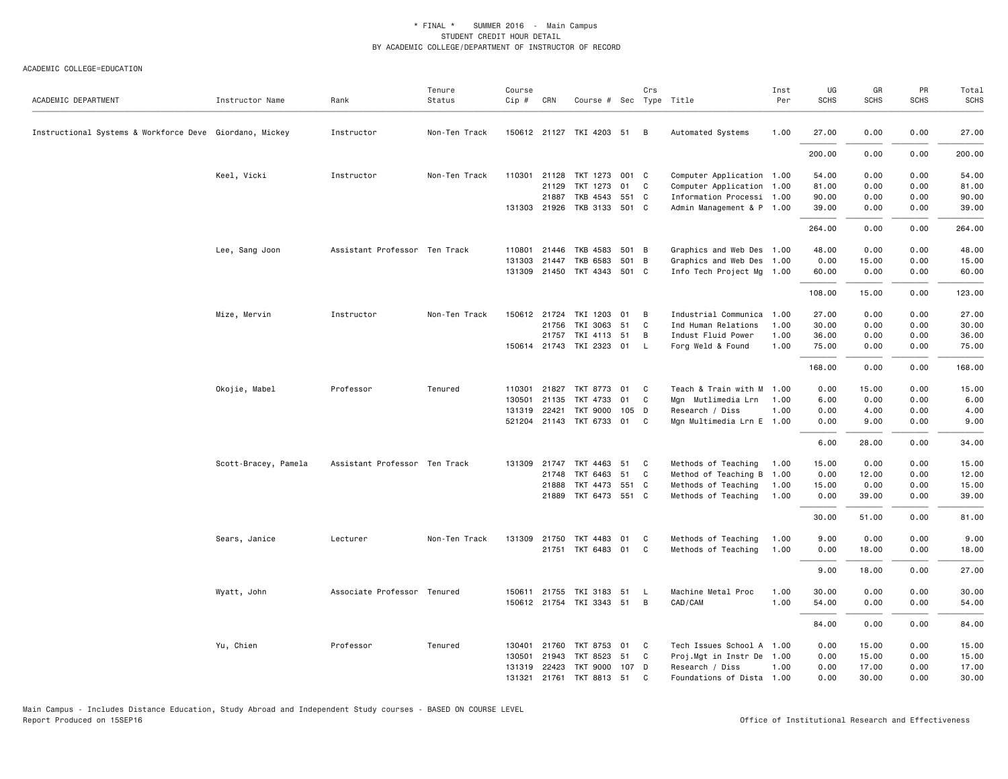| ACADEMIC DEPARTMENT                                     | Instructor Name      | Rank                          | Tenure<br>Status | Course<br>$Cip \#$ | CRN          | Course # Sec Type Title     |       | Crs          |                           | Inst<br>Per | UG<br><b>SCHS</b> | GR<br><b>SCHS</b> | PR<br><b>SCHS</b> | Total<br><b>SCHS</b> |
|---------------------------------------------------------|----------------------|-------------------------------|------------------|--------------------|--------------|-----------------------------|-------|--------------|---------------------------|-------------|-------------------|-------------------|-------------------|----------------------|
| Instructional Systems & Workforce Deve Giordano, Mickey |                      | Instructor                    | Non-Ten Track    |                    |              | 150612 21127 TKI 4203 51 B  |       |              | Automated Systems         | 1.00        | 27.00             | 0.00              | 0.00              | 27.00                |
|                                                         |                      |                               |                  |                    |              |                             |       |              |                           |             | 200.00            | 0.00              | 0.00              | 200.00               |
|                                                         | Keel, Vicki          | Instructor                    | Non-Ten Track    |                    | 110301 21128 | TKT 1273 001 C              |       |              | Computer Application 1.00 |             | 54.00             | 0.00              | 0.00              | 54.00                |
|                                                         |                      |                               |                  |                    | 21129        | TKT 1273                    | 01    | C.           | Computer Application 1.00 |             | 81.00             | 0.00              | 0.00              | 81.00                |
|                                                         |                      |                               |                  |                    | 21887        | TKB 4543 551 C              |       |              | Information Processi 1.00 |             | 90.00             | 0.00              | 0.00              | 90.00                |
|                                                         |                      |                               |                  |                    | 131303 21926 | TKB 3133 501 C              |       |              | Admin Management & P 1.00 |             | 39.00             | 0.00              | 0.00              | 39.00                |
|                                                         |                      |                               |                  |                    |              |                             |       |              |                           |             | 264.00            | 0.00              | 0.00              | 264.00               |
|                                                         | Lee, Sang Joon       | Assistant Professor Ten Track |                  | 110801             | 21446        | TKB 4583 501 B              |       |              | Graphics and Web Des 1.00 |             | 48.00             | 0.00              | 0.00              | 48.00                |
|                                                         |                      |                               |                  | 131303             | 21447        | TKB 6583                    | 501 B |              | Graphics and Web Des 1.00 |             | 0.00              | 15.00             | 0.00              | 15.00                |
|                                                         |                      |                               |                  | 131309             |              | 21450 TKT 4343 501 C        |       |              | Info Tech Project Mg 1.00 |             | 60.00             | 0.00              | 0.00              | 60.00                |
|                                                         |                      |                               |                  |                    |              |                             |       |              |                           |             | 108.00            | 15.00             | 0.00              | 123.00               |
|                                                         | Mize, Mervin         | Instructor                    | Non-Ten Track    |                    |              | 150612 21724 TKI 1203 01    |       | B            | Industrial Communica 1.00 |             | 27.00             | 0.00              | 0.00              | 27.00                |
|                                                         |                      |                               |                  |                    | 21756        | TKI 3063                    | 51    | C.           | Ind Human Relations       | 1.00        | 30.00             | 0.00              | 0.00              | 30.00                |
|                                                         |                      |                               |                  |                    | 21757        | TKI 4113 51                 |       | B            | Indust Fluid Power        | 1.00        | 36.00             | 0.00              | 0.00              | 36.00                |
|                                                         |                      |                               |                  |                    |              | 150614 21743 TKI 2323 01    |       | - L          | Forg Weld & Found         | 1.00        | 75.00             | 0.00              | 0.00              | 75.00                |
|                                                         |                      |                               |                  |                    |              |                             |       |              |                           |             | 168.00            | 0.00              | 0.00              | 168.00               |
|                                                         | Okojie, Mabel        | Professor                     | Tenured          |                    | 110301 21827 | TKT 8773 01 C               |       |              | Teach & Train with M 1.00 |             | 0.00              | 15.00             | 0.00              | 15.00                |
|                                                         |                      |                               |                  |                    | 130501 21135 | TKT 4733                    | 01    | C            | Mgn Mutlimedia Lrn        | 1.00        | 6.00              | 0.00              | 0.00              | 6.00                 |
|                                                         |                      |                               |                  |                    | 131319 22421 | TKT 9000 105 D              |       |              | Research / Diss           | 1.00        | 0.00              | 4.00              | 0.00              | 4.00                 |
|                                                         |                      |                               |                  |                    |              | 521204 21143 TKT 6733 01 C  |       |              | Mgn Multimedia Lrn E 1.00 |             | 0.00              | 9.00              | 0.00              | 9.00                 |
|                                                         |                      |                               |                  |                    |              |                             |       |              |                           |             | 6.00              | 28.00             | 0.00              | 34.00                |
|                                                         | Scott-Bracey, Pamela | Assistant Professor Ten Track |                  | 131309             |              | 21747 TKT 4463 51           |       | $\mathbf{C}$ | Methods of Teaching       | 1.00        | 15.00             | 0.00              | 0.00              | 15.00                |
|                                                         |                      |                               |                  |                    | 21748        | TKT 6463                    | 51    | C.           | Method of Teaching B 1.00 |             | 0.00              | 12.00             | 0.00              | 12.00                |
|                                                         |                      |                               |                  |                    | 21888        | TKT 4473 551 C              |       |              | Methods of Teaching       | 1.00        | 15.00             | 0.00              | 0.00              | 15.00                |
|                                                         |                      |                               |                  |                    | 21889        | TKT 6473 551 C              |       |              | Methods of Teaching       | 1.00        | 0.00              | 39.00             | 0.00              | 39.00                |
|                                                         |                      |                               |                  |                    |              |                             |       |              |                           |             | 30.00             | 51.00             | 0.00              | 81.00                |
|                                                         | Sears, Janice        | Lecturer                      | Non-Ten Track    |                    | 131309 21750 | TKT 4483 01                 |       | C.           | Methods of Teaching       | 1.00        | 9.00              | 0.00              | 0.00              | 9.00                 |
|                                                         |                      |                               |                  |                    |              | 21751 TKT 6483 01           |       | C            | Methods of Teaching       | 1.00        | 0.00              | 18.00             | 0.00              | 18.00                |
|                                                         |                      |                               |                  |                    |              |                             |       |              |                           |             | 9.00              | 18.00             | 0.00              | 27.00                |
|                                                         |                      |                               |                  |                    |              |                             |       |              |                           |             |                   |                   |                   |                      |
|                                                         | Wyatt, John          | Associate Professor Tenured   |                  |                    | 150611 21755 | TKI 3183 51                 |       | - L          | Machine Metal Proc        | 1.00        | 30.00             | 0.00              | 0.00              | 30.00                |
|                                                         |                      |                               |                  |                    |              | 150612 21754 TKI 3343 51 B  |       |              | CAD/CAM                   | 1.00        | 54.00             | 0.00              | 0.00              | 54.00                |
|                                                         |                      |                               |                  |                    |              |                             |       |              |                           |             | 84.00             | 0.00              | 0.00              | 84.00                |
|                                                         | Yu, Chien            | Professor                     | Tenured          |                    |              | 130401 21760 TKT 8753 01 C  |       |              | Tech Issues School A 1.00 |             | 0.00              | 15.00             | 0.00              | 15.00                |
|                                                         |                      |                               |                  | 130501             | 21943        | TKT 8523                    | 51    | C            | Proj.Mgt in Instr De 1.00 |             | 0.00              | 15.00             | 0.00              | 15.00                |
|                                                         |                      |                               |                  |                    |              | 131319 22423 TKT 9000 107 D |       |              | Research / Diss           | 1.00        | 0.00              | 17.00             | 0.00              | 17.00                |
|                                                         |                      |                               |                  |                    |              | 131321 21761 TKT 8813 51    |       | C            | Foundations of Dista 1.00 |             | 0.00              | 30.00             | 0.00              | 30.00                |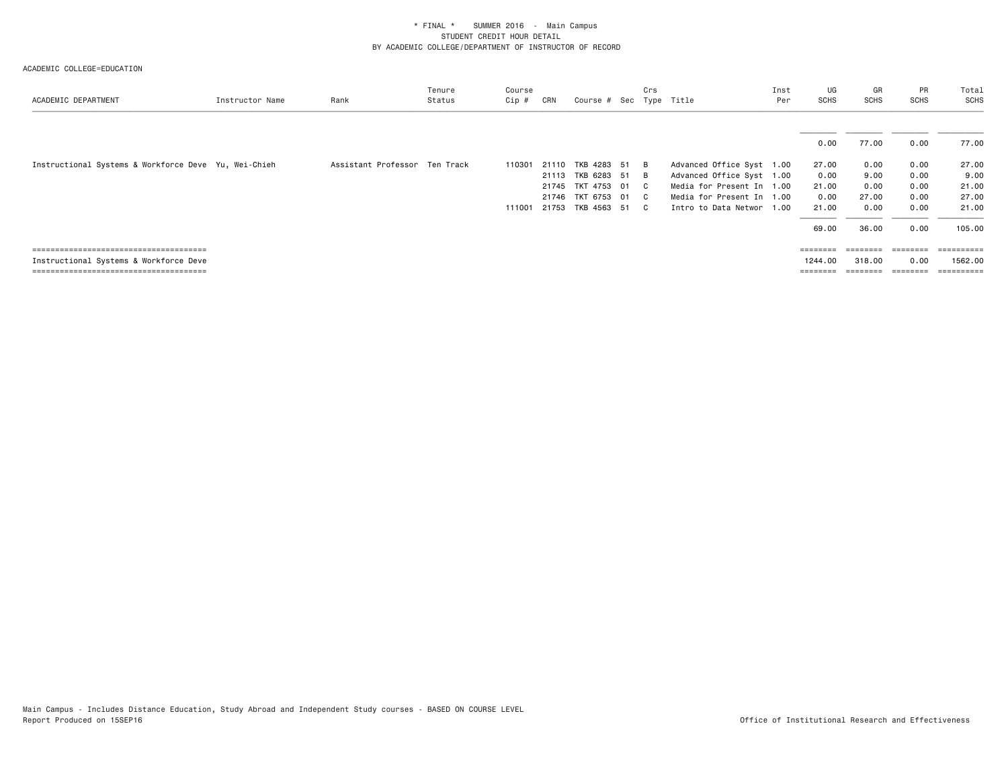| ACADEMIC DEPARTMENT                                  | Instructor Name | Rank                          | Tenure<br>Status | Course<br>Cip # | CRN            | Course # Sec Type Title          | Crs             |                                                        | Inst<br>Per | UG<br>SCHS     | GR<br><b>SCHS</b> | PR<br><b>SCHS</b> | Total<br>SCHS         |
|------------------------------------------------------|-----------------|-------------------------------|------------------|-----------------|----------------|----------------------------------|-----------------|--------------------------------------------------------|-------------|----------------|-------------------|-------------------|-----------------------|
|                                                      |                 |                               |                  |                 |                |                                  |                 |                                                        |             | 0.00           | 77.00             | 0.00              | 77.00                 |
| Instructional Systems & Workforce Deve Yu, Wei-Chieh |                 | Assistant Professor Ten Track |                  | 110301          | 21110<br>21113 | TKB 4283 51<br>TKB 6283 51       | - B<br><b>B</b> | Advanced Office Syst 1.00<br>Advanced Office Syst 1.00 |             | 27.00<br>0.00  | 0.00<br>9.00      | 0.00<br>0.00      | 27.00<br>9.00         |
|                                                      |                 |                               |                  |                 | 21745          | TKT 4753 01<br>21746 TKT 6753 01 | C.<br>C.        | Media for Present In 1.00<br>Media for Present In 1.00 |             | 21.00<br>0.00  | 0.00<br>27.00     | 0.00<br>0.00      | 21.00<br>27.00        |
|                                                      |                 |                               |                  | 111001          | 21753          | TKB 4563 51                      | C.              | Intro to Data Networ 1.00                              |             | 21.00<br>69.00 | 0.00<br>36.00     | 0.00<br>0.00      | 21.00<br>105.00       |
| Instructional Systems & Workforce Deve               |                 |                               |                  |                 |                |                                  |                 |                                                        |             | 1244.00        | 318.00            | 0.00<br>========  | ----------<br>1562.00 |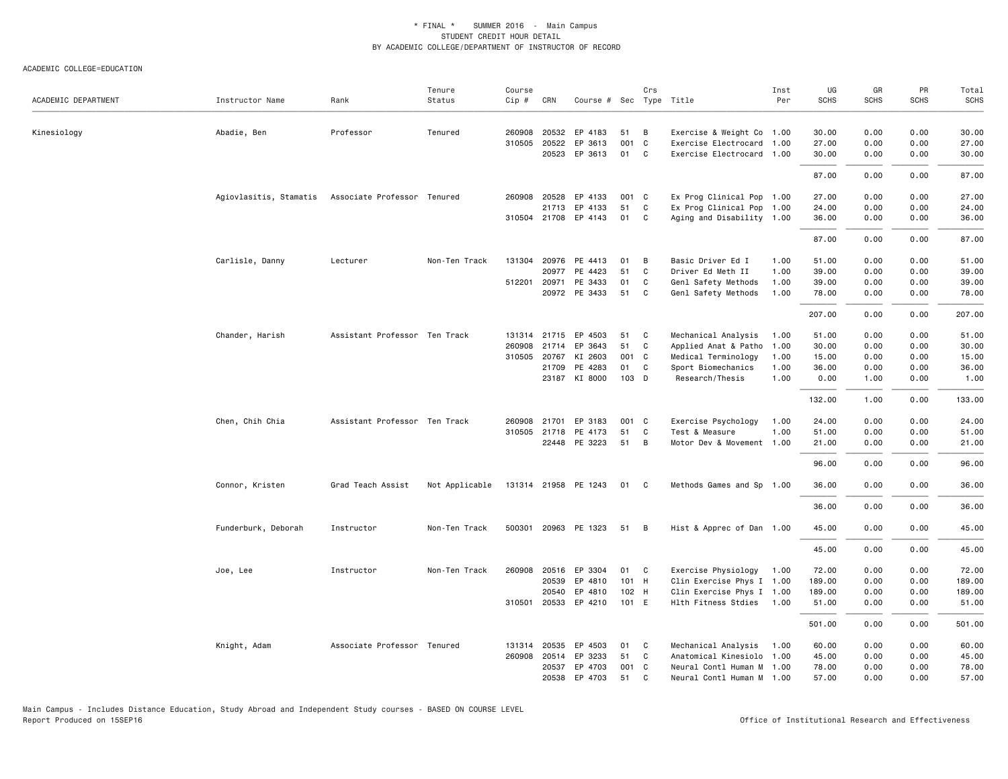| ACADEMIC DEPARTMENT | Instructor Name        | Rank                          | Tenure<br>Status | Course<br>Cip # | CRN          | Course # Sec Type Title         |          | Crs          |                                             | Inst<br>Per  | UG<br><b>SCHS</b> | GR<br><b>SCHS</b> | PR<br><b>SCHS</b> | Total<br><b>SCHS</b> |
|---------------------|------------------------|-------------------------------|------------------|-----------------|--------------|---------------------------------|----------|--------------|---------------------------------------------|--------------|-------------------|-------------------|-------------------|----------------------|
| Kinesiology         | Abadie, Ben            | Professor                     | Tenured          | 260908          | 20532        | EP 4183                         | 51       | В            | Exercise & Weight Co 1.00                   |              | 30.00             | 0.00              | 0.00              | 30.00                |
|                     |                        |                               |                  | 310505 20522    |              | EP 3613                         | 001      | C            | Exercise Electrocard 1.00                   |              | 27.00             | 0.00              | 0.00              | 27.00                |
|                     |                        |                               |                  |                 | 20523        | EP 3613                         | 01       | C            | Exercise Electrocard 1.00                   |              | 30.00             | 0.00              | 0.00              | 30.00                |
|                     |                        |                               |                  |                 |              |                                 |          |              |                                             |              | 87.00             | 0.00              | 0.00              | 87.00                |
|                     | Agiovlasitis, Stamatis | Associate Professor Tenured   |                  | 260908          | 20528        | EP 4133                         | 001 C    |              | Ex Prog Clinical Pop 1.00                   |              | 27.00             | 0.00              | 0.00              | 27.00                |
|                     |                        |                               |                  |                 | 21713        | EP 4133                         | 51       | C            | Ex Prog Clinical Pop 1.00                   |              | 24.00             | 0.00              | 0.00              | 24.00                |
|                     |                        |                               |                  |                 |              | 310504 21708 EP 4143            | 01       | C.           | Aging and Disability 1.00                   |              | 36.00             | 0.00              | 0.00              | 36.00                |
|                     |                        |                               |                  |                 |              |                                 |          |              |                                             |              | 87.00             | 0.00              | 0.00              | 87.00                |
|                     | Carlisle, Danny        | Lecturer                      | Non-Ten Track    |                 | 131304 20976 | PE 4413                         | 01       | В            | Basic Driver Ed I                           | 1.00         | 51.00             | 0.00              | 0.00              | 51.00                |
|                     |                        |                               |                  |                 | 20977        | PE 4423                         | 51       | $\mathbf c$  | Driver Ed Meth II                           | 1.00         | 39.00             | 0.00              | 0.00              | 39.00                |
|                     |                        |                               |                  |                 | 512201 20971 | PE 3433<br>20972 PE 3433        | 01<br>51 | C<br>C       | Genl Safety Methods<br>Genl Safety Methods  | 1.00<br>1.00 | 39.00<br>78.00    | 0.00<br>0.00      | 0.00<br>0.00      | 39.00<br>78.00       |
|                     |                        |                               |                  |                 |              |                                 |          |              |                                             |              | 207.00            | 0.00              | 0.00              | 207.00               |
|                     |                        |                               |                  |                 |              |                                 |          |              |                                             |              |                   |                   |                   |                      |
|                     | Chander, Harish        | Assistant Professor Ten Track |                  | 260908          | 21714        | 131314 21715 EP 4503<br>EP 3643 | 51<br>51 | C<br>C       | Mechanical Analysis<br>Applied Anat & Patho | 1.00<br>1.00 | 51.00<br>30.00    | 0.00<br>0.00      | 0.00<br>0.00      | 51.00<br>30.00       |
|                     |                        |                               |                  | 310505          | 20767        | KI 2603                         | 001 C    |              | Medical Terminology                         | 1.00         | 15.00             | 0.00              | 0.00              | 15.00                |
|                     |                        |                               |                  |                 | 21709        | PE 4283                         | 01       | C            | Sport Biomechanics                          | 1.00         | 36.00             | 0.00              | 0.00              | 36.00                |
|                     |                        |                               |                  |                 |              | 23187 KI 8000                   | 103 D    |              | Research/Thesis                             | 1.00         | 0.00              | 1.00              | 0.00              | 1.00                 |
|                     |                        |                               |                  |                 |              |                                 |          |              |                                             |              | 132.00            | 1.00              | 0.00              | 133.00               |
|                     | Chen, Chih Chia        | Assistant Professor Ten Track |                  | 260908          | 21701        | EP 3183                         | 001      | C            | Exercise Psychology                         | 1.00         | 24.00             | 0.00              | 0.00              | 24.00                |
|                     |                        |                               |                  | 310505 21718    |              | PE 4173                         | 51       | C            | Test & Measure                              | 1.00         | 51.00             | 0.00              | 0.00              | 51.00                |
|                     |                        |                               |                  |                 |              | 22448 PE 3223                   | 51       | B            | Motor Dev & Movement 1.00                   |              | 21.00             | 0.00              | 0.00              | 21.00                |
|                     |                        |                               |                  |                 |              |                                 |          |              |                                             |              | 96.00             | 0.00              | 0.00              | 96.00                |
|                     | Connor, Kristen        | Grad Teach Assist             | Not Applicable   |                 |              | 131314 21958 PE 1243            | 01       | C            | Methods Games and Sp 1.00                   |              | 36.00             | 0.00              | 0.00              | 36.00                |
|                     |                        |                               |                  |                 |              |                                 |          |              |                                             |              | 36.00             | 0.00              | 0.00              | 36.00                |
|                     | Funderburk, Deborah    | Instructor                    | Non-Ten Track    |                 |              | 500301 20963 PE 1323            | 51 B     |              | Hist & Apprec of Dan 1.00                   |              | 45.00             | 0.00              | 0.00              | 45.00                |
|                     |                        |                               |                  |                 |              |                                 |          |              |                                             |              | 45.00             | 0.00              | 0.00              | 45.00                |
|                     | Joe, Lee               | Instructor                    | Non-Ten Track    | 260908          | 20516        | EP 3304                         | 01       | C            | Exercise Physiology                         | 1.00         | 72.00             | 0.00              | 0.00              | 72.00                |
|                     |                        |                               |                  |                 | 20539        | EP 4810                         | 101 H    |              | Clin Exercise Phys I 1.00                   |              | 189.00            | 0.00              | 0.00              | 189.00               |
|                     |                        |                               |                  |                 | 20540        | EP 4810                         | 102 H    |              | Clin Exercise Phys I 1.00                   |              | 189.00            | 0.00              | 0.00              | 189.00               |
|                     |                        |                               |                  | 310501 20533    |              | EP 4210                         | 101 E    |              | Hlth Fitness Stdies                         | 1.00         | 51.00             | 0.00              | 0.00              | 51.00                |
|                     |                        |                               |                  |                 |              |                                 |          |              |                                             |              | 501.00            | 0.00              | 0.00              | 501.00               |
|                     | Knight, Adam           | Associate Professor Tenured   |                  | 131314 20535    |              | EP 4503                         | 01       | C            | Mechanical Analysis                         | 1.00         | 60.00             | 0.00              | 0.00              | 60.00                |
|                     |                        |                               |                  |                 | 260908 20514 | EP 3233                         | 51       | C            | Anatomical Kinesiolo 1.00                   |              | 45.00             | 0.00              | 0.00              | 45.00                |
|                     |                        |                               |                  |                 | 20537        | EP 4703                         | 001      | C            | Neural Contl Human M 1.00                   |              | 78.00             | 0.00              | 0.00              | 78.00                |
|                     |                        |                               |                  |                 | 20538        | EP 4703                         | 51       | $\mathsf{C}$ | Neural Contl Human M 1.00                   |              | 57.00             | 0.00              | 0.00              | 57.00                |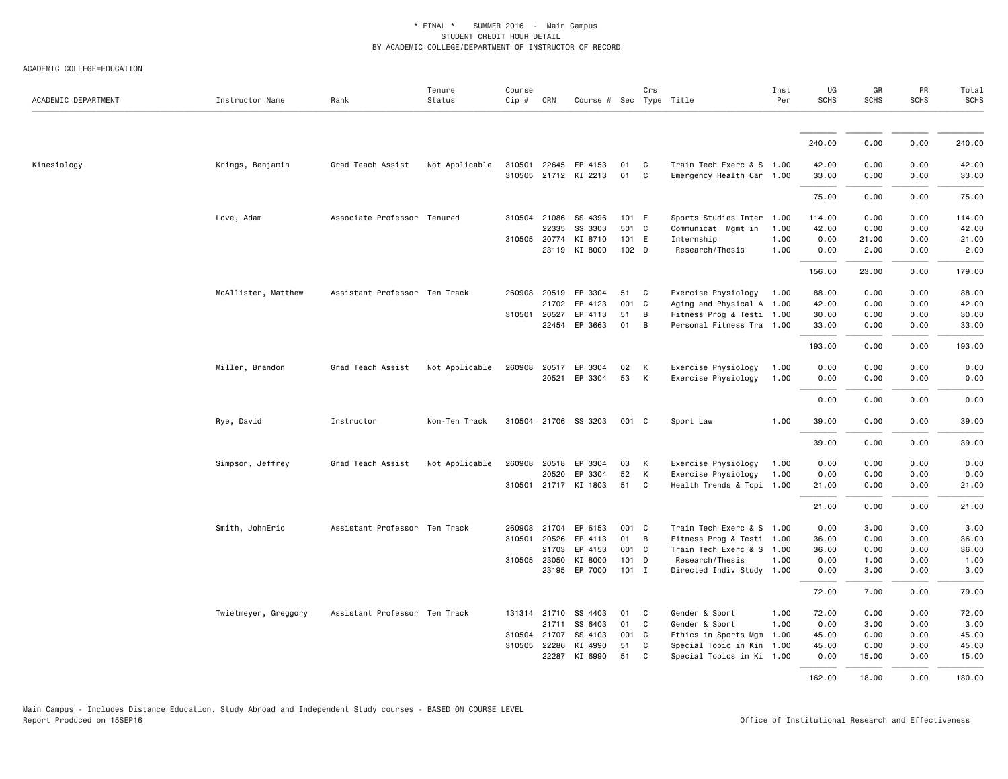| ACADEMIC DEPARTMENT | Instructor Name      | Rank                          | Tenure<br>Status | Course<br>Cip # | CRN          | Course # Sec Type Title |                  | Crs            |                           | Inst<br>Per | UG<br><b>SCHS</b> | GR<br><b>SCHS</b> | PR<br><b>SCHS</b> | Total<br>SCHS |
|---------------------|----------------------|-------------------------------|------------------|-----------------|--------------|-------------------------|------------------|----------------|---------------------------|-------------|-------------------|-------------------|-------------------|---------------|
|                     |                      |                               |                  |                 |              |                         |                  |                |                           |             |                   |                   |                   |               |
|                     |                      |                               |                  |                 |              |                         |                  |                |                           |             | 240.00            | 0.00              | 0.00              | 240.00        |
| Kinesiology         | Krings, Benjamin     | Grad Teach Assist             | Not Applicable   | 310501          |              | 22645 EP 4153           | 01               | C              | Train Tech Exerc & S 1.00 |             | 42.00             | 0.00              | 0.00              | 42.00         |
|                     |                      |                               |                  |                 |              | 310505 21712 KI 2213    | 01               | C              | Emergency Health Car 1.00 |             | 33.00             | 0.00              | 0.00              | 33.00         |
|                     |                      |                               |                  |                 |              |                         |                  |                |                           |             | 75.00             | 0.00              | 0.00              | 75.00         |
|                     | Love, Adam           | Associate Professor Tenured   |                  | 310504          | 21086        | SS 4396                 | 101 E            |                | Sports Studies Inter 1.00 |             | 114.00            | 0.00              | 0.00              | 114.00        |
|                     |                      |                               |                  |                 | 22335        | SS 3303                 | 501 C            |                | Communicat Mgmt in 1.00   |             | 42.00             | 0.00              | 0.00              | 42.00         |
|                     |                      |                               |                  |                 | 310505 20774 | KI 8710                 | 101 E            |                | Internship                | 1.00        | 0.00              | 21.00             | 0.00              | 21.00         |
|                     |                      |                               |                  |                 |              | 23119 KI 8000           | 102 <sub>D</sub> |                | Research/Thesis           | 1.00        | 0.00              | 2.00              | 0.00              | 2.00          |
|                     |                      |                               |                  |                 |              |                         |                  |                |                           |             | 156.00            | 23.00             | 0.00              | 179.00        |
|                     | McAllister, Matthew  | Assistant Professor Ten Track |                  |                 | 260908 20519 | EP 3304                 | 51               | C              | Exercise Physiology 1.00  |             | 88.00             | 0.00              | 0.00              | 88.00         |
|                     |                      |                               |                  |                 | 21702        | EP 4123                 | 001 C            |                | Aging and Physical A 1.00 |             | 42.00             | 0.00              | 0.00              | 42.00         |
|                     |                      |                               |                  |                 | 310501 20527 | EP 4113                 | 51               | B              | Fitness Prog & Testi 1.00 |             | 30.00             | 0.00              | 0.00              | 30.00         |
|                     |                      |                               |                  |                 |              | 22454 EP 3663           | 01               | $\overline{B}$ | Personal Fitness Tra 1.00 |             | 33.00             | 0.00              | 0.00              | 33.00         |
|                     |                      |                               |                  |                 |              |                         |                  |                |                           |             | 193.00            | 0.00              | 0.00              | 193.00        |
|                     | Miller, Brandon      | Grad Teach Assist             | Not Applicable   |                 |              | 260908 20517 EP 3304    | 02               | K              | Exercise Physiology       | 1.00        | 0.00              | 0.00              | 0.00              | 0.00          |
|                     |                      |                               |                  |                 |              | 20521 EP 3304           | 53               | K              | Exercise Physiology       | 1.00        | 0.00              | 0.00              | 0.00              | 0.00          |
|                     |                      |                               |                  |                 |              |                         |                  |                |                           |             | 0.00              | 0.00              | 0.00              | 0.00          |
|                     | Rye, David           | Instructor                    | Non-Ten Track    |                 |              | 310504 21706 SS 3203    | 001 C            |                | Sport Law                 | 1.00        | 39.00             | 0.00              | 0.00              | 39.00         |
|                     |                      |                               |                  |                 |              |                         |                  |                |                           |             | 39.00             | 0.00              | 0.00              | 39.00         |
|                     | Simpson, Jeffrey     | Grad Teach Assist             | Not Applicable   |                 |              | 260908 20518 EP 3304    | 03               | K              | Exercise Physiology       | 1.00        | 0.00              | 0.00              | 0.00              | 0.00          |
|                     |                      |                               |                  |                 | 20520        | EP 3304                 | 52               | K              | Exercise Physiology       | 1.00        | 0.00              | 0.00              | 0.00              | 0.00          |
|                     |                      |                               |                  |                 |              | 310501 21717 KI 1803    | 51 C             |                | Health Trends & Topi 1.00 |             | 21.00             | 0.00              | 0.00              | 21.00         |
|                     |                      |                               |                  |                 |              |                         |                  |                |                           |             | 21.00             | 0.00              | 0.00              | 21.00         |
|                     | Smith, JohnEric      | Assistant Professor Ten Track |                  | 260908          | 21704        | EP 6153                 | 001 C            |                | Train Tech Exerc & S 1.00 |             | 0.00              | 3.00              | 0.00              | 3.00          |
|                     |                      |                               |                  | 310501          | 20526        | EP 4113                 | 01               | B              | Fitness Prog & Testi 1.00 |             | 36.00             | 0.00              | 0.00              | 36.00         |
|                     |                      |                               |                  |                 | 21703        | EP 4153                 | 001 C            |                | Train Tech Exerc & S 1.00 |             | 36.00             | 0.00              | 0.00              | 36.00         |
|                     |                      |                               |                  |                 | 310505 23050 | KI 8000                 | 101 D            |                | Research/Thesis           | 1.00        | 0.00              | 1.00              | 0.00              | 1.00          |
|                     |                      |                               |                  |                 |              | 23195 EP 7000           | $101$ I          |                | Directed Indiv Study 1.00 |             | 0.00              | 3.00              | 0.00              | 3.00          |
|                     |                      |                               |                  |                 |              |                         |                  |                |                           |             | 72.00             | 7.00              | 0.00              | 79.00         |
|                     | Twietmeyer, Greggory | Assistant Professor Ten Track |                  |                 | 131314 21710 | SS 4403                 | 01               | C              | Gender & Sport            | 1.00        | 72.00             | 0.00              | 0.00              | 72.00         |
|                     |                      |                               |                  |                 |              | 21711 SS 6403           | 01               | C              | Gender & Sport            | 1.00        | 0.00              | 3.00              | 0.00              | 3.00          |
|                     |                      |                               |                  | 310504          | 21707        | SS 4103                 | 001 C            |                | Ethics in Sports Mgm 1.00 |             | 45.00             | 0.00              | 0.00              | 45.00         |
|                     |                      |                               |                  |                 | 310505 22286 | KI 4990                 | 51               | C              | Special Topic in Kin 1.00 |             | 45.00             | 0.00              | 0.00              | 45.00         |
|                     |                      |                               |                  |                 | 22287        | KI 6990                 | 51               | $\mathbf{C}$   | Special Topics in Ki 1.00 |             | 0.00              | 15.00             | 0.00              | 15.00         |
|                     |                      |                               |                  |                 |              |                         |                  |                |                           |             | 162.00            | 18,00             | 0.00              | 180.00        |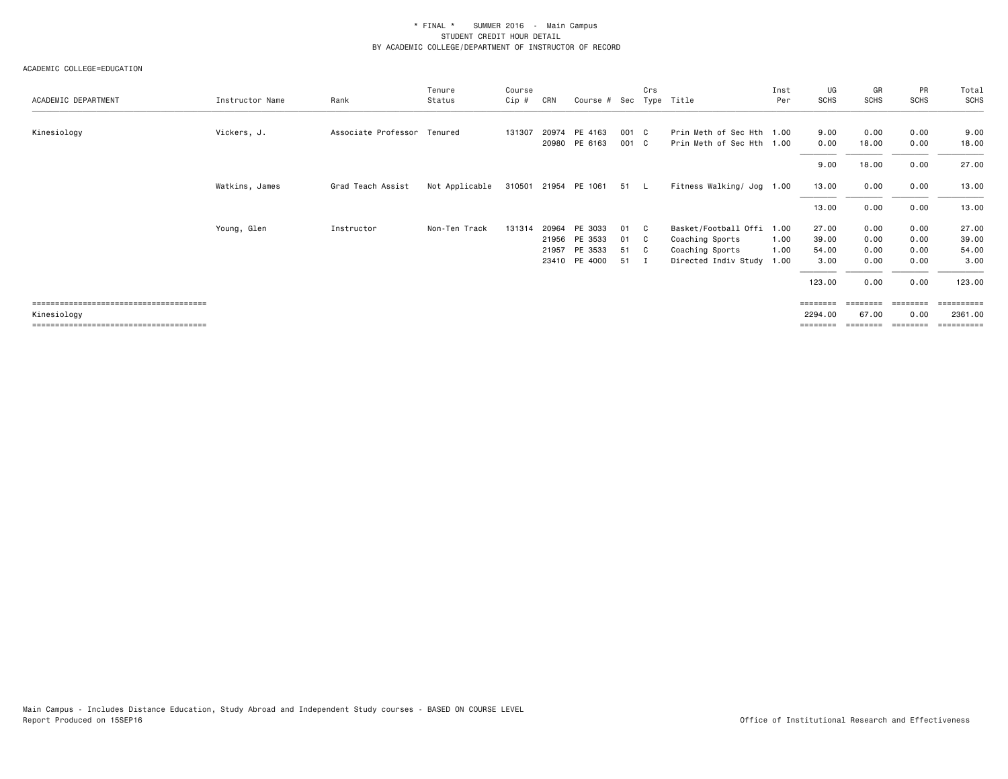|                     |                 |                             | Tenure         | Course |       |                         |       | Crs          |                           | Inst | UG          | GR          | PR          | Total            |
|---------------------|-----------------|-----------------------------|----------------|--------|-------|-------------------------|-------|--------------|---------------------------|------|-------------|-------------|-------------|------------------|
| ACADEMIC DEPARTMENT | Instructor Name | Rank                        | Status         | Cip #  | CRN   | Course # Sec Type Title |       |              |                           | Per  | <b>SCHS</b> | <b>SCHS</b> | <b>SCHS</b> | SCHS             |
|                     |                 |                             |                |        |       |                         |       |              |                           |      |             |             |             |                  |
| Kinesiology         | Vickers, J.     | Associate Professor Tenured |                | 131307 |       | 20974 PE 4163           | 001 C |              | Prin Meth of Sec Hth 1.00 |      | 9.00        | 0.00        | 0.00        | 9.00             |
|                     |                 |                             |                |        | 20980 | PE 6163                 | 001 C |              | Prin Meth of Sec Hth 1.00 |      | 0.00        | 18.00       | 0.00        | 18.00            |
|                     |                 |                             |                |        |       |                         |       |              |                           |      | 9.00        | 18.00       | 0.00        | 27.00            |
|                     | Watkins, James  | Grad Teach Assist           | Not Applicable |        |       | 310501 21954 PE 1061    | 51 L  |              | Fitness Walking/ Jog 1.00 |      | 13.00       | 0.00        | 0.00        | 13.00            |
|                     |                 |                             |                |        |       |                         |       |              |                           |      | 13.00       | 0.00        | 0.00        | 13.00            |
|                     | Young, Glen     | Instructor                  | Non-Ten Track  | 131314 | 20964 | PE 3033                 | 01    | C .          | Basket/Football Offi 1.00 |      | 27.00       | 0.00        | 0.00        | 27.00            |
|                     |                 |                             |                |        | 21956 | PE 3533                 | 01    | C            | Coaching Sports           | 1.00 | 39.00       | 0.00        | 0.00        | 39.00            |
|                     |                 |                             |                |        | 21957 | PE 3533                 | 51    | - C          | Coaching Sports           | 1.00 | 54.00       | 0.00        | 0.00        | 54.00            |
|                     |                 |                             |                |        |       | 23410 PE 4000           | 51    | $\mathbf{I}$ | Directed Indiv Study 1.00 |      | 3.00        | 0.00        | 0.00        | 3.00             |
|                     |                 |                             |                |        |       |                         |       |              |                           |      | 123.00      | 0.00        | 0.00        | 123.00           |
|                     |                 |                             |                |        |       |                         |       |              |                           |      | ========    |             |             | =======          |
| Kinesiology         |                 |                             |                |        |       |                         |       |              |                           |      | 2294.00     | 67.00       | 0.00        | 2361.00          |
|                     |                 |                             |                |        |       |                         |       |              |                           |      | ========    | ========    | ========    | <b>ESSESSEES</b> |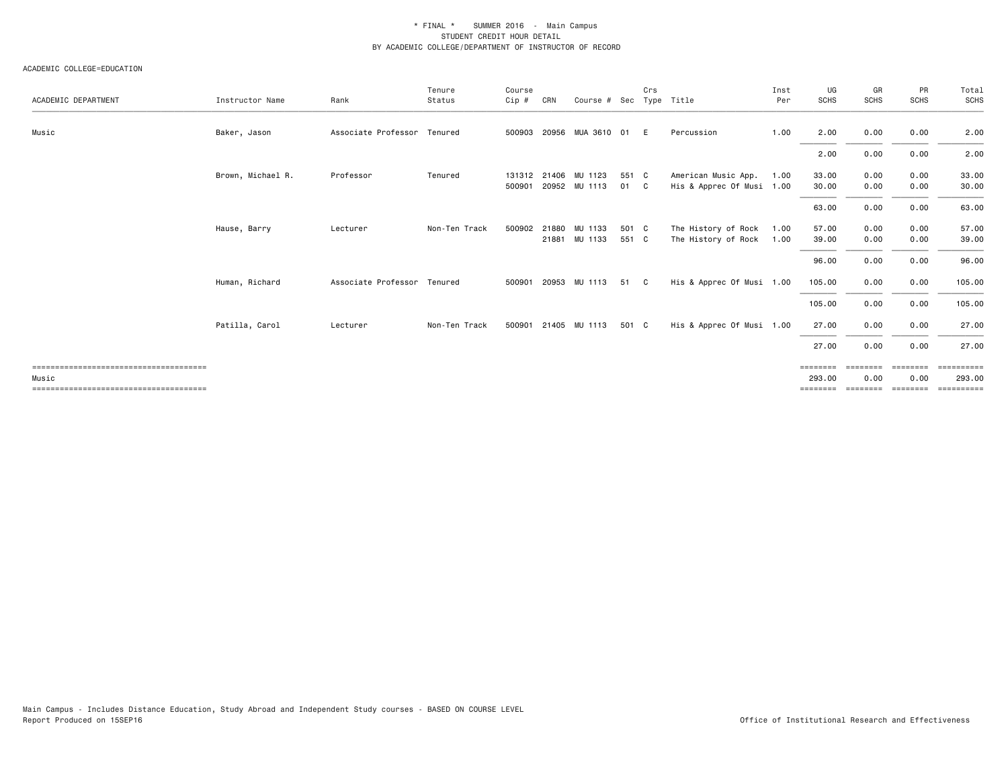|                     |                   |                             | Tenure        | Course |     |                                       |                | Crs |                                                  | Inst         | UG                             | GR                            | PR                            | Total                            |
|---------------------|-------------------|-----------------------------|---------------|--------|-----|---------------------------------------|----------------|-----|--------------------------------------------------|--------------|--------------------------------|-------------------------------|-------------------------------|----------------------------------|
| ACADEMIC DEPARTMENT | Instructor Name   | Rank                        | Status        | Cip #  | CRN | Course # Sec                          |                |     | Type Title                                       | Per          | SCHS                           | <b>SCHS</b>                   | <b>SCHS</b>                   | SCHS                             |
| Music               | Baker, Jason      | Associate Professor Tenured |               | 500903 |     | 20956 MUA 3610 01                     |                | E   | Percussion                                       | 1.00         | 2.00                           | 0.00                          | 0.00                          | 2.00                             |
|                     |                   |                             |               |        |     |                                       |                |     |                                                  |              | 2.00                           | 0.00                          | 0.00                          | 2.00                             |
|                     | Brown, Michael R. | Professor                   | Tenured       | 500901 |     | 131312 21406 MU 1123<br>20952 MU 1113 | 551 C<br>01 C  |     | American Music App.<br>His & Apprec Of Musi 1.00 | 1.00         | 33.00<br>30.00                 | 0.00<br>0.00                  | 0.00<br>0.00                  | 33.00<br>30.00                   |
|                     |                   |                             |               |        |     |                                       |                |     |                                                  |              | 63.00                          | 0.00                          | 0.00                          | 63.00                            |
|                     | Hause, Barry      | Lecturer                    | Non-Ten Track | 500902 |     | 21880 MU 1133<br>21881 MU 1133        | 501 C<br>551 C |     | The History of Rock<br>The History of Rock       | 1.00<br>1.00 | 57.00<br>39.00                 | 0.00<br>0.00                  | 0.00<br>0.00                  | 57.00<br>39.00                   |
|                     |                   |                             |               |        |     |                                       |                |     |                                                  |              | 96.00                          | 0.00                          | 0.00                          | 96.00                            |
|                     | Human, Richard    | Associate Professor Tenured |               | 500901 |     | 20953 MU 1113                         | 51             | C   | His & Apprec Of Musi 1.00                        |              | 105.00                         | 0.00                          | 0.00                          | 105.00                           |
|                     |                   |                             |               |        |     |                                       |                |     |                                                  |              | 105.00                         | 0.00                          | 0.00                          | 105.00                           |
|                     | Patilla, Carol    | Lecturer                    | Non-Ten Track |        |     | 500901 21405 MU 1113                  | 501 C          |     | His & Apprec Of Musi 1.00                        |              | 27.00                          | 0.00                          | 0.00                          | 27.00                            |
|                     |                   |                             |               |        |     |                                       |                |     |                                                  |              | 27.00                          | 0.00                          | 0.00                          | 27.00                            |
| Music               |                   |                             |               |        |     |                                       |                |     |                                                  |              | ========<br>293.00<br>======== | ========<br>0.00<br>--------- | ========<br>0.00<br>--------- | ==========<br>293.00<br>EEEEEEEE |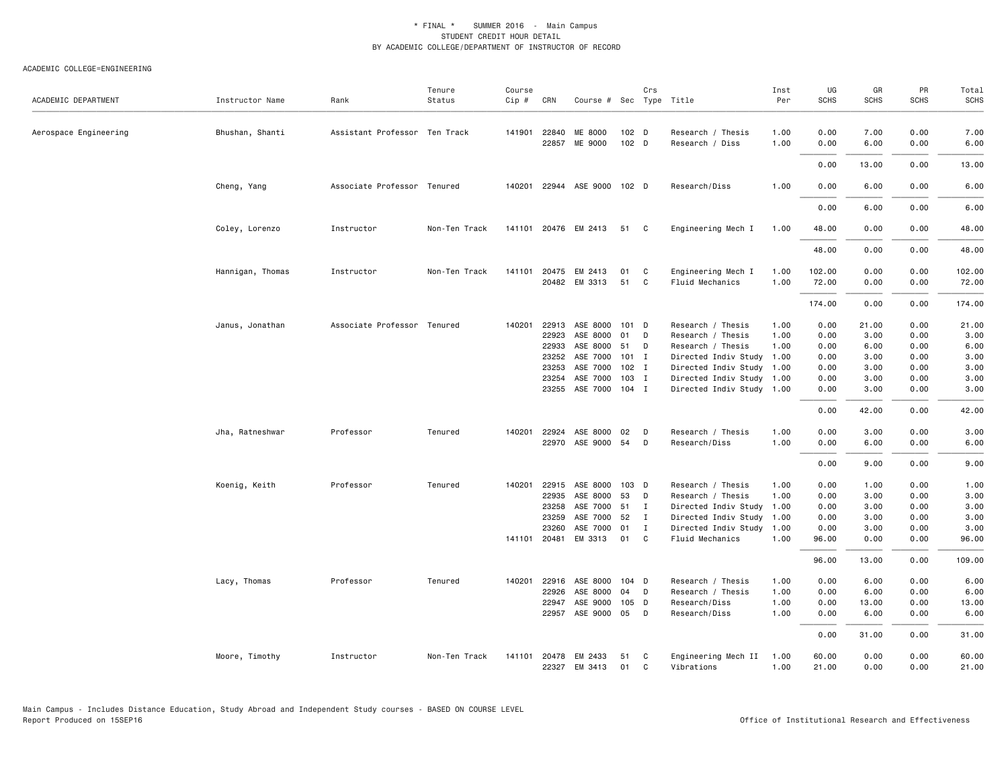| ACADEMIC DEPARTMENT   | Instructor Name  | Rank                          | Tenure<br>Status | Course<br>Cip # | CRN            | Course # Sec Type Title  |                | Crs          |                                        | Inst<br>Per  | UG<br><b>SCHS</b> | GR<br><b>SCHS</b> | PR<br><b>SCHS</b> | Total<br><b>SCHS</b> |
|-----------------------|------------------|-------------------------------|------------------|-----------------|----------------|--------------------------|----------------|--------------|----------------------------------------|--------------|-------------------|-------------------|-------------------|----------------------|
| Aerospace Engineering | Bhushan, Shanti  | Assistant Professor Ten Track |                  | 141901          | 22840<br>22857 | ME 8000<br>ME 9000       | 102 D<br>102 D |              | Research / Thesis<br>Research / Diss   | 1.00<br>1.00 | 0.00<br>0.00      | 7.00<br>6.00      | 0.00<br>0.00      | 7.00<br>6.00         |
|                       |                  |                               |                  |                 |                |                          |                |              |                                        |              | 0.00              | 13.00             | 0.00              | 13.00                |
|                       | Cheng, Yang      | Associate Professor Tenured   |                  | 140201          |                | 22944 ASE 9000 102 D     |                |              | Research/Diss                          | 1.00         | 0.00              | 6.00              | 0.00              | 6.00                 |
|                       |                  |                               |                  |                 |                |                          |                |              |                                        |              | 0.00              | 6.00              | 0.00              | 6.00                 |
|                       | Coley, Lorenzo   | Instructor                    | Non-Ten Track    |                 |                | 141101 20476 EM 2413     | 51 C           |              | Engineering Mech I                     | 1.00         | 48.00             | 0.00              | 0.00              | 48.00                |
|                       |                  |                               |                  |                 |                |                          |                |              |                                        |              | 48.00             | 0.00              | 0.00              | 48.00                |
|                       | Hannigan, Thomas | Instructor                    | Non-Ten Track    | 141101          | 20475          | EM 2413<br>20482 EM 3313 | 01<br>51 C     | C            | Engineering Mech I<br>Fluid Mechanics  | 1.00<br>1.00 | 102.00<br>72.00   | 0.00<br>0.00      | 0.00<br>0.00      | 102.00<br>72.00      |
|                       |                  |                               |                  |                 |                |                          |                |              |                                        |              | 174.00            | 0.00              | 0.00              | 174.00               |
|                       | Janus, Jonathan  | Associate Professor Tenured   |                  | 140201          | 22913<br>22923 | ASE 8000<br>ASE 8000     | 101 D<br>01    | D            | Research / Thesis<br>Research / Thesis | 1.00<br>1.00 | 0.00<br>0.00      | 21.00<br>3.00     | 0.00<br>0.00      | 21.00<br>3.00        |
|                       |                  |                               |                  |                 | 22933          | ASE 8000                 | 51             | D            | Research / Thesis                      | 1.00         | 0.00              | 6.00              | 0.00              | 6.00                 |
|                       |                  |                               |                  |                 | 23252          | ASE 7000                 | 101 I          |              | Directed Indiv Study 1.00              |              | 0.00              | 3.00              | 0.00              | 3.00                 |
|                       |                  |                               |                  |                 | 23253          | ASE 7000                 | 102 I          |              | Directed Indiv Study 1.00              |              | 0.00              | 3.00              | 0.00              | 3.00                 |
|                       |                  |                               |                  |                 | 23254          | ASE 7000                 | 103 I          |              | Directed Indiv Study 1.00              |              | 0.00              | 3.00              | 0.00              | 3.00                 |
|                       |                  |                               |                  |                 | 23255          | ASE 7000 104 I           |                |              | Directed Indiv Study 1.00              |              | 0.00              | 3.00              | 0.00              | 3.00                 |
|                       |                  |                               |                  |                 |                |                          |                |              |                                        |              | 0.00              | 42.00             | 0.00              | 42.00                |
|                       |                  |                               |                  |                 |                |                          |                |              |                                        |              |                   |                   |                   |                      |
|                       | Jha, Ratneshwar  | Professor                     | Tenured          | 140201          | 22924<br>22970 | ASE 8000<br>ASE 9000 54  | 02             | D<br>D       | Research / Thesis<br>Research/Diss     | 1.00<br>1.00 | 0.00<br>0.00      | 3.00<br>6.00      | 0.00<br>0.00      | 3.00<br>6.00         |
|                       |                  |                               |                  |                 |                |                          |                |              |                                        |              | 0.00              | 9.00              | 0.00              | 9.00                 |
|                       | Koenig, Keith    | Professor                     | Tenured          | 140201          | 22915          | ASE 8000                 | 103 D          |              | Research / Thesis                      | 1.00         | 0.00              | 1.00              | 0.00              | 1.00                 |
|                       |                  |                               |                  |                 | 22935          | ASE 8000                 | 53             | D            | Research / Thesis                      | 1.00         | 0.00              | 3.00              | 0.00              | 3.00                 |
|                       |                  |                               |                  |                 | 23258          | ASE 7000                 | 51             | $\mathbf{I}$ | Directed Indiv Study 1.00              |              | 0.00              | 3.00              | 0.00              | 3.00                 |
|                       |                  |                               |                  |                 | 23259          | ASE 7000                 | 52             | I            | Directed Indiv Study 1.00              |              | 0.00              | 3.00              | 0.00              | 3.00                 |
|                       |                  |                               |                  |                 | 23260          | ASE 7000                 | 01             | $\mathbf{I}$ | Directed Indiv Study 1.00              |              | 0.00              | 3.00              | 0.00              | 3.00                 |
|                       |                  |                               |                  |                 | 141101 20481   | EM 3313                  | 01             | C            | Fluid Mechanics                        | 1.00         | 96.00             | 0.00              | 0.00              | 96.00                |
|                       |                  |                               |                  |                 |                |                          |                |              |                                        |              | 96.00             | 13.00             | 0.00              | 109.00               |
|                       | Lacy, Thomas     | Professor                     | Tenured          | 140201          | 22916          | ASE 8000                 | 104 D          |              | Research / Thesis                      | 1.00         | 0.00              | 6.00              | 0.00              | 6.00                 |
|                       |                  |                               |                  |                 | 22926          | ASE 8000                 | 04             | D            | Research / Thesis                      | 1.00         | 0.00              | 6.00              | 0.00              | 6.00                 |
|                       |                  |                               |                  |                 | 22947          | ASE 9000                 | 105 D          |              | Research/Diss                          | 1.00         | 0.00              | 13.00             | 0.00              | 13.00                |
|                       |                  |                               |                  |                 |                | 22957 ASE 9000 05 D      |                |              | Research/Diss                          | 1.00         | 0.00              | 6.00              | 0.00              | 6.00                 |
|                       |                  |                               |                  |                 |                |                          |                |              |                                        |              | 0.00              | 31.00             | 0.00              | 31.00                |
|                       | Moore, Timothy   | Instructor                    | Non-Ten Track    | 141101          | 20478<br>22327 | EM 2433<br>EM 3413       | 51<br>01       | C<br>C       | Engineering Mech II<br>Vibrations      | 1.00<br>1.00 | 60.00<br>21.00    | 0.00<br>0.00      | 0.00<br>0.00      | 60.00<br>21.00       |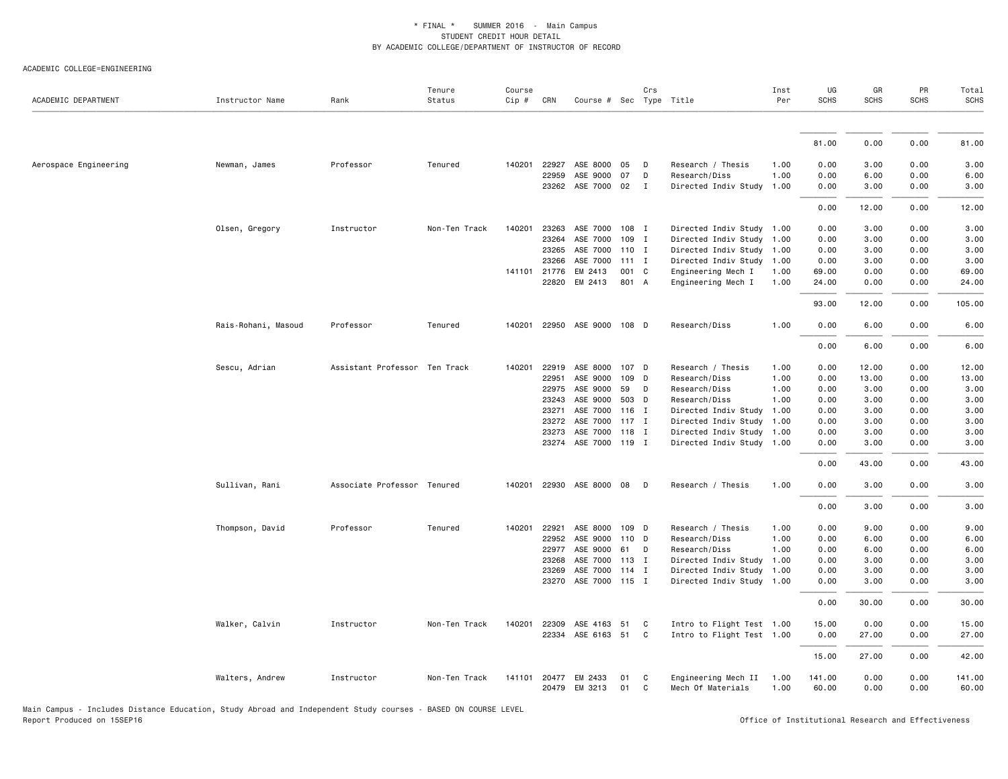#### ACADEMIC COLLEGE=ENGINEERING

| ACADEMIC DEPARTMENT   | Instructor Name     | Rank                          | Tenure<br>Status | Course<br>Cip # | CRN          | Course # Sec Type Title |         | Crs          |                           | Inst<br>Per | UG<br><b>SCHS</b> | GR<br><b>SCHS</b> | PR<br><b>SCHS</b> | Total<br><b>SCHS</b> |
|-----------------------|---------------------|-------------------------------|------------------|-----------------|--------------|-------------------------|---------|--------------|---------------------------|-------------|-------------------|-------------------|-------------------|----------------------|
|                       |                     |                               |                  |                 |              |                         |         |              |                           |             |                   |                   |                   |                      |
|                       |                     |                               |                  |                 |              |                         |         |              |                           |             | 81.00             | 0.00              | 0.00              | 81.00                |
| Aerospace Engineering | Newman, James       | Professor                     | Tenured          | 140201          | 22927        | ASE 8000                | 05      | D            | Research / Thesis         | 1.00        | 0.00              | 3.00              | 0.00              | 3.00                 |
|                       |                     |                               |                  |                 | 22959        | ASE 9000                | 07      | D            | Research/Diss             | 1.00        | 0.00              | 6.00              | 0.00              | 6.00                 |
|                       |                     |                               |                  |                 |              | 23262 ASE 7000 02       |         | $\mathbf{I}$ | Directed Indiv Study 1.00 |             | 0.00              | 3.00              | 0.00              | 3.00                 |
|                       |                     |                               |                  |                 |              |                         |         |              |                           |             | 0.00              | 12.00             | 0.00              | 12.00                |
|                       | Olsen, Gregory      | Instructor                    | Non-Ten Track    | 140201          | 23263        | ASE 7000                | 108 I   |              | Directed Indiv Study 1.00 |             | 0.00              | 3.00              | 0.00              | 3.00                 |
|                       |                     |                               |                  |                 | 23264        | ASE 7000                | 109     | I            | Directed Indiv Study 1.00 |             | 0.00              | 3.00              | 0.00              | 3.00                 |
|                       |                     |                               |                  |                 | 23265        | ASE 7000 110 I          |         |              | Directed Indiv Study 1.00 |             | 0.00              | 3.00              | 0.00              | 3.00                 |
|                       |                     |                               |                  |                 | 23266        | ASE 7000                | $111$ I |              | Directed Indiv Study 1.00 |             | 0.00              | 3.00              | 0.00              | 3.00                 |
|                       |                     |                               |                  |                 | 141101 21776 | EM 2413                 | 001 C   |              | Engineering Mech I        | 1.00        | 69.00             | 0.00              | 0.00              | 69.00                |
|                       |                     |                               |                  |                 | 22820        | EM 2413                 | 801 A   |              | Engineering Mech I        | 1.00        | 24.00             | 0.00              | 0.00              | 24.00                |
|                       |                     |                               |                  |                 |              |                         |         |              |                           |             | 93.00             | 12.00             | 0.00              | 105.00               |
|                       | Rais-Rohani, Masoud | Professor                     | Tenured          | 140201          |              | 22950 ASE 9000 108 D    |         |              | Research/Diss             | 1.00        | 0.00              | 6.00              | 0.00              | 6.00                 |
|                       |                     |                               |                  |                 |              |                         |         |              |                           |             | 0.00              | 6.00              | 0.00              | 6.00                 |
|                       | Sescu, Adrian       | Assistant Professor Ten Track |                  | 140201          | 22919        | ASE 8000                | 107 D   |              | Research / Thesis         | 1.00        | 0.00              | 12.00             | 0.00              | 12.00                |
|                       |                     |                               |                  |                 | 22951        | ASE 9000                | 109     | D            | Research/Diss             | 1.00        | 0.00              | 13.00             | 0.00              | 13.00                |
|                       |                     |                               |                  |                 | 22975        | ASE 9000                | 59      | D            | Research/Diss             | 1.00        | 0.00              | 3.00              | 0.00              | 3.00                 |
|                       |                     |                               |                  |                 | 23243        | ASE 9000                | 503 D   |              | Research/Diss             | 1.00        | 0.00              | 3.00              | 0.00              | 3.00                 |
|                       |                     |                               |                  |                 | 23271        | ASE 7000                | 116 I   |              | Directed Indiv Study      | 1.00        | 0.00              | 3.00              | 0.00              | 3.00                 |
|                       |                     |                               |                  |                 | 23272        | ASE 7000                | $117$ I |              | Directed Indiv Study 1.00 |             | 0.00              | 3.00              | 0.00              | 3.00                 |
|                       |                     |                               |                  |                 | 23273        | ASE 7000                | 118 I   |              | Directed Indiv Study 1.00 |             | 0.00              | 3.00              | 0.00              | 3.00                 |
|                       |                     |                               |                  |                 | 23274        | ASE 7000 119 I          |         |              | Directed Indiv Study 1.00 |             | 0.00              | 3.00              | 0.00              | 3.00                 |
|                       |                     |                               |                  |                 |              |                         |         |              |                           |             | 0.00              | 43.00             | 0.00              | 43.00                |
|                       | Sullivan, Rani      | Associate Professor Tenured   |                  | 140201          |              | 22930 ASE 8000 08       |         | D            | Research / Thesis         | 1.00        | 0.00              | 3.00              | 0.00              | 3.00                 |
|                       |                     |                               |                  |                 |              |                         |         |              |                           |             | 0.00              | 3.00              | 0.00              | 3.00                 |
|                       | Thompson, David     | Professor                     | Tenured          | 140201          | 22921        | ASE 8000                | 109     | D            | Research / Thesis         | 1.00        | 0.00              | 9.00              | 0.00              | 9.00                 |
|                       |                     |                               |                  |                 | 22952        | ASE 9000                | 110 D   |              | Research/Diss             | 1.00        | 0.00              | 6.00              | 0.00              | 6.00                 |
|                       |                     |                               |                  |                 | 22977        | ASE 9000                | 61      | D            | Research/Diss             | 1.00        | 0.00              | 6.00              | 0.00              | 6.00                 |
|                       |                     |                               |                  |                 | 23268        | ASE 7000                | 113 I   |              | Directed Indiv Study 1.00 |             | 0.00              | 3.00              | 0.00              | 3.00                 |
|                       |                     |                               |                  |                 | 23269        | ASE 7000 114 I          |         |              | Directed Indiv Study 1.00 |             | 0.00              | 3.00              | 0.00              | 3.00                 |
|                       |                     |                               |                  |                 |              | 23270 ASE 7000 115 I    |         |              | Directed Indiv Study 1.00 |             | 0.00              | 3.00              | 0.00              | 3.00                 |
|                       |                     |                               |                  |                 |              |                         |         |              |                           |             | 0.00              | 30.00             | 0.00              | 30.00                |
|                       | Walker, Calvin      | Instructor                    | Non-Ten Track    | 140201          | 22309        | ASE 4163 51             |         | C            | Intro to Flight Test 1.00 |             | 15.00             | 0.00              | 0.00              | 15.00                |
|                       |                     |                               |                  |                 |              | 22334 ASE 6163 51       |         | C            | Intro to Flight Test 1.00 |             | 0.00              | 27.00             | 0.00              | 27.00                |
|                       |                     |                               |                  |                 |              |                         |         |              |                           |             | 15.00             | 27.00             | 0.00              | 42.00                |
|                       | Walters, Andrew     | Instructor                    | Non-Ten Track    | 141101          | 20477        | EM 2433                 | 01      | C            | Engineering Mech II       | 1.00        | 141.00            | 0.00              | 0.00              | 141.00               |
|                       |                     |                               |                  |                 | 20479        | EM 3213                 | 01      | C            | Mech Of Materials         | 1.00        | 60.00             | 0.00              | 0.00              | 60.00                |

Main Campus - Includes Distance Education, Study Abroad and Independent Study courses - BASED ON COURSE LEVEL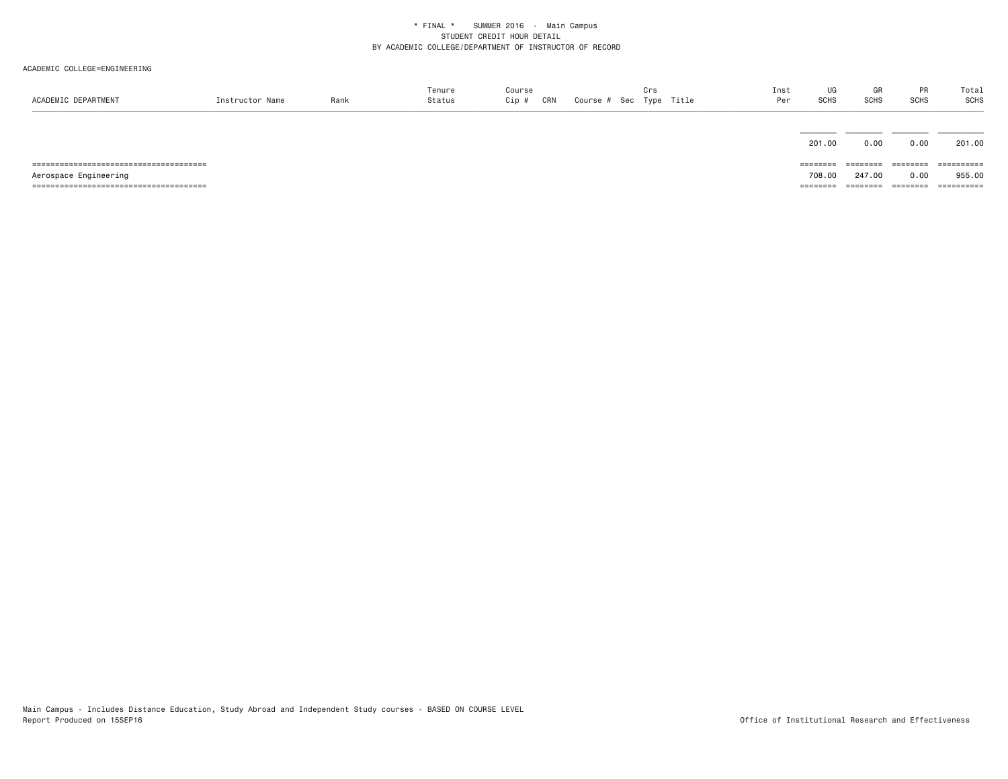| ACADEMIC DEPARTMENT   | Instructor Name | Rank | Tenure<br>Status | Course<br>CRN<br>Cip # | Crs<br>Course # Sec Type Title | Inst<br>Per | UG<br>SCHS         | GR<br><b>SCHS</b> | <b>PR</b><br><b>SCHS</b> | Total<br>SCHS        |
|-----------------------|-----------------|------|------------------|------------------------|--------------------------------|-------------|--------------------|-------------------|--------------------------|----------------------|
|                       |                 |      |                  |                        |                                |             |                    |                   |                          |                      |
|                       |                 |      |                  |                        |                                |             | 201.00<br>======== | 0.00<br>========  | 0.00<br>========         | 201.00<br>========== |
|                       |                 |      |                  |                        |                                |             |                    | 247.00            |                          | 955,00               |
| Aerospace Engineering |                 |      |                  |                        |                                |             | 708,00<br>======== | ---------         | 0.00<br>========         | ==========           |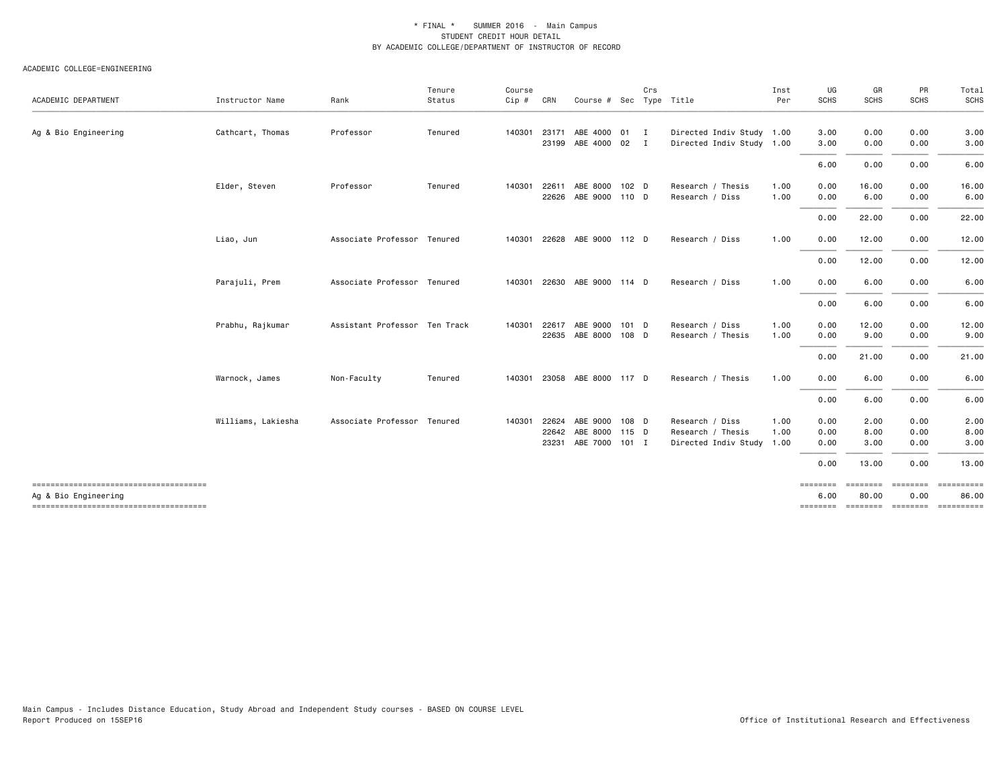| ACADEMIC DEPARTMENT                                           | Instructor Name    | Rank                          | Tenure<br>Status | Course<br>$Cip$ # | CRN   | Course # Sec Type Title     |       | Crs          |                           | Inst<br>Per | UG<br>SCHS       | GR<br><b>SCHS</b> | PR<br><b>SCHS</b> | Total<br>SCHS                       |
|---------------------------------------------------------------|--------------------|-------------------------------|------------------|-------------------|-------|-----------------------------|-------|--------------|---------------------------|-------------|------------------|-------------------|-------------------|-------------------------------------|
|                                                               |                    |                               |                  |                   |       |                             |       |              |                           |             |                  |                   |                   |                                     |
| Ag & Bio Engineering                                          | Cathcart, Thomas   | Professor                     | Tenured          | 140301            | 23171 | ABE 4000 01                 |       | $\mathbf{I}$ | Directed Indiv Study 1.00 |             | 3.00             | 0.00              | 0.00              | 3.00                                |
|                                                               |                    |                               |                  |                   | 23199 | ABE 4000 02 I               |       |              | Directed Indiv Study 1.00 |             | 3.00             | 0.00              | 0.00              | 3.00                                |
|                                                               |                    |                               |                  |                   |       |                             |       |              |                           |             | 6.00             | 0.00              | 0.00              | 6.00                                |
|                                                               | Elder, Steven      | Professor                     | Tenured          | 140301            | 22611 | ABE 8000 102 D              |       |              | Research / Thesis         | 1.00        | 0.00             | 16.00             | 0.00              | 16.00                               |
|                                                               |                    |                               |                  |                   | 22626 | ABE 9000 110 D              |       |              | Research / Diss           | 1.00        | 0.00             | 6.00              | 0.00              | 6.00                                |
|                                                               |                    |                               |                  |                   |       |                             |       |              |                           |             | 0.00             | 22.00             | 0.00              | 22.00                               |
|                                                               | Liao, Jun          | Associate Professor Tenured   |                  | 140301            |       | 22628 ABE 9000 112 D        |       |              | Research / Diss           | 1.00        | 0.00             | 12.00             | 0.00              | 12.00                               |
|                                                               |                    |                               |                  |                   |       |                             |       |              |                           |             | 0.00             | 12.00             | 0.00              | 12.00                               |
|                                                               | Parajuli, Prem     | Associate Professor Tenured   |                  | 140301            |       | 22630 ABE 9000 114 D        |       |              | Research / Diss           | 1.00        | 0.00             | 6.00              | 0.00              | 6.00                                |
|                                                               |                    |                               |                  |                   |       |                             |       |              |                           |             | 0.00             | 6.00              | 0.00              | 6.00                                |
|                                                               | Prabhu, Rajkumar   | Assistant Professor Ten Track |                  | 140301            | 22617 | ABE 9000                    | 101 D |              | Research / Diss           | 1.00        | 0.00             | 12.00             | 0.00              | 12.00                               |
|                                                               |                    |                               |                  |                   | 22635 | ABE 8000 108 D              |       |              | Research / Thesis         | 1.00        | 0.00             | 9.00              | 0.00              | 9.00                                |
|                                                               |                    |                               |                  |                   |       |                             |       |              |                           |             | 0.00             | 21.00             | 0.00              | 21.00                               |
|                                                               | Warnock, James     | Non-Faculty                   | Tenured          |                   |       | 140301 23058 ABE 8000 117 D |       |              | Research / Thesis         | 1.00        | 0.00             | 6.00              | 0.00              | 6.00                                |
|                                                               |                    |                               |                  |                   |       |                             |       |              |                           |             | 0.00             | 6.00              | 0.00              | 6.00                                |
|                                                               | Williams, Lakiesha | Associate Professor Tenured   |                  | 140301            | 22624 | ABE 9000                    | 108 D |              | Research / Diss           | 1.00        | 0.00             | 2.00              | 0.00              | 2.00                                |
|                                                               |                    |                               |                  |                   | 22642 | ABE 8000 115 D              |       |              | Research / Thesis         | 1.00        | 0.00             | 8.00              | 0.00              | 8.00                                |
|                                                               |                    |                               |                  |                   | 23231 | ABE 7000 101 I              |       |              | Directed Indiv Study 1.00 |             | 0.00             | 3.00              | 0.00              | 3.00                                |
|                                                               |                    |                               |                  |                   |       |                             |       |              |                           |             | 0.00             | 13.00             | 0.00              | 13.00                               |
| -------------------------------------<br>Ag & Bio Engineering |                    |                               |                  |                   |       |                             |       |              |                           |             | ========<br>6.00 | ========<br>80.00 | ========<br>0.00  | ==========<br>86.00                 |
| -------------------------------------                         |                    |                               |                  |                   |       |                             |       |              |                           |             |                  |                   |                   | -------- ------- -------- --------- |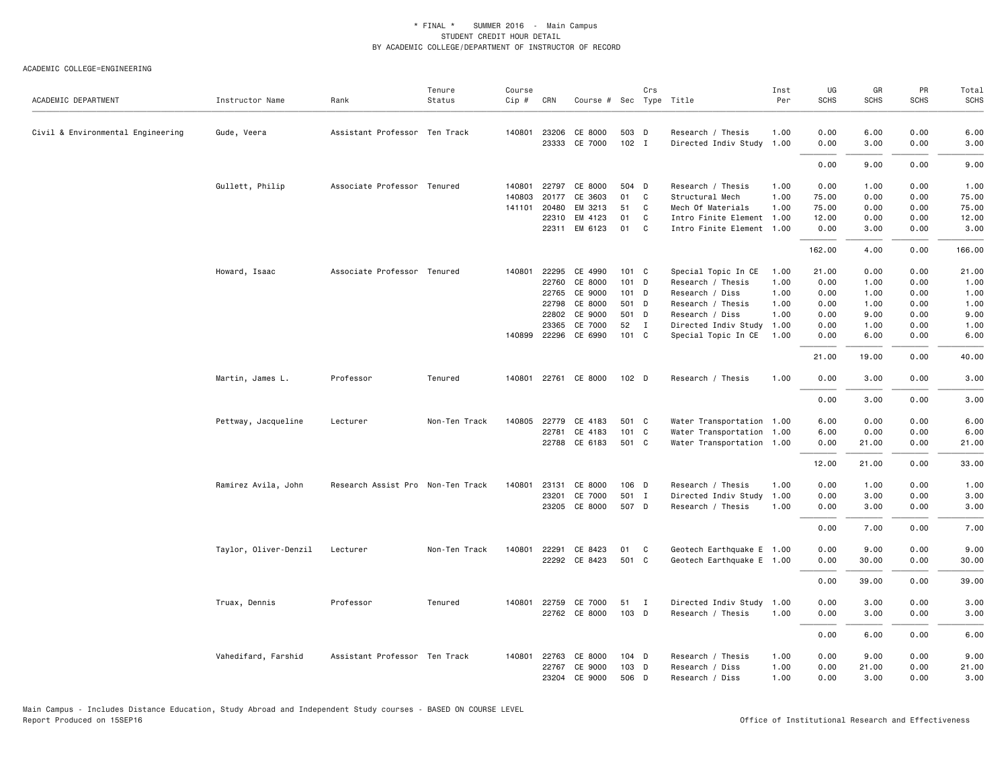| ACADEMIC DEPARTMENT               | Instructor Name       | Rank                              | Tenure<br>Status | Course<br>$Cip \#$ | CRN          | Course # Sec Type Title |         | Crs          |                           | Inst<br>Per | UG<br><b>SCHS</b> | GR<br><b>SCHS</b> | PR<br><b>SCHS</b> | Total<br><b>SCHS</b> |
|-----------------------------------|-----------------------|-----------------------------------|------------------|--------------------|--------------|-------------------------|---------|--------------|---------------------------|-------------|-------------------|-------------------|-------------------|----------------------|
| Civil & Environmental Engineering | Gude, Veera           | Assistant Professor Ten Track     |                  |                    | 140801 23206 | CE 8000                 | 503 D   |              | Research / Thesis         | 1.00        | 0.00              | 6.00              | 0.00              | 6.00                 |
|                                   |                       |                                   |                  |                    | 23333        | CE 7000                 | 102 I   |              | Directed Indiv Study 1.00 |             | 0.00              | 3.00              | 0.00              | 3.00                 |
|                                   |                       |                                   |                  |                    |              |                         |         |              |                           |             | 0.00              | 9.00              | 0.00              | 9.00                 |
|                                   | Gullett, Philip       | Associate Professor Tenured       |                  | 140801             | 22797        | CE 8000                 | 504 D   |              | Research / Thesis         | 1.00        | 0.00              | 1.00              | 0.00              | 1.00                 |
|                                   |                       |                                   |                  | 140803             | 20177        | CE 3603                 | 01      | C            | Structural Mech           | 1.00        | 75.00             | 0.00              | 0.00              | 75.00                |
|                                   |                       |                                   |                  |                    | 141101 20480 | EM 3213                 | 51      | C            | Mech Of Materials         | 1.00        | 75.00             | 0.00              | 0.00              | 75.00                |
|                                   |                       |                                   |                  |                    | 22310        | EM 4123                 | 01      | C            | Intro Finite Element 1.00 |             | 12.00             | 0.00              | 0.00              | 12.00                |
|                                   |                       |                                   |                  |                    |              | 22311 EM 6123           | 01      | C            | Intro Finite Element 1.00 |             | 0.00              | 3.00              | 0.00              | 3.00                 |
|                                   |                       |                                   |                  |                    |              |                         |         |              |                           |             | 162.00            | 4.00              | 0.00              | 166.00               |
|                                   | Howard, Isaac         | Associate Professor Tenured       |                  |                    | 140801 22295 | CE 4990                 | 101 C   |              | Special Topic In CE       | 1.00        | 21.00             | 0.00              | 0.00              | 21.00                |
|                                   |                       |                                   |                  |                    | 22760        | CE 8000                 | 101     | D            | Research / Thesis         | 1.00        | 0.00              | 1.00              | 0.00              | 1.00                 |
|                                   |                       |                                   |                  |                    | 22765        | CE 9000                 | $101$ D |              | Research / Diss           | 1.00        | 0.00              | 1.00              | 0.00              | 1.00                 |
|                                   |                       |                                   |                  |                    | 22798        | CE 8000                 | 501 D   |              | Research / Thesis         | 1.00        | 0.00              | 1.00              | 0.00              | 1.00                 |
|                                   |                       |                                   |                  |                    | 22802        | CE 9000                 | 501     | D            | Research / Diss           | 1.00        | 0.00              | 9.00              | 0.00              | 9.00                 |
|                                   |                       |                                   |                  |                    | 23365        | CE 7000                 | 52      | $\mathbf{I}$ | Directed Indiv Study 1.00 |             | 0.00              | 1.00              | 0.00              | 1.00                 |
|                                   |                       |                                   |                  |                    |              | 140899 22296 CE 6990    | 101 C   |              | Special Topic In CE       | 1.00        | 0.00              | 6.00              | 0.00              | 6.00                 |
|                                   |                       |                                   |                  |                    |              |                         |         |              |                           |             | 21.00             | 19.00             | 0.00              | 40.00                |
|                                   | Martin, James L.      | Professor                         | Tenured          |                    |              | 140801 22761 CE 8000    | $102$ D |              | Research / Thesis         | 1.00        | 0.00              | 3.00              | 0.00              | 3.00                 |
|                                   |                       |                                   |                  |                    |              |                         |         |              |                           |             | 0.00              | 3.00              | 0.00              | 3.00                 |
|                                   | Pettway, Jacqueline   | Lecturer                          | Non-Ten Track    | 140805             | 22779        | CE 4183                 | 501 C   |              | Water Transportation 1.00 |             | 6.00              | 0.00              | 0.00              | 6.00                 |
|                                   |                       |                                   |                  |                    | 22781        | CE 4183                 | 101 C   |              | Water Transportation 1.00 |             | 6.00              | 0.00              | 0.00              | 6.00                 |
|                                   |                       |                                   |                  |                    |              | 22788 CE 6183           | 501 C   |              | Water Transportation 1.00 |             | 0.00              | 21.00             | 0.00              | 21.00                |
|                                   |                       |                                   |                  |                    |              |                         |         |              |                           |             | 12.00             | 21.00             | 0.00              | 33.00                |
|                                   |                       |                                   |                  |                    |              |                         |         |              |                           |             |                   |                   |                   |                      |
|                                   | Ramirez Avila, John   | Research Assist Pro Non-Ten Track |                  | 140801             | 23131        | CE 8000                 | 106 D   |              | Research / Thesis         | 1.00        | 0.00              | 1.00              | 0.00              | 1.00                 |
|                                   |                       |                                   |                  |                    | 23201        | CE 7000                 | 501 I   |              | Directed Indiv Study      | 1.00        | 0.00              | 3.00              | 0.00              | 3.00                 |
|                                   |                       |                                   |                  |                    |              | 23205 CE 8000           | 507 D   |              | Research / Thesis         | 1.00        | 0.00              | 3.00              | 0.00              | 3.00                 |
|                                   |                       |                                   |                  |                    |              |                         |         |              |                           |             | 0.00              | 7.00              | 0.00              | 7.00                 |
|                                   | Taylor, Oliver-Denzil | Lecturer                          | Non-Ten Track    |                    | 140801 22291 | CE 8423                 | 01      | C            | Geotech Earthquake E 1.00 |             | 0.00              | 9.00              | 0.00              | 9.00                 |
|                                   |                       |                                   |                  |                    |              | 22292 CE 8423           | 501 C   |              | Geotech Earthquake E 1.00 |             | 0.00              | 30.00             | 0.00              | 30.00                |
|                                   |                       |                                   |                  |                    |              |                         |         |              |                           |             |                   |                   |                   |                      |
|                                   |                       |                                   |                  |                    |              |                         |         |              |                           |             | 0.00              | 39.00             | 0.00              | 39.00                |
|                                   | Truax, Dennis         | Professor                         | Tenured          |                    | 140801 22759 | CE 7000                 | 51      | $\mathbf{I}$ | Directed Indiv Study 1.00 |             | 0.00              | 3.00              | 0.00              | 3.00                 |
|                                   |                       |                                   |                  |                    |              | 22762 CE 8000           | 103 D   |              | Research / Thesis         | 1.00        | 0.00              | 3.00              | 0.00              | 3.00                 |
|                                   |                       |                                   |                  |                    |              |                         |         |              |                           |             | 0.00              | 6.00              | 0.00              | 6.00                 |
|                                   | Vahedifard, Farshid   | Assistant Professor Ten Track     |                  |                    | 140801 22763 | CE 8000                 | 104 D   |              | Research / Thesis         | 1.00        | 0.00              | 9.00              | 0.00              | 9.00                 |
|                                   |                       |                                   |                  |                    | 22767        | CE 9000                 | 103 D   |              | Research / Diss           | 1.00        | 0.00              | 21.00             | 0.00              | 21.00                |
|                                   |                       |                                   |                  |                    | 23204        | CE 9000                 | 506 D   |              | Research / Diss           | 1.00        | 0.00              | 3.00              | 0.00              | 3.00                 |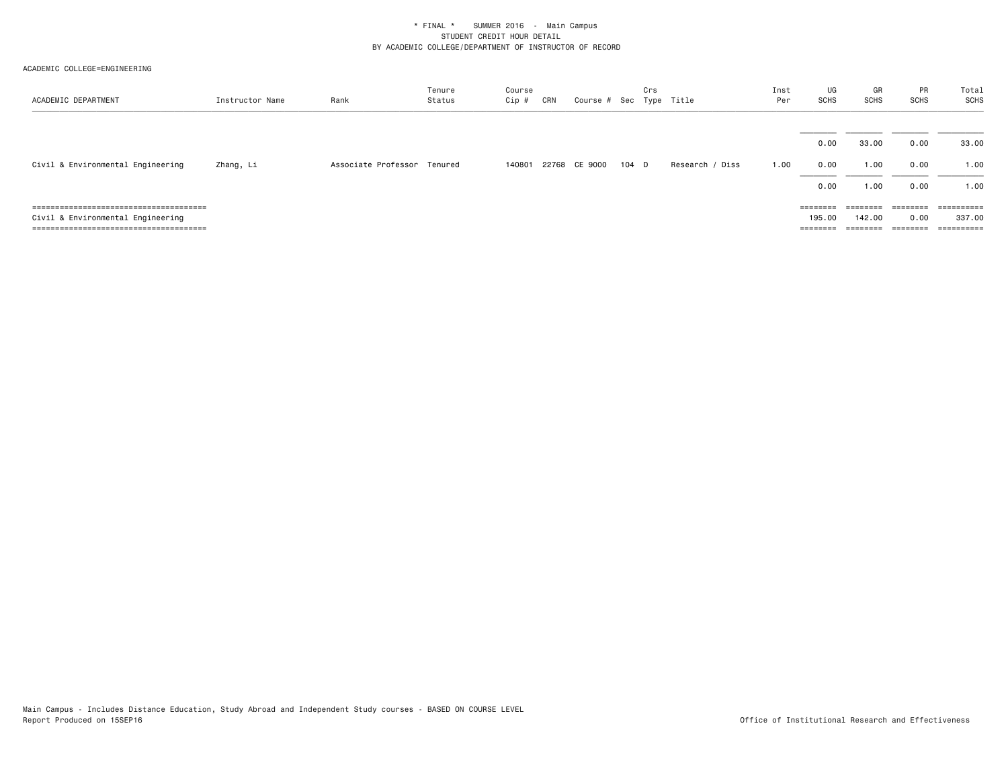| ACADEMIC DEPARTMENT               | Instructor Name | Rank                        | Tenure<br>Status | Course<br>Cip # | CRN | Course # Sec Type Title |       | Crs |                 | Inst<br>Per | UG<br><b>SCHS</b> | GR<br><b>SCHS</b> | PR<br><b>SCHS</b> | Total<br>SCHS         |
|-----------------------------------|-----------------|-----------------------------|------------------|-----------------|-----|-------------------------|-------|-----|-----------------|-------------|-------------------|-------------------|-------------------|-----------------------|
|                                   |                 |                             |                  |                 |     |                         |       |     |                 |             |                   |                   |                   |                       |
| Civil & Environmental Engineering | Zhang, Li       | Associate Professor Tenured |                  | 140801          |     | 22768 CE 9000           | 104 D |     | Research / Diss | 1.00        | 0.00<br>0.00      | 33.00<br>1.00     | 0.00<br>0.00      | 33.00<br>1.00         |
|                                   |                 |                             |                  |                 |     |                         |       |     |                 |             | 0.00              | 1.00              | 0.00              | 1.00                  |
|                                   |                 |                             |                  |                 |     |                         |       |     |                 |             | $=$ = = = = = = = | $=$ = = = = = = = |                   | $=$ = = = = = = = = = |
| Civil & Environmental Engineering |                 |                             |                  |                 |     |                         |       |     |                 |             | 195.00            | 142.00            | 0.00              | 337.00                |
|                                   |                 |                             |                  |                 |     |                         |       |     |                 |             |                   | $=$ = = = = = = = | ========          | $=$ = = = = = = = = = |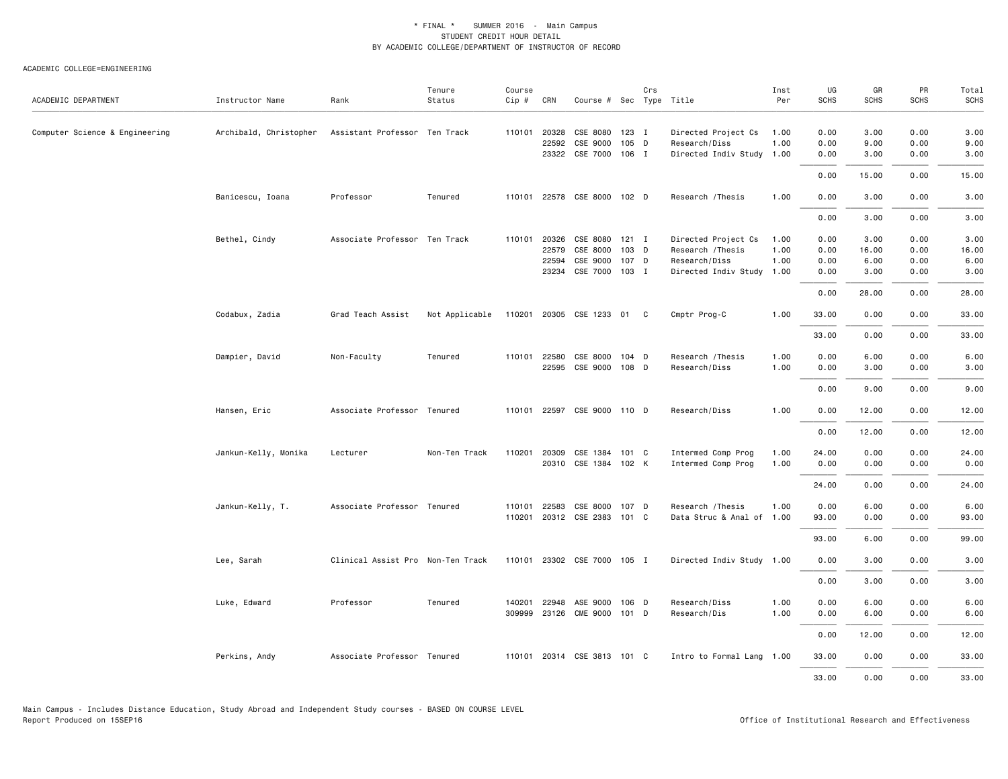| ACADEMIC DEPARTMENT            | Instructor Name        | Rank                              | Tenure<br>Status | Course<br>Cip # | CRN          | Course # Sec Type Title     |       | Crs |                           | Inst<br>Per | UG<br><b>SCHS</b> | GR<br><b>SCHS</b> | PR<br><b>SCHS</b> | Total<br><b>SCHS</b> |
|--------------------------------|------------------------|-----------------------------------|------------------|-----------------|--------------|-----------------------------|-------|-----|---------------------------|-------------|-------------------|-------------------|-------------------|----------------------|
|                                |                        |                                   |                  |                 |              |                             |       |     |                           |             |                   |                   |                   |                      |
| Computer Science & Engineering | Archibald, Christopher | Assistant Professor Ten Track     |                  | 110101          | 20328        | CSE 8080                    | 123 I |     | Directed Project Cs       | 1.00        | 0.00              | 3.00              | 0.00              | 3.00                 |
|                                |                        |                                   |                  |                 | 22592        | CSE 9000                    | 105 D |     | Research/Diss             | 1.00        | 0.00              | 9.00              | 0.00              | 9.00                 |
|                                |                        |                                   |                  |                 |              | 23322 CSE 7000 106 I        |       |     | Directed Indiv Study 1.00 |             | 0.00              | 3.00              | 0.00              | 3.00                 |
|                                |                        |                                   |                  |                 |              |                             |       |     |                           |             | 0.00              | 15.00             | 0.00              | 15.00                |
|                                | Banicescu, Ioana       | Professor                         | Tenured          | 110101          |              | 22578 CSE 8000 102 D        |       |     | Research / Thesis         | 1.00        | 0.00              | 3.00              | 0.00              | 3.00                 |
|                                |                        |                                   |                  |                 |              |                             |       |     |                           |             | 0.00              | 3.00              | 0.00              | 3.00                 |
|                                | Bethel, Cindy          | Associate Professor Ten Track     |                  |                 | 110101 20326 | CSE 8080 121 I              |       |     | Directed Project Cs       | 1.00        | 0.00              | 3.00              | 0.00              | 3.00                 |
|                                |                        |                                   |                  |                 | 22579        | CSE 8000                    | 103 D |     | Research / Thesis         | 1.00        | 0.00              | 16.00             | 0.00              | 16.00                |
|                                |                        |                                   |                  |                 | 22594        | CSE 9000                    | 107 D |     | Research/Diss             | 1.00        | 0.00              | 6.00              | 0.00              | 6.00                 |
|                                |                        |                                   |                  |                 |              | 23234 CSE 7000 103 I        |       |     | Directed Indiv Study 1.00 |             | 0.00              | 3.00              | 0.00              | 3.00                 |
|                                |                        |                                   |                  |                 |              |                             |       |     |                           |             | 0.00              | 28.00             | 0.00              | 28.00                |
|                                | Codabux, Zadia         | Grad Teach Assist                 | Not Applicable   | 110201          |              | 20305 CSE 1233 01 C         |       |     | Cmptr Prog-C              | 1.00        | 33.00             | 0.00              | 0.00              | 33.00                |
|                                |                        |                                   |                  |                 |              |                             |       |     |                           |             | 33.00             | 0.00              | 0.00              | 33.00                |
|                                | Dampier, David         | Non-Faculty                       | Tenured          |                 | 110101 22580 | CSE 8000                    | 104 D |     | Research / Thesis         | 1.00        | 0.00              | 6.00              | 0.00              | 6.00                 |
|                                |                        |                                   |                  |                 | 22595        | CSE 9000 108 D              |       |     | Research/Diss             | 1.00        | 0.00              | 3.00              | 0.00              | 3.00                 |
|                                |                        |                                   |                  |                 |              |                             |       |     |                           |             | 0.00              | 9.00              | 0.00              | 9.00                 |
|                                | Hansen, Eric           | Associate Professor Tenured       |                  | 110101          |              | 22597 CSE 9000 110 D        |       |     | Research/Diss             | 1.00        | 0.00              | 12.00             | 0.00              | 12.00                |
|                                |                        |                                   |                  |                 |              |                             |       |     |                           |             | 0.00              | 12.00             | 0.00              | 12.00                |
|                                | Jankun-Kelly, Monika   | Lecturer                          | Non-Ten Track    | 110201          | 20309        | CSE 1384                    | 101 C |     | Intermed Comp Prog        | 1.00        | 24.00             | 0.00              | 0.00              | 24.00                |
|                                |                        |                                   |                  |                 |              | 20310 CSE 1384 102 K        |       |     | Intermed Comp Prog        | 1.00        | 0.00              | 0.00              | 0.00              | 0.00                 |
|                                |                        |                                   |                  |                 |              |                             |       |     |                           |             | 24.00             | 0.00              | 0.00              | 24.00                |
|                                | Jankun-Kelly, T.       | Associate Professor Tenured       |                  | 110101          | 22583        | CSE 8000                    | 107 D |     | Research / Thesis         | 1.00        | 0.00              | 6.00              | 0.00              | 6.00                 |
|                                |                        |                                   |                  | 110201          |              | 20312 CSE 2383 101 C        |       |     | Data Struc & Anal of 1.00 |             | 93.00             | 0.00              | 0.00              | 93.00                |
|                                |                        |                                   |                  |                 |              |                             |       |     |                           |             | 93.00             | 6.00              | 0.00              | 99.00                |
|                                | Lee, Sarah             | Clinical Assist Pro Non-Ten Track |                  |                 |              | 110101 23302 CSE 7000 105 I |       |     | Directed Indiv Study 1.00 |             | 0.00              | 3.00              | 0.00              | 3.00                 |
|                                |                        |                                   |                  |                 |              |                             |       |     |                           |             | 0.00              | 3.00              | 0.00              | 3.00                 |
|                                | Luke, Edward           | Professor                         | Tenured          | 140201          | 22948        | ASE 9000                    | 106 D |     | Research/Diss             | 1.00        | 0.00              | 6.00              | 0.00              | 6.00                 |
|                                |                        |                                   |                  | 309999          | 23126        | <b>CME 9000</b>             | 101 D |     | Research/Dis              | 1.00        | 0.00              | 6.00              | 0.00              | 6.00                 |
|                                |                        |                                   |                  |                 |              |                             |       |     |                           |             | 0.00              | 12.00             | 0.00              | 12.00                |
|                                | Perkins, Andy          | Associate Professor Tenured       |                  |                 |              | 110101 20314 CSE 3813 101 C |       |     | Intro to Formal Lang 1.00 |             | 33.00             | 0.00              | 0.00              | 33.00                |
|                                |                        |                                   |                  |                 |              |                             |       |     |                           |             | 33.00             | 0.00              | 0.00              | 33.00                |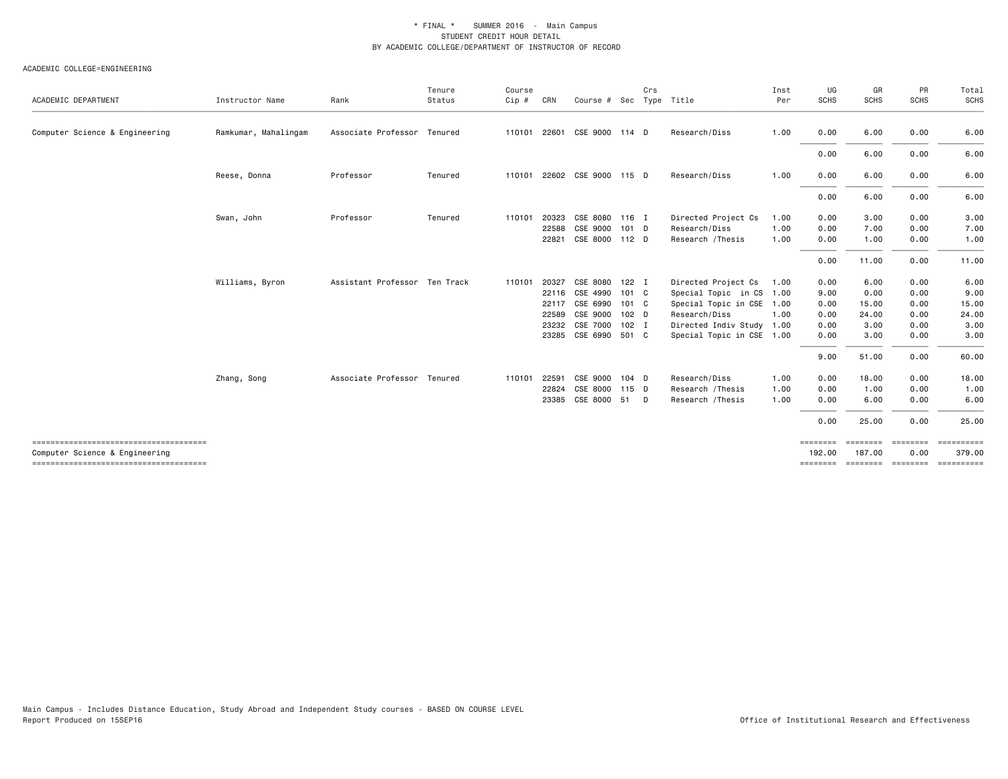| ACADEMIC DEPARTMENT                                                     | Instructor Name      | Rank                          | Tenure<br>Status | Course<br>$Cip$ # | CRN   | Course # Sec Type Title     |                  | Crs |                           | Inst<br>Per | UG<br><b>SCHS</b>  | GR<br><b>SCHS</b>           | PR<br><b>SCHS</b> | Total<br>SCHS |
|-------------------------------------------------------------------------|----------------------|-------------------------------|------------------|-------------------|-------|-----------------------------|------------------|-----|---------------------------|-------------|--------------------|-----------------------------|-------------------|---------------|
| Computer Science & Engineering                                          | Ramkumar, Mahalingam | Associate Professor Tenured   |                  | 110101            |       | 22601 CSE 9000 114 D        |                  |     | Research/Diss             | 1.00        | 0.00               | 6.00                        | 0.00              | 6.00          |
|                                                                         |                      |                               |                  |                   |       |                             |                  |     |                           |             | 0.00               | 6.00                        | 0.00              | 6.00          |
|                                                                         | Reese, Donna         | Professor                     | Tenured          |                   |       | 110101 22602 CSE 9000 115 D |                  |     | Research/Diss             | 1.00        | 0.00               | 6.00                        | 0.00              | 6.00          |
|                                                                         |                      |                               |                  |                   |       |                             |                  |     |                           |             | 0.00               | 6.00                        | 0.00              | 6.00          |
|                                                                         | Swan, John           | Professor                     | Tenured          | 110101            | 20323 | CSE 8080 116 I              |                  |     | Directed Project Cs       | 1.00        | 0.00               | 3.00                        | 0.00              | 3.00          |
|                                                                         |                      |                               |                  |                   | 22588 | CSE 9000 101 D              |                  |     | Research/Diss             | 1.00        | 0.00               | 7.00                        | 0.00              | 7.00          |
|                                                                         |                      |                               |                  |                   | 22821 | CSE 8000 112 D              |                  |     | Research / Thesis         | 1.00        | 0.00               | 1.00                        | 0.00              | 1.00          |
|                                                                         |                      |                               |                  |                   |       |                             |                  |     |                           |             | 0.00               | 11.00                       | 0.00              | 11.00         |
|                                                                         | Williams, Byron      | Assistant Professor Ten Track |                  | 110101 20327      |       | CSE 8080                    | $122$ I          |     | Directed Project Cs       | 1.00        | 0.00               | 6.00                        | 0.00              | 6.00          |
|                                                                         |                      |                               |                  |                   | 22116 | CSE 4990                    | 101 C            |     | Special Topic in CS 1.00  |             | 9.00               | 0.00                        | 0.00              | 9.00          |
|                                                                         |                      |                               |                  |                   | 22117 | CSE 6990                    | 101 C            |     | Special Topic in CSE 1.00 |             | 0.00               | 15.00                       | 0.00              | 15.00         |
|                                                                         |                      |                               |                  |                   | 22589 | CSE 9000                    | 102 <sub>D</sub> |     | Research/Diss             | 1.00        | 0.00               | 24.00                       | 0.00              | 24.00         |
|                                                                         |                      |                               |                  |                   | 23232 | CSE 7000 102 I              |                  |     | Directed Indiv Study 1.00 |             | 0.00               | 3.00                        | 0.00              | 3.00          |
|                                                                         |                      |                               |                  |                   | 23285 | CSE 6990 501 C              |                  |     | Special Topic in CSE 1.00 |             | 0.00               | 3.00                        | 0.00              | 3.00          |
|                                                                         |                      |                               |                  |                   |       |                             |                  |     |                           |             | 9.00               | 51.00                       | 0.00              | 60.00         |
|                                                                         | Zhang, Song          | Associate Professor Tenured   |                  | 110101            | 22591 | CSE 9000                    | 104 D            |     | Research/Diss             | 1.00        | 0.00               | 18.00                       | 0.00              | 18.00         |
|                                                                         |                      |                               |                  |                   | 22824 | CSE 8000 115 D              |                  |     | Research / Thesis         | 1.00        | 0.00               | 1.00                        | 0.00              | 1.00          |
|                                                                         |                      |                               |                  |                   | 23385 | CSE 8000 51 D               |                  |     | Research / Thesis         | 1.00        | 0.00               | 6.00                        | 0.00              | 6.00          |
|                                                                         |                      |                               |                  |                   |       |                             |                  |     |                           |             | 0.00               | 25.00                       | 0.00              | 25.00         |
| -------------------------------------<br>Computer Science & Engineering |                      |                               |                  |                   |       |                             |                  |     |                           |             | ========<br>192,00 | ======== ========<br>187.00 | 0.00              | 379.00        |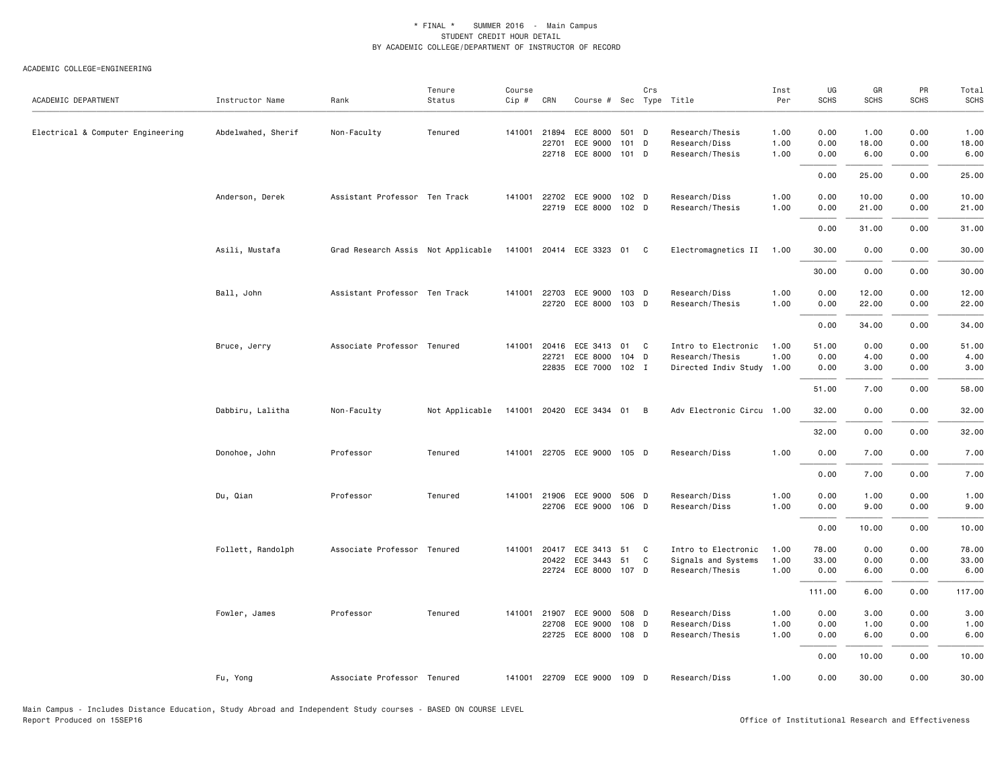| ACADEMIC DEPARTMENT               | Instructor Name    | Rank                               | Tenure<br>Status | Course<br>$Cip \#$ | CRN            | Course # Sec Type Title          |          | Crs          |                                              | Inst<br>Per  | UG<br>SCHS     | GR<br><b>SCHS</b> | PR<br>SCHS   | Total<br><b>SCHS</b> |
|-----------------------------------|--------------------|------------------------------------|------------------|--------------------|----------------|----------------------------------|----------|--------------|----------------------------------------------|--------------|----------------|-------------------|--------------|----------------------|
| Electrical & Computer Engineering | Abdelwahed, Sherif | Non-Faculty                        | Tenured          |                    | 141001 21894   | ECE 8000                         | 501 D    |              | Research/Thesis                              | 1.00         | 0.00           | 1.00              | 0.00         | 1.00                 |
|                                   |                    |                                    |                  |                    | 22701          | ECE 9000                         | 101 D    |              | Research/Diss                                | 1.00         | 0.00           | 18.00             | 0.00         | 18.00                |
|                                   |                    |                                    |                  |                    | 22718          | ECE 8000 101 D                   |          |              | Research/Thesis                              | 1.00         | 0.00           | 6.00              | 0.00         | 6.00                 |
|                                   |                    |                                    |                  |                    |                |                                  |          |              |                                              |              | 0.00           | 25.00             | 0.00         | 25.00                |
|                                   | Anderson, Derek    | Assistant Professor Ten Track      |                  | 141001             | 22702          | ECE 9000                         | 102 D    |              | Research/Diss                                | 1.00         | 0.00           | 10.00             | 0.00         | 10.00                |
|                                   |                    |                                    |                  |                    |                | 22719 ECE 8000 102 D             |          |              | Research/Thesis                              | 1.00         | 0.00           | 21.00             | 0.00         | 21.00                |
|                                   |                    |                                    |                  |                    |                |                                  |          |              |                                              |              | 0.00           | 31.00             | 0.00         | 31.00                |
|                                   | Asili, Mustafa     | Grad Research Assis Not Applicable |                  |                    |                | 141001 20414 ECE 3323 01 C       |          |              | Electromagnetics II                          | 1.00         | 30.00          | 0.00              | 0.00         | 30.00                |
|                                   |                    |                                    |                  |                    |                |                                  |          |              |                                              |              | 30.00          | 0.00              | 0.00         | 30.00                |
|                                   | Ball, John         | Assistant Professor Ten Track      |                  |                    | 141001 22703   | ECE 9000 103 D                   |          |              | Research/Diss                                | 1.00         | 0.00           | 12.00             | 0.00         | 12.00                |
|                                   |                    |                                    |                  |                    |                | 22720 ECE 8000 103 D             |          |              | Research/Thesis                              | 1.00         | 0.00           | 22.00             | 0.00         | 22.00                |
|                                   |                    |                                    |                  |                    |                |                                  |          |              |                                              |              | 0.00           | 34.00             | 0.00         | 34.00                |
|                                   |                    |                                    |                  |                    |                |                                  |          |              |                                              |              |                |                   |              |                      |
|                                   | Bruce, Jerry       | Associate Professor Tenured        |                  | 141001             | 20416          | ECE 3413 01                      |          | $\mathbf{C}$ | Intro to Electronic                          | 1.00         | 51.00          | 0.00              | 0.00         | 51.00                |
|                                   |                    |                                    |                  |                    | 22721<br>22835 | ECE 8000<br>ECE 7000 102 I       | 104 D    |              | Research/Thesis<br>Directed Indiv Study 1.00 | 1.00         | 0.00<br>0.00   | 4.00<br>3.00      | 0.00<br>0.00 | 4.00<br>3.00         |
|                                   |                    |                                    |                  |                    |                |                                  |          |              |                                              |              |                |                   |              |                      |
|                                   |                    |                                    |                  |                    |                |                                  |          |              |                                              |              | 51.00          | 7.00              | 0.00         | 58.00                |
|                                   | Dabbiru, Lalitha   | Non-Faculty                        | Not Applicable   |                    |                | 141001 20420 ECE 3434 01 B       |          |              | Adv Electronic Circu 1.00                    |              | 32.00          | 0.00              | 0.00         | 32.00                |
|                                   |                    |                                    |                  |                    |                |                                  |          |              |                                              |              | 32.00          | 0.00              | 0.00         | 32.00                |
|                                   | Donohoe, John      | Professor                          | Tenured          | 141001             |                | 22705 ECE 9000 105 D             |          |              | Research/Diss                                | 1.00         | 0.00           | 7.00              | 0.00         | 7.00                 |
|                                   |                    |                                    |                  |                    |                |                                  |          |              |                                              |              | 0.00           | 7.00              | 0.00         | 7.00                 |
|                                   | Du, Qian           | Professor                          | Tenured          |                    |                | 141001 21906 ECE 9000 506 D      |          |              | Research/Diss                                | 1.00         | 0.00           | 1.00              | 0.00         | 1.00                 |
|                                   |                    |                                    |                  |                    |                | 22706 ECE 9000 106 D             |          |              | Research/Diss                                | 1.00         | 0.00           | 9.00              | 0.00         | 9.00                 |
|                                   |                    |                                    |                  |                    |                |                                  |          |              |                                              |              | 0.00           | 10.00             | 0.00         | 10.00                |
|                                   |                    |                                    |                  |                    |                |                                  |          |              |                                              |              |                |                   |              |                      |
|                                   | Follett, Randolph  | Associate Professor Tenured        |                  | 141001             | 20417<br>20422 | ECE 3413<br>ECE 3443             | 51<br>51 | C<br>C       | Intro to Electronic<br>Signals and Systems   | 1.00<br>1.00 | 78.00<br>33.00 | 0.00<br>0.00      | 0.00<br>0.00 | 78.00<br>33.00       |
|                                   |                    |                                    |                  |                    |                | 22724 ECE 8000 107 D             |          |              | Research/Thesis                              | 1.00         | 0.00           | 6.00              | 0.00         | 6.00                 |
|                                   |                    |                                    |                  |                    |                |                                  |          |              |                                              |              |                |                   | 0.00         | 117.00               |
|                                   |                    |                                    |                  |                    |                |                                  |          |              |                                              |              | 111.00         | 6.00              |              |                      |
|                                   | Fowler, James      | Professor                          | Tenured          | 141001             | 21907          | ECE 9000                         | 508 D    |              | Research/Diss                                | 1.00         | 0.00           | 3.00              | 0.00         | 3.00                 |
|                                   |                    |                                    |                  |                    | 22708          | ECE 9000<br>22725 ECE 8000 108 D | 108 D    |              | Research/Diss<br>Research/Thesis             | 1.00<br>1.00 | 0.00<br>0.00   | 1.00<br>6.00      | 0.00<br>0.00 | 1.00<br>6.00         |
|                                   |                    |                                    |                  |                    |                |                                  |          |              |                                              |              |                |                   |              |                      |
|                                   |                    |                                    |                  |                    |                |                                  |          |              |                                              |              | 0.00           | 10.00             | 0.00         | 10.00                |
|                                   | Fu, Yong           | Associate Professor Tenured        |                  |                    |                | 141001 22709 ECE 9000 109 D      |          |              | Research/Diss                                | 1.00         | 0.00           | 30.00             | 0.00         | 30.00                |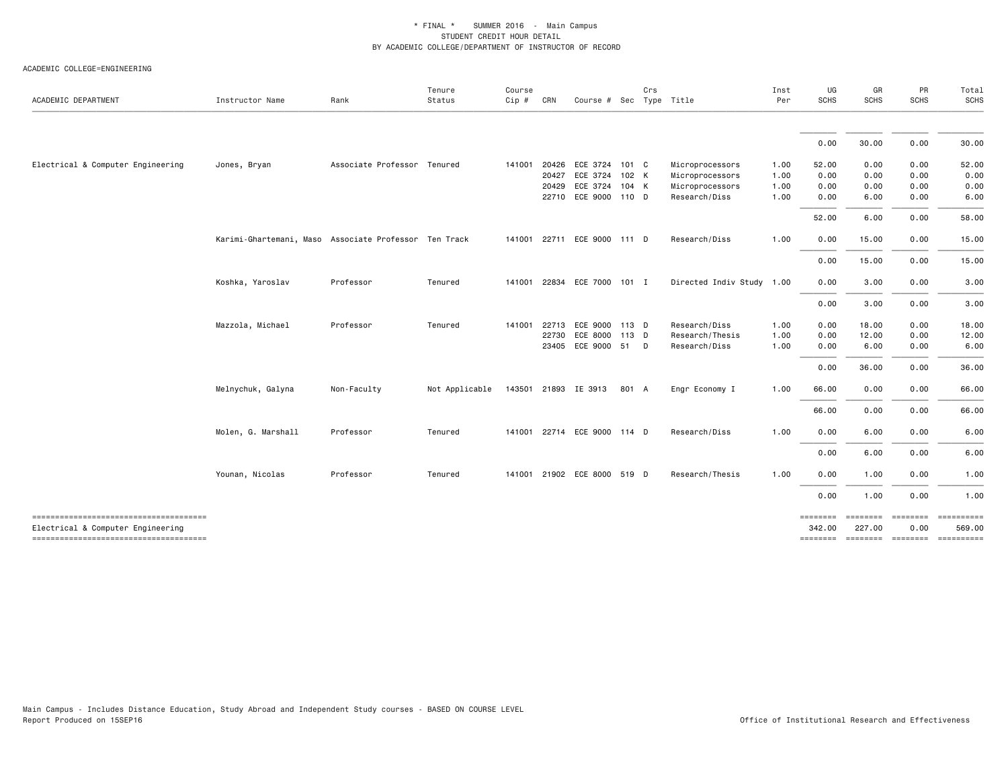| ACADEMIC DEPARTMENT                                                        | Instructor Name                                       | Rank                        | Tenure<br>Status | Course<br>$Cip$ # | CRN   | Course # Sec Type Title     |       | Crs |                           | Inst<br>Per | UG<br>SCHS         | GR<br>SCHS         | PR<br><b>SCHS</b>       | Total<br><b>SCHS</b> |
|----------------------------------------------------------------------------|-------------------------------------------------------|-----------------------------|------------------|-------------------|-------|-----------------------------|-------|-----|---------------------------|-------------|--------------------|--------------------|-------------------------|----------------------|
|                                                                            |                                                       |                             |                  |                   |       |                             |       |     |                           |             | 0.00               | 30.00              | 0.00                    | 30.00                |
| Electrical & Computer Engineering                                          | Jones, Bryan                                          | Associate Professor Tenured |                  | 141001            | 20426 | ECE 3724 101 C              |       |     | Microprocessors           | 1.00        | 52.00              | 0.00               | 0.00                    | 52.00                |
|                                                                            |                                                       |                             |                  |                   | 20427 | ECE 3724                    | 102 K |     | Microprocessors           | 1.00        | 0.00               | 0.00               | 0.00                    | 0.00                 |
|                                                                            |                                                       |                             |                  |                   | 20429 | ECE 3724                    | 104 K |     | Microprocessors           | 1.00        | 0.00               | 0.00               | 0.00                    | 0.00                 |
|                                                                            |                                                       |                             |                  |                   |       | 22710 ECE 9000 110 D        |       |     | Research/Diss             | 1.00        | 0.00               | 6.00               | 0.00                    | 6.00                 |
|                                                                            |                                                       |                             |                  |                   |       |                             |       |     |                           |             | 52.00              | 6.00               | 0.00                    | 58.00                |
|                                                                            | Karimi-Ghartemani, Maso Associate Professor Ten Track |                             |                  | 141001 22711      |       | ECE 9000 111 D              |       |     | Research/Diss             | 1.00        | 0.00               | 15.00              | 0.00                    | 15.00                |
|                                                                            |                                                       |                             |                  |                   |       |                             |       |     |                           |             | 0.00               | 15.00              | 0.00                    | 15.00                |
|                                                                            | Koshka, Yaroslav                                      | Professor                   | Tenured          | 141001            | 22834 | ECE 7000 101 I              |       |     | Directed Indiv Study 1.00 |             | 0.00               | 3.00               | 0.00                    | 3.00                 |
|                                                                            |                                                       |                             |                  |                   |       |                             |       |     |                           |             | 0.00               | 3.00               | 0.00                    | 3.00                 |
|                                                                            | Mazzola, Michael                                      | Professor                   | Tenured          | 141001            | 22713 | ECE 9000 113 D              |       |     | Research/Diss             | 1.00        | 0.00               | 18.00              | 0.00                    | 18.00                |
|                                                                            |                                                       |                             |                  |                   | 22730 | ECE 8000                    | 113 D |     | Research/Thesis           | 1.00        | 0.00               | 12.00              | 0.00                    | 12.00                |
|                                                                            |                                                       |                             |                  |                   | 23405 | ECE 9000 51 D               |       |     | Research/Diss             | 1.00        | 0.00               | 6.00               | 0.00                    | 6.00                 |
|                                                                            |                                                       |                             |                  |                   |       |                             |       |     |                           |             | 0.00               | 36.00              | 0.00                    | 36.00                |
|                                                                            | Melnychuk, Galyna                                     | Non-Faculty                 | Not Applicable   |                   |       | 143501 21893 IE 3913        | 801 A |     | Engr Economy I            | 1.00        | 66.00              | 0.00               | 0.00                    | 66.00                |
|                                                                            |                                                       |                             |                  |                   |       |                             |       |     |                           |             | 66.00              | 0.00               | 0.00                    | 66.00                |
|                                                                            | Molen, G. Marshall                                    | Professor                   | Tenured          |                   |       | 141001 22714 ECE 9000 114 D |       |     | Research/Diss             | 1.00        | 0.00               | 6.00               | 0.00                    | 6.00                 |
|                                                                            |                                                       |                             |                  |                   |       |                             |       |     |                           |             | 0.00               | 6.00               | 0.00                    | 6.00                 |
|                                                                            | Younan, Nicolas                                       | Professor                   | Tenured          |                   |       | 141001 21902 ECE 8000 519 D |       |     | Research/Thesis           | 1.00        | 0.00               | 1.00               | 0.00                    | 1.00                 |
|                                                                            |                                                       |                             |                  |                   |       |                             |       |     |                           |             | 0.00               | 1.00               | 0.00                    | 1.00                 |
| -------------------------------------<br>Electrical & Computer Engineering |                                                       |                             |                  |                   |       |                             |       |     |                           |             | ========<br>342.00 | ========<br>227.00 | <b>ESSESSES</b><br>0.00 | 569.00               |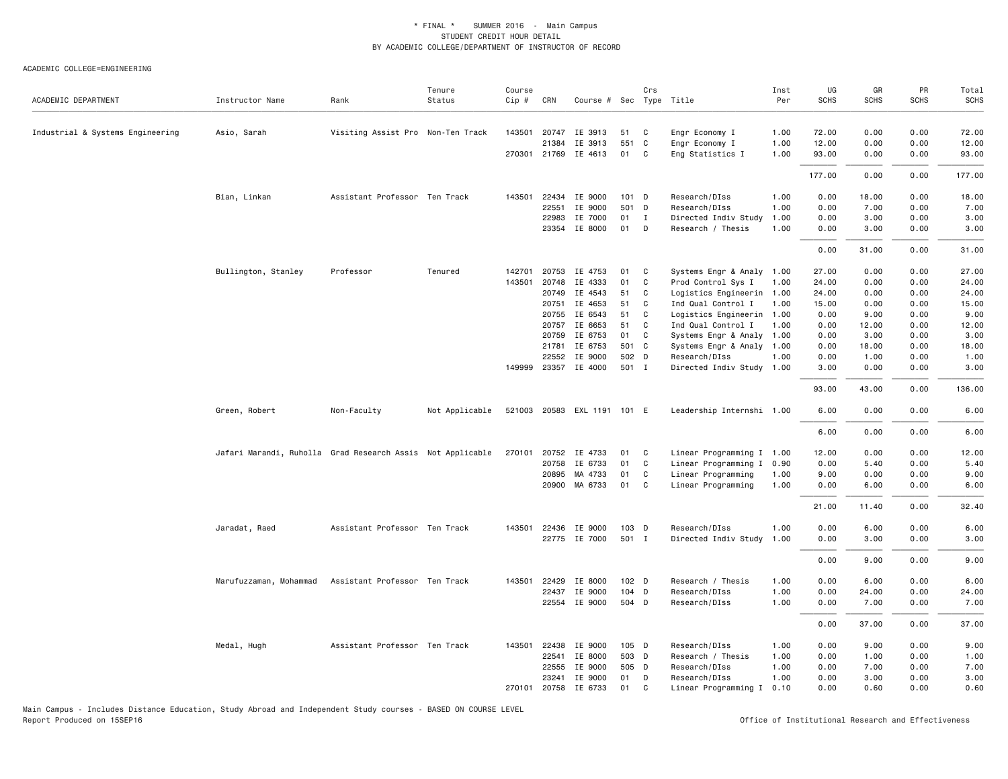#### ACADEMIC COLLEGE=ENGINEERING

| ACADEMIC DEPARTMENT              | Instructor Name                                            | Rank                              | Tenure<br>Status | Course<br>Cip # | CRN            | Course # Sec Type Title |          | Crs          |                                                 | Inst<br>Per | UG<br><b>SCHS</b> | GR<br><b>SCHS</b> | PR<br><b>SCHS</b> | Total<br><b>SCHS</b> |
|----------------------------------|------------------------------------------------------------|-----------------------------------|------------------|-----------------|----------------|-------------------------|----------|--------------|-------------------------------------------------|-------------|-------------------|-------------------|-------------------|----------------------|
| Industrial & Systems Engineering | Asio, Sarah                                                | Visiting Assist Pro Non-Ten Track |                  | 143501          | 20747          | IE 3913                 | 51       | C            | Engr Economy I                                  | 1.00        | 72.00             | 0.00              | 0.00              | 72.00                |
|                                  |                                                            |                                   |                  |                 | 21384          | IE 3913                 | 551      | C.           | Engr Economy I                                  | 1.00        | 12.00             | 0.00              | 0.00              | 12.00                |
|                                  |                                                            |                                   |                  |                 | 270301 21769   | IE 4613                 | 01       | C            | Eng Statistics I                                | 1.00        | 93.00             | 0.00              | 0.00              | 93.00                |
|                                  |                                                            |                                   |                  |                 |                |                         |          |              |                                                 |             | 177.00            | 0.00              | 0.00              | 177.00               |
|                                  | Bian, Linkan                                               | Assistant Professor Ten Track     |                  | 143501          | 22434          | IE 9000                 | 101 D    |              | Research/DIss                                   | 1.00        | 0.00              | 18.00             | 0.00              | 18.00                |
|                                  |                                                            |                                   |                  |                 | 22551          | IE 9000                 | 501 D    |              | Research/DIss                                   | 1.00        | 0.00              | 7.00              | 0.00              | 7.00                 |
|                                  |                                                            |                                   |                  |                 | 22983          | IE 7000                 | 01       | $\mathbf{I}$ | Directed Indiv Study                            | 1.00        | 0.00              | 3.00              | 0.00              | 3.00                 |
|                                  |                                                            |                                   |                  |                 | 23354          | IE 8000                 | 01       | D            | Research / Thesis                               | 1.00        | 0.00              | 3.00              | 0.00              | 3.00                 |
|                                  |                                                            |                                   |                  |                 |                |                         |          |              |                                                 |             | 0.00              | 31.00             | 0.00              | 31.00                |
|                                  | Bullington, Stanley                                        | Professor                         | Tenured          | 142701          | 20753          | IE 4753                 | 01       | C            | Systems Engr & Analy 1.00                       |             | 27.00             | 0.00              | 0.00              | 27.00                |
|                                  |                                                            |                                   |                  | 143501          | 20748          | IE 4333                 | 01       | C            | Prod Control Sys I                              | 1.00        | 24.00             | 0.00              | 0.00              | 24.00                |
|                                  |                                                            |                                   |                  |                 | 20749          | IE 4543                 | 51       | C            | Logistics Engineerin 1.00                       |             | 24.00             | 0.00              | 0.00              | 24.00                |
|                                  |                                                            |                                   |                  |                 | 20751          | IE 4653                 | 51       | C            | Ind Qual Control I                              | 1.00        | 15.00             | 0.00              | 0.00              | 15.00                |
|                                  |                                                            |                                   |                  |                 | 20755          | IE 6543                 | 51       | C            | Logistics Engineerin 1.00                       |             | 0.00              | 9.00              | 0.00              | 9.00                 |
|                                  |                                                            |                                   |                  |                 | 20757<br>20759 | IE 6653<br>IE 6753      | 51<br>01 | C<br>C       | Ind Qual Control I<br>Systems Engr & Analy 1.00 | 1.00        | 0.00<br>0.00      | 12.00<br>3.00     | 0.00<br>0.00      | 12.00<br>3.00        |
|                                  |                                                            |                                   |                  |                 | 21781          | IE 6753                 | 501 C    |              | Systems Engr & Analy 1.00                       |             | 0.00              | 18.00             | 0.00              | 18.00                |
|                                  |                                                            |                                   |                  |                 | 22552          | IE 9000                 | 502 D    |              | Research/DIss                                   | 1.00        | 0.00              | 1.00              | 0.00              | 1.00                 |
|                                  |                                                            |                                   |                  | 149999          | 23357          | IE 4000                 | 501 I    |              | Directed Indiv Study 1.00                       |             | 3.00              | 0.00              | 0.00              | 3.00                 |
|                                  |                                                            |                                   |                  |                 |                |                         |          |              |                                                 |             | 93.00             | 43.00             | 0.00              | 136.00               |
|                                  | Green, Robert                                              | Non-Faculty                       | Not Applicable   |                 |                | 521003 20583 EXL 1191   | 101 E    |              | Leadership Internshi 1.00                       |             | 6.00              | 0.00              | 0.00              | 6.00                 |
|                                  |                                                            |                                   |                  |                 |                |                         |          |              |                                                 |             | 6.00              | 0.00              | 0.00              | 6.00                 |
|                                  | Jafari Marandi, Ruholla Grad Research Assis Not Applicable |                                   |                  | 270101          | 20752          | IE 4733                 | 01       | C.           | Linear Programming I 1.00                       |             | 12.00             | 0.00              | 0.00              | 12.00                |
|                                  |                                                            |                                   |                  |                 | 20758          | IE 6733                 | 01       | C            | Linear Programming I 0.90                       |             | 0.00              | 5.40              | 0.00              | 5.40                 |
|                                  |                                                            |                                   |                  |                 | 20895          | MA 4733                 | 01       | C            | Linear Programming                              | 1.00        | 9.00              | 0.00              | 0.00              | 9.00                 |
|                                  |                                                            |                                   |                  |                 |                | 20900 MA 6733           | 01       | C            | Linear Programming                              | 1.00        | 0.00              | 6.00              | 0.00              | 6.00                 |
|                                  |                                                            |                                   |                  |                 |                |                         |          |              |                                                 |             | 21.00             | 11.40             | 0.00              | 32.40                |
|                                  | Jaradat, Raed                                              | Assistant Professor Ten Track     |                  |                 | 143501 22436   | IE 9000                 | 103 D    |              | Research/DIss                                   | 1.00        | 0.00              | 6.00              | 0.00              | 6.00                 |
|                                  |                                                            |                                   |                  |                 | 22775          | IE 7000                 | 501 I    |              | Directed Indiv Study                            | 1.00        | 0.00              | 3.00              | 0.00              | 3.00                 |
|                                  |                                                            |                                   |                  |                 |                |                         |          |              |                                                 |             | 0.00              | 9.00              | 0.00              | 9.00                 |
|                                  | Marufuzzaman, Mohammad                                     | Assistant Professor Ten Track     |                  | 143501          | 22429          | IE 8000                 | 102 D    |              | Research / Thesis                               | 1.00        | 0.00              | 6.00              | 0.00              | 6.00                 |
|                                  |                                                            |                                   |                  |                 | 22437          | IE 9000                 | 104 D    |              | Research/DIss                                   | 1.00        | 0.00              | 24.00             | 0.00              | 24.00                |
|                                  |                                                            |                                   |                  |                 | 22554          | IE 9000                 | 504 D    |              | Research/DIss                                   | 1.00        | 0.00              | 7.00              | 0.00              | 7.00                 |
|                                  |                                                            |                                   |                  |                 |                |                         |          |              |                                                 |             | 0.00              | 37.00             | 0.00              | 37.00                |
|                                  | Medal, Hugh                                                | Assistant Professor Ten Track     |                  | 143501          | 22438          | IE 9000                 | 105 D    |              | Research/DIss                                   | 1.00        | 0.00              | 9.00              | 0.00              | 9.00                 |
|                                  |                                                            |                                   |                  |                 | 22541          | IE 8000                 | 503 D    |              | Research / Thesis                               | 1.00        | 0.00              | 1.00              | 0.00              | 1.00                 |
|                                  |                                                            |                                   |                  |                 | 22555          | IE 9000                 | 505 D    |              | Research/DIss                                   | 1.00        | 0.00              | 7.00              | 0.00              | 7.00                 |
|                                  |                                                            |                                   |                  |                 | 23241          | IE 9000                 | 01       | D            | Research/DIss                                   | 1.00        | 0.00              | 3.00              | 0.00              | 3.00                 |
|                                  |                                                            |                                   |                  | 270101          | 20758          | IE 6733                 | 01       | C            | Linear Programming I 0.10                       |             | 0.00              | 0.60              | 0.00              | 0.60                 |

Main Campus - Includes Distance Education, Study Abroad and Independent Study courses - BASED ON COURSE LEVEL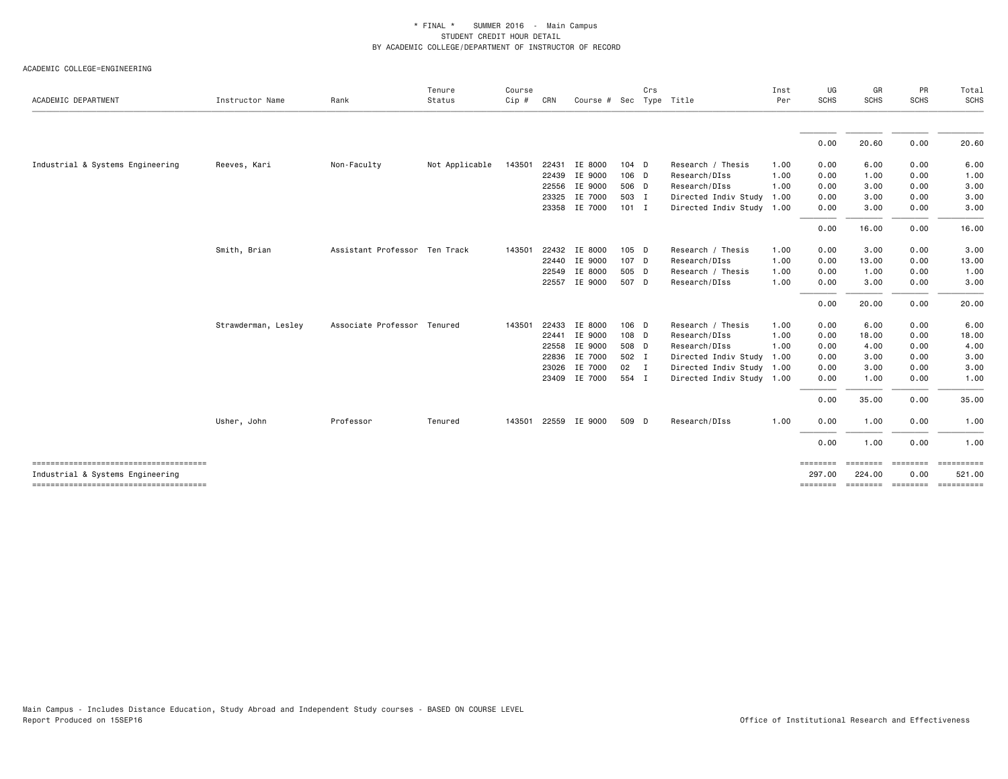| ACADEMIC DEPARTMENT                   | Instructor Name     | Rank                          | Tenure<br>Status | Course<br>Cip# | CRN   | Course # Sec Type Title |              | Crs |                           | Inst<br>Per | UG<br><b>SCHS</b> | GR<br><b>SCHS</b> | PR<br><b>SCHS</b> | Total<br>SCHS                                                                                                                                                                                                                                                                                                                                                                                                                       |
|---------------------------------------|---------------------|-------------------------------|------------------|----------------|-------|-------------------------|--------------|-----|---------------------------|-------------|-------------------|-------------------|-------------------|-------------------------------------------------------------------------------------------------------------------------------------------------------------------------------------------------------------------------------------------------------------------------------------------------------------------------------------------------------------------------------------------------------------------------------------|
|                                       |                     |                               |                  |                |       |                         |              |     |                           |             |                   |                   |                   |                                                                                                                                                                                                                                                                                                                                                                                                                                     |
|                                       |                     |                               |                  |                |       |                         |              |     |                           |             | 0.00              | 20.60             | 0.00              | 20.60                                                                                                                                                                                                                                                                                                                                                                                                                               |
| Industrial & Systems Engineering      | Reeves, Kari        | Non-Faculty                   | Not Applicable   | 143501         | 22431 | IE 8000                 | $104$ D      |     | Research / Thesis         | 1.00        | 0.00              | 6.00              | 0.00              | 6.00                                                                                                                                                                                                                                                                                                                                                                                                                                |
|                                       |                     |                               |                  |                | 22439 | IE 9000                 | 106 D        |     | Research/DIss             | 1.00        | 0.00              | 1.00              | 0.00              | 1.00                                                                                                                                                                                                                                                                                                                                                                                                                                |
|                                       |                     |                               |                  |                | 22556 | IE 9000                 | 506 D        |     | Research/DIss             | 1.00        | 0.00              | 3.00              | 0.00              | 3.00                                                                                                                                                                                                                                                                                                                                                                                                                                |
|                                       |                     |                               |                  |                | 23325 | IE 7000                 | 503 I        |     | Directed Indiv Study      | 1.00        | 0.00              | 3.00              | 0.00              | 3.00                                                                                                                                                                                                                                                                                                                                                                                                                                |
|                                       |                     |                               |                  |                |       | 23358 IE 7000           | $101$ I      |     | Directed Indiv Study      | 1.00        | 0.00              | 3.00              | 0.00              | 3.00                                                                                                                                                                                                                                                                                                                                                                                                                                |
|                                       |                     |                               |                  |                |       |                         |              |     |                           |             | 0.00              | 16.00             | 0.00              | 16.00                                                                                                                                                                                                                                                                                                                                                                                                                               |
|                                       | Smith, Brian        | Assistant Professor Ten Track |                  | 143501         |       | 22432 IE 8000           | $105$ D      |     | Research / Thesis         | 1.00        | 0.00              | 3.00              | 0.00              | 3.00                                                                                                                                                                                                                                                                                                                                                                                                                                |
|                                       |                     |                               |                  |                | 22440 | IE 9000                 | 107 D        |     | Research/DIss             | 1.00        | 0.00              | 13.00             | 0.00              | 13.00                                                                                                                                                                                                                                                                                                                                                                                                                               |
|                                       |                     |                               |                  |                | 22549 | IE 8000                 | 505 D        |     | Research / Thesis         | 1.00        | 0.00              | 1.00              | 0.00              | 1.00                                                                                                                                                                                                                                                                                                                                                                                                                                |
|                                       |                     |                               |                  |                |       | 22557 IE 9000           | 507 D        |     | Research/DIss             | 1.00        | 0.00              | 3.00              | 0.00              | 3.00                                                                                                                                                                                                                                                                                                                                                                                                                                |
|                                       |                     |                               |                  |                |       |                         |              |     |                           |             | 0.00              | 20.00             | 0.00              | 20.00                                                                                                                                                                                                                                                                                                                                                                                                                               |
|                                       | Strawderman, Lesley | Associate Professor Tenured   |                  | 143501         | 22433 | IE 8000                 | 106 D        |     | Research / Thesis         | 1.00        | 0.00              | 6.00              | 0.00              | 6.00                                                                                                                                                                                                                                                                                                                                                                                                                                |
|                                       |                     |                               |                  |                | 22441 | IE 9000                 | 108 D        |     | Research/DIss             | 1.00        | 0.00              | 18.00             | 0.00              | 18.00                                                                                                                                                                                                                                                                                                                                                                                                                               |
|                                       |                     |                               |                  |                | 22558 | IE 9000                 | 508 D        |     | Research/DIss             | 1.00        | 0.00              | 4.00              | 0.00              | 4.00                                                                                                                                                                                                                                                                                                                                                                                                                                |
|                                       |                     |                               |                  |                | 22836 | IE 7000                 | 502 I        |     | Directed Indiv Study      | 1.00        | 0.00              | 3.00              | 0.00              | 3.00                                                                                                                                                                                                                                                                                                                                                                                                                                |
|                                       |                     |                               |                  |                | 23026 | IE 7000                 | $02 \quad I$ |     | Directed Indiv Study      | 1.00        | 0.00              | 3.00              | 0.00              | 3.00                                                                                                                                                                                                                                                                                                                                                                                                                                |
|                                       |                     |                               |                  |                |       | 23409 IE 7000           | 554 I        |     | Directed Indiv Study 1.00 |             | 0.00              | 1.00              | 0.00              | 1.00                                                                                                                                                                                                                                                                                                                                                                                                                                |
|                                       |                     |                               |                  |                |       |                         |              |     |                           |             | 0.00              | 35.00             | 0.00              | 35.00                                                                                                                                                                                                                                                                                                                                                                                                                               |
|                                       | Usher, John         | Professor                     | Tenured          | 143501         |       | 22559 IE 9000           | 509 D        |     | Research/DIss             | 1.00        | 0.00              | 1.00              | 0.00              | 1.00                                                                                                                                                                                                                                                                                                                                                                                                                                |
|                                       |                     |                               |                  |                |       |                         |              |     |                           |             | 0.00              | 1.00              | 0.00              | 1.00                                                                                                                                                                                                                                                                                                                                                                                                                                |
| ------------------------------------- |                     |                               |                  |                |       |                         |              |     |                           |             | ========          | ========          | ========          | $\begin{minipage}{0.9\linewidth} \hspace*{-0.2cm} \textbf{1} & \textbf{2} & \textbf{3} & \textbf{5} & \textbf{6} & \textbf{7} & \textbf{8} \\ \textbf{5} & \textbf{6} & \textbf{7} & \textbf{8} & \textbf{8} & \textbf{8} & \textbf{8} & \textbf{8} & \textbf{8} \\ \textbf{6} & \textbf{8} & \textbf{8} & \textbf{8} & \textbf{8} & \textbf{8} & \textbf{8} & \textbf{8} & \textbf{8} & \textbf{8} \\ \textbf{7} & \textbf{8} & \$ |
| Industrial & Systems Engineering      |                     |                               |                  |                |       |                         |              |     |                           |             | 297.00            | 224.00            | 0.00              | 521.00                                                                                                                                                                                                                                                                                                                                                                                                                              |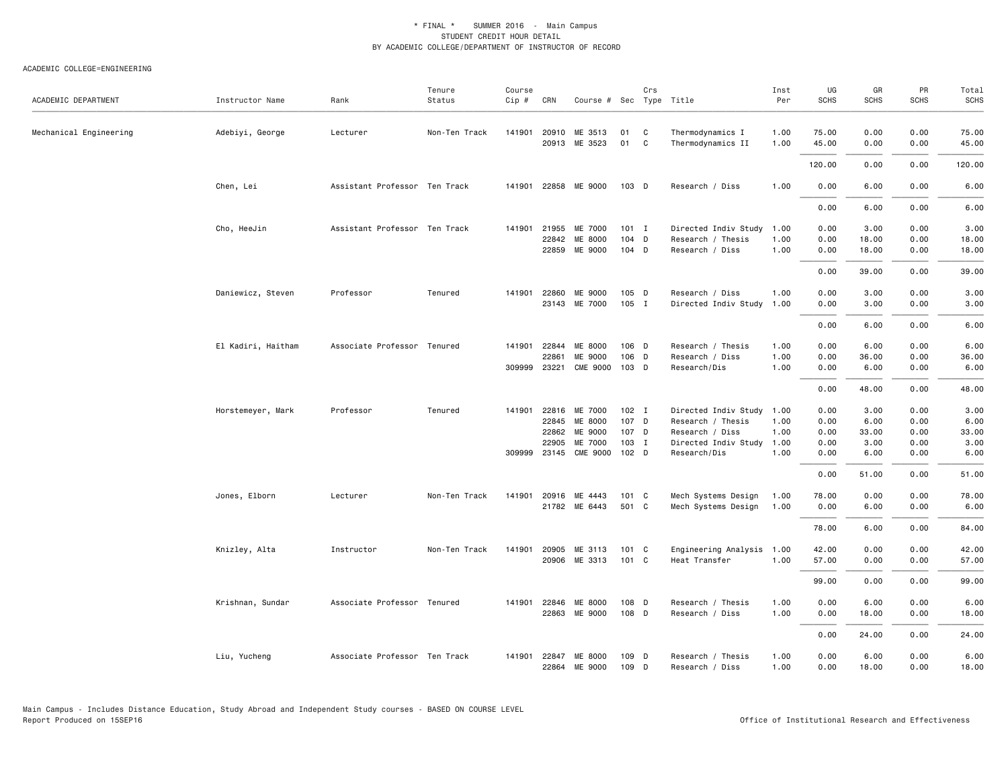| ACADEMIC DEPARTMENT    | Instructor Name    | Rank                          | Tenure<br>Status | Course<br>$Cip \#$ | CRN            | Course # Sec Type Title |                  | Crs    |                                       | Inst<br>Per  | UG<br><b>SCHS</b> | GR<br><b>SCHS</b> | PR<br><b>SCHS</b> | Total<br><b>SCHS</b> |
|------------------------|--------------------|-------------------------------|------------------|--------------------|----------------|-------------------------|------------------|--------|---------------------------------------|--------------|-------------------|-------------------|-------------------|----------------------|
| Mechanical Engineering | Adebiyi, George    | Lecturer                      | Non-Ten Track    | 141901             | 20910<br>20913 | ME 3513<br>ME 3523      | 01<br>01         | C<br>C | Thermodynamics I<br>Thermodynamics II | 1.00<br>1.00 | 75.00<br>45.00    | 0.00<br>0.00      | 0.00<br>0.00      | 75.00<br>45.00       |
|                        |                    |                               |                  |                    |                |                         |                  |        |                                       |              | 120.00            | 0.00              | 0.00              | 120.00               |
|                        | Chen, Lei          | Assistant Professor Ten Track |                  | 141901             |                | 22858 ME 9000           | 103 D            |        | Research / Diss                       | 1.00         | 0.00              | 6.00              | 0.00              | 6.00                 |
|                        |                    |                               |                  |                    |                |                         |                  |        |                                       |              | 0.00              | 6.00              | 0.00              | 6.00                 |
|                        | Cho, HeeJin        | Assistant Professor Ten Track |                  | 141901             | 21955          | ME 7000                 | $101$ I          |        | Directed Indiv Study 1.00             |              | 0.00              | 3.00              | 0.00              | 3.00                 |
|                        |                    |                               |                  |                    | 22842<br>22859 | ME 8000<br>ME 9000      | $104$ D<br>104 D |        | Research / Thesis<br>Research / Diss  | 1.00<br>1.00 | 0.00<br>0.00      | 18.00<br>18.00    | 0.00<br>0.00      | 18.00<br>18.00       |
|                        |                    |                               |                  |                    |                |                         |                  |        |                                       |              |                   |                   |                   |                      |
|                        |                    |                               |                  |                    |                |                         |                  |        |                                       |              | 0.00              | 39.00             | 0.00              | 39.00                |
|                        | Daniewicz, Steven  | Professor                     | Tenured          | 141901             | 22860          | ME 9000                 | 105 D            |        | Research / Diss                       | 1.00         | 0.00              | 3.00              | 0.00              | 3.00                 |
|                        |                    |                               |                  |                    |                | 23143 ME 7000           | 105 I            |        | Directed Indiv Study                  | 1.00         | 0.00              | 3.00              | 0.00              | 3.00                 |
|                        |                    |                               |                  |                    |                |                         |                  |        |                                       |              | 0.00              | 6.00              | 0.00              | 6.00                 |
|                        | El Kadiri, Haitham | Associate Professor Tenured   |                  | 141901             | 22844          | ME 8000                 | 106 D            |        | Research / Thesis                     | 1.00         | 0.00              | 6.00              | 0.00              | 6.00                 |
|                        |                    |                               |                  |                    | 22861          | ME 9000                 | 106 D            |        | Research / Diss                       | 1.00         | 0.00              | 36.00             | 0.00              | 36.00                |
|                        |                    |                               |                  | 309999             | 23221          | <b>CME 9000</b>         | 103 D            |        | Research/Dis                          | 1.00         | 0.00              | 6.00              | 0.00              | 6.00                 |
|                        |                    |                               |                  |                    |                |                         |                  |        |                                       |              | 0.00              | 48.00             | 0.00              | 48.00                |
|                        | Horstemeyer, Mark  | Professor                     | Tenured          | 141901             | 22816          | ME 7000                 | 102 I            |        | Directed Indiv Study 1.00             |              | 0.00              | 3.00              | 0.00              | 3.00                 |
|                        |                    |                               |                  |                    | 22845          | ME 8000                 | 107 D            |        | Research / Thesis                     | 1.00         | 0.00              | 6.00              | 0.00              | 6.00                 |
|                        |                    |                               |                  |                    | 22862          | ME 9000                 | 107 D            |        | Research / Diss                       | 1.00         | 0.00              | 33.00             | 0.00              | 33.00                |
|                        |                    |                               |                  |                    | 22905          | ME 7000                 | 103 I            |        | Directed Indiv Study 1.00             |              | 0.00              | 3.00              | 0.00              | 3.00                 |
|                        |                    |                               |                  | 309999 23145       |                | <b>CME 9000</b>         | 102 D            |        | Research/Dis                          | 1.00         | 0.00              | 6.00              | 0.00              | 6.00                 |
|                        |                    |                               |                  |                    |                |                         |                  |        |                                       |              | 0.00              | 51.00             | 0.00              | 51.00                |
|                        | Jones, Elborn      | Lecturer                      | Non-Ten Track    | 141901             | 20916          | ME 4443                 | 101 C            |        | Mech Systems Design                   | 1.00         | 78.00             | 0.00              | 0.00              | 78.00                |
|                        |                    |                               |                  |                    |                | 21782 ME 6443           | 501 C            |        | Mech Systems Design                   | 1.00         | 0.00              | 6.00              | 0.00              | 6.00                 |
|                        |                    |                               |                  |                    |                |                         |                  |        |                                       |              | 78.00             | 6.00              | 0.00              | 84.00                |
|                        | Knizley, Alta      | Instructor                    | Non-Ten Track    | 141901             | 20905          | ME 3113                 | 101 C            |        | Engineering Analysis 1.00             |              | 42.00             | 0.00              | 0.00              | 42.00                |
|                        |                    |                               |                  |                    |                | 20906 ME 3313           | 101 C            |        | Heat Transfer                         | 1.00         | 57.00             | 0.00              | 0.00              | 57.00                |
|                        |                    |                               |                  |                    |                |                         |                  |        |                                       |              | 99.00             | 0.00              | 0.00              | 99.00                |
|                        |                    | Associate Professor Tenured   |                  | 141901             | 22846          | ME 8000                 | 108 D            |        | Research / Thesis                     | 1.00         | 0.00              | 6.00              | 0.00              |                      |
|                        | Krishnan, Sundar   |                               |                  |                    |                | 22863 ME 9000           | 108 D            |        | Research / Diss                       | 1.00         | 0.00              | 18.00             | 0.00              | 6.00<br>18.00        |
|                        |                    |                               |                  |                    |                |                         |                  |        |                                       |              |                   |                   |                   |                      |
|                        |                    |                               |                  |                    |                |                         |                  |        |                                       |              | 0.00              | 24.00             | 0.00              | 24.00                |
|                        | Liu, Yucheng       | Associate Professor Ten Track |                  | 141901             | 22847<br>22864 | ME 8000<br>ME 9000      | 109 D<br>109 D   |        | Research / Thesis<br>Research / Diss  | 1.00<br>1.00 | 0.00<br>0.00      | 6.00<br>18.00     | 0.00<br>0.00      | 6.00<br>18.00        |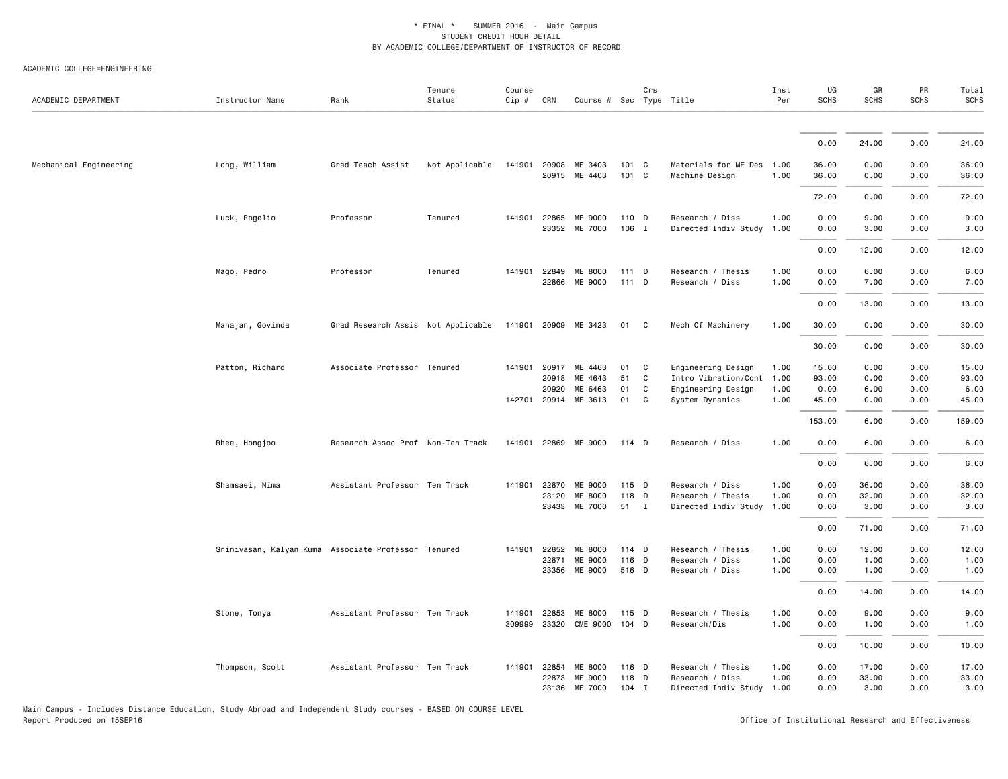#### ACADEMIC COLLEGE=ENGINEERING

| ACADEMIC DEPARTMENT    | Instructor Name                                     | Rank                               | Tenure<br>Status | Course<br>Cip #  | CRN            | Course # Sec Type Title        |                  | Crs          |                                              | Inst<br>Per  | UG<br><b>SCHS</b> | GR<br><b>SCHS</b> | PR<br><b>SCHS</b> | Total<br><b>SCHS</b> |
|------------------------|-----------------------------------------------------|------------------------------------|------------------|------------------|----------------|--------------------------------|------------------|--------------|----------------------------------------------|--------------|-------------------|-------------------|-------------------|----------------------|
|                        |                                                     |                                    |                  |                  |                |                                |                  |              |                                              |              |                   |                   |                   |                      |
|                        |                                                     |                                    |                  |                  |                |                                |                  |              |                                              |              | 0.00              | 24.00             | 0.00              | 24.00                |
| Mechanical Engineering | Long, William                                       | Grad Teach Assist                  | Not Applicable   | 141901           |                | 20908 ME 3403<br>20915 ME 4403 | 101 C<br>101 C   |              | Materials for ME Des<br>Machine Design       | 1.00<br>1.00 | 36.00<br>36.00    | 0.00<br>0.00      | 0.00<br>0.00      | 36.00<br>36.00       |
|                        |                                                     |                                    |                  |                  |                |                                |                  |              |                                              |              | 72.00             | 0.00              | 0.00              | 72.00                |
|                        | Luck, Rogelio                                       | Professor                          | Tenured          | 141901           | 22865<br>23352 | ME 9000<br>ME 7000             | 110 D<br>106 I   |              | Research / Diss<br>Directed Indiv Study      | 1.00<br>1.00 | 0.00<br>0.00      | 9.00<br>3.00      | 0.00<br>0.00      | 9.00<br>3.00         |
|                        |                                                     |                                    |                  |                  |                |                                |                  |              |                                              |              | 0.00              | 12.00             | 0.00              | 12.00                |
|                        | Mago, Pedro                                         | Professor                          | Tenured          | 141901           | 22849          | ME 8000<br>22866 ME 9000       | $111$ D<br>111 D |              | Research / Thesis<br>Research / Diss         | 1.00<br>1.00 | 0.00<br>0.00      | 6.00<br>7.00      | 0.00<br>0.00      | 6.00<br>7.00         |
|                        |                                                     |                                    |                  |                  |                |                                |                  |              |                                              |              | 0.00              | 13.00             | 0.00              | 13.00                |
|                        | Mahajan, Govinda                                    | Grad Research Assis Not Applicable |                  | 141901           |                | 20909 ME 3423                  | 01 C             |              | Mech Of Machinery                            | 1.00         | 30.00             | 0.00              | 0.00              | 30.00                |
|                        |                                                     |                                    |                  |                  |                |                                |                  |              |                                              |              | 30.00             | 0.00              | 0.00              | 30.00                |
|                        | Patton, Richard                                     | Associate Professor Tenured        |                  | 141901           | 20917          | ME 4463                        | 01               | C            | Engineering Design                           | 1.00         | 15.00             | 0.00              | 0.00              | 15.00                |
|                        |                                                     |                                    |                  |                  | 20918          | ME 4643                        | 51               | C            | Intro Vibration/Cont                         | 1.00         | 93.00             | 0.00              | 0.00              | 93.00                |
|                        |                                                     |                                    |                  |                  | 20920          | ME 6463                        | 01               | C            | Engineering Design                           | 1.00         | 0.00              | 6.00              | 0.00              | 6.00                 |
|                        |                                                     |                                    |                  |                  |                | 142701 20914 ME 3613           | 01               | C            | System Dynamics                              | 1.00         | 45.00             | 0.00              | 0.00              | 45.00                |
|                        |                                                     |                                    |                  |                  |                |                                |                  |              |                                              |              | 153.00            | 6.00              | 0.00              | 159.00               |
|                        | Rhee, Hongjoo                                       | Research Assoc Prof Non-Ten Track  |                  | 141901           |                | 22869 ME 9000                  | 114 D            |              | Research / Diss                              | 1.00         | 0.00              | 6.00              | 0.00              | 6.00                 |
|                        |                                                     |                                    |                  |                  |                |                                |                  |              |                                              |              | 0.00              | 6.00              | 0.00              | 6.00                 |
|                        | Shamsaei, Nima                                      | Assistant Professor Ten Track      |                  | 141901           | 22870<br>23120 | ME 9000<br>ME 8000             | 115 D<br>118 D   |              | Research / Diss<br>Research / Thesis         | 1.00<br>1.00 | 0.00<br>0.00      | 36.00<br>32.00    | 0.00<br>0.00      | 36.00<br>32.00       |
|                        |                                                     |                                    |                  |                  | 23433          | ME 7000                        | 51               | $\mathbf{I}$ | Directed Indiv Study                         | 1.00         | 0.00              | 3.00              | 0.00              | 3.00                 |
|                        |                                                     |                                    |                  |                  |                |                                |                  |              |                                              |              | 0.00              | 71.00             | 0.00              | 71.00                |
|                        | Srinivasan, Kalyan Kuma Associate Professor Tenured |                                    |                  | 141901           | 22852          | ME 8000                        | 114 D            |              | Research / Thesis                            | 1.00         | 0.00              | 12.00             | 0.00              | 12.00                |
|                        |                                                     |                                    |                  |                  | 22871          | ME 9000                        | 116 D            |              | Research / Diss                              | 1.00         | 0.00              | 1.00              | 0.00              | 1.00                 |
|                        |                                                     |                                    |                  |                  |                | 23356 ME 9000                  | 516 D            |              | Research / Diss                              | 1.00         | 0.00              | 1.00              | 0.00              | 1.00                 |
|                        |                                                     |                                    |                  |                  |                |                                |                  |              |                                              |              | 0.00              | 14.00             | 0.00              | 14.00                |
|                        | Stone, Tonya                                        | Assistant Professor Ten Track      |                  | 141901<br>309999 | 22853<br>23320 | ME 8000<br><b>CME 9000</b>     | 115 D<br>$104$ D |              | Research / Thesis<br>Research/Dis            | 1.00<br>1.00 | 0.00<br>0.00      | 9.00<br>1.00      | 0.00<br>0.00      | 9.00<br>1.00         |
|                        |                                                     |                                    |                  |                  |                |                                |                  |              |                                              |              | 0.00              | 10.00             | 0.00              | 10.00                |
|                        | Thompson, Scott                                     | Assistant Professor Ten Track      |                  | 141901           | 22854          | ME 8000                        | 116 D            |              | Research / Thesis                            | 1.00         | 0.00              | 17.00             | 0.00              | 17.00                |
|                        |                                                     |                                    |                  |                  | 22873<br>23136 | ME 9000<br>ME 7000             | 118 D<br>$104$ I |              | Research / Diss<br>Directed Indiv Study 1.00 | 1.00         | 0.00<br>0.00      | 33.00<br>3.00     | 0.00<br>0.00      | 33.00<br>3.00        |

Main Campus - Includes Distance Education, Study Abroad and Independent Study courses - BASED ON COURSE LEVEL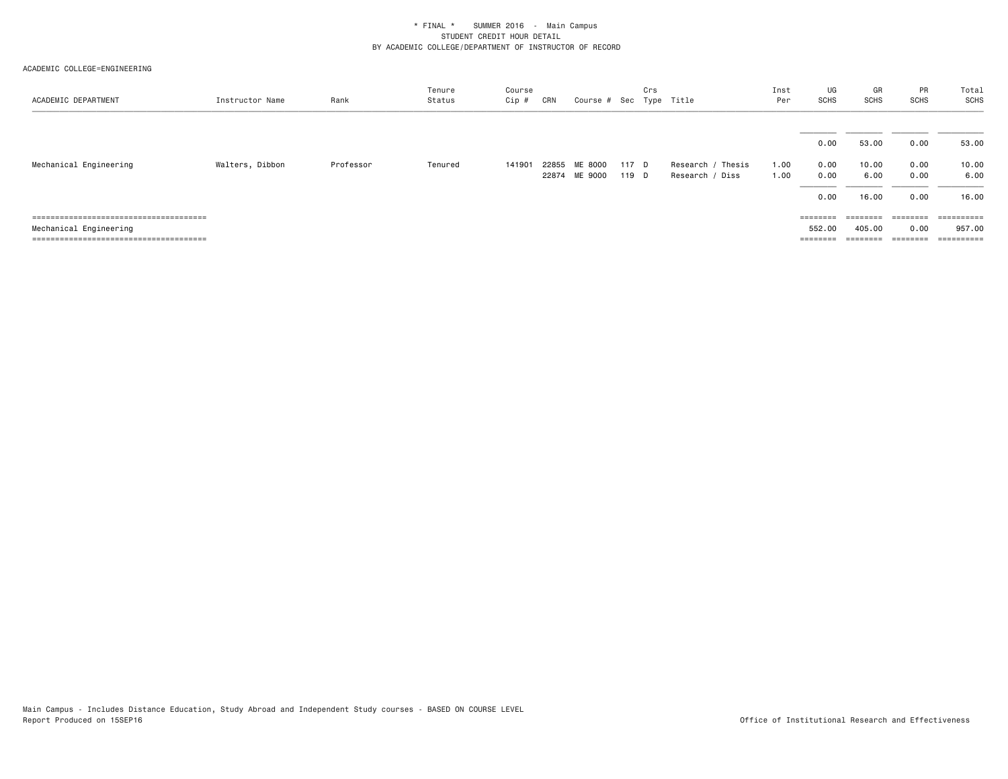| ACADEMIC DEPARTMENT    | Instructor Name | Rank      | Tenure<br>Status | Course<br>Cip # | CRN   | Course # Sec Type Title  |                | Crs |                                         | Inst<br>Per  | UG<br>SCHS                   | GR<br>SCHS                      | PR<br>SCHS                   | Total<br><b>SCHS</b>            |
|------------------------|-----------------|-----------|------------------|-----------------|-------|--------------------------|----------------|-----|-----------------------------------------|--------------|------------------------------|---------------------------------|------------------------------|---------------------------------|
| Mechanical Engineering | Walters, Dibbon | Professor | Tenured          | 141901          | 22855 | ME 8000<br>22874 ME 9000 | 117 D<br>119 D |     | Thesis<br>Research /<br>Research / Diss | 1.00<br>1.00 | 0.00<br>0.00<br>0.00<br>0.00 | 53.00<br>10.00<br>6.00<br>16.00 | 0.00<br>0.00<br>0.00<br>0.00 | 53.00<br>10.00<br>6.00<br>16.00 |
|                        |                 |           |                  |                 |       |                          |                |     |                                         |              |                              |                                 | ========                     | ==========                      |
| Mechanical Engineering |                 |           |                  |                 |       |                          |                |     |                                         |              | 552.00                       | 405.00                          | 0.00                         | 957.00                          |
|                        |                 |           |                  |                 |       |                          |                |     |                                         |              | ========                     | ========                        | ========                     | ==========                      |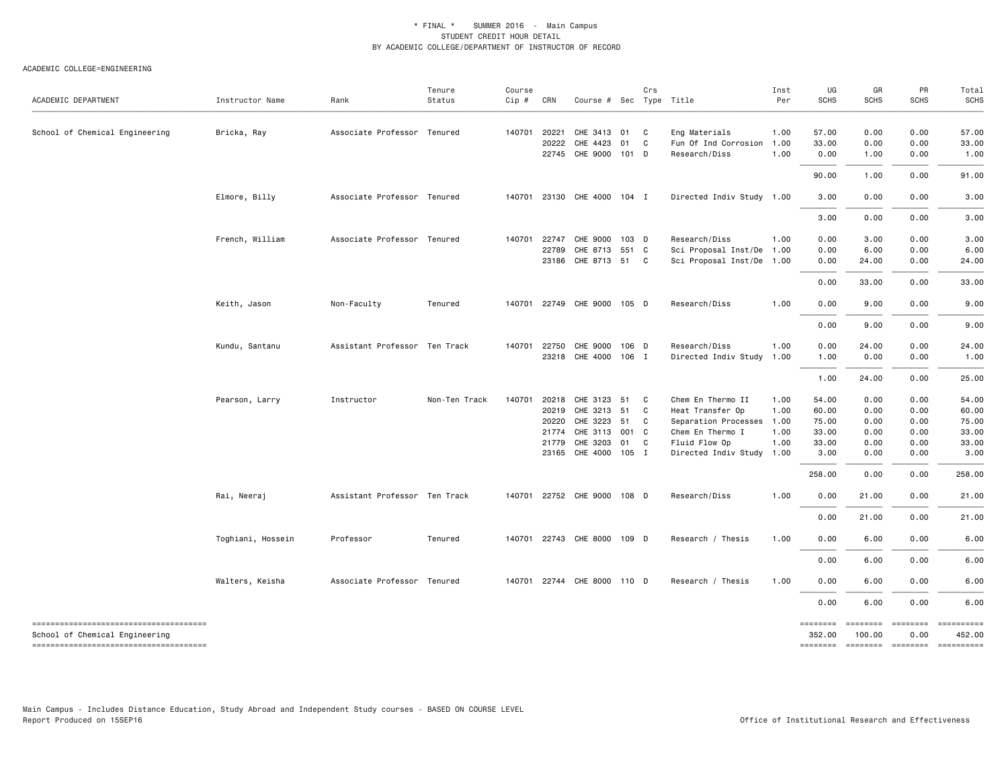#### ACADEMIC COLLEGE=ENGINEERING

| ACADEMIC DEPARTMENT                                                     | Instructor Name   | Rank                          | Tenure<br>Status | Course<br>$Cip$ # | CRN   | Course # Sec Type Title     |       | Crs |                           | Inst<br>Per | UG<br><b>SCHS</b>  | GR<br><b>SCHS</b>  | PR<br><b>SCHS</b>                     | Total<br><b>SCHS</b> |
|-------------------------------------------------------------------------|-------------------|-------------------------------|------------------|-------------------|-------|-----------------------------|-------|-----|---------------------------|-------------|--------------------|--------------------|---------------------------------------|----------------------|
| School of Chemical Engineering                                          | Bricka, Ray       | Associate Professor Tenured   |                  | 140701            | 20221 | CHE 3413 01                 |       | C   | Eng Materials             | 1.00        | 57.00              | 0.00               | 0.00                                  | 57.00                |
|                                                                         |                   |                               |                  |                   | 20222 | CHE 4423                    | 01    | C   | Fun Of Ind Corrosion      | 1.00        | 33.00              | 0.00               | 0.00                                  | 33.00                |
|                                                                         |                   |                               |                  |                   |       | 22745 CHE 9000 101 D        |       |     | Research/Diss             | 1.00        | 0.00               | 1.00               | 0.00                                  | 1.00                 |
|                                                                         |                   |                               |                  |                   |       |                             |       |     |                           |             | 90.00              | 1.00               | 0.00                                  | 91.00                |
|                                                                         | Elmore, Billy     | Associate Professor Tenured   |                  | 140701            |       | 23130 CHE 4000 104 I        |       |     | Directed Indiv Study 1.00 |             | 3.00               | 0.00               | 0.00                                  | 3.00                 |
|                                                                         |                   |                               |                  |                   |       |                             |       |     |                           |             | 3.00               | 0.00               | 0.00                                  | 3.00                 |
|                                                                         | French, William   | Associate Professor Tenured   |                  | 140701            | 22747 | CHE 9000 103 D              |       |     | Research/Diss             | 1.00        | 0.00               | 3.00               | 0.00                                  | 3.00                 |
|                                                                         |                   |                               |                  |                   | 22789 | CHE 8713 551 C              |       |     | Sci Proposal Inst/De      | 1.00        | 0.00               | 6.00               | 0.00                                  | 6.00                 |
|                                                                         |                   |                               |                  |                   |       | 23186 CHE 8713 51 C         |       |     | Sci Proposal Inst/De 1.00 |             | 0.00               | 24.00              | 0.00                                  | 24.00                |
|                                                                         |                   |                               |                  |                   |       |                             |       |     |                           |             | 0.00               | 33.00              | 0.00                                  | 33.00                |
|                                                                         | Keith, Jason      | Non-Faculty                   | Tenured          | 140701            |       | 22749 CHE 9000 105 D        |       |     | Research/Diss             | 1.00        | 0.00               | 9.00               | 0.00                                  | 9.00                 |
|                                                                         |                   |                               |                  |                   |       |                             |       |     |                           |             | 0.00               | 9.00               | 0.00                                  | 9.00                 |
|                                                                         | Kundu, Santanu    | Assistant Professor Ten Track |                  | 140701            | 22750 | CHE 9000 106 D              |       |     | Research/Diss             | 1.00        | 0.00               | 24.00              | 0.00                                  | 24.00                |
|                                                                         |                   |                               |                  |                   |       | 23218 CHE 4000 106 I        |       |     | Directed Indiv Study 1.00 |             | 1.00               | 0.00               | 0.00                                  | 1.00                 |
|                                                                         |                   |                               |                  |                   |       |                             |       |     |                           |             | 1.00               | 24.00              | 0.00                                  | 25.00                |
|                                                                         | Pearson, Larry    | Instructor                    | Non-Ten Track    | 140701            | 20218 | CHE 3123 51                 |       | C   | Chem En Thermo II         | 1.00        | 54.00              | 0.00               | 0.00                                  | 54.00                |
|                                                                         |                   |                               |                  |                   | 20219 | CHE 3213 51                 |       | C   | Heat Transfer Op          | 1.00        | 60.00              | 0.00               | 0.00                                  | 60.00                |
|                                                                         |                   |                               |                  |                   | 20220 | CHE 3223 51                 |       | C   | Separation Processes 1.00 |             | 75.00              | 0.00               | 0.00                                  | 75.00                |
|                                                                         |                   |                               |                  |                   | 21774 | CHE 3113                    | 001 C |     | Chem En Thermo I          | 1.00        | 33.00              | 0.00               | 0.00                                  | 33.00                |
|                                                                         |                   |                               |                  |                   | 21779 | CHE 3203                    | 01    | C   | Fluid Flow Op             | 1.00        | 33.00              | 0.00               | 0.00                                  | 33.00                |
|                                                                         |                   |                               |                  |                   |       | 23165 CHE 4000 105 I        |       |     | Directed Indiv Study 1.00 |             | 3.00               | 0.00               | 0.00                                  | 3.00                 |
|                                                                         |                   |                               |                  |                   |       |                             |       |     |                           |             | 258.00             | 0.00               | 0.00                                  | 258.00               |
|                                                                         | Rai, Neeraj       | Assistant Professor Ten Track |                  |                   |       | 140701 22752 CHE 9000 108 D |       |     | Research/Diss             | 1.00        | 0.00               | 21.00              | 0.00                                  | 21.00                |
|                                                                         |                   |                               |                  |                   |       |                             |       |     |                           |             | 0.00               | 21.00              | 0.00                                  | 21.00                |
|                                                                         | Toghiani, Hossein | Professor                     | Tenured          | 140701            |       | 22743 CHE 8000 109 D        |       |     | Research / Thesis         | 1.00        | 0.00               | 6.00               | 0.00                                  | 6.00                 |
|                                                                         |                   |                               |                  |                   |       |                             |       |     |                           |             | 0.00               | 6.00               | 0.00                                  | 6.00                 |
|                                                                         | Walters, Keisha   | Associate Professor Tenured   |                  |                   |       | 140701 22744 CHE 8000 110 D |       |     | Research / Thesis         | 1.00        | 0.00               | 6.00               | 0.00                                  | 6.00                 |
|                                                                         |                   |                               |                  |                   |       |                             |       |     |                           |             | 0.00               | 6.00               | 0.00                                  | 6.00                 |
| -------------------------------------<br>School of Chemical Engineering |                   |                               |                  |                   |       |                             |       |     |                           |             | ========<br>352.00 | ========<br>100.00 | ========<br>0.00                      | ==========<br>452.00 |
| -------------------------------------                                   |                   |                               |                  |                   |       |                             |       |     |                           |             |                    |                    | ======== ======== ======== ========== |                      |

Main Campus - Includes Distance Education, Study Abroad and Independent Study courses - BASED ON COURSE LEVEL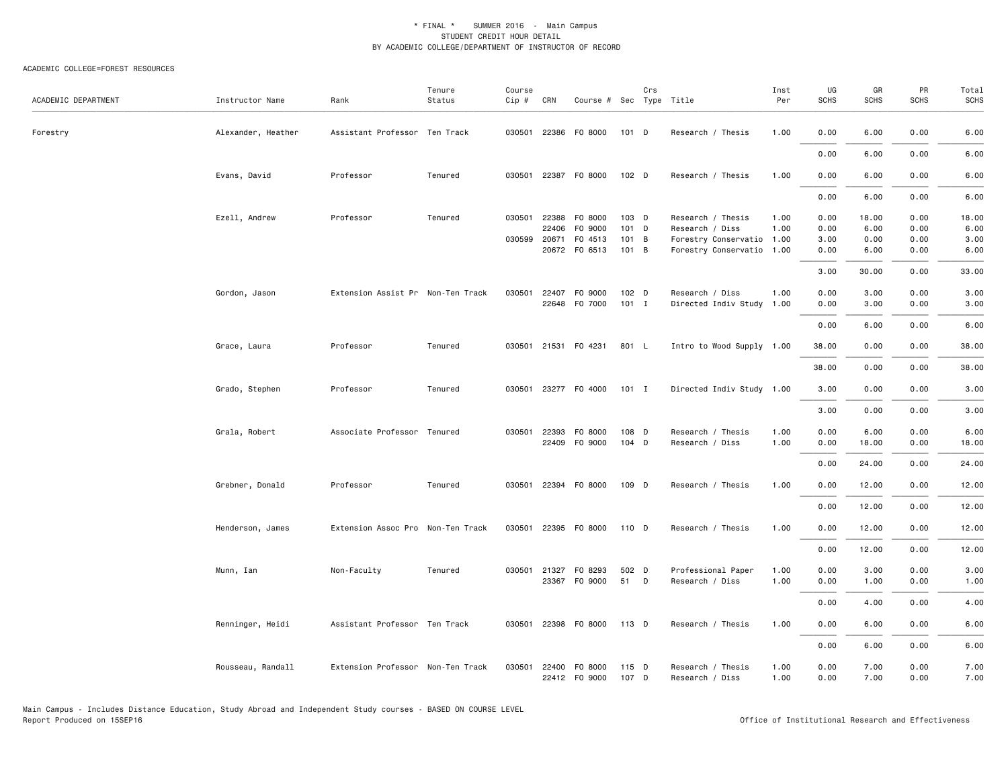#### ACADEMIC COLLEGE=FOREST RESOURCES

| ACADEMIC DEPARTMENT | Instructor Name    | Rank                              | Tenure<br>Status | Course<br>Cip # | CRN          | Course # Sec Type Title |         | Crs |                           | Inst<br>Per | UG<br><b>SCHS</b> | GR<br><b>SCHS</b> | PR<br><b>SCHS</b> | Total<br>SCHS |
|---------------------|--------------------|-----------------------------------|------------------|-----------------|--------------|-------------------------|---------|-----|---------------------------|-------------|-------------------|-------------------|-------------------|---------------|
| Forestry            | Alexander, Heather | Assistant Professor Ten Track     |                  |                 |              | 030501 22386 F0 8000    | 101 D   |     | Research / Thesis         | 1.00        | 0.00              | 6.00              | 0.00              | 6.00          |
|                     |                    |                                   |                  |                 |              |                         |         |     |                           |             | 0.00              | 6.00              | 0.00              | 6.00          |
|                     | Evans, David       | Professor                         | Tenured          | 030501          |              | 22387 F0 8000           | 102 D   |     | Research / Thesis         | 1.00        | 0.00              | 6.00              | 0.00              | 6.00          |
|                     |                    |                                   |                  |                 |              |                         |         |     |                           |             | 0.00              | 6.00              | 0.00              | 6.00          |
|                     | Ezell, Andrew      | Professor                         | Tenured          | 030501          | 22388        | F0 8000                 | 103 D   |     | Research / Thesis         | 1.00        | 0.00              | 18.00             | 0.00              | 18.00         |
|                     |                    |                                   |                  |                 | 22406        | F0 9000                 | 101 D   |     | Research / Diss           | 1.00        | 0.00              | 6.00              | 0.00              | 6.00          |
|                     |                    |                                   |                  | 030599          | 20671        | F0 4513                 | 101 B   |     | Forestry Conservatio 1.00 |             | 3.00              | 0.00              | 0.00              | 3.00          |
|                     |                    |                                   |                  |                 |              | 20672 FO 6513           | 101 B   |     | Forestry Conservatio 1.00 |             | 0.00              | 6.00              | 0.00              | 6.00          |
|                     |                    |                                   |                  |                 |              |                         |         |     |                           |             | 3.00              | 30.00             | 0.00              | 33.00         |
|                     | Gordon, Jason      | Extension Assist Pr Non-Ten Track |                  | 030501          | 22407        | F0 9000                 | 102 D   |     | Research / Diss           | 1.00        | 0.00              | 3.00              | 0.00              | 3.00          |
|                     |                    |                                   |                  |                 |              | 22648 F0 7000           | $101$ I |     | Directed Indiv Study 1.00 |             | 0.00              | 3.00              | 0.00              | 3.00          |
|                     |                    |                                   |                  |                 |              |                         |         |     |                           |             |                   |                   |                   |               |
|                     |                    |                                   |                  |                 |              |                         |         |     |                           |             | 0.00              | 6.00              | 0.00              | 6.00          |
|                     | Grace, Laura       | Professor                         | Tenured          | 030501          |              | 21531 F0 4231           | 801 L   |     | Intro to Wood Supply 1.00 |             | 38.00             | 0.00              | 0.00              | 38.00         |
|                     |                    |                                   |                  |                 |              |                         |         |     |                           |             | 38.00             | 0.00              | 0.00              | 38.00         |
|                     | Grado, Stephen     | Professor                         | Tenured          |                 |              | 030501 23277 F0 4000    | $101$ I |     | Directed Indiv Study 1.00 |             | 3.00              | 0.00              | 0.00              | 3.00          |
|                     |                    |                                   |                  |                 |              |                         |         |     |                           |             | 3.00              | 0.00              | 0.00              | 3.00          |
|                     | Grala, Robert      | Associate Professor Tenured       |                  |                 | 030501 22393 | F0 8000                 | 108 D   |     | Research / Thesis         | 1.00        | 0.00              | 6.00              | 0.00              | 6.00          |
|                     |                    |                                   |                  |                 |              | 22409 F0 9000           | $104$ D |     | Research / Diss           | 1.00        | 0.00              | 18.00             | 0.00              | 18.00         |
|                     |                    |                                   |                  |                 |              |                         |         |     |                           |             | 0.00              | 24.00             | 0.00              | 24.00         |
|                     |                    |                                   |                  |                 |              |                         |         |     |                           |             |                   |                   |                   |               |
|                     | Grebner, Donald    | Professor                         | Tenured          |                 |              | 030501 22394 F0 8000    | 109 D   |     | Research / Thesis         | 1.00        | 0.00              | 12.00             | 0.00              | 12.00         |
|                     |                    |                                   |                  |                 |              |                         |         |     |                           |             | 0.00              | 12.00             | 0.00              | 12.00         |
|                     | Henderson, James   | Extension Assoc Pro Non-Ten Track |                  |                 |              | 030501 22395 F0 8000    | 110 D   |     | Research / Thesis         | 1.00        | 0.00              | 12.00             | 0.00              | 12.00         |
|                     |                    |                                   |                  |                 |              |                         |         |     |                           |             | 0.00              | 12.00             | 0.00              | 12.00         |
|                     | Munn, Ian          | Non-Faculty                       | Tenured          |                 | 030501 21327 | F0 8293                 | 502 D   |     | Professional Paper        | 1.00        | 0.00              | 3.00              | 0.00              | 3.00          |
|                     |                    |                                   |                  |                 |              | 23367 FO 9000           | 51 D    |     | Research / Diss           | 1.00        | 0.00              | 1.00              | 0.00              | 1.00          |
|                     |                    |                                   |                  |                 |              |                         |         |     |                           |             |                   |                   |                   |               |
|                     |                    |                                   |                  |                 |              |                         |         |     |                           |             | 0.00              | 4.00              | 0.00              | 4.00          |
|                     | Renninger, Heidi   | Assistant Professor Ten Track     |                  |                 |              | 030501 22398 F0 8000    | 113 D   |     | Research / Thesis         | 1.00        | 0.00              | 6.00              | 0.00              | 6.00          |
|                     |                    |                                   |                  |                 |              |                         |         |     |                           |             | 0.00              | 6.00              | 0.00              | 6.00          |
|                     | Rousseau, Randall  | Extension Professor Non-Ten Track |                  | 030501          | 22400        | F0 8000                 | 115 D   |     | Research / Thesis         | 1.00        | 0.00              | 7.00              | 0.00              | 7.00          |
|                     |                    |                                   |                  |                 |              | 22412 FO 9000           | 107 D   |     | Research / Diss           | 1.00        | 0.00              | 7.00              | 0.00              | 7.00          |

Main Campus - Includes Distance Education, Study Abroad and Independent Study courses - BASED ON COURSE LEVEL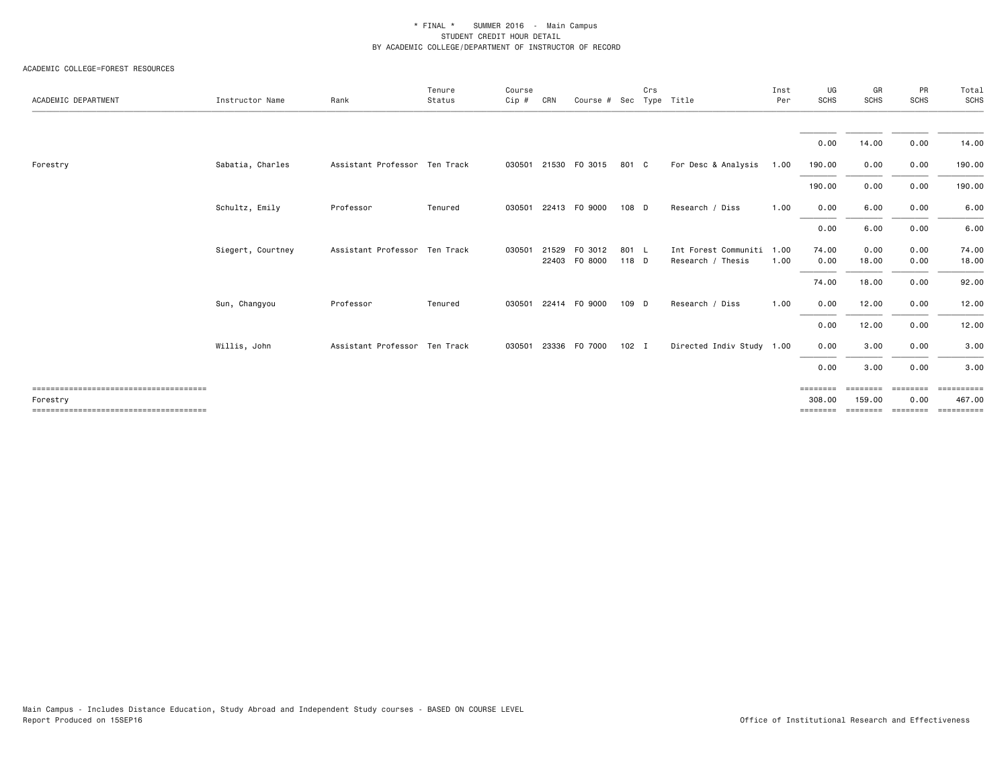#### ACADEMIC COLLEGE=FOREST RESOURCES

| ACADEMIC DEPARTMENT | Instructor Name   | Rank                          | Tenure<br>Status | Course<br>Cip # | CRN   | Course # Sec Type Title |         | Crs |                           | Inst<br>Per | UG<br><b>SCHS</b> | GR<br><b>SCHS</b> | PR<br>SCHS        | Total<br>SCHS |
|---------------------|-------------------|-------------------------------|------------------|-----------------|-------|-------------------------|---------|-----|---------------------------|-------------|-------------------|-------------------|-------------------|---------------|
|                     |                   |                               |                  |                 |       |                         |         |     |                           |             |                   |                   |                   |               |
|                     |                   |                               |                  |                 |       |                         |         |     |                           |             | 0.00              | 14.00             | 0.00              | 14.00         |
| Forestry            | Sabatia, Charles  | Assistant Professor Ten Track |                  |                 |       | 030501 21530 F0 3015    | 801 C   |     | For Desc & Analysis       | 1.00        | 190.00            | 0.00              | 0.00              | 190.00        |
|                     |                   |                               |                  |                 |       |                         |         |     |                           |             | 190.00            | 0.00              | 0.00              | 190.00        |
|                     | Schultz, Emily    | Professor                     | Tenured          | 030501          |       | 22413 FO 9000           | 108 D   |     | Research / Diss           | 1.00        | 0.00              | 6.00              | 0.00              | 6.00          |
|                     |                   |                               |                  |                 |       |                         |         |     |                           |             | 0.00              | 6.00              | 0.00              | 6.00          |
|                     | Siegert, Courtney | Assistant Professor Ten Track |                  | 030501          | 21529 | F0 3012                 | 801 L   |     | Int Forest Communiti      | 1.00        | 74.00             | 0.00              | 0.00              | 74.00         |
|                     |                   |                               |                  |                 |       | 22403 FO 8000           | 118 D   |     | Research / Thesis         | 1.00        | 0.00              | 18.00             | 0.00              | 18.00         |
|                     |                   |                               |                  |                 |       |                         |         |     |                           |             | 74.00             | 18.00             | 0.00              | 92.00         |
|                     | Sun, Changyou     | Professor                     | Tenured          | 030501          |       | 22414 FO 9000           | 109 D   |     | Research / Diss           | 1.00        | 0.00              | 12.00             | 0.00              | 12.00         |
|                     |                   |                               |                  |                 |       |                         |         |     |                           |             | 0.00              | 12.00             | 0.00              | 12.00         |
|                     | Willis, John      | Assistant Professor Ten Track |                  | 030501          |       | 23336 FO 7000           | $102$ I |     | Directed Indiv Study 1.00 |             | 0.00              | 3.00              | 0.00              | 3.00          |
|                     |                   |                               |                  |                 |       |                         |         |     |                           |             | 0.00              | 3.00              | 0.00              | 3.00          |
|                     |                   |                               |                  |                 |       |                         |         |     |                           |             | ========          | ---------         | ---------         | ==========    |
| Forestry            |                   |                               |                  |                 |       |                         |         |     |                           |             | 308.00            | 159.00            | 0.00              | 467.00        |
|                     |                   |                               |                  |                 |       |                         |         |     |                           |             | ========          | ========          | $=$ = = = = = = = | ==========    |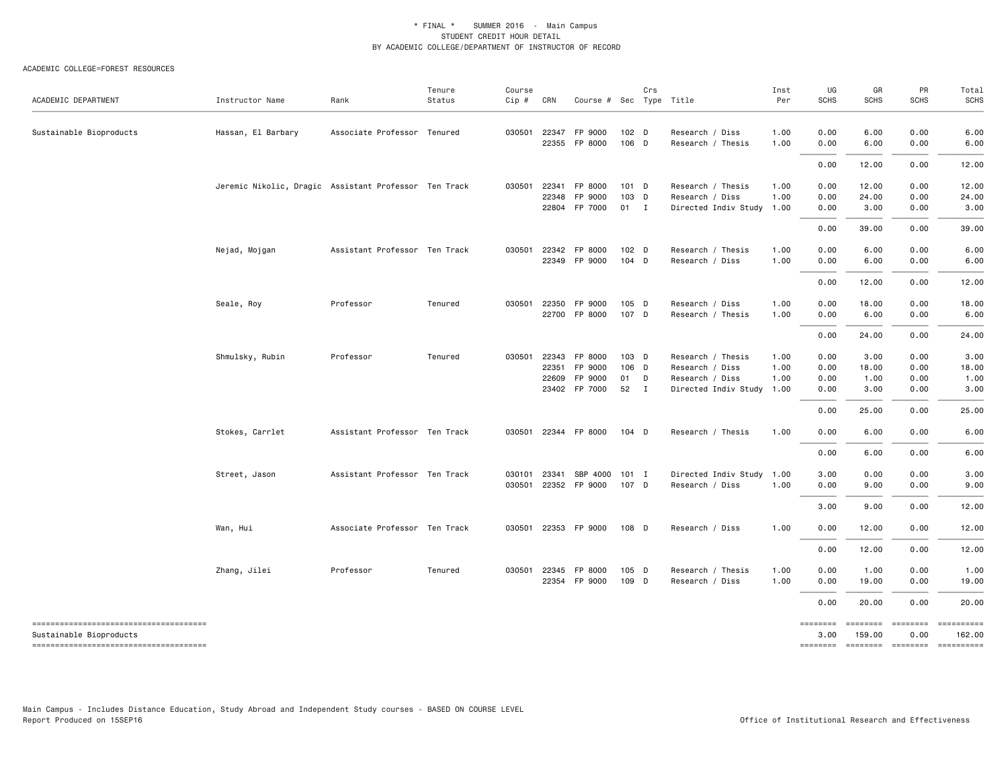#### ACADEMIC COLLEGE=FOREST RESOURCES

| ACADEMIC DEPARTMENT                                              | Instructor Name                                       | Rank                          | Tenure<br>Status | Course<br>$Cip$ # | CRN            | Course # Sec Type Title  |                           | Crs |                                      | Inst<br>Per  | UG<br><b>SCHS</b> | GR<br><b>SCHS</b> | PR<br><b>SCHS</b>         | Total<br><b>SCHS</b> |
|------------------------------------------------------------------|-------------------------------------------------------|-------------------------------|------------------|-------------------|----------------|--------------------------|---------------------------|-----|--------------------------------------|--------------|-------------------|-------------------|---------------------------|----------------------|
| Sustainable Bioproducts                                          | Hassan, El Barbary                                    | Associate Professor Tenured   |                  | 030501            | 22347          | FP 9000<br>22355 FP 8000 | 102 <sub>D</sub><br>106 D |     | Research / Diss<br>Research / Thesis | 1.00<br>1.00 | 0.00<br>0.00      | 6.00<br>6.00      | 0.00<br>0.00              | 6.00<br>6.00         |
|                                                                  |                                                       |                               |                  |                   |                |                          |                           |     |                                      |              | 0.00              | 12.00             | 0.00                      | 12.00                |
|                                                                  | Jeremic Nikolic, Dragic Assistant Professor Ten Track |                               |                  | 030501            | 22341<br>22348 | FP 8000<br>FP 9000       | $101$ D<br>103 D          |     | Research / Thesis<br>Research / Diss | 1.00<br>1.00 | 0.00<br>0.00      | 12.00<br>24.00    | 0.00<br>0.00              | 12.00<br>24.00       |
|                                                                  |                                                       |                               |                  |                   |                | 22804 FP 7000            | $01$ I                    |     | Directed Indiv Study 1.00            |              | 0.00              | 3.00              | 0.00                      | 3.00                 |
|                                                                  |                                                       |                               |                  |                   |                |                          |                           |     |                                      |              | 0.00              | 39.00             | 0.00                      | 39.00                |
|                                                                  | Nejad, Mojgan                                         | Assistant Professor Ten Track |                  | 030501            |                | 22342 FP 8000            | 102 <sub>D</sub>          |     | Research / Thesis                    | 1.00         | 0.00              | 6.00              | 0.00                      | 6.00                 |
|                                                                  |                                                       |                               |                  |                   |                | 22349 FP 9000            | 104 D                     |     | Research / Diss                      | 1.00         | 0.00              | 6.00              | 0.00                      | 6.00                 |
|                                                                  |                                                       |                               |                  |                   |                |                          |                           |     |                                      |              | 0.00              | 12.00             | 0.00                      | 12.00                |
|                                                                  | Seale, Roy                                            | Professor                     | Tenured          | 030501            | 22350          | FP 9000                  | 105 D                     |     | Research / Diss                      | 1.00         | 0.00              | 18.00             | 0.00                      | 18.00                |
|                                                                  |                                                       |                               |                  |                   |                | 22700 FP 8000            | 107 D                     |     | Research / Thesis                    | 1.00         | 0.00              | 6.00              | 0.00                      | 6.00                 |
|                                                                  |                                                       |                               |                  |                   |                |                          |                           |     |                                      |              | 0.00              | 24.00             | 0.00                      | 24.00                |
|                                                                  | Shmulsky, Rubin                                       | Professor                     | Tenured          | 030501            | 22343          | FP 8000                  | 103 D                     |     | Research / Thesis                    | 1.00         | 0.00              | 3.00              | 0.00                      | 3.00                 |
|                                                                  |                                                       |                               |                  |                   | 22351          | FP 9000                  | 106 D                     |     | Research / Diss                      | 1.00         | 0.00              | 18.00             | 0.00                      | 18.00                |
|                                                                  |                                                       |                               |                  |                   | 22609          | FP 9000                  | 01                        | D   | Research / Diss                      | 1.00         | 0.00              | 1.00              | 0.00                      | 1.00                 |
|                                                                  |                                                       |                               |                  |                   |                | 23402 FP 7000            | 52 I                      |     | Directed Indiv Study 1.00            |              | 0.00              | 3.00              | 0.00                      | 3.00                 |
|                                                                  |                                                       |                               |                  |                   |                |                          |                           |     |                                      |              | 0.00              | 25.00             | 0.00                      | 25.00                |
|                                                                  | Stokes, Carrlet                                       | Assistant Professor Ten Track |                  | 030501            |                | 22344 FP 8000            | 104 D                     |     | Research / Thesis                    | 1.00         | 0.00              | 6.00              | 0.00                      | 6.00                 |
|                                                                  |                                                       |                               |                  |                   |                |                          |                           |     |                                      |              | 0.00              | 6.00              | 0.00                      | 6.00                 |
|                                                                  | Street, Jason                                         | Assistant Professor Ten Track |                  | 030101            | 23341          | SBP 4000 101 I           |                           |     | Directed Indiv Study 1.00            |              | 3.00              | 0.00              | 0.00                      | 3.00                 |
|                                                                  |                                                       |                               |                  | 030501            |                | 22352 FP 9000            | 107 D                     |     | Research / Diss                      | 1.00         | 0.00              | 9.00              | 0.00                      | 9.00                 |
|                                                                  |                                                       |                               |                  |                   |                |                          |                           |     |                                      |              | 3.00              | 9.00              | 0.00                      | 12.00                |
|                                                                  | Wan, Hui                                              | Associate Professor Ten Track |                  | 030501            |                | 22353 FP 9000            | 108 D                     |     | Research / Diss                      | 1.00         | 0.00              | 12.00             | 0.00                      | 12.00                |
|                                                                  |                                                       |                               |                  |                   |                |                          |                           |     |                                      |              | 0.00              | 12.00             | 0.00                      | 12.00                |
|                                                                  | Zhang, Jilei                                          | Professor                     | Tenured          | 030501            | 22345          | FP 8000                  | 105 D                     |     | Research / Thesis                    | 1.00         | 0.00              | 1.00              | 0.00                      | 1.00                 |
|                                                                  |                                                       |                               |                  |                   |                | 22354 FP 9000            | 109 D                     |     | Research / Diss                      | 1.00         | 0.00              | 19.00             | 0.00                      | 19.00                |
|                                                                  |                                                       |                               |                  |                   |                |                          |                           |     |                                      |              | 0.00              | 20.00             | 0.00                      | 20.00                |
| --------------------------------------                           |                                                       |                               |                  |                   |                |                          |                           |     |                                      |              | ========          | ========          | ========                  | ==========           |
| Sustainable Bioproducts<br>------------------------------------- |                                                       |                               |                  |                   |                |                          |                           |     |                                      |              | 3.00<br>========  | 159.00            | 0.00<br>--------- ------- | 162.00<br>========== |

Main Campus - Includes Distance Education, Study Abroad and Independent Study courses - BASED ON COURSE LEVEL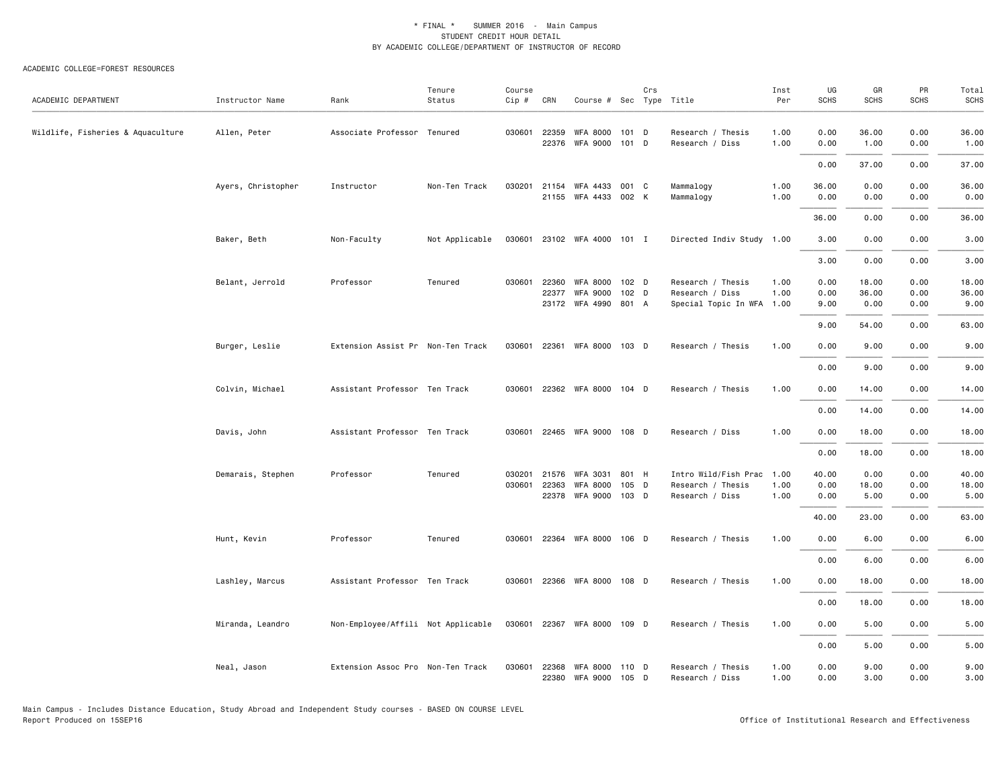#### ACADEMIC COLLEGE=FOREST RESOURCES

| ACADEMIC DEPARTMENT               | Instructor Name    | Rank                               | Tenure<br>Status | Course<br>Cip # | CRN   | Course # Sec Type Title           |                  | Crs |                                      | Inst<br>Per  | UG<br><b>SCHS</b> | GR<br><b>SCHS</b> | PR<br><b>SCHS</b> | Total<br><b>SCHS</b> |
|-----------------------------------|--------------------|------------------------------------|------------------|-----------------|-------|-----------------------------------|------------------|-----|--------------------------------------|--------------|-------------------|-------------------|-------------------|----------------------|
|                                   |                    |                                    |                  |                 |       |                                   |                  |     |                                      |              |                   |                   |                   |                      |
| Wildlife, Fisheries & Aquaculture | Allen, Peter       | Associate Professor Tenured        |                  | 030601          | 22359 | <b>WFA 8000</b><br>22376 WFA 9000 | 101 D<br>101 D   |     | Research / Thesis<br>Research / Diss | 1.00<br>1.00 | 0.00<br>0.00      | 36.00<br>1.00     | 0.00<br>0.00      | 36.00<br>1.00        |
|                                   |                    |                                    |                  |                 |       |                                   |                  |     |                                      |              |                   |                   |                   |                      |
|                                   |                    |                                    |                  |                 |       |                                   |                  |     |                                      |              | 0.00              | 37.00             | 0.00              | 37.00                |
|                                   | Ayers, Christopher | Instructor                         | Non-Ten Track    | 030201          | 21154 | WFA 4433<br>21155 WFA 4433 002 K  | 001 C            |     | Mammalogy<br>Mammalogy               | 1.00<br>1.00 | 36.00<br>0.00     | 0.00<br>0.00      | 0.00<br>0.00      | 36.00<br>0.00        |
|                                   |                    |                                    |                  |                 |       |                                   |                  |     |                                      |              |                   |                   |                   |                      |
|                                   |                    |                                    |                  |                 |       |                                   |                  |     |                                      |              | 36.00             | 0.00              | 0.00              | 36.00                |
|                                   | Baker, Beth        | Non-Faculty                        | Not Applicable   |                 |       | 030601 23102 WFA 4000 101 I       |                  |     | Directed Indiv Study 1.00            |              | 3.00              | 0.00              | 0.00              | 3.00                 |
|                                   |                    |                                    |                  |                 |       |                                   |                  |     |                                      |              | 3.00              | 0.00              | 0.00              | 3.00                 |
|                                   | Belant, Jerrold    | Professor                          | Tenured          | 030601          | 22360 | <b>WFA 8000</b>                   | 102 <sub>D</sub> |     | Research / Thesis                    | 1.00         | 0.00              | 18.00             | 0.00              | 18.00                |
|                                   |                    |                                    |                  |                 | 22377 | <b>WFA 9000</b>                   | 102 D            |     | Research / Diss                      | 1.00         | 0.00              | 36.00             | 0.00              | 36.00                |
|                                   |                    |                                    |                  |                 |       | 23172 WFA 4990 801 A              |                  |     | Special Topic In WFA 1.00            |              | 9.00              | 0.00              | 0.00              | 9.00                 |
|                                   |                    |                                    |                  |                 |       |                                   |                  |     |                                      |              | 9.00              | 54.00             | 0.00              | 63.00                |
|                                   | Burger, Leslie     | Extension Assist Pr Non-Ten Track  |                  | 030601          |       | 22361 WFA 8000 103 D              |                  |     | Research / Thesis                    | 1.00         | 0.00              | 9.00              | 0.00              | 9.00                 |
|                                   |                    |                                    |                  |                 |       |                                   |                  |     |                                      |              | 0.00              | 9.00              | 0.00              | 9.00                 |
|                                   | Colvin, Michael    | Assistant Professor Ten Track      |                  | 030601          |       | 22362 WFA 8000 104 D              |                  |     | Research / Thesis                    | 1.00         | 0.00              | 14.00             | 0.00              | 14.00                |
|                                   |                    |                                    |                  |                 |       |                                   |                  |     |                                      |              | 0.00              | 14.00             | 0.00              | 14.00                |
|                                   | Davis, John        | Assistant Professor Ten Track      |                  | 030601          |       | 22465 WFA 9000 108 D              |                  |     | Research / Diss                      | 1.00         | 0.00              | 18.00             | 0.00              | 18.00                |
|                                   |                    |                                    |                  |                 |       |                                   |                  |     |                                      |              | 0.00              | 18.00             | 0.00              | 18.00                |
|                                   | Demarais, Stephen  | Professor                          | Tenured          | 030201          | 21576 | <b>WFA 3031</b>                   | 801 H            |     | Intro Wild/Fish Prac                 | 1.00         | 40.00             | 0.00              | 0.00              | 40.00                |
|                                   |                    |                                    |                  | 030601          | 22363 | <b>WFA 8000</b>                   | 105 D            |     | Research / Thesis                    | 1.00         | 0.00              | 18.00             | 0.00              | 18.00                |
|                                   |                    |                                    |                  |                 |       | 22378 WFA 9000 103 D              |                  |     | Research / Diss                      | 1.00         | 0.00              | 5.00              | 0.00              | 5.00                 |
|                                   |                    |                                    |                  |                 |       |                                   |                  |     |                                      |              | 40.00             | 23.00             | 0.00              | 63.00                |
|                                   | Hunt, Kevin        | Professor                          | Tenured          | 030601          |       | 22364 WFA 8000 106 D              |                  |     | Research / Thesis                    | 1.00         | 0.00              | 6.00              | 0.00              | 6.00                 |
|                                   |                    |                                    |                  |                 |       |                                   |                  |     |                                      |              | 0.00              | 6.00              | 0.00              | 6.00                 |
|                                   | Lashley, Marcus    | Assistant Professor Ten Track      |                  | 030601          |       | 22366 WFA 8000                    | 108 D            |     | Research / Thesis                    | 1.00         | 0.00              | 18.00             | 0.00              | 18.00                |
|                                   |                    |                                    |                  |                 |       |                                   |                  |     |                                      |              | 0.00              | 18.00             | 0.00              | 18.00                |
|                                   |                    |                                    |                  |                 |       | 030601 22367 WFA 8000 109 D       |                  |     | Research / Thesis                    | 1.00         | 0.00              | 5.00              | 0.00              | 5.00                 |
|                                   | Miranda, Leandro   | Non-Employee/Affili Not Applicable |                  |                 |       |                                   |                  |     |                                      |              |                   |                   |                   |                      |
|                                   |                    |                                    |                  |                 |       |                                   |                  |     |                                      |              | 0.00              | 5.00              | 0.00              | 5.00                 |
|                                   | Neal, Jason        | Extension Assoc Pro Non-Ten Track  |                  | 030601          | 22368 | WFA 8000<br>22380 WFA 9000        | 110 D<br>105 D   |     | Research / Thesis<br>Research / Diss | 1.00<br>1.00 | 0.00<br>0.00      | 9.00<br>3.00      | 0.00<br>0.00      | 9.00<br>3.00         |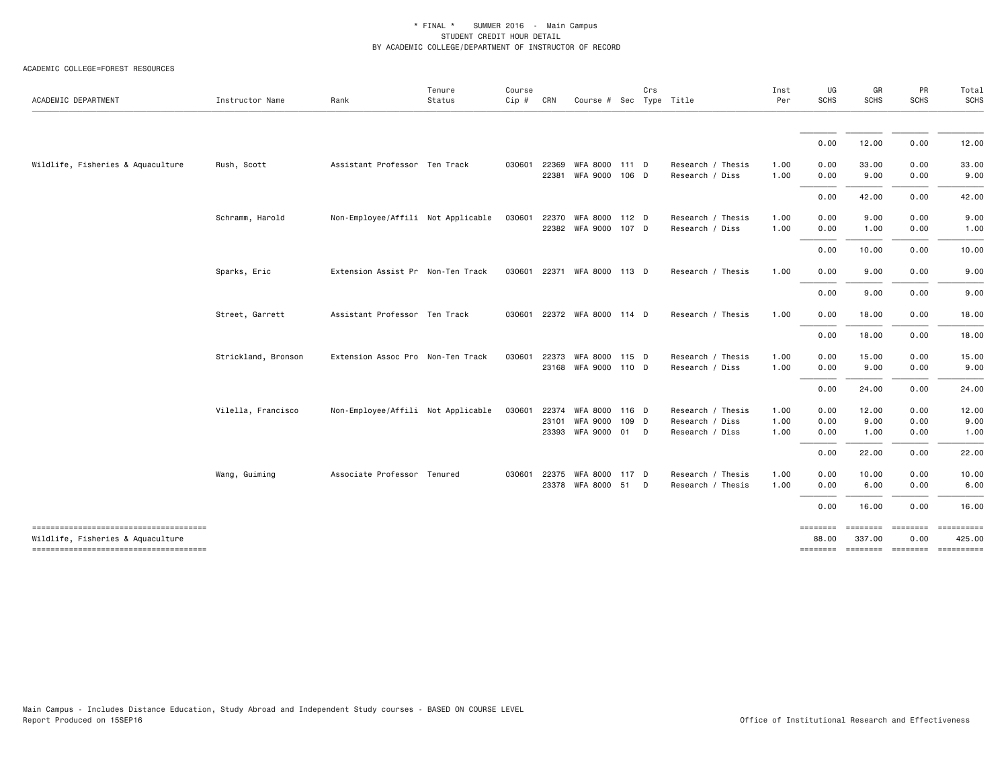#### ACADEMIC COLLEGE=FOREST RESOURCES

| ACADEMIC DEPARTMENT                                                        | Instructor Name     | Rank                               | Tenure<br>Status | Course<br>Cip # | CRN            | Course # Sec Type Title                | Crs |                                      | Inst<br>Per  | UG<br><b>SCHS</b> | GR<br>SCHS         | PR<br>SCHS              | Total<br>SCHS        |
|----------------------------------------------------------------------------|---------------------|------------------------------------|------------------|-----------------|----------------|----------------------------------------|-----|--------------------------------------|--------------|-------------------|--------------------|-------------------------|----------------------|
|                                                                            |                     |                                    |                  |                 |                |                                        |     |                                      |              |                   |                    |                         |                      |
|                                                                            |                     |                                    |                  |                 |                |                                        |     |                                      |              | 0.00              | 12.00              | 0.00                    | 12.00                |
| Wildlife, Fisheries & Aquaculture                                          | Rush, Scott         | Assistant Professor Ten Track      |                  | 030601          | 22369<br>22381 | WFA 8000 111 D<br>WFA 9000 106 D       |     | Research / Thesis<br>Research / Diss | 1.00<br>1.00 | 0.00<br>0.00      | 33.00<br>9.00      | 0.00<br>0.00            | 33.00<br>9.00        |
|                                                                            |                     |                                    |                  |                 |                |                                        |     |                                      |              | 0.00              | 42.00              | 0.00                    | 42.00                |
|                                                                            |                     |                                    |                  |                 |                |                                        |     |                                      |              |                   |                    |                         |                      |
|                                                                            | Schramm, Harold     | Non-Employee/Affili Not Applicable |                  | 030601          | 22370          | WFA 8000 112 D<br>22382 WFA 9000 107 D |     | Research / Thesis<br>Research / Diss | 1.00<br>1.00 | 0.00<br>0.00      | 9.00<br>1.00       | 0.00<br>0.00            | 9.00<br>1.00         |
|                                                                            |                     |                                    |                  |                 |                |                                        |     |                                      |              | 0.00              | 10.00              | 0.00                    | 10.00                |
|                                                                            | Sparks, Eric        | Extension Assist Pr Non-Ten Track  |                  |                 |                | 030601 22371 WFA 8000 113 D            |     | Research / Thesis                    | 1.00         | 0.00              | 9.00               | 0.00                    | 9.00                 |
|                                                                            |                     |                                    |                  |                 |                |                                        |     |                                      |              | 0.00              | 9.00               | 0.00                    | 9.00                 |
|                                                                            | Street, Garrett     | Assistant Professor Ten Track      |                  |                 |                | 030601 22372 WFA 8000 114 D            |     | Research / Thesis                    | 1.00         | 0.00              | 18.00              | 0.00                    | 18.00                |
|                                                                            |                     |                                    |                  |                 |                |                                        |     |                                      |              | 0.00              | 18.00              | 0.00                    | 18.00                |
|                                                                            | Strickland, Bronson | Extension Assoc Pro Non-Ten Track  |                  | 030601          | 22373          | WFA 8000 115 D                         |     | Research / Thesis                    | 1.00         | 0.00              | 15.00              | 0.00                    | 15.00                |
|                                                                            |                     |                                    |                  |                 |                | 23168 WFA 9000 110 D                   |     | Research / Diss                      | 1.00         | 0.00              | 9.00               | 0.00                    | 9.00                 |
|                                                                            |                     |                                    |                  |                 |                |                                        |     |                                      |              | 0.00              | 24.00              | 0.00                    | 24.00                |
|                                                                            | Vilella, Francisco  | Non-Employee/Affili Not Applicable |                  | 030601          | 22374          | WFA 8000 116 D                         |     | Research / Thesis                    | 1.00         | 0.00              | 12.00              | 0.00                    | 12.00                |
|                                                                            |                     |                                    |                  |                 | 23101          | WFA 9000 109 D                         |     | Research / Diss                      | 1.00         | 0.00              | 9.00               | 0.00                    | 9.00                 |
|                                                                            |                     |                                    |                  |                 |                | 23393 WFA 9000 01 D                    |     | Research / Diss                      | 1.00         | 0.00              | 1.00               | 0.00                    | 1.00                 |
|                                                                            |                     |                                    |                  |                 |                |                                        |     |                                      |              | 0.00              | 22.00              | 0.00                    | 22.00                |
|                                                                            | Wang, Guiming       | Associate Professor Tenured        |                  |                 | 030601 22375   | WFA 8000 117 D                         |     | Research / Thesis                    | 1.00         | 0.00              | 10.00              | 0.00                    | 10.00                |
|                                                                            |                     |                                    |                  |                 |                | 23378 WFA 8000 51 D                    |     | Research / Thesis                    | 1.00         | 0.00              | 6.00               | 0.00                    | 6.00                 |
|                                                                            |                     |                                    |                  |                 |                |                                        |     |                                      |              | 0.00              | 16.00              | 0.00                    | 16.00                |
| -------------------------------------<br>Wildlife, Fisheries & Aquaculture |                     |                                    |                  |                 |                |                                        |     |                                      |              | ========<br>88.00 | ========<br>337.00 | <b>EEEEEEEE</b><br>0.00 | ==========<br>425.00 |
| -------------------------------------                                      |                     |                                    |                  |                 |                |                                        |     |                                      |              | ========          | ========= ======== |                         | ==========           |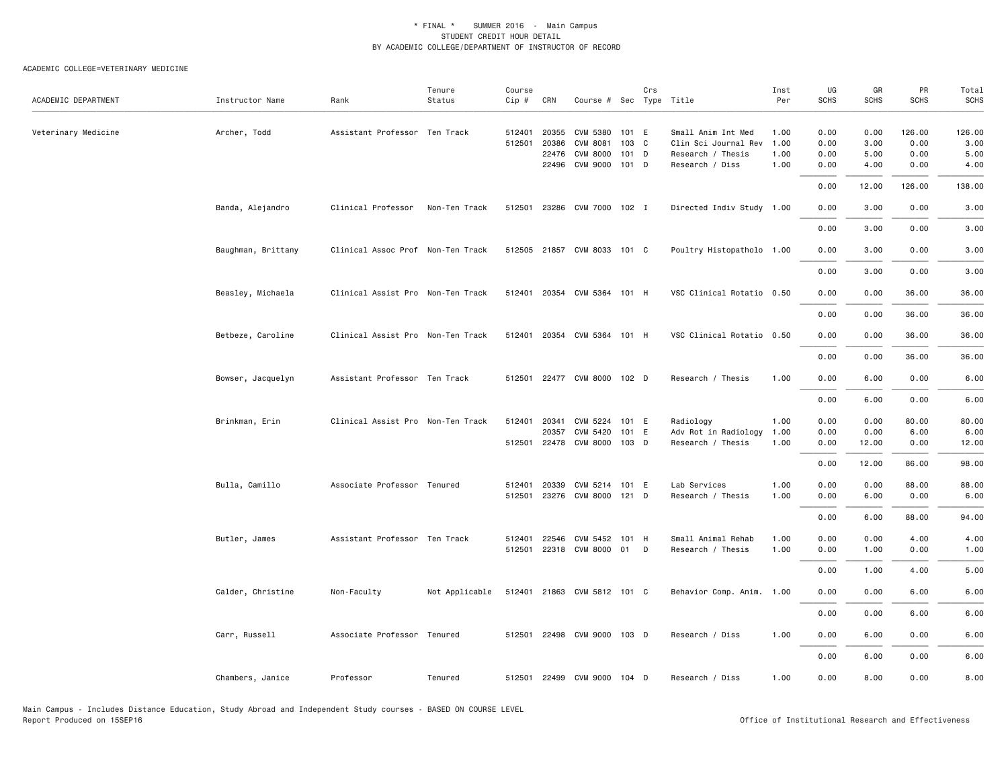| ACADEMIC DEPARTMENT | Instructor Name    | Rank                              | Tenure<br>Status | Course<br>Cip # | CRN   | Course # Sec Type Title     |         | Crs |                           | Inst<br>Per | UG<br><b>SCHS</b> | GR<br><b>SCHS</b> | PR<br><b>SCHS</b> | Total<br><b>SCHS</b> |
|---------------------|--------------------|-----------------------------------|------------------|-----------------|-------|-----------------------------|---------|-----|---------------------------|-------------|-------------------|-------------------|-------------------|----------------------|
|                     |                    |                                   |                  |                 |       |                             |         |     |                           |             |                   |                   |                   |                      |
| Veterinary Medicine | Archer, Todd       | Assistant Professor Ten Track     |                  | 512401          | 20355 | CVM 5380                    | 101 E   |     | Small Anim Int Med        | 1.00        | 0.00              | 0.00              | 126.00            | 126.00               |
|                     |                    |                                   |                  | 512501          | 20386 | <b>CVM 8081</b>             | 103 C   |     | Clin Sci Journal Rev      | 1.00        | 0.00              | 3.00              | 0.00              | 3.00                 |
|                     |                    |                                   |                  |                 | 22476 | <b>CVM 8000</b>             | 101     | D   | Research / Thesis         | 1.00        | 0.00              | 5.00              | 0.00              | 5.00                 |
|                     |                    |                                   |                  |                 |       | 22496 CVM 9000              | $101$ D |     | Research / Diss           | 1.00        | 0.00              | 4.00              | 0.00              | 4.00                 |
|                     |                    |                                   |                  |                 |       |                             |         |     |                           |             | 0.00              | 12.00             | 126.00            | 138.00               |
|                     | Banda, Alejandro   | Clinical Professor                | Non-Ten Track    | 512501          |       | 23286 CVM 7000 102 I        |         |     | Directed Indiv Study 1.00 |             | 0.00              | 3.00              | 0.00              | 3.00                 |
|                     |                    |                                   |                  |                 |       |                             |         |     |                           |             | 0.00              | 3.00              | 0.00              | 3.00                 |
|                     | Baughman, Brittany | Clinical Assoc Prof Non-Ten Track |                  |                 |       | 512505 21857 CVM 8033 101 C |         |     | Poultry Histopatholo 1.00 |             | 0.00              | 3.00              | 0.00              | 3.00                 |
|                     |                    |                                   |                  |                 |       |                             |         |     |                           |             | 0.00              | 3.00              | 0.00              | 3.00                 |
|                     | Beasley, Michaela  | Clinical Assist Pro Non-Ten Track |                  |                 |       | 512401 20354 CVM 5364 101 H |         |     | VSC Clinical Rotatio 0.50 |             | 0.00              | 0.00              | 36.00             | 36.00                |
|                     |                    |                                   |                  |                 |       |                             |         |     |                           |             | 0.00              | 0.00              | 36.00             | 36.00                |
|                     | Betbeze, Caroline  | Clinical Assist Pro Non-Ten Track |                  |                 |       | 512401 20354 CVM 5364 101 H |         |     | VSC Clinical Rotatio 0.50 |             | 0.00              | 0.00              | 36.00             | 36.00                |
|                     |                    |                                   |                  |                 |       |                             |         |     |                           |             | 0.00              | 0.00              | 36.00             | 36.00                |
|                     | Bowser, Jacquelyn  | Assistant Professor Ten Track     |                  | 512501          |       | 22477 CVM 8000 102 D        |         |     | Research / Thesis         | 1.00        | 0.00              | 6.00              | 0.00              | 6.00                 |
|                     |                    |                                   |                  |                 |       |                             |         |     |                           |             | 0.00              | 6.00              | 0.00              | 6.00                 |
|                     | Brinkman, Erin     | Clinical Assist Pro Non-Ten Track |                  | 512401          | 20341 | CVM 5224                    | 101 E   |     | Radiology                 | 1.00        | 0.00              | 0.00              | 80.00             | 80.00                |
|                     |                    |                                   |                  |                 | 20357 | CVM 5420                    | 101 E   |     | Adv Rot in Radiology      | 1.00        | 0.00              | 0.00              | 6.00              | 6.00                 |
|                     |                    |                                   |                  |                 |       | 512501 22478 CVM 8000       | 103 D   |     | Research / Thesis         | 1.00        | 0.00              | 12.00             | 0.00              | 12.00                |
|                     |                    |                                   |                  |                 |       |                             |         |     |                           |             | 0.00              | 12.00             | 86.00             | 98.00                |
|                     | Bulla, Camillo     | Associate Professor Tenured       |                  | 512401          | 20339 | CVM 5214                    | 101 E   |     | Lab Services              | 1.00        | 0.00              | 0.00              | 88.00             | 88.00                |
|                     |                    |                                   |                  | 512501          |       | 23276 CVM 8000 121 D        |         |     | Research / Thesis         | 1.00        | 0.00              | 6.00              | 0.00              | 6.00                 |
|                     |                    |                                   |                  |                 |       |                             |         |     |                           |             | 0.00              | 6.00              | 88.00             | 94.00                |
|                     | Butler, James      | Assistant Professor Ten Track     |                  | 512401          | 22546 | CVM 5452                    | 101 H   |     | Small Animal Rehab        | 1.00        | 0.00              | 0.00              | 4.00              | 4.00                 |
|                     |                    |                                   |                  | 512501          |       | 22318 CVM 8000              | 01      | D   | Research / Thesis         | 1.00        | 0.00              | 1.00              | 0.00              | 1.00                 |
|                     |                    |                                   |                  |                 |       |                             |         |     |                           |             | 0.00              | 1.00              | 4.00              | 5.00                 |
|                     | Calder, Christine  | Non-Faculty                       | Not Applicable   |                 |       | 512401 21863 CVM 5812 101 C |         |     | Behavior Comp. Anim. 1.00 |             | 0.00              | 0.00              | 6.00              | 6.00                 |
|                     |                    |                                   |                  |                 |       |                             |         |     |                           |             | 0.00              | 0.00              | 6.00              | 6.00                 |
|                     | Carr, Russell      | Associate Professor Tenured       |                  |                 |       | 512501 22498 CVM 9000 103 D |         |     | Research / Diss           | 1.00        | 0.00              | 6.00              | 0.00              | 6.00                 |
|                     |                    |                                   |                  |                 |       |                             |         |     |                           |             | 0.00              | 6.00              | 0.00              | 6.00                 |
|                     | Chambers, Janice   | Professor                         | Tenured          |                 |       | 512501 22499 CVM 9000 104 D |         |     | Research / Diss           | 1.00        | 0.00              | 8.00              | 0.00              | 8.00                 |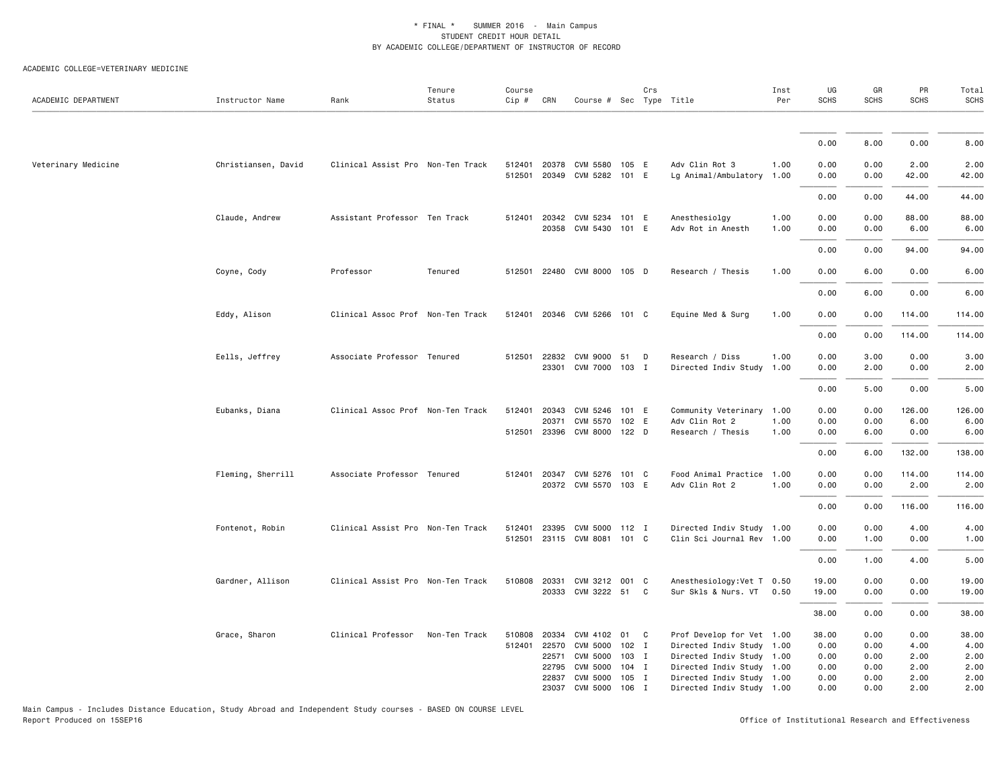#### ACADEMIC COLLEGE=VETERINARY MEDICINE

| ACADEMIC DEPARTMENT | Instructor Name     | Rank                              | Tenure<br>Status | Course<br>$Cip \#$ | CRN                   | Course # Sec Type Title                                    |                  | Crs |                                                                  | Inst<br>Per  | UG<br><b>SCHS</b>    | GR<br><b>SCHS</b>    | PR<br>SCHS             | Total<br><b>SCHS</b>   |
|---------------------|---------------------|-----------------------------------|------------------|--------------------|-----------------------|------------------------------------------------------------|------------------|-----|------------------------------------------------------------------|--------------|----------------------|----------------------|------------------------|------------------------|
|                     |                     |                                   |                  |                    |                       |                                                            |                  |     |                                                                  |              |                      |                      |                        |                        |
|                     |                     |                                   |                  |                    |                       |                                                            |                  |     |                                                                  |              | 0.00                 | 8.00                 | 0.00                   | 8.00                   |
| Veterinary Medicine | Christiansen, David | Clinical Assist Pro Non-Ten Track |                  |                    |                       | 512401 20378 CVM 5580 105 E<br>512501 20349 CVM 5282 101 E |                  |     | Adv Clin Rot 3<br>Lg Animal/Ambulatory 1.00                      | 1.00         | 0.00<br>0.00         | 0.00<br>0.00         | 2.00<br>42.00          | 2.00<br>42.00          |
|                     |                     |                                   |                  |                    |                       |                                                            |                  |     |                                                                  |              | 0.00                 | 0.00                 | 44.00                  | 44.00                  |
|                     | Claude, Andrew      | Assistant Professor Ten Track     |                  |                    |                       | 512401 20342 CVM 5234 101 E<br>20358 CVM 5430 101 E        |                  |     | Anesthesiolgy<br>Adv Rot in Anesth                               | 1.00<br>1.00 | 0.00<br>0.00         | 0.00<br>0.00         | 88.00<br>6.00          | 88.00<br>6.00          |
|                     |                     |                                   |                  |                    |                       |                                                            |                  |     |                                                                  |              | 0.00                 | 0.00                 | 94.00                  | 94.00                  |
|                     | Coyne, Cody         | Professor                         | Tenured          |                    |                       | 512501 22480 CVM 8000 105 D                                |                  |     | Research / Thesis                                                | 1.00         | 0.00                 | 6.00                 | 0.00                   | 6.00                   |
|                     |                     |                                   |                  |                    |                       |                                                            |                  |     |                                                                  |              | 0.00                 | 6.00                 | 0.00                   | 6.00                   |
|                     | Eddy, Alison        | Clinical Assoc Prof Non-Ten Track |                  |                    |                       | 512401 20346 CVM 5266 101 C                                |                  |     | Equine Med & Surg                                                | 1.00         | 0.00                 | 0.00                 | 114.00                 | 114.00                 |
|                     |                     |                                   |                  |                    |                       |                                                            |                  |     |                                                                  |              | 0.00                 | 0.00                 | 114.00                 | 114.00                 |
|                     | Eells, Jeffrey      | Associate Professor Tenured       |                  |                    |                       | 512501 22832 CVM 9000 51<br>23301 CVM 7000                 | $103$ I          | D   | Research / Diss<br>Directed Indiv Study                          | 1.00<br>1.00 | 0.00<br>0.00         | 3.00<br>2.00         | 0.00<br>0.00           | 3.00<br>2.00           |
|                     |                     |                                   |                  |                    |                       |                                                            |                  |     |                                                                  |              | 0.00                 | 5.00                 | 0.00                   | 5.00                   |
|                     | Eubanks, Diana      | Clinical Assoc Prof Non-Ten Track |                  |                    | 512401 20343<br>20371 | CVM 5246<br>CVM 5570<br>512501 23396 CVM 8000 122 D        | 101 E<br>102 E   |     | Community Veterinary 1.00<br>Adv Clin Rot 2<br>Research / Thesis | 1.00<br>1.00 | 0.00<br>0.00<br>0.00 | 0.00<br>0.00<br>6.00 | 126.00<br>6.00<br>0.00 | 126.00<br>6.00<br>6.00 |
|                     |                     |                                   |                  |                    |                       |                                                            |                  |     |                                                                  |              | 0.00                 | 6.00                 | 132.00                 | 138.00                 |
|                     | Fleming, Sherrill   | Associate Professor Tenured       |                  |                    |                       | 512401 20347 CVM 5276<br>20372 CVM 5570 103 E              | 101 C            |     | Food Animal Practice 1.00<br>Adv Clin Rot 2                      | 1.00         | 0.00<br>0.00         | 0.00<br>0.00         | 114.00<br>2.00         | 114.00<br>2.00         |
|                     |                     |                                   |                  |                    |                       |                                                            |                  |     |                                                                  |              | 0.00                 | 0.00                 | 116.00                 | 116.00                 |
|                     | Fontenot, Robin     | Clinical Assist Pro Non-Ten Track |                  | 512401             | 23395                 | CVM 5000 112 I<br>512501 23115 CVM 8081 101 C              |                  |     | Directed Indiv Study 1.00<br>Clin Sci Journal Rev 1.00           |              | 0.00<br>0.00         | 0.00<br>1.00         | 4.00<br>0.00           | 4.00<br>1.00           |
|                     |                     |                                   |                  |                    |                       |                                                            |                  |     |                                                                  |              | 0.00                 | 1.00                 | 4.00                   | 5.00                   |
|                     | Gardner, Allison    | Clinical Assist Pro Non-Ten Track |                  |                    |                       | 510808 20331 CVM 3212 001 C<br>20333 CVM 3222 51 C         |                  |     | Anesthesiology: Vet T 0.50<br>Sur Skls & Nurs. VT                | 0.50         | 19.00<br>19.00       | 0.00<br>0.00         | 0.00<br>0.00           | 19.00<br>19.00         |
|                     |                     |                                   |                  |                    |                       |                                                            |                  |     |                                                                  |              | 38.00                | 0.00                 | 0.00                   | 38.00                  |
|                     | Grace, Sharon       | Clinical Professor                | Non-Ten Track    | 510808             | 20334                 | CVM 4102 01 C                                              |                  |     | Prof Develop for Vet 1.00                                        |              | 38.00                | 0.00                 | 0.00                   | 38.00                  |
|                     |                     |                                   |                  |                    | 512401 22570<br>22571 | CVM 5000<br>CVM 5000                                       | $102$ I<br>103 I |     | Directed Indiv Study 1.00<br>Directed Indiv Study 1.00           |              | 0.00<br>0.00         | 0.00<br>0.00         | 4.00<br>2.00           | 4.00<br>2.00           |
|                     |                     |                                   |                  |                    | 22795                 | CVM 5000                                                   | $104$ I          |     | Directed Indiv Study 1.00                                        |              | 0.00                 | 0.00                 | 2.00                   | 2.00                   |
|                     |                     |                                   |                  |                    | 22837                 | CVM 5000                                                   | 105 I            |     | Directed Indiv Study 1.00                                        |              | 0.00                 | 0.00                 | 2.00                   | 2.00                   |
|                     |                     |                                   |                  |                    |                       | 23037 CVM 5000                                             | 106 I            |     | Directed Indiv Study 1.00                                        |              | 0.00                 | 0.00                 | 2.00                   | 2.00                   |

Office of Institutional Research and Effectiveness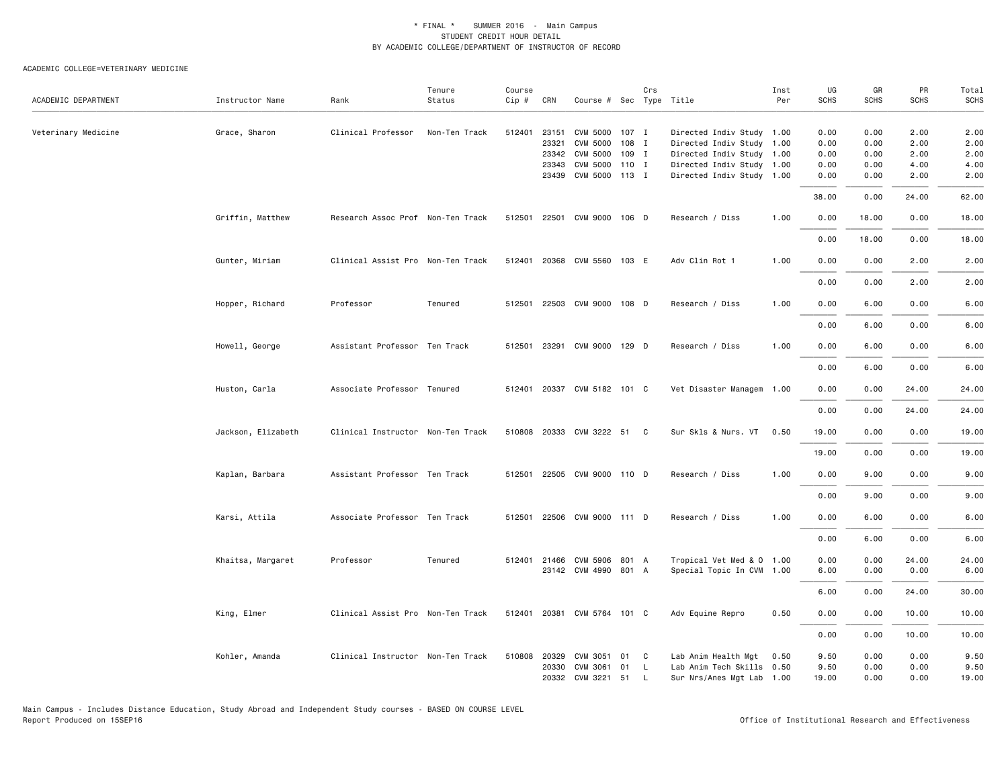|                     |                    |                                   | Tenure        | Course |              |                             |       | Crs |                           | Inst | UG          | GR    | PR    | Total       |
|---------------------|--------------------|-----------------------------------|---------------|--------|--------------|-----------------------------|-------|-----|---------------------------|------|-------------|-------|-------|-------------|
| ACADEMIC DEPARTMENT | Instructor Name    | Rank                              | Status        | Cip #  | CRN          | Course # Sec Type Title     |       |     |                           | Per  | <b>SCHS</b> | SCHS  | SCHS  | <b>SCHS</b> |
| Veterinary Medicine | Grace, Sharon      | Clinical Professor                | Non-Ten Track | 512401 | 23151        | CVM 5000 107 I              |       |     | Directed Indiv Study 1.00 |      | 0.00        | 0.00  | 2.00  | 2.00        |
|                     |                    |                                   |               |        | 23321        | <b>CVM 5000</b>             | 108 I |     | Directed Indiv Study 1.00 |      | 0.00        | 0.00  | 2.00  | 2.00        |
|                     |                    |                                   |               |        | 23342        | CVM 5000 109 I              |       |     | Directed Indiv Study 1.00 |      | 0.00        | 0.00  | 2.00  | 2.00        |
|                     |                    |                                   |               |        | 23343        | CVM 5000 110 I              |       |     | Directed Indiv Study 1.00 |      | 0.00        | 0.00  | 4.00  | 4.00        |
|                     |                    |                                   |               |        |              | 23439 CVM 5000 113 I        |       |     | Directed Indiv Study 1.00 |      | 0.00        | 0.00  | 2.00  | 2.00        |
|                     |                    |                                   |               |        |              |                             |       |     |                           |      | 38.00       | 0.00  | 24.00 | 62.00       |
|                     | Griffin, Matthew   | Research Assoc Prof Non-Ten Track |               | 512501 | 22501        | CVM 9000 106 D              |       |     | Research / Diss           | 1.00 | 0.00        | 18.00 | 0.00  | 18.00       |
|                     |                    |                                   |               |        |              |                             |       |     |                           |      | 0.00        | 18.00 | 0.00  | 18.00       |
|                     | Gunter, Miriam     | Clinical Assist Pro Non-Ten Track |               |        |              | 512401 20368 CVM 5560 103 E |       |     | Adv Clin Rot 1            | 1.00 | 0.00        | 0.00  | 2.00  | 2.00        |
|                     |                    |                                   |               |        |              |                             |       |     |                           |      | 0.00        | 0.00  | 2.00  | 2.00        |
|                     | Hopper, Richard    | Professor                         | Tenured       |        |              | 512501 22503 CVM 9000 108 D |       |     | Research / Diss           | 1.00 | 0.00        | 6.00  | 0.00  | 6.00        |
|                     |                    |                                   |               |        |              |                             |       |     |                           |      | 0.00        | 6.00  | 0.00  | 6.00        |
|                     | Howell, George     | Assistant Professor Ten Track     |               | 512501 | 23291        | CVM 9000 129 D              |       |     | Research / Diss           | 1.00 | 0.00        | 6.00  | 0.00  | 6.00        |
|                     |                    |                                   |               |        |              |                             |       |     |                           |      | 0.00        | 6.00  | 0.00  | 6.00        |
|                     | Huston, Carla      | Associate Professor Tenured       |               |        |              | 512401 20337 CVM 5182 101 C |       |     | Vet Disaster Managem 1.00 |      | 0.00        | 0.00  | 24.00 | 24.00       |
|                     |                    |                                   |               |        |              |                             |       |     |                           |      | 0.00        | 0.00  | 24.00 | 24.00       |
|                     | Jackson, Elizabeth | Clinical Instructor Non-Ten Track |               |        |              | 510808 20333 CVM 3222 51 C  |       |     | Sur Skls & Nurs. VT 0.50  |      | 19.00       | 0.00  | 0.00  | 19.00       |
|                     |                    |                                   |               |        |              |                             |       |     |                           |      | 19.00       | 0.00  | 0.00  | 19.00       |
|                     | Kaplan, Barbara    | Assistant Professor Ten Track     |               | 512501 |              | 22505 CVM 9000 110 D        |       |     | Research / Diss           | 1.00 | 0.00        | 9.00  | 0.00  | 9.00        |
|                     |                    |                                   |               |        |              |                             |       |     |                           |      | 0.00        | 9.00  | 0.00  | 9.00        |
|                     | Karsi, Attila      | Associate Professor Ten Track     |               | 512501 |              | 22506 CVM 9000 111 D        |       |     | Research / Diss           | 1.00 | 0.00        | 6.00  | 0.00  | 6.00        |
|                     |                    |                                   |               |        |              |                             |       |     |                           |      | 0.00        | 6.00  | 0.00  | 6.00        |
|                     | Khaitsa, Margaret  | Professor                         | Tenured       |        |              | 512401 21466 CVM 5906 801 A |       |     | Tropical Vet Med & 0 1.00 |      | 0.00        | 0.00  | 24.00 | 24.00       |
|                     |                    |                                   |               |        |              | 23142 CVM 4990 801 A        |       |     | Special Topic In CVM 1.00 |      | 6.00        | 0.00  | 0.00  | 6.00        |
|                     |                    |                                   |               |        |              |                             |       |     |                           |      | 6.00        | 0.00  | 24.00 | 30.00       |
|                     | King, Elmer        | Clinical Assist Pro Non-Ten Track |               | 512401 | 20381        | CVM 5764 101 C              |       |     | Adv Equine Repro          | 0.50 | 0.00        | 0.00  | 10.00 | 10.00       |
|                     |                    |                                   |               |        |              |                             |       |     |                           |      | 0.00        | 0.00  | 10.00 | 10.00       |
|                     | Kohler, Amanda     | Clinical Instructor Non-Ten Track |               |        | 510808 20329 | CVM 3051                    | 01 C  |     | Lab Anim Health Mgt       | 0.50 | 9.50        | 0.00  | 0.00  | 9.50        |
|                     |                    |                                   |               |        | 20330        | CVM 3061                    | 01    | L.  | Lab Anim Tech Skills 0.50 |      | 9.50        | 0.00  | 0.00  | 9.50        |
|                     |                    |                                   |               |        |              | 20332 CVM 3221 51           |       | L.  | Sur Nrs/Anes Mgt Lab 1.00 |      | 19.00       | 0.00  | 0.00  | 19.00       |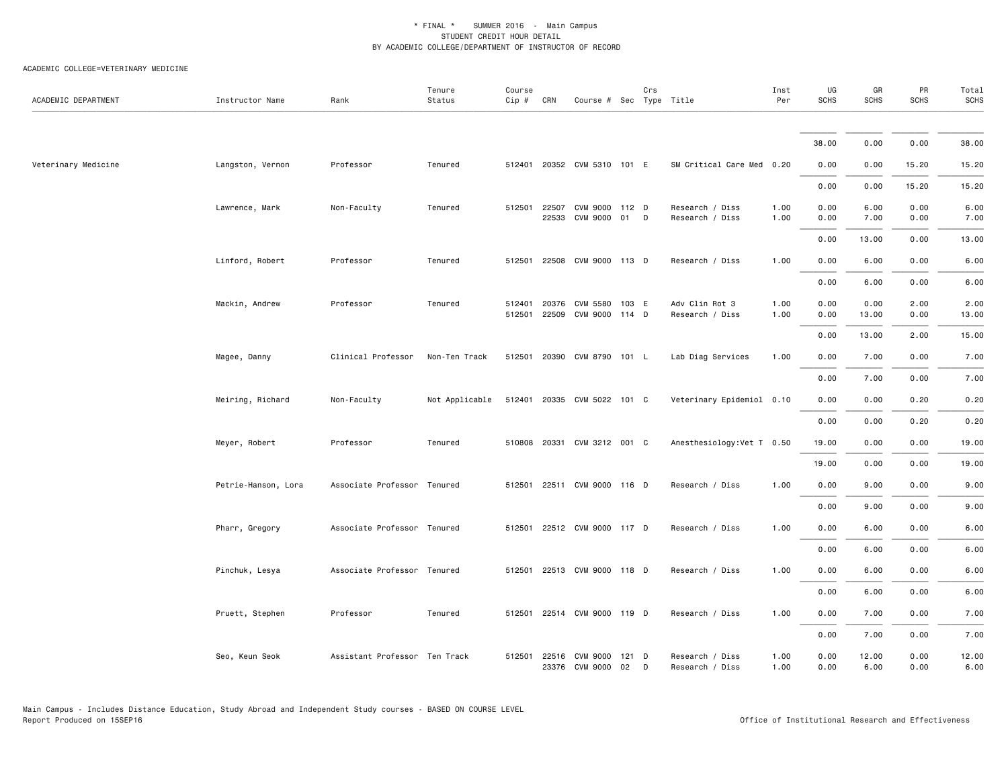| ACADEMIC DEPARTMENT | Instructor Name     | Rank                          | Tenure<br>Status | Course<br>$Cip \#$ | CRN                   | Course # Sec Type Title       |             | Crs |                                    | Inst<br>Per  | UG<br><b>SCHS</b> | GR<br>SCHS    | PR<br><b>SCHS</b> | Total<br><b>SCHS</b> |
|---------------------|---------------------|-------------------------------|------------------|--------------------|-----------------------|-------------------------------|-------------|-----|------------------------------------|--------------|-------------------|---------------|-------------------|----------------------|
|                     |                     |                               |                  |                    |                       |                               |             |     |                                    |              |                   |               |                   |                      |
|                     |                     |                               |                  |                    |                       |                               |             |     |                                    |              | 38.00             | 0.00          | 0.00              | 38.00                |
| Veterinary Medicine | Langston, Vernon    | Professor                     | Tenured          |                    |                       | 512401 20352 CVM 5310 101 E   |             |     | SM Critical Care Med 0.20          |              | 0.00              | 0.00          | 15.20             | 15.20                |
|                     |                     |                               |                  |                    |                       |                               |             |     |                                    |              | 0.00              | 0.00          | 15.20             | 15.20                |
|                     | Lawrence, Mark      | Non-Faculty                   | Tenured          |                    | 512501 22507<br>22533 | CVM 9000 112 D<br>CVM 9000 01 |             | D   | Research / Diss<br>Research / Diss | 1.00<br>1.00 | 0.00<br>0.00      | 6.00<br>7.00  | 0.00<br>0.00      | 6.00<br>7.00         |
|                     |                     |                               |                  |                    |                       |                               |             |     |                                    |              | 0.00              | 13.00         | 0.00              | 13.00                |
|                     | Linford, Robert     | Professor                     | Tenured          |                    |                       | 512501 22508 CVM 9000 113 D   |             |     | Research / Diss                    | 1.00         | 0.00              | 6.00          | 0.00              | 6.00                 |
|                     |                     |                               |                  |                    |                       |                               |             |     |                                    |              | 0.00              | 6.00          | 0.00              | 6.00                 |
|                     | Mackin, Andrew      | Professor                     | Tenured          | 512401<br>512501   | 20376<br>22509        | CVM 5580<br>CVM 9000 114 D    | 103 E       |     | Adv Clin Rot 3<br>Research / Diss  | 1.00<br>1.00 | 0.00<br>0.00      | 0.00<br>13.00 | 2.00<br>0.00      | 2.00<br>13.00        |
|                     |                     |                               |                  |                    |                       |                               |             |     |                                    |              | 0.00              | 13.00         | 2.00              | 15.00                |
|                     | Magee, Danny        | Clinical Professor            | Non-Ten Track    |                    |                       | 512501 20390 CVM 8790 101 L   |             |     | Lab Diag Services                  | 1.00         | 0.00              | 7.00          | 0.00              | 7.00                 |
|                     |                     |                               |                  |                    |                       |                               |             |     |                                    |              | 0.00              | 7.00          | 0.00              | 7.00                 |
|                     | Meiring, Richard    | Non-Faculty                   | Not Applicable   |                    |                       | 512401 20335 CVM 5022 101 C   |             |     | Veterinary Epidemiol 0.10          |              | 0.00              | 0.00          | 0.20              | 0.20                 |
|                     |                     |                               |                  |                    |                       |                               |             |     |                                    |              | 0.00              | 0.00          | 0.20              | 0.20                 |
|                     | Meyer, Robert       | Professor                     | Tenured          |                    |                       | 510808 20331 CVM 3212 001 C   |             |     | Anesthesiology: Vet T 0.50         |              | 19.00             | 0.00          | 0.00              | 19.00                |
|                     |                     |                               |                  |                    |                       |                               |             |     |                                    |              | 19.00             | 0.00          | 0.00              | 19.00                |
|                     | Petrie-Hanson, Lora | Associate Professor Tenured   |                  | 512501             |                       | 22511 CVM 9000 116 D          |             |     | Research / Diss                    | 1.00         | 0.00              | 9.00          | 0.00              | 9.00                 |
|                     |                     |                               |                  |                    |                       |                               |             |     |                                    |              | 0.00              | 9.00          | 0.00              | 9.00                 |
|                     | Pharr, Gregory      | Associate Professor Tenured   |                  |                    |                       | 512501 22512 CVM 9000 117 D   |             |     | Research / Diss                    | 1.00         | 0.00              | 6.00          | 0.00              | 6.00                 |
|                     |                     |                               |                  |                    |                       |                               |             |     |                                    |              | 0.00              | 6.00          | 0.00              | 6.00                 |
|                     | Pinchuk, Lesya      | Associate Professor Tenured   |                  |                    |                       | 512501 22513 CVM 9000 118 D   |             |     | Research / Diss                    | 1.00         | 0.00              | 6.00          | 0.00              | 6.00                 |
|                     |                     |                               |                  |                    |                       |                               |             |     |                                    |              | 0.00              | 6.00          | 0.00              | 6.00                 |
|                     | Pruett, Stephen     | Professor                     | Tenured          | 512501             |                       | 22514 CVM 9000 119 D          |             |     | Research / Diss                    | 1.00         | 0.00              | 7.00          | 0.00              | 7.00                 |
|                     |                     |                               |                  |                    |                       |                               |             |     |                                    |              | 0.00              | 7.00          | 0.00              | 7.00                 |
|                     | Seo, Keun Seok      | Assistant Professor Ten Track |                  |                    | 512501 22516          | CVM 9000<br>23376 CVM 9000    | 121 D<br>02 | D   | Research / Diss<br>Research / Diss | 1.00<br>1.00 | 0.00<br>0.00      | 12.00<br>6.00 | 0.00<br>0.00      | 12.00<br>6.00        |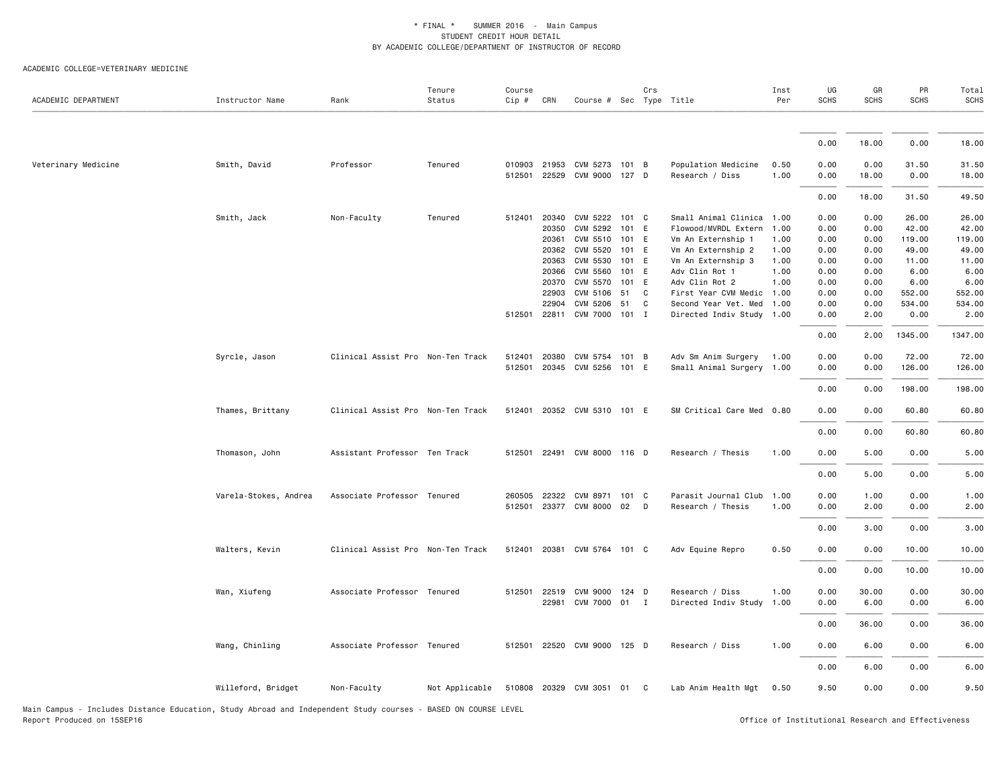#### ACADEMIC COLLEGE=VETERINARY MEDICINE

| ACADEMIC DEPARTMENT                                                                                           | Instructor Name       | Rank                              | Tenure<br>Status | Course<br>$Cip$ # | CRN            | Course # Sec Type Title                      |    | Crs    |                                                   | Inst<br>Per  | UG<br><b>SCHS</b> | GR<br><b>SCHS</b> | PR<br><b>SCHS</b> | Total<br><b>SCHS</b> |
|---------------------------------------------------------------------------------------------------------------|-----------------------|-----------------------------------|------------------|-------------------|----------------|----------------------------------------------|----|--------|---------------------------------------------------|--------------|-------------------|-------------------|-------------------|----------------------|
|                                                                                                               |                       |                                   |                  |                   |                |                                              |    |        |                                                   |              |                   |                   |                   |                      |
|                                                                                                               |                       |                                   |                  |                   |                |                                              |    |        |                                                   |              | 0.00              | 18.00             | 0.00              | 18.00                |
| Veterinary Medicine                                                                                           | Smith, David          | Professor                         | Tenured          | 010903<br>512501  |                | 21953 CVM 5273 101 B<br>22529 CVM 9000 127 D |    |        | Population Medicine<br>Research / Diss            | 0.50<br>1.00 | 0.00<br>0.00      | 0.00<br>18.00     | 31.50<br>0.00     | 31.50<br>18.00       |
|                                                                                                               |                       |                                   |                  |                   |                |                                              |    |        |                                                   |              | 0.00              | 18.00             | 31.50             | 49.50                |
|                                                                                                               | Smith, Jack           | Non-Faculty                       | Tenured          | 512401            |                | 20340 CVM 5222 101 C                         |    |        | Small Animal Clinica 1.00                         |              | 0.00              | 0.00              | 26.00             | 26.00                |
|                                                                                                               |                       |                                   |                  |                   | 20350          | CVM 5292 101 E                               |    |        | Flowood/MVRDL Extern                              | 1.00         | 0.00              | 0.00              | 42.00             | 42.00                |
|                                                                                                               |                       |                                   |                  |                   | 20361          | CVM 5510 101 E                               |    |        | Vm An Externship 1                                | 1.00         | 0.00              | 0.00              | 119.00            | 119.00               |
|                                                                                                               |                       |                                   |                  |                   |                | 20362 CVM 5520 101 E                         |    |        | Vm An Externship 2                                | 1.00         | 0.00              | 0.00              | 49.00             | 49.00                |
|                                                                                                               |                       |                                   |                  |                   | 20363          | CVM 5530 101 E                               |    |        | Vm An Externship 3                                | 1.00         | 0.00              | 0.00              | 11.00             | 11.00                |
|                                                                                                               |                       |                                   |                  |                   |                | 20366 CVM 5560 101 E                         |    |        | Adv Clin Rot 1                                    | 1.00         | 0.00              | 0.00              | 6.00              | 6.00                 |
|                                                                                                               |                       |                                   |                  |                   | 20370          | CVM 5570 101 E                               |    |        | Adv Clin Rot 2                                    | 1.00         | 0.00              | 0.00              | 6.00              | 6.00                 |
|                                                                                                               |                       |                                   |                  |                   | 22903<br>22904 | CVM 5106 51<br>CVM 5206                      |    | C<br>C | First Year CVM Medic 1.00<br>Second Year Vet. Med | 1.00         | 0.00<br>0.00      | 0.00<br>0.00      | 552.00<br>534.00  | 552.00<br>534.00     |
|                                                                                                               |                       |                                   |                  |                   |                |                                              | 51 |        |                                                   |              |                   |                   | 0.00              | 2.00                 |
|                                                                                                               |                       |                                   |                  |                   |                | 512501 22811 CVM 7000 101 I                  |    |        | Directed Indiv Study 1.00                         |              | 0.00              | 2.00              |                   |                      |
|                                                                                                               |                       |                                   |                  |                   |                |                                              |    |        |                                                   |              | 0.00              | 2.00              | 1345.00           | 1347.00              |
|                                                                                                               | Syrcle, Jason         | Clinical Assist Pro Non-Ten Track |                  | 512401            |                | 20380 CVM 5754 101 B                         |    |        | Adv Sm Anim Surgery                               | 1.00         | 0.00              | 0.00              | 72.00             | 72.00                |
|                                                                                                               |                       |                                   |                  | 512501            |                | 20345 CVM 5256 101 E                         |    |        | Small Animal Surgery 1.00                         |              | 0.00              | 0.00              | 126.00            | 126.00               |
|                                                                                                               |                       |                                   |                  |                   |                |                                              |    |        |                                                   |              | 0.00              | 0.00              | 198.00            | 198.00               |
|                                                                                                               | Thames, Brittany      | Clinical Assist Pro Non-Ten Track |                  |                   |                | 512401 20352 CVM 5310 101 E                  |    |        | SM Critical Care Med 0.80                         |              | 0.00              | 0.00              | 60.80             | 60.80                |
|                                                                                                               |                       |                                   |                  |                   |                |                                              |    |        |                                                   |              | 0.00              | 0.00              | 60.80             | 60.80                |
|                                                                                                               | Thomason, John        | Assistant Professor Ten Track     |                  |                   |                | 512501 22491 CVM 8000 116 D                  |    |        | Research / Thesis                                 | 1.00         | 0.00              | 5.00              | 0.00              | 5.00                 |
|                                                                                                               |                       |                                   |                  |                   |                |                                              |    |        |                                                   |              | 0.00              | 5.00              | 0.00              | 5.00                 |
|                                                                                                               | Varela-Stokes, Andrea | Associate Professor Tenured       |                  | 260505            |                | 22322 CVM 8971 101 C                         |    |        | Parasit Journal Club                              | 1.00         | 0.00              | 1.00              | 0.00              | 1.00                 |
|                                                                                                               |                       |                                   |                  |                   |                | 512501 23377 CVM 8000 02 D                   |    |        | Research / Thesis                                 | 1.00         | 0.00              | 2.00              | 0.00              | 2.00                 |
|                                                                                                               |                       |                                   |                  |                   |                |                                              |    |        |                                                   |              | 0.00              | 3.00              | 0.00              | 3.00                 |
|                                                                                                               | Walters, Kevin        | Clinical Assist Pro Non-Ten Track |                  |                   |                | 512401 20381 CVM 5764 101 C                  |    |        | Adv Equine Repro                                  | 0.50         | 0.00              | 0.00              | 10.00             | 10.00                |
|                                                                                                               |                       |                                   |                  |                   |                |                                              |    |        |                                                   |              | 0.00              | 0.00              | 10.00             | 10.00                |
|                                                                                                               | Wan, Xiufeng          | Associate Professor Tenured       |                  |                   |                | 512501 22519 CVM 9000 124 D                  |    |        | Research / Diss                                   | 1.00         | 0.00              | 30.00             | 0.00              | 30.00                |
|                                                                                                               |                       |                                   |                  |                   |                | 22981 CVM 7000 01 I                          |    |        | Directed Indiv Study                              | 1.00         | 0.00              | 6.00              | 0.00              | 6.00                 |
|                                                                                                               |                       |                                   |                  |                   |                |                                              |    |        |                                                   |              |                   |                   |                   |                      |
|                                                                                                               |                       |                                   |                  |                   |                |                                              |    |        |                                                   |              | 0.00              | 36.00             | 0.00              | 36.00                |
|                                                                                                               | Wang, Chinling        | Associate Professor Tenured       |                  | 512501            |                | 22520 CVM 9000 125 D                         |    |        | Research / Diss                                   | 1.00         | 0.00              | 6.00              | 0.00              | 6.00                 |
|                                                                                                               |                       |                                   |                  |                   |                |                                              |    |        |                                                   |              | 0.00              | 6.00              | 0.00              | 6.00                 |
|                                                                                                               | Willeford, Bridget    | Non-Faculty                       | Not Applicable   |                   |                | 510808 20329 CVM 3051 01 C                   |    |        | Lab Anim Health Mgt                               | 0.50         | 9.50              | 0.00              | 0.00              | 9.50                 |
| Main Campus - Includes Distance Education. Study Abroad and Independent Study courses - BASED ON COURSE LEVEL |                       |                                   |                  |                   |                |                                              |    |        |                                                   |              |                   |                   |                   |                      |

Main Campus - Includes Distance Education, Study Abroad and Independent Study<br>Report Produced on 15SEP16

Office of Institutional Research and Effectiveness